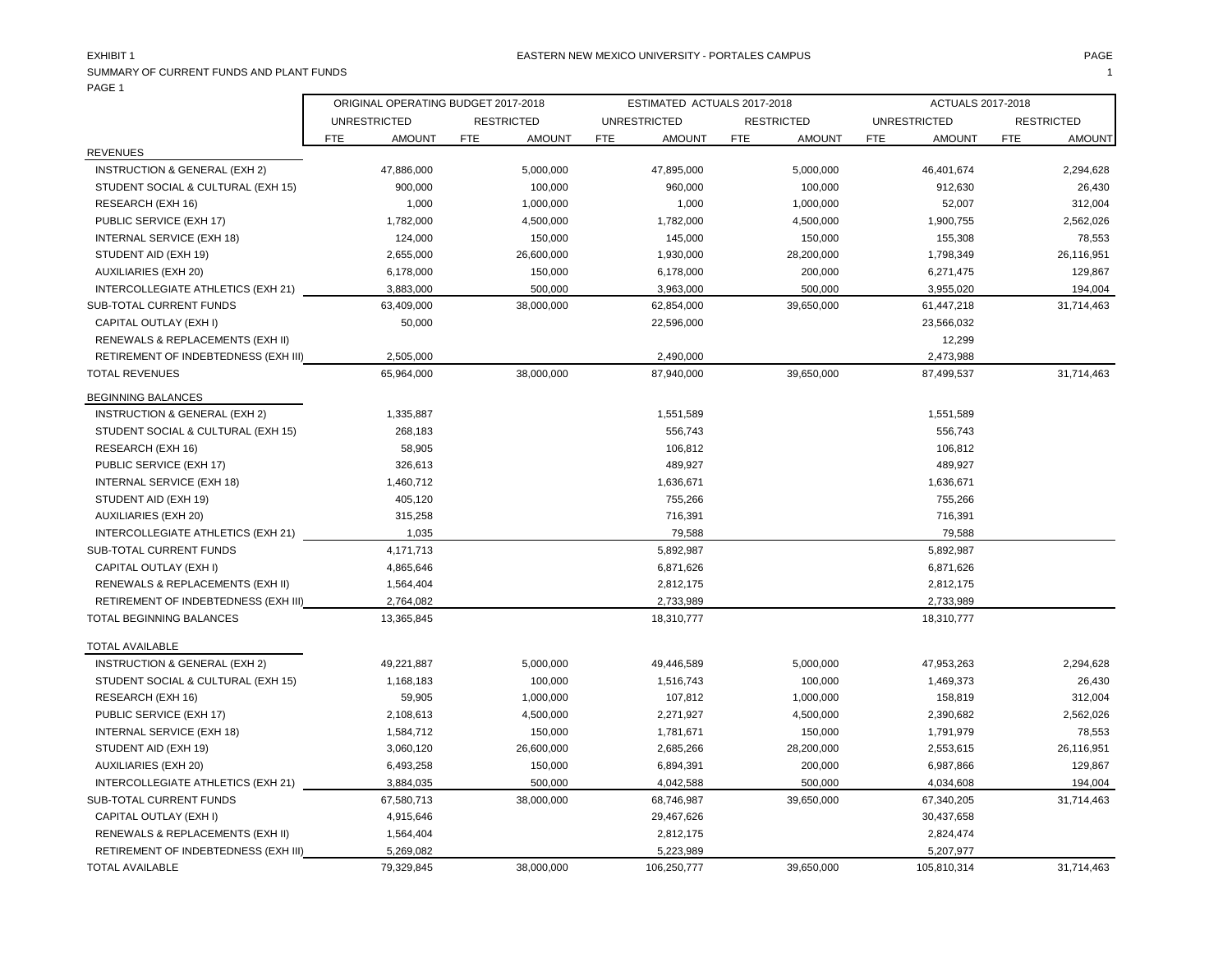SUMMARY OF CURRENT FUNDS AND PLANT FUNDS 1

| PAGE 1                               |     |                                     |            |                   |     |                             |            |                   |     |                          |            |                   |
|--------------------------------------|-----|-------------------------------------|------------|-------------------|-----|-----------------------------|------------|-------------------|-----|--------------------------|------------|-------------------|
|                                      |     | ORIGINAL OPERATING BUDGET 2017-2018 |            |                   |     | ESTIMATED ACTUALS 2017-2018 |            |                   |     | <b>ACTUALS 2017-2018</b> |            |                   |
|                                      |     | <b>UNRESTRICTED</b>                 |            | <b>RESTRICTED</b> |     | <b>UNRESTRICTED</b>         |            | <b>RESTRICTED</b> |     | <b>UNRESTRICTED</b>      |            | <b>RESTRICTED</b> |
|                                      | FTE | <b>AMOUNT</b>                       | <b>FTE</b> | <b>AMOUNT</b>     | FTE | <b>AMOUNT</b>               | <b>FTE</b> | <b>AMOUNT</b>     | FTE | <b>AMOUNT</b>            | <b>FTE</b> | <b>AMOUNT</b>     |
| <b>REVENUES</b>                      |     |                                     |            |                   |     |                             |            |                   |     |                          |            |                   |
| INSTRUCTION & GENERAL (EXH 2)        |     | 47,886,000                          |            | 5,000,000         |     | 47,895,000                  |            | 5,000,000         |     | 46,401,674               |            | 2,294,628         |
| STUDENT SOCIAL & CULTURAL (EXH 15)   |     | 900,000                             |            | 100,000           |     | 960,000                     |            | 100,000           |     | 912,630                  |            | 26,430            |
| RESEARCH (EXH 16)                    |     | 1,000                               |            | 1,000,000         |     | 1,000                       |            | 1,000,000         |     | 52,007                   |            | 312,004           |
| PUBLIC SERVICE (EXH 17)              |     | 1,782,000                           |            | 4,500,000         |     | 1,782,000                   |            | 4,500,000         |     | 1,900,755                |            | 2,562,026         |
| <b>INTERNAL SERVICE (EXH 18)</b>     |     | 124,000                             |            | 150,000           |     | 145,000                     |            | 150,000           |     | 155,308                  |            | 78,553            |
| STUDENT AID (EXH 19)                 |     | 2,655,000                           |            | 26,600,000        |     | 1,930,000                   |            | 28,200,000        |     | 1,798,349                |            | 26,116,951        |
| <b>AUXILIARIES (EXH 20)</b>          |     | 6,178,000                           |            | 150,000           |     | 6,178,000                   |            | 200,000           |     | 6,271,475                |            | 129,867           |
| INTERCOLLEGIATE ATHLETICS (EXH 21)   |     | 3,883,000                           |            | 500,000           |     | 3,963,000                   |            | 500,000           |     | 3,955,020                |            | 194,004           |
| SUB-TOTAL CURRENT FUNDS              |     | 63,409,000                          |            | 38,000,000        |     | 62,854,000                  |            | 39,650,000        |     | 61,447,218               |            | 31,714,463        |
| CAPITAL OUTLAY (EXH I)               |     | 50,000                              |            |                   |     | 22,596,000                  |            |                   |     | 23,566,032               |            |                   |
| RENEWALS & REPLACEMENTS (EXH II)     |     |                                     |            |                   |     |                             |            |                   |     | 12,299                   |            |                   |
| RETIREMENT OF INDEBTEDNESS (EXH III) |     | 2,505,000                           |            |                   |     | 2,490,000                   |            |                   |     | 2,473,988                |            |                   |
| <b>TOTAL REVENUES</b>                |     | 65,964,000                          |            | 38,000,000        |     | 87,940,000                  |            | 39,650,000        |     | 87,499,537               |            | 31,714,463        |
| <b>BEGINNING BALANCES</b>            |     |                                     |            |                   |     |                             |            |                   |     |                          |            |                   |
| INSTRUCTION & GENERAL (EXH 2)        |     | 1,335,887                           |            |                   |     | 1,551,589                   |            |                   |     | 1,551,589                |            |                   |
| STUDENT SOCIAL & CULTURAL (EXH 15)   |     | 268,183                             |            |                   |     | 556,743                     |            |                   |     | 556,743                  |            |                   |
| RESEARCH (EXH 16)                    |     | 58,905                              |            |                   |     | 106,812                     |            |                   |     | 106,812                  |            |                   |
| PUBLIC SERVICE (EXH 17)              |     | 326,613                             |            |                   |     | 489,927                     |            |                   |     | 489,927                  |            |                   |
| INTERNAL SERVICE (EXH 18)            |     | 1,460,712                           |            |                   |     | 1,636,671                   |            |                   |     | 1,636,671                |            |                   |
| STUDENT AID (EXH 19)                 |     | 405,120                             |            |                   |     | 755,266                     |            |                   |     | 755,266                  |            |                   |
| AUXILIARIES (EXH 20)                 |     | 315,258                             |            |                   |     | 716,391                     |            |                   |     | 716,391                  |            |                   |
| INTERCOLLEGIATE ATHLETICS (EXH 21)   |     | 1,035                               |            |                   |     | 79,588                      |            |                   |     | 79,588                   |            |                   |
| SUB-TOTAL CURRENT FUNDS              |     | 4,171,713                           |            |                   |     | 5,892,987                   |            |                   |     | 5,892,987                |            |                   |
| CAPITAL OUTLAY (EXH I)               |     | 4,865,646                           |            |                   |     | 6,871,626                   |            |                   |     | 6,871,626                |            |                   |
| RENEWALS & REPLACEMENTS (EXH II)     |     | 1,564,404                           |            |                   |     | 2,812,175                   |            |                   |     | 2,812,175                |            |                   |
| RETIREMENT OF INDEBTEDNESS (EXH III) |     | 2,764,082                           |            |                   |     | 2,733,989                   |            |                   |     | 2,733,989                |            |                   |
| TOTAL BEGINNING BALANCES             |     | 13,365,845                          |            |                   |     | 18,310,777                  |            |                   |     | 18,310,777               |            |                   |
| <b>TOTAL AVAILABLE</b>               |     |                                     |            |                   |     |                             |            |                   |     |                          |            |                   |

| IVIAL AVAILADLL                      |            |            |             |            |             |            |
|--------------------------------------|------------|------------|-------------|------------|-------------|------------|
| INSTRUCTION & GENERAL (EXH 2)        | 49.221.887 | 5,000,000  | 49.446.589  | 5,000,000  | 47,953,263  | 2.294.628  |
| STUDENT SOCIAL & CULTURAL (EXH 15)   | 1,168,183  | 100,000    | 1,516,743   | 100,000    | 1,469,373   | 26,430     |
| RESEARCH (EXH 16)                    | 59,905     | 1,000,000  | 107,812     | 1,000,000  | 158,819     | 312,004    |
| PUBLIC SERVICE (EXH 17)              | 2,108,613  | 4,500,000  | 2,271,927   | 4,500,000  | 2,390,682   | 2,562,026  |
| INTERNAL SERVICE (EXH 18)            | 1.584.712  | 150.000    | 1,781,671   | 150,000    | 1,791,979   | 78,553     |
| STUDENT AID (EXH 19)                 | 3,060,120  | 26,600,000 | 2,685,266   | 28.200.000 | 2,553,615   | 26,116,951 |
| AUXILIARIES (EXH 20)                 | 6,493,258  | 150.000    | 6,894,391   | 200,000    | 6,987,866   | 129,867    |
| INTERCOLLEGIATE ATHLETICS (EXH 21)   | 3,884,035  | 500,000    | 4,042,588   | 500,000    | 4,034,608   | 194,004    |
| <b>SUB-TOTAL CURRENT FUNDS</b>       | 67,580,713 | 38,000,000 | 68,746,987  | 39,650,000 | 67,340,205  | 31,714,463 |
| CAPITAL OUTLAY (EXH I)               | 4.915.646  |            | 29,467,626  |            | 30,437,658  |            |
| RENEWALS & REPLACEMENTS (EXH II)     | 1,564,404  |            | 2,812,175   |            | 2,824,474   |            |
| RETIREMENT OF INDEBTEDNESS (EXH III) | 5,269,082  |            | 5,223,989   |            | 5,207,977   |            |
| <b>TOTAL AVAILABLE</b>               | 79,329,845 | 38,000,000 | 106,250,777 | 39,650,000 | 105.810.314 | 31.714.463 |
|                                      |            |            |             |            |             |            |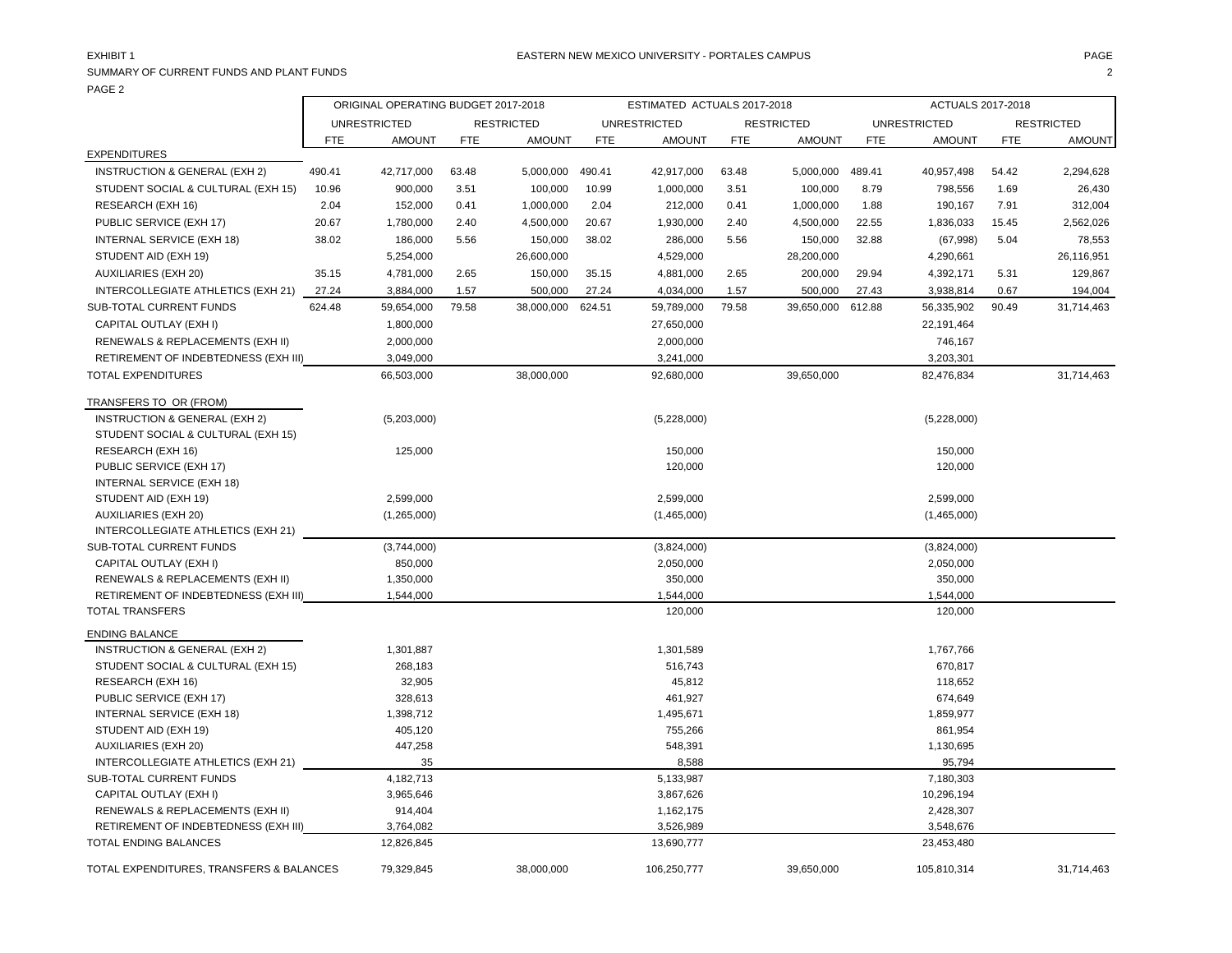SUMMARY OF CURRENT FUNDS AND PLANT FUNDS 2 PAGE 2

|                                          | ORIGINAL OPERATING BUDGET 2017-2018 |                     |            |                   |            | ESTIMATED ACTUALS 2017-2018 |            |                   |            | ACTUALS 2017-2018   |            |                   |
|------------------------------------------|-------------------------------------|---------------------|------------|-------------------|------------|-----------------------------|------------|-------------------|------------|---------------------|------------|-------------------|
|                                          |                                     | <b>UNRESTRICTED</b> |            | <b>RESTRICTED</b> |            | <b>UNRESTRICTED</b>         |            | <b>RESTRICTED</b> |            | <b>UNRESTRICTED</b> |            | <b>RESTRICTED</b> |
|                                          | <b>FTE</b>                          | <b>AMOUNT</b>       | <b>FTE</b> | <b>AMOUNT</b>     | <b>FTE</b> | <b>AMOUNT</b>               | <b>FTE</b> | <b>AMOUNT</b>     | <b>FTE</b> | <b>AMOUNT</b>       | <b>FTE</b> | <b>AMOUNT</b>     |
| <b>EXPENDITURES</b>                      |                                     |                     |            |                   |            |                             |            |                   |            |                     |            |                   |
| INSTRUCTION & GENERAL (EXH 2)            | 490.41                              | 42,717,000          | 63.48      | 5,000,000         | 490.41     | 42,917,000                  | 63.48      | 5,000,000         | 489.41     | 40,957,498          | 54.42      | 2,294,628         |
| STUDENT SOCIAL & CULTURAL (EXH 15)       | 10.96                               | 900,000             | 3.51       | 100,000           | 10.99      | 1,000,000                   | 3.51       | 100,000           | 8.79       | 798,556             | 1.69       | 26,430            |
| RESEARCH (EXH 16)                        | 2.04                                | 152,000             | 0.41       | 1,000,000         | 2.04       | 212,000                     | 0.41       | 1,000,000         | 1.88       | 190,167             | 7.91       | 312,004           |
| PUBLIC SERVICE (EXH 17)                  | 20.67                               | 1,780,000           | 2.40       | 4,500,000         | 20.67      | 1,930,000                   | 2.40       | 4,500,000         | 22.55      | 1,836,033           | 15.45      | 2,562,026         |
| INTERNAL SERVICE (EXH 18)                | 38.02                               | 186,000             | 5.56       | 150,000           | 38.02      | 286,000                     | 5.56       | 150,000           | 32.88      | (67,998)            | 5.04       | 78,553            |
| STUDENT AID (EXH 19)                     |                                     | 5,254,000           |            | 26,600,000        |            | 4,529,000                   |            | 28,200,000        |            | 4,290,661           |            | 26,116,951        |
| <b>AUXILIARIES (EXH 20)</b>              | 35.15                               | 4,781,000           | 2.65       | 150,000           | 35.15      | 4,881,000                   | 2.65       | 200,000           | 29.94      | 4,392,171           | 5.31       | 129,867           |
| INTERCOLLEGIATE ATHLETICS (EXH 21)       | 27.24                               | 3,884,000           | 1.57       | 500,000           | 27.24      | 4,034,000                   | 1.57       | 500,000           | 27.43      | 3,938,814           | 0.67       | 194,004           |
| SUB-TOTAL CURRENT FUNDS                  | 624.48                              | 59,654,000          | 79.58      | 38,000,000        | 624.51     | 59,789,000                  | 79.58      | 39,650,000        | 612.88     | 56,335,902          | 90.49      | 31,714,463        |
| CAPITAL OUTLAY (EXH I)                   |                                     | 1,800,000           |            |                   |            | 27,650,000                  |            |                   |            | 22,191,464          |            |                   |
| RENEWALS & REPLACEMENTS (EXH II)         |                                     | 2,000,000           |            |                   |            | 2,000,000                   |            |                   |            | 746,167             |            |                   |
| RETIREMENT OF INDEBTEDNESS (EXH III)     |                                     | 3,049,000           |            |                   |            | 3,241,000                   |            |                   |            | 3,203,301           |            |                   |
| TOTAL EXPENDITURES                       |                                     | 66,503,000          |            | 38,000,000        |            | 92,680,000                  |            | 39,650,000        |            | 82,476,834          |            | 31,714,463        |
| TRANSFERS TO OR (FROM)                   |                                     |                     |            |                   |            |                             |            |                   |            |                     |            |                   |
| INSTRUCTION & GENERAL (EXH 2)            |                                     | (5,203,000)         |            |                   |            | (5,228,000)                 |            |                   |            | (5,228,000)         |            |                   |
| STUDENT SOCIAL & CULTURAL (EXH 15)       |                                     |                     |            |                   |            |                             |            |                   |            |                     |            |                   |
| RESEARCH (EXH 16)                        |                                     | 125,000             |            |                   |            | 150,000                     |            |                   |            | 150,000             |            |                   |
| PUBLIC SERVICE (EXH 17)                  |                                     |                     |            |                   |            | 120,000                     |            |                   |            | 120,000             |            |                   |
| INTERNAL SERVICE (EXH 18)                |                                     |                     |            |                   |            |                             |            |                   |            |                     |            |                   |
| STUDENT AID (EXH 19)                     |                                     | 2.599.000           |            |                   |            | 2,599,000                   |            |                   |            | 2,599,000           |            |                   |
| <b>AUXILIARIES (EXH 20)</b>              |                                     | (1,265,000)         |            |                   |            | (1,465,000)                 |            |                   |            | (1,465,000)         |            |                   |
| INTERCOLLEGIATE ATHLETICS (EXH 21)       |                                     |                     |            |                   |            |                             |            |                   |            |                     |            |                   |
| SUB-TOTAL CURRENT FUNDS                  |                                     | (3,744,000)         |            |                   |            | (3,824,000)                 |            |                   |            | (3,824,000)         |            |                   |
| CAPITAL OUTLAY (EXH I)                   |                                     | 850,000             |            |                   |            | 2,050,000                   |            |                   |            | 2,050,000           |            |                   |
| RENEWALS & REPLACEMENTS (EXH II)         |                                     | 1,350,000           |            |                   |            | 350,000                     |            |                   |            | 350,000             |            |                   |
| RETIREMENT OF INDEBTEDNESS (EXH III)     |                                     | 1,544,000           |            |                   |            | 1,544,000                   |            |                   |            | 1,544,000           |            |                   |
| <b>TOTAL TRANSFERS</b>                   |                                     |                     |            |                   |            | 120,000                     |            |                   |            | 120,000             |            |                   |
| <b>ENDING BALANCE</b>                    |                                     |                     |            |                   |            |                             |            |                   |            |                     |            |                   |
| INSTRUCTION & GENERAL (EXH 2)            |                                     | 1,301,887           |            |                   |            | 1,301,589                   |            |                   |            | 1,767,766           |            |                   |
| STUDENT SOCIAL & CULTURAL (EXH 15)       |                                     | 268,183             |            |                   |            | 516,743                     |            |                   |            | 670,817             |            |                   |
| RESEARCH (EXH 16)                        |                                     | 32,905              |            |                   |            | 45,812                      |            |                   |            | 118,652             |            |                   |
| PUBLIC SERVICE (EXH 17)                  |                                     | 328,613             |            |                   |            | 461,927                     |            |                   |            | 674,649             |            |                   |
| INTERNAL SERVICE (EXH 18)                |                                     | 1,398,712           |            |                   |            | 1,495,671                   |            |                   |            | 1,859,977           |            |                   |
| STUDENT AID (EXH 19)                     |                                     | 405,120             |            |                   |            | 755,266                     |            |                   |            | 861,954             |            |                   |
| <b>AUXILIARIES (EXH 20)</b>              |                                     | 447,258             |            |                   |            | 548,391                     |            |                   |            | 1,130,695           |            |                   |
| INTERCOLLEGIATE ATHLETICS (EXH 21)       |                                     | 35                  |            |                   |            | 8,588                       |            |                   |            | 95,794              |            |                   |
| SUB-TOTAL CURRENT FUNDS                  |                                     | 4,182,713           |            |                   |            | 5,133,987                   |            |                   |            | 7,180,303           |            |                   |
| CAPITAL OUTLAY (EXH I)                   |                                     | 3,965,646           |            |                   |            | 3,867,626                   |            |                   |            | 10,296,194          |            |                   |
| RENEWALS & REPLACEMENTS (EXH II)         |                                     | 914,404             |            |                   |            | 1,162,175                   |            |                   |            | 2,428,307           |            |                   |
| RETIREMENT OF INDEBTEDNESS (EXH III)     |                                     | 3,764,082           |            |                   |            | 3,526,989                   |            |                   |            | 3,548,676           |            |                   |
| TOTAL ENDING BALANCES                    |                                     | 12,826,845          |            |                   |            | 13,690,777                  |            |                   |            | 23,453,480          |            |                   |
| TOTAL EXPENDITURES, TRANSFERS & BALANCES |                                     | 79,329,845          |            | 38,000,000        |            | 106,250,777                 |            | 39,650,000        |            | 105,810,314         |            | 31,714,463        |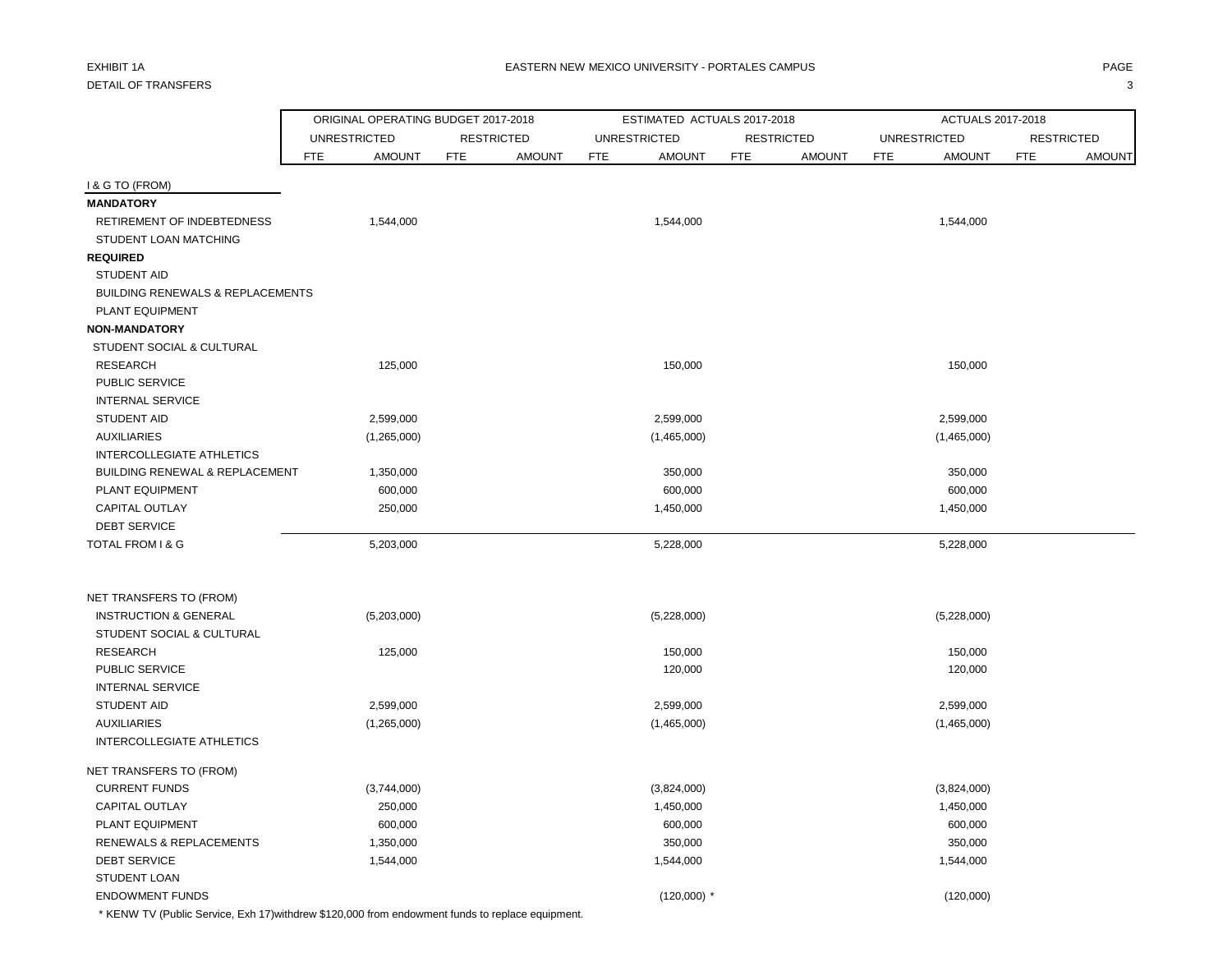## DETAIL OF TRANSFERS 3

|                                                             | ORIGINAL OPERATING BUDGET 2017-2018 |            |                   |            | ESTIMATED ACTUALS 2017-2018 |            |                   |            | ACTUALS 2017-2018   |                   |               |
|-------------------------------------------------------------|-------------------------------------|------------|-------------------|------------|-----------------------------|------------|-------------------|------------|---------------------|-------------------|---------------|
|                                                             | <b>UNRESTRICTED</b>                 |            | <b>RESTRICTED</b> |            | <b>UNRESTRICTED</b>         |            | <b>RESTRICTED</b> |            | <b>UNRESTRICTED</b> | <b>RESTRICTED</b> |               |
|                                                             | <b>AMOUNT</b><br><b>FTE</b>         | <b>FTE</b> | <b>AMOUNT</b>     | <b>FTE</b> | <b>AMOUNT</b>               | <b>FTE</b> | <b>AMOUNT</b>     | <b>FTE</b> | <b>AMOUNT</b>       | <b>FTE</b>        | <b>AMOUNT</b> |
| I & G TO (FROM)                                             |                                     |            |                   |            |                             |            |                   |            |                     |                   |               |
| <b>MANDATORY</b>                                            |                                     |            |                   |            |                             |            |                   |            |                     |                   |               |
| RETIREMENT OF INDEBTEDNESS                                  | 1,544,000                           |            |                   |            | 1,544,000                   |            |                   |            | 1,544,000           |                   |               |
| <b>STUDENT LOAN MATCHING</b>                                |                                     |            |                   |            |                             |            |                   |            |                     |                   |               |
| <b>REQUIRED</b>                                             |                                     |            |                   |            |                             |            |                   |            |                     |                   |               |
| <b>STUDENT AID</b>                                          |                                     |            |                   |            |                             |            |                   |            |                     |                   |               |
| <b>BUILDING RENEWALS &amp; REPLACEMENTS</b>                 |                                     |            |                   |            |                             |            |                   |            |                     |                   |               |
| PLANT EQUIPMENT                                             |                                     |            |                   |            |                             |            |                   |            |                     |                   |               |
| <b>NON-MANDATORY</b>                                        |                                     |            |                   |            |                             |            |                   |            |                     |                   |               |
| STUDENT SOCIAL & CULTURAL                                   |                                     |            |                   |            |                             |            |                   |            |                     |                   |               |
| <b>RESEARCH</b>                                             | 125,000                             |            |                   |            | 150,000                     |            |                   |            | 150,000             |                   |               |
| PUBLIC SERVICE                                              |                                     |            |                   |            |                             |            |                   |            |                     |                   |               |
| <b>INTERNAL SERVICE</b>                                     |                                     |            |                   |            |                             |            |                   |            |                     |                   |               |
| <b>STUDENT AID</b>                                          | 2,599,000                           |            |                   |            | 2,599,000                   |            |                   |            | 2,599,000           |                   |               |
| <b>AUXILIARIES</b>                                          | (1,265,000)                         |            |                   |            | (1,465,000)                 |            |                   |            | (1,465,000)         |                   |               |
| <b>INTERCOLLEGIATE ATHLETICS</b>                            |                                     |            |                   |            |                             |            |                   |            |                     |                   |               |
| <b>BUILDING RENEWAL &amp; REPLACEMENT</b>                   | 1,350,000                           |            |                   |            | 350,000                     |            |                   |            | 350,000             |                   |               |
| PLANT EQUIPMENT                                             | 600,000                             |            |                   |            | 600,000                     |            |                   |            | 600,000             |                   |               |
| <b>CAPITAL OUTLAY</b>                                       | 250,000                             |            |                   |            | 1,450,000                   |            |                   |            | 1,450,000           |                   |               |
| <b>DEBT SERVICE</b>                                         |                                     |            |                   |            |                             |            |                   |            |                     |                   |               |
| TOTAL FROM I & G                                            | 5,203,000                           |            |                   |            | 5,228,000                   |            |                   |            | 5,228,000           |                   |               |
|                                                             |                                     |            |                   |            |                             |            |                   |            |                     |                   |               |
| NET TRANSFERS TO (FROM)<br><b>INSTRUCTION &amp; GENERAL</b> |                                     |            |                   |            |                             |            |                   |            |                     |                   |               |
| STUDENT SOCIAL & CULTURAL                                   | (5,203,000)                         |            |                   |            | (5,228,000)                 |            |                   |            | (5,228,000)         |                   |               |
| <b>RESEARCH</b>                                             | 125,000                             |            |                   |            | 150,000                     |            |                   |            | 150,000             |                   |               |
| PUBLIC SERVICE                                              |                                     |            |                   |            | 120,000                     |            |                   |            | 120,000             |                   |               |
| <b>INTERNAL SERVICE</b>                                     |                                     |            |                   |            |                             |            |                   |            |                     |                   |               |
| <b>STUDENT AID</b>                                          | 2,599,000                           |            |                   |            | 2,599,000                   |            |                   |            | 2,599,000           |                   |               |
| <b>AUXILIARIES</b>                                          | (1,265,000)                         |            |                   |            | (1,465,000)                 |            |                   |            | (1,465,000)         |                   |               |
| INTERCOLLEGIATE ATHLETICS                                   |                                     |            |                   |            |                             |            |                   |            |                     |                   |               |
| NET TRANSFERS TO (FROM)                                     |                                     |            |                   |            |                             |            |                   |            |                     |                   |               |
| <b>CURRENT FUNDS</b>                                        | (3,744,000)                         |            |                   |            | (3,824,000)                 |            |                   |            | (3,824,000)         |                   |               |
| <b>CAPITAL OUTLAY</b>                                       | 250,000                             |            |                   |            | 1,450,000                   |            |                   |            | 1,450,000           |                   |               |
| PLANT EQUIPMENT                                             | 600,000                             |            |                   |            | 600,000                     |            |                   |            | 600,000             |                   |               |
| RENEWALS & REPLACEMENTS                                     | 1,350,000                           |            |                   |            | 350,000                     |            |                   |            | 350,000             |                   |               |
| <b>DEBT SERVICE</b>                                         | 1,544,000                           |            |                   |            | 1,544,000                   |            |                   |            | 1,544,000           |                   |               |
| STUDENT LOAN                                                |                                     |            |                   |            |                             |            |                   |            |                     |                   |               |
| <b>ENDOWMENT FUNDS</b>                                      |                                     |            |                   |            | $(120,000)$ *               |            |                   |            | (120,000)           |                   |               |

\* KENW TV (Public Service, Exh 17)withdrew \$120,000 from endowment funds to replace equipment.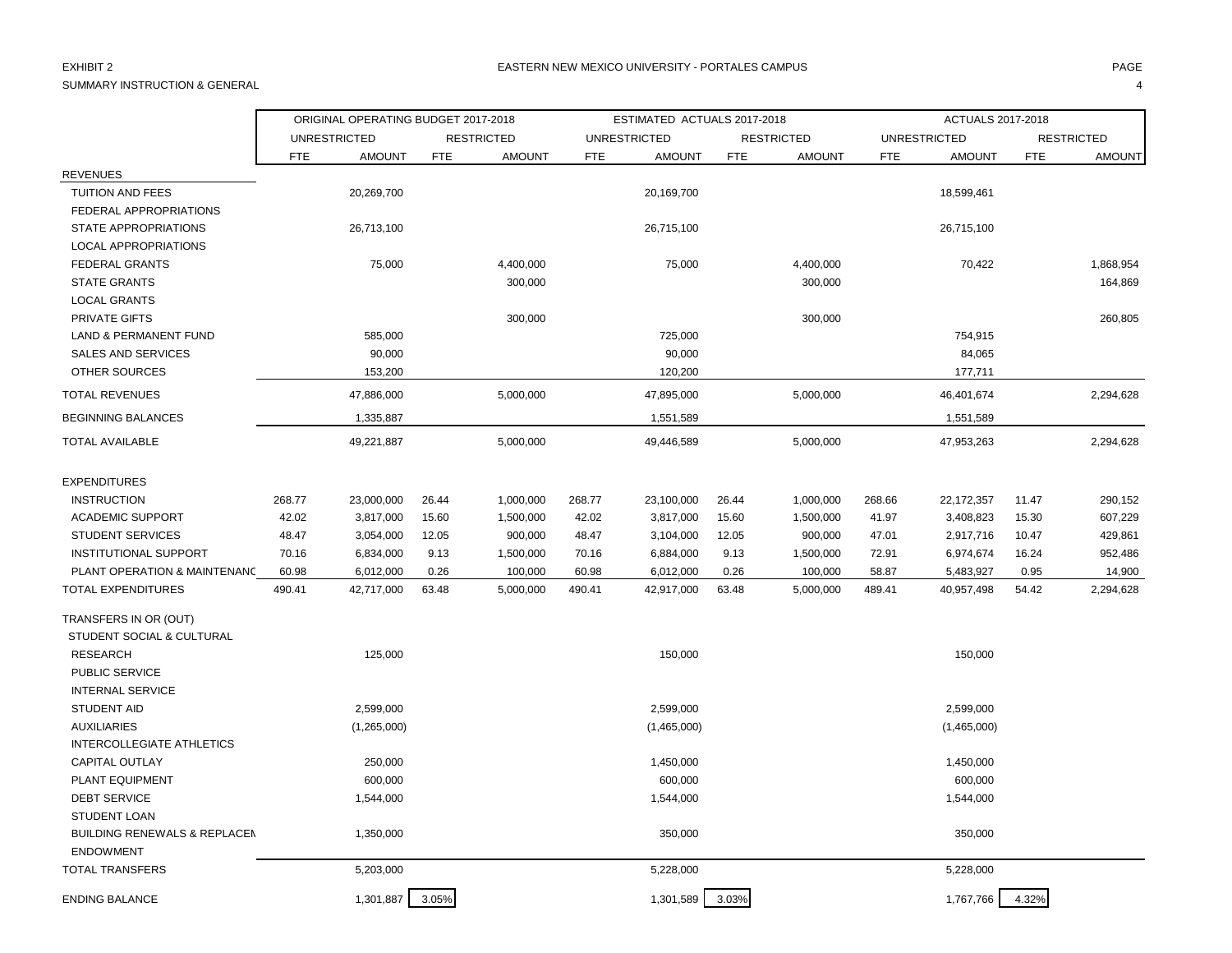## SUMMARY INSTRUCTION & GENERAL 4

|                                            |            | ORIGINAL OPERATING BUDGET 2017-2018 |            |                   |            | ESTIMATED ACTUALS 2017-2018 |            |                   |            | ACTUALS 2017-2018   |            |                   |
|--------------------------------------------|------------|-------------------------------------|------------|-------------------|------------|-----------------------------|------------|-------------------|------------|---------------------|------------|-------------------|
|                                            |            | <b>UNRESTRICTED</b>                 |            | <b>RESTRICTED</b> |            | <b>UNRESTRICTED</b>         |            | <b>RESTRICTED</b> |            | <b>UNRESTRICTED</b> |            | <b>RESTRICTED</b> |
|                                            | <b>FTE</b> | <b>AMOUNT</b>                       | <b>FTE</b> | <b>AMOUNT</b>     | <b>FTE</b> | <b>AMOUNT</b>               | <b>FTE</b> | <b>AMOUNT</b>     | <b>FTE</b> | <b>AMOUNT</b>       | <b>FTE</b> | <b>AMOUNT</b>     |
| <b>REVENUES</b>                            |            |                                     |            |                   |            |                             |            |                   |            |                     |            |                   |
| <b>TUITION AND FEES</b>                    |            | 20,269,700                          |            |                   |            | 20,169,700                  |            |                   |            | 18,599,461          |            |                   |
| FEDERAL APPROPRIATIONS                     |            |                                     |            |                   |            |                             |            |                   |            |                     |            |                   |
| <b>STATE APPROPRIATIONS</b>                |            | 26,713,100                          |            |                   |            | 26,715,100                  |            |                   |            | 26,715,100          |            |                   |
| <b>LOCAL APPROPRIATIONS</b>                |            |                                     |            |                   |            |                             |            |                   |            |                     |            |                   |
| <b>FEDERAL GRANTS</b>                      |            | 75,000                              |            | 4,400,000         |            | 75,000                      |            | 4,400,000         |            | 70,422              |            | 1,868,954         |
| <b>STATE GRANTS</b>                        |            |                                     |            | 300,000           |            |                             |            | 300,000           |            |                     |            | 164,869           |
| <b>LOCAL GRANTS</b>                        |            |                                     |            |                   |            |                             |            |                   |            |                     |            |                   |
| PRIVATE GIFTS                              |            |                                     |            | 300,000           |            |                             |            | 300,000           |            |                     |            | 260,805           |
| <b>LAND &amp; PERMANENT FUND</b>           |            | 585,000                             |            |                   |            | 725,000                     |            |                   |            | 754,915             |            |                   |
| <b>SALES AND SERVICES</b>                  |            | 90,000                              |            |                   |            | 90,000                      |            |                   |            | 84,065              |            |                   |
| OTHER SOURCES                              |            | 153,200                             |            |                   |            | 120,200                     |            |                   |            | 177,711             |            |                   |
| <b>TOTAL REVENUES</b>                      |            | 47,886,000                          |            | 5,000,000         |            | 47,895,000                  |            | 5,000,000         |            | 46,401,674          |            | 2,294,628         |
| <b>BEGINNING BALANCES</b>                  |            | 1,335,887                           |            |                   |            | 1,551,589                   |            |                   |            | 1,551,589           |            |                   |
| <b>TOTAL AVAILABLE</b>                     |            | 49,221,887                          |            | 5,000,000         |            | 49,446,589                  |            | 5,000,000         |            | 47,953,263          |            | 2,294,628         |
| <b>EXPENDITURES</b>                        |            |                                     |            |                   |            |                             |            |                   |            |                     |            |                   |
| <b>INSTRUCTION</b>                         | 268.77     | 23,000,000                          | 26.44      | 1,000,000         | 268.77     | 23,100,000                  | 26.44      | 1,000,000         | 268.66     | 22, 172, 357        | 11.47      | 290,152           |
| <b>ACADEMIC SUPPORT</b>                    | 42.02      | 3,817,000                           | 15.60      | 1,500,000         | 42.02      | 3,817,000                   | 15.60      | 1,500,000         | 41.97      | 3,408,823           | 15.30      | 607,229           |
| <b>STUDENT SERVICES</b>                    | 48.47      | 3,054,000                           | 12.05      | 900,000           | 48.47      | 3,104,000                   | 12.05      | 900,000           | 47.01      | 2,917,716           | 10.47      | 429,861           |
| INSTITUTIONAL SUPPORT                      | 70.16      | 6,834,000                           | 9.13       | 1,500,000         | 70.16      | 6,884,000                   | 9.13       | 1,500,000         | 72.91      | 6,974,674           | 16.24      | 952,486           |
| PLANT OPERATION & MAINTENANC               | 60.98      | 6,012,000                           | 0.26       | 100,000           | 60.98      | 6,012,000                   | 0.26       | 100,000           | 58.87      | 5,483,927           | 0.95       | 14,900            |
| TOTAL EXPENDITURES                         | 490.41     | 42,717,000                          | 63.48      | 5,000,000         | 490.41     | 42,917,000                  | 63.48      | 5,000,000         | 489.41     | 40,957,498          | 54.42      | 2,294,628         |
| TRANSFERS IN OR (OUT)                      |            |                                     |            |                   |            |                             |            |                   |            |                     |            |                   |
| STUDENT SOCIAL & CULTURAL                  |            |                                     |            |                   |            |                             |            |                   |            |                     |            |                   |
| <b>RESEARCH</b>                            |            | 125,000                             |            |                   |            | 150,000                     |            |                   |            | 150,000             |            |                   |
| PUBLIC SERVICE                             |            |                                     |            |                   |            |                             |            |                   |            |                     |            |                   |
| <b>INTERNAL SERVICE</b>                    |            |                                     |            |                   |            |                             |            |                   |            |                     |            |                   |
| <b>STUDENT AID</b>                         |            | 2,599,000                           |            |                   |            | 2,599,000                   |            |                   |            | 2,599,000           |            |                   |
| <b>AUXILIARIES</b>                         |            | (1,265,000)                         |            |                   |            | (1,465,000)                 |            |                   |            | (1,465,000)         |            |                   |
| INTERCOLLEGIATE ATHLETICS                  |            |                                     |            |                   |            |                             |            |                   |            |                     |            |                   |
| <b>CAPITAL OUTLAY</b>                      |            | 250,000                             |            |                   |            | 1,450,000                   |            |                   |            | 1,450,000           |            |                   |
| PLANT EQUIPMENT                            |            | 600,000                             |            |                   |            | 600,000                     |            |                   |            | 600,000             |            |                   |
| <b>DEBT SERVICE</b>                        |            | 1,544,000                           |            |                   |            | 1,544,000                   |            |                   |            | 1,544,000           |            |                   |
| <b>STUDENT LOAN</b>                        |            |                                     |            |                   |            |                             |            |                   |            |                     |            |                   |
| <b>BUILDING RENEWALS &amp; REPLACEM</b>    |            | 1,350,000                           |            |                   |            | 350,000                     |            |                   |            | 350,000             |            |                   |
| <b>ENDOWMENT</b><br><b>TOTAL TRANSFERS</b> |            | 5,203,000                           |            |                   |            | 5,228,000                   |            |                   |            | 5,228,000           |            |                   |
|                                            |            |                                     |            |                   |            |                             |            |                   |            |                     |            |                   |
| <b>ENDING BALANCE</b>                      |            | 1,301,887                           | 3.05%      |                   |            | 1,301,589                   | 3.03%      |                   |            | 1,767,766           | 4.32%      |                   |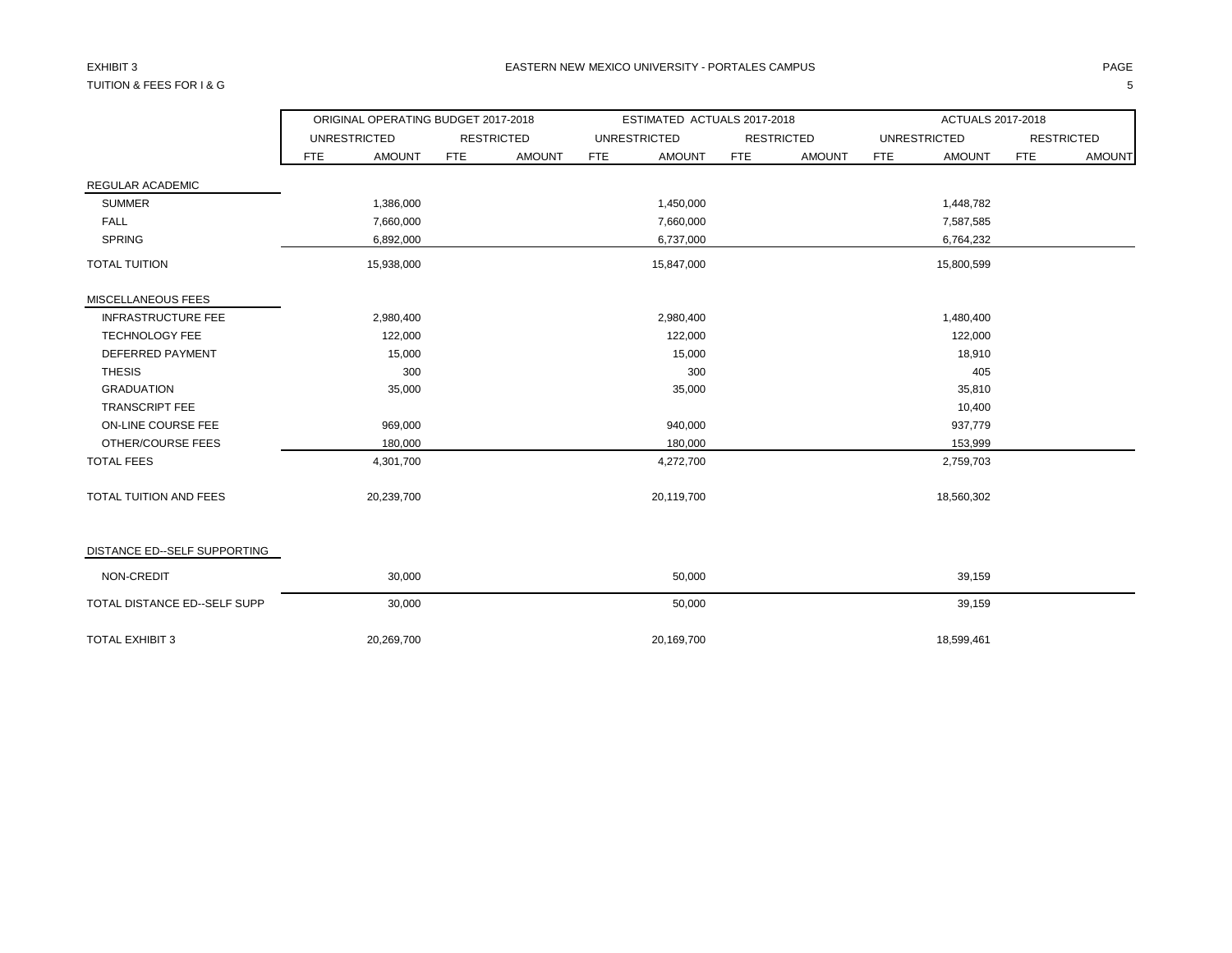## TUITION & FEES FOR I & G 5

|                              |            | ORIGINAL OPERATING BUDGET 2017-2018 |            |                   |            | ESTIMATED ACTUALS 2017-2018 |            |                   |     | ACTUALS 2017-2018   |            |                   |
|------------------------------|------------|-------------------------------------|------------|-------------------|------------|-----------------------------|------------|-------------------|-----|---------------------|------------|-------------------|
|                              |            | <b>UNRESTRICTED</b>                 |            | <b>RESTRICTED</b> |            | <b>UNRESTRICTED</b>         |            | <b>RESTRICTED</b> |     | <b>UNRESTRICTED</b> |            | <b>RESTRICTED</b> |
|                              | <b>FTE</b> | <b>AMOUNT</b>                       | <b>FTE</b> | <b>AMOUNT</b>     | <b>FTE</b> | <b>AMOUNT</b>               | <b>FTE</b> | <b>AMOUNT</b>     | FTE | <b>AMOUNT</b>       | <b>FTE</b> | <b>AMOUNT</b>     |
| REGULAR ACADEMIC             |            |                                     |            |                   |            |                             |            |                   |     |                     |            |                   |
| <b>SUMMER</b>                |            | 1,386,000                           |            |                   |            | 1,450,000                   |            |                   |     | 1,448,782           |            |                   |
| <b>FALL</b>                  |            | 7,660,000                           |            |                   |            | 7,660,000                   |            |                   |     | 7,587,585           |            |                   |
| <b>SPRING</b>                |            | 6,892,000                           |            |                   |            | 6,737,000                   |            |                   |     | 6,764,232           |            |                   |
| <b>TOTAL TUITION</b>         |            | 15,938,000                          |            |                   |            | 15,847,000                  |            |                   |     | 15,800,599          |            |                   |
| MISCELLANEOUS FEES           |            |                                     |            |                   |            |                             |            |                   |     |                     |            |                   |
| <b>INFRASTRUCTURE FEE</b>    |            | 2,980,400                           |            |                   |            | 2,980,400                   |            |                   |     | 1,480,400           |            |                   |
| <b>TECHNOLOGY FEE</b>        |            | 122,000                             |            |                   |            | 122,000                     |            |                   |     | 122,000             |            |                   |
| DEFERRED PAYMENT             |            | 15,000                              |            |                   |            | 15,000                      |            |                   |     | 18,910              |            |                   |
| <b>THESIS</b>                |            | 300                                 |            |                   |            | 300                         |            |                   |     | 405                 |            |                   |
| <b>GRADUATION</b>            |            | 35,000                              |            |                   |            | 35,000                      |            |                   |     | 35,810              |            |                   |
| <b>TRANSCRIPT FEE</b>        |            |                                     |            |                   |            |                             |            |                   |     | 10,400              |            |                   |
| ON-LINE COURSE FEE           |            | 969,000                             |            |                   |            | 940,000                     |            |                   |     | 937,779             |            |                   |
| OTHER/COURSE FEES            |            | 180,000                             |            |                   |            | 180,000                     |            |                   |     | 153,999             |            |                   |
| <b>TOTAL FEES</b>            |            | 4,301,700                           |            |                   |            | 4,272,700                   |            |                   |     | 2,759,703           |            |                   |
| TOTAL TUITION AND FEES       |            | 20,239,700                          |            |                   |            | 20,119,700                  |            |                   |     | 18,560,302          |            |                   |
| DISTANCE ED--SELF SUPPORTING |            |                                     |            |                   |            |                             |            |                   |     |                     |            |                   |
| NON-CREDIT                   |            | 30,000                              |            |                   |            | 50,000                      |            |                   |     | 39,159              |            |                   |
| TOTAL DISTANCE ED--SELF SUPP |            | 30,000                              |            |                   |            | 50,000                      |            |                   |     | 39,159              |            |                   |
| <b>TOTAL EXHIBIT 3</b>       |            | 20,269,700                          |            |                   |            | 20,169,700                  |            |                   |     | 18,599,461          |            |                   |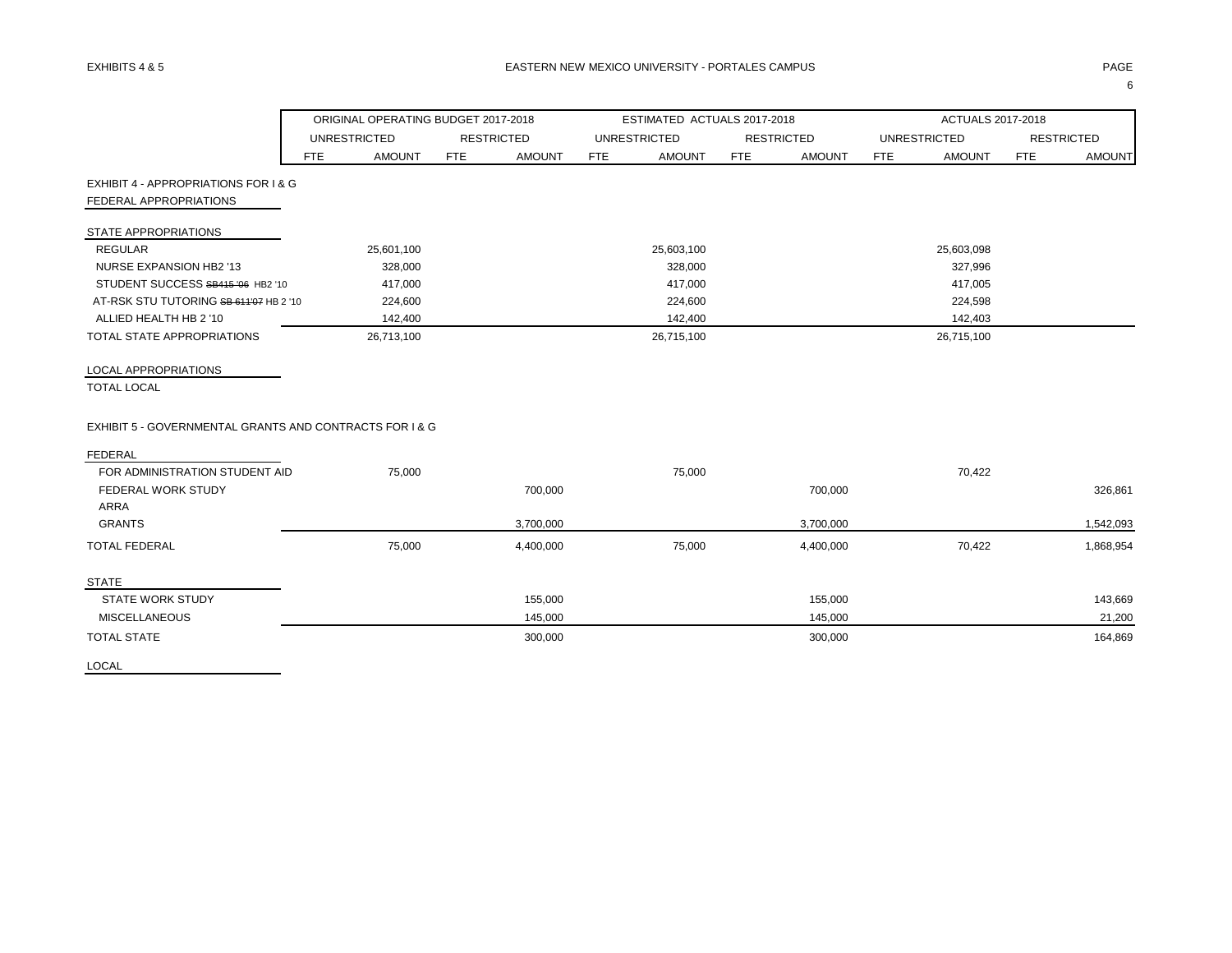|                                                         |     | ORIGINAL OPERATING BUDGET 2017-2018 |            |                   |            | ESTIMATED ACTUALS 2017-2018 |            |                   |            | ACTUALS 2017-2018   |            |                   |
|---------------------------------------------------------|-----|-------------------------------------|------------|-------------------|------------|-----------------------------|------------|-------------------|------------|---------------------|------------|-------------------|
|                                                         |     | <b>UNRESTRICTED</b>                 |            | <b>RESTRICTED</b> |            | <b>UNRESTRICTED</b>         |            | <b>RESTRICTED</b> |            | <b>UNRESTRICTED</b> |            | <b>RESTRICTED</b> |
|                                                         | FTE | <b>AMOUNT</b>                       | <b>FTE</b> | <b>AMOUNT</b>     | <b>FTE</b> | <b>AMOUNT</b>               | <b>FTE</b> | <b>AMOUNT</b>     | <b>FTE</b> | <b>AMOUNT</b>       | <b>FTE</b> | <b>AMOUNT</b>     |
| EXHIBIT 4 - APPROPRIATIONS FOR I & G                    |     |                                     |            |                   |            |                             |            |                   |            |                     |            |                   |
| FEDERAL APPROPRIATIONS                                  |     |                                     |            |                   |            |                             |            |                   |            |                     |            |                   |
| STATE APPROPRIATIONS                                    |     |                                     |            |                   |            |                             |            |                   |            |                     |            |                   |
| <b>REGULAR</b>                                          |     | 25,601,100                          |            |                   |            | 25,603,100                  |            |                   |            | 25,603,098          |            |                   |
| <b>NURSE EXPANSION HB2 '13</b>                          |     | 328,000                             |            |                   |            | 328,000                     |            |                   |            | 327,996             |            |                   |
| STUDENT SUCCESS SB415 '06 HB2 '10                       |     | 417,000                             |            |                   |            | 417,000                     |            |                   |            | 417,005             |            |                   |
| AT-RSK STU TUTORING SB 611'07 HB 2 '10                  |     | 224,600                             |            |                   |            | 224,600                     |            |                   |            | 224,598             |            |                   |
| ALLIED HEALTH HB 2 '10                                  |     | 142,400                             |            |                   |            | 142,400                     |            |                   |            | 142,403             |            |                   |
| TOTAL STATE APPROPRIATIONS                              |     | 26,713,100                          |            |                   |            | 26,715,100                  |            |                   |            | 26,715,100          |            |                   |
| LOCAL APPROPRIATIONS                                    |     |                                     |            |                   |            |                             |            |                   |            |                     |            |                   |
| <b>TOTAL LOCAL</b>                                      |     |                                     |            |                   |            |                             |            |                   |            |                     |            |                   |
| EXHIBIT 5 - GOVERNMENTAL GRANTS AND CONTRACTS FOR 1 & G |     |                                     |            |                   |            |                             |            |                   |            |                     |            |                   |
| <b>FEDERAL</b>                                          |     |                                     |            |                   |            |                             |            |                   |            |                     |            |                   |
| FOR ADMINISTRATION STUDENT AID                          |     | 75,000                              |            |                   |            | 75,000                      |            |                   |            | 70,422              |            |                   |
| <b>FEDERAL WORK STUDY</b>                               |     |                                     |            | 700,000           |            |                             |            | 700,000           |            |                     |            | 326,861           |
| <b>ARRA</b>                                             |     |                                     |            |                   |            |                             |            |                   |            |                     |            |                   |
| <b>GRANTS</b>                                           |     |                                     |            | 3,700,000         |            |                             |            | 3,700,000         |            |                     |            | 1,542,093         |
| <b>TOTAL FEDERAL</b>                                    |     | 75,000                              |            | 4,400,000         |            | 75,000                      |            | 4,400,000         |            | 70,422              |            | 1,868,954         |
| <b>STATE</b>                                            |     |                                     |            |                   |            |                             |            |                   |            |                     |            |                   |
| <b>STATE WORK STUDY</b>                                 |     |                                     |            | 155,000           |            |                             |            | 155,000           |            |                     |            | 143,669           |
| <b>MISCELLANEOUS</b>                                    |     |                                     |            | 145,000           |            |                             |            | 145,000           |            |                     |            | 21,200            |
| <b>TOTAL STATE</b>                                      |     |                                     |            | 300,000           |            |                             |            | 300,000           |            |                     |            | 164,869           |

LOCAL

 $\sim$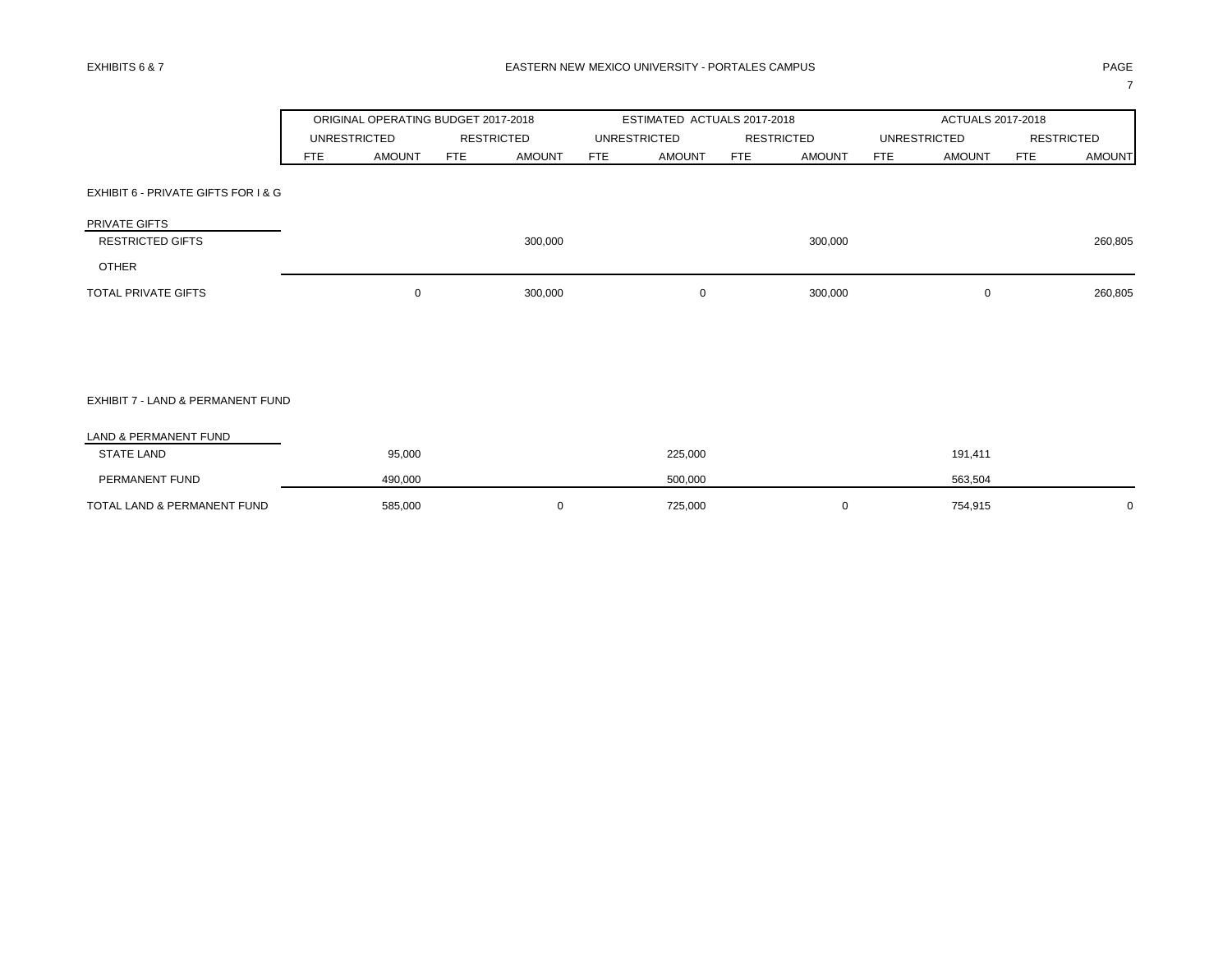|                                          |            | ORIGINAL OPERATING BUDGET 2017-2018 |            |                   |     | ESTIMATED ACTUALS 2017-2018 |            |                   |            | ACTUALS 2017-2018   |            |                   |
|------------------------------------------|------------|-------------------------------------|------------|-------------------|-----|-----------------------------|------------|-------------------|------------|---------------------|------------|-------------------|
|                                          |            | <b>UNRESTRICTED</b>                 |            | <b>RESTRICTED</b> |     | <b>UNRESTRICTED</b>         |            | <b>RESTRICTED</b> |            | <b>UNRESTRICTED</b> |            | <b>RESTRICTED</b> |
|                                          | <b>FTE</b> | <b>AMOUNT</b>                       | <b>FTE</b> | <b>AMOUNT</b>     | FTE | <b>AMOUNT</b>               | <b>FTE</b> | <b>AMOUNT</b>     | <b>FTE</b> | <b>AMOUNT</b>       | <b>FTE</b> | <b>AMOUNT</b>     |
| EXHIBIT 6 - PRIVATE GIFTS FOR I & G      |            |                                     |            |                   |     |                             |            |                   |            |                     |            |                   |
| PRIVATE GIFTS<br><b>RESTRICTED GIFTS</b> |            |                                     |            | 300,000           |     |                             |            | 300,000           |            |                     |            | 260,805           |
| <b>OTHER</b>                             |            |                                     |            |                   |     |                             |            |                   |            |                     |            |                   |
| TOTAL PRIVATE GIFTS                      |            | $\mathbf 0$                         |            | 300,000           |     | 0                           |            | 300,000           |            | $\mathbf 0$         |            | 260,805           |
|                                          |            |                                     |            |                   |     |                             |            |                   |            |                     |            |                   |
|                                          |            |                                     |            |                   |     |                             |            |                   |            |                     |            |                   |
| EXHIBIT 7 - LAND & PERMANENT FUND        |            |                                     |            |                   |     |                             |            |                   |            |                     |            |                   |
| LAND & PERMANENT FUND                    |            |                                     |            |                   |     |                             |            |                   |            |                     |            |                   |
| <b>STATE LAND</b>                        |            | 95,000                              |            |                   |     | 225,000                     |            |                   |            | 191,411             |            |                   |
| PERMANENT FUND                           |            | 490,000                             |            |                   |     | 500,000                     |            |                   |            | 563,504             |            |                   |
| TOTAL LAND & PERMANENT FUND              |            | 585,000                             |            | 0                 |     | 725,000                     |            | 0                 |            | 754,915             |            | 0                 |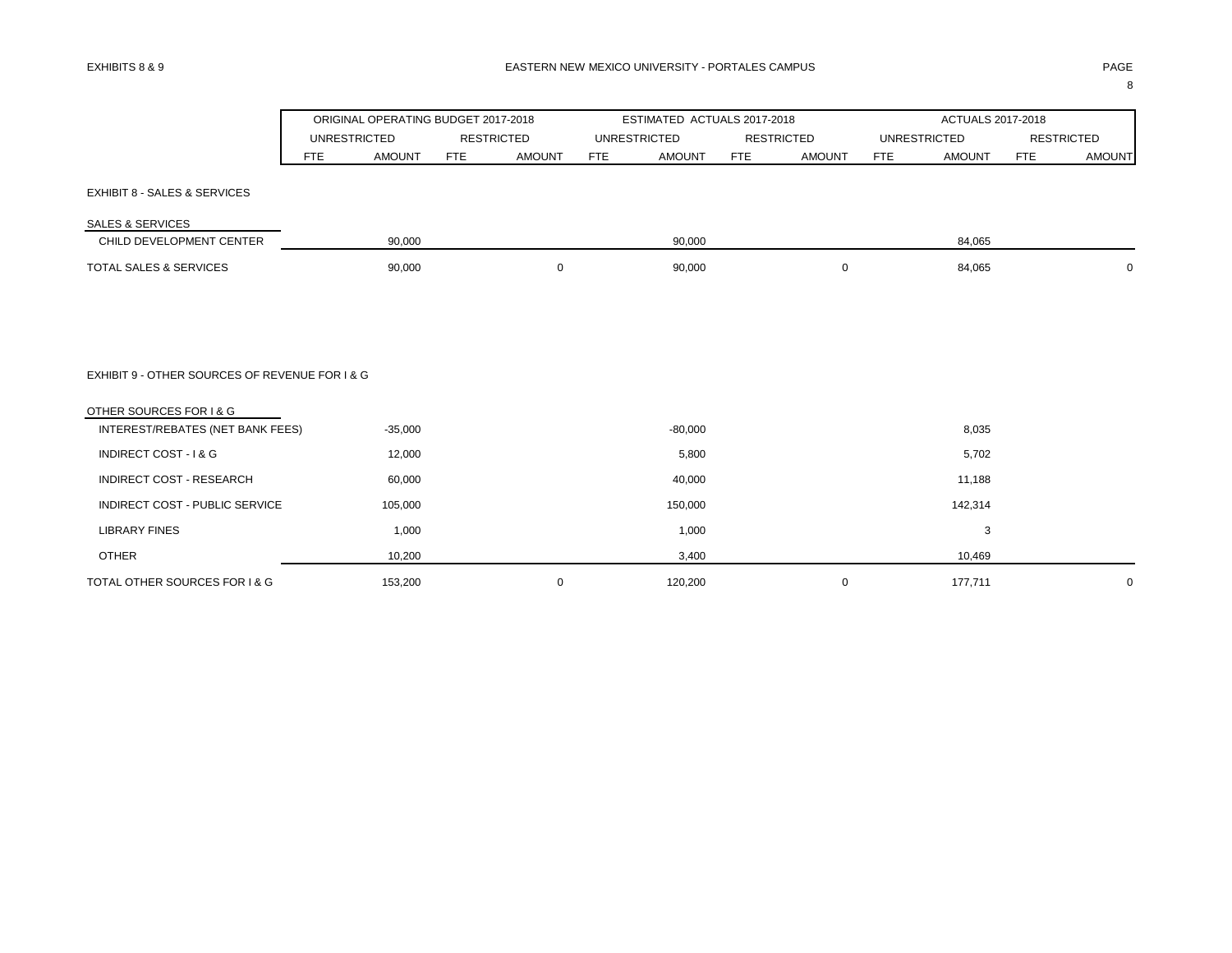|                                                |                     | ORIGINAL OPERATING BUDGET 2017-2018 |     |                   |     | ESTIMATED ACTUALS 2017-2018 |            |                   |            | ACTUALS 2017-2018   |                   |               |
|------------------------------------------------|---------------------|-------------------------------------|-----|-------------------|-----|-----------------------------|------------|-------------------|------------|---------------------|-------------------|---------------|
|                                                | <b>UNRESTRICTED</b> |                                     |     | <b>RESTRICTED</b> |     | <b>UNRESTRICTED</b>         |            | <b>RESTRICTED</b> |            | <b>UNRESTRICTED</b> | <b>RESTRICTED</b> |               |
|                                                | <b>FTE</b>          | <b>AMOUNT</b>                       | FTE | <b>AMOUNT</b>     | FTE | <b>AMOUNT</b>               | <b>FTE</b> | <b>AMOUNT</b>     | <b>FTE</b> | <b>AMOUNT</b>       | FTE               | <b>AMOUNT</b> |
| <b>EXHIBIT 8 - SALES &amp; SERVICES</b>        |                     |                                     |     |                   |     |                             |            |                   |            |                     |                   |               |
| <b>SALES &amp; SERVICES</b>                    |                     |                                     |     |                   |     |                             |            |                   |            |                     |                   |               |
| CHILD DEVELOPMENT CENTER                       |                     | 90,000                              |     |                   |     | 90,000                      |            |                   |            | 84,065              |                   |               |
| <b>TOTAL SALES &amp; SERVICES</b>              |                     | 90,000                              |     | 0                 |     | 90,000                      |            | 0                 |            | 84,065              |                   | $\mathbf 0$   |
|                                                |                     |                                     |     |                   |     |                             |            |                   |            |                     |                   |               |
| EXHIBIT 9 - OTHER SOURCES OF REVENUE FOR I & G |                     |                                     |     |                   |     |                             |            |                   |            |                     |                   |               |
| OTHER SOURCES FOR I & G                        |                     |                                     |     |                   |     |                             |            |                   |            |                     |                   |               |
| INTEREST/REBATES (NET BANK FEES)               |                     | $-35,000$                           |     |                   |     | $-80,000$                   |            |                   |            | 8,035               |                   |               |
| INDIRECT COST - I & G                          |                     | 12,000                              |     |                   |     | 5,800                       |            |                   |            | 5,702               |                   |               |
| INDIRECT COST - RESEARCH                       |                     | 60,000                              |     |                   |     | 40,000                      |            |                   |            | 11,188              |                   |               |
| INDIRECT COST - PUBLIC SERVICE                 |                     | 105,000                             |     |                   |     | 150,000                     |            |                   |            | 142,314             |                   |               |
| <b>LIBRARY FINES</b>                           |                     | 1,000                               |     |                   |     | 1,000                       |            |                   |            | 3                   |                   |               |
| <b>OTHER</b>                                   |                     | 10,200                              |     |                   |     | 3,400                       |            |                   |            | 10,469              |                   |               |
| TOTAL OTHER SOURCES FOR 1 & G                  |                     | 153,200                             |     | $\mathbf 0$       |     | 120,200                     |            | 0                 |            | 177,711             |                   | $\mathbf 0$   |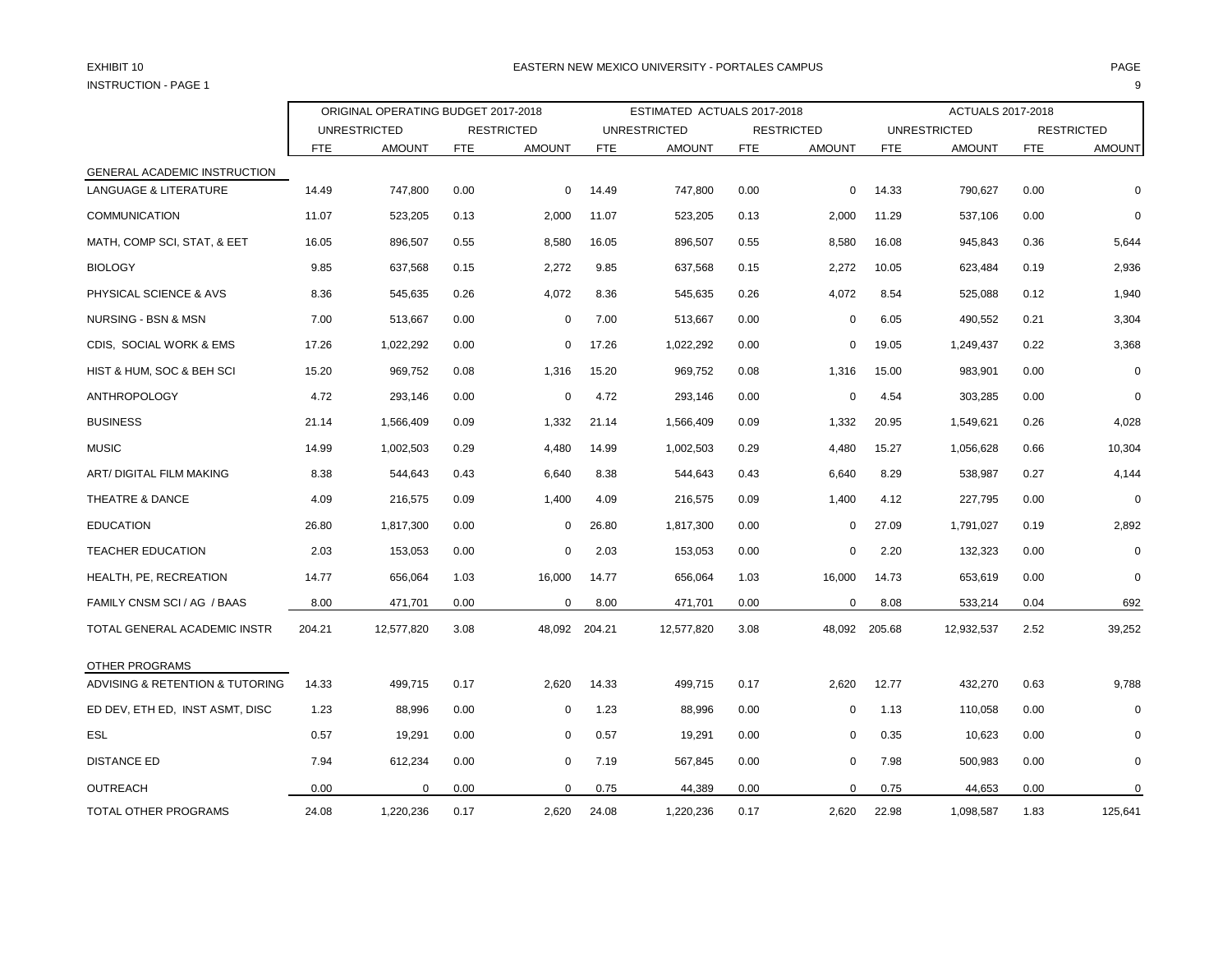# INSTRUCTION - PAGE 1 9

### EXHIBIT 10 PAGE PAGE IN THE SERVICE OF THE SERVICE OF THE SERVICE OF THE SERVICE OF THE SERVICE OF THE SERVICE OF THE SERVICE OF THE SERVICE OF THE SERVICE OF THE SERVICE OF THE SERVICE OF THE SERVICE OF THE SERVICE OF THE

|                                  | ORIGINAL OPERATING BUDGET 2017-2018 |                     |            |                   |               | ESTIMATED ACTUALS 2017-2018 |            |                   |            | ACTUALS 2017-2018   |            |                   |
|----------------------------------|-------------------------------------|---------------------|------------|-------------------|---------------|-----------------------------|------------|-------------------|------------|---------------------|------------|-------------------|
|                                  |                                     | <b>UNRESTRICTED</b> |            | <b>RESTRICTED</b> |               | <b>UNRESTRICTED</b>         |            | <b>RESTRICTED</b> |            | <b>UNRESTRICTED</b> |            | <b>RESTRICTED</b> |
|                                  | <b>FTE</b>                          | <b>AMOUNT</b>       | <b>FTE</b> | <b>AMOUNT</b>     | <b>FTE</b>    | <b>AMOUNT</b>               | <b>FTE</b> | <b>AMOUNT</b>     | <b>FTE</b> | <b>AMOUNT</b>       | <b>FTE</b> | <b>AMOUNT</b>     |
| GENERAL ACADEMIC INSTRUCTION     |                                     |                     |            |                   |               |                             |            |                   |            |                     |            |                   |
| <b>LANGUAGE &amp; LITERATURE</b> | 14.49                               | 747,800             | 0.00       | 0                 | 14.49         | 747,800                     | 0.00       | 0                 | 14.33      | 790,627             | 0.00       | $\Omega$          |
| <b>COMMUNICATION</b>             | 11.07                               | 523,205             | 0.13       | 2,000             | 11.07         | 523,205                     | 0.13       | 2,000             | 11.29      | 537,106             | 0.00       | $\Omega$          |
| MATH, COMP SCI, STAT, & EET      | 16.05                               | 896,507             | 0.55       | 8,580             | 16.05         | 896,507                     | 0.55       | 8.580             | 16.08      | 945,843             | 0.36       | 5,644             |
| <b>BIOLOGY</b>                   | 9.85                                | 637,568             | 0.15       | 2,272             | 9.85          | 637,568                     | 0.15       | 2,272             | 10.05      | 623,484             | 0.19       | 2,936             |
| PHYSICAL SCIENCE & AVS           | 8.36                                | 545,635             | 0.26       | 4,072             | 8.36          | 545,635                     | 0.26       | 4,072             | 8.54       | 525,088             | 0.12       | 1,940             |
| NURSING - BSN & MSN              | 7.00                                | 513,667             | 0.00       | 0                 | 7.00          | 513,667                     | 0.00       | 0                 | 6.05       | 490,552             | 0.21       | 3,304             |
| CDIS, SOCIAL WORK & EMS          | 17.26                               | 1,022,292           | 0.00       | 0                 | 17.26         | 1,022,292                   | 0.00       | $\mathbf 0$       | 19.05      | 1,249,437           | 0.22       | 3,368             |
| HIST & HUM, SOC & BEH SCI        | 15.20                               | 969,752             | 0.08       | 1,316             | 15.20         | 969,752                     | 0.08       | 1,316             | 15.00      | 983,901             | 0.00       | $\Omega$          |
| <b>ANTHROPOLOGY</b>              | 4.72                                | 293,146             | 0.00       | $\mathbf 0$       | 4.72          | 293,146                     | 0.00       | $\mathbf 0$       | 4.54       | 303,285             | 0.00       | $\Omega$          |
| <b>BUSINESS</b>                  | 21.14                               | 1,566,409           | 0.09       | 1,332             | 21.14         | 1,566,409                   | 0.09       | 1,332             | 20.95      | 1,549,621           | 0.26       | 4,028             |
| <b>MUSIC</b>                     | 14.99                               | 1,002,503           | 0.29       | 4,480             | 14.99         | 1,002,503                   | 0.29       | 4,480             | 15.27      | 1,056,628           | 0.66       | 10,304            |
| ART/ DIGITAL FILM MAKING         | 8.38                                | 544,643             | 0.43       | 6,640             | 8.38          | 544,643                     | 0.43       | 6,640             | 8.29       | 538,987             | 0.27       | 4,144             |
| THEATRE & DANCE                  | 4.09                                | 216,575             | 0.09       | 1,400             | 4.09          | 216,575                     | 0.09       | 1,400             | 4.12       | 227,795             | 0.00       | $\Omega$          |
| <b>EDUCATION</b>                 | 26.80                               | 1,817,300           | 0.00       | 0                 | 26.80         | 1,817,300                   | 0.00       | $\mathbf 0$       | 27.09      | 1,791,027           | 0.19       | 2,892             |
| <b>TEACHER EDUCATION</b>         | 2.03                                | 153,053             | 0.00       | 0                 | 2.03          | 153,053                     | 0.00       | 0                 | 2.20       | 132,323             | 0.00       |                   |
| HEALTH, PE, RECREATION           | 14.77                               | 656,064             | 1.03       | 16,000            | 14.77         | 656,064                     | 1.03       | 16,000            | 14.73      | 653,619             | 0.00       | $\Omega$          |
| FAMILY CNSM SCI / AG / BAAS      | 8.00                                | 471,701             | 0.00       | 0                 | 8.00          | 471,701                     | 0.00       | $\mathbf 0$       | 8.08       | 533,214             | 0.04       | 692               |
| TOTAL GENERAL ACADEMIC INSTR     | 204.21                              | 12,577,820          | 3.08       |                   | 48,092 204.21 | 12,577,820                  | 3.08       | 48,092            | 205.68     | 12,932,537          | 2.52       | 39,252            |
| OTHER PROGRAMS                   |                                     |                     |            |                   |               |                             |            |                   |            |                     |            |                   |
| ADVISING & RETENTION & TUTORING  | 14.33                               | 499,715             | 0.17       | 2,620             | 14.33         | 499,715                     | 0.17       | 2,620             | 12.77      | 432,270             | 0.63       | 9,788             |
| ED DEV, ETH ED, INST ASMT, DISC  | 1.23                                | 88,996              | 0.00       | $\Omega$          | 1.23          | 88,996                      | 0.00       | 0                 | 1.13       | 110,058             | 0.00       | $\Omega$          |
| <b>ESL</b>                       | 0.57                                | 19,291              | 0.00       | 0                 | 0.57          | 19,291                      | 0.00       | $\mathbf 0$       | 0.35       | 10,623              | 0.00       | $\Omega$          |
| <b>DISTANCE ED</b>               | 7.94                                | 612,234             | 0.00       | 0                 | 7.19          | 567,845                     | 0.00       | 0                 | 7.98       | 500,983             | 0.00       | $\Omega$          |
| <b>OUTREACH</b>                  | 0.00                                | 0                   | 0.00       | $\Omega$          | 0.75          | 44,389                      | 0.00       | $\mathbf 0$       | 0.75       | 44,653              | 0.00       | $\mathbf 0$       |
| TOTAL OTHER PROGRAMS             | 24.08                               | 1,220,236           | 0.17       | 2,620             | 24.08         | 1,220,236                   | 0.17       | 2,620             | 22.98      | 1,098,587           | 1.83       | 125,641           |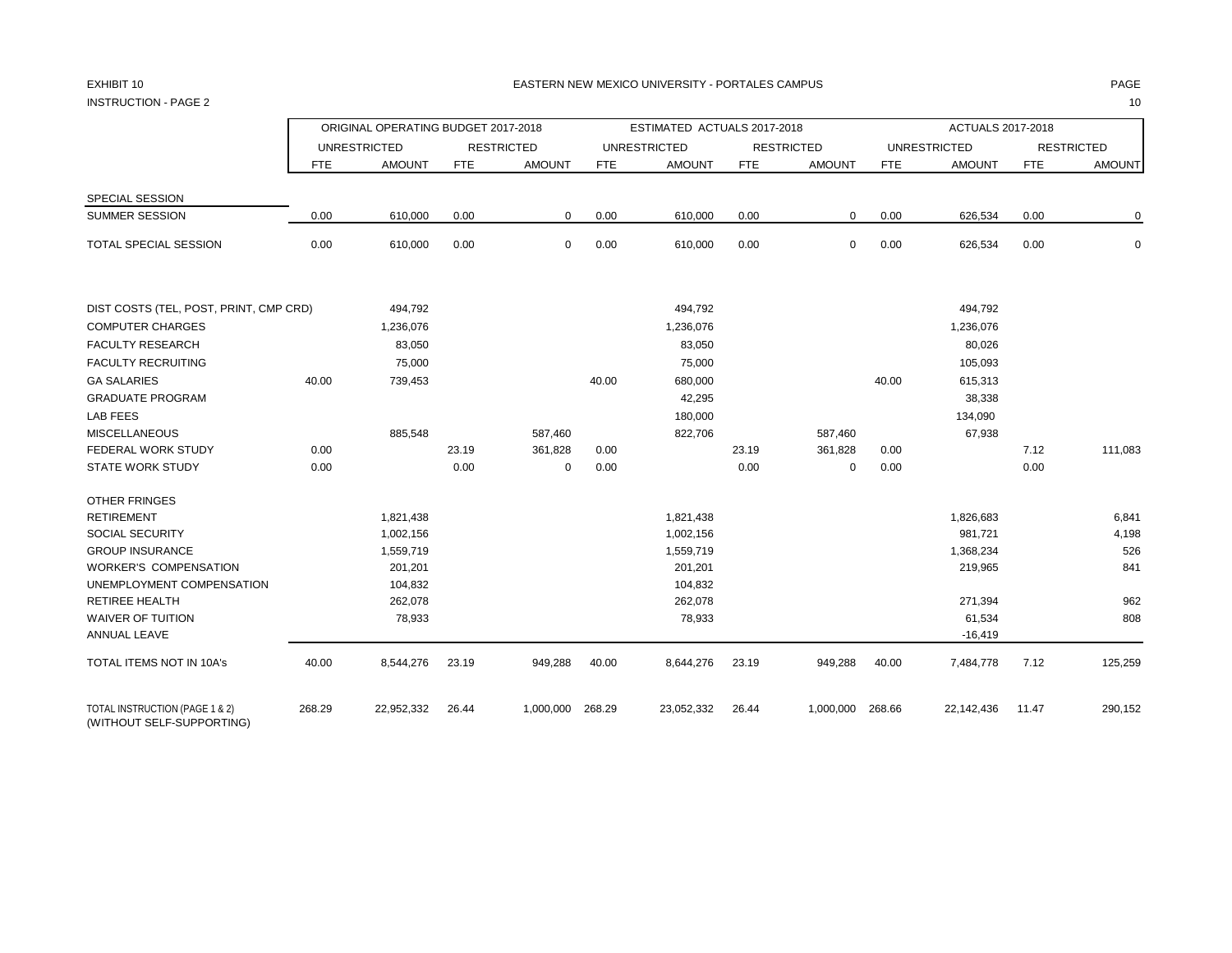INSTRUCTION - PAGE 2 10

|                                                             |            | ORIGINAL OPERATING BUDGET 2017-2018 |            |                   |            | ESTIMATED ACTUALS 2017-2018 |            |                   |            | ACTUALS 2017-2018   |            |                   |
|-------------------------------------------------------------|------------|-------------------------------------|------------|-------------------|------------|-----------------------------|------------|-------------------|------------|---------------------|------------|-------------------|
|                                                             |            | <b>UNRESTRICTED</b>                 |            | <b>RESTRICTED</b> |            | <b>UNRESTRICTED</b>         |            | <b>RESTRICTED</b> |            | <b>UNRESTRICTED</b> |            | <b>RESTRICTED</b> |
|                                                             | <b>FTE</b> | <b>AMOUNT</b>                       | <b>FTE</b> | <b>AMOUNT</b>     | <b>FTE</b> | <b>AMOUNT</b>               | <b>FTE</b> | <b>AMOUNT</b>     | <b>FTE</b> | <b>AMOUNT</b>       | <b>FTE</b> | <b>AMOUNT</b>     |
| SPECIAL SESSION                                             |            |                                     |            |                   |            |                             |            |                   |            |                     |            |                   |
| <b>SUMMER SESSION</b>                                       | 0.00       | 610,000                             | 0.00       | 0                 | 0.00       | 610,000                     | 0.00       | 0                 | 0.00       | 626,534             | 0.00       | 0                 |
| TOTAL SPECIAL SESSION                                       | 0.00       | 610,000                             | 0.00       | 0                 | 0.00       | 610,000                     | 0.00       | 0                 | 0.00       | 626,534             | 0.00       | $\mathsf 0$       |
| DIST COSTS (TEL, POST, PRINT, CMP CRD)                      |            | 494,792                             |            |                   |            | 494,792                     |            |                   |            | 494,792             |            |                   |
| <b>COMPUTER CHARGES</b>                                     |            | 1,236,076                           |            |                   |            | 1,236,076                   |            |                   |            | 1,236,076           |            |                   |
| <b>FACULTY RESEARCH</b>                                     |            | 83,050                              |            |                   |            | 83,050                      |            |                   |            | 80,026              |            |                   |
| <b>FACULTY RECRUITING</b>                                   |            | 75,000                              |            |                   |            | 75,000                      |            |                   |            | 105,093             |            |                   |
| <b>GA SALARIES</b>                                          | 40.00      | 739,453                             |            |                   | 40.00      | 680,000                     |            |                   | 40.00      | 615,313             |            |                   |
| <b>GRADUATE PROGRAM</b>                                     |            |                                     |            |                   |            | 42,295                      |            |                   |            | 38,338              |            |                   |
| <b>LAB FEES</b>                                             |            |                                     |            |                   |            | 180,000                     |            |                   |            | 134,090             |            |                   |
| <b>MISCELLANEOUS</b>                                        |            | 885,548                             |            | 587,460           |            | 822,706                     |            | 587,460           |            | 67,938              |            |                   |
| FEDERAL WORK STUDY                                          | 0.00       |                                     | 23.19      | 361,828           | 0.00       |                             | 23.19      | 361,828           | 0.00       |                     | 7.12       | 111,083           |
| <b>STATE WORK STUDY</b>                                     | 0.00       |                                     | 0.00       | $\mathbf 0$       | 0.00       |                             | 0.00       | 0                 | 0.00       |                     | 0.00       |                   |
| OTHER FRINGES                                               |            |                                     |            |                   |            |                             |            |                   |            |                     |            |                   |
| <b>RETIREMENT</b>                                           |            | 1,821,438                           |            |                   |            | 1,821,438                   |            |                   |            | 1,826,683           |            | 6,841             |
| <b>SOCIAL SECURITY</b>                                      |            | 1,002,156                           |            |                   |            | 1,002,156                   |            |                   |            | 981,721             |            | 4,198             |
| <b>GROUP INSURANCE</b>                                      |            | 1,559,719                           |            |                   |            | 1,559,719                   |            |                   |            | 1,368,234           |            | 526               |
| <b>WORKER'S COMPENSATION</b>                                |            | 201,201                             |            |                   |            | 201,201                     |            |                   |            | 219,965             |            | 841               |
| UNEMPLOYMENT COMPENSATION                                   |            | 104,832                             |            |                   |            | 104,832                     |            |                   |            |                     |            |                   |
| <b>RETIREE HEALTH</b>                                       |            | 262,078                             |            |                   |            | 262,078                     |            |                   |            | 271,394             |            | 962               |
| <b>WAIVER OF TUITION</b><br>ANNUAL LEAVE                    |            | 78,933                              |            |                   |            | 78,933                      |            |                   |            | 61,534<br>$-16,419$ |            | 808               |
| <b>TOTAL ITEMS NOT IN 10A's</b>                             | 40.00      | 8,544,276                           | 23.19      | 949,288           | 40.00      | 8,644,276                   | 23.19      | 949,288           | 40.00      | 7,484,778           | 7.12       | 125,259           |
| TOTAL INSTRUCTION (PAGE 1 & 2)<br>(WITHOUT SELF-SUPPORTING) | 268.29     | 22,952,332                          | 26.44      | 1,000,000         | 268.29     | 23,052,332                  | 26.44      | 1,000,000         | 268.66     | 22,142,436          | 11.47      | 290,152           |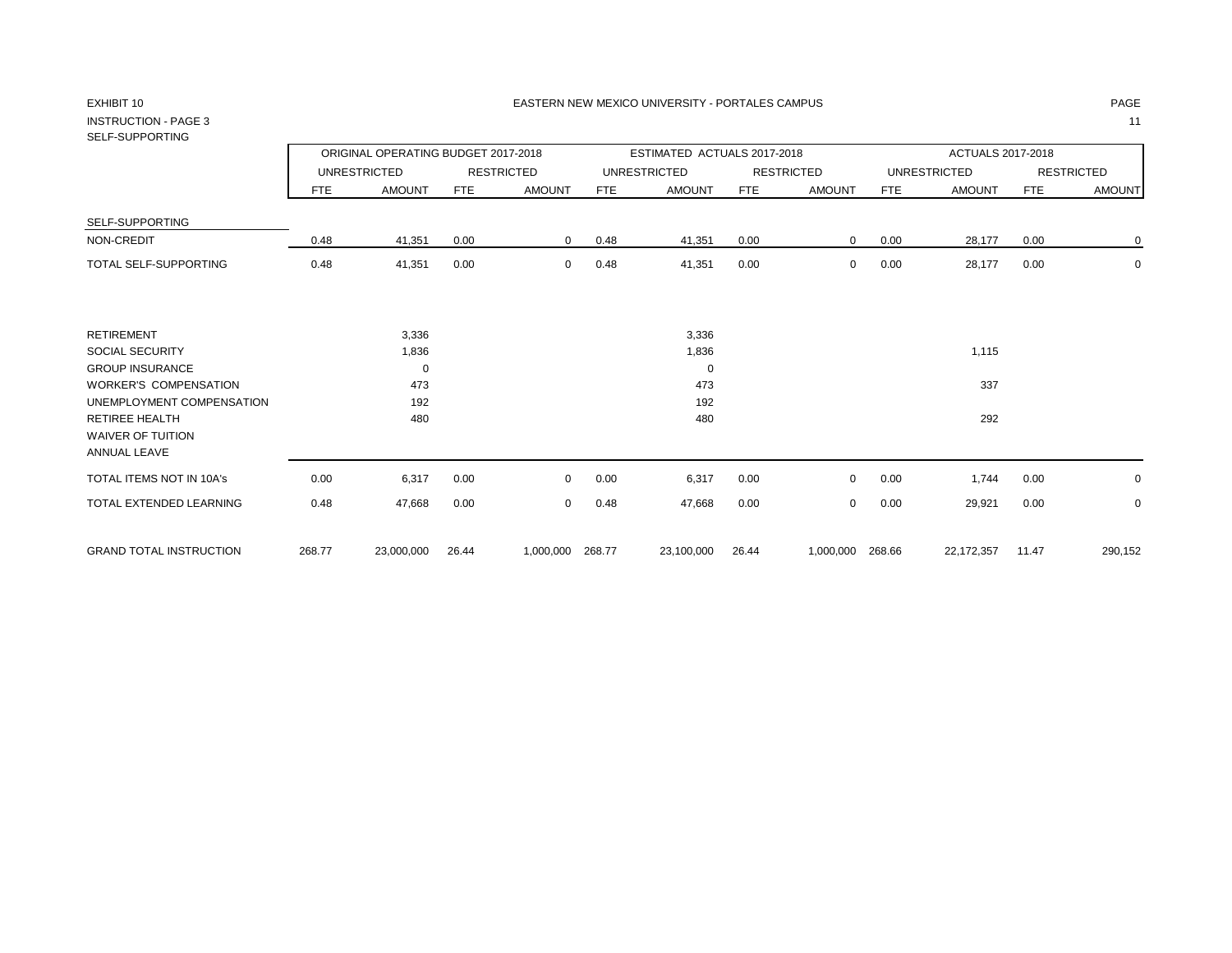## INSTRUCTION - PAGE 3 11 SELF-SUPPORTING

|                                                     |        | ORIGINAL OPERATING BUDGET 2017-2018 |            |                   |        | ESTIMATED ACTUALS 2017-2018 |            |                   |      | ACTUALS 2017-2018   |            |                   |
|-----------------------------------------------------|--------|-------------------------------------|------------|-------------------|--------|-----------------------------|------------|-------------------|------|---------------------|------------|-------------------|
|                                                     |        | <b>UNRESTRICTED</b>                 |            | <b>RESTRICTED</b> |        | <b>UNRESTRICTED</b>         |            | <b>RESTRICTED</b> |      | <b>UNRESTRICTED</b> |            | <b>RESTRICTED</b> |
|                                                     | FTE.   | <b>AMOUNT</b>                       | <b>FTE</b> | <b>AMOUNT</b>     | FTE    | <b>AMOUNT</b>               | <b>FTE</b> | <b>AMOUNT</b>     | FTE  | <b>AMOUNT</b>       | <b>FTE</b> | <b>AMOUNT</b>     |
| SELF-SUPPORTING                                     |        |                                     |            |                   |        |                             |            |                   |      |                     |            |                   |
| NON-CREDIT                                          | 0.48   | 41,351                              | 0.00       | $\mathbf{0}$      | 0.48   | 41,351                      | 0.00       | 0                 | 0.00 | 28,177              | 0.00       | $\mathbf 0$       |
| TOTAL SELF-SUPPORTING                               | 0.48   | 41,351                              | 0.00       | $\mathbf{0}$      | 0.48   | 41,351                      | 0.00       | 0                 | 0.00 | 28,177              | 0.00       | 0                 |
| RETIREMENT                                          |        |                                     |            |                   |        |                             |            |                   |      |                     |            |                   |
| SOCIAL SECURITY                                     |        | 3,336<br>1,836                      |            |                   |        | 3,336<br>1,836              |            |                   |      | 1,115               |            |                   |
| <b>GROUP INSURANCE</b>                              |        | $\mathbf 0$                         |            |                   |        | 0                           |            |                   |      |                     |            |                   |
| WORKER'S COMPENSATION                               |        | 473                                 |            |                   |        | 473                         |            |                   |      | 337                 |            |                   |
| UNEMPLOYMENT COMPENSATION                           |        | 192                                 |            |                   |        | 192                         |            |                   |      |                     |            |                   |
| RETIREE HEALTH<br>WAIVER OF TUITION<br>ANNUAL LEAVE |        | 480                                 |            |                   |        | 480                         |            |                   |      | 292                 |            |                   |
| TOTAL ITEMS NOT IN 10A's                            | 0.00   | 6,317                               | 0.00       | $\Omega$          | 0.00   | 6,317                       | 0.00       | $\Omega$          | 0.00 | 1,744               | 0.00       | 0                 |
| TOTAL EXTENDED LEARNING                             | 0.48   | 47,668                              | 0.00       | $\Omega$          | 0.48   | 47,668                      | 0.00       | 0                 | 0.00 | 29,921              | 0.00       | 0                 |
| <b>GRAND TOTAL INSTRUCTION</b>                      | 268.77 | 23,000,000                          | 26.44      | 1,000,000         | 268.77 | 23,100,000                  | 26.44      | 1,000,000 268.66  |      | 22,172,357          | 11.47      | 290,152           |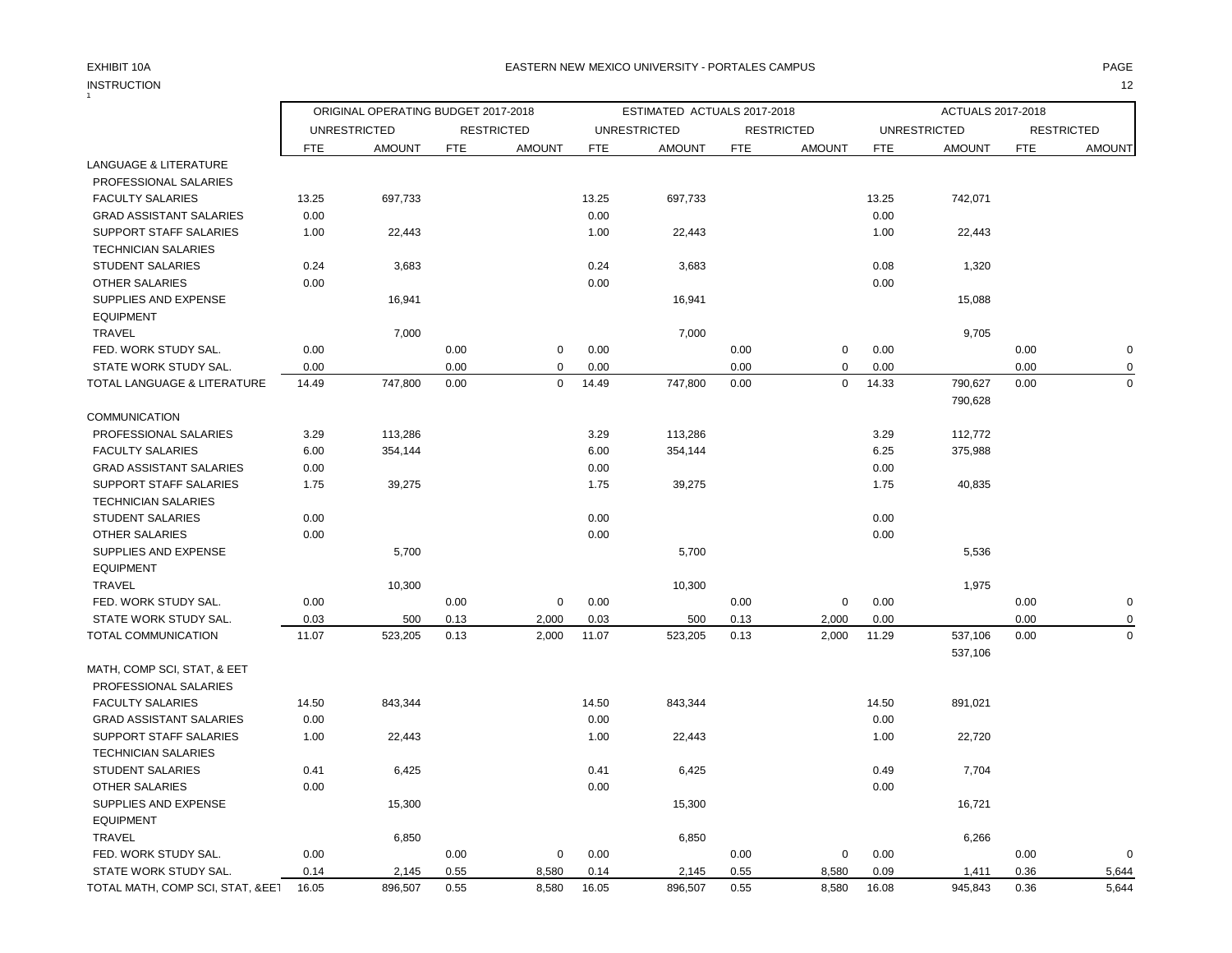## INSTRUCTION 12 INSTRUCTION

## EXHIBIT 10A PAGE EASTERN NEW MEXICO UNIVERSITY - PORTALES CAMPUS

|                                  |            | ORIGINAL OPERATING BUDGET 2017-2018<br><b>UNRESTRICTED</b><br><b>RESTRICTED</b> |            |               |            | ESTIMATED ACTUALS 2017-2018 |            |                   |            | ACTUALS 2017-2018   |            |                   |
|----------------------------------|------------|---------------------------------------------------------------------------------|------------|---------------|------------|-----------------------------|------------|-------------------|------------|---------------------|------------|-------------------|
|                                  |            |                                                                                 |            |               |            | <b>UNRESTRICTED</b>         |            | <b>RESTRICTED</b> |            | <b>UNRESTRICTED</b> |            | <b>RESTRICTED</b> |
|                                  | <b>FTE</b> | <b>AMOUNT</b>                                                                   | <b>FTE</b> | <b>AMOUNT</b> | <b>FTE</b> | <b>AMOUNT</b>               | <b>FTE</b> | <b>AMOUNT</b>     | <b>FTE</b> | <b>AMOUNT</b>       | <b>FTE</b> | <b>AMOUNT</b>     |
| <b>LANGUAGE &amp; LITERATURE</b> |            |                                                                                 |            |               |            |                             |            |                   |            |                     |            |                   |
| PROFESSIONAL SALARIES            |            |                                                                                 |            |               |            |                             |            |                   |            |                     |            |                   |
| <b>FACULTY SALARIES</b>          | 13.25      | 697,733                                                                         |            |               | 13.25      | 697,733                     |            |                   | 13.25      | 742,071             |            |                   |
| <b>GRAD ASSISTANT SALARIES</b>   | 0.00       |                                                                                 |            |               | 0.00       |                             |            |                   | 0.00       |                     |            |                   |
| SUPPORT STAFF SALARIES           | 1.00       | 22,443                                                                          |            |               | 1.00       | 22,443                      |            |                   | 1.00       | 22,443              |            |                   |
| <b>TECHNICIAN SALARIES</b>       |            |                                                                                 |            |               |            |                             |            |                   |            |                     |            |                   |
| <b>STUDENT SALARIES</b>          | 0.24       | 3,683                                                                           |            |               | 0.24       | 3,683                       |            |                   | 0.08       | 1,320               |            |                   |
| <b>OTHER SALARIES</b>            | 0.00       |                                                                                 |            |               | 0.00       |                             |            |                   | 0.00       |                     |            |                   |
| SUPPLIES AND EXPENSE             |            | 16,941                                                                          |            |               |            | 16,941                      |            |                   |            | 15,088              |            |                   |
| <b>EQUIPMENT</b>                 |            |                                                                                 |            |               |            |                             |            |                   |            |                     |            |                   |
| TRAVEL                           |            | 7,000                                                                           |            |               |            | 7,000                       |            |                   |            | 9,705               |            |                   |
| FED. WORK STUDY SAL.             | 0.00       |                                                                                 | 0.00       | 0             | 0.00       |                             | 0.00       | $\pmb{0}$         | 0.00       |                     | 0.00       | $\pmb{0}$         |
| STATE WORK STUDY SAL.            | 0.00       |                                                                                 | 0.00       | $\mathbf 0$   | 0.00       |                             | 0.00       | $\pmb{0}$         | 0.00       |                     | 0.00       | 0                 |
| TOTAL LANGUAGE & LITERATURE      | 14.49      | 747,800                                                                         | 0.00       | $\mathbf 0$   | 14.49      | 747,800                     | 0.00       | $\mathbf 0$       | 14.33      | 790,627             | 0.00       | $\mathbf 0$       |
|                                  |            |                                                                                 |            |               |            |                             |            |                   |            | 790,628             |            |                   |
| <b>COMMUNICATION</b>             |            |                                                                                 |            |               |            |                             |            |                   |            |                     |            |                   |
| PROFESSIONAL SALARIES            | 3.29       | 113,286                                                                         |            |               | 3.29       | 113,286                     |            |                   | 3.29       | 112,772             |            |                   |
| <b>FACULTY SALARIES</b>          | 6.00       | 354,144                                                                         |            |               | 6.00       | 354,144                     |            |                   | 6.25       | 375,988             |            |                   |
| <b>GRAD ASSISTANT SALARIES</b>   | 0.00       |                                                                                 |            |               | 0.00       |                             |            |                   | 0.00       |                     |            |                   |
| SUPPORT STAFF SALARIES           | 1.75       | 39,275                                                                          |            |               | 1.75       | 39,275                      |            |                   | 1.75       | 40,835              |            |                   |
| <b>TECHNICIAN SALARIES</b>       |            |                                                                                 |            |               |            |                             |            |                   |            |                     |            |                   |
| <b>STUDENT SALARIES</b>          | 0.00       |                                                                                 |            |               | 0.00       |                             |            |                   | 0.00       |                     |            |                   |
| <b>OTHER SALARIES</b>            | 0.00       |                                                                                 |            |               | 0.00       |                             |            |                   | 0.00       |                     |            |                   |
| SUPPLIES AND EXPENSE             |            | 5,700                                                                           |            |               |            | 5,700                       |            |                   |            | 5,536               |            |                   |
| <b>EQUIPMENT</b>                 |            |                                                                                 |            |               |            |                             |            |                   |            |                     |            |                   |
| <b>TRAVEL</b>                    |            | 10,300                                                                          |            |               |            | 10,300                      |            |                   |            | 1,975               |            |                   |
| FED. WORK STUDY SAL.             | 0.00       |                                                                                 | 0.00       | 0             | 0.00       |                             | 0.00       | 0                 | 0.00       |                     | 0.00       | 0                 |
| STATE WORK STUDY SAL.            | 0.03       | 500                                                                             | 0.13       | 2,000         | 0.03       | 500                         | 0.13       | 2,000             | 0.00       |                     | 0.00       | $\Omega$          |
| TOTAL COMMUNICATION              | 11.07      | 523,205                                                                         | 0.13       | 2,000         | 11.07      | 523,205                     | 0.13       | 2,000             | 11.29      | 537,106             | 0.00       | $\mathbf 0$       |
|                                  |            |                                                                                 |            |               |            |                             |            |                   |            | 537,106             |            |                   |
| MATH, COMP SCI, STAT, & EET      |            |                                                                                 |            |               |            |                             |            |                   |            |                     |            |                   |
| PROFESSIONAL SALARIES            |            |                                                                                 |            |               |            |                             |            |                   |            |                     |            |                   |
| <b>FACULTY SALARIES</b>          | 14.50      | 843,344                                                                         |            |               | 14.50      | 843,344                     |            |                   | 14.50      | 891,021             |            |                   |
| <b>GRAD ASSISTANT SALARIES</b>   | 0.00       |                                                                                 |            |               | 0.00       |                             |            |                   | 0.00       |                     |            |                   |
| SUPPORT STAFF SALARIES           | 1.00       | 22,443                                                                          |            |               | 1.00       | 22,443                      |            |                   | 1.00       | 22,720              |            |                   |
| <b>TECHNICIAN SALARIES</b>       |            |                                                                                 |            |               |            |                             |            |                   |            |                     |            |                   |
| <b>STUDENT SALARIES</b>          | 0.41       | 6,425                                                                           |            |               | 0.41       | 6,425                       |            |                   | 0.49       | 7,704               |            |                   |
| <b>OTHER SALARIES</b>            | 0.00       |                                                                                 |            |               | 0.00       |                             |            |                   | 0.00       |                     |            |                   |
| SUPPLIES AND EXPENSE             |            | 15,300                                                                          |            |               |            | 15,300                      |            |                   |            | 16,721              |            |                   |
| <b>EQUIPMENT</b>                 |            |                                                                                 |            |               |            |                             |            |                   |            |                     |            |                   |
| TRAVEL                           |            | 6,850                                                                           |            |               |            | 6,850                       |            |                   |            | 6,266               |            |                   |
| FED. WORK STUDY SAL.             | 0.00       |                                                                                 | 0.00       | $\mathbf 0$   | 0.00       |                             | 0.00       | 0                 | 0.00       |                     | 0.00       | $\Omega$          |
| STATE WORK STUDY SAL.            | 0.14       | 2,145                                                                           | 0.55       | 8,580         | 0.14       | 2,145                       | 0.55       | 8,580             | 0.09       | 1,411               | 0.36       | 5,644             |
| TOTAL MATH, COMP SCI, STAT, &EE1 | 16.05      | 896,507                                                                         | 0.55       | 8,580         | 16.05      | 896,507                     | 0.55       | 8,580             | 16.08      | 945,843             | 0.36       | 5,644             |
|                                  |            |                                                                                 |            |               |            |                             |            |                   |            |                     |            |                   |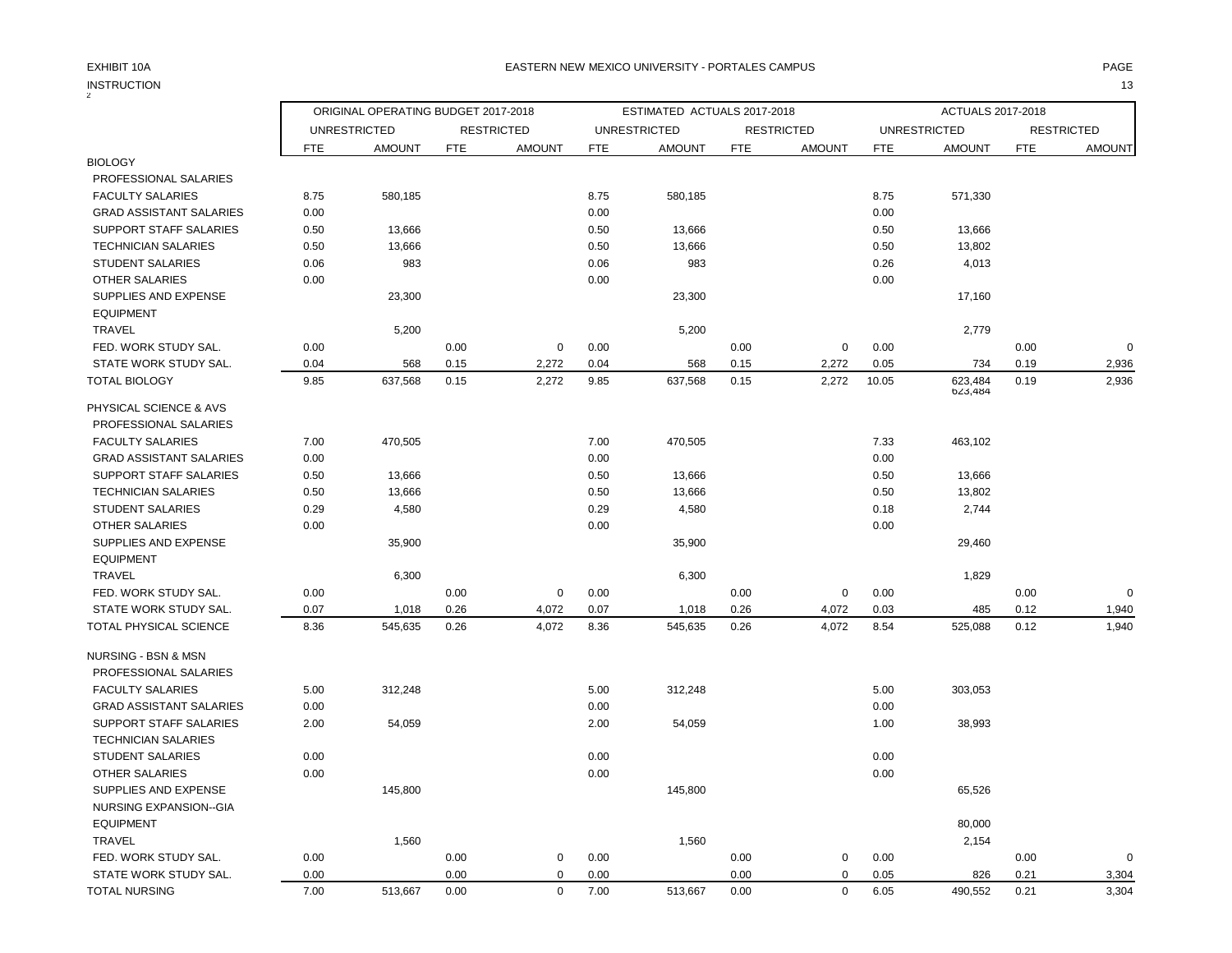## INSTRUCTION 13 INSTRUCTION

| ORIGINAL OPERATING BUDGET 2017-2018<br>ESTIMATED ACTUALS 2017-2018<br>ACTUALS 2017-2018<br><b>UNRESTRICTED</b><br><b>RESTRICTED</b><br><b>UNRESTRICTED</b><br><b>RESTRICTED</b><br><b>UNRESTRICTED</b><br><b>RESTRICTED</b><br><b>FTE</b><br><b>AMOUNT</b><br><b>FTE</b><br><b>AMOUNT</b><br><b>FTE</b><br><b>AMOUNT</b><br><b>FTE</b><br><b>AMOUNT</b><br><b>FTE</b><br><b>AMOUNT</b><br><b>FTE</b><br><b>AMOUNT</b><br><b>BIOLOGY</b><br>PROFESSIONAL SALARIES<br><b>FACULTY SALARIES</b><br>8.75<br>580,185<br>8.75<br>580,185<br>8.75<br>571,330<br><b>GRAD ASSISTANT SALARIES</b><br>0.00<br>0.00<br>0.00<br><b>SUPPORT STAFF SALARIES</b><br>0.50<br>13,666<br>0.50<br>13,666<br>0.50<br>13,666<br><b>TECHNICIAN SALARIES</b><br>0.50<br>13,666<br>0.50<br>13,666<br>0.50<br>13,802<br>983<br>983<br>0.26<br>4,013<br><b>STUDENT SALARIES</b><br>0.06<br>0.06<br>0.00<br><b>OTHER SALARIES</b><br>0.00<br>0.00<br>SUPPLIES AND EXPENSE<br>23,300<br>23,300<br>17,160<br><b>EQUIPMENT</b><br><b>TRAVEL</b><br>5,200<br>5,200<br>2,779<br>0.00<br>$\mathbf 0$<br>FED. WORK STUDY SAL.<br>0.00<br>$\mathbf 0$<br>0.00<br>0.00<br>$\pmb{0}$<br>0.00<br>0.00<br>0.19<br>STATE WORK STUDY SAL.<br>0.04<br>568<br>0.15<br>2,272<br>0.04<br>568<br>0.15<br>2,272<br>0.05<br>734<br>2,936<br><b>TOTAL BIOLOGY</b><br>9.85<br>637,568<br>0.15<br>2,272<br>9.85<br>637,568<br>0.15<br>2,272<br>10.05<br>623,484<br>0.19<br>2,936<br>623,484<br>PHYSICAL SCIENCE & AVS<br>PROFESSIONAL SALARIES<br>7.00<br>470,505<br>7.00<br>470,505<br>7.33<br>463,102<br><b>FACULTY SALARIES</b><br>0.00<br>0.00<br>0.00<br><b>GRAD ASSISTANT SALARIES</b><br>SUPPORT STAFF SALARIES<br>0.50<br>13,666<br>0.50<br>13,666<br>0.50<br>13,666<br><b>TECHNICIAN SALARIES</b><br>0.50<br>13,666<br>0.50<br>13,666<br>0.50<br>13,802<br><b>STUDENT SALARIES</b><br>0.29<br>4,580<br>4,580<br>0.18<br>2,744<br>0.29<br><b>OTHER SALARIES</b><br>0.00<br>0.00<br>0.00<br>SUPPLIES AND EXPENSE<br>35,900<br>35,900<br>29,460<br><b>EQUIPMENT</b><br><b>TRAVEL</b><br>6,300<br>6,300<br>1,829<br>FED. WORK STUDY SAL.<br>0.00<br>0.00<br>$\mathbf 0$<br>0.00<br>0.00<br>0.00<br>0.00<br>$\Omega$<br>0<br>STATE WORK STUDY SAL.<br>0.07<br>1,018<br>0.26<br>4,072<br>0.07<br>1,018<br>0.26<br>4,072<br>0.03<br>485<br>0.12<br>1,940<br>8.36<br>545,635<br>4,072<br>545,635<br>4,072<br>8.54<br>525,088<br>0.12<br>1,940<br>TOTAL PHYSICAL SCIENCE<br>0.26<br>8.36<br>0.26<br>NURSING - BSN & MSN<br>PROFESSIONAL SALARIES<br><b>FACULTY SALARIES</b><br>5.00<br>312,248<br>5.00<br>312,248<br>5.00<br>303,053<br>0.00<br>0.00<br><b>GRAD ASSISTANT SALARIES</b><br>0.00<br><b>SUPPORT STAFF SALARIES</b><br>38,993<br>2.00<br>54,059<br>2.00<br>54,059<br>1.00<br><b>TECHNICIAN SALARIES</b><br><b>STUDENT SALARIES</b><br>0.00<br>0.00<br>0.00<br>0.00<br>0.00<br>0.00<br><b>OTHER SALARIES</b><br>SUPPLIES AND EXPENSE<br>145,800<br>65,526<br>145,800<br>NURSING EXPANSION--GIA<br><b>EQUIPMENT</b><br>80,000<br><b>TRAVEL</b><br>1,560<br>1,560<br>2,154<br>FED. WORK STUDY SAL.<br>0.00<br>0.00<br>0.00<br>0<br>0.00<br>0<br>0.00<br>0.00<br>$\Omega$<br>0.00<br>STATE WORK STUDY SAL.<br>0.00<br>0.00<br>0.00<br>0.05<br>826<br>0.21<br>3,304<br>$\mathbf 0$<br>0 |  |  |  |  |  |  |  |
|-------------------------------------------------------------------------------------------------------------------------------------------------------------------------------------------------------------------------------------------------------------------------------------------------------------------------------------------------------------------------------------------------------------------------------------------------------------------------------------------------------------------------------------------------------------------------------------------------------------------------------------------------------------------------------------------------------------------------------------------------------------------------------------------------------------------------------------------------------------------------------------------------------------------------------------------------------------------------------------------------------------------------------------------------------------------------------------------------------------------------------------------------------------------------------------------------------------------------------------------------------------------------------------------------------------------------------------------------------------------------------------------------------------------------------------------------------------------------------------------------------------------------------------------------------------------------------------------------------------------------------------------------------------------------------------------------------------------------------------------------------------------------------------------------------------------------------------------------------------------------------------------------------------------------------------------------------------------------------------------------------------------------------------------------------------------------------------------------------------------------------------------------------------------------------------------------------------------------------------------------------------------------------------------------------------------------------------------------------------------------------------------------------------------------------------------------------------------------------------------------------------------------------------------------------------------------------------------------------------------------------------------------------------------------------------------------------------------------------------------------------------------------------------------------------------------------------------------------------------------------------------------------------------------------------------------------------------------------------------------------------------------------------------------------------------------------------------------------------------------------------------------------------------------------------------------------------------------------------------------|--|--|--|--|--|--|--|
|                                                                                                                                                                                                                                                                                                                                                                                                                                                                                                                                                                                                                                                                                                                                                                                                                                                                                                                                                                                                                                                                                                                                                                                                                                                                                                                                                                                                                                                                                                                                                                                                                                                                                                                                                                                                                                                                                                                                                                                                                                                                                                                                                                                                                                                                                                                                                                                                                                                                                                                                                                                                                                                                                                                                                                                                                                                                                                                                                                                                                                                                                                                                                                                                                                           |  |  |  |  |  |  |  |
|                                                                                                                                                                                                                                                                                                                                                                                                                                                                                                                                                                                                                                                                                                                                                                                                                                                                                                                                                                                                                                                                                                                                                                                                                                                                                                                                                                                                                                                                                                                                                                                                                                                                                                                                                                                                                                                                                                                                                                                                                                                                                                                                                                                                                                                                                                                                                                                                                                                                                                                                                                                                                                                                                                                                                                                                                                                                                                                                                                                                                                                                                                                                                                                                                                           |  |  |  |  |  |  |  |
|                                                                                                                                                                                                                                                                                                                                                                                                                                                                                                                                                                                                                                                                                                                                                                                                                                                                                                                                                                                                                                                                                                                                                                                                                                                                                                                                                                                                                                                                                                                                                                                                                                                                                                                                                                                                                                                                                                                                                                                                                                                                                                                                                                                                                                                                                                                                                                                                                                                                                                                                                                                                                                                                                                                                                                                                                                                                                                                                                                                                                                                                                                                                                                                                                                           |  |  |  |  |  |  |  |
|                                                                                                                                                                                                                                                                                                                                                                                                                                                                                                                                                                                                                                                                                                                                                                                                                                                                                                                                                                                                                                                                                                                                                                                                                                                                                                                                                                                                                                                                                                                                                                                                                                                                                                                                                                                                                                                                                                                                                                                                                                                                                                                                                                                                                                                                                                                                                                                                                                                                                                                                                                                                                                                                                                                                                                                                                                                                                                                                                                                                                                                                                                                                                                                                                                           |  |  |  |  |  |  |  |
|                                                                                                                                                                                                                                                                                                                                                                                                                                                                                                                                                                                                                                                                                                                                                                                                                                                                                                                                                                                                                                                                                                                                                                                                                                                                                                                                                                                                                                                                                                                                                                                                                                                                                                                                                                                                                                                                                                                                                                                                                                                                                                                                                                                                                                                                                                                                                                                                                                                                                                                                                                                                                                                                                                                                                                                                                                                                                                                                                                                                                                                                                                                                                                                                                                           |  |  |  |  |  |  |  |
|                                                                                                                                                                                                                                                                                                                                                                                                                                                                                                                                                                                                                                                                                                                                                                                                                                                                                                                                                                                                                                                                                                                                                                                                                                                                                                                                                                                                                                                                                                                                                                                                                                                                                                                                                                                                                                                                                                                                                                                                                                                                                                                                                                                                                                                                                                                                                                                                                                                                                                                                                                                                                                                                                                                                                                                                                                                                                                                                                                                                                                                                                                                                                                                                                                           |  |  |  |  |  |  |  |
|                                                                                                                                                                                                                                                                                                                                                                                                                                                                                                                                                                                                                                                                                                                                                                                                                                                                                                                                                                                                                                                                                                                                                                                                                                                                                                                                                                                                                                                                                                                                                                                                                                                                                                                                                                                                                                                                                                                                                                                                                                                                                                                                                                                                                                                                                                                                                                                                                                                                                                                                                                                                                                                                                                                                                                                                                                                                                                                                                                                                                                                                                                                                                                                                                                           |  |  |  |  |  |  |  |
|                                                                                                                                                                                                                                                                                                                                                                                                                                                                                                                                                                                                                                                                                                                                                                                                                                                                                                                                                                                                                                                                                                                                                                                                                                                                                                                                                                                                                                                                                                                                                                                                                                                                                                                                                                                                                                                                                                                                                                                                                                                                                                                                                                                                                                                                                                                                                                                                                                                                                                                                                                                                                                                                                                                                                                                                                                                                                                                                                                                                                                                                                                                                                                                                                                           |  |  |  |  |  |  |  |
|                                                                                                                                                                                                                                                                                                                                                                                                                                                                                                                                                                                                                                                                                                                                                                                                                                                                                                                                                                                                                                                                                                                                                                                                                                                                                                                                                                                                                                                                                                                                                                                                                                                                                                                                                                                                                                                                                                                                                                                                                                                                                                                                                                                                                                                                                                                                                                                                                                                                                                                                                                                                                                                                                                                                                                                                                                                                                                                                                                                                                                                                                                                                                                                                                                           |  |  |  |  |  |  |  |
|                                                                                                                                                                                                                                                                                                                                                                                                                                                                                                                                                                                                                                                                                                                                                                                                                                                                                                                                                                                                                                                                                                                                                                                                                                                                                                                                                                                                                                                                                                                                                                                                                                                                                                                                                                                                                                                                                                                                                                                                                                                                                                                                                                                                                                                                                                                                                                                                                                                                                                                                                                                                                                                                                                                                                                                                                                                                                                                                                                                                                                                                                                                                                                                                                                           |  |  |  |  |  |  |  |
|                                                                                                                                                                                                                                                                                                                                                                                                                                                                                                                                                                                                                                                                                                                                                                                                                                                                                                                                                                                                                                                                                                                                                                                                                                                                                                                                                                                                                                                                                                                                                                                                                                                                                                                                                                                                                                                                                                                                                                                                                                                                                                                                                                                                                                                                                                                                                                                                                                                                                                                                                                                                                                                                                                                                                                                                                                                                                                                                                                                                                                                                                                                                                                                                                                           |  |  |  |  |  |  |  |
|                                                                                                                                                                                                                                                                                                                                                                                                                                                                                                                                                                                                                                                                                                                                                                                                                                                                                                                                                                                                                                                                                                                                                                                                                                                                                                                                                                                                                                                                                                                                                                                                                                                                                                                                                                                                                                                                                                                                                                                                                                                                                                                                                                                                                                                                                                                                                                                                                                                                                                                                                                                                                                                                                                                                                                                                                                                                                                                                                                                                                                                                                                                                                                                                                                           |  |  |  |  |  |  |  |
|                                                                                                                                                                                                                                                                                                                                                                                                                                                                                                                                                                                                                                                                                                                                                                                                                                                                                                                                                                                                                                                                                                                                                                                                                                                                                                                                                                                                                                                                                                                                                                                                                                                                                                                                                                                                                                                                                                                                                                                                                                                                                                                                                                                                                                                                                                                                                                                                                                                                                                                                                                                                                                                                                                                                                                                                                                                                                                                                                                                                                                                                                                                                                                                                                                           |  |  |  |  |  |  |  |
|                                                                                                                                                                                                                                                                                                                                                                                                                                                                                                                                                                                                                                                                                                                                                                                                                                                                                                                                                                                                                                                                                                                                                                                                                                                                                                                                                                                                                                                                                                                                                                                                                                                                                                                                                                                                                                                                                                                                                                                                                                                                                                                                                                                                                                                                                                                                                                                                                                                                                                                                                                                                                                                                                                                                                                                                                                                                                                                                                                                                                                                                                                                                                                                                                                           |  |  |  |  |  |  |  |
|                                                                                                                                                                                                                                                                                                                                                                                                                                                                                                                                                                                                                                                                                                                                                                                                                                                                                                                                                                                                                                                                                                                                                                                                                                                                                                                                                                                                                                                                                                                                                                                                                                                                                                                                                                                                                                                                                                                                                                                                                                                                                                                                                                                                                                                                                                                                                                                                                                                                                                                                                                                                                                                                                                                                                                                                                                                                                                                                                                                                                                                                                                                                                                                                                                           |  |  |  |  |  |  |  |
|                                                                                                                                                                                                                                                                                                                                                                                                                                                                                                                                                                                                                                                                                                                                                                                                                                                                                                                                                                                                                                                                                                                                                                                                                                                                                                                                                                                                                                                                                                                                                                                                                                                                                                                                                                                                                                                                                                                                                                                                                                                                                                                                                                                                                                                                                                                                                                                                                                                                                                                                                                                                                                                                                                                                                                                                                                                                                                                                                                                                                                                                                                                                                                                                                                           |  |  |  |  |  |  |  |
|                                                                                                                                                                                                                                                                                                                                                                                                                                                                                                                                                                                                                                                                                                                                                                                                                                                                                                                                                                                                                                                                                                                                                                                                                                                                                                                                                                                                                                                                                                                                                                                                                                                                                                                                                                                                                                                                                                                                                                                                                                                                                                                                                                                                                                                                                                                                                                                                                                                                                                                                                                                                                                                                                                                                                                                                                                                                                                                                                                                                                                                                                                                                                                                                                                           |  |  |  |  |  |  |  |
|                                                                                                                                                                                                                                                                                                                                                                                                                                                                                                                                                                                                                                                                                                                                                                                                                                                                                                                                                                                                                                                                                                                                                                                                                                                                                                                                                                                                                                                                                                                                                                                                                                                                                                                                                                                                                                                                                                                                                                                                                                                                                                                                                                                                                                                                                                                                                                                                                                                                                                                                                                                                                                                                                                                                                                                                                                                                                                                                                                                                                                                                                                                                                                                                                                           |  |  |  |  |  |  |  |
|                                                                                                                                                                                                                                                                                                                                                                                                                                                                                                                                                                                                                                                                                                                                                                                                                                                                                                                                                                                                                                                                                                                                                                                                                                                                                                                                                                                                                                                                                                                                                                                                                                                                                                                                                                                                                                                                                                                                                                                                                                                                                                                                                                                                                                                                                                                                                                                                                                                                                                                                                                                                                                                                                                                                                                                                                                                                                                                                                                                                                                                                                                                                                                                                                                           |  |  |  |  |  |  |  |
|                                                                                                                                                                                                                                                                                                                                                                                                                                                                                                                                                                                                                                                                                                                                                                                                                                                                                                                                                                                                                                                                                                                                                                                                                                                                                                                                                                                                                                                                                                                                                                                                                                                                                                                                                                                                                                                                                                                                                                                                                                                                                                                                                                                                                                                                                                                                                                                                                                                                                                                                                                                                                                                                                                                                                                                                                                                                                                                                                                                                                                                                                                                                                                                                                                           |  |  |  |  |  |  |  |
|                                                                                                                                                                                                                                                                                                                                                                                                                                                                                                                                                                                                                                                                                                                                                                                                                                                                                                                                                                                                                                                                                                                                                                                                                                                                                                                                                                                                                                                                                                                                                                                                                                                                                                                                                                                                                                                                                                                                                                                                                                                                                                                                                                                                                                                                                                                                                                                                                                                                                                                                                                                                                                                                                                                                                                                                                                                                                                                                                                                                                                                                                                                                                                                                                                           |  |  |  |  |  |  |  |
|                                                                                                                                                                                                                                                                                                                                                                                                                                                                                                                                                                                                                                                                                                                                                                                                                                                                                                                                                                                                                                                                                                                                                                                                                                                                                                                                                                                                                                                                                                                                                                                                                                                                                                                                                                                                                                                                                                                                                                                                                                                                                                                                                                                                                                                                                                                                                                                                                                                                                                                                                                                                                                                                                                                                                                                                                                                                                                                                                                                                                                                                                                                                                                                                                                           |  |  |  |  |  |  |  |
|                                                                                                                                                                                                                                                                                                                                                                                                                                                                                                                                                                                                                                                                                                                                                                                                                                                                                                                                                                                                                                                                                                                                                                                                                                                                                                                                                                                                                                                                                                                                                                                                                                                                                                                                                                                                                                                                                                                                                                                                                                                                                                                                                                                                                                                                                                                                                                                                                                                                                                                                                                                                                                                                                                                                                                                                                                                                                                                                                                                                                                                                                                                                                                                                                                           |  |  |  |  |  |  |  |
|                                                                                                                                                                                                                                                                                                                                                                                                                                                                                                                                                                                                                                                                                                                                                                                                                                                                                                                                                                                                                                                                                                                                                                                                                                                                                                                                                                                                                                                                                                                                                                                                                                                                                                                                                                                                                                                                                                                                                                                                                                                                                                                                                                                                                                                                                                                                                                                                                                                                                                                                                                                                                                                                                                                                                                                                                                                                                                                                                                                                                                                                                                                                                                                                                                           |  |  |  |  |  |  |  |
|                                                                                                                                                                                                                                                                                                                                                                                                                                                                                                                                                                                                                                                                                                                                                                                                                                                                                                                                                                                                                                                                                                                                                                                                                                                                                                                                                                                                                                                                                                                                                                                                                                                                                                                                                                                                                                                                                                                                                                                                                                                                                                                                                                                                                                                                                                                                                                                                                                                                                                                                                                                                                                                                                                                                                                                                                                                                                                                                                                                                                                                                                                                                                                                                                                           |  |  |  |  |  |  |  |
|                                                                                                                                                                                                                                                                                                                                                                                                                                                                                                                                                                                                                                                                                                                                                                                                                                                                                                                                                                                                                                                                                                                                                                                                                                                                                                                                                                                                                                                                                                                                                                                                                                                                                                                                                                                                                                                                                                                                                                                                                                                                                                                                                                                                                                                                                                                                                                                                                                                                                                                                                                                                                                                                                                                                                                                                                                                                                                                                                                                                                                                                                                                                                                                                                                           |  |  |  |  |  |  |  |
|                                                                                                                                                                                                                                                                                                                                                                                                                                                                                                                                                                                                                                                                                                                                                                                                                                                                                                                                                                                                                                                                                                                                                                                                                                                                                                                                                                                                                                                                                                                                                                                                                                                                                                                                                                                                                                                                                                                                                                                                                                                                                                                                                                                                                                                                                                                                                                                                                                                                                                                                                                                                                                                                                                                                                                                                                                                                                                                                                                                                                                                                                                                                                                                                                                           |  |  |  |  |  |  |  |
|                                                                                                                                                                                                                                                                                                                                                                                                                                                                                                                                                                                                                                                                                                                                                                                                                                                                                                                                                                                                                                                                                                                                                                                                                                                                                                                                                                                                                                                                                                                                                                                                                                                                                                                                                                                                                                                                                                                                                                                                                                                                                                                                                                                                                                                                                                                                                                                                                                                                                                                                                                                                                                                                                                                                                                                                                                                                                                                                                                                                                                                                                                                                                                                                                                           |  |  |  |  |  |  |  |
|                                                                                                                                                                                                                                                                                                                                                                                                                                                                                                                                                                                                                                                                                                                                                                                                                                                                                                                                                                                                                                                                                                                                                                                                                                                                                                                                                                                                                                                                                                                                                                                                                                                                                                                                                                                                                                                                                                                                                                                                                                                                                                                                                                                                                                                                                                                                                                                                                                                                                                                                                                                                                                                                                                                                                                                                                                                                                                                                                                                                                                                                                                                                                                                                                                           |  |  |  |  |  |  |  |
|                                                                                                                                                                                                                                                                                                                                                                                                                                                                                                                                                                                                                                                                                                                                                                                                                                                                                                                                                                                                                                                                                                                                                                                                                                                                                                                                                                                                                                                                                                                                                                                                                                                                                                                                                                                                                                                                                                                                                                                                                                                                                                                                                                                                                                                                                                                                                                                                                                                                                                                                                                                                                                                                                                                                                                                                                                                                                                                                                                                                                                                                                                                                                                                                                                           |  |  |  |  |  |  |  |
|                                                                                                                                                                                                                                                                                                                                                                                                                                                                                                                                                                                                                                                                                                                                                                                                                                                                                                                                                                                                                                                                                                                                                                                                                                                                                                                                                                                                                                                                                                                                                                                                                                                                                                                                                                                                                                                                                                                                                                                                                                                                                                                                                                                                                                                                                                                                                                                                                                                                                                                                                                                                                                                                                                                                                                                                                                                                                                                                                                                                                                                                                                                                                                                                                                           |  |  |  |  |  |  |  |
|                                                                                                                                                                                                                                                                                                                                                                                                                                                                                                                                                                                                                                                                                                                                                                                                                                                                                                                                                                                                                                                                                                                                                                                                                                                                                                                                                                                                                                                                                                                                                                                                                                                                                                                                                                                                                                                                                                                                                                                                                                                                                                                                                                                                                                                                                                                                                                                                                                                                                                                                                                                                                                                                                                                                                                                                                                                                                                                                                                                                                                                                                                                                                                                                                                           |  |  |  |  |  |  |  |
|                                                                                                                                                                                                                                                                                                                                                                                                                                                                                                                                                                                                                                                                                                                                                                                                                                                                                                                                                                                                                                                                                                                                                                                                                                                                                                                                                                                                                                                                                                                                                                                                                                                                                                                                                                                                                                                                                                                                                                                                                                                                                                                                                                                                                                                                                                                                                                                                                                                                                                                                                                                                                                                                                                                                                                                                                                                                                                                                                                                                                                                                                                                                                                                                                                           |  |  |  |  |  |  |  |
|                                                                                                                                                                                                                                                                                                                                                                                                                                                                                                                                                                                                                                                                                                                                                                                                                                                                                                                                                                                                                                                                                                                                                                                                                                                                                                                                                                                                                                                                                                                                                                                                                                                                                                                                                                                                                                                                                                                                                                                                                                                                                                                                                                                                                                                                                                                                                                                                                                                                                                                                                                                                                                                                                                                                                                                                                                                                                                                                                                                                                                                                                                                                                                                                                                           |  |  |  |  |  |  |  |
|                                                                                                                                                                                                                                                                                                                                                                                                                                                                                                                                                                                                                                                                                                                                                                                                                                                                                                                                                                                                                                                                                                                                                                                                                                                                                                                                                                                                                                                                                                                                                                                                                                                                                                                                                                                                                                                                                                                                                                                                                                                                                                                                                                                                                                                                                                                                                                                                                                                                                                                                                                                                                                                                                                                                                                                                                                                                                                                                                                                                                                                                                                                                                                                                                                           |  |  |  |  |  |  |  |
|                                                                                                                                                                                                                                                                                                                                                                                                                                                                                                                                                                                                                                                                                                                                                                                                                                                                                                                                                                                                                                                                                                                                                                                                                                                                                                                                                                                                                                                                                                                                                                                                                                                                                                                                                                                                                                                                                                                                                                                                                                                                                                                                                                                                                                                                                                                                                                                                                                                                                                                                                                                                                                                                                                                                                                                                                                                                                                                                                                                                                                                                                                                                                                                                                                           |  |  |  |  |  |  |  |
|                                                                                                                                                                                                                                                                                                                                                                                                                                                                                                                                                                                                                                                                                                                                                                                                                                                                                                                                                                                                                                                                                                                                                                                                                                                                                                                                                                                                                                                                                                                                                                                                                                                                                                                                                                                                                                                                                                                                                                                                                                                                                                                                                                                                                                                                                                                                                                                                                                                                                                                                                                                                                                                                                                                                                                                                                                                                                                                                                                                                                                                                                                                                                                                                                                           |  |  |  |  |  |  |  |
|                                                                                                                                                                                                                                                                                                                                                                                                                                                                                                                                                                                                                                                                                                                                                                                                                                                                                                                                                                                                                                                                                                                                                                                                                                                                                                                                                                                                                                                                                                                                                                                                                                                                                                                                                                                                                                                                                                                                                                                                                                                                                                                                                                                                                                                                                                                                                                                                                                                                                                                                                                                                                                                                                                                                                                                                                                                                                                                                                                                                                                                                                                                                                                                                                                           |  |  |  |  |  |  |  |
|                                                                                                                                                                                                                                                                                                                                                                                                                                                                                                                                                                                                                                                                                                                                                                                                                                                                                                                                                                                                                                                                                                                                                                                                                                                                                                                                                                                                                                                                                                                                                                                                                                                                                                                                                                                                                                                                                                                                                                                                                                                                                                                                                                                                                                                                                                                                                                                                                                                                                                                                                                                                                                                                                                                                                                                                                                                                                                                                                                                                                                                                                                                                                                                                                                           |  |  |  |  |  |  |  |
|                                                                                                                                                                                                                                                                                                                                                                                                                                                                                                                                                                                                                                                                                                                                                                                                                                                                                                                                                                                                                                                                                                                                                                                                                                                                                                                                                                                                                                                                                                                                                                                                                                                                                                                                                                                                                                                                                                                                                                                                                                                                                                                                                                                                                                                                                                                                                                                                                                                                                                                                                                                                                                                                                                                                                                                                                                                                                                                                                                                                                                                                                                                                                                                                                                           |  |  |  |  |  |  |  |
|                                                                                                                                                                                                                                                                                                                                                                                                                                                                                                                                                                                                                                                                                                                                                                                                                                                                                                                                                                                                                                                                                                                                                                                                                                                                                                                                                                                                                                                                                                                                                                                                                                                                                                                                                                                                                                                                                                                                                                                                                                                                                                                                                                                                                                                                                                                                                                                                                                                                                                                                                                                                                                                                                                                                                                                                                                                                                                                                                                                                                                                                                                                                                                                                                                           |  |  |  |  |  |  |  |
|                                                                                                                                                                                                                                                                                                                                                                                                                                                                                                                                                                                                                                                                                                                                                                                                                                                                                                                                                                                                                                                                                                                                                                                                                                                                                                                                                                                                                                                                                                                                                                                                                                                                                                                                                                                                                                                                                                                                                                                                                                                                                                                                                                                                                                                                                                                                                                                                                                                                                                                                                                                                                                                                                                                                                                                                                                                                                                                                                                                                                                                                                                                                                                                                                                           |  |  |  |  |  |  |  |
|                                                                                                                                                                                                                                                                                                                                                                                                                                                                                                                                                                                                                                                                                                                                                                                                                                                                                                                                                                                                                                                                                                                                                                                                                                                                                                                                                                                                                                                                                                                                                                                                                                                                                                                                                                                                                                                                                                                                                                                                                                                                                                                                                                                                                                                                                                                                                                                                                                                                                                                                                                                                                                                                                                                                                                                                                                                                                                                                                                                                                                                                                                                                                                                                                                           |  |  |  |  |  |  |  |
|                                                                                                                                                                                                                                                                                                                                                                                                                                                                                                                                                                                                                                                                                                                                                                                                                                                                                                                                                                                                                                                                                                                                                                                                                                                                                                                                                                                                                                                                                                                                                                                                                                                                                                                                                                                                                                                                                                                                                                                                                                                                                                                                                                                                                                                                                                                                                                                                                                                                                                                                                                                                                                                                                                                                                                                                                                                                                                                                                                                                                                                                                                                                                                                                                                           |  |  |  |  |  |  |  |
|                                                                                                                                                                                                                                                                                                                                                                                                                                                                                                                                                                                                                                                                                                                                                                                                                                                                                                                                                                                                                                                                                                                                                                                                                                                                                                                                                                                                                                                                                                                                                                                                                                                                                                                                                                                                                                                                                                                                                                                                                                                                                                                                                                                                                                                                                                                                                                                                                                                                                                                                                                                                                                                                                                                                                                                                                                                                                                                                                                                                                                                                                                                                                                                                                                           |  |  |  |  |  |  |  |

TOTAL NURSING 7.00 513,667 0.00 0 7.00 513,667 0.00 0 6.05 490,552 0.21 3,304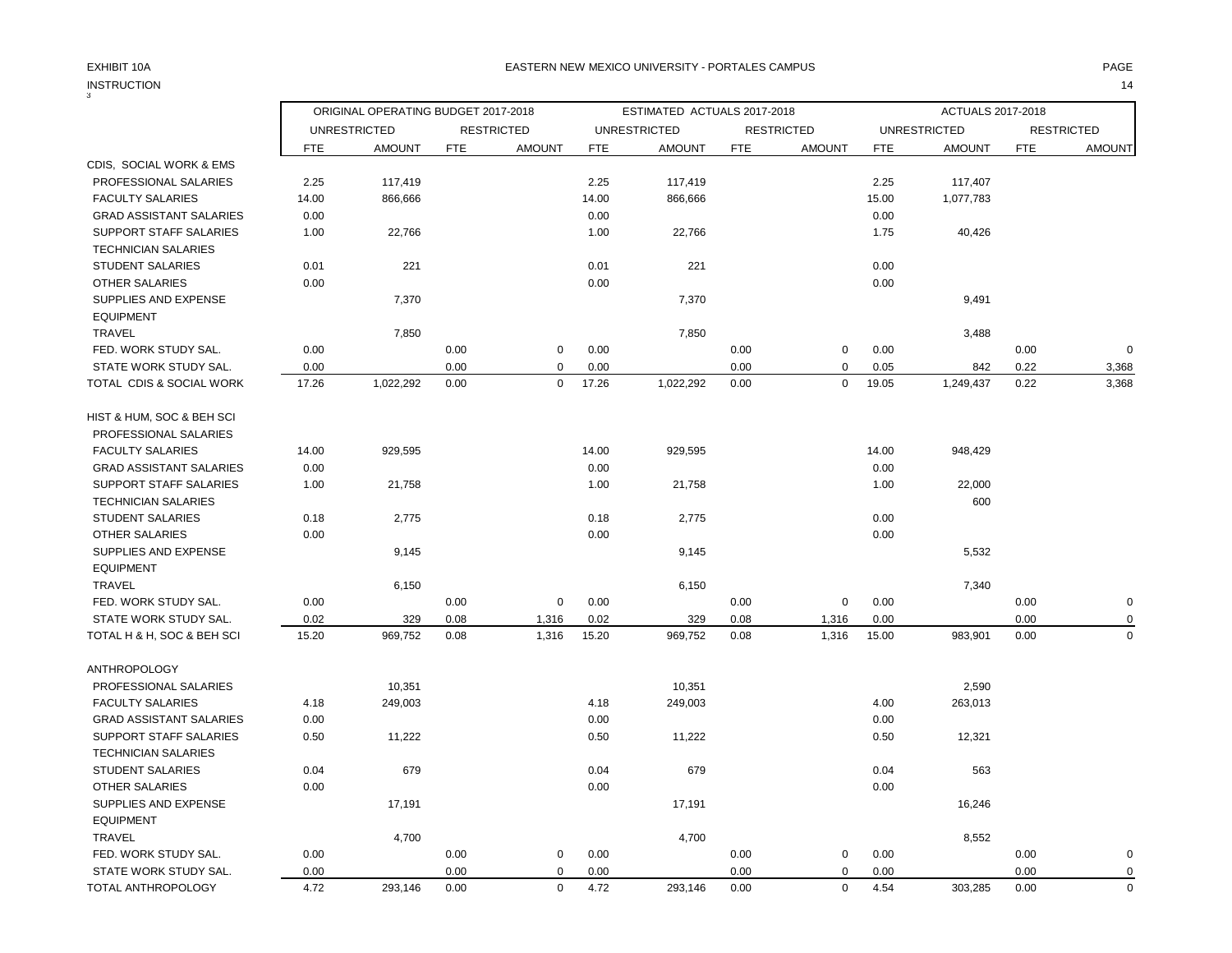3

|                                |            | ORIGINAL OPERATING BUDGET 2017-2018 |            |                   |            | ESTIMATED ACTUALS 2017-2018 |            |                   |            | ACTUALS 2017-2018   |            |                   |
|--------------------------------|------------|-------------------------------------|------------|-------------------|------------|-----------------------------|------------|-------------------|------------|---------------------|------------|-------------------|
|                                |            | <b>UNRESTRICTED</b>                 |            | <b>RESTRICTED</b> |            | <b>UNRESTRICTED</b>         |            | <b>RESTRICTED</b> |            | <b>UNRESTRICTED</b> |            | <b>RESTRICTED</b> |
|                                | <b>FTE</b> | <b>AMOUNT</b>                       | <b>FTE</b> | <b>AMOUNT</b>     | <b>FTE</b> | <b>AMOUNT</b>               | <b>FTE</b> | <b>AMOUNT</b>     | <b>FTE</b> | <b>AMOUNT</b>       | <b>FTE</b> | <b>AMOUNT</b>     |
| CDIS, SOCIAL WORK & EMS        |            |                                     |            |                   |            |                             |            |                   |            |                     |            |                   |
| PROFESSIONAL SALARIES          | 2.25       | 117,419                             |            |                   | 2.25       | 117,419                     |            |                   | 2.25       | 117,407             |            |                   |
| <b>FACULTY SALARIES</b>        | 14.00      | 866,666                             |            |                   | 14.00      | 866,666                     |            |                   | 15.00      | 1,077,783           |            |                   |
| <b>GRAD ASSISTANT SALARIES</b> | 0.00       |                                     |            |                   | 0.00       |                             |            |                   | 0.00       |                     |            |                   |
| SUPPORT STAFF SALARIES         | 1.00       | 22,766                              |            |                   | 1.00       | 22,766                      |            |                   | 1.75       | 40,426              |            |                   |
| <b>TECHNICIAN SALARIES</b>     |            |                                     |            |                   |            |                             |            |                   |            |                     |            |                   |
| <b>STUDENT SALARIES</b>        | 0.01       | 221                                 |            |                   | 0.01       | 221                         |            |                   | 0.00       |                     |            |                   |
| <b>OTHER SALARIES</b>          | 0.00       |                                     |            |                   | 0.00       |                             |            |                   | 0.00       |                     |            |                   |
| SUPPLIES AND EXPENSE           |            | 7,370                               |            |                   |            | 7,370                       |            |                   |            | 9,491               |            |                   |
| <b>EQUIPMENT</b>               |            |                                     |            |                   |            |                             |            |                   |            |                     |            |                   |
| <b>TRAVEL</b>                  |            | 7,850                               |            |                   |            | 7,850                       |            |                   |            | 3,488               |            |                   |
| FED. WORK STUDY SAL.           | 0.00       |                                     | 0.00       | $\mathbf 0$       | 0.00       |                             | 0.00       | 0                 | 0.00       |                     | 0.00       | $\mathbf 0$       |
| STATE WORK STUDY SAL.          | 0.00       |                                     | 0.00       | $\mathbf 0$       | 0.00       |                             | 0.00       | $\mathbf 0$       | 0.05       | 842                 | 0.22       | 3,368             |
| TOTAL CDIS & SOCIAL WORK       | 17.26      | 1,022,292                           | 0.00       | $\mathbf 0$       | 17.26      | 1,022,292                   | 0.00       | $\mathbf 0$       | 19.05      | 1,249,437           | 0.22       | 3,368             |
| HIST & HUM, SOC & BEH SCI      |            |                                     |            |                   |            |                             |            |                   |            |                     |            |                   |
| PROFESSIONAL SALARIES          |            |                                     |            |                   |            |                             |            |                   |            |                     |            |                   |
| <b>FACULTY SALARIES</b>        | 14.00      | 929,595                             |            |                   | 14.00      | 929,595                     |            |                   | 14.00      | 948,429             |            |                   |
| <b>GRAD ASSISTANT SALARIES</b> | 0.00       |                                     |            |                   | 0.00       |                             |            |                   | 0.00       |                     |            |                   |
| <b>SUPPORT STAFF SALARIES</b>  | 1.00       | 21,758                              |            |                   | 1.00       | 21,758                      |            |                   | 1.00       | 22,000              |            |                   |
| <b>TECHNICIAN SALARIES</b>     |            |                                     |            |                   |            |                             |            |                   |            | 600                 |            |                   |
| <b>STUDENT SALARIES</b>        | 0.18       | 2,775                               |            |                   | 0.18       | 2,775                       |            |                   | 0.00       |                     |            |                   |
| OTHER SALARIES                 | 0.00       |                                     |            |                   | 0.00       |                             |            |                   | 0.00       |                     |            |                   |
| SUPPLIES AND EXPENSE           |            | 9,145                               |            |                   |            | 9,145                       |            |                   |            | 5,532               |            |                   |
| <b>EQUIPMENT</b>               |            |                                     |            |                   |            |                             |            |                   |            |                     |            |                   |
| <b>TRAVEL</b>                  |            | 6,150                               |            |                   |            | 6,150                       |            |                   |            | 7,340               |            |                   |
| FED. WORK STUDY SAL.           | 0.00       |                                     | 0.00       | $\mathbf 0$       | 0.00       |                             | 0.00       | $\mathbf 0$       | 0.00       |                     | 0.00       | $\mathbf 0$       |
| STATE WORK STUDY SAL.          | 0.02       | 329                                 | 0.08       | 1,316             | 0.02       | 329                         | 0.08       | 1,316             | 0.00       |                     | 0.00       | $\Omega$          |
| TOTAL H & H, SOC & BEH SCI     | 15.20      | 969,752                             | 0.08       | 1,316             | 15.20      | 969,752                     | 0.08       | 1,316             | 15.00      | 983,901             | 0.00       | $\mathbf 0$       |
| <b>ANTHROPOLOGY</b>            |            |                                     |            |                   |            |                             |            |                   |            |                     |            |                   |
| PROFESSIONAL SALARIES          |            | 10,351                              |            |                   |            | 10,351                      |            |                   |            | 2,590               |            |                   |
| <b>FACULTY SALARIES</b>        | 4.18       | 249,003                             |            |                   | 4.18       | 249,003                     |            |                   | 4.00       | 263,013             |            |                   |
| <b>GRAD ASSISTANT SALARIES</b> | 0.00       |                                     |            |                   | 0.00       |                             |            |                   | 0.00       |                     |            |                   |
| SUPPORT STAFF SALARIES         | 0.50       | 11,222                              |            |                   | 0.50       | 11,222                      |            |                   | 0.50       | 12,321              |            |                   |
| <b>TECHNICIAN SALARIES</b>     |            |                                     |            |                   |            |                             |            |                   |            |                     |            |                   |
| <b>STUDENT SALARIES</b>        | 0.04       | 679                                 |            |                   | 0.04       | 679                         |            |                   | 0.04       | 563                 |            |                   |
| <b>OTHER SALARIES</b>          | 0.00       |                                     |            |                   | 0.00       |                             |            |                   | 0.00       |                     |            |                   |
| SUPPLIES AND EXPENSE           |            | 17,191                              |            |                   |            | 17,191                      |            |                   |            | 16,246              |            |                   |
| <b>EQUIPMENT</b>               |            |                                     |            |                   |            |                             |            |                   |            |                     |            |                   |
| <b>TRAVEL</b>                  |            | 4,700                               |            |                   |            | 4,700                       |            |                   |            | 8,552               |            |                   |
| FED. WORK STUDY SAL.           | 0.00       |                                     | 0.00       | $\mathbf 0$       | 0.00       |                             | 0.00       | 0                 | 0.00       |                     | 0.00       | $\mathbf 0$       |
| STATE WORK STUDY SAL.          | 0.00       |                                     | 0.00       | $\Omega$          | 0.00       |                             | 0.00       | 0                 | 0.00       |                     | 0.00       | 0                 |
| TOTAL ANTHROPOLOGY             | 4.72       | 293,146                             | 0.00       | $\mathbf 0$       | 4.72       | 293,146                     | 0.00       | $\mathbf 0$       | 4.54       | 303,285             | 0.00       | $\Omega$          |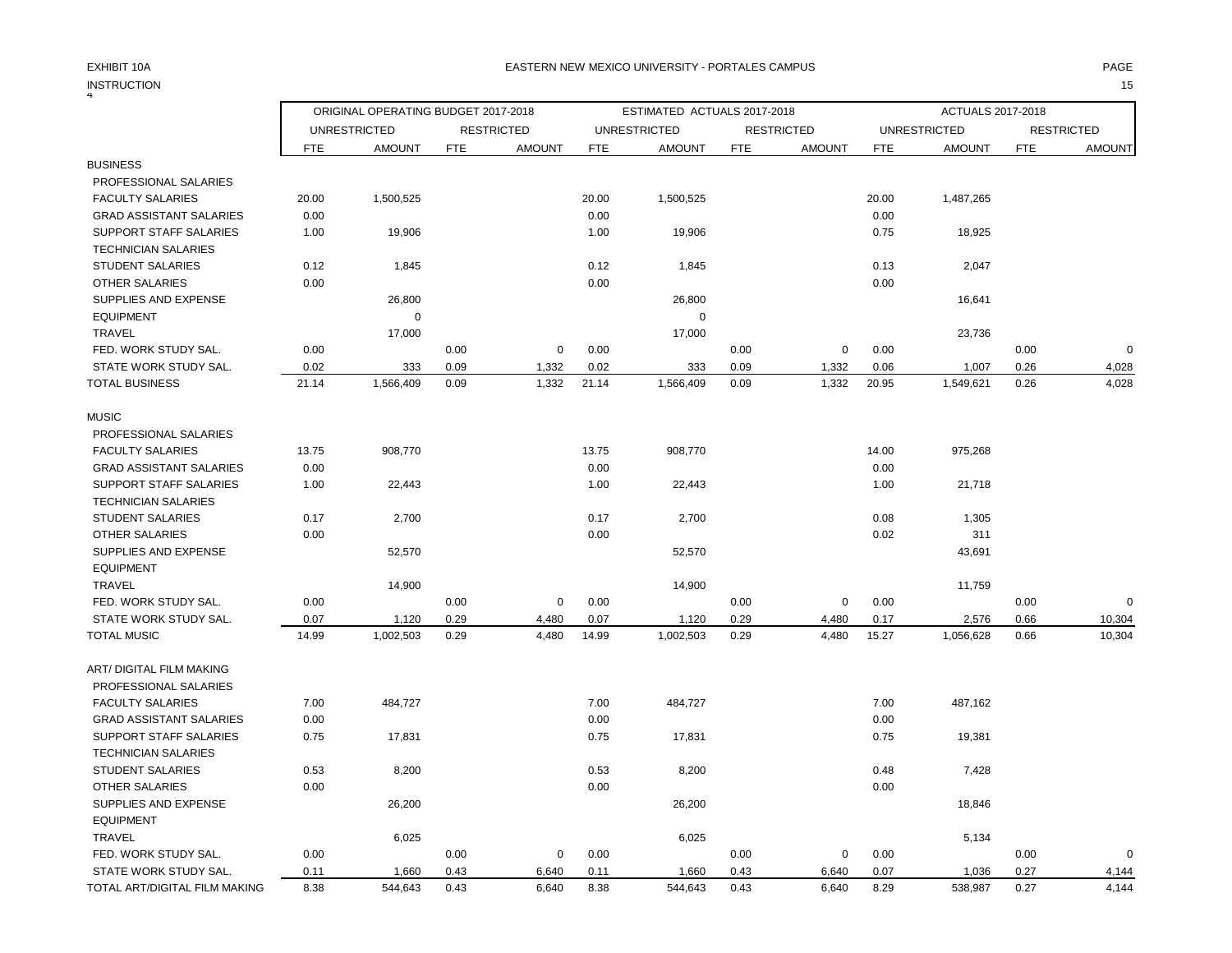## INSTRUCTION 15

### EXHIBIT 10A PAGE EASTERN NEW MEXICO UNIVERSITY - PORTALES CAMPUS

| 4                               |            |                                     |            |                   |            |                             |            |                   |            |                                      |            |                   |
|---------------------------------|------------|-------------------------------------|------------|-------------------|------------|-----------------------------|------------|-------------------|------------|--------------------------------------|------------|-------------------|
|                                 |            | ORIGINAL OPERATING BUDGET 2017-2018 |            |                   |            | ESTIMATED ACTUALS 2017-2018 |            |                   |            | <b>ACTUALS 2017-2018</b>             |            |                   |
|                                 |            | <b>UNRESTRICTED</b>                 |            | <b>RESTRICTED</b> |            | <b>UNRESTRICTED</b>         |            | <b>RESTRICTED</b> |            | <b>UNRESTRICTED</b><br><b>AMOUNT</b> |            | <b>RESTRICTED</b> |
| <b>BUSINESS</b>                 | <b>FTE</b> | <b>AMOUNT</b>                       | <b>FTE</b> | <b>AMOUNT</b>     | <b>FTE</b> | <b>AMOUNT</b>               | <b>FTE</b> | <b>AMOUNT</b>     | <b>FTE</b> |                                      | <b>FTE</b> | <b>AMOUNT</b>     |
| PROFESSIONAL SALARIES           |            |                                     |            |                   |            |                             |            |                   |            |                                      |            |                   |
| <b>FACULTY SALARIES</b>         | 20.00      | 1,500,525                           |            |                   | 20.00      | 1,500,525                   |            |                   | 20.00      | 1,487,265                            |            |                   |
| <b>GRAD ASSISTANT SALARIES</b>  | 0.00       |                                     |            |                   | 0.00       |                             |            |                   | 0.00       |                                      |            |                   |
| SUPPORT STAFF SALARIES          | 1.00       | 19,906                              |            |                   | 1.00       | 19,906                      |            |                   | 0.75       | 18,925                               |            |                   |
| <b>TECHNICIAN SALARIES</b>      |            |                                     |            |                   |            |                             |            |                   |            |                                      |            |                   |
| <b>STUDENT SALARIES</b>         | 0.12       | 1,845                               |            |                   | 0.12       | 1,845                       |            |                   | 0.13       | 2,047                                |            |                   |
| <b>OTHER SALARIES</b>           | 0.00       |                                     |            |                   | 0.00       |                             |            |                   | 0.00       |                                      |            |                   |
| SUPPLIES AND EXPENSE            |            | 26,800                              |            |                   |            | 26,800                      |            |                   |            | 16,641                               |            |                   |
| <b>EQUIPMENT</b>                |            | $\mathbf 0$                         |            |                   |            | $\mathbf 0$                 |            |                   |            |                                      |            |                   |
| <b>TRAVEL</b>                   |            | 17,000                              |            |                   |            | 17,000                      |            |                   |            | 23,736                               |            |                   |
| FED. WORK STUDY SAL.            | 0.00       |                                     | 0.00       | 0                 | 0.00       |                             | 0.00       | 0                 | 0.00       |                                      | 0.00       | $\Omega$          |
| STATE WORK STUDY SAL.           | 0.02       | 333                                 | 0.09       | 1,332             | 0.02       | 333                         | 0.09       | 1,332             | 0.06       | 1,007                                | 0.26       | 4,028             |
| <b>TOTAL BUSINESS</b>           | 21.14      | 1,566,409                           | 0.09       | 1,332             | 21.14      | 1,566,409                   | 0.09       | 1,332             | 20.95      | 1,549,621                            | 0.26       | 4,028             |
| <b>MUSIC</b>                    |            |                                     |            |                   |            |                             |            |                   |            |                                      |            |                   |
| PROFESSIONAL SALARIES           |            |                                     |            |                   |            |                             |            |                   |            |                                      |            |                   |
| <b>FACULTY SALARIES</b>         | 13.75      | 908,770                             |            |                   | 13.75      | 908,770                     |            |                   | 14.00      | 975,268                              |            |                   |
| <b>GRAD ASSISTANT SALARIES</b>  | 0.00       |                                     |            |                   | 0.00       |                             |            |                   | 0.00       |                                      |            |                   |
| <b>SUPPORT STAFF SALARIES</b>   | 1.00       | 22,443                              |            |                   | 1.00       | 22,443                      |            |                   | 1.00       | 21,718                               |            |                   |
| <b>TECHNICIAN SALARIES</b>      |            |                                     |            |                   |            |                             |            |                   |            |                                      |            |                   |
| <b>STUDENT SALARIES</b>         | 0.17       | 2,700                               |            |                   | 0.17       | 2,700                       |            |                   | 0.08       | 1,305                                |            |                   |
| OTHER SALARIES                  | 0.00       |                                     |            |                   | 0.00       |                             |            |                   | 0.02       | 311                                  |            |                   |
| SUPPLIES AND EXPENSE            |            | 52,570                              |            |                   |            | 52,570                      |            |                   |            | 43,691                               |            |                   |
| <b>EQUIPMENT</b>                |            |                                     |            |                   |            |                             |            |                   |            |                                      |            |                   |
| TRAVEL                          |            | 14,900                              |            |                   |            | 14,900                      |            |                   |            | 11,759                               |            |                   |
| FED. WORK STUDY SAL.            | 0.00       |                                     | 0.00       | $\mathbf 0$       | 0.00       |                             | 0.00       | 0                 | 0.00       |                                      | 0.00       | $\mathbf 0$       |
| STATE WORK STUDY SAL.           | 0.07       | 1,120                               | 0.29       | 4,480             | 0.07       | 1,120                       | 0.29       | 4,480             | 0.17       | 2,576                                | 0.66       | 10,304            |
| <b>TOTAL MUSIC</b>              | 14.99      | 1,002,503                           | 0.29       | 4,480             | 14.99      | 1,002,503                   | 0.29       | 4,480             | 15.27      | 1,056,628                            | 0.66       | 10,304            |
| <b>ART/ DIGITAL FILM MAKING</b> |            |                                     |            |                   |            |                             |            |                   |            |                                      |            |                   |
| PROFESSIONAL SALARIES           |            |                                     |            |                   |            |                             |            |                   |            |                                      |            |                   |
| <b>FACULTY SALARIES</b>         | 7.00       | 484,727                             |            |                   | 7.00       | 484,727                     |            |                   | 7.00       | 487,162                              |            |                   |
| <b>GRAD ASSISTANT SALARIES</b>  | 0.00       |                                     |            |                   | 0.00       |                             |            |                   | 0.00       |                                      |            |                   |
| <b>SUPPORT STAFF SALARIES</b>   | 0.75       | 17,831                              |            |                   | 0.75       | 17,831                      |            |                   | 0.75       | 19,381                               |            |                   |
| <b>TECHNICIAN SALARIES</b>      |            |                                     |            |                   |            |                             |            |                   |            |                                      |            |                   |
| <b>STUDENT SALARIES</b>         | 0.53       | 8,200                               |            |                   | 0.53       | 8,200                       |            |                   | 0.48       | 7,428                                |            |                   |
| <b>OTHER SALARIES</b>           | 0.00       |                                     |            |                   | 0.00       |                             |            |                   | 0.00       |                                      |            |                   |
| SUPPLIES AND EXPENSE            |            | 26,200                              |            |                   |            | 26,200                      |            |                   |            | 18,846                               |            |                   |
| <b>EQUIPMENT</b>                |            |                                     |            |                   |            |                             |            |                   |            |                                      |            |                   |
| <b>TRAVEL</b>                   |            | 6,025                               |            |                   |            | 6,025                       |            |                   |            | 5,134                                |            |                   |
| FED. WORK STUDY SAL.            | 0.00       |                                     | 0.00       | 0                 | 0.00       |                             | 0.00       | 0                 | 0.00       |                                      | 0.00       | $\Omega$          |
| STATE WORK STUDY SAL.           | 0.11       | 1,660                               | 0.43       | 6,640             | 0.11       | 1,660                       | 0.43       | 6,640             | 0.07       | 1,036                                | 0.27       | 4,144             |
| TOTAL ART/DIGITAL FILM MAKING   | 8.38       | 544,643                             | 0.43       | 6,640             | 8.38       | 544,643                     | 0.43       | 6,640             | 8.29       | 538,987                              | 0.27       | 4,144             |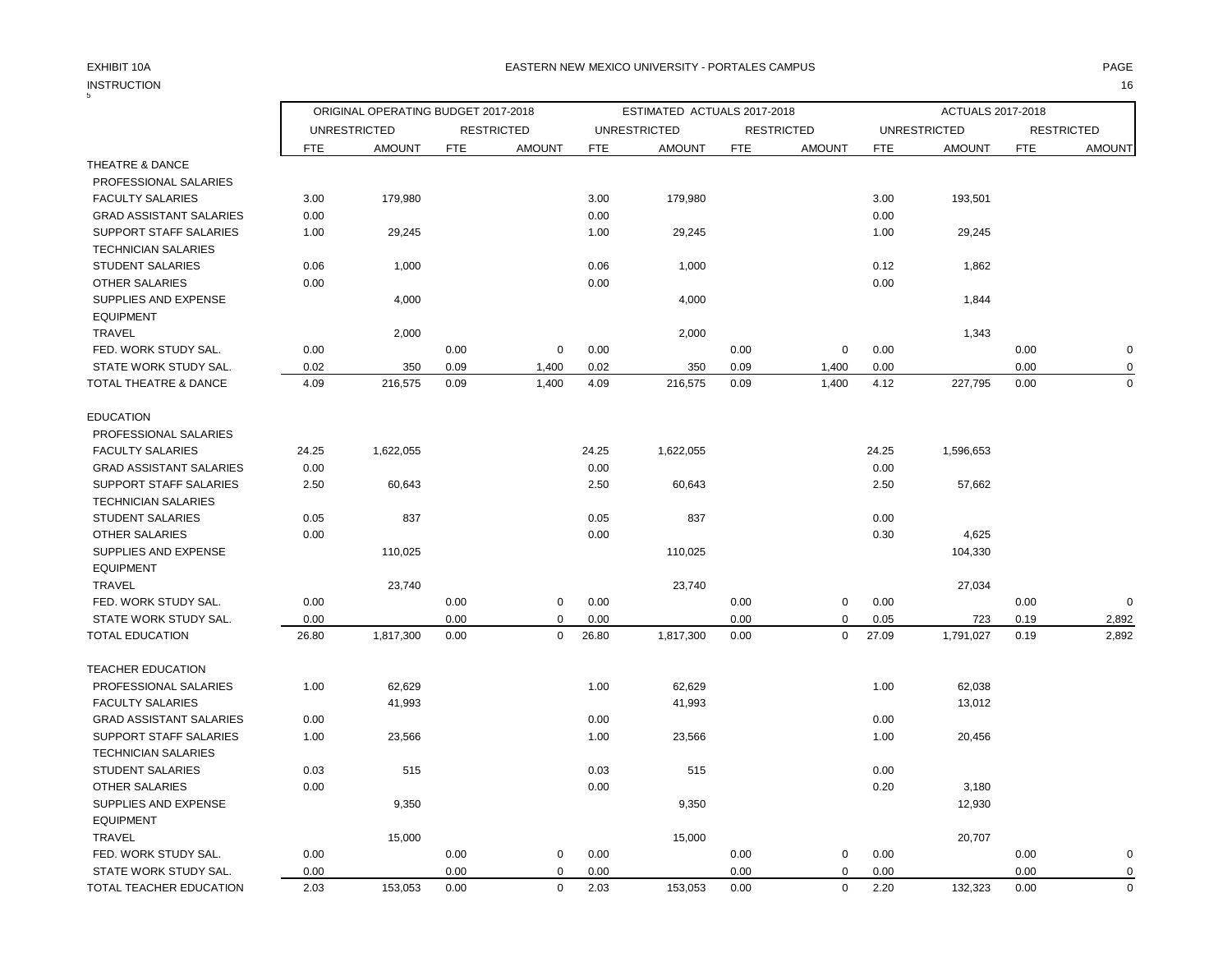## INSTRUCTION 16 INSTRUCTION<br>5

|                                |            | ORIGINAL OPERATING BUDGET 2017-2018 |            |                   |            | ESTIMATED ACTUALS 2017-2018 |            |                   |            | ACTUALS 2017-2018   |            |                   |
|--------------------------------|------------|-------------------------------------|------------|-------------------|------------|-----------------------------|------------|-------------------|------------|---------------------|------------|-------------------|
|                                |            | <b>UNRESTRICTED</b>                 |            | <b>RESTRICTED</b> |            | <b>UNRESTRICTED</b>         |            | <b>RESTRICTED</b> |            | <b>UNRESTRICTED</b> |            | <b>RESTRICTED</b> |
|                                | <b>FTE</b> | <b>AMOUNT</b>                       | <b>FTE</b> | <b>AMOUNT</b>     | <b>FTE</b> | <b>AMOUNT</b>               | <b>FTE</b> | <b>AMOUNT</b>     | <b>FTE</b> | <b>AMOUNT</b>       | <b>FTE</b> | <b>AMOUNT</b>     |
| THEATRE & DANCE                |            |                                     |            |                   |            |                             |            |                   |            |                     |            |                   |
| PROFESSIONAL SALARIES          |            |                                     |            |                   |            |                             |            |                   |            |                     |            |                   |
| <b>FACULTY SALARIES</b>        | 3.00       | 179,980                             |            |                   | 3.00       | 179,980                     |            |                   | 3.00       | 193,501             |            |                   |
| <b>GRAD ASSISTANT SALARIES</b> | 0.00       |                                     |            |                   | 0.00       |                             |            |                   | 0.00       |                     |            |                   |
| <b>SUPPORT STAFF SALARIES</b>  | 1.00       | 29,245                              |            |                   | 1.00       | 29,245                      |            |                   | 1.00       | 29,245              |            |                   |
| <b>TECHNICIAN SALARIES</b>     |            |                                     |            |                   |            |                             |            |                   |            |                     |            |                   |
| <b>STUDENT SALARIES</b>        | 0.06       | 1,000                               |            |                   | 0.06       | 1,000                       |            |                   | 0.12       | 1,862               |            |                   |
| <b>OTHER SALARIES</b>          | 0.00       |                                     |            |                   | 0.00       |                             |            |                   | 0.00       |                     |            |                   |
| SUPPLIES AND EXPENSE           |            | 4,000                               |            |                   |            | 4,000                       |            |                   |            | 1,844               |            |                   |
| <b>EQUIPMENT</b>               |            |                                     |            |                   |            |                             |            |                   |            |                     |            |                   |
| <b>TRAVEL</b>                  |            | 2,000                               |            |                   |            | 2,000                       |            |                   |            | 1,343               |            |                   |
| FED. WORK STUDY SAL.           | 0.00       |                                     | 0.00       | $\mathbf 0$       | 0.00       |                             | 0.00       | 0                 | 0.00       |                     | 0.00       | $\mathbf 0$       |
| STATE WORK STUDY SAL.          | 0.02       | 350                                 | 0.09       | 1,400             | 0.02       | 350                         | 0.09       | 1,400             | 0.00       |                     | 0.00       | 0                 |
| TOTAL THEATRE & DANCE          | 4.09       | 216,575                             | 0.09       | 1,400             | 4.09       | 216,575                     | 0.09       | 1,400             | 4.12       | 227,795             | 0.00       | $\Omega$          |
|                                |            |                                     |            |                   |            |                             |            |                   |            |                     |            |                   |
| <b>EDUCATION</b>               |            |                                     |            |                   |            |                             |            |                   |            |                     |            |                   |
| PROFESSIONAL SALARIES          |            |                                     |            |                   |            |                             |            |                   |            |                     |            |                   |
| <b>FACULTY SALARIES</b>        | 24.25      | 1,622,055                           |            |                   | 24.25      | 1,622,055                   |            |                   | 24.25      | 1,596,653           |            |                   |
| <b>GRAD ASSISTANT SALARIES</b> | 0.00       |                                     |            |                   | 0.00       |                             |            |                   | 0.00       |                     |            |                   |
| SUPPORT STAFF SALARIES         | 2.50       | 60,643                              |            |                   | 2.50       | 60,643                      |            |                   | 2.50       | 57,662              |            |                   |
| <b>TECHNICIAN SALARIES</b>     |            |                                     |            |                   |            |                             |            |                   |            |                     |            |                   |
| <b>STUDENT SALARIES</b>        | 0.05       | 837                                 |            |                   | 0.05       | 837                         |            |                   | 0.00       |                     |            |                   |
| OTHER SALARIES                 | 0.00       |                                     |            |                   | 0.00       |                             |            |                   | 0.30       | 4,625               |            |                   |
| SUPPLIES AND EXPENSE           |            | 110,025                             |            |                   |            | 110,025                     |            |                   |            | 104,330             |            |                   |
| <b>EQUIPMENT</b>               |            |                                     |            |                   |            |                             |            |                   |            |                     |            |                   |
| TRAVEL                         |            | 23,740                              |            |                   |            | 23,740                      |            |                   |            | 27,034              |            |                   |
| FED. WORK STUDY SAL.           | 0.00       |                                     | 0.00       | $\mathbf 0$       | 0.00       |                             | 0.00       | 0                 | 0.00       |                     | 0.00       | $\mathbf 0$       |
| STATE WORK STUDY SAL.          | 0.00       |                                     | 0.00       | 0                 | 0.00       |                             | 0.00       | 0                 | 0.05       | 723                 | 0.19       | 2,892             |
| <b>TOTAL EDUCATION</b>         | 26.80      | 1,817,300                           | 0.00       | $\mathbf 0$       | 26.80      | 1,817,300                   | 0.00       | $\mathbf 0$       | 27.09      | 1,791,027           | 0.19       | 2,892             |
| TEACHER EDUCATION              |            |                                     |            |                   |            |                             |            |                   |            |                     |            |                   |
| PROFESSIONAL SALARIES          | 1.00       | 62,629                              |            |                   | 1.00       | 62,629                      |            |                   | 1.00       | 62,038              |            |                   |
| <b>FACULTY SALARIES</b>        |            | 41,993                              |            |                   |            | 41,993                      |            |                   |            | 13,012              |            |                   |
| <b>GRAD ASSISTANT SALARIES</b> | 0.00       |                                     |            |                   | 0.00       |                             |            |                   | 0.00       |                     |            |                   |
| <b>SUPPORT STAFF SALARIES</b>  | 1.00       | 23,566                              |            |                   | 1.00       | 23,566                      |            |                   | 1.00       | 20,456              |            |                   |
| <b>TECHNICIAN SALARIES</b>     |            |                                     |            |                   |            |                             |            |                   |            |                     |            |                   |
| <b>STUDENT SALARIES</b>        | 0.03       | 515                                 |            |                   | 0.03       | 515                         |            |                   | 0.00       |                     |            |                   |
| <b>OTHER SALARIES</b>          | 0.00       |                                     |            |                   | 0.00       |                             |            |                   | 0.20       | 3,180               |            |                   |
| SUPPLIES AND EXPENSE           |            | 9,350                               |            |                   |            | 9,350                       |            |                   |            | 12,930              |            |                   |
| <b>EQUIPMENT</b>               |            |                                     |            |                   |            |                             |            |                   |            |                     |            |                   |
| <b>TRAVEL</b>                  |            | 15,000                              |            |                   |            | 15,000                      |            |                   |            | 20,707              |            |                   |
| FED. WORK STUDY SAL.           | 0.00       |                                     | 0.00       | $\mathbf 0$       | 0.00       |                             | 0.00       | 0                 | 0.00       |                     | 0.00       | $\mathbf 0$       |
| STATE WORK STUDY SAL.          | 0.00       |                                     | 0.00       | $\mathbf 0$       | 0.00       |                             | 0.00       | 0                 | 0.00       |                     | 0.00       | $\pmb{0}$         |
| TOTAL TEACHER EDUCATION        | 2.03       | 153,053                             | 0.00       | $\mathbf 0$       | 2.03       | 153,053                     | 0.00       | $\mathbf 0$       | 2.20       | 132,323             | 0.00       | $\mathbf 0$       |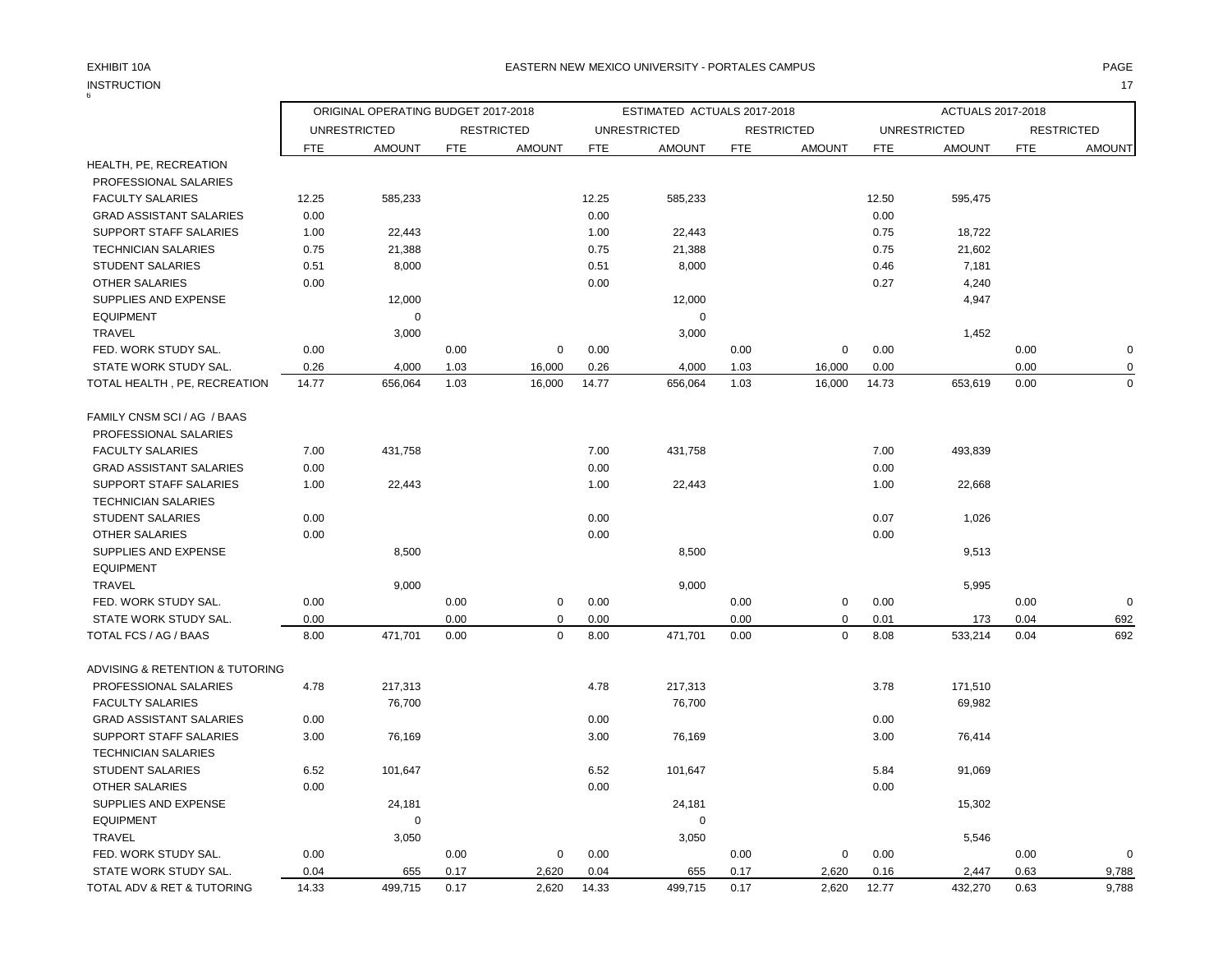### EXHIBIT 10A PAGE EASTERN NEW MEXICO UNIVERSITY - PORTALES CAMPUS

INSTRUCTION 17

| 6                               |            | ORIGINAL OPERATING BUDGET 2017-2018 |      |                   |            | ESTIMATED ACTUALS 2017-2018 |            |                   |            | ACTUALS 2017-2018   |            |                   |
|---------------------------------|------------|-------------------------------------|------|-------------------|------------|-----------------------------|------------|-------------------|------------|---------------------|------------|-------------------|
|                                 |            | <b>UNRESTRICTED</b>                 |      | <b>RESTRICTED</b> |            | <b>UNRESTRICTED</b>         |            | <b>RESTRICTED</b> |            | <b>UNRESTRICTED</b> |            | <b>RESTRICTED</b> |
|                                 | <b>FTE</b> | <b>AMOUNT</b>                       | FTE  | <b>AMOUNT</b>     | <b>FTE</b> | <b>AMOUNT</b>               | <b>FTE</b> | <b>AMOUNT</b>     | <b>FTE</b> | <b>AMOUNT</b>       | <b>FTE</b> | <b>AMOUNT</b>     |
| HEALTH, PE, RECREATION          |            |                                     |      |                   |            |                             |            |                   |            |                     |            |                   |
| PROFESSIONAL SALARIES           |            |                                     |      |                   |            |                             |            |                   |            |                     |            |                   |
| <b>FACULTY SALARIES</b>         | 12.25      | 585,233                             |      |                   | 12.25      | 585,233                     |            |                   | 12.50      | 595,475             |            |                   |
| <b>GRAD ASSISTANT SALARIES</b>  | 0.00       |                                     |      |                   | 0.00       |                             |            |                   | 0.00       |                     |            |                   |
| SUPPORT STAFF SALARIES          | 1.00       | 22,443                              |      |                   | 1.00       | 22,443                      |            |                   | 0.75       | 18,722              |            |                   |
| <b>TECHNICIAN SALARIES</b>      | 0.75       | 21,388                              |      |                   | 0.75       | 21,388                      |            |                   | 0.75       | 21,602              |            |                   |
| <b>STUDENT SALARIES</b>         | 0.51       | 8,000                               |      |                   | 0.51       | 8,000                       |            |                   | 0.46       | 7,181               |            |                   |
| <b>OTHER SALARIES</b>           | 0.00       |                                     |      |                   | 0.00       |                             |            |                   | 0.27       | 4,240               |            |                   |
| SUPPLIES AND EXPENSE            |            | 12,000                              |      |                   |            | 12,000                      |            |                   |            | 4,947               |            |                   |
| <b>EQUIPMENT</b>                |            | $\mathbf 0$                         |      |                   |            | $\mathbf 0$                 |            |                   |            |                     |            |                   |
| <b>TRAVEL</b>                   |            | 3,000                               |      |                   |            | 3,000                       |            |                   |            | 1,452               |            |                   |
| FED. WORK STUDY SAL.            | 0.00       |                                     | 0.00 | $\mathbf 0$       | 0.00       |                             | 0.00       | 0                 | 0.00       |                     | 0.00       | $\mathbf 0$       |
| STATE WORK STUDY SAL.           | 0.26       | 4,000                               | 1.03 | 16,000            | 0.26       | 4,000                       | 1.03       | 16,000            | 0.00       |                     | 0.00       | 0                 |
| TOTAL HEALTH, PE, RECREATION    | 14.77      | 656,064                             | 1.03 | 16,000            | 14.77      | 656,064                     | 1.03       | 16,000            | 14.73      | 653,619             | 0.00       | $\mathbf 0$       |
| FAMILY CNSM SCI / AG / BAAS     |            |                                     |      |                   |            |                             |            |                   |            |                     |            |                   |
| PROFESSIONAL SALARIES           |            |                                     |      |                   |            |                             |            |                   |            |                     |            |                   |
| <b>FACULTY SALARIES</b>         | 7.00       | 431,758                             |      |                   | 7.00       | 431,758                     |            |                   | 7.00       | 493,839             |            |                   |
| <b>GRAD ASSISTANT SALARIES</b>  | 0.00       |                                     |      |                   | 0.00       |                             |            |                   | 0.00       |                     |            |                   |
| SUPPORT STAFF SALARIES          | 1.00       | 22,443                              |      |                   | 1.00       | 22,443                      |            |                   | 1.00       | 22,668              |            |                   |
| <b>TECHNICIAN SALARIES</b>      |            |                                     |      |                   |            |                             |            |                   |            |                     |            |                   |
| <b>STUDENT SALARIES</b>         | 0.00       |                                     |      |                   | 0.00       |                             |            |                   | 0.07       | 1,026               |            |                   |
| <b>OTHER SALARIES</b>           | 0.00       |                                     |      |                   | 0.00       |                             |            |                   | 0.00       |                     |            |                   |
| SUPPLIES AND EXPENSE            |            | 8,500                               |      |                   |            | 8,500                       |            |                   |            | 9,513               |            |                   |
| <b>EQUIPMENT</b>                |            |                                     |      |                   |            |                             |            |                   |            |                     |            |                   |
| <b>TRAVEL</b>                   |            | 9,000                               |      |                   |            | 9,000                       |            |                   |            | 5,995               |            |                   |
| FED. WORK STUDY SAL.            | 0.00       |                                     | 0.00 | $\mathsf 0$       | 0.00       |                             | 0.00       | $\pmb{0}$         | 0.00       |                     | 0.00       | $\mathbf 0$       |
| STATE WORK STUDY SAL.           | 0.00       |                                     | 0.00 | $\Omega$          | 0.00       |                             | 0.00       | $\mathbf 0$       | 0.01       | 173                 | 0.04       | 692               |
| TOTAL FCS / AG / BAAS           | 8.00       | 471,701                             | 0.00 | $\mathbf 0$       | 8.00       | 471,701                     | 0.00       | $\Omega$          | 8.08       | 533,214             | 0.04       | 692               |
| ADVISING & RETENTION & TUTORING |            |                                     |      |                   |            |                             |            |                   |            |                     |            |                   |
| PROFESSIONAL SALARIES           | 4.78       | 217,313                             |      |                   | 4.78       | 217,313                     |            |                   | 3.78       | 171,510             |            |                   |
| <b>FACULTY SALARIES</b>         |            | 76,700                              |      |                   |            | 76,700                      |            |                   |            | 69,982              |            |                   |
| <b>GRAD ASSISTANT SALARIES</b>  | 0.00       |                                     |      |                   | 0.00       |                             |            |                   | 0.00       |                     |            |                   |
| SUPPORT STAFF SALARIES          | 3.00       | 76,169                              |      |                   | 3.00       | 76,169                      |            |                   | 3.00       | 76,414              |            |                   |
| <b>TECHNICIAN SALARIES</b>      |            |                                     |      |                   |            |                             |            |                   |            |                     |            |                   |
| <b>STUDENT SALARIES</b>         | 6.52       | 101,647                             |      |                   | 6.52       | 101,647                     |            |                   | 5.84       | 91,069              |            |                   |
| <b>OTHER SALARIES</b>           | 0.00       |                                     |      |                   | 0.00       |                             |            |                   | 0.00       |                     |            |                   |
| SUPPLIES AND EXPENSE            |            | 24,181                              |      |                   |            | 24,181                      |            |                   |            | 15,302              |            |                   |
| <b>EQUIPMENT</b>                |            | $\mathbf 0$                         |      |                   |            | $\mathbf 0$                 |            |                   |            |                     |            |                   |
| <b>TRAVEL</b>                   |            | 3,050                               |      |                   |            | 3,050                       |            |                   |            | 5,546               |            |                   |
| FED. WORK STUDY SAL.            | 0.00       |                                     | 0.00 | $\mathbf 0$       | 0.00       |                             | 0.00       | 0                 | 0.00       |                     | 0.00       | $\mathbf 0$       |
| STATE WORK STUDY SAL.           | 0.04       | 655                                 | 0.17 | 2,620             | 0.04       | 655                         | 0.17       | 2,620             | 0.16       | 2,447               | 0.63       | 9,788             |
| TOTAL ADV & RET & TUTORING      | 14.33      | 499,715                             | 0.17 | 2,620             | 14.33      | 499,715                     | 0.17       | 2,620             | 12.77      | 432,270             | 0.63       | 9,788             |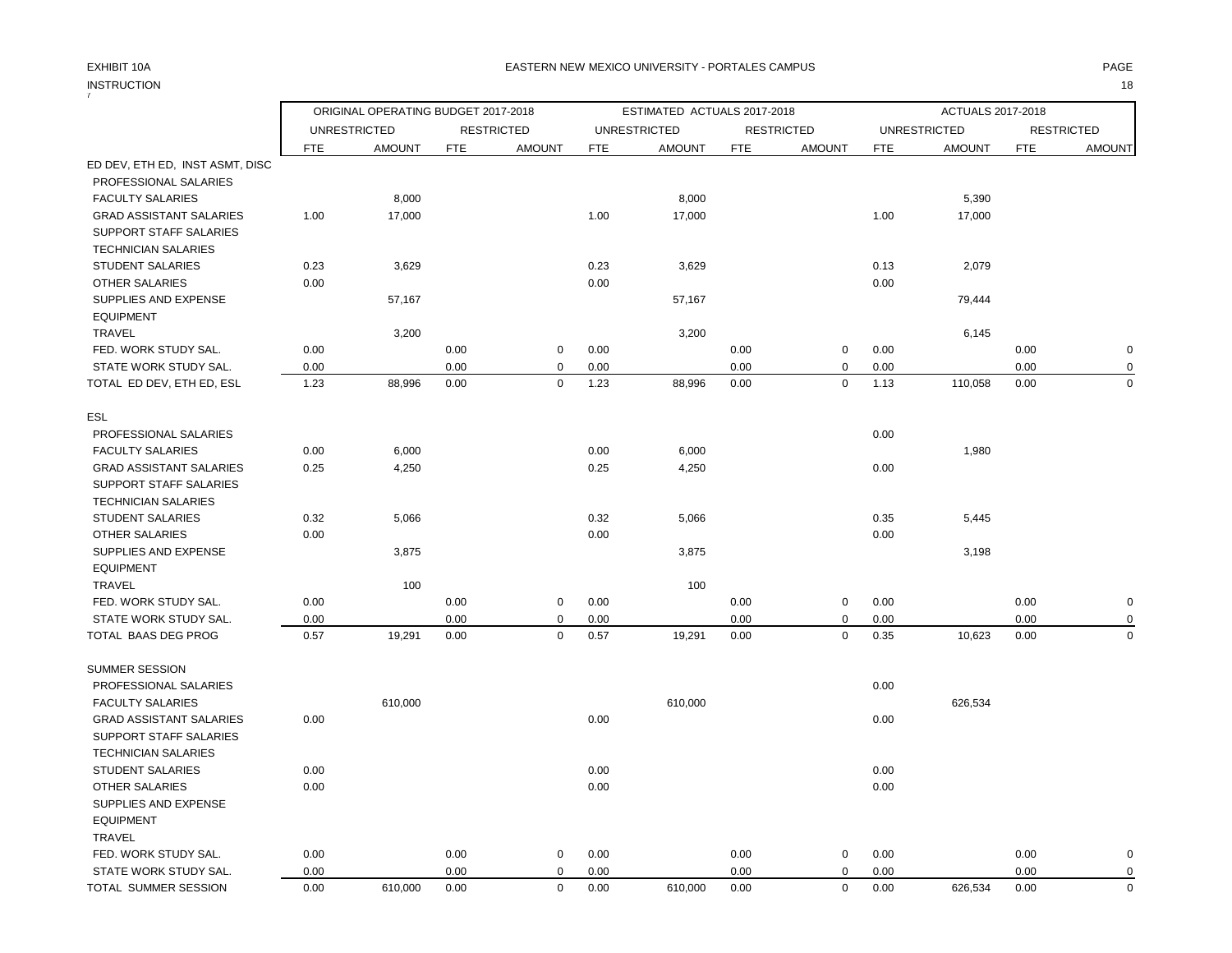### EXHIBIT 10A PAGE EASTERN NEW MEXICO UNIVERSITY - PORTALES CAMPUS

INSTRUCTION 18

| 7                               |            |                                      |            |                   |            |                             |            |                   |            |                     |            |                                    |
|---------------------------------|------------|--------------------------------------|------------|-------------------|------------|-----------------------------|------------|-------------------|------------|---------------------|------------|------------------------------------|
|                                 |            | ORIGINAL OPERATING BUDGET 2017-2018  |            |                   |            | ESTIMATED ACTUALS 2017-2018 |            |                   |            | ACTUALS 2017-2018   |            |                                    |
|                                 |            | <b>UNRESTRICTED</b><br><b>AMOUNT</b> |            | <b>RESTRICTED</b> |            | <b>UNRESTRICTED</b>         |            | <b>RESTRICTED</b> |            | <b>UNRESTRICTED</b> |            | <b>RESTRICTED</b><br><b>AMOUNT</b> |
| ED DEV, ETH ED, INST ASMT, DISC | <b>FTE</b> |                                      | <b>FTE</b> | <b>AMOUNT</b>     | <b>FTE</b> | <b>AMOUNT</b>               | <b>FTE</b> | <b>AMOUNT</b>     | <b>FTE</b> | <b>AMOUNT</b>       | <b>FTE</b> |                                    |
| PROFESSIONAL SALARIES           |            |                                      |            |                   |            |                             |            |                   |            |                     |            |                                    |
| <b>FACULTY SALARIES</b>         |            | 8,000                                |            |                   |            | 8,000                       |            |                   |            | 5,390               |            |                                    |
| <b>GRAD ASSISTANT SALARIES</b>  | 1.00       | 17,000                               |            |                   | 1.00       | 17,000                      |            |                   | 1.00       | 17,000              |            |                                    |
| SUPPORT STAFF SALARIES          |            |                                      |            |                   |            |                             |            |                   |            |                     |            |                                    |
| <b>TECHNICIAN SALARIES</b>      |            |                                      |            |                   |            |                             |            |                   |            |                     |            |                                    |
| <b>STUDENT SALARIES</b>         | 0.23       | 3,629                                |            |                   | 0.23       | 3,629                       |            |                   | 0.13       | 2,079               |            |                                    |
| OTHER SALARIES                  | 0.00       |                                      |            |                   | 0.00       |                             |            |                   | 0.00       |                     |            |                                    |
| SUPPLIES AND EXPENSE            |            | 57,167                               |            |                   |            | 57,167                      |            |                   |            | 79,444              |            |                                    |
| <b>EQUIPMENT</b>                |            |                                      |            |                   |            |                             |            |                   |            |                     |            |                                    |
| <b>TRAVEL</b>                   |            | 3,200                                |            |                   |            | 3,200                       |            |                   |            | 6,145               |            |                                    |
| FED. WORK STUDY SAL.            | 0.00       |                                      | 0.00       | $\mathbf 0$       | 0.00       |                             | 0.00       | 0                 | 0.00       |                     | 0.00       | $\mathbf 0$                        |
| STATE WORK STUDY SAL.           | 0.00       |                                      | 0.00       | $\mathbf 0$       | 0.00       |                             | 0.00       | 0                 | 0.00       |                     | 0.00       | 0                                  |
| TOTAL ED DEV, ETH ED, ESL       | 1.23       | 88,996                               | 0.00       | $\mathbf 0$       | 1.23       | 88,996                      | 0.00       | $\mathbf 0$       | 1.13       | 110,058             | 0.00       | $\mathbf 0$                        |
| ESL                             |            |                                      |            |                   |            |                             |            |                   |            |                     |            |                                    |
| PROFESSIONAL SALARIES           |            |                                      |            |                   |            |                             |            |                   | 0.00       |                     |            |                                    |
| <b>FACULTY SALARIES</b>         | 0.00       | 6,000                                |            |                   | 0.00       | 6,000                       |            |                   |            | 1,980               |            |                                    |
| <b>GRAD ASSISTANT SALARIES</b>  | 0.25       | 4,250                                |            |                   | 0.25       | 4,250                       |            |                   | 0.00       |                     |            |                                    |
| <b>SUPPORT STAFF SALARIES</b>   |            |                                      |            |                   |            |                             |            |                   |            |                     |            |                                    |
| <b>TECHNICIAN SALARIES</b>      |            |                                      |            |                   |            |                             |            |                   |            |                     |            |                                    |
| <b>STUDENT SALARIES</b>         | 0.32       | 5,066                                |            |                   | 0.32       | 5,066                       |            |                   | 0.35       | 5,445               |            |                                    |
| OTHER SALARIES                  | 0.00       |                                      |            |                   | 0.00       |                             |            |                   | 0.00       |                     |            |                                    |
| SUPPLIES AND EXPENSE            |            | 3,875                                |            |                   |            | 3,875                       |            |                   |            | 3,198               |            |                                    |
| <b>EQUIPMENT</b>                |            |                                      |            |                   |            |                             |            |                   |            |                     |            |                                    |
| <b>TRAVEL</b>                   |            | 100                                  |            |                   |            | 100                         |            |                   |            |                     |            |                                    |
| FED. WORK STUDY SAL.            | 0.00       |                                      | 0.00       | $\mathsf 0$       | 0.00       |                             | 0.00       | $\pmb{0}$         | 0.00       |                     | 0.00       | $\pmb{0}$                          |
| STATE WORK STUDY SAL.           | 0.00       |                                      | 0.00       | $\mathbf 0$       | 0.00       |                             | 0.00       | $\mathbf 0$       | 0.00       |                     | 0.00       | $\mathbf 0$                        |
| TOTAL BAAS DEG PROG             | 0.57       | 19,291                               | 0.00       | $\mathbf 0$       | 0.57       | 19,291                      | 0.00       | $\mathbf 0$       | 0.35       | 10,623              | 0.00       | $\mathbf 0$                        |
| <b>SUMMER SESSION</b>           |            |                                      |            |                   |            |                             |            |                   |            |                     |            |                                    |
| PROFESSIONAL SALARIES           |            |                                      |            |                   |            |                             |            |                   | 0.00       |                     |            |                                    |
| <b>FACULTY SALARIES</b>         |            | 610,000                              |            |                   |            | 610,000                     |            |                   |            | 626,534             |            |                                    |
| <b>GRAD ASSISTANT SALARIES</b>  | 0.00       |                                      |            |                   | 0.00       |                             |            |                   | 0.00       |                     |            |                                    |
| SUPPORT STAFF SALARIES          |            |                                      |            |                   |            |                             |            |                   |            |                     |            |                                    |
| <b>TECHNICIAN SALARIES</b>      |            |                                      |            |                   |            |                             |            |                   |            |                     |            |                                    |
| <b>STUDENT SALARIES</b>         | 0.00       |                                      |            |                   | 0.00       |                             |            |                   | 0.00       |                     |            |                                    |
| OTHER SALARIES                  | 0.00       |                                      |            |                   | 0.00       |                             |            |                   | 0.00       |                     |            |                                    |
| SUPPLIES AND EXPENSE            |            |                                      |            |                   |            |                             |            |                   |            |                     |            |                                    |
| <b>EQUIPMENT</b>                |            |                                      |            |                   |            |                             |            |                   |            |                     |            |                                    |
| <b>TRAVEL</b>                   |            |                                      |            |                   |            |                             |            |                   |            |                     |            |                                    |
| FED. WORK STUDY SAL.            | 0.00       |                                      | 0.00       | $\mathbf 0$       | 0.00       |                             | 0.00       | 0                 | 0.00       |                     | 0.00       | $\mathbf 0$                        |
| STATE WORK STUDY SAL.           | 0.00       |                                      | 0.00       | $\mathbf 0$       | 0.00       |                             | 0.00       | $\mathbf 0$       | 0.00       |                     | 0.00       | $\mathbf 0$                        |
| TOTAL SUMMER SESSION            | 0.00       | 610,000                              | 0.00       | $\mathbf 0$       | 0.00       | 610,000                     | 0.00       | $\mathbf 0$       | 0.00       | 626,534             | 0.00       | $\mathbf 0$                        |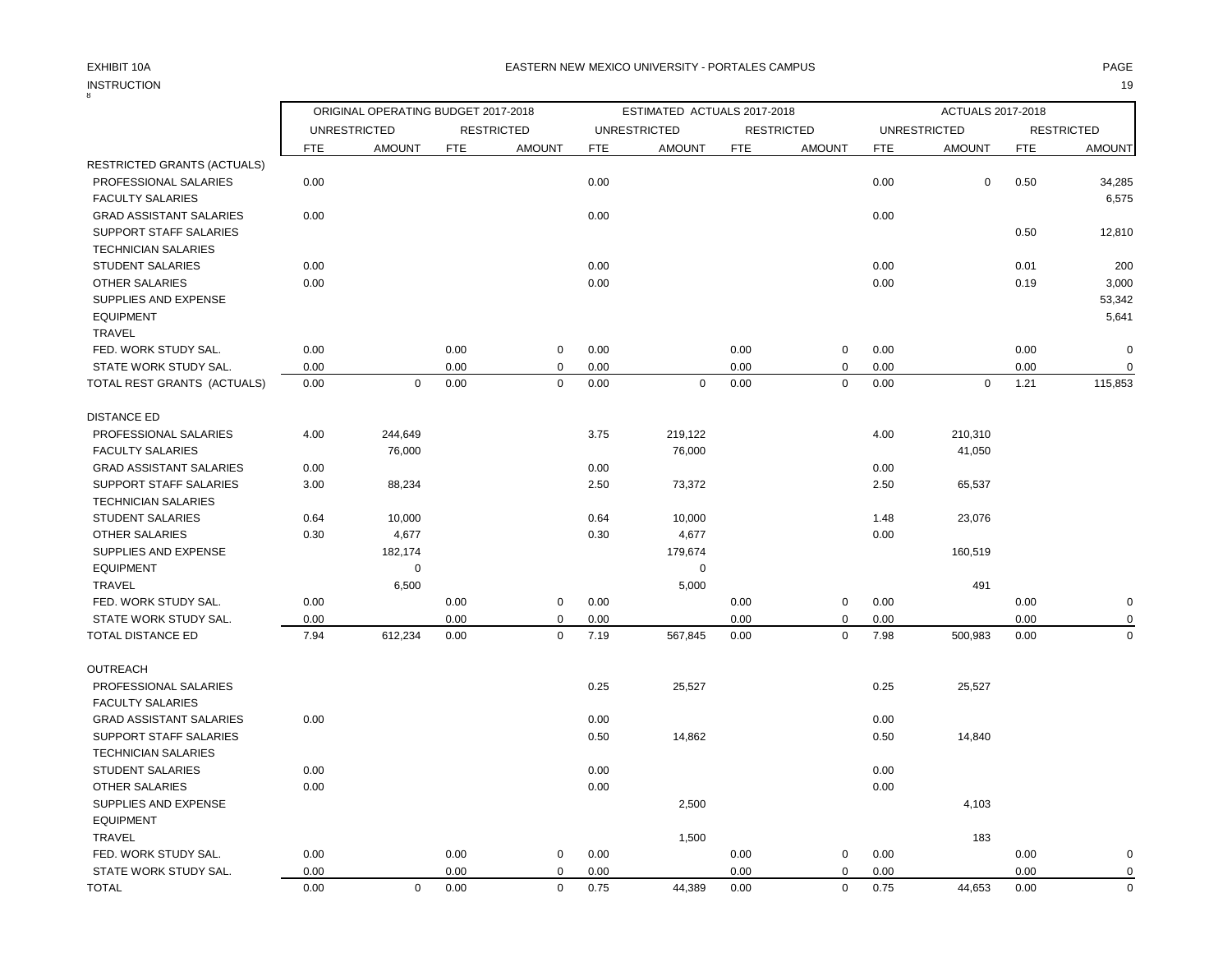## INSTRUCTION 19 INSTRUCTION

|                                    |                     | ORIGINAL OPERATING BUDGET 2017-2018 |            |                   |            | ESTIMATED ACTUALS 2017-2018 |            |                   |            | ACTUALS 2017-2018   |      |                   |
|------------------------------------|---------------------|-------------------------------------|------------|-------------------|------------|-----------------------------|------------|-------------------|------------|---------------------|------|-------------------|
|                                    | <b>UNRESTRICTED</b> |                                     |            | <b>RESTRICTED</b> |            | <b>UNRESTRICTED</b>         |            | <b>RESTRICTED</b> |            | <b>UNRESTRICTED</b> |      | <b>RESTRICTED</b> |
|                                    | FTE                 | <b>AMOUNT</b>                       | <b>FTE</b> | <b>AMOUNT</b>     | <b>FTE</b> | <b>AMOUNT</b>               | <b>FTE</b> | <b>AMOUNT</b>     | <b>FTE</b> | <b>AMOUNT</b>       | FTE  | <b>AMOUNT</b>     |
| <b>RESTRICTED GRANTS (ACTUALS)</b> |                     |                                     |            |                   |            |                             |            |                   |            |                     |      |                   |
| PROFESSIONAL SALARIES              | 0.00                |                                     |            |                   | 0.00       |                             |            |                   | 0.00       | $\mathbf 0$         | 0.50 | 34,285            |
| <b>FACULTY SALARIES</b>            |                     |                                     |            |                   |            |                             |            |                   |            |                     |      | 6,575             |
| <b>GRAD ASSISTANT SALARIES</b>     | 0.00                |                                     |            |                   | 0.00       |                             |            |                   | 0.00       |                     |      |                   |
| <b>SUPPORT STAFF SALARIES</b>      |                     |                                     |            |                   |            |                             |            |                   |            |                     | 0.50 | 12,810            |
| <b>TECHNICIAN SALARIES</b>         |                     |                                     |            |                   |            |                             |            |                   |            |                     |      |                   |
| <b>STUDENT SALARIES</b>            | 0.00                |                                     |            |                   | 0.00       |                             |            |                   | 0.00       |                     | 0.01 | 200               |
| <b>OTHER SALARIES</b>              | 0.00                |                                     |            |                   | 0.00       |                             |            |                   | 0.00       |                     | 0.19 | 3,000             |
| SUPPLIES AND EXPENSE               |                     |                                     |            |                   |            |                             |            |                   |            |                     |      | 53,342            |
| <b>EQUIPMENT</b>                   |                     |                                     |            |                   |            |                             |            |                   |            |                     |      | 5,641             |
| TRAVEL                             |                     |                                     |            |                   |            |                             |            |                   |            |                     |      |                   |
| FED. WORK STUDY SAL.               | 0.00                |                                     | 0.00       | 0                 | 0.00       |                             | 0.00       | $\pmb{0}$         | 0.00       |                     | 0.00 | $\mathbf 0$       |
| STATE WORK STUDY SAL.              | 0.00                |                                     | 0.00       | 0                 | 0.00       |                             | 0.00       | $\mathbf 0$       | 0.00       |                     | 0.00 |                   |
| TOTAL REST GRANTS (ACTUALS)        | 0.00                | $\mathbf 0$                         | 0.00       | $\mathbf 0$       | 0.00       | $\mathbf 0$                 | 0.00       | $\mathbf 0$       | 0.00       | $\mathbf 0$         | 1.21 | 115,853           |
| <b>DISTANCE ED</b>                 |                     |                                     |            |                   |            |                             |            |                   |            |                     |      |                   |
| PROFESSIONAL SALARIES              | 4.00                | 244,649                             |            |                   | 3.75       | 219,122                     |            |                   | 4.00       | 210,310             |      |                   |
| <b>FACULTY SALARIES</b>            |                     | 76,000                              |            |                   |            | 76,000                      |            |                   |            | 41,050              |      |                   |
| <b>GRAD ASSISTANT SALARIES</b>     | 0.00                |                                     |            |                   | 0.00       |                             |            |                   | 0.00       |                     |      |                   |
| SUPPORT STAFF SALARIES             | 3.00                | 88,234                              |            |                   | 2.50       | 73,372                      |            |                   | 2.50       | 65,537              |      |                   |
| <b>TECHNICIAN SALARIES</b>         |                     |                                     |            |                   |            |                             |            |                   |            |                     |      |                   |
| <b>STUDENT SALARIES</b>            | 0.64                | 10,000                              |            |                   | 0.64       | 10,000                      |            |                   | 1.48       | 23,076              |      |                   |
| <b>OTHER SALARIES</b>              | 0.30                | 4,677                               |            |                   | 0.30       | 4,677                       |            |                   | 0.00       |                     |      |                   |
| SUPPLIES AND EXPENSE               |                     | 182,174                             |            |                   |            | 179,674                     |            |                   |            | 160,519             |      |                   |
| <b>EQUIPMENT</b>                   |                     | $\mathbf 0$                         |            |                   |            | $\mathbf 0$                 |            |                   |            |                     |      |                   |
| <b>TRAVEL</b>                      |                     | 6,500                               |            |                   |            | 5,000                       |            |                   |            | 491                 |      |                   |
| FED. WORK STUDY SAL.               | 0.00                |                                     | 0.00       | 0                 | 0.00       |                             | 0.00       | $\pmb{0}$         | 0.00       |                     | 0.00 | O                 |
| STATE WORK STUDY SAL.              | 0.00                |                                     | 0.00       | $\mathbf 0$       | 0.00       |                             | 0.00       | $\mathbf 0$       | 0.00       |                     | 0.00 |                   |
| <b>TOTAL DISTANCE ED</b>           | 7.94                | 612,234                             | 0.00       | $\mathbf 0$       | 7.19       | 567,845                     | 0.00       | $\mathbf 0$       | 7.98       | 500,983             | 0.00 | $\Omega$          |
| <b>OUTREACH</b>                    |                     |                                     |            |                   |            |                             |            |                   |            |                     |      |                   |
| PROFESSIONAL SALARIES              |                     |                                     |            |                   | 0.25       | 25,527                      |            |                   | 0.25       | 25,527              |      |                   |
| <b>FACULTY SALARIES</b>            |                     |                                     |            |                   |            |                             |            |                   |            |                     |      |                   |
| <b>GRAD ASSISTANT SALARIES</b>     | 0.00                |                                     |            |                   | 0.00       |                             |            |                   | 0.00       |                     |      |                   |
| <b>SUPPORT STAFF SALARIES</b>      |                     |                                     |            |                   | 0.50       | 14,862                      |            |                   | 0.50       | 14,840              |      |                   |
| <b>TECHNICIAN SALARIES</b>         |                     |                                     |            |                   |            |                             |            |                   |            |                     |      |                   |
| <b>STUDENT SALARIES</b>            | 0.00                |                                     |            |                   | 0.00       |                             |            |                   | 0.00       |                     |      |                   |
| <b>OTHER SALARIES</b>              | 0.00                |                                     |            |                   | 0.00       |                             |            |                   | 0.00       |                     |      |                   |
| SUPPLIES AND EXPENSE               |                     |                                     |            |                   |            | 2,500                       |            |                   |            | 4,103               |      |                   |
| <b>EQUIPMENT</b>                   |                     |                                     |            |                   |            |                             |            |                   |            |                     |      |                   |
| TRAVEL                             |                     |                                     |            |                   |            | 1,500                       |            |                   |            | 183                 |      |                   |
| FED. WORK STUDY SAL.               | 0.00                |                                     | 0.00       | 0                 | 0.00       |                             | 0.00       | $\mathbf 0$       | 0.00       |                     | 0.00 | O                 |
| STATE WORK STUDY SAL.              | 0.00                |                                     | 0.00       | $\mathbf 0$       | 0.00       |                             | 0.00       | $\mathbf 0$       | 0.00       |                     | 0.00 | $\Omega$          |

TOTAL 0.00 0 0.00 0 0.75 44,389 0.00 0 0.75 44,653 0.00 0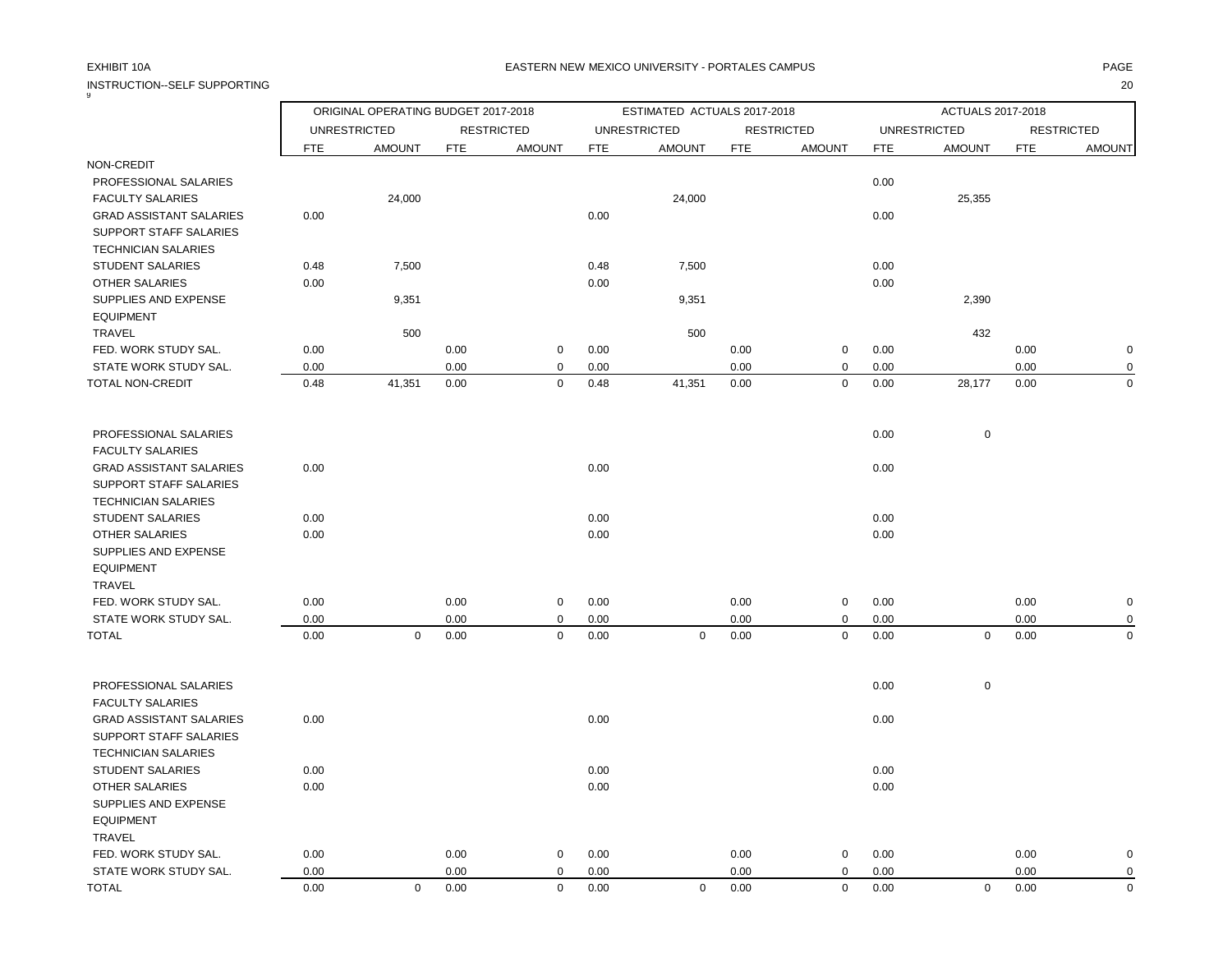| INSTRUCTION--SELF SUPPORTING                  |              |                                     |              |                            |              |                             |              |                            |              |                     |              | 20                |
|-----------------------------------------------|--------------|-------------------------------------|--------------|----------------------------|--------------|-----------------------------|--------------|----------------------------|--------------|---------------------|--------------|-------------------|
|                                               |              | ORIGINAL OPERATING BUDGET 2017-2018 |              |                            |              | ESTIMATED ACTUALS 2017-2018 |              |                            |              | ACTUALS 2017-2018   |              |                   |
|                                               |              | <b>UNRESTRICTED</b>                 |              | <b>RESTRICTED</b>          |              | <b>UNRESTRICTED</b>         |              | <b>RESTRICTED</b>          |              | <b>UNRESTRICTED</b> |              | <b>RESTRICTED</b> |
|                                               | FTE          | <b>AMOUNT</b>                       | <b>FTE</b>   | <b>AMOUNT</b>              | <b>FTE</b>   | <b>AMOUNT</b>               | <b>FTE</b>   | <b>AMOUNT</b>              | <b>FTE</b>   | <b>AMOUNT</b>       | FTE          | <b>AMOUNT</b>     |
| NON-CREDIT                                    |              |                                     |              |                            |              |                             |              |                            |              |                     |              |                   |
| PROFESSIONAL SALARIES                         |              |                                     |              |                            |              |                             |              |                            | 0.00         |                     |              |                   |
| <b>FACULTY SALARIES</b>                       |              | 24,000                              |              |                            |              | 24,000                      |              |                            |              | 25,355              |              |                   |
| <b>GRAD ASSISTANT SALARIES</b>                | 0.00         |                                     |              |                            | 0.00         |                             |              |                            | 0.00         |                     |              |                   |
| SUPPORT STAFF SALARIES                        |              |                                     |              |                            |              |                             |              |                            |              |                     |              |                   |
| <b>TECHNICIAN SALARIES</b>                    |              |                                     |              |                            |              |                             |              |                            |              |                     |              |                   |
| <b>STUDENT SALARIES</b>                       | 0.48         | 7,500                               |              |                            | 0.48         | 7,500                       |              |                            | 0.00         |                     |              |                   |
| <b>OTHER SALARIES</b>                         | 0.00         |                                     |              |                            | 0.00         |                             |              |                            | 0.00         |                     |              |                   |
| SUPPLIES AND EXPENSE                          |              | 9,351                               |              |                            |              | 9,351                       |              |                            |              | 2,390               |              |                   |
| <b>EQUIPMENT</b>                              |              |                                     |              |                            |              |                             |              |                            |              |                     |              |                   |
| <b>TRAVEL</b>                                 |              | 500                                 |              |                            |              | 500                         |              |                            |              | 432                 |              |                   |
| FED. WORK STUDY SAL.<br>STATE WORK STUDY SAL. | 0.00<br>0.00 |                                     | 0.00<br>0.00 | $\mathbf 0$<br>$\mathbf 0$ | 0.00<br>0.00 |                             | 0.00<br>0.00 | $\mathbf 0$<br>0           | 0.00<br>0.00 |                     | 0.00<br>0.00 | O<br>$\Omega$     |
| TOTAL NON-CREDIT                              | 0.48         | 41,351                              | 0.00         | $\mathsf 0$                | 0.48         | 41,351                      | $0.00\,$     | $\mathbf 0$                | 0.00         | 28,177              | 0.00         | $\Omega$          |
|                                               |              |                                     |              |                            |              |                             |              |                            |              |                     |              |                   |
| PROFESSIONAL SALARIES                         |              |                                     |              |                            |              |                             |              |                            | 0.00         | $\mathbf 0$         |              |                   |
| <b>FACULTY SALARIES</b>                       |              |                                     |              |                            |              |                             |              |                            |              |                     |              |                   |
| <b>GRAD ASSISTANT SALARIES</b>                | 0.00         |                                     |              |                            | 0.00         |                             |              |                            | 0.00         |                     |              |                   |
| SUPPORT STAFF SALARIES                        |              |                                     |              |                            |              |                             |              |                            |              |                     |              |                   |
| <b>TECHNICIAN SALARIES</b>                    |              |                                     |              |                            |              |                             |              |                            |              |                     |              |                   |
| <b>STUDENT SALARIES</b>                       | 0.00         |                                     |              |                            | 0.00         |                             |              |                            | 0.00         |                     |              |                   |
| OTHER SALARIES                                | 0.00         |                                     |              |                            | 0.00         |                             |              |                            | 0.00         |                     |              |                   |
| SUPPLIES AND EXPENSE                          |              |                                     |              |                            |              |                             |              |                            |              |                     |              |                   |
| <b>EQUIPMENT</b>                              |              |                                     |              |                            |              |                             |              |                            |              |                     |              |                   |
| <b>TRAVEL</b>                                 |              |                                     |              |                            |              |                             |              |                            |              |                     |              |                   |
| FED. WORK STUDY SAL.                          | 0.00<br>0.00 |                                     | 0.00<br>0.00 | 0<br>$\mathbf 0$           | 0.00         |                             | 0.00         | 0                          | 0.00         |                     | 0.00<br>0.00 |                   |
| STATE WORK STUDY SAL.<br><b>TOTAL</b>         | 0.00         | $\mathbf 0$                         | 0.00         | $\mathbf 0$                | 0.00<br>0.00 | $\pmb{0}$                   | 0.00<br>0.00 | $\mathbf 0$<br>$\mathbf 0$ | 0.00<br>0.00 | $\mathsf 0$         | 0.00         | $\Omega$          |
|                                               |              |                                     |              |                            |              |                             |              |                            |              |                     |              |                   |
| PROFESSIONAL SALARIES                         |              |                                     |              |                            |              |                             |              |                            | 0.00         | $\mathsf 0$         |              |                   |
| <b>FACULTY SALARIES</b>                       |              |                                     |              |                            |              |                             |              |                            |              |                     |              |                   |
| <b>GRAD ASSISTANT SALARIES</b>                | 0.00         |                                     |              |                            | 0.00         |                             |              |                            | 0.00         |                     |              |                   |
| <b>SUPPORT STAFF SALARIES</b>                 |              |                                     |              |                            |              |                             |              |                            |              |                     |              |                   |
| <b>TECHNICIAN SALARIES</b>                    |              |                                     |              |                            |              |                             |              |                            |              |                     |              |                   |
| <b>STUDENT SALARIES</b>                       | 0.00         |                                     |              |                            | 0.00         |                             |              |                            | 0.00         |                     |              |                   |
| <b>OTHER SALARIES</b>                         | 0.00         |                                     |              |                            | 0.00         |                             |              |                            | 0.00         |                     |              |                   |
| SUPPLIES AND EXPENSE                          |              |                                     |              |                            |              |                             |              |                            |              |                     |              |                   |
| <b>EQUIPMENT</b>                              |              |                                     |              |                            |              |                             |              |                            |              |                     |              |                   |
| <b>TRAVEL</b>                                 |              |                                     |              |                            |              |                             |              |                            |              |                     |              |                   |
| FED. WORK STUDY SAL.                          | 0.00         |                                     | 0.00         | 0<br>$\mathbf 0$           | 0.00         |                             | 0.00         | 0<br>0                     | 0.00         |                     | 0.00         | O<br>$\Omega$     |
| STATE WORK STUDY SAL.                         | 0.00         |                                     | 0.00         |                            | 0.00         |                             | 0.00         |                            | 0.00         |                     | 0.00         |                   |

TOTAL 0.00 0 0.00 0 0.00 0 0.00 0 0.00 0 0.00 0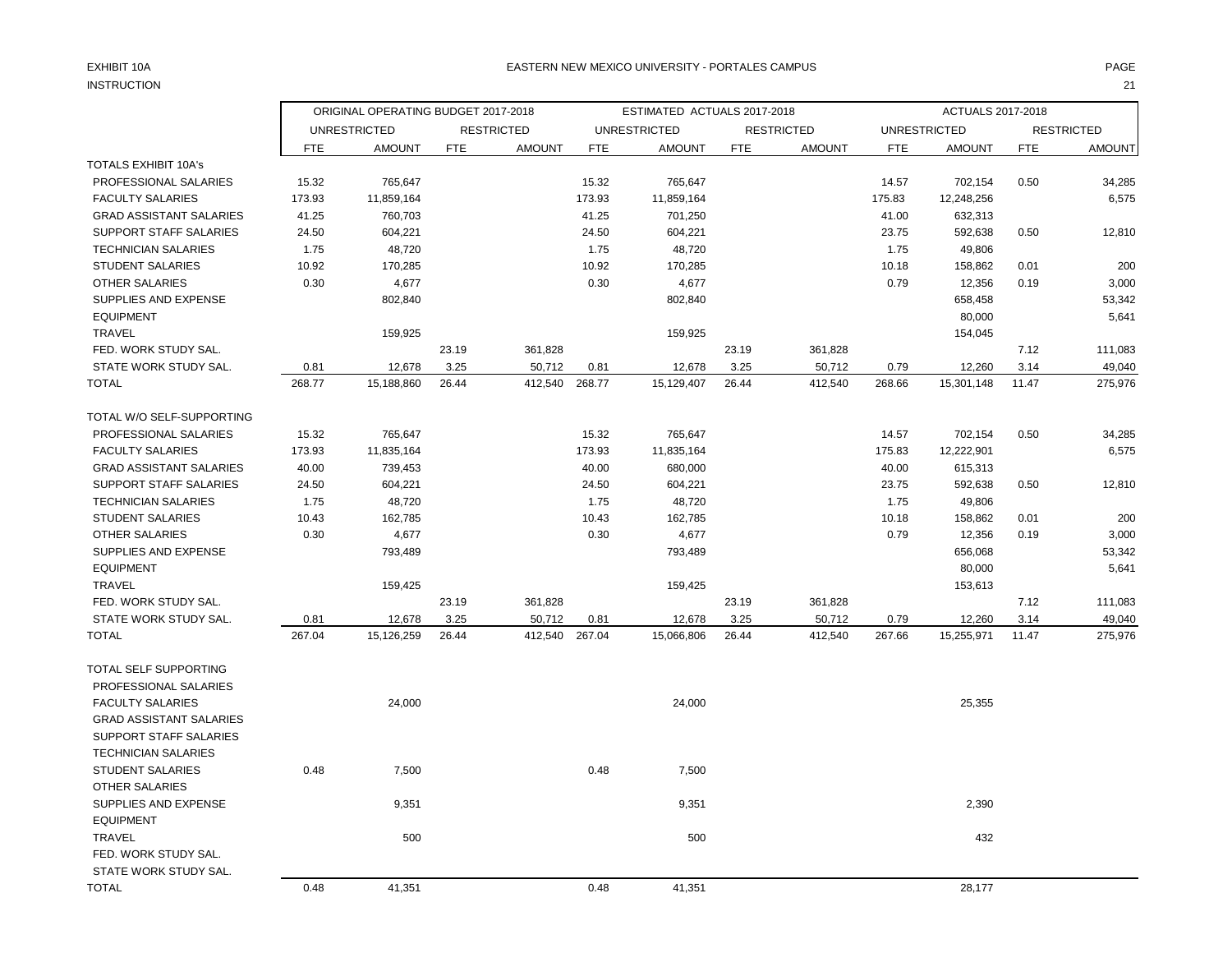## INSTRUCTION 21

## EXHIBIT 10A PAGE PAGE AND THE SERVICE OF THE SERVICE OF THE SERVICE OF THE SERVICE OF THE SERVICE OF THE SERVICE OF THE SERVICE OF THE SERVICE OF THE SERVICE OF THE SERVICE OF THE SERVICE OF THE SERVICE OF THE SERVICE OF T

|                                |        | ORIGINAL OPERATING BUDGET 2017-2018 |            |                   |            | ESTIMATED ACTUALS 2017-2018 |            |                   |            | ACTUALS 2017-2018   |            |                   |
|--------------------------------|--------|-------------------------------------|------------|-------------------|------------|-----------------------------|------------|-------------------|------------|---------------------|------------|-------------------|
|                                |        | <b>UNRESTRICTED</b>                 |            | <b>RESTRICTED</b> |            | <b>UNRESTRICTED</b>         |            | <b>RESTRICTED</b> |            | <b>UNRESTRICTED</b> |            | <b>RESTRICTED</b> |
|                                | FTE    | <b>AMOUNT</b>                       | <b>FTE</b> | <b>AMOUNT</b>     | <b>FTE</b> | <b>AMOUNT</b>               | <b>FTE</b> | <b>AMOUNT</b>     | <b>FTE</b> | <b>AMOUNT</b>       | <b>FTE</b> | <b>AMOUNT</b>     |
| <b>TOTALS EXHIBIT 10A's</b>    |        |                                     |            |                   |            |                             |            |                   |            |                     |            |                   |
| PROFESSIONAL SALARIES          | 15.32  | 765,647                             |            |                   | 15.32      | 765,647                     |            |                   | 14.57      | 702,154             | 0.50       | 34,285            |
| <b>FACULTY SALARIES</b>        | 173.93 | 11,859,164                          |            |                   | 173.93     | 11,859,164                  |            |                   | 175.83     | 12,248,256          |            | 6,575             |
| <b>GRAD ASSISTANT SALARIES</b> | 41.25  | 760,703                             |            |                   | 41.25      | 701,250                     |            |                   | 41.00      | 632,313             |            |                   |
| SUPPORT STAFF SALARIES         | 24.50  | 604,221                             |            |                   | 24.50      | 604,221                     |            |                   | 23.75      | 592,638             | 0.50       | 12,810            |
| <b>TECHNICIAN SALARIES</b>     | 1.75   | 48,720                              |            |                   | 1.75       | 48,720                      |            |                   | 1.75       | 49,806              |            |                   |
| <b>STUDENT SALARIES</b>        | 10.92  | 170,285                             |            |                   | 10.92      | 170,285                     |            |                   | 10.18      | 158,862             | 0.01       | 200               |
| OTHER SALARIES                 | 0.30   | 4,677                               |            |                   | 0.30       | 4,677                       |            |                   | 0.79       | 12,356              | 0.19       | 3,000             |
| SUPPLIES AND EXPENSE           |        | 802,840                             |            |                   |            | 802,840                     |            |                   |            | 658,458             |            | 53,342            |
| <b>EQUIPMENT</b>               |        |                                     |            |                   |            |                             |            |                   |            | 80,000              |            | 5,641             |
| <b>TRAVEL</b>                  |        | 159,925                             |            |                   |            | 159,925                     |            |                   |            | 154,045             |            |                   |
| FED. WORK STUDY SAL.           |        |                                     | 23.19      | 361,828           |            |                             | 23.19      | 361,828           |            |                     | 7.12       | 111,083           |
| STATE WORK STUDY SAL.          | 0.81   | 12,678                              | 3.25       | 50,712            | 0.81       | 12,678                      | 3.25       | 50,712            | 0.79       | 12,260              | 3.14       | 49,040            |
| <b>TOTAL</b>                   | 268.77 | 15,188,860                          | 26.44      | 412,540           | 268.77     | 15,129,407                  | 26.44      | 412,540           | 268.66     | 15,301,148          | 11.47      | 275,976           |
| TOTAL W/O SELF-SUPPORTING      |        |                                     |            |                   |            |                             |            |                   |            |                     |            |                   |
| PROFESSIONAL SALARIES          | 15.32  | 765,647                             |            |                   | 15.32      | 765,647                     |            |                   | 14.57      | 702,154             | 0.50       | 34,285            |
| <b>FACULTY SALARIES</b>        | 173.93 | 11,835,164                          |            |                   | 173.93     | 11,835,164                  |            |                   | 175.83     | 12,222,901          |            | 6,575             |
| <b>GRAD ASSISTANT SALARIES</b> | 40.00  | 739,453                             |            |                   | 40.00      | 680,000                     |            |                   | 40.00      | 615,313             |            |                   |
| SUPPORT STAFF SALARIES         | 24.50  | 604,221                             |            |                   | 24.50      | 604,221                     |            |                   | 23.75      | 592,638             | 0.50       | 12,810            |
| <b>TECHNICIAN SALARIES</b>     | 1.75   | 48,720                              |            |                   | 1.75       | 48,720                      |            |                   | 1.75       | 49,806              |            |                   |
| <b>STUDENT SALARIES</b>        | 10.43  | 162,785                             |            |                   | 10.43      | 162,785                     |            |                   | 10.18      | 158,862             | 0.01       | 200               |
| <b>OTHER SALARIES</b>          | 0.30   | 4,677                               |            |                   | 0.30       | 4,677                       |            |                   | 0.79       | 12,356              | 0.19       | 3,000             |
| SUPPLIES AND EXPENSE           |        | 793,489                             |            |                   |            | 793,489                     |            |                   |            | 656,068             |            | 53,342            |
| <b>EQUIPMENT</b>               |        |                                     |            |                   |            |                             |            |                   |            | 80,000              |            | 5,641             |
| TRAVEL                         |        | 159,425                             |            |                   |            | 159,425                     |            |                   |            | 153,613             |            |                   |
| FED. WORK STUDY SAL.           |        |                                     | 23.19      | 361,828           |            |                             | 23.19      | 361,828           |            |                     | 7.12       | 111,083           |
| STATE WORK STUDY SAL.          | 0.81   | 12,678                              | 3.25       | 50,712            | 0.81       | 12,678                      | 3.25       | 50,712            | 0.79       | 12,260              | 3.14       | 49,040            |
| <b>TOTAL</b>                   | 267.04 | 15,126,259                          | 26.44      | 412,540           | 267.04     | 15,066,806                  | 26.44      | 412,540           | 267.66     | 15,255,971          | 11.47      | 275,976           |
| TOTAL SELF SUPPORTING          |        |                                     |            |                   |            |                             |            |                   |            |                     |            |                   |
| PROFESSIONAL SALARIES          |        |                                     |            |                   |            |                             |            |                   |            |                     |            |                   |
| <b>FACULTY SALARIES</b>        |        | 24,000                              |            |                   |            | 24,000                      |            |                   |            | 25,355              |            |                   |
| <b>GRAD ASSISTANT SALARIES</b> |        |                                     |            |                   |            |                             |            |                   |            |                     |            |                   |
| SUPPORT STAFF SALARIES         |        |                                     |            |                   |            |                             |            |                   |            |                     |            |                   |
| <b>TECHNICIAN SALARIES</b>     |        |                                     |            |                   |            |                             |            |                   |            |                     |            |                   |
| STUDENT SALARIES               | 0.48   | 7,500                               |            |                   | 0.48       | 7,500                       |            |                   |            |                     |            |                   |
| <b>OTHER SALARIES</b>          |        |                                     |            |                   |            |                             |            |                   |            |                     |            |                   |
| SUPPLIES AND EXPENSE           |        | 9,351                               |            |                   |            | 9,351                       |            |                   |            | 2,390               |            |                   |
| <b>EQUIPMENT</b>               |        |                                     |            |                   |            |                             |            |                   |            |                     |            |                   |
| <b>TRAVEL</b>                  |        | 500                                 |            |                   |            | 500                         |            |                   |            | 432                 |            |                   |
| FED. WORK STUDY SAL.           |        |                                     |            |                   |            |                             |            |                   |            |                     |            |                   |
| STATE WORK STUDY SAL.          |        |                                     |            |                   |            |                             |            |                   |            |                     |            |                   |
| <b>TOTAL</b>                   | 0.48   | 41,351                              |            |                   | 0.48       | 41,351                      |            |                   |            | 28,177              |            |                   |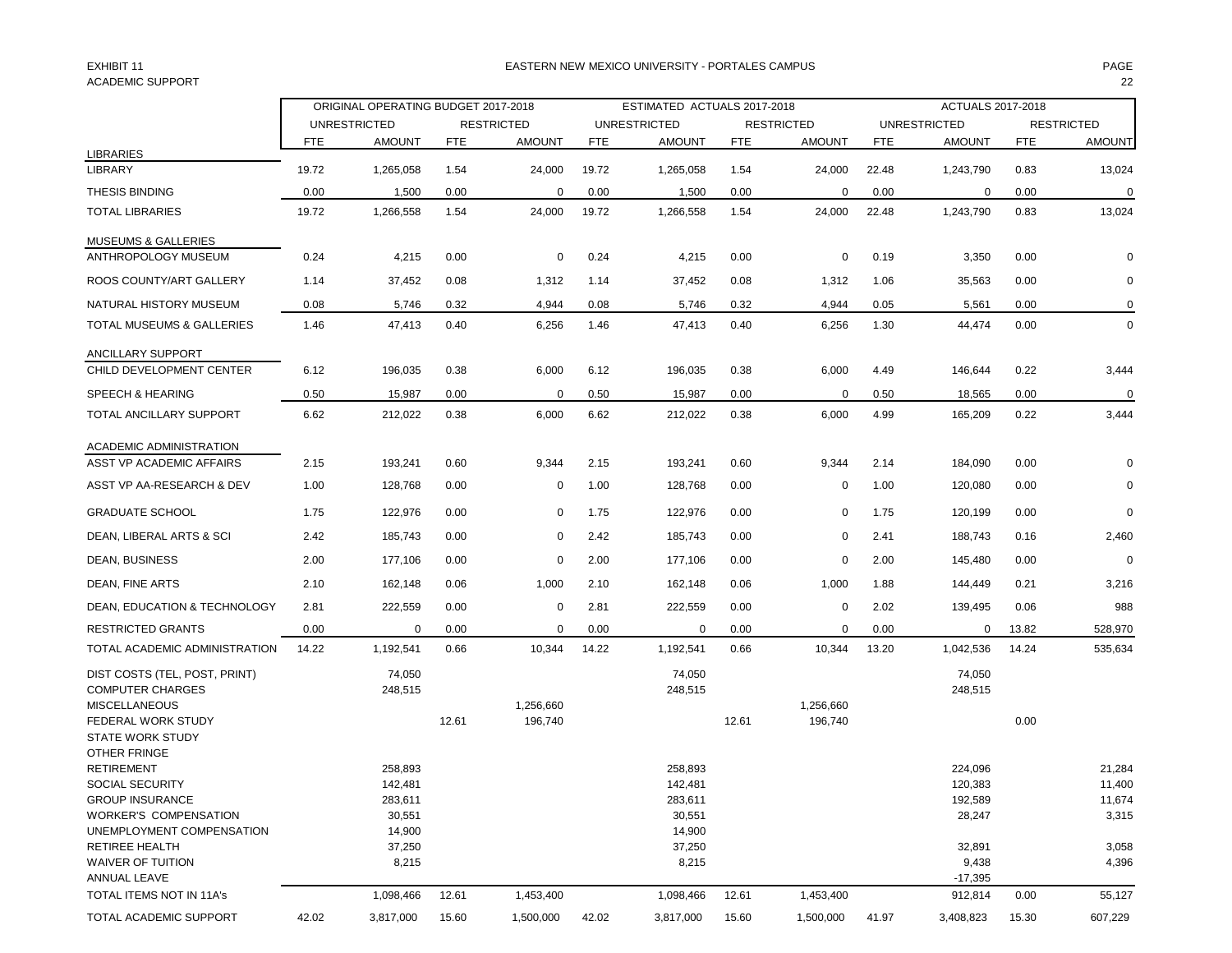## ACADEMIC SUPPORT 22

### EXHIBIT 11 PAGE EASTERN NEW MEXICO UNIVERSITY - PORTALES CAMPUS

|                                |       | ORIGINAL OPERATING BUDGET 2017-2018 |            |                   | ESTIMATED ACTUALS 2017-2018 |                     |            |                   | ACTUALS 2017-2018 |                     |            |                   |
|--------------------------------|-------|-------------------------------------|------------|-------------------|-----------------------------|---------------------|------------|-------------------|-------------------|---------------------|------------|-------------------|
|                                |       | <b>UNRESTRICTED</b>                 |            | <b>RESTRICTED</b> |                             | <b>UNRESTRICTED</b> |            | <b>RESTRICTED</b> |                   | <b>UNRESTRICTED</b> |            | <b>RESTRICTED</b> |
|                                | FTE   | <b>AMOUNT</b>                       | <b>FTE</b> | <b>AMOUNT</b>     | <b>FTE</b>                  | <b>AMOUNT</b>       | <b>FTE</b> | <b>AMOUNT</b>     | <b>FTE</b>        | <b>AMOUNT</b>       | <b>FTE</b> | <b>AMOUNT</b>     |
| <b>LIBRARIES</b>               |       |                                     |            |                   |                             |                     |            |                   |                   |                     |            |                   |
| <b>LIBRARY</b>                 | 19.72 | 1,265,058                           | 1.54       | 24,000            | 19.72                       | 1,265,058           | 1.54       | 24,000            | 22.48             | 1,243,790           | 0.83       | 13,024            |
| <b>THESIS BINDING</b>          | 0.00  | 1,500                               | 0.00       | 0                 | 0.00                        | 1,500               | 0.00       | 0                 | 0.00              | 0                   | 0.00       | $\mathbf 0$       |
| <b>TOTAL LIBRARIES</b>         | 19.72 | 1,266,558                           | 1.54       | 24,000            | 19.72                       | 1,266,558           | 1.54       | 24,000            | 22.48             | 1,243,790           | 0.83       | 13,024            |
| <b>MUSEUMS &amp; GALLERIES</b> |       |                                     |            |                   |                             |                     |            |                   |                   |                     |            |                   |
| ANTHROPOLOGY MUSEUM            | 0.24  | 4,215                               | 0.00       | 0                 | 0.24                        | 4,215               | 0.00       | 0                 | 0.19              | 3,350               | 0.00       | $\Omega$          |
| ROOS COUNTY/ART GALLERY        | 1.14  | 37,452                              | 0.08       | 1,312             | 1.14                        | 37,452              | 0.08       | 1,312             | 1.06              | 35,563              | 0.00       | 0                 |
| NATURAL HISTORY MUSEUM         | 0.08  | 5,746                               | 0.32       | 4,944             | 0.08                        | 5,746               | 0.32       | 4,944             | 0.05              | 5,561               | 0.00       | 0                 |
| TOTAL MUSEUMS & GALLERIES      | 1.46  | 47,413                              | 0.40       | 6,256             | 1.46                        | 47,413              | 0.40       | 6,256             | 1.30              | 44,474              | 0.00       | $\mathbf 0$       |
| ANCILLARY SUPPORT              |       |                                     |            |                   |                             |                     |            |                   |                   |                     |            |                   |
| CHILD DEVELOPMENT CENTER       | 6.12  | 196,035                             | 0.38       | 6,000             | 6.12                        | 196,035             | 0.38       | 6,000             | 4.49              | 146,644             | 0.22       | 3,444             |
| SPEECH & HEARING               | 0.50  | 15,987                              | 0.00       | $\mathbf 0$       | 0.50                        | 15,987              | 0.00       | 0                 | 0.50              | 18,565              | 0.00       | 0                 |
| TOTAL ANCILLARY SUPPORT        | 6.62  | 212,022                             | 0.38       | 6,000             | 6.62                        | 212,022             | 0.38       | 6,000             | 4.99              | 165,209             | 0.22       | 3,444             |
| ACADEMIC ADMINISTRATION        |       |                                     |            |                   |                             |                     |            |                   |                   |                     |            |                   |
| ASST VP ACADEMIC AFFAIRS       | 2.15  | 193,241                             | 0.60       | 9,344             | 2.15                        | 193,241             | 0.60       | 9,344             | 2.14              | 184,090             | 0.00       | $\Omega$          |
| ASST VP AA-RESEARCH & DEV      | 1.00  | 128,768                             | 0.00       | 0                 | 1.00                        | 128,768             | 0.00       | 0                 | 1.00              | 120,080             | 0.00       | $\Omega$          |
| <b>GRADUATE SCHOOL</b>         | 1.75  | 122,976                             | 0.00       | $\mathbf 0$       | 1.75                        | 122,976             | 0.00       | 0                 | 1.75              | 120,199             | 0.00       | $\mathbf 0$       |
| DEAN, LIBERAL ARTS & SCI       | 2.42  | 185,743                             | 0.00       | $\mathbf 0$       | 2.42                        | 185,743             | 0.00       | $\Omega$          | 2.41              | 188,743             | 0.16       | 2,460             |
| DEAN, BUSINESS                 | 2.00  | 177,106                             | 0.00       | 0                 | 2.00                        | 177,106             | 0.00       | 0                 | 2.00              | 145,480             | 0.00       | $\Omega$          |
| DEAN, FINE ARTS                | 2.10  | 162,148                             | 0.06       | 1,000             | 2.10                        | 162,148             | 0.06       | 1,000             | 1.88              | 144,449             | 0.21       | 3,216             |
| DEAN, EDUCATION & TECHNOLOGY   | 2.81  | 222,559                             | 0.00       | $\mathbf 0$       | 2.81                        | 222,559             | 0.00       | 0                 | 2.02              | 139,495             | 0.06       | 988               |
| <b>RESTRICTED GRANTS</b>       | 0.00  | 0                                   | 0.00       | 0                 | 0.00                        | 0                   | 0.00       | 0                 | 0.00              | 0                   | 13.82      | 528,970           |
| TOTAL ACADEMIC ADMINISTRATION  | 14.22 | 1,192,541                           | 0.66       | 10,344            | 14.22                       | 1,192,541           | 0.66       | 10,344            | 13.20             | 1,042,536           | 14.24      | 535,634           |
| DIST COSTS (TEL, POST, PRINT)  |       | 74,050                              |            |                   |                             | 74,050              |            |                   |                   | 74,050              |            |                   |
| <b>COMPUTER CHARGES</b>        |       | 248,515                             |            |                   |                             | 248,515             |            |                   |                   | 248,515             |            |                   |
| <b>MISCELLANEOUS</b>           |       |                                     |            | 1,256,660         |                             |                     |            | 1,256,660         |                   |                     |            |                   |
| FEDERAL WORK STUDY             |       |                                     | 12.61      | 196,740           |                             |                     | 12.61      | 196,740           |                   |                     | 0.00       |                   |
| <b>STATE WORK STUDY</b>        |       |                                     |            |                   |                             |                     |            |                   |                   |                     |            |                   |
| OTHER FRINGE                   |       |                                     |            |                   |                             |                     |            |                   |                   |                     |            |                   |
| <b>RETIREMENT</b>              |       | 258,893                             |            |                   |                             | 258,893             |            |                   |                   | 224,096             |            | 21,284            |
| <b>SOCIAL SECURITY</b>         |       | 142,481                             |            |                   |                             | 142,481             |            |                   |                   | 120,383             |            | 11,400            |
| <b>GROUP INSURANCE</b>         |       | 283,611                             |            |                   |                             | 283,611             |            |                   |                   | 192,589             |            | 11,674            |
| <b>WORKER'S COMPENSATION</b>   |       | 30,551                              |            |                   |                             | 30,551              |            |                   |                   | 28,247              |            | 3,315             |
| UNEMPLOYMENT COMPENSATION      |       | 14,900                              |            |                   |                             | 14,900              |            |                   |                   |                     |            |                   |
| RETIREE HEALTH                 |       | 37,250                              |            |                   |                             | 37,250              |            |                   |                   | 32,891              |            | 3,058             |
| WAIVER OF TUITION              |       | 8,215                               |            |                   |                             | 8,215               |            |                   |                   | 9,438               |            | 4,396             |
| ANNUAL LEAVE                   |       |                                     |            |                   |                             |                     |            |                   |                   | $-17,395$           |            |                   |
| TOTAL ITEMS NOT IN 11A's       |       | 1,098,466                           | 12.61      | 1,453,400         |                             | 1,098,466           | 12.61      | 1,453,400         |                   | 912,814             | 0.00       | 55,127            |
| TOTAL ACADEMIC SUPPORT         | 42.02 | 3,817,000                           | 15.60      | 1,500,000         | 42.02                       | 3,817,000           | 15.60      | 1,500,000         | 41.97             | 3,408,823           | 15.30      | 607,229           |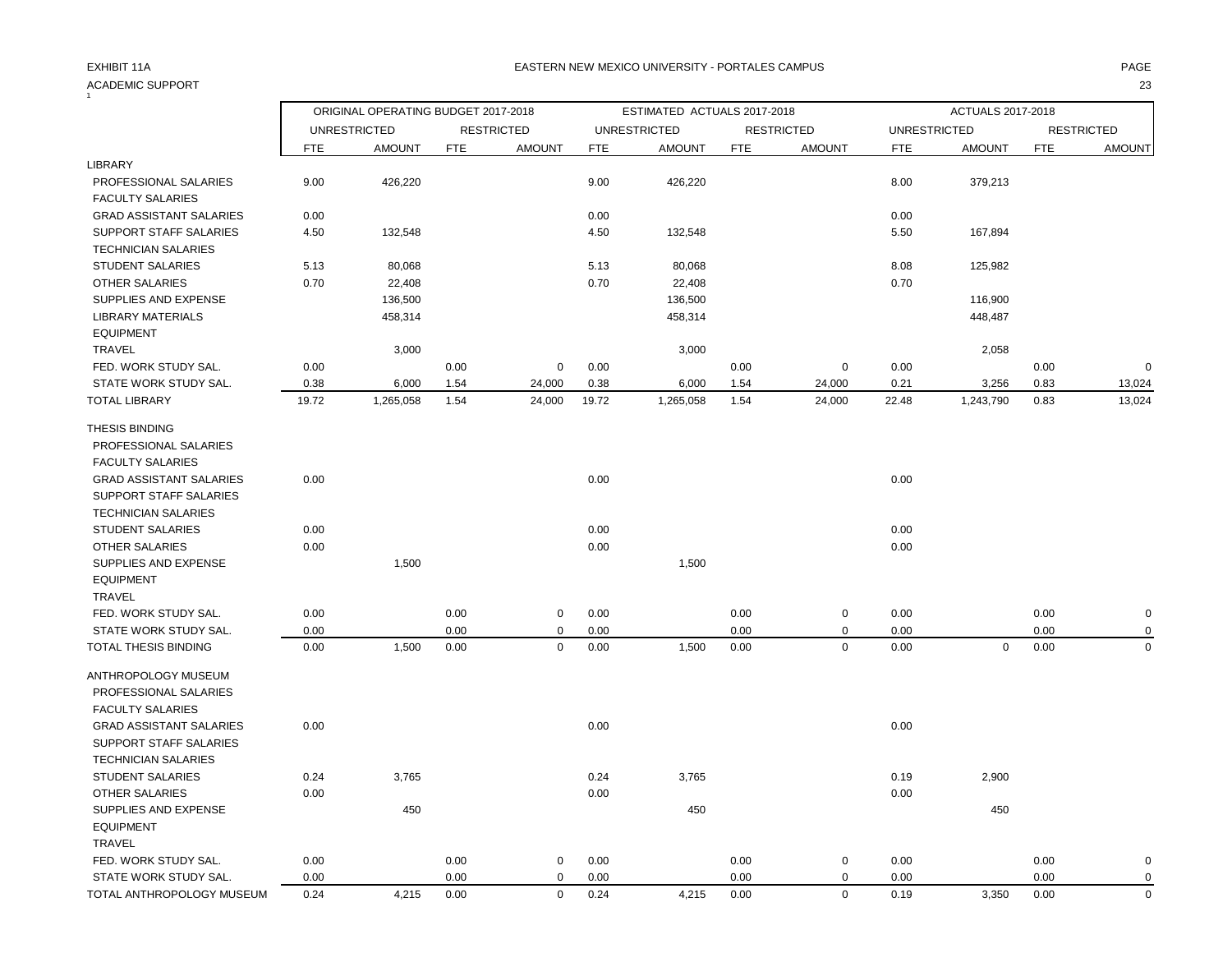### ACADEMIC SUPPORT 23  $\frac{1}{1}$

## EXHIBIT 11A PAGE EASTERN NEW MEXICO UNIVERSITY - PORTALES CAMPUS

|                                |            | ORIGINAL OPERATING BUDGET 2017-2018 |            |                   |            | ESTIMATED ACTUALS 2017-2018 |            |                   |                     | ACTUALS 2017-2018 |            |                   |
|--------------------------------|------------|-------------------------------------|------------|-------------------|------------|-----------------------------|------------|-------------------|---------------------|-------------------|------------|-------------------|
|                                |            | <b>UNRESTRICTED</b>                 |            | <b>RESTRICTED</b> |            | <b>UNRESTRICTED</b>         |            | <b>RESTRICTED</b> | <b>UNRESTRICTED</b> |                   |            | <b>RESTRICTED</b> |
|                                | <b>FTE</b> | <b>AMOUNT</b>                       | <b>FTE</b> | <b>AMOUNT</b>     | <b>FTE</b> | <b>AMOUNT</b>               | <b>FTE</b> | <b>AMOUNT</b>     | <b>FTE</b>          | <b>AMOUNT</b>     | <b>FTE</b> | <b>AMOUNT</b>     |
| LIBRARY                        |            |                                     |            |                   |            |                             |            |                   |                     |                   |            |                   |
| PROFESSIONAL SALARIES          | 9.00       | 426,220                             |            |                   | 9.00       | 426,220                     |            |                   | 8.00                | 379,213           |            |                   |
| <b>FACULTY SALARIES</b>        |            |                                     |            |                   |            |                             |            |                   |                     |                   |            |                   |
| <b>GRAD ASSISTANT SALARIES</b> | 0.00       |                                     |            |                   | 0.00       |                             |            |                   | 0.00                |                   |            |                   |
| <b>SUPPORT STAFF SALARIES</b>  | 4.50       | 132,548                             |            |                   | 4.50       | 132,548                     |            |                   | 5.50                | 167,894           |            |                   |
| <b>TECHNICIAN SALARIES</b>     |            |                                     |            |                   |            |                             |            |                   |                     |                   |            |                   |
| <b>STUDENT SALARIES</b>        | 5.13       | 80,068                              |            |                   | 5.13       | 80,068                      |            |                   | 8.08                | 125,982           |            |                   |
| <b>OTHER SALARIES</b>          | 0.70       | 22,408                              |            |                   | 0.70       | 22,408                      |            |                   | 0.70                |                   |            |                   |
| SUPPLIES AND EXPENSE           |            | 136,500                             |            |                   |            | 136,500                     |            |                   |                     | 116,900           |            |                   |
| <b>LIBRARY MATERIALS</b>       |            | 458,314                             |            |                   |            | 458,314                     |            |                   |                     | 448,487           |            |                   |
| <b>EQUIPMENT</b>               |            |                                     |            |                   |            |                             |            |                   |                     |                   |            |                   |
| <b>TRAVEL</b>                  |            | 3,000                               |            |                   |            | 3,000                       |            |                   |                     | 2,058             |            |                   |
| FED. WORK STUDY SAL.           | 0.00       |                                     | 0.00       | $\mathbf 0$       | 0.00       |                             | 0.00       | $\mathbf 0$       | 0.00                |                   | 0.00       | $\mathbf 0$       |
| STATE WORK STUDY SAL.          | 0.38       | 6,000                               | 1.54       | 24,000            | 0.38       | 6,000                       | 1.54       | 24,000            | 0.21                | 3,256             | 0.83       | 13,024            |
| <b>TOTAL LIBRARY</b>           | 19.72      | 1,265,058                           | 1.54       | 24,000            | 19.72      | 1,265,058                   | 1.54       | 24,000            | 22.48               | 1,243,790         | 0.83       | 13,024            |
| THESIS BINDING                 |            |                                     |            |                   |            |                             |            |                   |                     |                   |            |                   |
| PROFESSIONAL SALARIES          |            |                                     |            |                   |            |                             |            |                   |                     |                   |            |                   |
| <b>FACULTY SALARIES</b>        |            |                                     |            |                   |            |                             |            |                   |                     |                   |            |                   |
| <b>GRAD ASSISTANT SALARIES</b> | 0.00       |                                     |            |                   | 0.00       |                             |            |                   | 0.00                |                   |            |                   |
| SUPPORT STAFF SALARIES         |            |                                     |            |                   |            |                             |            |                   |                     |                   |            |                   |
| <b>TECHNICIAN SALARIES</b>     |            |                                     |            |                   |            |                             |            |                   |                     |                   |            |                   |
| <b>STUDENT SALARIES</b>        | 0.00       |                                     |            |                   | 0.00       |                             |            |                   | 0.00                |                   |            |                   |
| <b>OTHER SALARIES</b>          | 0.00       |                                     |            |                   | 0.00       |                             |            |                   | 0.00                |                   |            |                   |
| SUPPLIES AND EXPENSE           |            | 1,500                               |            |                   |            | 1,500                       |            |                   |                     |                   |            |                   |
| <b>EQUIPMENT</b>               |            |                                     |            |                   |            |                             |            |                   |                     |                   |            |                   |
| TRAVEL                         |            |                                     |            |                   |            |                             |            |                   |                     |                   |            |                   |
| FED. WORK STUDY SAL.           | 0.00       |                                     | 0.00       | $\mathbf 0$       | 0.00       |                             | 0.00       | $\mathbf 0$       | 0.00                |                   | 0.00       | $\mathbf 0$       |
| STATE WORK STUDY SAL.          | 0.00       |                                     | 0.00       | $\mathbf 0$       | 0.00       |                             | 0.00       | $\mathbf 0$       | 0.00                |                   | 0.00       | 0                 |
| TOTAL THESIS BINDING           | 0.00       | 1,500                               | 0.00       | $\mathsf 0$       | 0.00       | 1,500                       | 0.00       | $\mathbf 0$       | 0.00                | $\mathbf 0$       | 0.00       | $\Omega$          |
| ANTHROPOLOGY MUSEUM            |            |                                     |            |                   |            |                             |            |                   |                     |                   |            |                   |
| PROFESSIONAL SALARIES          |            |                                     |            |                   |            |                             |            |                   |                     |                   |            |                   |
| <b>FACULTY SALARIES</b>        |            |                                     |            |                   |            |                             |            |                   |                     |                   |            |                   |
| <b>GRAD ASSISTANT SALARIES</b> | 0.00       |                                     |            |                   | 0.00       |                             |            |                   | 0.00                |                   |            |                   |
| SUPPORT STAFF SALARIES         |            |                                     |            |                   |            |                             |            |                   |                     |                   |            |                   |
| <b>TECHNICIAN SALARIES</b>     |            |                                     |            |                   |            |                             |            |                   |                     |                   |            |                   |
| <b>STUDENT SALARIES</b>        | 0.24       | 3,765                               |            |                   | 0.24       | 3,765                       |            |                   | 0.19                | 2,900             |            |                   |
| <b>OTHER SALARIES</b>          | 0.00       |                                     |            |                   | 0.00       |                             |            |                   | 0.00                |                   |            |                   |
| SUPPLIES AND EXPENSE           |            | 450                                 |            |                   |            | 450                         |            |                   |                     | 450               |            |                   |
| <b>EQUIPMENT</b>               |            |                                     |            |                   |            |                             |            |                   |                     |                   |            |                   |
| <b>TRAVEL</b>                  |            |                                     |            |                   |            |                             |            |                   |                     |                   |            |                   |
| FED. WORK STUDY SAL.           | 0.00       |                                     | 0.00       | $\mathbf 0$       | 0.00       |                             | 0.00       | $\pmb{0}$         | 0.00                |                   | 0.00       | $\mathbf 0$       |
| STATE WORK STUDY SAL.          | 0.00       |                                     | 0.00       | $\mathbf 0$       | 0.00       |                             | 0.00       | $\mathbf 0$       | 0.00                |                   | 0.00       | 0                 |
| TOTAL ANTHROPOLOGY MUSEUM      | 0.24       | 4,215                               | 0.00       | $\mathbf 0$       | 0.24       | 4,215                       | 0.00       | $\mathbf 0$       | 0.19                | 3,350             | 0.00       | $\mathbf 0$       |
|                                |            |                                     |            |                   |            |                             |            |                   |                     |                   |            |                   |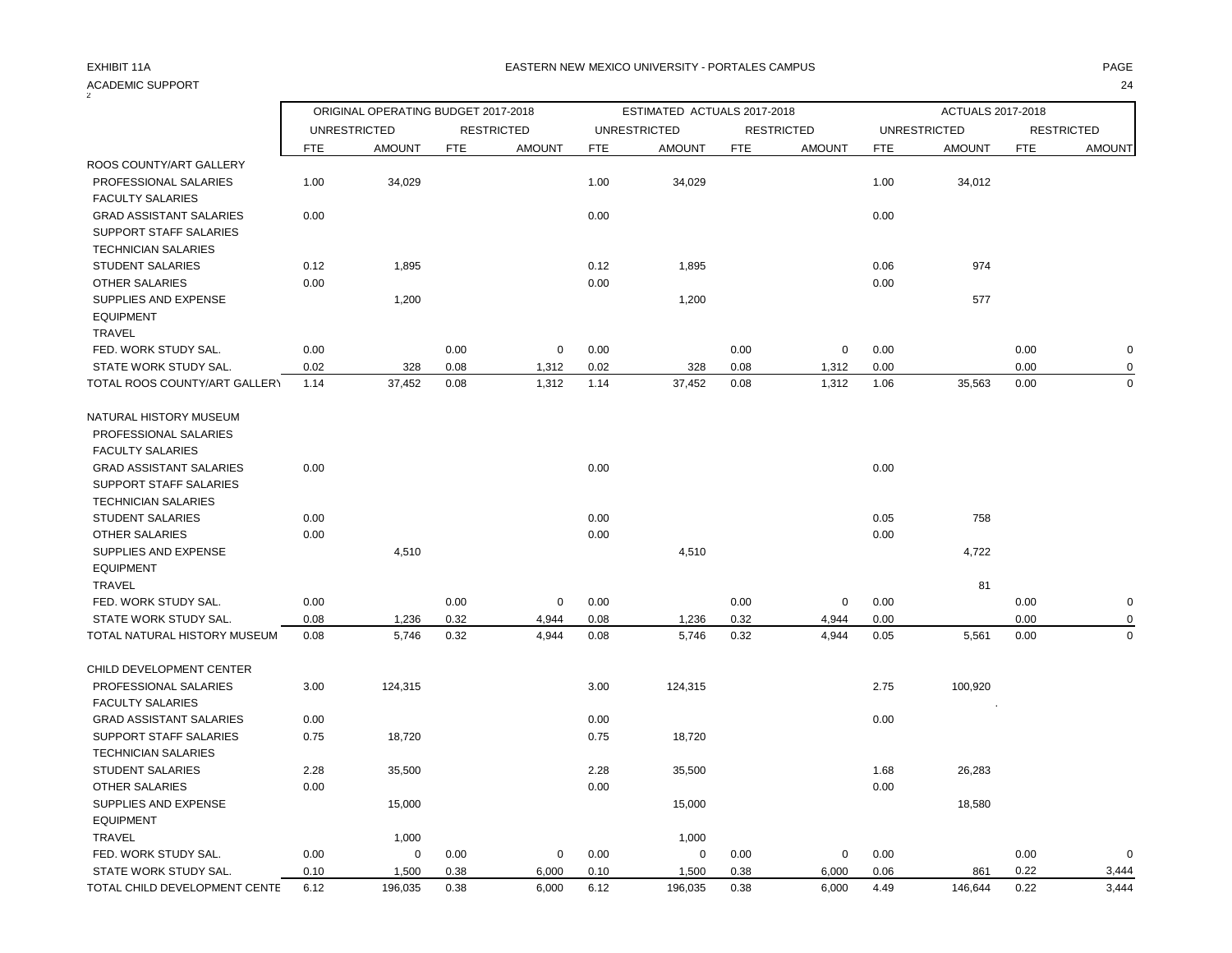## ACADEMIC SUPPORT 24

| $\overline{2}$                 |            | ORIGINAL OPERATING BUDGET 2017-2018 |            |                   |            | ESTIMATED ACTUALS 2017-2018 |            |                   |            | ACTUALS 2017-2018   |            |                   |
|--------------------------------|------------|-------------------------------------|------------|-------------------|------------|-----------------------------|------------|-------------------|------------|---------------------|------------|-------------------|
|                                |            | <b>UNRESTRICTED</b>                 |            | <b>RESTRICTED</b> |            | <b>UNRESTRICTED</b>         |            | <b>RESTRICTED</b> |            | <b>UNRESTRICTED</b> |            | <b>RESTRICTED</b> |
|                                | <b>FTE</b> | <b>AMOUNT</b>                       | <b>FTE</b> | <b>AMOUNT</b>     | <b>FTE</b> | <b>AMOUNT</b>               | <b>FTE</b> | <b>AMOUNT</b>     | <b>FTE</b> | <b>AMOUNT</b>       | <b>FTE</b> | <b>AMOUNT</b>     |
| ROOS COUNTY/ART GALLERY        |            |                                     |            |                   |            |                             |            |                   |            |                     |            |                   |
| PROFESSIONAL SALARIES          | 1.00       | 34,029                              |            |                   | 1.00       | 34,029                      |            |                   | 1.00       | 34,012              |            |                   |
| <b>FACULTY SALARIES</b>        |            |                                     |            |                   |            |                             |            |                   |            |                     |            |                   |
| <b>GRAD ASSISTANT SALARIES</b> | 0.00       |                                     |            |                   | 0.00       |                             |            |                   | 0.00       |                     |            |                   |
| SUPPORT STAFF SALARIES         |            |                                     |            |                   |            |                             |            |                   |            |                     |            |                   |
| <b>TECHNICIAN SALARIES</b>     |            |                                     |            |                   |            |                             |            |                   |            |                     |            |                   |
| <b>STUDENT SALARIES</b>        | 0.12       | 1,895                               |            |                   | 0.12       | 1,895                       |            |                   | 0.06       | 974                 |            |                   |
| <b>OTHER SALARIES</b>          | 0.00       |                                     |            |                   | 0.00       |                             |            |                   | 0.00       |                     |            |                   |
| SUPPLIES AND EXPENSE           |            | 1,200                               |            |                   |            | 1,200                       |            |                   |            | 577                 |            |                   |
| <b>EQUIPMENT</b>               |            |                                     |            |                   |            |                             |            |                   |            |                     |            |                   |
| <b>TRAVEL</b>                  |            |                                     |            |                   |            |                             |            |                   |            |                     |            |                   |
| FED. WORK STUDY SAL.           | 0.00       |                                     | 0.00       | $\mathbf 0$       | 0.00       |                             | 0.00       | 0                 | 0.00       |                     | 0.00       | $\mathbf 0$       |
| STATE WORK STUDY SAL.          | 0.02       | 328                                 | 0.08       | 1,312             | 0.02       | 328                         | 0.08       | 1,312             | 0.00       |                     | 0.00       | 0                 |
| TOTAL ROOS COUNTY/ART GALLERY  | 1.14       | 37,452                              | 0.08       | 1,312             | 1.14       | 37,452                      | 0.08       | 1,312             | 1.06       | 35,563              | 0.00       | $\mathbf 0$       |
| NATURAL HISTORY MUSEUM         |            |                                     |            |                   |            |                             |            |                   |            |                     |            |                   |
| PROFESSIONAL SALARIES          |            |                                     |            |                   |            |                             |            |                   |            |                     |            |                   |
| <b>FACULTY SALARIES</b>        |            |                                     |            |                   |            |                             |            |                   |            |                     |            |                   |
| <b>GRAD ASSISTANT SALARIES</b> | 0.00       |                                     |            |                   | 0.00       |                             |            |                   | 0.00       |                     |            |                   |
| SUPPORT STAFF SALARIES         |            |                                     |            |                   |            |                             |            |                   |            |                     |            |                   |
| <b>TECHNICIAN SALARIES</b>     |            |                                     |            |                   |            |                             |            |                   |            |                     |            |                   |
| <b>STUDENT SALARIES</b>        | 0.00       |                                     |            |                   | 0.00       |                             |            |                   | 0.05       | 758                 |            |                   |
| <b>OTHER SALARIES</b>          | 0.00       |                                     |            |                   | 0.00       |                             |            |                   | 0.00       |                     |            |                   |
| SUPPLIES AND EXPENSE           |            | 4,510                               |            |                   |            | 4,510                       |            |                   |            | 4,722               |            |                   |
| <b>EQUIPMENT</b>               |            |                                     |            |                   |            |                             |            |                   |            |                     |            |                   |
| <b>TRAVEL</b>                  |            |                                     |            |                   |            |                             |            |                   |            | 81                  |            |                   |
| FED. WORK STUDY SAL.           | 0.00       |                                     | 0.00       | $\mathbf 0$       | 0.00       |                             | 0.00       | $\mathsf 0$       | 0.00       |                     | 0.00       | $\mathbf 0$       |
| STATE WORK STUDY SAL.          | 0.08       | 1,236                               | 0.32       | 4,944             | 0.08       | 1,236                       | 0.32       | 4,944             | 0.00       |                     | 0.00       | $\Omega$          |
| TOTAL NATURAL HISTORY MUSEUM   | 0.08       | 5,746                               | 0.32       | 4,944             | 0.08       | 5,746                       | 0.32       | 4,944             | 0.05       | 5,561               | 0.00       | $\mathbf 0$       |
| CHILD DEVELOPMENT CENTER       |            |                                     |            |                   |            |                             |            |                   |            |                     |            |                   |
| PROFESSIONAL SALARIES          | 3.00       | 124,315                             |            |                   | 3.00       | 124,315                     |            |                   | 2.75       | 100,920             |            |                   |
| <b>FACULTY SALARIES</b>        |            |                                     |            |                   |            |                             |            |                   |            |                     |            |                   |
| <b>GRAD ASSISTANT SALARIES</b> | 0.00       |                                     |            |                   | 0.00       |                             |            |                   | 0.00       |                     |            |                   |
| SUPPORT STAFF SALARIES         | 0.75       | 18,720                              |            |                   | 0.75       | 18,720                      |            |                   |            |                     |            |                   |
| <b>TECHNICIAN SALARIES</b>     |            |                                     |            |                   |            |                             |            |                   |            |                     |            |                   |
| <b>STUDENT SALARIES</b>        | 2.28       | 35,500                              |            |                   | 2.28       | 35,500                      |            |                   | 1.68       | 26,283              |            |                   |
| OTHER SALARIES                 | 0.00       |                                     |            |                   | 0.00       |                             |            |                   | 0.00       |                     |            |                   |
| SUPPLIES AND EXPENSE           |            | 15,000                              |            |                   |            | 15,000                      |            |                   |            | 18,580              |            |                   |
| <b>EQUIPMENT</b>               |            |                                     |            |                   |            |                             |            |                   |            |                     |            |                   |
| <b>TRAVEL</b>                  |            | 1,000                               |            |                   |            | 1,000                       |            |                   |            |                     |            |                   |
| FED. WORK STUDY SAL.           | 0.00       | $\mathbf 0$                         | 0.00       | $\mathbf 0$       | 0.00       | $\mathbf 0$                 | 0.00       | 0                 | 0.00       |                     | 0.00       | $\mathbf 0$       |
| STATE WORK STUDY SAL.          | 0.10       | 1,500                               | 0.38       | 6,000             | 0.10       | 1,500                       | 0.38       | 6,000             | 0.06       | 861                 | 0.22       | 3,444             |
| TOTAL CHILD DEVELOPMENT CENTE  | 6.12       | 196,035                             | 0.38       | 6,000             | 6.12       | 196,035                     | 0.38       | 6,000             | 4.49       | 146,644             | 0.22       | 3,444             |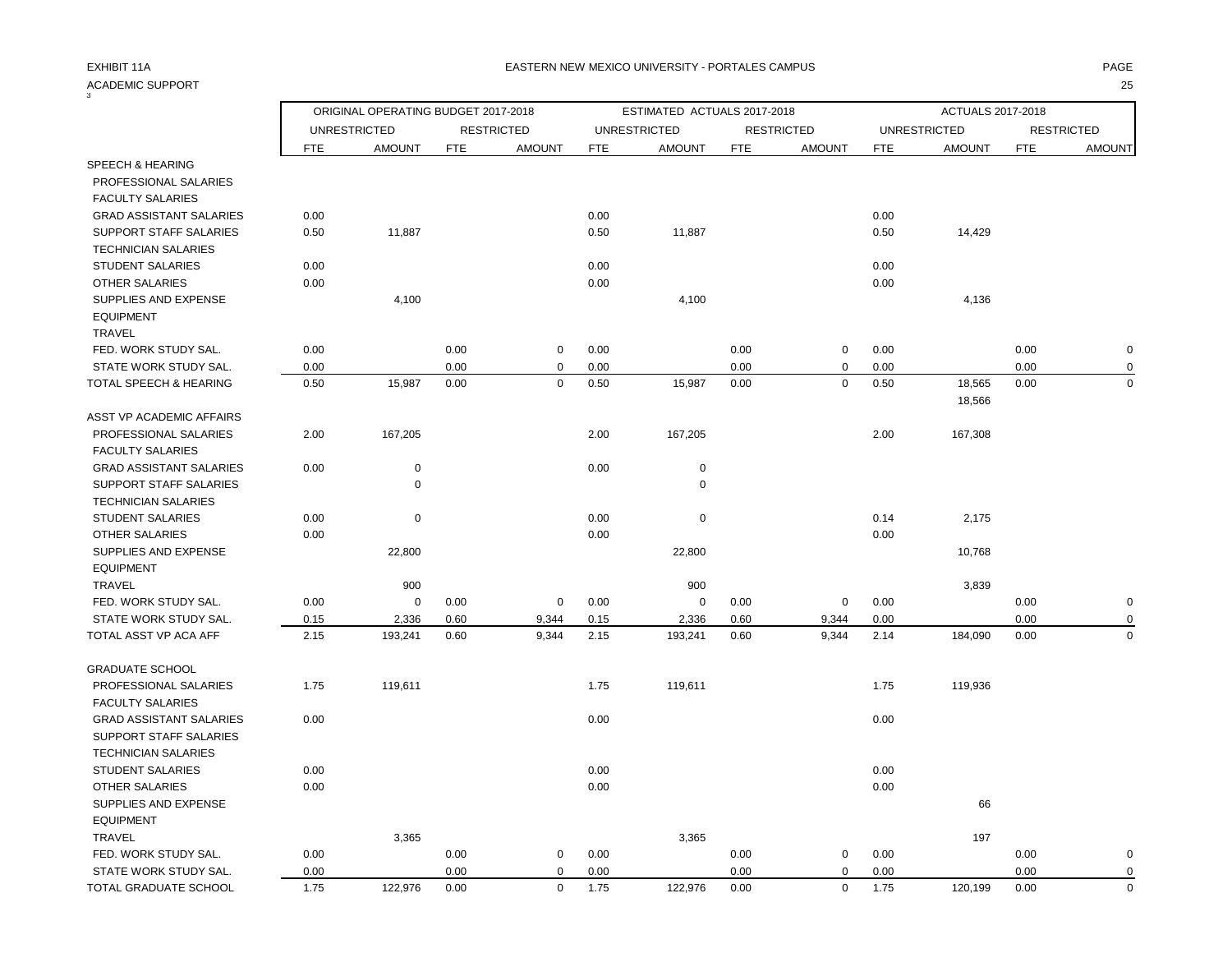### ACADEMIC SUPPORT 25  $\overline{3}$

ORIGINAL OPERATING BUDGET 2017-2018 ESTIMATED ACTUALS 2017-2018 ACTUALS 2017-2018

UNRESTRICTED RESTRICTED UNRESTRICTED RESTRICTED UNRESTRICTED RESTRICTED

FTE AMOUNT FTE AMOUNT FTE AMOUNT FTE AMOUNT FTE AMOUNT FTE AMOUNT SPEECH & HEARING PROFESSIONAL SALARIES FACULTY SALARIES GRAD ASSISTANT SALARIES 0.00 0.00 0.00

| GRAD ASSISTANT SALARIES        | 0.00 |             |      |             | 0.00 |             |      |          | 0.00 |         |      |             |
|--------------------------------|------|-------------|------|-------------|------|-------------|------|----------|------|---------|------|-------------|
| SUPPORT STAFF SALARIES         | 0.50 | 11,887      |      |             | 0.50 | 11,887      |      |          | 0.50 | 14,429  |      |             |
| <b>TECHNICIAN SALARIES</b>     |      |             |      |             |      |             |      |          |      |         |      |             |
| <b>STUDENT SALARIES</b>        | 0.00 |             |      |             | 0.00 |             |      |          | 0.00 |         |      |             |
| <b>OTHER SALARIES</b>          | 0.00 |             |      |             | 0.00 |             |      |          | 0.00 |         |      |             |
| SUPPLIES AND EXPENSE           |      | 4,100       |      |             |      | 4,100       |      |          |      | 4,136   |      |             |
| <b>EQUIPMENT</b>               |      |             |      |             |      |             |      |          |      |         |      |             |
| TRAVEL                         |      |             |      |             |      |             |      |          |      |         |      |             |
| FED. WORK STUDY SAL.           | 0.00 |             | 0.00 | $\mathbf 0$ | 0.00 |             | 0.00 | 0        | 0.00 |         | 0.00 | $\mathbf 0$ |
| STATE WORK STUDY SAL.          | 0.00 |             | 0.00 | 0           | 0.00 |             | 0.00 | 0        | 0.00 |         | 0.00 | 0           |
| TOTAL SPEECH & HEARING         | 0.50 | 15,987      | 0.00 | $\mathbf 0$ | 0.50 | 15,987      | 0.00 | 0        | 0.50 | 18,565  | 0.00 | $\mathbf 0$ |
| ASST VP ACADEMIC AFFAIRS       |      |             |      |             |      |             |      |          |      | 18,566  |      |             |
| PROFESSIONAL SALARIES          | 2.00 | 167,205     |      |             | 2.00 | 167,205     |      |          | 2.00 | 167,308 |      |             |
| <b>FACULTY SALARIES</b>        |      |             |      |             |      |             |      |          |      |         |      |             |
| <b>GRAD ASSISTANT SALARIES</b> | 0.00 | $\pmb{0}$   |      |             | 0.00 | $\mathbf 0$ |      |          |      |         |      |             |
| SUPPORT STAFF SALARIES         |      | $\mathbf 0$ |      |             |      | $\mathbf 0$ |      |          |      |         |      |             |
| <b>TECHNICIAN SALARIES</b>     |      |             |      |             |      |             |      |          |      |         |      |             |
| <b>STUDENT SALARIES</b>        | 0.00 | $\mathbf 0$ |      |             | 0.00 | 0           |      |          | 0.14 | 2,175   |      |             |
| <b>OTHER SALARIES</b>          | 0.00 |             |      |             | 0.00 |             |      |          | 0.00 |         |      |             |
| SUPPLIES AND EXPENSE           |      | 22,800      |      |             |      | 22,800      |      |          |      | 10,768  |      |             |
| <b>EQUIPMENT</b>               |      |             |      |             |      |             |      |          |      |         |      |             |
| TRAVEL                         |      | 900         |      |             |      | 900         |      |          |      | 3,839   |      |             |
| FED. WORK STUDY SAL.           | 0.00 | $\mathbf 0$ | 0.00 | $\mathbf 0$ | 0.00 | 0           | 0.00 | 0        | 0.00 |         | 0.00 | $\mathbf 0$ |
| STATE WORK STUDY SAL.          | 0.15 | 2,336       | 0.60 | 9,344       | 0.15 | 2,336       | 0.60 | 9,344    | 0.00 |         | 0.00 | 0           |
| TOTAL ASST VP ACA AFF          | 2.15 | 193,241     | 0.60 | 9,344       | 2.15 | 193,241     | 0.60 | 9,344    | 2.14 | 184,090 | 0.00 | $\mathbf 0$ |
| <b>GRADUATE SCHOOL</b>         |      |             |      |             |      |             |      |          |      |         |      |             |
| PROFESSIONAL SALARIES          | 1.75 | 119,611     |      |             | 1.75 | 119,611     |      |          | 1.75 | 119,936 |      |             |
| <b>FACULTY SALARIES</b>        |      |             |      |             |      |             |      |          |      |         |      |             |
| <b>GRAD ASSISTANT SALARIES</b> | 0.00 |             |      |             | 0.00 |             |      |          | 0.00 |         |      |             |
| SUPPORT STAFF SALARIES         |      |             |      |             |      |             |      |          |      |         |      |             |
| <b>TECHNICIAN SALARIES</b>     |      |             |      |             |      |             |      |          |      |         |      |             |
| <b>STUDENT SALARIES</b>        | 0.00 |             |      |             | 0.00 |             |      |          | 0.00 |         |      |             |
| <b>OTHER SALARIES</b>          | 0.00 |             |      |             | 0.00 |             |      |          | 0.00 |         |      |             |
| SUPPLIES AND EXPENSE           |      |             |      |             |      |             |      |          |      | 66      |      |             |
| <b>EQUIPMENT</b>               |      |             |      |             |      |             |      |          |      |         |      |             |
| <b>TRAVEL</b>                  |      | 3,365       |      |             |      | 3,365       |      |          |      | 197     |      |             |
| FED. WORK STUDY SAL.           | 0.00 |             | 0.00 | 0           | 0.00 |             | 0.00 | 0        | 0.00 |         | 0.00 | $\mathbf 0$ |
| STATE WORK STUDY SAL.          | 0.00 |             | 0.00 | $\Omega$    | 0.00 |             | 0.00 | $\Omega$ | 0.00 |         | 0.00 | $\mathbf 0$ |
| TOTAL GRADUATE SCHOOL          | 1.75 | 122,976     | 0.00 | $\mathbf 0$ | 1.75 | 122,976     | 0.00 | 0        | 1.75 | 120,199 | 0.00 | $\mathbf 0$ |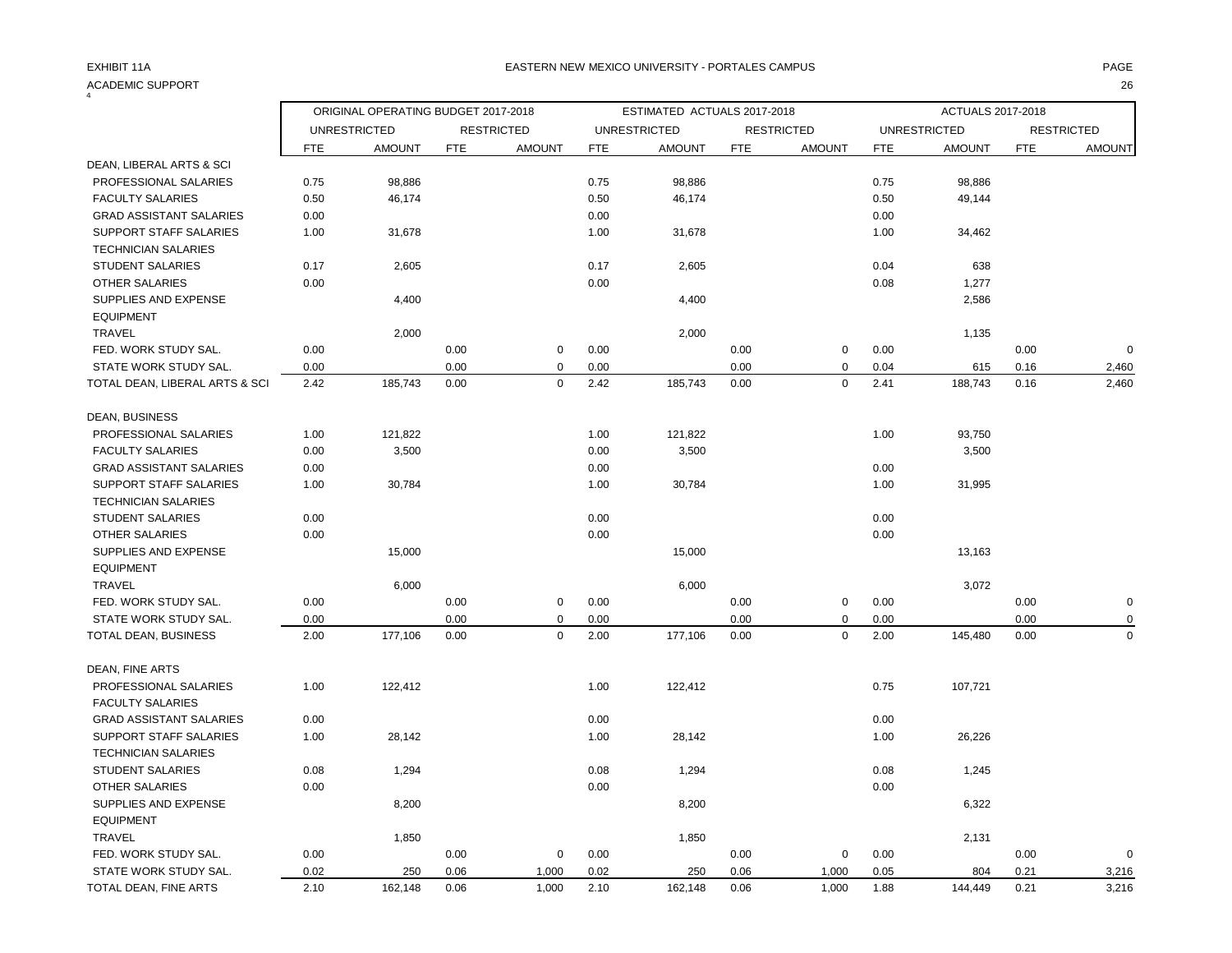| $\overline{4}$                 |            |                                     |            |                   |            |                             |            |                   |      |                     |            |                   |
|--------------------------------|------------|-------------------------------------|------------|-------------------|------------|-----------------------------|------------|-------------------|------|---------------------|------------|-------------------|
|                                |            | ORIGINAL OPERATING BUDGET 2017-2018 |            |                   |            | ESTIMATED ACTUALS 2017-2018 |            |                   |      | ACTUALS 2017-2018   |            |                   |
|                                |            | <b>UNRESTRICTED</b>                 |            | <b>RESTRICTED</b> |            | <b>UNRESTRICTED</b>         |            | <b>RESTRICTED</b> |      | <b>UNRESTRICTED</b> |            | <b>RESTRICTED</b> |
| DEAN, LIBERAL ARTS & SCI       | <b>FTE</b> | <b>AMOUNT</b>                       | <b>FTE</b> | <b>AMOUNT</b>     | <b>FTE</b> | <b>AMOUNT</b>               | <b>FTE</b> | <b>AMOUNT</b>     | FTE  | <b>AMOUNT</b>       | <b>FTE</b> | <b>AMOUNT</b>     |
| PROFESSIONAL SALARIES          | 0.75       | 98,886                              |            |                   | 0.75       | 98,886                      |            |                   | 0.75 | 98,886              |            |                   |
| <b>FACULTY SALARIES</b>        | 0.50       | 46,174                              |            |                   | 0.50       | 46,174                      |            |                   | 0.50 | 49,144              |            |                   |
| <b>GRAD ASSISTANT SALARIES</b> | 0.00       |                                     |            |                   | 0.00       |                             |            |                   | 0.00 |                     |            |                   |
| SUPPORT STAFF SALARIES         | 1.00       | 31,678                              |            |                   | 1.00       | 31,678                      |            |                   | 1.00 | 34,462              |            |                   |
| <b>TECHNICIAN SALARIES</b>     |            |                                     |            |                   |            |                             |            |                   |      |                     |            |                   |
| <b>STUDENT SALARIES</b>        | 0.17       | 2,605                               |            |                   | 0.17       | 2,605                       |            |                   | 0.04 | 638                 |            |                   |
| OTHER SALARIES                 | 0.00       |                                     |            |                   | 0.00       |                             |            |                   | 0.08 | 1,277               |            |                   |
| SUPPLIES AND EXPENSE           |            | 4,400                               |            |                   |            | 4,400                       |            |                   |      | 2,586               |            |                   |
| <b>EQUIPMENT</b>               |            |                                     |            |                   |            |                             |            |                   |      |                     |            |                   |
| <b>TRAVEL</b>                  |            | 2,000                               |            |                   |            | 2,000                       |            |                   |      | 1,135               |            |                   |
| FED. WORK STUDY SAL.           | 0.00       |                                     | 0.00       | $\mathbf 0$       | 0.00       |                             | 0.00       | 0                 | 0.00 |                     | 0.00       | $\mathbf 0$       |
| STATE WORK STUDY SAL.          | 0.00       |                                     | 0.00       | $\mathbf 0$       | 0.00       |                             | 0.00       | $\pmb{0}$         | 0.04 | 615                 | 0.16       | 2,460             |
| TOTAL DEAN, LIBERAL ARTS & SCI | 2.42       | 185,743                             | 0.00       | $\Omega$          | 2.42       | 185,743                     | 0.00       | $\mathbf 0$       | 2.41 | 188,743             | 0.16       | 2,460             |
|                                |            |                                     |            |                   |            |                             |            |                   |      |                     |            |                   |
| DEAN, BUSINESS                 |            |                                     |            |                   |            |                             |            |                   |      |                     |            |                   |
| PROFESSIONAL SALARIES          | 1.00       | 121,822                             |            |                   | 1.00       | 121,822                     |            |                   | 1.00 | 93,750              |            |                   |
| <b>FACULTY SALARIES</b>        | 0.00       | 3,500                               |            |                   | 0.00       | 3,500                       |            |                   |      | 3,500               |            |                   |
| <b>GRAD ASSISTANT SALARIES</b> | 0.00       |                                     |            |                   | 0.00       |                             |            |                   | 0.00 |                     |            |                   |
| SUPPORT STAFF SALARIES         | 1.00       | 30,784                              |            |                   | 1.00       | 30,784                      |            |                   | 1.00 | 31,995              |            |                   |
| <b>TECHNICIAN SALARIES</b>     |            |                                     |            |                   |            |                             |            |                   |      |                     |            |                   |
| <b>STUDENT SALARIES</b>        | 0.00       |                                     |            |                   | 0.00       |                             |            |                   | 0.00 |                     |            |                   |
| <b>OTHER SALARIES</b>          | 0.00       |                                     |            |                   | 0.00       |                             |            |                   | 0.00 |                     |            |                   |
| SUPPLIES AND EXPENSE           |            | 15,000                              |            |                   |            | 15,000                      |            |                   |      | 13,163              |            |                   |
| <b>EQUIPMENT</b>               |            |                                     |            |                   |            |                             |            |                   |      |                     |            |                   |
| <b>TRAVEL</b>                  |            | 6,000                               |            |                   |            | 6,000                       |            |                   |      | 3,072               |            |                   |
| FED. WORK STUDY SAL.           | 0.00       |                                     | 0.00       | $\mathbf 0$       | 0.00       |                             | 0.00       | $\mathsf 0$       | 0.00 |                     | 0.00       | $\mathbf 0$       |
| STATE WORK STUDY SAL.          | 0.00       |                                     | 0.00       | $\mathbf 0$       | 0.00       |                             | 0.00       | $\pmb{0}$         | 0.00 |                     | 0.00       | $\mathbf 0$       |
| TOTAL DEAN, BUSINESS           | 2.00       | 177,106                             | 0.00       | $\mathbf 0$       | 2.00       | 177,106                     | 0.00       | $\mathbf 0$       | 2.00 | 145,480             | 0.00       | $\mathbf 0$       |
|                                |            |                                     |            |                   |            |                             |            |                   |      |                     |            |                   |
| DEAN, FINE ARTS                |            |                                     |            |                   |            |                             |            |                   |      |                     |            |                   |
| PROFESSIONAL SALARIES          | 1.00       | 122,412                             |            |                   | 1.00       | 122,412                     |            |                   | 0.75 | 107,721             |            |                   |
| <b>FACULTY SALARIES</b>        |            |                                     |            |                   |            |                             |            |                   |      |                     |            |                   |
| <b>GRAD ASSISTANT SALARIES</b> | 0.00       |                                     |            |                   | 0.00       |                             |            |                   | 0.00 |                     |            |                   |
| SUPPORT STAFF SALARIES         | 1.00       | 28,142                              |            |                   | 1.00       | 28,142                      |            |                   | 1.00 | 26,226              |            |                   |
| <b>TECHNICIAN SALARIES</b>     |            |                                     |            |                   |            |                             |            |                   |      |                     |            |                   |
| <b>STUDENT SALARIES</b>        | 0.08       | 1,294                               |            |                   | 0.08       | 1,294                       |            |                   | 0.08 | 1,245               |            |                   |
| OTHER SALARIES                 | 0.00       |                                     |            |                   | 0.00       |                             |            |                   | 0.00 |                     |            |                   |
| SUPPLIES AND EXPENSE           |            | 8,200                               |            |                   |            | 8,200                       |            |                   |      | 6,322               |            |                   |
| <b>EQUIPMENT</b>               |            |                                     |            |                   |            |                             |            |                   |      |                     |            |                   |
| <b>TRAVEL</b>                  |            | 1,850                               |            |                   |            | 1,850                       |            |                   |      | 2,131               |            |                   |
| FED. WORK STUDY SAL.           | 0.00       |                                     | 0.00       | $\mathbf 0$       | 0.00       |                             | 0.00       | 0                 | 0.00 |                     | 0.00       | $\mathbf 0$       |
| STATE WORK STUDY SAL.          | 0.02       | 250                                 | 0.06       | 1,000             | 0.02       | 250                         | 0.06       | 1,000             | 0.05 | 804                 | 0.21       | 3,216             |
| TOTAL DEAN, FINE ARTS          | 2.10       | 162,148                             | 0.06       | 1,000             | 2.10       | 162,148                     | 0.06       | 1,000             | 1.88 | 144,449             | 0.21       | 3,216             |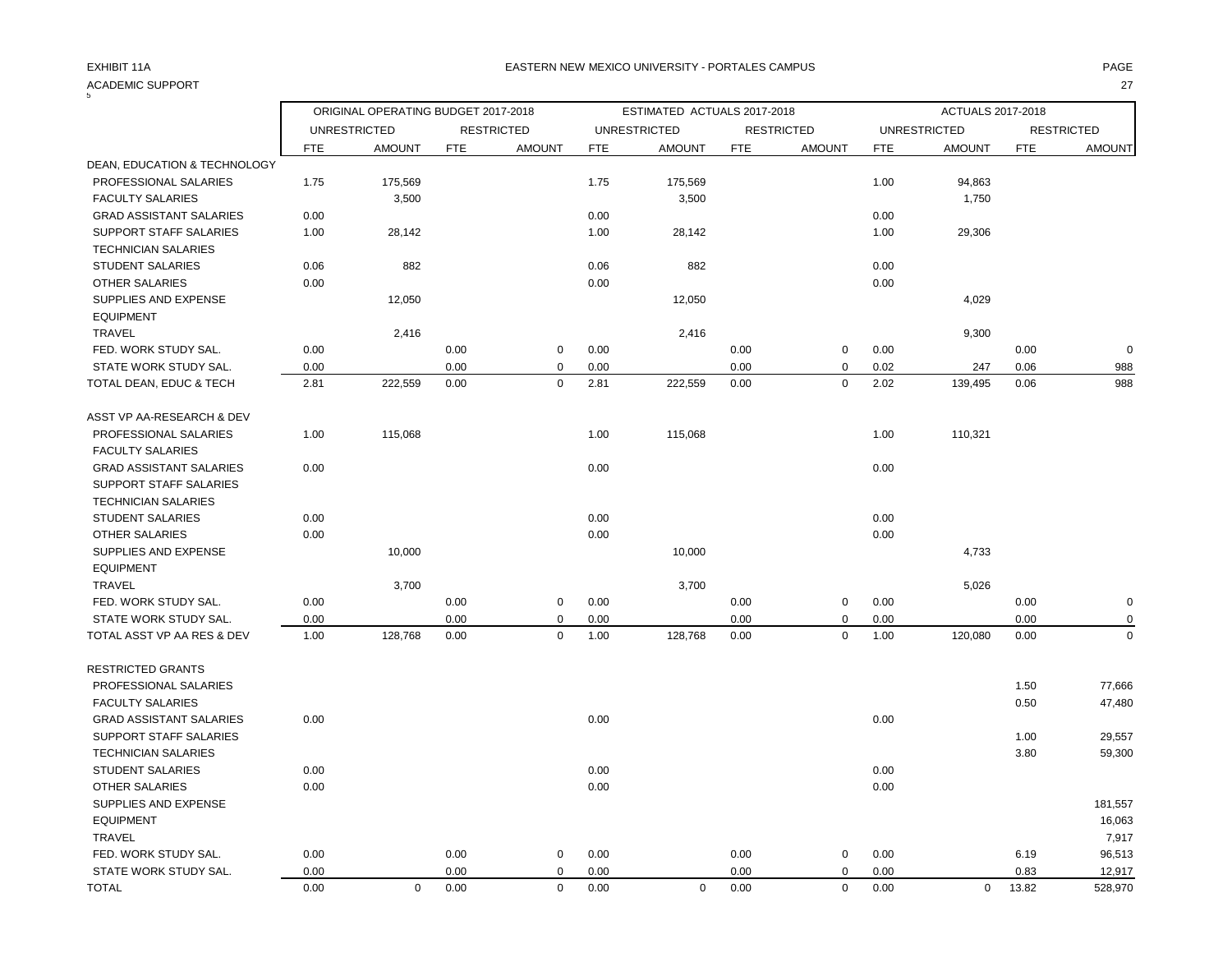| ACADEMIC SUPPORT                                  |            |                                     |            |                   |            |                             |            |                   |            |                     |            | 27                |
|---------------------------------------------------|------------|-------------------------------------|------------|-------------------|------------|-----------------------------|------------|-------------------|------------|---------------------|------------|-------------------|
|                                                   |            | ORIGINAL OPERATING BUDGET 2017-2018 |            |                   |            | ESTIMATED ACTUALS 2017-2018 |            |                   |            | ACTUALS 2017-2018   |            |                   |
|                                                   |            | <b>UNRESTRICTED</b>                 |            | <b>RESTRICTED</b> |            | <b>UNRESTRICTED</b>         |            | <b>RESTRICTED</b> |            | <b>UNRESTRICTED</b> |            | <b>RESTRICTED</b> |
|                                                   | <b>FTE</b> | <b>AMOUNT</b>                       | <b>FTE</b> | <b>AMOUNT</b>     | <b>FTE</b> | <b>AMOUNT</b>               | <b>FTE</b> | <b>AMOUNT</b>     | <b>FTE</b> | <b>AMOUNT</b>       | <b>FTE</b> | <b>AMOUNT</b>     |
| DEAN, EDUCATION & TECHNOLOGY                      |            |                                     |            |                   |            |                             |            |                   |            |                     |            |                   |
| PROFESSIONAL SALARIES                             | 1.75       | 175,569                             |            |                   | 1.75       | 175,569                     |            |                   | 1.00       | 94,863              |            |                   |
| <b>FACULTY SALARIES</b>                           |            | 3,500                               |            |                   |            | 3,500                       |            |                   |            | 1,750               |            |                   |
| <b>GRAD ASSISTANT SALARIES</b>                    | 0.00       |                                     |            |                   | 0.00       |                             |            |                   | 0.00       |                     |            |                   |
| SUPPORT STAFF SALARIES                            | 1.00       | 28,142                              |            |                   | 1.00       | 28,142                      |            |                   | 1.00       | 29,306              |            |                   |
| <b>TECHNICIAN SALARIES</b>                        |            |                                     |            |                   |            |                             |            |                   |            |                     |            |                   |
| STUDENT SALARIES                                  | 0.06       | 882                                 |            |                   | 0.06       | 882                         |            |                   | 0.00       |                     |            |                   |
| <b>OTHER SALARIES</b>                             | 0.00       |                                     |            |                   | 0.00       |                             |            |                   | 0.00       |                     |            |                   |
| SUPPLIES AND EXPENSE                              |            | 12,050                              |            |                   |            | 12,050                      |            |                   |            | 4,029               |            |                   |
| <b>EQUIPMENT</b>                                  |            |                                     |            |                   |            |                             |            |                   |            |                     |            |                   |
| TRAVEL                                            |            | 2,416                               |            |                   |            | 2,416                       |            |                   |            | 9,300               |            |                   |
| FED. WORK STUDY SAL.                              | 0.00       |                                     | 0.00       | $\mathbf 0$       | 0.00       |                             | 0.00       | $\mathbf 0$       | 0.00       |                     | 0.00       | $\Omega$          |
| STATE WORK STUDY SAL.                             | 0.00       |                                     | 0.00       | $\Omega$          | 0.00       |                             | 0.00       | $\mathbf 0$       | 0.02       | 247                 | 0.06       | 988               |
| TOTAL DEAN, EDUC & TECH                           | 2.81       | 222,559                             | 0.00       | $\mathbf 0$       | 2.81       | 222,559                     | 0.00       | $\mathbf 0$       | 2.02       | 139,495             | 0.06       | 988               |
| ASST VP AA-RESEARCH & DEV                         |            |                                     |            |                   |            |                             |            |                   |            |                     |            |                   |
| PROFESSIONAL SALARIES                             | 1.00       | 115,068                             |            |                   | 1.00       | 115,068                     |            |                   | 1.00       | 110,321             |            |                   |
| <b>FACULTY SALARIES</b>                           |            |                                     |            |                   |            |                             |            |                   |            |                     |            |                   |
| <b>GRAD ASSISTANT SALARIES</b>                    | 0.00       |                                     |            |                   | 0.00       |                             |            |                   | 0.00       |                     |            |                   |
| SUPPORT STAFF SALARIES                            |            |                                     |            |                   |            |                             |            |                   |            |                     |            |                   |
| <b>TECHNICIAN SALARIES</b>                        |            |                                     |            |                   |            |                             |            |                   |            |                     |            |                   |
| <b>STUDENT SALARIES</b>                           | 0.00       |                                     |            |                   | 0.00       |                             |            |                   | 0.00       |                     |            |                   |
| OTHER SALARIES                                    | 0.00       |                                     |            |                   | 0.00       |                             |            |                   | 0.00       |                     |            |                   |
| SUPPLIES AND EXPENSE                              |            | 10,000                              |            |                   |            | 10,000                      |            |                   |            | 4,733               |            |                   |
| <b>EQUIPMENT</b>                                  |            |                                     |            |                   |            |                             |            |                   |            |                     |            |                   |
| <b>TRAVEL</b>                                     |            | 3,700                               |            |                   |            | 3,700                       |            |                   |            | 5,026               |            |                   |
| FED. WORK STUDY SAL.                              | 0.00       |                                     | 0.00       | $\mathbf 0$       | 0.00       |                             | 0.00       | $\mathbf 0$       | 0.00       |                     | 0.00       | O                 |
| STATE WORK STUDY SAL.                             | 0.00       |                                     | 0.00       | $\pmb{0}$         | 0.00       |                             | 0.00       | $\mathbf 0$       | 0.00       |                     | 0.00       | O                 |
| TOTAL ASST VP AA RES & DEV                        | 1.00       | 128,768                             | 0.00       | $\mathbf 0$       | 1.00       | 128,768                     | 0.00       | $\mathbf 0$       | 1.00       | 120,080             | 0.00       | $\Omega$          |
| <b>RESTRICTED GRANTS</b><br>PROFESSIONAL SALARIES |            |                                     |            |                   |            |                             |            |                   |            |                     | 1.50       | 77,666            |
| <b>FACULTY SALARIES</b>                           |            |                                     |            |                   |            |                             |            |                   |            |                     | 0.50       | 47,480            |
| <b>GRAD ASSISTANT SALARIES</b>                    | 0.00       |                                     |            |                   | 0.00       |                             |            |                   | 0.00       |                     |            |                   |
| SUPPORT STAFF SALARIES                            |            |                                     |            |                   |            |                             |            |                   |            |                     | 1.00       | 29,557            |
| <b>TECHNICIAN SALARIES</b>                        |            |                                     |            |                   |            |                             |            |                   |            |                     | 3.80       | 59,300            |
| <b>STUDENT SALARIES</b>                           | 0.00       |                                     |            |                   | 0.00       |                             |            |                   | 0.00       |                     |            |                   |
| <b>OTHER SALARIES</b>                             | 0.00       |                                     |            |                   | 0.00       |                             |            |                   | 0.00       |                     |            |                   |
| SUPPLIES AND EXPENSE                              |            |                                     |            |                   |            |                             |            |                   |            |                     |            | 181,557           |
| <b>EQUIPMENT</b>                                  |            |                                     |            |                   |            |                             |            |                   |            |                     |            | 16,063            |
| TRAVEL                                            |            |                                     |            |                   |            |                             |            |                   |            |                     |            | 7,917             |
| FED. WORK STUDY SAL.                              | 0.00       |                                     | 0.00       | $\mathbf 0$       | 0.00       |                             | 0.00       | 0                 | 0.00       |                     | 6.19       | 96,513            |
| STATE WORK STUDY SAL.                             | 0.00       |                                     | 0.00       | $\mathbf 0$       | 0.00       |                             | 0.00       | $\mathbf 0$       | 0.00       |                     | 0.83       | 12,917            |
|                                                   |            |                                     |            |                   |            |                             |            |                   |            |                     |            |                   |

TOTAL 0.00 0 0.00 0 0.00 0 0.00 0 0.00 0 13.82 528,970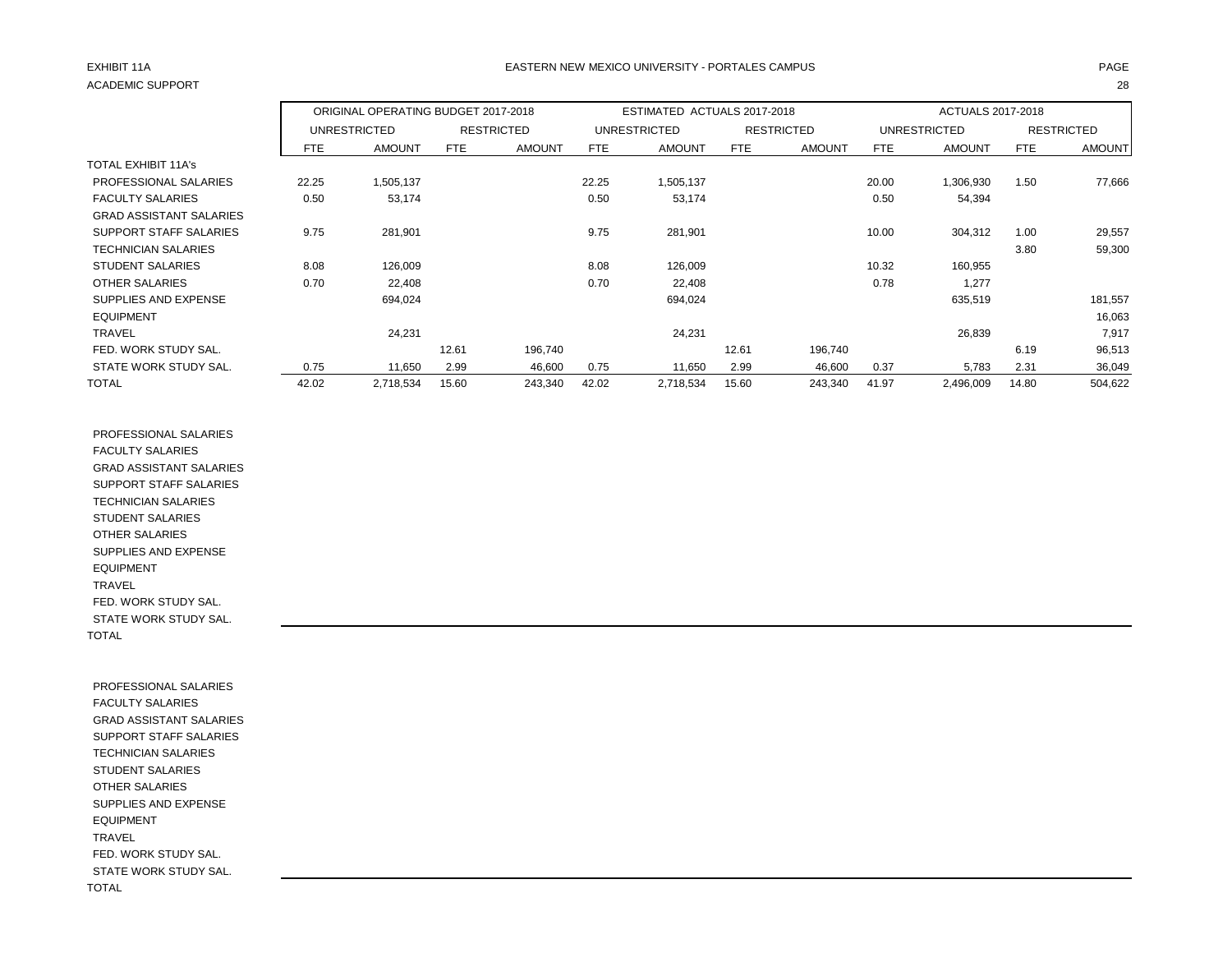# ACADEMIC SUPPORT 28

## EXHIBIT 11A PAGE EASTERN NEW MEXICO UNIVERSITY - PORTALES CAMPUS

|                                |       | ORIGINAL OPERATING BUDGET 2017-2018 |       |                   |       | ESTIMATED ACTUALS 2017-2018 |       |                   |       | ACTUALS 2017-2018 |            |                   |
|--------------------------------|-------|-------------------------------------|-------|-------------------|-------|-----------------------------|-------|-------------------|-------|-------------------|------------|-------------------|
|                                |       | UNRESTRICTED                        |       | <b>RESTRICTED</b> |       | <b>UNRESTRICTED</b>         |       | <b>RESTRICTED</b> |       | UNRESTRICTED      |            | <b>RESTRICTED</b> |
|                                | FTE.  | <b>AMOUNT</b>                       | FTE   | <b>AMOUNT</b>     | FTE   | <b>AMOUNT</b>               | FTE   | <b>AMOUNT</b>     | FTE   | <b>AMOUNT</b>     | <b>FTE</b> | <b>AMOUNT</b>     |
| <b>TOTAL EXHIBIT 11A's</b>     |       |                                     |       |                   |       |                             |       |                   |       |                   |            |                   |
| PROFESSIONAL SALARIES          | 22.25 | 1,505,137                           |       |                   | 22.25 | 1,505,137                   |       |                   | 20.00 | 1,306,930         | 1.50       | 77,666            |
| <b>FACULTY SALARIES</b>        | 0.50  | 53,174                              |       |                   | 0.50  | 53,174                      |       |                   | 0.50  | 54,394            |            |                   |
| <b>GRAD ASSISTANT SALARIES</b> |       |                                     |       |                   |       |                             |       |                   |       |                   |            |                   |
| SUPPORT STAFF SALARIES         | 9.75  | 281,901                             |       |                   | 9.75  | 281,901                     |       |                   | 10.00 | 304,312           | 1.00       | 29,557            |
| <b>TECHNICIAN SALARIES</b>     |       |                                     |       |                   |       |                             |       |                   |       |                   | 3.80       | 59,300            |
| <b>STUDENT SALARIES</b>        | 8.08  | 126,009                             |       |                   | 8.08  | 126,009                     |       |                   | 10.32 | 160,955           |            |                   |
| <b>OTHER SALARIES</b>          | 0.70  | 22,408                              |       |                   | 0.70  | 22,408                      |       |                   | 0.78  | 1,277             |            |                   |
| SUPPLIES AND EXPENSE           |       | 694,024                             |       |                   |       | 694,024                     |       |                   |       | 635,519           |            | 181,557           |
| <b>EQUIPMENT</b>               |       |                                     |       |                   |       |                             |       |                   |       |                   |            | 16,063            |
| <b>TRAVEL</b>                  |       | 24,231                              |       |                   |       | 24,231                      |       |                   |       | 26,839            |            | 7,917             |
| FED. WORK STUDY SAL.           |       |                                     | 12.61 | 196,740           |       |                             | 12.61 | 196,740           |       |                   | 6.19       | 96,513            |
| STATE WORK STUDY SAL.          | 0.75  | 11,650                              | 2.99  | 46,600            | 0.75  | 11,650                      | 2.99  | 46,600            | 0.37  | 5,783             | 2.31       | 36,049            |
| TOTAL                          | 42.02 | 2,718,534                           | 15.60 | 243,340           | 42.02 | 2,718,534                   | 15.60 | 243,340           | 41.97 | 2,496,009         | 14.80      | 504,622           |

 PROFESSIONAL SALARIES FACULTY SALARIES GRAD ASSISTANT SALARIES SUPPORT STAFF SALARIES TECHNICIAN SALARIES STUDENT SALARIES OTHER SALARIES SUPPLIES AND EXPENSE EQUIPMENT TRAVEL FED. WORK STUDY SAL. STATE WORK STUDY SAL. TOTAL

 PROFESSIONAL SALARIES FACULTY SALARIES GRAD ASSISTANT SALARIES SUPPORT STAFF SALARIES TECHNICIAN SALARIES STUDENT SALARIES OTHER SALARIES SUPPLIES AND EXPENSE EQUIPMENT TRAVEL FED. WORK STUDY SAL. STATE WORK STUDY SAL. TOTAL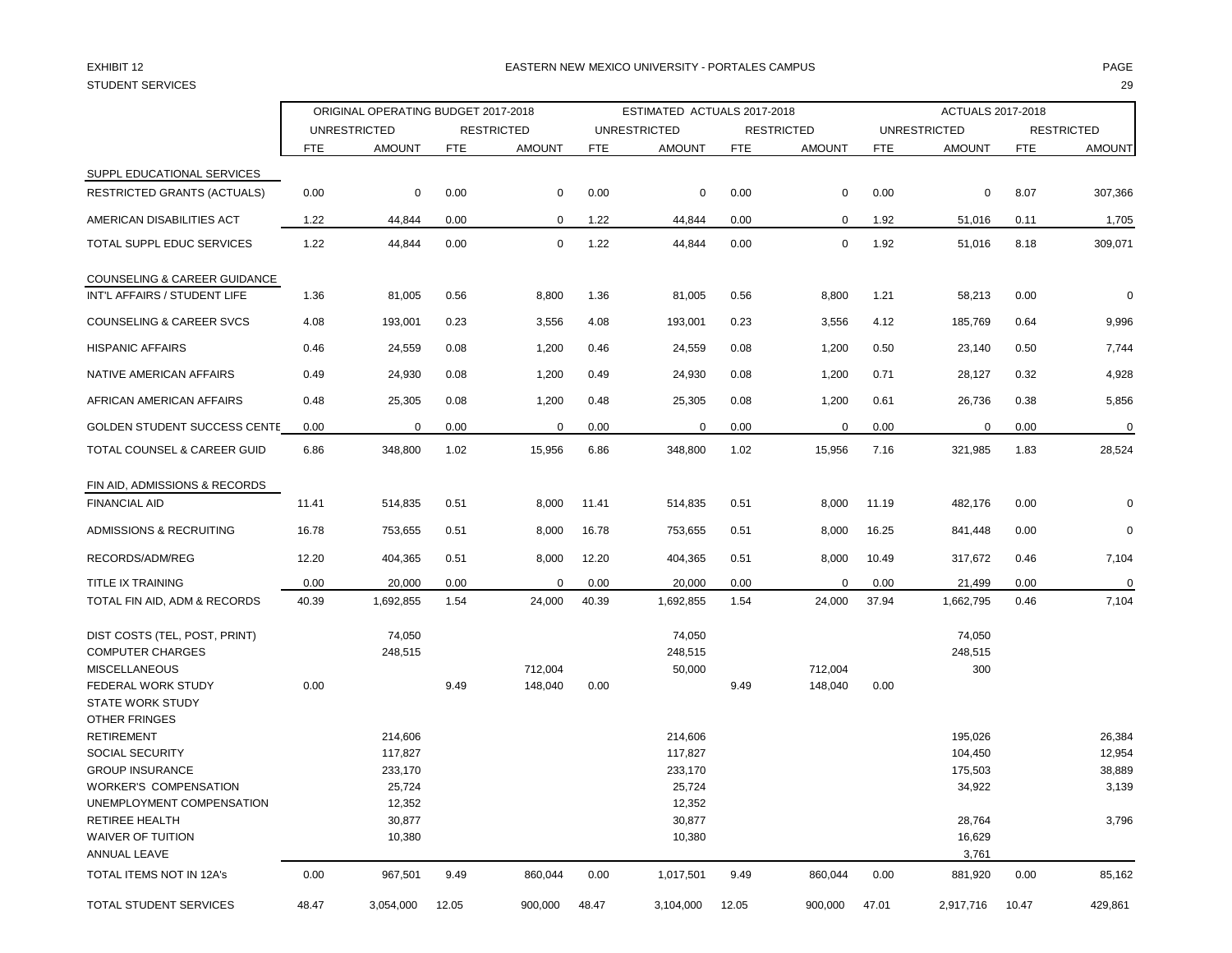## STUDENT SERVICES 29

### EXHIBIT 12 PAGE EASTERN NEW MEXICO UNIVERSITY - PORTALES CAMPUS

|                                               |       | ORIGINAL OPERATING BUDGET 2017-2018 |            |                   |            | ESTIMATED ACTUALS 2017-2018 |            |                   |            | ACTUALS 2017-2018   |            |                   |
|-----------------------------------------------|-------|-------------------------------------|------------|-------------------|------------|-----------------------------|------------|-------------------|------------|---------------------|------------|-------------------|
|                                               |       | <b>UNRESTRICTED</b>                 |            | <b>RESTRICTED</b> |            | <b>UNRESTRICTED</b>         |            | <b>RESTRICTED</b> |            | <b>UNRESTRICTED</b> |            | <b>RESTRICTED</b> |
|                                               | FTE   | <b>AMOUNT</b>                       | <b>FTE</b> | <b>AMOUNT</b>     | <b>FTE</b> | <b>AMOUNT</b>               | <b>FTE</b> | <b>AMOUNT</b>     | <b>FTE</b> | <b>AMOUNT</b>       | <b>FTE</b> | <b>AMOUNT</b>     |
| SUPPL EDUCATIONAL SERVICES                    |       |                                     |            |                   |            |                             |            |                   |            |                     |            |                   |
| <b>RESTRICTED GRANTS (ACTUALS)</b>            | 0.00  | 0                                   | 0.00       | $\mathbf 0$       | 0.00       | 0                           | 0.00       | 0                 | 0.00       | 0                   | 8.07       | 307,366           |
| AMERICAN DISABILITIES ACT                     | 1.22  | 44,844                              | 0.00       | $\mathbf 0$       | 1.22       | 44,844                      | 0.00       | 0                 | 1.92       | 51,016              | 0.11       | 1,705             |
| TOTAL SUPPL EDUC SERVICES                     | 1.22  | 44,844                              | 0.00       | $\mathbf 0$       | 1.22       | 44,844                      | 0.00       | $\mathbf 0$       | 1.92       | 51,016              | 8.18       | 309,071           |
| COUNSELING & CAREER GUIDANCE                  |       |                                     |            |                   |            |                             |            |                   |            |                     |            |                   |
| INT'L AFFAIRS / STUDENT LIFE                  | 1.36  | 81,005                              | 0.56       | 8,800             | 1.36       | 81,005                      | 0.56       | 8,800             | 1.21       | 58,213              | 0.00       | $\mathbf 0$       |
| <b>COUNSELING &amp; CAREER SVCS</b>           | 4.08  | 193,001                             | 0.23       | 3,556             | 4.08       | 193,001                     | 0.23       | 3,556             | 4.12       | 185,769             | 0.64       | 9,996             |
| <b>HISPANIC AFFAIRS</b>                       | 0.46  | 24,559                              | 0.08       | 1,200             | 0.46       | 24,559                      | 0.08       | 1,200             | 0.50       | 23,140              | 0.50       | 7,744             |
| NATIVE AMERICAN AFFAIRS                       | 0.49  | 24,930                              | 0.08       | 1,200             | 0.49       | 24,930                      | 0.08       | 1,200             | 0.71       | 28,127              | 0.32       | 4,928             |
| AFRICAN AMERICAN AFFAIRS                      | 0.48  | 25,305                              | 0.08       | 1,200             | 0.48       | 25,305                      | 0.08       | 1,200             | 0.61       | 26,736              | 0.38       | 5,856             |
| GOLDEN STUDENT SUCCESS CENTE                  | 0.00  | $\mathbf 0$                         | 0.00       | $\mathbf 0$       | 0.00       | $\mathbf 0$                 | 0.00       | $\mathbf 0$       | 0.00       | 0                   | 0.00       | $\pmb{0}$         |
| TOTAL COUNSEL & CAREER GUID                   | 6.86  | 348,800                             | 1.02       | 15,956            | 6.86       | 348,800                     | 1.02       | 15,956            | 7.16       | 321,985             | 1.83       | 28,524            |
| FIN AID, ADMISSIONS & RECORDS                 |       |                                     |            |                   |            |                             |            |                   |            |                     |            |                   |
| <b>FINANCIAL AID</b>                          | 11.41 | 514,835                             | 0.51       | 8,000             | 11.41      | 514,835                     | 0.51       | 8,000             | 11.19      | 482,176             | 0.00       | $\Omega$          |
| ADMISSIONS & RECRUITING                       | 16.78 | 753,655                             | 0.51       | 8,000             | 16.78      | 753,655                     | 0.51       | 8,000             | 16.25      | 841,448             | 0.00       | $\mathbf 0$       |
| RECORDS/ADM/REG                               | 12.20 | 404,365                             | 0.51       | 8,000             | 12.20      | 404,365                     | 0.51       | 8,000             | 10.49      | 317,672             | 0.46       | 7,104             |
| <b>TITLE IX TRAINING</b>                      | 0.00  | 20,000                              | 0.00       | $\Omega$          | 0.00       | 20,000                      | 0.00       | 0                 | 0.00       | 21,499              | 0.00       | $\mathbf 0$       |
| TOTAL FIN AID, ADM & RECORDS                  | 40.39 | 1,692,855                           | 1.54       | 24,000            | 40.39      | 1,692,855                   | 1.54       | 24,000            | 37.94      | 1,662,795           | 0.46       | 7,104             |
| DIST COSTS (TEL, POST, PRINT)                 |       | 74,050                              |            |                   |            | 74,050                      |            |                   |            | 74,050              |            |                   |
| <b>COMPUTER CHARGES</b>                       |       | 248,515                             |            |                   |            | 248,515                     |            |                   |            | 248,515             |            |                   |
| <b>MISCELLANEOUS</b>                          |       |                                     |            | 712,004           |            | 50,000                      |            | 712,004           |            | 300                 |            |                   |
| FEDERAL WORK STUDY<br><b>STATE WORK STUDY</b> | 0.00  |                                     | 9.49       | 148,040           | 0.00       |                             | 9.49       | 148,040           | 0.00       |                     |            |                   |
| <b>OTHER FRINGES</b>                          |       |                                     |            |                   |            |                             |            |                   |            |                     |            |                   |
| <b>RETIREMENT</b>                             |       | 214,606                             |            |                   |            | 214,606                     |            |                   |            | 195,026             |            | 26,384            |
| <b>SOCIAL SECURITY</b>                        |       | 117,827                             |            |                   |            | 117,827                     |            |                   |            | 104,450             |            | 12,954            |
| <b>GROUP INSURANCE</b>                        |       | 233,170                             |            |                   |            | 233,170                     |            |                   |            | 175,503             |            | 38,889            |
| <b>WORKER'S COMPENSATION</b>                  |       | 25,724                              |            |                   |            | 25,724                      |            |                   |            | 34,922              |            | 3,139             |
| UNEMPLOYMENT COMPENSATION                     |       | 12,352                              |            |                   |            | 12,352                      |            |                   |            |                     |            |                   |
| <b>RETIREE HEALTH</b>                         |       | 30,877                              |            |                   |            | 30,877                      |            |                   |            | 28,764              |            | 3,796             |
| <b>WAIVER OF TUITION</b>                      |       | 10,380                              |            |                   |            | 10,380                      |            |                   |            | 16,629              |            |                   |
| ANNUAL LEAVE                                  |       |                                     |            |                   |            |                             |            |                   |            | 3,761               |            |                   |
| TOTAL ITEMS NOT IN 12A's                      | 0.00  | 967,501                             | 9.49       | 860,044           | 0.00       | 1,017,501                   | 9.49       | 860,044           | 0.00       | 881,920             | 0.00       | 85,162            |
| TOTAL STUDENT SERVICES                        | 48.47 | 3,054,000                           | 12.05      | 900,000           | 48.47      | 3,104,000                   | 12.05      | 900,000           | 47.01      | 2,917,716           | 10.47      | 429,861           |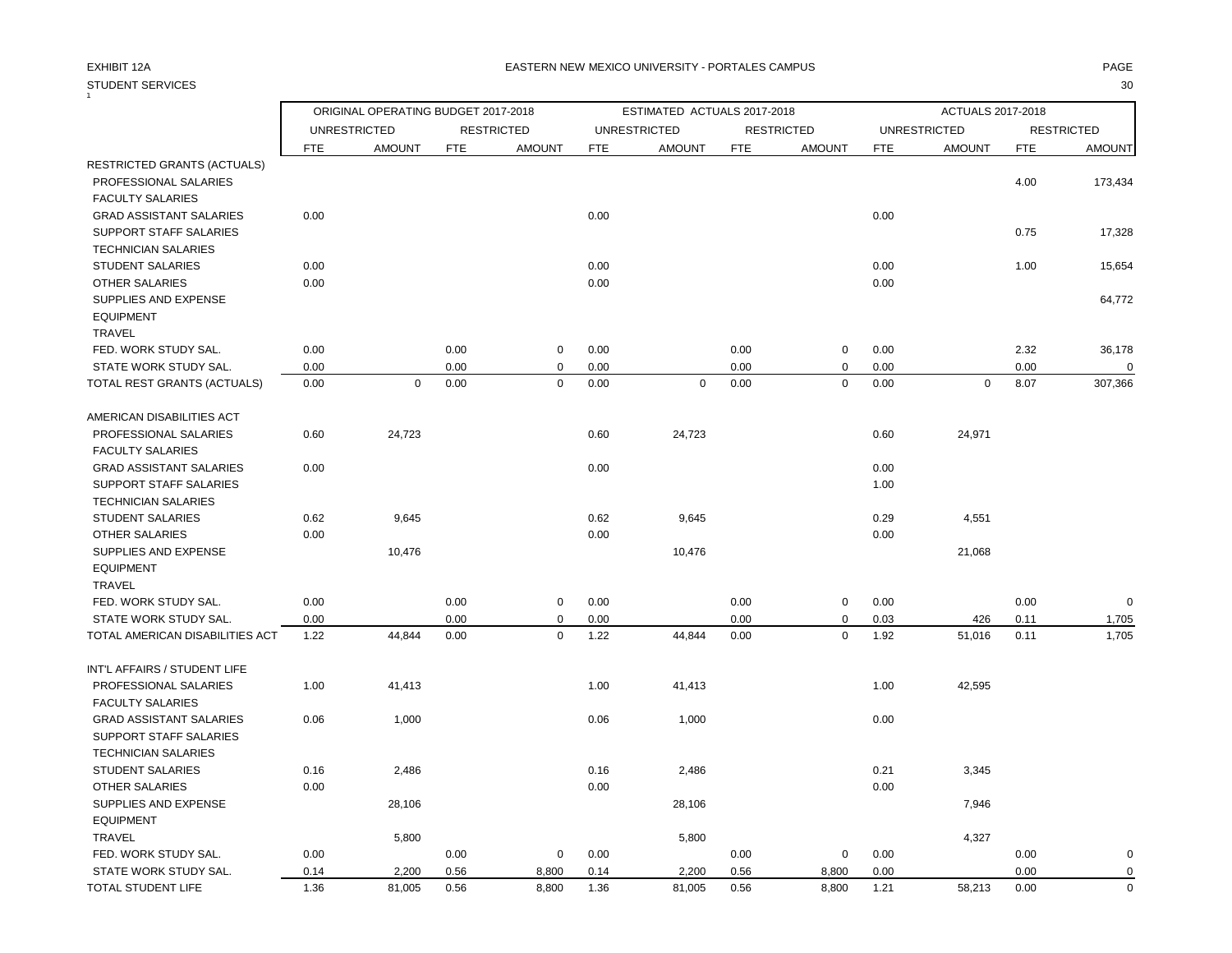### STUDENT SERVICES 30  $\overline{1}$

## EXHIBIT 12A PAGE EASTERN NEW MEXICO UNIVERSITY - PORTALES CAMPUS

|                                 |            | ORIGINAL OPERATING BUDGET 2017-2018 |            |                   |            | ESTIMATED ACTUALS 2017-2018 |            |                   |            | ACTUALS 2017-2018   |            |                   |
|---------------------------------|------------|-------------------------------------|------------|-------------------|------------|-----------------------------|------------|-------------------|------------|---------------------|------------|-------------------|
|                                 |            | <b>UNRESTRICTED</b>                 |            | <b>RESTRICTED</b> |            | <b>UNRESTRICTED</b>         |            | <b>RESTRICTED</b> |            | <b>UNRESTRICTED</b> |            | <b>RESTRICTED</b> |
|                                 | <b>FTE</b> | <b>AMOUNT</b>                       | <b>FTE</b> | <b>AMOUNT</b>     | <b>FTE</b> | <b>AMOUNT</b>               | <b>FTE</b> | <b>AMOUNT</b>     | <b>FTE</b> | <b>AMOUNT</b>       | <b>FTE</b> | <b>AMOUNT</b>     |
| RESTRICTED GRANTS (ACTUALS)     |            |                                     |            |                   |            |                             |            |                   |            |                     |            |                   |
| PROFESSIONAL SALARIES           |            |                                     |            |                   |            |                             |            |                   |            |                     | 4.00       | 173,434           |
| <b>FACULTY SALARIES</b>         |            |                                     |            |                   |            |                             |            |                   |            |                     |            |                   |
| <b>GRAD ASSISTANT SALARIES</b>  | 0.00       |                                     |            |                   | 0.00       |                             |            |                   | 0.00       |                     |            |                   |
| SUPPORT STAFF SALARIES          |            |                                     |            |                   |            |                             |            |                   |            |                     | 0.75       | 17,328            |
| <b>TECHNICIAN SALARIES</b>      |            |                                     |            |                   |            |                             |            |                   |            |                     |            |                   |
| <b>STUDENT SALARIES</b>         | 0.00       |                                     |            |                   | 0.00       |                             |            |                   | 0.00       |                     | 1.00       | 15,654            |
| <b>OTHER SALARIES</b>           | 0.00       |                                     |            |                   | 0.00       |                             |            |                   | 0.00       |                     |            |                   |
| SUPPLIES AND EXPENSE            |            |                                     |            |                   |            |                             |            |                   |            |                     |            | 64,772            |
| <b>EQUIPMENT</b>                |            |                                     |            |                   |            |                             |            |                   |            |                     |            |                   |
| TRAVEL                          |            |                                     |            |                   |            |                             |            |                   |            |                     |            |                   |
| FED. WORK STUDY SAL.            | 0.00       |                                     | 0.00       | 0                 | 0.00       |                             | 0.00       | $\mathbf 0$       | 0.00       |                     | 2.32       | 36,178            |
| STATE WORK STUDY SAL.           | 0.00       |                                     | 0.00       | 0                 | 0.00       |                             | 0.00       | $\mathbf 0$       | 0.00       |                     | 0.00       | $\Omega$          |
| TOTAL REST GRANTS (ACTUALS)     | 0.00       | $\mathbf 0$                         | 0.00       | $\pmb{0}$         | 0.00       | 0                           | 0.00       | $\pmb{0}$         | 0.00       | $\mathbf 0$         | 8.07       | 307,366           |
| AMERICAN DISABILITIES ACT       |            |                                     |            |                   |            |                             |            |                   |            |                     |            |                   |
| PROFESSIONAL SALARIES           | 0.60       | 24,723                              |            |                   | 0.60       | 24,723                      |            |                   | 0.60       | 24,971              |            |                   |
| <b>FACULTY SALARIES</b>         |            |                                     |            |                   |            |                             |            |                   |            |                     |            |                   |
| <b>GRAD ASSISTANT SALARIES</b>  | 0.00       |                                     |            |                   | 0.00       |                             |            |                   | 0.00       |                     |            |                   |
| SUPPORT STAFF SALARIES          |            |                                     |            |                   |            |                             |            |                   | 1.00       |                     |            |                   |
| <b>TECHNICIAN SALARIES</b>      |            |                                     |            |                   |            |                             |            |                   |            |                     |            |                   |
| <b>STUDENT SALARIES</b>         | 0.62       | 9,645                               |            |                   | 0.62       | 9,645                       |            |                   | 0.29       | 4,551               |            |                   |
| <b>OTHER SALARIES</b>           | 0.00       |                                     |            |                   | 0.00       |                             |            |                   | 0.00       |                     |            |                   |
| SUPPLIES AND EXPENSE            |            | 10,476                              |            |                   |            | 10,476                      |            |                   |            | 21,068              |            |                   |
| <b>EQUIPMENT</b>                |            |                                     |            |                   |            |                             |            |                   |            |                     |            |                   |
| TRAVEL                          |            |                                     |            |                   |            |                             |            |                   |            |                     |            |                   |
| FED. WORK STUDY SAL.            | 0.00       |                                     | 0.00       | 0                 | 0.00       |                             | 0.00       | $\mathbf 0$       | 0.00       |                     | 0.00       | $\Omega$          |
| STATE WORK STUDY SAL.           | 0.00       |                                     | 0.00       | 0                 | 0.00       |                             | 0.00       | $\mathbf 0$       | 0.03       | 426                 | 0.11       | 1,705             |
| TOTAL AMERICAN DISABILITIES ACT | 1.22       | 44,844                              | 0.00       | $\mathbf 0$       | 1.22       | 44,844                      | 0.00       | $\mathsf 0$       | 1.92       | 51,016              | 0.11       | 1,705             |
| INT'L AFFAIRS / STUDENT LIFE    |            |                                     |            |                   |            |                             |            |                   |            |                     |            |                   |
| PROFESSIONAL SALARIES           | 1.00       | 41,413                              |            |                   | 1.00       | 41,413                      |            |                   | 1.00       | 42,595              |            |                   |
| <b>FACULTY SALARIES</b>         |            |                                     |            |                   |            |                             |            |                   |            |                     |            |                   |
| <b>GRAD ASSISTANT SALARIES</b>  | 0.06       | 1,000                               |            |                   | 0.06       | 1,000                       |            |                   | 0.00       |                     |            |                   |
| SUPPORT STAFF SALARIES          |            |                                     |            |                   |            |                             |            |                   |            |                     |            |                   |
| <b>TECHNICIAN SALARIES</b>      |            |                                     |            |                   |            |                             |            |                   |            |                     |            |                   |
| <b>STUDENT SALARIES</b>         | 0.16       | 2,486                               |            |                   | 0.16       | 2,486                       |            |                   | 0.21       | 3,345               |            |                   |
| <b>OTHER SALARIES</b>           | 0.00       |                                     |            |                   | 0.00       |                             |            |                   | 0.00       |                     |            |                   |
| SUPPLIES AND EXPENSE            |            | 28,106                              |            |                   |            | 28,106                      |            |                   |            | 7,946               |            |                   |
| <b>EQUIPMENT</b>                |            |                                     |            |                   |            |                             |            |                   |            |                     |            |                   |
| <b>TRAVEL</b>                   |            | 5,800                               |            |                   |            | 5,800                       |            |                   |            | 4,327               |            |                   |
| FED. WORK STUDY SAL.            | 0.00       |                                     | 0.00       | 0                 | 0.00       |                             | 0.00       | 0                 | 0.00       |                     | 0.00       | 0                 |
| $1 - 1110011001110111$          |            | $\sim$ $\sim$ $\sim$                |            |                   |            | $\sim$ $\sim$ $\sim$        |            |                   |            |                     |            |                   |

STATE WORK STUDY SAL.  $0.14$   $2,200$   $0.56$   $8,800$   $0.14$   $2,200$   $0.56$   $8,800$   $0.00$   $0.00$  0.00 TOTAL STUDENT LIFE 1.36 81,005 0.56 8,800 1.36 81,005 0.56 8,800 1.21 58,213 0.00 0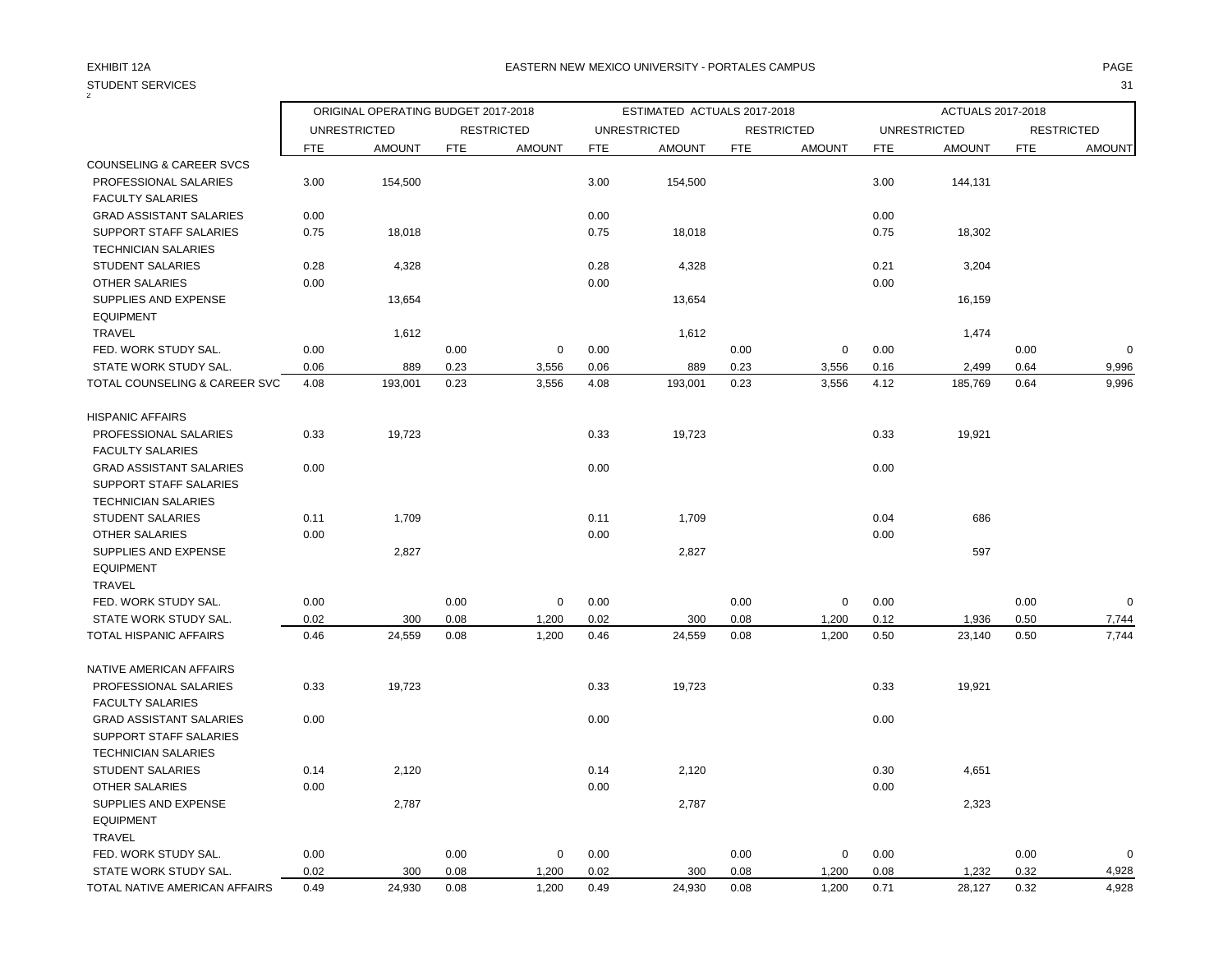| <b>STUDENT SERVICES</b>        |            |                                     |            |                   |            |                             |            |                   |            |                          |            | 31                |
|--------------------------------|------------|-------------------------------------|------------|-------------------|------------|-----------------------------|------------|-------------------|------------|--------------------------|------------|-------------------|
|                                |            | ORIGINAL OPERATING BUDGET 2017-2018 |            |                   |            | ESTIMATED ACTUALS 2017-2018 |            |                   |            | <b>ACTUALS 2017-2018</b> |            |                   |
|                                |            | <b>UNRESTRICTED</b>                 |            | <b>RESTRICTED</b> |            | <b>UNRESTRICTED</b>         |            | <b>RESTRICTED</b> |            | <b>UNRESTRICTED</b>      |            | <b>RESTRICTED</b> |
|                                | <b>FTE</b> | <b>AMOUNT</b>                       | <b>FTE</b> | <b>AMOUNT</b>     | <b>FTE</b> | <b>AMOUNT</b>               | <b>FTE</b> | <b>AMOUNT</b>     | <b>FTE</b> | <b>AMOUNT</b>            | <b>FTE</b> | <b>AMOUNT</b>     |
| COUNSELING & CAREER SVCS       |            |                                     |            |                   |            |                             |            |                   |            |                          |            |                   |
| PROFESSIONAL SALARIES          | 3.00       | 154,500                             |            |                   | 3.00       | 154,500                     |            |                   | 3.00       | 144,131                  |            |                   |
| <b>FACULTY SALARIES</b>        |            |                                     |            |                   |            |                             |            |                   |            |                          |            |                   |
| <b>GRAD ASSISTANT SALARIES</b> | 0.00       |                                     |            |                   | 0.00       |                             |            |                   | 0.00       |                          |            |                   |
| <b>SUPPORT STAFF SALARIES</b>  | 0.75       | 18,018                              |            |                   | 0.75       | 18,018                      |            |                   | 0.75       | 18,302                   |            |                   |
| <b>TECHNICIAN SALARIES</b>     |            |                                     |            |                   |            |                             |            |                   |            |                          |            |                   |
| <b>STUDENT SALARIES</b>        | 0.28       | 4,328                               |            |                   | 0.28       | 4,328                       |            |                   | 0.21       | 3,204                    |            |                   |
| <b>OTHER SALARIES</b>          | 0.00       |                                     |            |                   | 0.00       |                             |            |                   | 0.00       |                          |            |                   |
| SUPPLIES AND EXPENSE           |            | 13,654                              |            |                   |            | 13,654                      |            |                   |            | 16,159                   |            |                   |
| <b>EQUIPMENT</b>               |            |                                     |            |                   |            |                             |            |                   |            |                          |            |                   |
| <b>TRAVEL</b>                  |            | 1,612                               |            |                   |            | 1,612                       |            |                   |            | 1,474                    |            |                   |
| FED. WORK STUDY SAL.           | 0.00       |                                     | 0.00       | $\mathbf 0$       | 0.00       |                             | 0.00       | $\mathbf 0$       | 0.00       |                          | 0.00       | $\mathbf 0$       |
| STATE WORK STUDY SAL.          | 0.06       | 889                                 | 0.23       | 3,556             | 0.06       | 889                         | 0.23       | 3,556             | 0.16       | 2,499                    | 0.64       | 9,996             |
| TOTAL COUNSELING & CAREER SVC  | 4.08       | 193,001                             | 0.23       | 3,556             | 4.08       | 193,001                     | 0.23       | 3,556             | 4.12       | 185,769                  | 0.64       | 9,996             |
| <b>HISPANIC AFFAIRS</b>        |            |                                     |            |                   |            |                             |            |                   |            |                          |            |                   |
| PROFESSIONAL SALARIES          | 0.33       | 19,723                              |            |                   | 0.33       | 19,723                      |            |                   | 0.33       | 19,921                   |            |                   |
| <b>FACULTY SALARIES</b>        |            |                                     |            |                   |            |                             |            |                   |            |                          |            |                   |
| <b>GRAD ASSISTANT SALARIES</b> | 0.00       |                                     |            |                   | 0.00       |                             |            |                   | 0.00       |                          |            |                   |
| SUPPORT STAFF SALARIES         |            |                                     |            |                   |            |                             |            |                   |            |                          |            |                   |
| <b>TECHNICIAN SALARIES</b>     |            |                                     |            |                   |            |                             |            |                   |            |                          |            |                   |
| <b>STUDENT SALARIES</b>        | 0.11       | 1,709                               |            |                   | 0.11       | 1,709                       |            |                   | 0.04       | 686                      |            |                   |
| OTHER SALARIES                 | 0.00       |                                     |            |                   | 0.00       |                             |            |                   | 0.00       |                          |            |                   |
| SUPPLIES AND EXPENSE           |            | 2,827                               |            |                   |            | 2,827                       |            |                   |            | 597                      |            |                   |
| <b>EQUIPMENT</b>               |            |                                     |            |                   |            |                             |            |                   |            |                          |            |                   |
| <b>TRAVEL</b>                  |            |                                     |            |                   |            |                             |            |                   |            |                          |            |                   |
| FED. WORK STUDY SAL.           | 0.00       |                                     | 0.00       | $\mathbf 0$       | 0.00       |                             | 0.00       | $\mathbf 0$       | 0.00       |                          | 0.00       | $\Omega$          |
| STATE WORK STUDY SAL.          | 0.02       | 300                                 | 0.08       | 1,200             | 0.02       | 300                         | 0.08       | 1,200             | 0.12       | 1,936                    | 0.50       | 7,744             |
| <b>TOTAL HISPANIC AFFAIRS</b>  | 0.46       | 24,559                              | 0.08       | 1,200             | 0.46       | 24,559                      | 0.08       | 1,200             | 0.50       | 23,140                   | 0.50       | 7,744             |
| NATIVE AMERICAN AFFAIRS        |            |                                     |            |                   |            |                             |            |                   |            |                          |            |                   |
| PROFESSIONAL SALARIES          | 0.33       | 19,723                              |            |                   | 0.33       | 19,723                      |            |                   | 0.33       | 19,921                   |            |                   |
| <b>FACULTY SALARIES</b>        |            |                                     |            |                   |            |                             |            |                   |            |                          |            |                   |
| <b>GRAD ASSISTANT SALARIES</b> | 0.00       |                                     |            |                   | 0.00       |                             |            |                   | 0.00       |                          |            |                   |
| SUPPORT STAFF SALARIES         |            |                                     |            |                   |            |                             |            |                   |            |                          |            |                   |
| <b>TECHNICIAN SALARIES</b>     |            |                                     |            |                   |            |                             |            |                   |            |                          |            |                   |
| <b>STUDENT SALARIES</b>        | 0.14       | 2,120                               |            |                   | 0.14       | 2,120                       |            |                   | 0.30       | 4,651                    |            |                   |
| <b>OTHER SALARIES</b>          | 0.00       |                                     |            |                   | 0.00       |                             |            |                   | 0.00       |                          |            |                   |
| SUPPLIES AND EXPENSE           |            | 2,787                               |            |                   |            | 2,787                       |            |                   |            | 2,323                    |            |                   |
| <b>EQUIPMENT</b>               |            |                                     |            |                   |            |                             |            |                   |            |                          |            |                   |
| <b>TRAVEL</b>                  |            |                                     |            |                   |            |                             |            |                   |            |                          |            |                   |
| FED. WORK STUDY SAL.           | 0.00       |                                     | 0.00       | $\mathbf 0$       | 0.00       |                             | 0.00       | $\mathbf 0$       | 0.00       |                          | 0.00       | $\mathbf 0$       |
| STATE WORK STUDY SAL.          | 0.02       | 300                                 | 0.08       | 1,200             | 0.02       | 300                         | 0.08       | 1,200             | 0.08       | 1,232                    | 0.32       | 4,928             |
| TOTAL NATIVE AMERICAN AFFAIRS  | 0.49       | 24,930                              | 0.08       | 1,200             | 0.49       | 24,930                      | 0.08       | 1,200             | 0.71       | 28,127                   | 0.32       | 4,928             |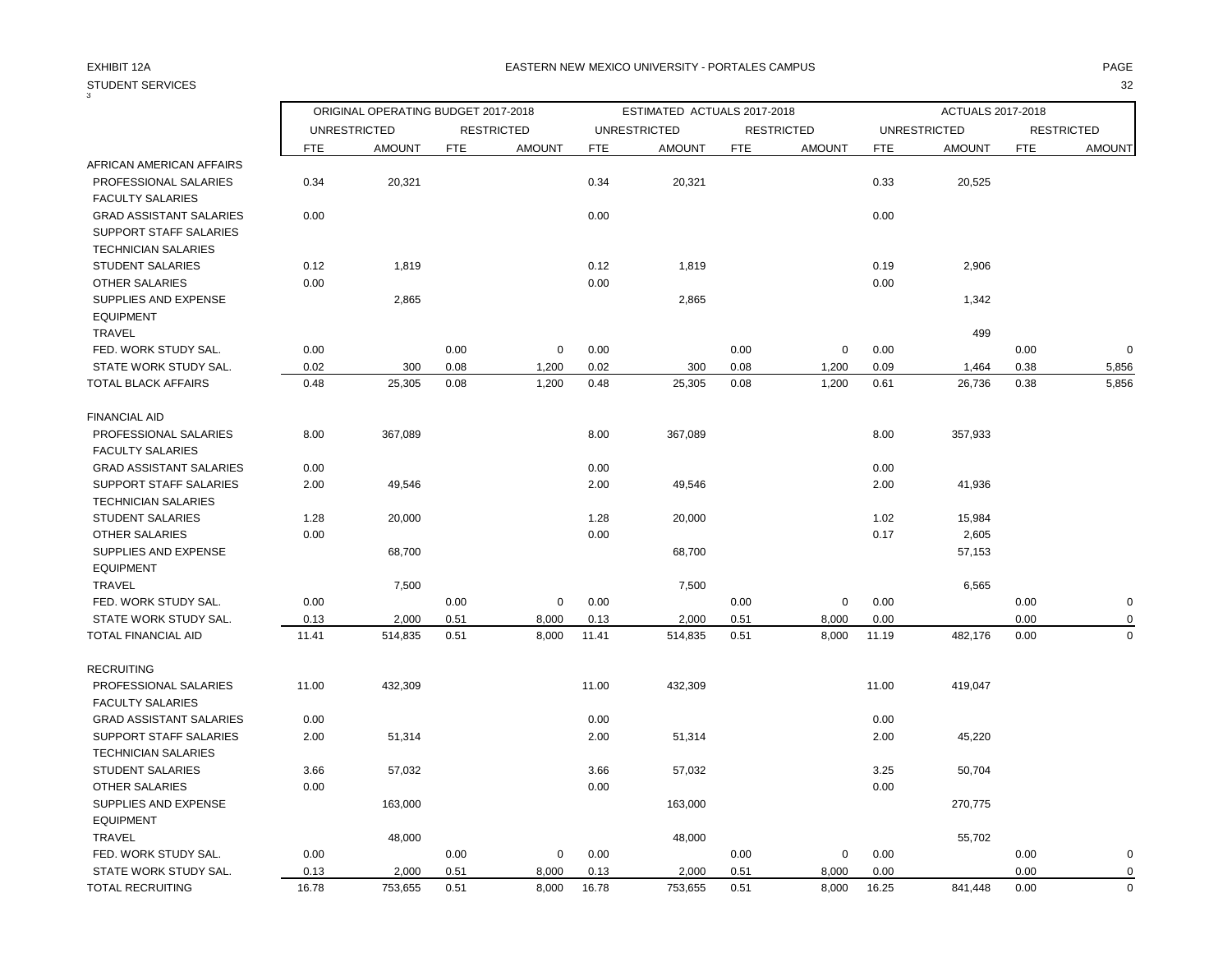| 3                                                                                      |            | ORIGINAL OPERATING BUDGET 2017-2018 |            |                   |            | ESTIMATED ACTUALS 2017-2018 |            |                   |            | ACTUALS 2017-2018   |            |                   |
|----------------------------------------------------------------------------------------|------------|-------------------------------------|------------|-------------------|------------|-----------------------------|------------|-------------------|------------|---------------------|------------|-------------------|
|                                                                                        |            | <b>UNRESTRICTED</b>                 |            | <b>RESTRICTED</b> |            | <b>UNRESTRICTED</b>         |            | <b>RESTRICTED</b> |            | <b>UNRESTRICTED</b> |            | <b>RESTRICTED</b> |
|                                                                                        | <b>FTE</b> | <b>AMOUNT</b>                       | <b>FTE</b> | <b>AMOUNT</b>     | <b>FTE</b> | <b>AMOUNT</b>               | <b>FTE</b> | <b>AMOUNT</b>     | <b>FTE</b> | <b>AMOUNT</b>       | <b>FTE</b> | <b>AMOUNT</b>     |
| AFRICAN AMERICAN AFFAIRS                                                               |            |                                     |            |                   |            |                             |            |                   |            |                     |            |                   |
| PROFESSIONAL SALARIES<br><b>FACULTY SALARIES</b>                                       | 0.34       | 20,321                              |            |                   | 0.34       | 20,321                      |            |                   | 0.33       | 20,525              |            |                   |
| <b>GRAD ASSISTANT SALARIES</b><br>SUPPORT STAFF SALARIES<br><b>TECHNICIAN SALARIES</b> | 0.00       |                                     |            |                   | 0.00       |                             |            |                   | 0.00       |                     |            |                   |
| <b>STUDENT SALARIES</b>                                                                | 0.12       | 1,819                               |            |                   | 0.12       | 1,819                       |            |                   | 0.19       | 2,906               |            |                   |
| <b>OTHER SALARIES</b>                                                                  | 0.00       |                                     |            |                   | 0.00       |                             |            |                   | 0.00       |                     |            |                   |
| SUPPLIES AND EXPENSE<br><b>EQUIPMENT</b>                                               |            | 2,865                               |            |                   |            | 2,865                       |            |                   |            | 1,342               |            |                   |
| <b>TRAVEL</b>                                                                          |            |                                     |            |                   |            |                             |            |                   |            | 499                 |            |                   |
| FED. WORK STUDY SAL.                                                                   | 0.00       |                                     | 0.00       | $\mathbf 0$       | 0.00       |                             | 0.00       | $\mathbf 0$       | 0.00       |                     | 0.00       | $\Omega$          |
| STATE WORK STUDY SAL.                                                                  | 0.02       | 300                                 | 0.08       | 1,200             | 0.02       | 300                         | 0.08       | 1,200             | 0.09       | 1,464               | 0.38       | 5,856             |
| <b>TOTAL BLACK AFFAIRS</b>                                                             | 0.48       | 25,305                              | 0.08       | 1,200             | 0.48       | 25,305                      | 0.08       | 1,200             | 0.61       | 26,736              | 0.38       | 5,856             |
| <b>FINANCIAL AID</b>                                                                   |            |                                     |            |                   |            |                             |            |                   |            |                     |            |                   |
| PROFESSIONAL SALARIES<br><b>FACULTY SALARIES</b>                                       | 8.00       | 367,089                             |            |                   | 8.00       | 367,089                     |            |                   | 8.00       | 357,933             |            |                   |
| <b>GRAD ASSISTANT SALARIES</b>                                                         | 0.00       |                                     |            |                   | 0.00       |                             |            |                   | 0.00       |                     |            |                   |
| <b>SUPPORT STAFF SALARIES</b><br><b>TECHNICIAN SALARIES</b>                            | 2.00       | 49,546                              |            |                   | 2.00       | 49,546                      |            |                   | 2.00       | 41,936              |            |                   |
| <b>STUDENT SALARIES</b>                                                                | 1.28       | 20,000                              |            |                   | 1.28       | 20,000                      |            |                   | 1.02       | 15,984              |            |                   |
| OTHER SALARIES                                                                         | 0.00       |                                     |            |                   | 0.00       |                             |            |                   | 0.17       | 2,605               |            |                   |
| SUPPLIES AND EXPENSE                                                                   |            | 68,700                              |            |                   |            | 68,700                      |            |                   |            | 57,153              |            |                   |
| <b>EQUIPMENT</b>                                                                       |            |                                     |            |                   |            |                             |            |                   |            |                     |            |                   |
| TRAVEL                                                                                 |            | 7,500                               |            |                   |            | 7,500                       |            |                   |            | 6,565               |            |                   |
| FED. WORK STUDY SAL.                                                                   | 0.00       |                                     | 0.00       | $\mathbf 0$       | 0.00       |                             | 0.00       | $\mathbf 0$       | 0.00       |                     | 0.00       | 0                 |
| STATE WORK STUDY SAL.                                                                  | 0.13       | 2,000                               | 0.51       | 8,000             | 0.13       | 2,000                       | 0.51       | 8,000             | 0.00       |                     | 0.00       | 0                 |
| <b>TOTAL FINANCIAL AID</b>                                                             | 11.41      | 514,835                             | 0.51       | 8,000             | 11.41      | 514,835                     | 0.51       | 8,000             | 11.19      | 482,176             | 0.00       | $\mathbf 0$       |
| <b>RECRUITING</b>                                                                      |            |                                     |            |                   |            |                             |            |                   |            |                     |            |                   |
| PROFESSIONAL SALARIES                                                                  | 11.00      | 432,309                             |            |                   | 11.00      | 432,309                     |            |                   | 11.00      | 419,047             |            |                   |
| <b>FACULTY SALARIES</b>                                                                |            |                                     |            |                   |            |                             |            |                   |            |                     |            |                   |
| <b>GRAD ASSISTANT SALARIES</b>                                                         | 0.00       |                                     |            |                   | 0.00       |                             |            |                   | 0.00       |                     |            |                   |
| <b>SUPPORT STAFF SALARIES</b>                                                          | 2.00       | 51,314                              |            |                   | 2.00       | 51,314                      |            |                   | 2.00       | 45,220              |            |                   |
| <b>TECHNICIAN SALARIES</b>                                                             |            |                                     |            |                   |            |                             |            |                   |            |                     |            |                   |
| STUDENT SALARIES                                                                       | 3.66       | 57,032                              |            |                   | 3.66       | 57,032                      |            |                   | 3.25       | 50,704              |            |                   |
| <b>OTHER SALARIES</b>                                                                  | 0.00       |                                     |            |                   | 0.00       |                             |            |                   | 0.00       |                     |            |                   |
| SUPPLIES AND EXPENSE                                                                   |            | 163,000                             |            |                   |            | 163,000                     |            |                   |            | 270,775             |            |                   |
| <b>EQUIPMENT</b>                                                                       |            |                                     |            |                   |            |                             |            |                   |            |                     |            |                   |
| <b>TRAVEL</b>                                                                          |            | 48,000                              |            |                   |            | 48,000                      |            |                   |            | 55,702              |            |                   |
| FED. WORK STUDY SAL.                                                                   | 0.00       |                                     | 0.00       | 0                 | 0.00       |                             | 0.00       | $\mathbf 0$       | 0.00       |                     | 0.00       | 0                 |
| STATE WORK STUDY SAL.                                                                  | 0.13       | 2,000                               | 0.51       | 8,000             | 0.13       | 2,000                       | 0.51       | 8,000             | 0.00       |                     | 0.00       | $\mathbf 0$       |
| <b>TOTAL RECRUITING</b>                                                                | 16.78      | 753,655                             | 0.51       | 8,000             | 16.78      | 753,655                     | 0.51       | 8,000             | 16.25      | 841,448             | 0.00       | $\mathbf 0$       |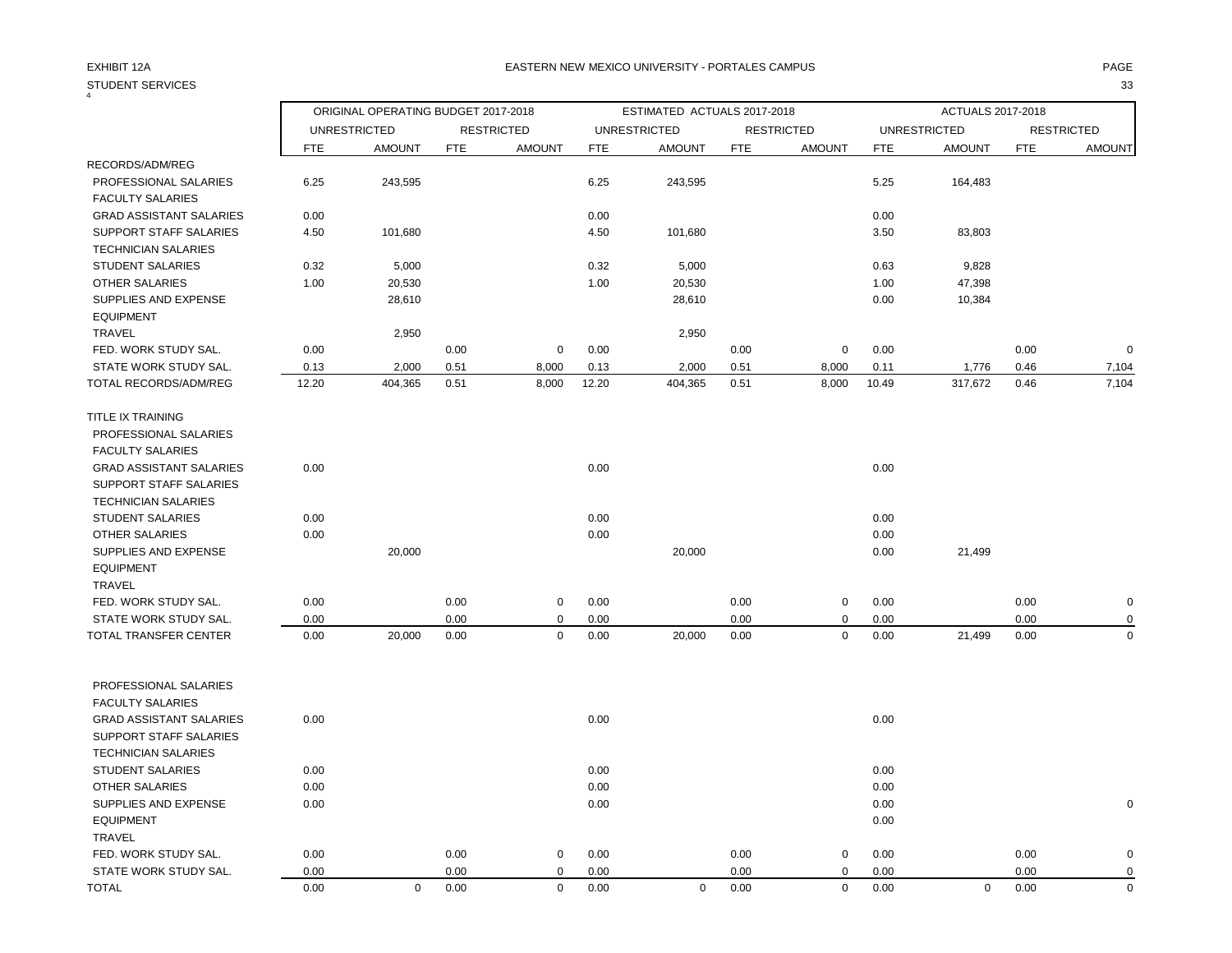| STUDENT SERVICES               |            |                                     |            |                   |            |                             |            |                   |            |                     |            | 33                |
|--------------------------------|------------|-------------------------------------|------------|-------------------|------------|-----------------------------|------------|-------------------|------------|---------------------|------------|-------------------|
|                                |            | ORIGINAL OPERATING BUDGET 2017-2018 |            |                   |            | ESTIMATED ACTUALS 2017-2018 |            |                   |            | ACTUALS 2017-2018   |            |                   |
|                                |            | <b>UNRESTRICTED</b>                 |            | <b>RESTRICTED</b> |            | <b>UNRESTRICTED</b>         |            | <b>RESTRICTED</b> |            | <b>UNRESTRICTED</b> |            | <b>RESTRICTED</b> |
|                                | <b>FTE</b> | <b>AMOUNT</b>                       | <b>FTE</b> | <b>AMOUNT</b>     | <b>FTE</b> | <b>AMOUNT</b>               | <b>FTE</b> | <b>AMOUNT</b>     | <b>FTE</b> | <b>AMOUNT</b>       | <b>FTE</b> | <b>AMOUNT</b>     |
| RECORDS/ADM/REG                |            |                                     |            |                   |            |                             |            |                   |            |                     |            |                   |
| PROFESSIONAL SALARIES          | 6.25       | 243,595                             |            |                   | 6.25       | 243,595                     |            |                   | 5.25       | 164,483             |            |                   |
| <b>FACULTY SALARIES</b>        |            |                                     |            |                   |            |                             |            |                   |            |                     |            |                   |
| <b>GRAD ASSISTANT SALARIES</b> | 0.00       |                                     |            |                   | 0.00       |                             |            |                   | 0.00       |                     |            |                   |
| <b>SUPPORT STAFF SALARIES</b>  | 4.50       | 101,680                             |            |                   | 4.50       | 101,680                     |            |                   | 3.50       | 83,803              |            |                   |
| <b>TECHNICIAN SALARIES</b>     |            |                                     |            |                   |            |                             |            |                   |            |                     |            |                   |
| <b>STUDENT SALARIES</b>        | 0.32       | 5,000                               |            |                   | 0.32       | 5,000                       |            |                   | 0.63       | 9,828               |            |                   |
| <b>OTHER SALARIES</b>          | 1.00       | 20,530                              |            |                   | 1.00       | 20,530                      |            |                   | 1.00       | 47,398              |            |                   |
| SUPPLIES AND EXPENSE           |            | 28,610                              |            |                   |            | 28,610                      |            |                   | 0.00       | 10,384              |            |                   |
| <b>EQUIPMENT</b>               |            |                                     |            |                   |            |                             |            |                   |            |                     |            |                   |
| <b>TRAVEL</b>                  |            | 2,950                               |            |                   |            | 2,950                       |            |                   |            |                     |            |                   |
| FED. WORK STUDY SAL.           | 0.00       |                                     | 0.00       | $\mathbf 0$       | 0.00       |                             | 0.00       | $\mathbf 0$       | 0.00       |                     | 0.00       | $\Omega$          |
| STATE WORK STUDY SAL.          | 0.13       | 2,000                               | 0.51       | 8,000             | 0.13       | 2,000                       | 0.51       | 8,000             | 0.11       | 1,776               | 0.46       | 7,104             |
| TOTAL RECORDS/ADM/REG          | 12.20      | 404,365                             | 0.51       | 8,000             | 12.20      | 404,365                     | 0.51       | 8,000             | 10.49      | 317,672             | 0.46       | 7,104             |
| TITLE IX TRAINING              |            |                                     |            |                   |            |                             |            |                   |            |                     |            |                   |
| PROFESSIONAL SALARIES          |            |                                     |            |                   |            |                             |            |                   |            |                     |            |                   |
| <b>FACULTY SALARIES</b>        |            |                                     |            |                   |            |                             |            |                   |            |                     |            |                   |
| <b>GRAD ASSISTANT SALARIES</b> | 0.00       |                                     |            |                   | 0.00       |                             |            |                   | 0.00       |                     |            |                   |
| SUPPORT STAFF SALARIES         |            |                                     |            |                   |            |                             |            |                   |            |                     |            |                   |
| <b>TECHNICIAN SALARIES</b>     |            |                                     |            |                   |            |                             |            |                   |            |                     |            |                   |
| <b>STUDENT SALARIES</b>        | 0.00       |                                     |            |                   | 0.00       |                             |            |                   | 0.00       |                     |            |                   |
| <b>OTHER SALARIES</b>          | 0.00       |                                     |            |                   | 0.00       |                             |            |                   | 0.00       |                     |            |                   |
| SUPPLIES AND EXPENSE           |            | 20,000                              |            |                   |            | 20,000                      |            |                   | 0.00       | 21,499              |            |                   |
| <b>EQUIPMENT</b>               |            |                                     |            |                   |            |                             |            |                   |            |                     |            |                   |
| TRAVEL                         |            |                                     |            |                   |            |                             |            |                   |            |                     |            |                   |
| FED. WORK STUDY SAL.           | 0.00       |                                     | 0.00       | 0                 | 0.00       |                             | 0.00       | 0                 | 0.00       |                     | 0.00       |                   |
| STATE WORK STUDY SAL.          | 0.00       |                                     | 0.00       | $\mathbf 0$       | 0.00       |                             | 0.00       | $\mathbf 0$       | 0.00       |                     | 0.00       |                   |
| TOTAL TRANSFER CENTER          | 0.00       | 20,000                              | 0.00       | $\mathbf 0$       | 0.00       | 20,000                      | 0.00       | $\mathbf 0$       | 0.00       | 21,499              | 0.00       | $\Omega$          |
|                                |            |                                     |            |                   |            |                             |            |                   |            |                     |            |                   |
| PROFESSIONAL SALARIES          |            |                                     |            |                   |            |                             |            |                   |            |                     |            |                   |
| <b>FACULTY SALARIES</b>        |            |                                     |            |                   |            |                             |            |                   |            |                     |            |                   |
| <b>GRAD ASSISTANT SALARIES</b> | 0.00       |                                     |            |                   | 0.00       |                             |            |                   | 0.00       |                     |            |                   |
| SUPPORT STAFF SALARIES         |            |                                     |            |                   |            |                             |            |                   |            |                     |            |                   |
| <b>TECHNICIAN SALARIES</b>     |            |                                     |            |                   |            |                             |            |                   |            |                     |            |                   |
| <b>STUDENT SALARIES</b>        | 0.00       |                                     |            |                   | 0.00       |                             |            |                   | 0.00       |                     |            |                   |
| <b>OTHER SALARIES</b>          | 0.00       |                                     |            |                   | 0.00       |                             |            |                   | 0.00       |                     |            |                   |
| SUPPLIES AND EXPENSE           | 0.00       |                                     |            |                   | 0.00       |                             |            |                   | 0.00       |                     |            |                   |
| <b>EQUIPMENT</b>               |            |                                     |            |                   |            |                             |            |                   | 0.00       |                     |            |                   |
| TRAVEL                         |            |                                     |            |                   |            |                             |            |                   |            |                     |            |                   |
| FED. WORK STUDY SAL.           | 0.00       |                                     | 0.00       | $\mathbf 0$       | 0.00       |                             | 0.00       | 0                 | 0.00       |                     | 0.00       | O                 |
| STATE WORK STUDY SAL           | 0.00       |                                     | 0.00       | $\Omega$          | 0.00       |                             | 0.00       | $\mathbf 0$       | 0.00       |                     | 0.00       | $\Omega$          |

TOTAL 0.00 0 0.00 0 0.00 0 0.00 0 0.00 0 0.00 0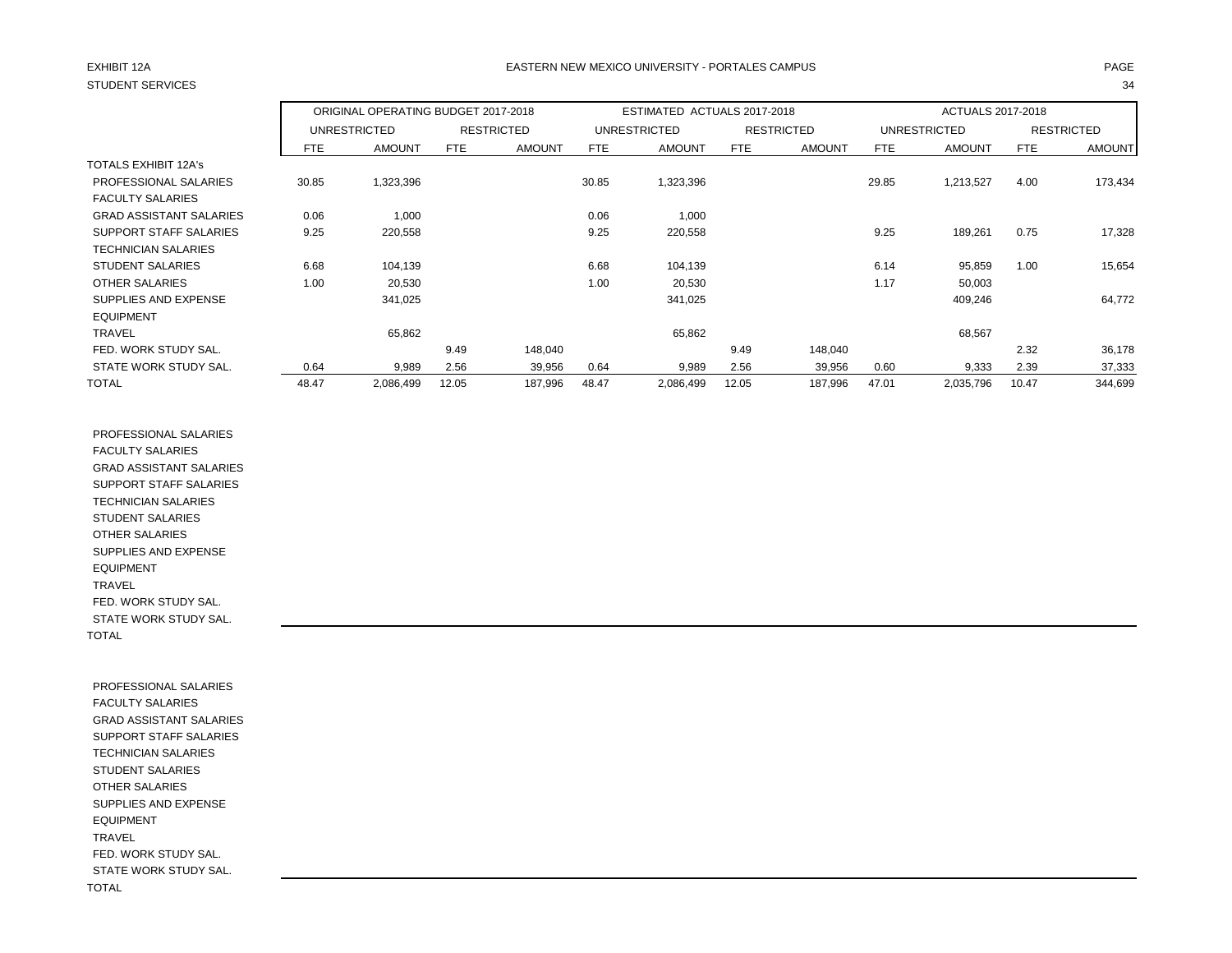# STUDENT SERVICES 34

## EXHIBIT 12A PAGE EASTERN NEW MEXICO UNIVERSITY - PORTALES CAMPUS

|                                |            | ORIGINAL OPERATING BUDGET 2017-2018 |       |                   | ESTIMATED ACTUALS 2017-2018 |                     |       |                   | ACTUALS 2017-2018 |               |            |                   |
|--------------------------------|------------|-------------------------------------|-------|-------------------|-----------------------------|---------------------|-------|-------------------|-------------------|---------------|------------|-------------------|
|                                |            | UNRESTRICTED                        |       | <b>RESTRICTED</b> |                             | <b>UNRESTRICTED</b> |       | <b>RESTRICTED</b> |                   | UNRESTRICTED  |            | <b>RESTRICTED</b> |
|                                | <b>FTE</b> | <b>AMOUNT</b>                       | FTE   | <b>AMOUNT</b>     | FTE                         | <b>AMOUNT</b>       | FTE   | <b>AMOUNT</b>     | <b>FTE</b>        | <b>AMOUNT</b> | <b>FTE</b> | <b>AMOUNT</b>     |
| <b>TOTALS EXHIBIT 12A's</b>    |            |                                     |       |                   |                             |                     |       |                   |                   |               |            |                   |
| PROFESSIONAL SALARIES          | 30.85      | 1,323,396                           |       |                   | 30.85                       | 1,323,396           |       |                   | 29.85             | 1,213,527     | 4.00       | 173,434           |
| <b>FACULTY SALARIES</b>        |            |                                     |       |                   |                             |                     |       |                   |                   |               |            |                   |
| <b>GRAD ASSISTANT SALARIES</b> | 0.06       | 1,000                               |       |                   | 0.06                        | 1,000               |       |                   |                   |               |            |                   |
| SUPPORT STAFF SALARIES         | 9.25       | 220,558                             |       |                   | 9.25                        | 220,558             |       |                   | 9.25              | 189,261       | 0.75       | 17,328            |
| <b>TECHNICIAN SALARIES</b>     |            |                                     |       |                   |                             |                     |       |                   |                   |               |            |                   |
| <b>STUDENT SALARIES</b>        | 6.68       | 104.139                             |       |                   | 6.68                        | 104,139             |       |                   | 6.14              | 95,859        | 1.00       | 15,654            |
| OTHER SALARIES                 | 1.00       | 20,530                              |       |                   | 1.00                        | 20,530              |       |                   | 1.17              | 50,003        |            |                   |
| SUPPLIES AND EXPENSE           |            | 341,025                             |       |                   |                             | 341,025             |       |                   |                   | 409,246       |            | 64,772            |
| <b>EQUIPMENT</b>               |            |                                     |       |                   |                             |                     |       |                   |                   |               |            |                   |
| <b>TRAVEL</b>                  |            | 65,862                              |       |                   |                             | 65,862              |       |                   |                   | 68,567        |            |                   |
| FED. WORK STUDY SAL.           |            |                                     | 9.49  | 148,040           |                             |                     | 9.49  | 148,040           |                   |               | 2.32       | 36,178            |
| STATE WORK STUDY SAL.          | 0.64       | 9,989                               | 2.56  | 39,956            | 0.64                        | 9,989               | 2.56  | 39,956            | 0.60              | 9,333         | 2.39       | 37,333            |
| <b>TOTAL</b>                   | 48.47      | 2,086,499                           | 12.05 | 187,996           | 48.47                       | 2,086,499           | 12.05 | 187,996           | 47.01             | 2,035,796     | 10.47      | 344,699           |

 PROFESSIONAL SALARIES FACULTY SALARIES GRAD ASSISTANT SALARIES SUPPORT STAFF SALARIES TECHNICIAN SALARIES STUDENT SALARIES OTHER SALARIES SUPPLIES AND EXPENSE EQUIPMENT TRAVEL FED. WORK STUDY SAL. STATE WORK STUDY SAL. TOTAL

 PROFESSIONAL SALARIES FACULTY SALARIES GRAD ASSISTANT SALARIES SUPPORT STAFF SALARIES TECHNICIAN SALARIES STUDENT SALARIES OTHER SALARIES SUPPLIES AND EXPENSE EQUIPMENT TRAVEL FED. WORK STUDY SAL. STATE WORK STUDY SAL. TOTAL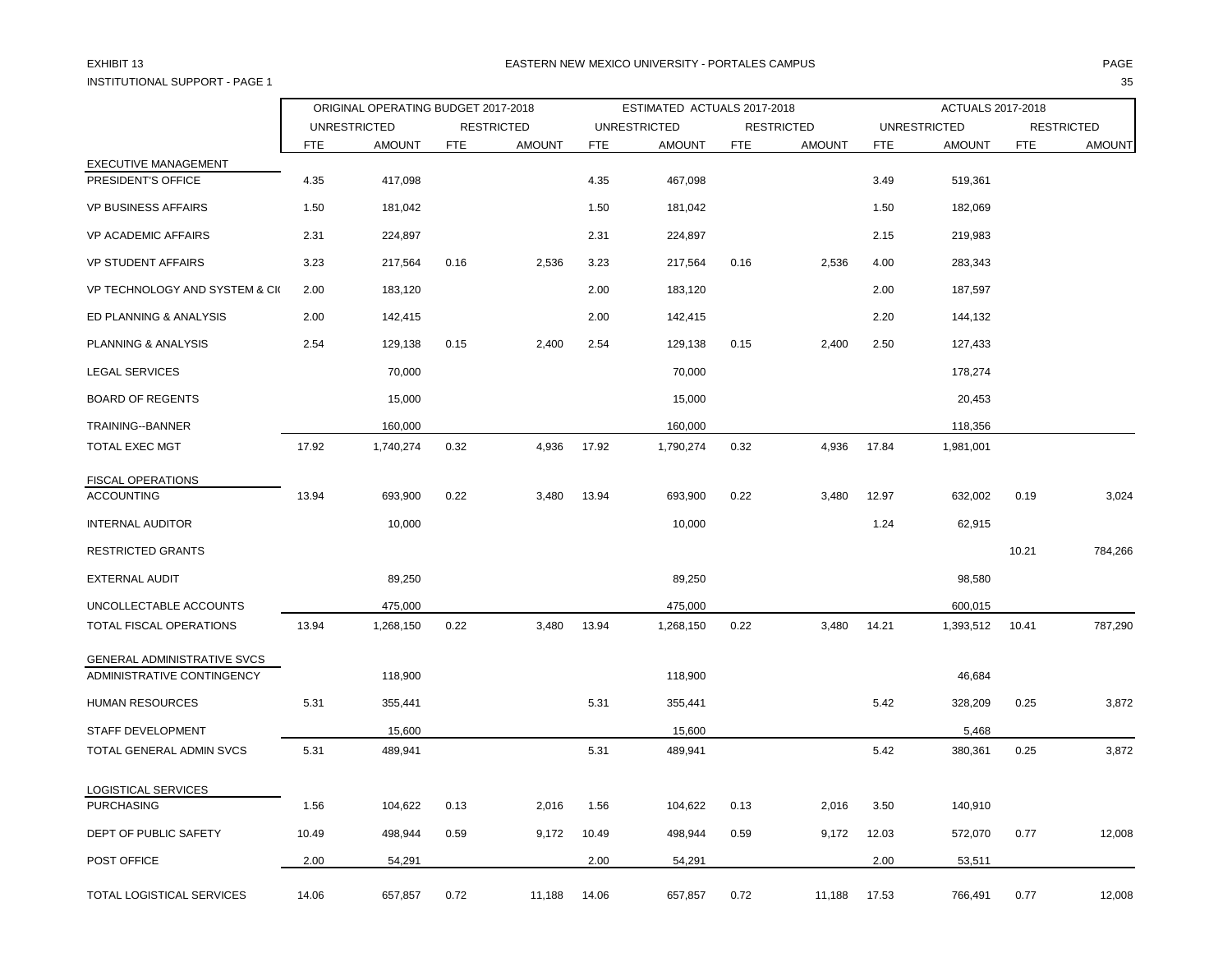INSTITUTIONAL SUPPORT - PAGE 1 35

|                                            |            | ORIGINAL OPERATING BUDGET 2017-2018 |            |                   |            | ESTIMATED ACTUALS 2017-2018 |            |                   |            | ACTUALS 2017-2018   |            |                   |
|--------------------------------------------|------------|-------------------------------------|------------|-------------------|------------|-----------------------------|------------|-------------------|------------|---------------------|------------|-------------------|
|                                            |            | <b>UNRESTRICTED</b>                 |            | <b>RESTRICTED</b> |            | <b>UNRESTRICTED</b>         |            | <b>RESTRICTED</b> |            | <b>UNRESTRICTED</b> |            | <b>RESTRICTED</b> |
|                                            | <b>FTE</b> | <b>AMOUNT</b>                       | <b>FTE</b> | <b>AMOUNT</b>     | <b>FTE</b> | <b>AMOUNT</b>               | <b>FTE</b> | <b>AMOUNT</b>     | <b>FTE</b> | <b>AMOUNT</b>       | <b>FTE</b> | <b>AMOUNT</b>     |
| EXECUTIVE MANAGEMENT<br>PRESIDENT'S OFFICE | 4.35       | 417,098                             |            |                   | 4.35       | 467,098                     |            |                   | 3.49       | 519,361             |            |                   |
|                                            |            |                                     |            |                   |            |                             |            |                   |            |                     |            |                   |
| <b>VP BUSINESS AFFAIRS</b>                 | 1.50       | 181,042                             |            |                   | 1.50       | 181,042                     |            |                   | 1.50       | 182,069             |            |                   |
| <b>VP ACADEMIC AFFAIRS</b>                 | 2.31       | 224,897                             |            |                   | 2.31       | 224,897                     |            |                   | 2.15       | 219,983             |            |                   |
| <b>VP STUDENT AFFAIRS</b>                  | 3.23       | 217,564                             | 0.16       | 2,536             | 3.23       | 217,564                     | 0.16       | 2,536             | 4.00       | 283,343             |            |                   |
| VP TECHNOLOGY AND SYSTEM & CK              | 2.00       | 183,120                             |            |                   | 2.00       | 183,120                     |            |                   | 2.00       | 187,597             |            |                   |
| ED PLANNING & ANALYSIS                     | 2.00       | 142,415                             |            |                   | 2.00       | 142,415                     |            |                   | 2.20       | 144,132             |            |                   |
| PLANNING & ANALYSIS                        | 2.54       | 129,138                             | 0.15       | 2,400             | 2.54       | 129,138                     | 0.15       | 2,400             | 2.50       | 127,433             |            |                   |
| <b>LEGAL SERVICES</b>                      |            | 70,000                              |            |                   |            | 70,000                      |            |                   |            | 178,274             |            |                   |
| <b>BOARD OF REGENTS</b>                    |            | 15,000                              |            |                   |            | 15,000                      |            |                   |            | 20,453              |            |                   |
| TRAINING--BANNER                           |            | 160,000                             |            |                   |            | 160,000                     |            |                   |            | 118,356             |            |                   |
| <b>TOTAL EXEC MGT</b>                      | 17.92      | 1,740,274                           | 0.32       | 4,936             | 17.92      | 1,790,274                   | 0.32       | 4,936             | 17.84      | 1,981,001           |            |                   |
| FISCAL OPERATIONS                          |            |                                     |            |                   |            |                             |            |                   |            |                     |            |                   |
| <b>ACCOUNTING</b>                          | 13.94      | 693,900                             | 0.22       | 3,480             | 13.94      | 693,900                     | 0.22       | 3,480             | 12.97      | 632,002             | 0.19       | 3,024             |
| <b>INTERNAL AUDITOR</b>                    |            | 10,000                              |            |                   |            | 10,000                      |            |                   | 1.24       | 62,915              |            |                   |
| <b>RESTRICTED GRANTS</b>                   |            |                                     |            |                   |            |                             |            |                   |            |                     | 10.21      | 784,266           |
| EXTERNAL AUDIT                             |            | 89,250                              |            |                   |            | 89,250                      |            |                   |            | 98,580              |            |                   |
| UNCOLLECTABLE ACCOUNTS                     |            | 475,000                             |            |                   |            | 475,000                     |            |                   |            | 600,015             |            |                   |
| TOTAL FISCAL OPERATIONS                    | 13.94      | 1,268,150                           | 0.22       | 3,480             | 13.94      | 1,268,150                   | 0.22       | 3,480             | 14.21      | 1,393,512           | 10.41      | 787,290           |
| GENERAL ADMINISTRATIVE SVCS                |            |                                     |            |                   |            |                             |            |                   |            |                     |            |                   |
| ADMINISTRATIVE CONTINGENCY                 |            | 118,900                             |            |                   |            | 118,900                     |            |                   |            | 46,684              |            |                   |
| <b>HUMAN RESOURCES</b>                     | 5.31       | 355,441                             |            |                   | 5.31       | 355,441                     |            |                   | 5.42       | 328,209             | 0.25       | 3,872             |
| STAFF DEVELOPMENT                          |            | 15,600                              |            |                   |            | 15,600                      |            |                   |            | 5,468               |            |                   |
| TOTAL GENERAL ADMIN SVCS                   | 5.31       | 489,941                             |            |                   | 5.31       | 489,941                     |            |                   | 5.42       | 380,361             | 0.25       | 3,872             |
| LOGISTICAL SERVICES                        |            |                                     |            |                   |            |                             |            |                   |            |                     |            |                   |
| <b>PURCHASING</b>                          | 1.56       | 104,622                             | 0.13       | 2,016             | 1.56       | 104,622                     | 0.13       | 2,016             | 3.50       | 140,910             |            |                   |
| DEPT OF PUBLIC SAFETY                      | 10.49      | 498,944                             | 0.59       | 9,172             | 10.49      | 498,944                     | 0.59       | 9,172             | 12.03      | 572,070             | 0.77       | 12,008            |
| POST OFFICE                                | 2.00       | 54,291                              |            |                   | 2.00       | 54,291                      |            |                   | 2.00       | 53,511              |            |                   |
| TOTAL LOGISTICAL SERVICES                  | 14.06      | 657,857                             | 0.72       | 11,188            | 14.06      | 657,857                     | 0.72       | 11,188            | 17.53      | 766,491             | 0.77       | 12,008            |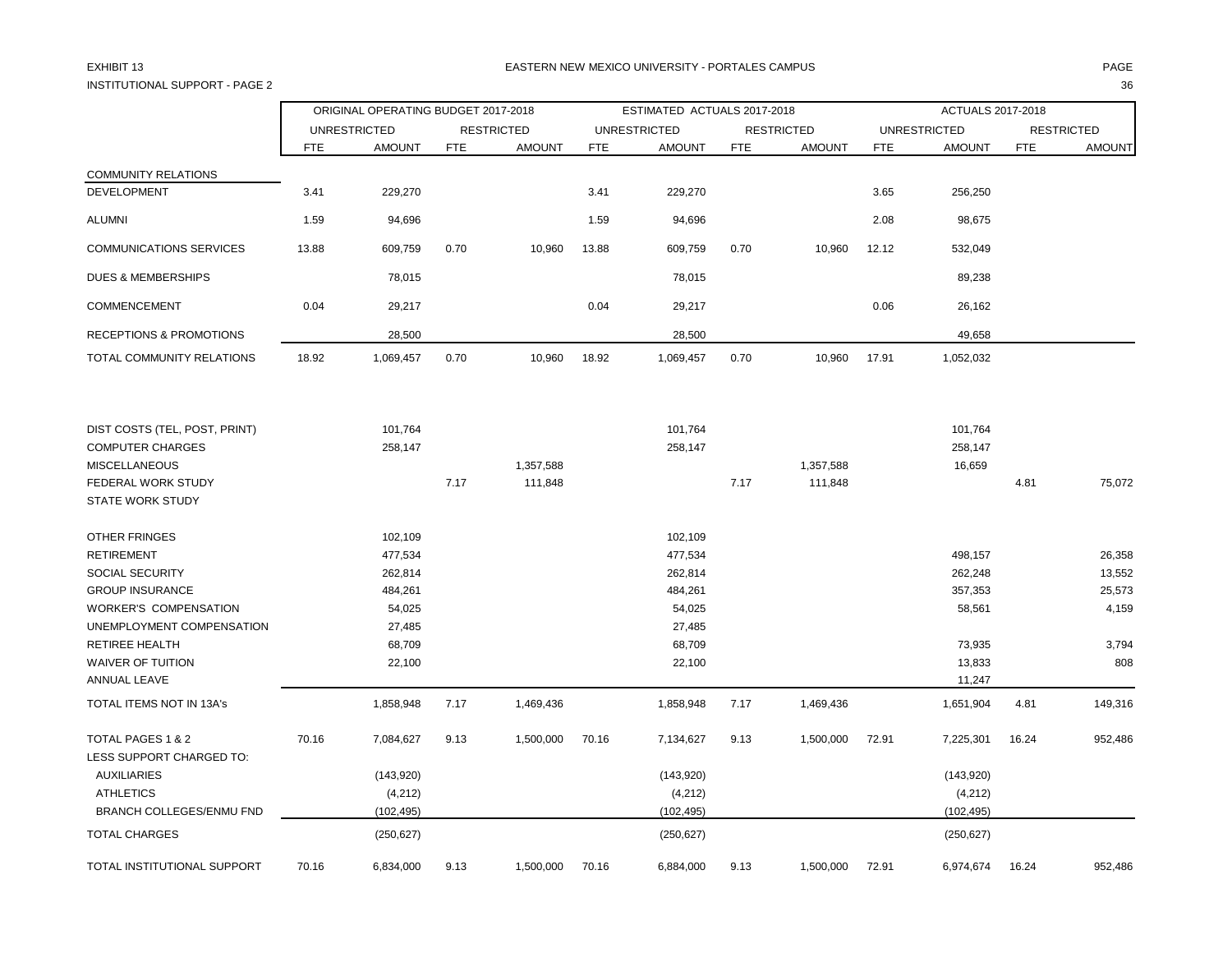## INSTITUTIONAL SUPPORT - PAGE 2 36

## EXHIBIT 13 PAGE PAGE IN THE RESTRIAL MEXICO UNIVERSITY - PORTALES CAMPUS PAGE IN THE RESTRIAL OF PAGE IN THE RESTRIAL OF PAGE IN THE RESTRIAL OF PAGE IN THE RESTRIAL OF PAGE IN THE RESTRIAL OF PAGE IN THE RESTRIAL OF PAGE

|                                               | ORIGINAL OPERATING BUDGET 2017-2018 |               |                   |               | ESTIMATED ACTUALS 2017-2018 |               |                   |               | ACTUALS 2017-2018   |               |                   |               |
|-----------------------------------------------|-------------------------------------|---------------|-------------------|---------------|-----------------------------|---------------|-------------------|---------------|---------------------|---------------|-------------------|---------------|
|                                               | <b>UNRESTRICTED</b>                 |               | <b>RESTRICTED</b> |               | <b>UNRESTRICTED</b>         |               | <b>RESTRICTED</b> |               | <b>UNRESTRICTED</b> |               | <b>RESTRICTED</b> |               |
|                                               | <b>FTE</b>                          | <b>AMOUNT</b> | <b>FTE</b>        | <b>AMOUNT</b> | <b>FTE</b>                  | <b>AMOUNT</b> | <b>FTE</b>        | <b>AMOUNT</b> | <b>FTE</b>          | <b>AMOUNT</b> | <b>FTE</b>        | <b>AMOUNT</b> |
| <b>COMMUNITY RELATIONS</b>                    |                                     |               |                   |               |                             |               |                   |               |                     |               |                   |               |
| <b>DEVELOPMENT</b>                            | 3.41                                | 229,270       |                   |               | 3.41                        | 229,270       |                   |               | 3.65                | 256,250       |                   |               |
| <b>ALUMNI</b>                                 | 1.59                                | 94,696        |                   |               | 1.59                        | 94,696        |                   |               | 2.08                | 98,675        |                   |               |
| <b>COMMUNICATIONS SERVICES</b>                | 13.88                               | 609,759       | 0.70              | 10,960        | 13.88                       | 609,759       | 0.70              | 10,960        | 12.12               | 532,049       |                   |               |
| <b>DUES &amp; MEMBERSHIPS</b>                 |                                     | 78,015        |                   |               |                             | 78,015        |                   |               |                     | 89,238        |                   |               |
| COMMENCEMENT                                  | 0.04                                | 29,217        |                   |               | 0.04                        | 29,217        |                   |               | 0.06                | 26,162        |                   |               |
| <b>RECEPTIONS &amp; PROMOTIONS</b>            |                                     | 28,500        |                   |               |                             | 28,500        |                   |               |                     | 49,658        |                   |               |
| TOTAL COMMUNITY RELATIONS                     | 18.92                               | 1,069,457     | 0.70              | 10,960        | 18.92                       | 1,069,457     | 0.70              | 10,960        | 17.91               | 1,052,032     |                   |               |
| DIST COSTS (TEL, POST, PRINT)                 |                                     | 101,764       |                   |               |                             | 101,764       |                   |               |                     | 101,764       |                   |               |
| <b>COMPUTER CHARGES</b>                       |                                     | 258,147       |                   |               |                             | 258,147       |                   |               |                     | 258,147       |                   |               |
| <b>MISCELLANEOUS</b>                          |                                     |               |                   | 1,357,588     |                             |               |                   | 1,357,588     |                     | 16,659        |                   |               |
| FEDERAL WORK STUDY                            |                                     |               | 7.17              | 111,848       |                             |               | 7.17              | 111,848       |                     |               | 4.81              | 75,072        |
| <b>STATE WORK STUDY</b>                       |                                     |               |                   |               |                             |               |                   |               |                     |               |                   |               |
| <b>OTHER FRINGES</b>                          |                                     | 102,109       |                   |               |                             | 102,109       |                   |               |                     |               |                   |               |
| <b>RETIREMENT</b>                             |                                     | 477,534       |                   |               |                             | 477,534       |                   |               |                     | 498,157       |                   | 26,358        |
| <b>SOCIAL SECURITY</b>                        |                                     | 262,814       |                   |               |                             | 262,814       |                   |               |                     | 262,248       |                   | 13,552        |
| <b>GROUP INSURANCE</b>                        |                                     | 484,261       |                   |               |                             | 484,261       |                   |               |                     | 357,353       |                   | 25,573        |
| <b>WORKER'S COMPENSATION</b>                  |                                     | 54,025        |                   |               |                             | 54,025        |                   |               |                     | 58,561        |                   | 4,159         |
| UNEMPLOYMENT COMPENSATION                     |                                     | 27,485        |                   |               |                             | 27,485        |                   |               |                     |               |                   |               |
| <b>RETIREE HEALTH</b>                         |                                     | 68,709        |                   |               |                             | 68,709        |                   |               |                     | 73,935        |                   | 3,794         |
| <b>WAIVER OF TUITION</b>                      |                                     | 22,100        |                   |               |                             | 22,100        |                   |               |                     | 13,833        |                   | 808           |
| <b>ANNUAL LEAVE</b>                           |                                     |               |                   |               |                             |               |                   |               |                     | 11,247        |                   |               |
| TOTAL ITEMS NOT IN 13A's                      |                                     | 1,858,948     | 7.17              | 1,469,436     |                             | 1,858,948     | 7.17              | 1,469,436     |                     | 1,651,904     | 4.81              | 149,316       |
| TOTAL PAGES 1 & 2<br>LESS SUPPORT CHARGED TO: | 70.16                               | 7,084,627     | 9.13              | 1,500,000     | 70.16                       | 7,134,627     | 9.13              | 1,500,000     | 72.91               | 7,225,301     | 16.24             | 952,486       |
| <b>AUXILIARIES</b>                            |                                     | (143,920)     |                   |               |                             | (143,920)     |                   |               |                     | (143,920)     |                   |               |
| <b>ATHLETICS</b>                              |                                     | (4, 212)      |                   |               |                             | (4, 212)      |                   |               |                     | (4,212)       |                   |               |
| BRANCH COLLEGES/ENMU FND                      |                                     | (102, 495)    |                   |               |                             | (102, 495)    |                   |               |                     | (102, 495)    |                   |               |
| <b>TOTAL CHARGES</b>                          |                                     | (250, 627)    |                   |               |                             | (250, 627)    |                   |               |                     | (250, 627)    |                   |               |
| TOTAL INSTITUTIONAL SUPPORT                   | 70.16                               | 6,834,000     | 9.13              | 1,500,000     | 70.16                       | 6,884,000     | 9.13              | 1,500,000     | 72.91               | 6,974,674     | 16.24             | 952,486       |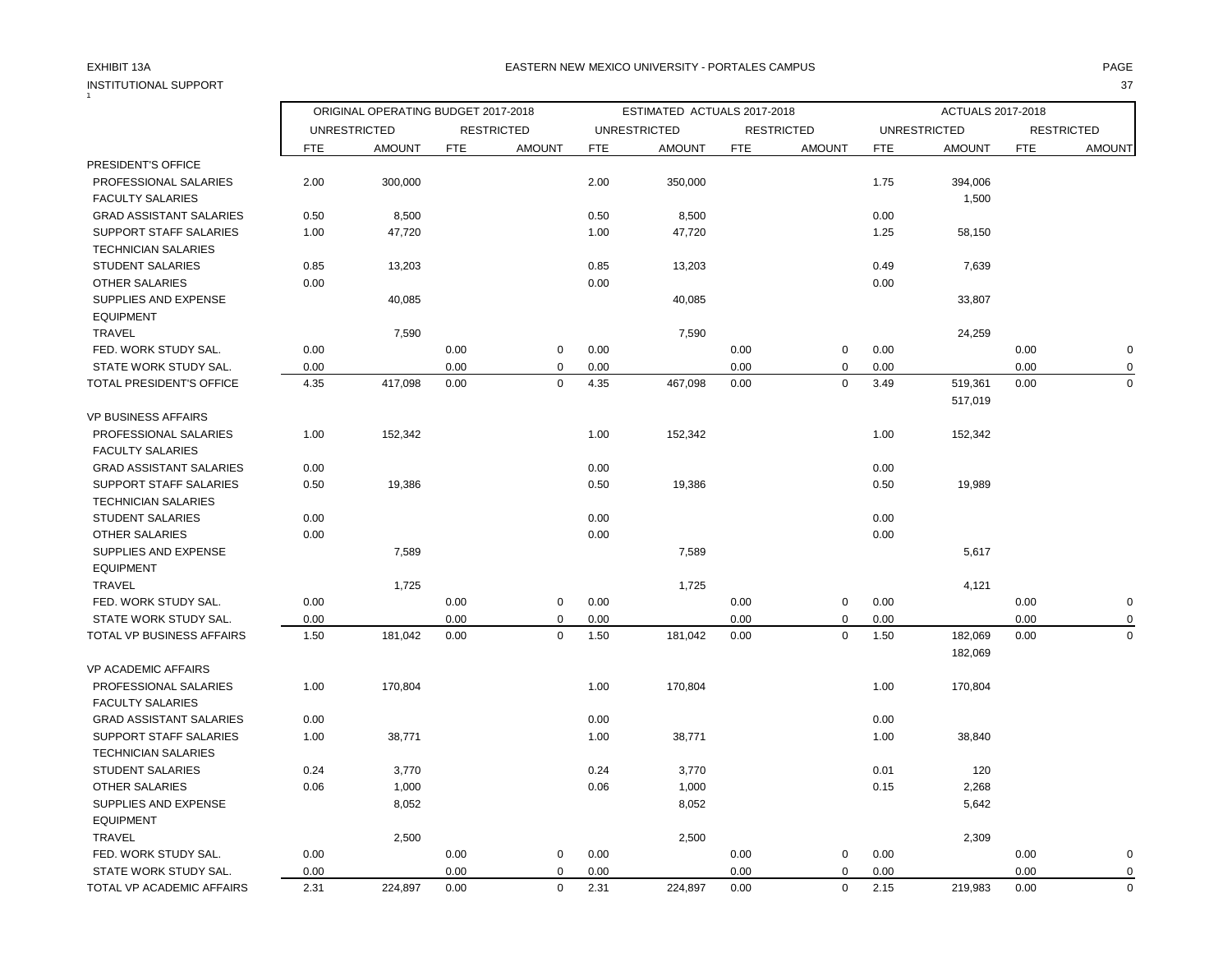# INSTITUTIONAL SUPPORT 37<br>1

### EXHIBIT 13A PAGE EASTERN NEW MEXICO UNIVERSITY - PORTALES CAMPUS

|                                |            | ORIGINAL OPERATING BUDGET 2017-2018 |            |                   |            | ESTIMATED ACTUALS 2017-2018 |            |                   |            | ACTUALS 2017-2018   |            |                   |
|--------------------------------|------------|-------------------------------------|------------|-------------------|------------|-----------------------------|------------|-------------------|------------|---------------------|------------|-------------------|
|                                |            | <b>UNRESTRICTED</b>                 |            | <b>RESTRICTED</b> |            | <b>UNRESTRICTED</b>         |            | <b>RESTRICTED</b> |            | <b>UNRESTRICTED</b> |            | <b>RESTRICTED</b> |
|                                | <b>FTE</b> | <b>AMOUNT</b>                       | <b>FTE</b> | <b>AMOUNT</b>     | <b>FTE</b> | <b>AMOUNT</b>               | <b>FTE</b> | <b>AMOUNT</b>     | <b>FTE</b> | <b>AMOUNT</b>       | <b>FTE</b> | <b>AMOUNT</b>     |
| PRESIDENT'S OFFICE             |            |                                     |            |                   |            |                             |            |                   |            |                     |            |                   |
| PROFESSIONAL SALARIES          | 2.00       | 300,000                             |            |                   | 2.00       | 350,000                     |            |                   | 1.75       | 394,006             |            |                   |
| <b>FACULTY SALARIES</b>        |            |                                     |            |                   |            |                             |            |                   |            | 1,500               |            |                   |
| <b>GRAD ASSISTANT SALARIES</b> | 0.50       | 8,500                               |            |                   | 0.50       | 8,500                       |            |                   | 0.00       |                     |            |                   |
| SUPPORT STAFF SALARIES         | 1.00       | 47,720                              |            |                   | 1.00       | 47,720                      |            |                   | 1.25       | 58,150              |            |                   |
| <b>TECHNICIAN SALARIES</b>     |            |                                     |            |                   |            |                             |            |                   |            |                     |            |                   |
| <b>STUDENT SALARIES</b>        | 0.85       | 13,203                              |            |                   | 0.85       | 13,203                      |            |                   | 0.49       | 7,639               |            |                   |
| <b>OTHER SALARIES</b>          | 0.00       |                                     |            |                   | 0.00       |                             |            |                   | 0.00       |                     |            |                   |
| SUPPLIES AND EXPENSE           |            | 40,085                              |            |                   |            | 40,085                      |            |                   |            | 33,807              |            |                   |
| <b>EQUIPMENT</b>               |            |                                     |            |                   |            |                             |            |                   |            |                     |            |                   |
| <b>TRAVEL</b>                  |            | 7,590                               |            |                   |            | 7,590                       |            |                   |            | 24,259              |            |                   |
| FED. WORK STUDY SAL.           | 0.00       |                                     | 0.00       | $\mathbf 0$       | 0.00       |                             | 0.00       | 0                 | 0.00       |                     | 0.00       | $\pmb{0}$         |
| STATE WORK STUDY SAL.          | 0.00       |                                     | 0.00       | $\mathbf 0$       | 0.00       |                             | 0.00       | $\mathbf 0$       | 0.00       |                     | 0.00       | 0                 |
| TOTAL PRESIDENT'S OFFICE       | 4.35       | 417,098                             | 0.00       | $\mathbf 0$       | 4.35       | 467,098                     | 0.00       | $\mathbf 0$       | 3.49       | 519,361             | 0.00       | $\mathbf 0$       |
|                                |            |                                     |            |                   |            |                             |            |                   |            | 517,019             |            |                   |
| <b>VP BUSINESS AFFAIRS</b>     |            |                                     |            |                   |            |                             |            |                   |            |                     |            |                   |
| PROFESSIONAL SALARIES          | 1.00       | 152,342                             |            |                   | 1.00       | 152,342                     |            |                   | 1.00       | 152,342             |            |                   |
| <b>FACULTY SALARIES</b>        |            |                                     |            |                   |            |                             |            |                   |            |                     |            |                   |
| <b>GRAD ASSISTANT SALARIES</b> | 0.00       |                                     |            |                   | 0.00       |                             |            |                   | 0.00       |                     |            |                   |
| SUPPORT STAFF SALARIES         | 0.50       | 19,386                              |            |                   | 0.50       | 19,386                      |            |                   | 0.50       | 19,989              |            |                   |
| <b>TECHNICIAN SALARIES</b>     |            |                                     |            |                   |            |                             |            |                   |            |                     |            |                   |
| <b>STUDENT SALARIES</b>        | 0.00       |                                     |            |                   | 0.00       |                             |            |                   | 0.00       |                     |            |                   |
| <b>OTHER SALARIES</b>          | 0.00       |                                     |            |                   | 0.00       |                             |            |                   | 0.00       |                     |            |                   |
| SUPPLIES AND EXPENSE           |            | 7,589                               |            |                   |            | 7,589                       |            |                   |            | 5,617               |            |                   |
| <b>EQUIPMENT</b>               |            |                                     |            |                   |            |                             |            |                   |            |                     |            |                   |
| <b>TRAVEL</b>                  |            | 1,725                               |            |                   |            | 1,725                       |            |                   |            | 4,121               |            |                   |
| FED. WORK STUDY SAL.           | 0.00       |                                     | 0.00       | $\mathsf 0$       | 0.00       |                             | 0.00       | $\mathbf 0$       | 0.00       |                     | 0.00       | $\pmb{0}$         |
| STATE WORK STUDY SAL.          | 0.00       |                                     | 0.00       | $\mathbf 0$       | 0.00       |                             | 0.00       | 0                 | 0.00       |                     | 0.00       | 0                 |
| TOTAL VP BUSINESS AFFAIRS      | 1.50       | 181,042                             | 0.00       | $\mathsf 0$       | 1.50       | 181,042                     | 0.00       | $\mathbf 0$       | 1.50       | 182,069             | 0.00       | $\mathbf 0$       |
|                                |            |                                     |            |                   |            |                             |            |                   |            | 182,069             |            |                   |
| <b>VP ACADEMIC AFFAIRS</b>     |            |                                     |            |                   |            |                             |            |                   |            |                     |            |                   |
| PROFESSIONAL SALARIES          | 1.00       | 170,804                             |            |                   | 1.00       | 170,804                     |            |                   | 1.00       | 170,804             |            |                   |
| <b>FACULTY SALARIES</b>        |            |                                     |            |                   |            |                             |            |                   |            |                     |            |                   |
| <b>GRAD ASSISTANT SALARIES</b> | 0.00       |                                     |            |                   | 0.00       |                             |            |                   | 0.00       |                     |            |                   |
| <b>SUPPORT STAFF SALARIES</b>  | 1.00       | 38,771                              |            |                   | 1.00       | 38,771                      |            |                   | 1.00       | 38,840              |            |                   |
| <b>TECHNICIAN SALARIES</b>     |            |                                     |            |                   |            |                             |            |                   |            |                     |            |                   |
| <b>STUDENT SALARIES</b>        | 0.24       | 3,770                               |            |                   | 0.24       | 3,770                       |            |                   | 0.01       | 120                 |            |                   |
| <b>OTHER SALARIES</b>          | 0.06       | 1,000                               |            |                   | 0.06       | 1,000                       |            |                   | 0.15       | 2,268               |            |                   |
| SUPPLIES AND EXPENSE           |            | 8,052                               |            |                   |            | 8,052                       |            |                   |            | 5,642               |            |                   |
| <b>EQUIPMENT</b>               |            |                                     |            |                   |            |                             |            |                   |            |                     |            |                   |
| <b>TRAVEL</b>                  |            | 2,500                               |            |                   |            | 2,500                       |            |                   |            | 2,309               |            |                   |
| FED. WORK STUDY SAL.           | 0.00       |                                     | 0.00       | $\mathbf 0$       | 0.00       |                             | 0.00       | 0                 | 0.00       |                     | 0.00       | $\mathbf 0$       |
| STATE WORK STUDY SAL.          | 0.00       |                                     | 0.00       | $\mathbf 0$       | 0.00       |                             | 0.00       | $\mathbf 0$       | 0.00       |                     | 0.00       | $\pmb{0}$         |
| TOTAL VP ACADEMIC AFFAIRS      | 2.31       | 224,897                             | 0.00       | $\mathbf 0$       | 2.31       | 224,897                     | 0.00       | $\mathbf 0$       | 2.15       | 219,983             | 0.00       | $\mathbf 0$       |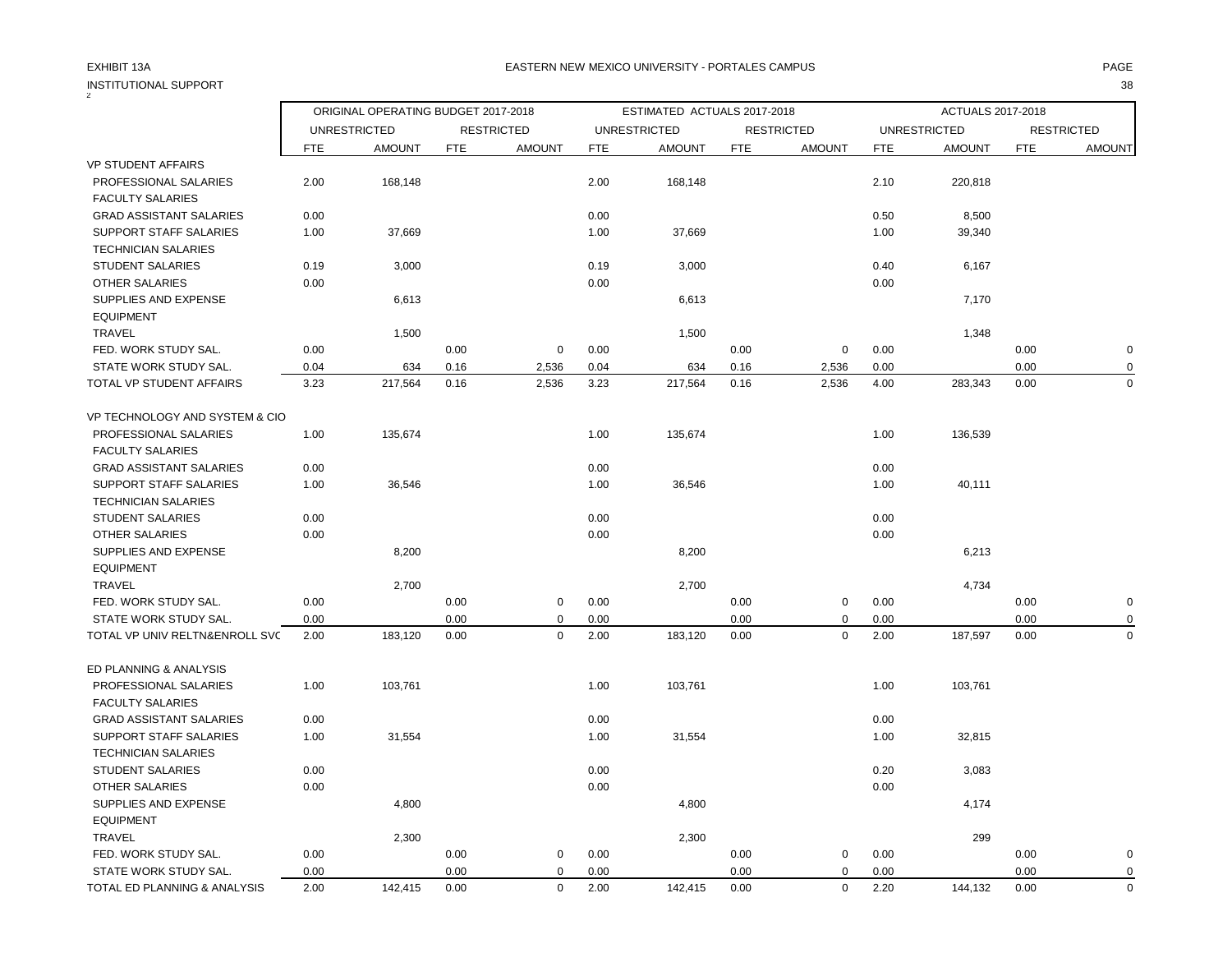| <b>INSTITUTIONAL SUPPORT</b>   | ORIGINAL OPERATING BUDGET 2017-2018 |                     |            |                   |            |                             |             |                   | 38         |                     |             |                   |  |
|--------------------------------|-------------------------------------|---------------------|------------|-------------------|------------|-----------------------------|-------------|-------------------|------------|---------------------|-------------|-------------------|--|
|                                |                                     |                     |            |                   |            | ESTIMATED ACTUALS 2017-2018 |             |                   |            | ACTUALS 2017-2018   |             |                   |  |
|                                |                                     | <b>UNRESTRICTED</b> |            | <b>RESTRICTED</b> |            | <b>UNRESTRICTED</b>         |             | <b>RESTRICTED</b> |            | <b>UNRESTRICTED</b> |             | <b>RESTRICTED</b> |  |
|                                | <b>FTE</b>                          | <b>AMOUNT</b>       | <b>FTE</b> | <b>AMOUNT</b>     | <b>FTE</b> | <b>AMOUNT</b>               | <b>FTE</b>  | <b>AMOUNT</b>     | <b>FTE</b> | <b>AMOUNT</b>       | <b>FTE</b>  | <b>AMOUNT</b>     |  |
| <b>VP STUDENT AFFAIRS</b>      |                                     |                     |            |                   |            |                             |             |                   |            |                     |             |                   |  |
| PROFESSIONAL SALARIES          | 2.00                                | 168,148             |            |                   | 2.00       | 168,148                     |             |                   | 2.10       | 220,818             |             |                   |  |
| <b>FACULTY SALARIES</b>        |                                     |                     |            |                   |            |                             |             |                   |            |                     |             |                   |  |
| <b>GRAD ASSISTANT SALARIES</b> | 0.00                                |                     |            |                   | 0.00       |                             |             |                   | 0.50       | 8,500               |             |                   |  |
| <b>SUPPORT STAFF SALARIES</b>  | 1.00                                | 37,669              |            |                   | 1.00       | 37,669                      |             |                   | 1.00       | 39,340              |             |                   |  |
| <b>TECHNICIAN SALARIES</b>     |                                     |                     |            |                   |            |                             |             |                   |            |                     |             |                   |  |
| <b>STUDENT SALARIES</b>        | 0.19                                | 3,000               |            |                   | 0.19       | 3,000                       |             |                   | 0.40       | 6,167               |             |                   |  |
| <b>OTHER SALARIES</b>          | 0.00                                |                     |            |                   | 0.00       |                             |             |                   | 0.00       |                     |             |                   |  |
| SUPPLIES AND EXPENSE           |                                     | 6,613               |            |                   |            | 6,613                       |             |                   |            | 7,170               |             |                   |  |
| <b>EQUIPMENT</b>               |                                     |                     |            |                   |            |                             |             |                   |            |                     |             |                   |  |
| <b>TRAVEL</b>                  |                                     | 1,500               |            |                   |            | 1,500                       |             |                   |            | 1,348               |             |                   |  |
| FED. WORK STUDY SAL.           | 0.00                                |                     | 0.00       | $\mathbf 0$       | 0.00       |                             | 0.00        | $\mathbf 0$       | 0.00       |                     | 0.00        | $\pmb{0}$         |  |
| STATE WORK STUDY SAL.          | 0.04                                | 634                 | 0.16       | 2,536             | 0.04       | 634                         | 0.16        | 2,536             | 0.00       |                     | 0.00        | $\pmb{0}$         |  |
| TOTAL VP STUDENT AFFAIRS       | 3.23                                | 217,564             | 0.16       | 2,536             | 3.23       | 217,564                     | 0.16        | 2,536             | 4.00       | 283,343             | 0.00        | $\Omega$          |  |
| VP TECHNOLOGY AND SYSTEM & CIO |                                     |                     |            |                   |            |                             |             |                   |            |                     |             |                   |  |
| PROFESSIONAL SALARIES          | 1.00                                | 135,674             |            |                   | 1.00       | 135,674                     |             |                   | 1.00       | 136,539             |             |                   |  |
| <b>FACULTY SALARIES</b>        |                                     |                     |            |                   |            |                             |             |                   |            |                     |             |                   |  |
| <b>GRAD ASSISTANT SALARIES</b> | 0.00                                |                     |            |                   | 0.00       |                             |             |                   | 0.00       |                     |             |                   |  |
| <b>SUPPORT STAFF SALARIES</b>  | 1.00                                | 36,546              |            |                   | 1.00       | 36,546                      |             |                   | 1.00       | 40,111              |             |                   |  |
| <b>TECHNICIAN SALARIES</b>     |                                     |                     |            |                   |            |                             |             |                   |            |                     |             |                   |  |
| STUDENT SALARIES               | 0.00                                |                     |            |                   | 0.00       |                             |             |                   | 0.00       |                     |             |                   |  |
| OTHER SALARIES                 | 0.00                                |                     |            |                   | 0.00       |                             |             |                   | 0.00       |                     |             |                   |  |
| SUPPLIES AND EXPENSE           |                                     | 8,200               |            |                   |            | 8,200                       |             |                   |            | 6,213               |             |                   |  |
| <b>EQUIPMENT</b>               |                                     |                     |            |                   |            |                             |             |                   |            |                     |             |                   |  |
| <b>TRAVEL</b>                  |                                     | 2,700               |            |                   |            | 2,700                       |             |                   |            | 4,734               |             |                   |  |
| FED. WORK STUDY SAL.           | 0.00                                |                     | 0.00       | $\mathbf 0$       | 0.00       |                             | 0.00        | $\mathbf 0$       | 0.00       |                     | 0.00        | $\mathbf 0$       |  |
| STATE WORK STUDY SAL.          | 0.00                                |                     | 0.00       | $\mathbf 0$       | 0.00       |                             | 0.00        | $\mathbf 0$       | 0.00       |                     | 0.00        | $\mathbf 0$       |  |
| TOTAL VP UNIV RELTN&ENROLL SVC | 2.00                                | 183,120             | 0.00       | $\mathbf 0$       | 2.00       | 183,120                     | 0.00        | $\mathbf 0$       | 2.00       | 187,597             | 0.00        | $\mathbf 0$       |  |
| ED PLANNING & ANALYSIS         |                                     |                     |            |                   |            |                             |             |                   |            |                     |             |                   |  |
| PROFESSIONAL SALARIES          | 1.00                                | 103,761             |            |                   | 1.00       | 103,761                     |             |                   | 1.00       | 103,761             |             |                   |  |
| <b>FACULTY SALARIES</b>        |                                     |                     |            |                   |            |                             |             |                   |            |                     |             |                   |  |
| <b>GRAD ASSISTANT SALARIES</b> | 0.00                                |                     |            |                   | 0.00       |                             |             |                   | 0.00       |                     |             |                   |  |
| <b>SUPPORT STAFF SALARIES</b>  | 1.00                                | 31,554              |            |                   | 1.00       | 31,554                      |             |                   | 1.00       | 32,815              |             |                   |  |
| <b>TECHNICIAN SALARIES</b>     |                                     |                     |            |                   |            |                             |             |                   |            |                     |             |                   |  |
| <b>STUDENT SALARIES</b>        | 0.00                                |                     |            |                   | 0.00       |                             |             |                   | 0.20       | 3,083               |             |                   |  |
| <b>OTHER SALARIES</b>          | 0.00                                |                     |            |                   | 0.00       |                             |             |                   | 0.00       |                     |             |                   |  |
| SUPPLIES AND EXPENSE           |                                     | 4,800               |            |                   |            | 4,800                       |             |                   |            | 4,174               |             |                   |  |
| <b>EQUIPMENT</b>               |                                     |                     |            |                   |            |                             |             |                   |            |                     |             |                   |  |
| <b>TRAVEL</b>                  | 2,300                               |                     |            |                   | 2,300      |                             |             |                   | 299        |                     |             |                   |  |
| FED. WORK STUDY SAL.           | 0.00<br>0.00<br>$\mathbf 0$         |                     |            | 0.00              |            | 0.00                        | $\mathbf 0$ | 0.00              |            | 0.00                | $\mathbf 0$ |                   |  |
| STATE WORK STUDY SAL.          | 0.00                                |                     | 0.00       | $\mathbf 0$       | 0.00       |                             | 0.00        | $\mathbf 0$       | 0.00       |                     | 0.00        | $\mathbf 0$       |  |
| TOTAL ED PLANNING & ANALYSIS   | 2.00                                | 142,415             | 0.00       | $\mathbf 0$       | 2.00       | 142,415                     | 0.00        | $\mathbf 0$       | 2.20       | 144,132             | 0.00        | $\mathbf 0$       |  |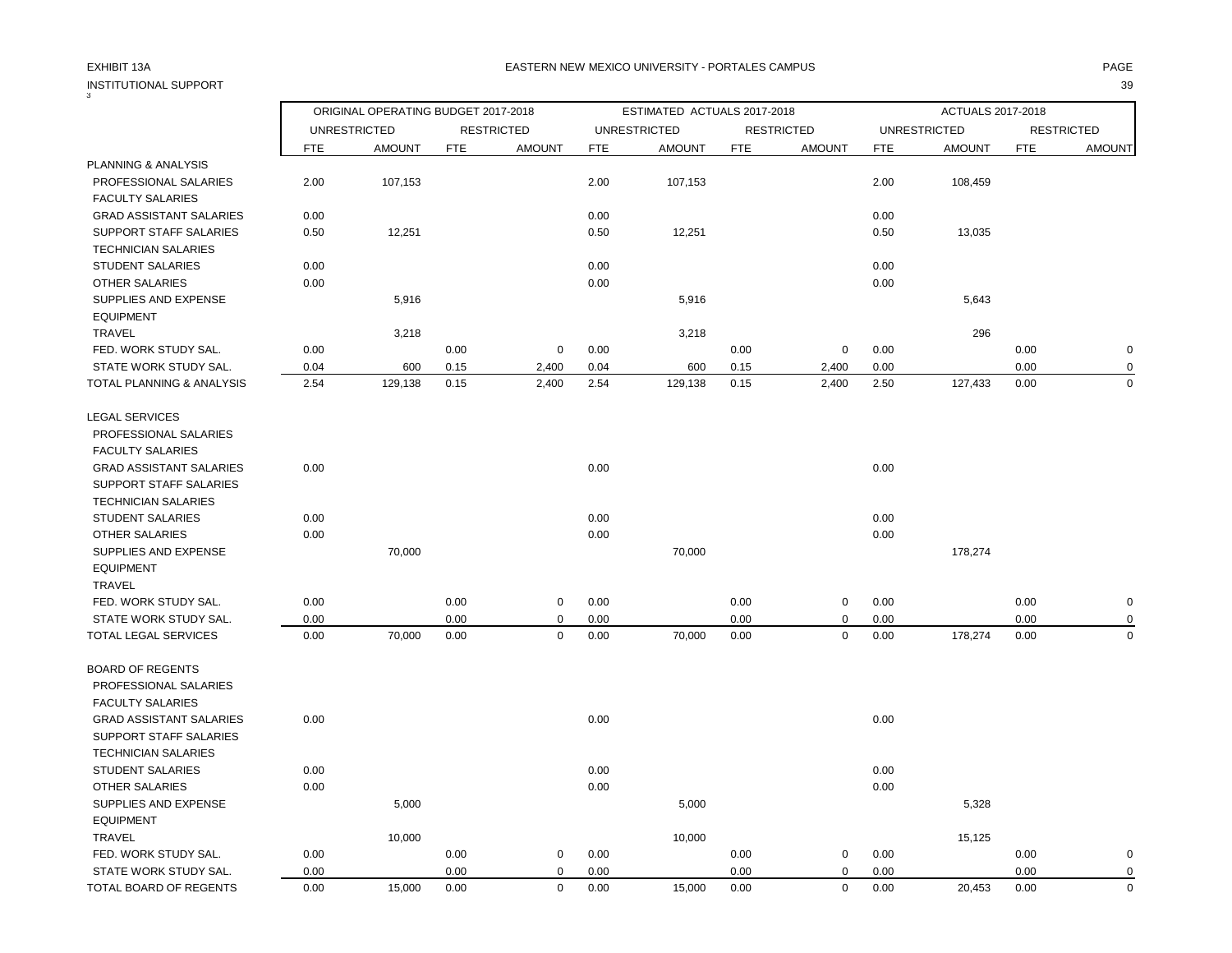## INSTITUTIONAL SUPPORT 39

| 3                              | ORIGINAL OPERATING BUDGET 2017-2018 |                                                    |            |                   | ESTIMATED ACTUALS 2017-2018 |                     |            | ACTUALS 2017-2018 |            |                     |            |                   |
|--------------------------------|-------------------------------------|----------------------------------------------------|------------|-------------------|-----------------------------|---------------------|------------|-------------------|------------|---------------------|------------|-------------------|
|                                |                                     | <b>UNRESTRICTED</b><br><b>AMOUNT</b><br><b>FTE</b> |            | <b>RESTRICTED</b> |                             | <b>UNRESTRICTED</b> |            | <b>RESTRICTED</b> |            | <b>UNRESTRICTED</b> |            | <b>RESTRICTED</b> |
|                                |                                     |                                                    | <b>FTE</b> | <b>AMOUNT</b>     | <b>FTE</b>                  | <b>AMOUNT</b>       | <b>FTE</b> | <b>AMOUNT</b>     | <b>FTE</b> | <b>AMOUNT</b>       | <b>FTE</b> | <b>AMOUNT</b>     |
| PLANNING & ANALYSIS            |                                     |                                                    |            |                   |                             |                     |            |                   |            |                     |            |                   |
| PROFESSIONAL SALARIES          | 2.00                                | 107,153                                            |            |                   | 2.00                        | 107,153             |            |                   | 2.00       | 108,459             |            |                   |
| <b>FACULTY SALARIES</b>        |                                     |                                                    |            |                   |                             |                     |            |                   |            |                     |            |                   |
| <b>GRAD ASSISTANT SALARIES</b> | 0.00                                |                                                    |            |                   | 0.00                        |                     |            |                   | 0.00       |                     |            |                   |
| SUPPORT STAFF SALARIES         | 0.50                                | 12,251                                             |            |                   | 0.50                        | 12,251              |            |                   | 0.50       | 13,035              |            |                   |
| <b>TECHNICIAN SALARIES</b>     |                                     |                                                    |            |                   |                             |                     |            |                   |            |                     |            |                   |
| <b>STUDENT SALARIES</b>        | 0.00                                |                                                    |            |                   | 0.00                        |                     |            |                   | 0.00       |                     |            |                   |
| OTHER SALARIES                 | 0.00                                |                                                    |            |                   | 0.00                        |                     |            |                   | 0.00       |                     |            |                   |
| SUPPLIES AND EXPENSE           |                                     | 5,916                                              |            |                   |                             | 5,916               |            |                   |            | 5,643               |            |                   |
| <b>EQUIPMENT</b>               |                                     |                                                    |            |                   |                             |                     |            |                   |            |                     |            |                   |
| <b>TRAVEL</b>                  |                                     | 3,218                                              |            |                   |                             | 3,218               |            |                   |            | 296                 |            |                   |
| FED. WORK STUDY SAL.           | 0.00                                |                                                    | 0.00       | $\mathbf 0$       | 0.00                        |                     | 0.00       | $\mathbf 0$       | 0.00       |                     | 0.00       | $\mathbf 0$       |
| STATE WORK STUDY SAL.          | 0.04                                | 600                                                | 0.15       | 2,400             | 0.04                        | 600                 | 0.15       | 2,400             | 0.00       |                     | 0.00       | 0                 |
| TOTAL PLANNING & ANALYSIS      | 2.54                                | 129,138                                            | 0.15       | 2,400             | 2.54                        | 129,138             | 0.15       | 2,400             | 2.50       | 127,433             | 0.00       | $\mathbf 0$       |
| <b>LEGAL SERVICES</b>          |                                     |                                                    |            |                   |                             |                     |            |                   |            |                     |            |                   |
| PROFESSIONAL SALARIES          |                                     |                                                    |            |                   |                             |                     |            |                   |            |                     |            |                   |
| <b>FACULTY SALARIES</b>        |                                     |                                                    |            |                   |                             |                     |            |                   |            |                     |            |                   |
| <b>GRAD ASSISTANT SALARIES</b> | 0.00                                |                                                    |            |                   | 0.00                        |                     |            |                   | 0.00       |                     |            |                   |
| <b>SUPPORT STAFF SALARIES</b>  |                                     |                                                    |            |                   |                             |                     |            |                   |            |                     |            |                   |
| <b>TECHNICIAN SALARIES</b>     |                                     |                                                    |            |                   |                             |                     |            |                   |            |                     |            |                   |
| <b>STUDENT SALARIES</b>        | 0.00                                |                                                    |            |                   | 0.00                        |                     |            |                   | 0.00       |                     |            |                   |
| <b>OTHER SALARIES</b>          | 0.00                                |                                                    |            |                   | 0.00                        |                     |            |                   | 0.00       |                     |            |                   |
| SUPPLIES AND EXPENSE           |                                     | 70,000                                             |            |                   |                             | 70,000              |            |                   |            | 178,274             |            |                   |
| <b>EQUIPMENT</b>               |                                     |                                                    |            |                   |                             |                     |            |                   |            |                     |            |                   |
| TRAVEL                         |                                     |                                                    |            |                   |                             |                     |            |                   |            |                     |            |                   |
| FED. WORK STUDY SAL.           | 0.00                                |                                                    | 0.00       | $\mathbf 0$       | 0.00                        |                     | 0.00       | $\mathbf 0$       | 0.00       |                     | 0.00       | $\pmb{0}$         |
| STATE WORK STUDY SAL.          | 0.00                                |                                                    | 0.00       | $\mathbf 0$       | 0.00                        |                     | 0.00       | 0                 | 0.00       |                     | 0.00       | $\mathbf 0$       |
| TOTAL LEGAL SERVICES           | 0.00                                | 70,000                                             | 0.00       | $\mathbf 0$       | 0.00                        | 70,000              | 0.00       | 0                 | 0.00       | 178,274             | 0.00       | $\mathbf 0$       |
| <b>BOARD OF REGENTS</b>        |                                     |                                                    |            |                   |                             |                     |            |                   |            |                     |            |                   |
| PROFESSIONAL SALARIES          |                                     |                                                    |            |                   |                             |                     |            |                   |            |                     |            |                   |
| <b>FACULTY SALARIES</b>        |                                     |                                                    |            |                   |                             |                     |            |                   |            |                     |            |                   |
| <b>GRAD ASSISTANT SALARIES</b> | 0.00                                |                                                    |            |                   | 0.00                        |                     |            |                   | 0.00       |                     |            |                   |
| SUPPORT STAFF SALARIES         |                                     |                                                    |            |                   |                             |                     |            |                   |            |                     |            |                   |
| <b>TECHNICIAN SALARIES</b>     |                                     |                                                    |            |                   |                             |                     |            |                   |            |                     |            |                   |
| <b>STUDENT SALARIES</b>        | 0.00                                |                                                    |            |                   | 0.00                        |                     |            |                   | 0.00       |                     |            |                   |
| <b>OTHER SALARIES</b>          | 0.00                                |                                                    |            |                   | 0.00                        |                     |            |                   | 0.00       |                     |            |                   |
| SUPPLIES AND EXPENSE           |                                     | 5,000                                              |            |                   |                             | 5,000               |            |                   |            | 5,328               |            |                   |
| <b>EQUIPMENT</b>               |                                     |                                                    |            |                   |                             |                     |            |                   |            |                     |            |                   |
| <b>TRAVEL</b>                  |                                     | 10,000                                             |            |                   |                             | 10,000              |            |                   |            | 15,125              |            |                   |
| FED. WORK STUDY SAL.           | 0.00                                |                                                    | 0.00       | $\mathbf 0$       | 0.00                        |                     | 0.00       | $\mathbf 0$       | 0.00       |                     | 0.00       | $\mathbf 0$       |
| STATE WORK STUDY SAL.          | 0.00                                |                                                    | 0.00       | $\mathbf 0$       | 0.00                        |                     | 0.00       | 0                 | 0.00       |                     | 0.00       | $\mathbf 0$       |
| TOTAL BOARD OF REGENTS         | 0.00                                | 15,000                                             | 0.00       | $\mathbf 0$       | 0.00                        | 15,000              | 0.00       | $\mathbf 0$       | 0.00       | 20,453              | 0.00       | $\mathbf 0$       |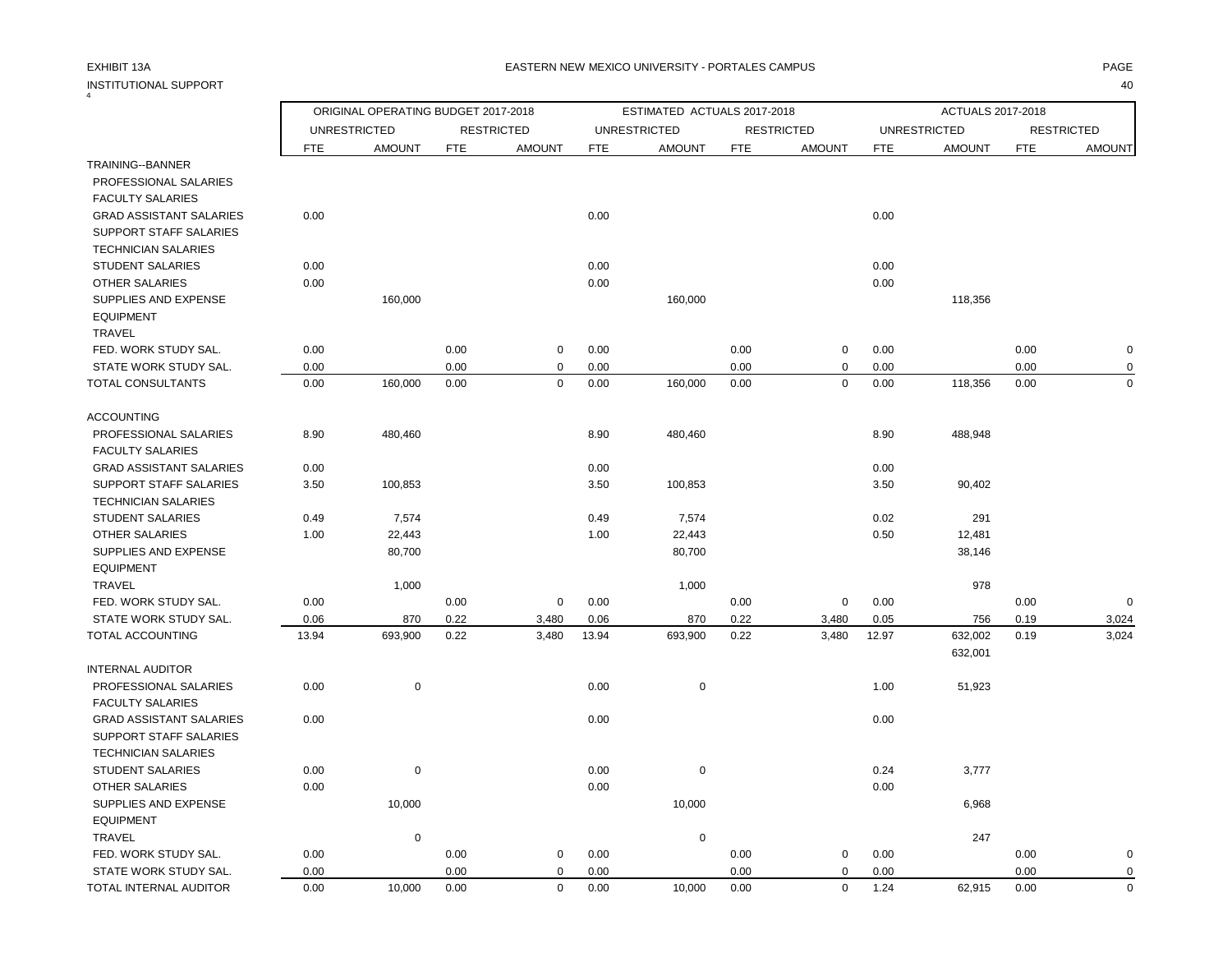## INSTITUTIONAL SUPPORT 40

4

### EXHIBIT 13A PAGE EASTERN NEW MEXICO UNIVERSITY - PORTALES CAMPUS

|                                                  |            | ORIGINAL OPERATING BUDGET 2017-2018 |            |                   |            | ESTIMATED ACTUALS 2017-2018 |            |                   |            | ACTUALS 2017-2018   |            |                   |
|--------------------------------------------------|------------|-------------------------------------|------------|-------------------|------------|-----------------------------|------------|-------------------|------------|---------------------|------------|-------------------|
|                                                  |            | <b>UNRESTRICTED</b>                 |            | <b>RESTRICTED</b> |            | <b>UNRESTRICTED</b>         |            | <b>RESTRICTED</b> |            | <b>UNRESTRICTED</b> |            | <b>RESTRICTED</b> |
|                                                  | <b>FTE</b> | <b>AMOUNT</b>                       | <b>FTE</b> | <b>AMOUNT</b>     | <b>FTE</b> | <b>AMOUNT</b>               | <b>FTE</b> | <b>AMOUNT</b>     | <b>FTE</b> | <b>AMOUNT</b>       | <b>FTE</b> | <b>AMOUNT</b>     |
| TRAINING--BANNER                                 |            |                                     |            |                   |            |                             |            |                   |            |                     |            |                   |
| PROFESSIONAL SALARIES                            |            |                                     |            |                   |            |                             |            |                   |            |                     |            |                   |
| <b>FACULTY SALARIES</b>                          |            |                                     |            |                   |            |                             |            |                   |            |                     |            |                   |
| <b>GRAD ASSISTANT SALARIES</b>                   | 0.00       |                                     |            |                   | 0.00       |                             |            |                   | 0.00       |                     |            |                   |
| SUPPORT STAFF SALARIES                           |            |                                     |            |                   |            |                             |            |                   |            |                     |            |                   |
| <b>TECHNICIAN SALARIES</b>                       |            |                                     |            |                   |            |                             |            |                   |            |                     |            |                   |
| <b>STUDENT SALARIES</b>                          | 0.00       |                                     |            |                   | 0.00       |                             |            |                   | 0.00       |                     |            |                   |
| <b>OTHER SALARIES</b>                            | 0.00       |                                     |            |                   | 0.00       |                             |            |                   | 0.00       |                     |            |                   |
| SUPPLIES AND EXPENSE                             |            | 160,000                             |            |                   |            | 160,000                     |            |                   |            | 118,356             |            |                   |
| <b>EQUIPMENT</b><br>TRAVEL                       |            |                                     |            |                   |            |                             |            |                   |            |                     |            |                   |
| FED. WORK STUDY SAL.                             | 0.00       |                                     | 0.00       | 0                 | 0.00       |                             | 0.00       | $\mathbf 0$       | 0.00       |                     | 0.00       | $\mathbf 0$       |
| STATE WORK STUDY SAL.                            | 0.00       |                                     | 0.00       | $\mathbf 0$       | 0.00       |                             | 0.00       | $\pmb{0}$         | 0.00       |                     | 0.00       | 0                 |
| TOTAL CONSULTANTS                                | 0.00       | 160,000                             | 0.00       | $\mathbf 0$       | 0.00       | 160,000                     | 0.00       | $\mathbf 0$       | 0.00       | 118,356             | 0.00       | $\mathbf 0$       |
|                                                  |            |                                     |            |                   |            |                             |            |                   |            |                     |            |                   |
| <b>ACCOUNTING</b>                                |            |                                     |            |                   |            |                             |            |                   |            |                     |            |                   |
| PROFESSIONAL SALARIES                            | 8.90       | 480,460                             |            |                   | 8.90       | 480,460                     |            |                   | 8.90       | 488,948             |            |                   |
| <b>FACULTY SALARIES</b>                          |            |                                     |            |                   |            |                             |            |                   |            |                     |            |                   |
| <b>GRAD ASSISTANT SALARIES</b>                   | 0.00       |                                     |            |                   | 0.00       |                             |            |                   | 0.00       |                     |            |                   |
| <b>SUPPORT STAFF SALARIES</b>                    | 3.50       | 100,853                             |            |                   | 3.50       | 100,853                     |            |                   | 3.50       | 90,402              |            |                   |
| <b>TECHNICIAN SALARIES</b>                       |            |                                     |            |                   |            |                             |            |                   |            |                     |            |                   |
| <b>STUDENT SALARIES</b>                          | 0.49       | 7,574                               |            |                   | 0.49       | 7,574                       |            |                   | 0.02       | 291                 |            |                   |
| <b>OTHER SALARIES</b>                            | 1.00       | 22,443                              |            |                   | 1.00       | 22,443                      |            |                   | 0.50       | 12,481              |            |                   |
| SUPPLIES AND EXPENSE                             |            | 80,700                              |            |                   |            | 80,700                      |            |                   |            | 38,146              |            |                   |
| <b>EQUIPMENT</b>                                 |            |                                     |            |                   |            |                             |            |                   |            |                     |            |                   |
| <b>TRAVEL</b>                                    |            | 1,000                               |            |                   |            | 1,000                       |            |                   |            | 978                 |            |                   |
| FED. WORK STUDY SAL.                             | 0.00       |                                     | 0.00       | $\mathbf 0$       | 0.00       |                             | 0.00       | $\pmb{0}$         | 0.00       |                     | 0.00       | 0                 |
| STATE WORK STUDY SAL.                            | 0.06       | 870                                 | 0.22       | 3,480             | 0.06       | 870                         | 0.22       | 3,480             | 0.05       | 756                 | 0.19       | 3,024             |
| TOTAL ACCOUNTING                                 | 13.94      | 693,900                             | 0.22       | 3,480             | 13.94      | 693,900                     | 0.22       | 3,480             | 12.97      | 632,002             | 0.19       | 3,024             |
|                                                  |            |                                     |            |                   |            |                             |            |                   |            | 632,001             |            |                   |
| <b>INTERNAL AUDITOR</b>                          |            |                                     |            |                   |            |                             |            |                   |            |                     |            |                   |
| PROFESSIONAL SALARIES<br><b>FACULTY SALARIES</b> | 0.00       | $\mathbf 0$                         |            |                   | 0.00       | 0                           |            |                   | 1.00       | 51,923              |            |                   |
| <b>GRAD ASSISTANT SALARIES</b>                   | 0.00       |                                     |            |                   | 0.00       |                             |            |                   | 0.00       |                     |            |                   |
| SUPPORT STAFF SALARIES                           |            |                                     |            |                   |            |                             |            |                   |            |                     |            |                   |
| <b>TECHNICIAN SALARIES</b>                       |            |                                     |            |                   |            |                             |            |                   |            |                     |            |                   |
| <b>STUDENT SALARIES</b>                          | 0.00       | $\mathbf 0$                         |            |                   | 0.00       | 0                           |            |                   | 0.24       | 3,777               |            |                   |
| <b>OTHER SALARIES</b>                            | 0.00       |                                     |            |                   | 0.00       |                             |            |                   | 0.00       |                     |            |                   |
| <b>SUPPLIES AND EXPENSE</b>                      |            | 10,000                              |            |                   |            | 10,000                      |            |                   |            | 6,968               |            |                   |
| <b>EQUIPMENT</b>                                 |            |                                     |            |                   |            |                             |            |                   |            |                     |            |                   |
| <b>TRAVEL</b>                                    |            | $\pmb{0}$                           |            |                   |            | $\pmb{0}$                   |            |                   |            | 247                 |            |                   |
| FED. WORK STUDY SAL.                             | 0.00       |                                     | 0.00       | 0                 | 0.00       |                             | 0.00       | $\pmb{0}$         | 0.00       |                     | 0.00       | 0                 |
| STATE WORK STUDY SAL.                            | 0.00       |                                     | 0.00       | $\Omega$          | 0.00       |                             | 0.00       | $\mathbf 0$       | 0.00       |                     | 0.00       | 0                 |
| TOTAL INTERNAL AUDITOR                           | 0.00       | 10,000                              | 0.00       | $\Omega$          | 0.00       | 10,000                      | 0.00       | $\mathbf 0$       | 1.24       | 62,915              | 0.00       | $\mathbf 0$       |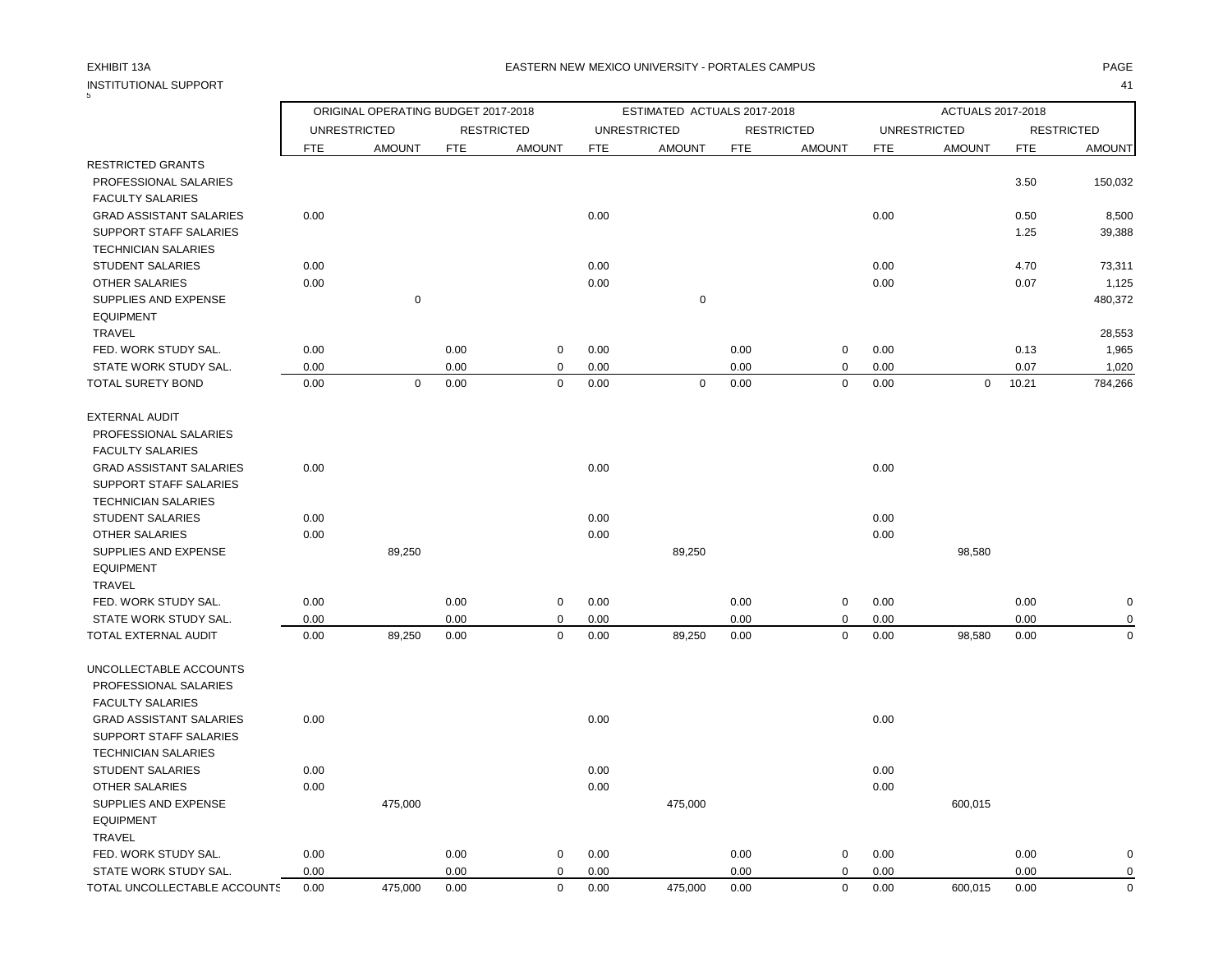### EXHIBIT 13A PAGE EASTERN NEW MEXICO UNIVERSITY - PORTALES CAMPUS

## INSTITUTIONAL SUPPORT 41<br>5

×

|                                |            | ORIGINAL OPERATING BUDGET 2017-2018 |            |                   |      | ESTIMATED ACTUALS 2017-2018 |            |                   |            | ACTUALS 2017-2018   |            |                   |
|--------------------------------|------------|-------------------------------------|------------|-------------------|------|-----------------------------|------------|-------------------|------------|---------------------|------------|-------------------|
|                                |            | <b>UNRESTRICTED</b>                 |            | <b>RESTRICTED</b> |      | <b>UNRESTRICTED</b>         |            | <b>RESTRICTED</b> |            | <b>UNRESTRICTED</b> |            | <b>RESTRICTED</b> |
|                                | <b>FTE</b> | <b>AMOUNT</b>                       | <b>FTE</b> | <b>AMOUNT</b>     | FTE  | <b>AMOUNT</b>               | <b>FTE</b> | <b>AMOUNT</b>     | <b>FTE</b> | <b>AMOUNT</b>       | <b>FTE</b> | <b>AMOUNT</b>     |
| <b>RESTRICTED GRANTS</b>       |            |                                     |            |                   |      |                             |            |                   |            |                     |            |                   |
| PROFESSIONAL SALARIES          |            |                                     |            |                   |      |                             |            |                   |            |                     | 3.50       | 150,032           |
| <b>FACULTY SALARIES</b>        |            |                                     |            |                   |      |                             |            |                   |            |                     |            |                   |
| <b>GRAD ASSISTANT SALARIES</b> | 0.00       |                                     |            |                   | 0.00 |                             |            |                   | 0.00       |                     | 0.50       | 8,500             |
| SUPPORT STAFF SALARIES         |            |                                     |            |                   |      |                             |            |                   |            |                     | 1.25       | 39,388            |
| <b>TECHNICIAN SALARIES</b>     |            |                                     |            |                   |      |                             |            |                   |            |                     |            |                   |
| STUDENT SALARIES               | 0.00       |                                     |            |                   | 0.00 |                             |            |                   | 0.00       |                     | 4.70       | 73,311            |
| <b>OTHER SALARIES</b>          | 0.00       |                                     |            |                   | 0.00 |                             |            |                   | 0.00       |                     | 0.07       | 1,125             |
| <b>SUPPLIES AND EXPENSE</b>    |            | $\pmb{0}$                           |            |                   |      | $\pmb{0}$                   |            |                   |            |                     |            | 480,372           |
| <b>EQUIPMENT</b>               |            |                                     |            |                   |      |                             |            |                   |            |                     |            |                   |
| <b>TRAVEL</b>                  |            |                                     |            |                   |      |                             |            |                   |            |                     |            | 28,553            |
| FED. WORK STUDY SAL.           | 0.00       |                                     | 0.00       | $\mathbf 0$       | 0.00 |                             | 0.00       | 0                 | 0.00       |                     | 0.13       | 1,965             |
| STATE WORK STUDY SAL.          | 0.00       |                                     | 0.00       | 0                 | 0.00 |                             | 0.00       | 0                 | 0.00       |                     | 0.07       | 1,020             |
| <b>TOTAL SURETY BOND</b>       | 0.00       | $\mathbf 0$                         | 0.00       | $\mathbf 0$       | 0.00 | $\mathsf 0$                 | 0.00       | 0                 | 0.00       | $\mathbf 0$         | 10.21      | 784,266           |
| <b>EXTERNAL AUDIT</b>          |            |                                     |            |                   |      |                             |            |                   |            |                     |            |                   |
| PROFESSIONAL SALARIES          |            |                                     |            |                   |      |                             |            |                   |            |                     |            |                   |
| <b>FACULTY SALARIES</b>        |            |                                     |            |                   |      |                             |            |                   |            |                     |            |                   |
| <b>GRAD ASSISTANT SALARIES</b> | 0.00       |                                     |            |                   | 0.00 |                             |            |                   | 0.00       |                     |            |                   |
| SUPPORT STAFF SALARIES         |            |                                     |            |                   |      |                             |            |                   |            |                     |            |                   |
| <b>TECHNICIAN SALARIES</b>     |            |                                     |            |                   |      |                             |            |                   |            |                     |            |                   |
| <b>STUDENT SALARIES</b>        | 0.00       |                                     |            |                   | 0.00 |                             |            |                   | 0.00       |                     |            |                   |
| <b>OTHER SALARIES</b>          | 0.00       |                                     |            |                   | 0.00 |                             |            |                   | 0.00       |                     |            |                   |
| SUPPLIES AND EXPENSE           |            | 89,250                              |            |                   |      | 89,250                      |            |                   |            | 98,580              |            |                   |
| <b>EQUIPMENT</b>               |            |                                     |            |                   |      |                             |            |                   |            |                     |            |                   |
| <b>TRAVEL</b>                  |            |                                     |            |                   |      |                             |            |                   |            |                     |            |                   |
| FED. WORK STUDY SAL.           | 0.00       |                                     | 0.00       | $\mathbf 0$       | 0.00 |                             | 0.00       | 0                 | 0.00       |                     | 0.00       | $\mathbf 0$       |
| STATE WORK STUDY SAL.          | 0.00       |                                     | 0.00       | $\mathbf 0$       | 0.00 |                             | 0.00       | 0                 | 0.00       |                     | 0.00       | $\mathbf 0$       |
| TOTAL EXTERNAL AUDIT           | 0.00       | 89,250                              | 0.00       | $\mathbf 0$       | 0.00 | 89,250                      | 0.00       | 0                 | 0.00       | 98,580              | 0.00       | $\mathbf 0$       |
| UNCOLLECTABLE ACCOUNTS         |            |                                     |            |                   |      |                             |            |                   |            |                     |            |                   |
| PROFESSIONAL SALARIES          |            |                                     |            |                   |      |                             |            |                   |            |                     |            |                   |
| <b>FACULTY SALARIES</b>        |            |                                     |            |                   |      |                             |            |                   |            |                     |            |                   |
| <b>GRAD ASSISTANT SALARIES</b> | 0.00       |                                     |            |                   | 0.00 |                             |            |                   | 0.00       |                     |            |                   |
| SUPPORT STAFF SALARIES         |            |                                     |            |                   |      |                             |            |                   |            |                     |            |                   |
| <b>TECHNICIAN SALARIES</b>     |            |                                     |            |                   |      |                             |            |                   |            |                     |            |                   |
| <b>STUDENT SALARIES</b>        | 0.00       |                                     |            |                   | 0.00 |                             |            |                   | 0.00       |                     |            |                   |
| <b>OTHER SALARIES</b>          | 0.00       |                                     |            |                   | 0.00 |                             |            |                   | 0.00       |                     |            |                   |
| SUPPLIES AND EXPENSE           |            | 475,000                             |            |                   |      | 475,000                     |            |                   |            | 600,015             |            |                   |
| <b>EQUIPMENT</b>               |            |                                     |            |                   |      |                             |            |                   |            |                     |            |                   |
| <b>TRAVEL</b>                  |            |                                     |            |                   |      |                             |            |                   |            |                     |            |                   |
| FED. WORK STUDY SAL.           | 0.00       |                                     | 0.00       | $\mathbf 0$       | 0.00 |                             | 0.00       | 0                 | 0.00       |                     | 0.00       | $\mathbf 0$       |
| STATE WORK STUDY SAL.          | 0.00       |                                     | 0.00       | $\mathbf 0$       | 0.00 |                             | 0.00       | 0                 | 0.00       |                     | 0.00       | $\mathbf 0$       |
| TOTAL UNCOLLECTABLE ACCOUNTS   | 0.00       | 475,000                             | 0.00       | $\Omega$          | 0.00 | 475,000                     | 0.00       | $\mathbf 0$       | 0.00       | 600,015             | 0.00       | $\mathbf 0$       |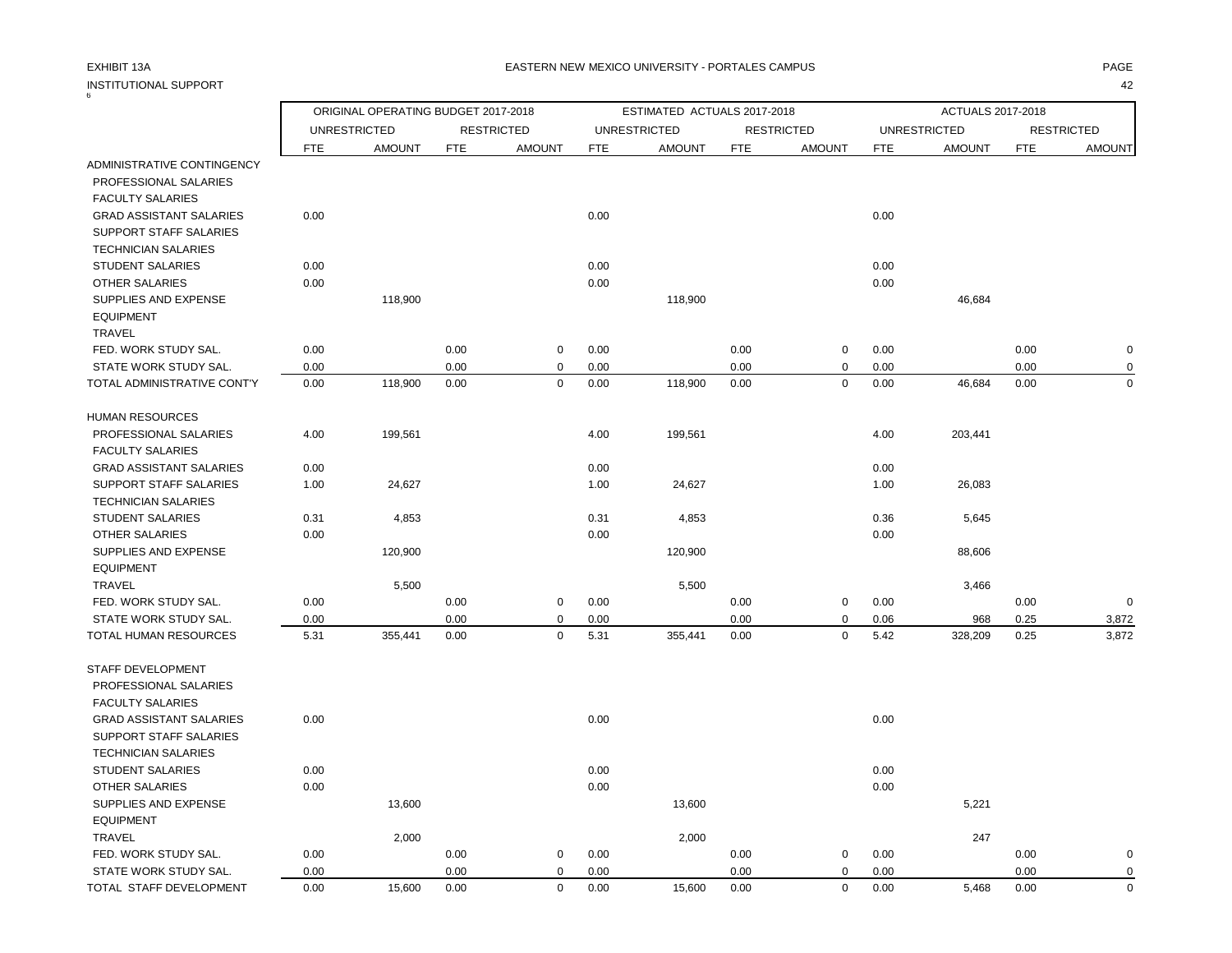## INSTITUTIONAL SUPPORT<br>6

 $\Gamma$ 

### EXHIBIT 13A PAGE EASTERN NEW MEXICO UNIVERSITY - PORTALES CAMPUS

| TUALS 2017-2018 |     |                   |
|-----------------|-----|-------------------|
| D               |     | <b>RESTRICTED</b> |
| 10UNT           | FTF | <b>AMOUNT</b>     |
|                 |     |                   |

|                                                      |              | ORIGINAL OPERATING BUDGET 2017-2018 |              |                            |              | ESTIMATED ACTUALS 2017-2018 |              |                   |              | ACTUALS 2017-2018   |              |                   |
|------------------------------------------------------|--------------|-------------------------------------|--------------|----------------------------|--------------|-----------------------------|--------------|-------------------|--------------|---------------------|--------------|-------------------|
|                                                      |              | <b>UNRESTRICTED</b>                 |              | <b>RESTRICTED</b>          |              | <b>UNRESTRICTED</b>         |              | <b>RESTRICTED</b> |              | <b>UNRESTRICTED</b> |              | <b>RESTRICTED</b> |
|                                                      | <b>FTE</b>   | <b>AMOUNT</b>                       | <b>FTE</b>   | <b>AMOUNT</b>              | <b>FTE</b>   | <b>AMOUNT</b>               | <b>FTE</b>   | <b>AMOUNT</b>     | <b>FTE</b>   | <b>AMOUNT</b>       | <b>FTE</b>   | <b>AMOUNT</b>     |
| ADMINISTRATIVE CONTINGENCY                           |              |                                     |              |                            |              |                             |              |                   |              |                     |              |                   |
| PROFESSIONAL SALARIES                                |              |                                     |              |                            |              |                             |              |                   |              |                     |              |                   |
| <b>FACULTY SALARIES</b>                              |              |                                     |              |                            |              |                             |              |                   |              |                     |              |                   |
| <b>GRAD ASSISTANT SALARIES</b>                       | 0.00         |                                     |              |                            | 0.00         |                             |              |                   | 0.00         |                     |              |                   |
| <b>SUPPORT STAFF SALARIES</b>                        |              |                                     |              |                            |              |                             |              |                   |              |                     |              |                   |
| <b>TECHNICIAN SALARIES</b>                           |              |                                     |              |                            |              |                             |              |                   |              |                     |              |                   |
| <b>STUDENT SALARIES</b>                              | 0.00         |                                     |              |                            | 0.00         |                             |              |                   | 0.00         |                     |              |                   |
| <b>OTHER SALARIES</b>                                | 0.00         |                                     |              |                            | 0.00         |                             |              |                   | 0.00         |                     |              |                   |
| SUPPLIES AND EXPENSE                                 |              | 118,900                             |              |                            |              | 118,900                     |              |                   |              | 46,684              |              |                   |
| <b>EQUIPMENT</b>                                     |              |                                     |              |                            |              |                             |              |                   |              |                     |              |                   |
| TRAVEL                                               |              |                                     |              |                            |              |                             |              |                   |              |                     |              |                   |
| FED. WORK STUDY SAL.                                 | 0.00         |                                     | 0.00         | $\mathbf 0$                | 0.00         |                             | 0.00         | $\mathbf 0$       | 0.00         |                     | 0.00         | $\pmb{0}$         |
| STATE WORK STUDY SAL.<br>TOTAL ADMINISTRATIVE CONT'Y | 0.00<br>0.00 | 118,900                             | 0.00<br>0.00 | $\mathbf 0$<br>$\mathbf 0$ | 0.00<br>0.00 | 118,900                     | 0.00<br>0.00 | 0<br>$\mathbf 0$  | 0.00<br>0.00 | 46,684              | 0.00<br>0.00 | 0<br>$\mathbf 0$  |
|                                                      |              |                                     |              |                            |              |                             |              |                   |              |                     |              |                   |
| <b>HUMAN RESOURCES</b>                               |              |                                     |              |                            |              |                             |              |                   |              |                     |              |                   |
| PROFESSIONAL SALARIES                                | 4.00         | 199,561                             |              |                            | 4.00         | 199,561                     |              |                   | 4.00         | 203,441             |              |                   |
| <b>FACULTY SALARIES</b>                              |              |                                     |              |                            |              |                             |              |                   |              |                     |              |                   |
| <b>GRAD ASSISTANT SALARIES</b>                       | 0.00         |                                     |              |                            | 0.00         |                             |              |                   | 0.00         |                     |              |                   |
| <b>SUPPORT STAFF SALARIES</b>                        | 1.00         | 24,627                              |              |                            | 1.00         | 24,627                      |              |                   | 1.00         | 26,083              |              |                   |
| <b>TECHNICIAN SALARIES</b>                           |              |                                     |              |                            |              |                             |              |                   |              |                     |              |                   |
| <b>STUDENT SALARIES</b>                              | 0.31         | 4,853                               |              |                            | 0.31         | 4,853                       |              |                   | 0.36         | 5,645               |              |                   |
| <b>OTHER SALARIES</b>                                | 0.00         |                                     |              |                            | 0.00         |                             |              |                   | 0.00         |                     |              |                   |
| SUPPLIES AND EXPENSE                                 |              | 120,900                             |              |                            |              | 120,900                     |              |                   |              | 88,606              |              |                   |
| <b>EQUIPMENT</b>                                     |              |                                     |              |                            |              |                             |              |                   |              |                     |              |                   |
| TRAVEL                                               |              | 5,500                               |              |                            |              | 5,500                       |              |                   |              | 3,466               |              |                   |
| FED. WORK STUDY SAL.                                 | 0.00         |                                     | 0.00         | $\mathbf 0$                | 0.00         |                             | 0.00         | 0                 | 0.00         |                     | 0.00         | $\mathbf 0$       |
| STATE WORK STUDY SAL.                                | 0.00         |                                     | 0.00         | $\mathbf 0$                | 0.00         |                             | 0.00         | 0                 | 0.06         | 968                 | 0.25         | 3,872             |
| TOTAL HUMAN RESOURCES                                | 5.31         | 355,441                             | 0.00         | $\mathbf 0$                | 5.31         | 355,441                     | 0.00         | $\mathbf 0$       | 5.42         | 328,209             | 0.25         | 3,872             |
| STAFF DEVELOPMENT                                    |              |                                     |              |                            |              |                             |              |                   |              |                     |              |                   |
| PROFESSIONAL SALARIES                                |              |                                     |              |                            |              |                             |              |                   |              |                     |              |                   |
| <b>FACULTY SALARIES</b>                              |              |                                     |              |                            |              |                             |              |                   |              |                     |              |                   |
| <b>GRAD ASSISTANT SALARIES</b>                       | 0.00         |                                     |              |                            | 0.00         |                             |              |                   | 0.00         |                     |              |                   |
| SUPPORT STAFF SALARIES                               |              |                                     |              |                            |              |                             |              |                   |              |                     |              |                   |
| <b>TECHNICIAN SALARIES</b>                           |              |                                     |              |                            |              |                             |              |                   |              |                     |              |                   |
| <b>STUDENT SALARIES</b>                              | 0.00         |                                     |              |                            | 0.00         |                             |              |                   | 0.00         |                     |              |                   |
| <b>OTHER SALARIES</b>                                | 0.00         |                                     |              |                            | 0.00         |                             |              |                   | 0.00         |                     |              |                   |
| SUPPLIES AND EXPENSE                                 |              | 13,600                              |              |                            |              | 13,600                      |              |                   |              | 5,221               |              |                   |
| <b>EQUIPMENT</b>                                     |              |                                     |              |                            |              |                             |              |                   |              |                     |              |                   |
| <b>TRAVEL</b>                                        |              | 2,000                               |              |                            |              | 2,000                       |              |                   |              | 247                 |              |                   |
| FED. WORK STUDY SAL.                                 | 0.00         |                                     | 0.00         | $\mathbf 0$                | 0.00         |                             | 0.00         | 0                 | 0.00         |                     | 0.00         | $\mathbf 0$       |
| STATE WORK STUDY SAL.                                | 0.00         |                                     | 0.00         | $\mathbf 0$                | 0.00         |                             | 0.00         | $\mathbf 0$       | 0.00         |                     | 0.00         | $\mathbf 0$       |
| TOTAL STAFF DEVELOPMENT                              | 0.00         | 15,600                              | 0.00         | $\Omega$                   | 0.00         | 15,600                      | 0.00         | $\mathbf 0$       | 0.00         | 5,468               | 0.00         | $\mathbf 0$       |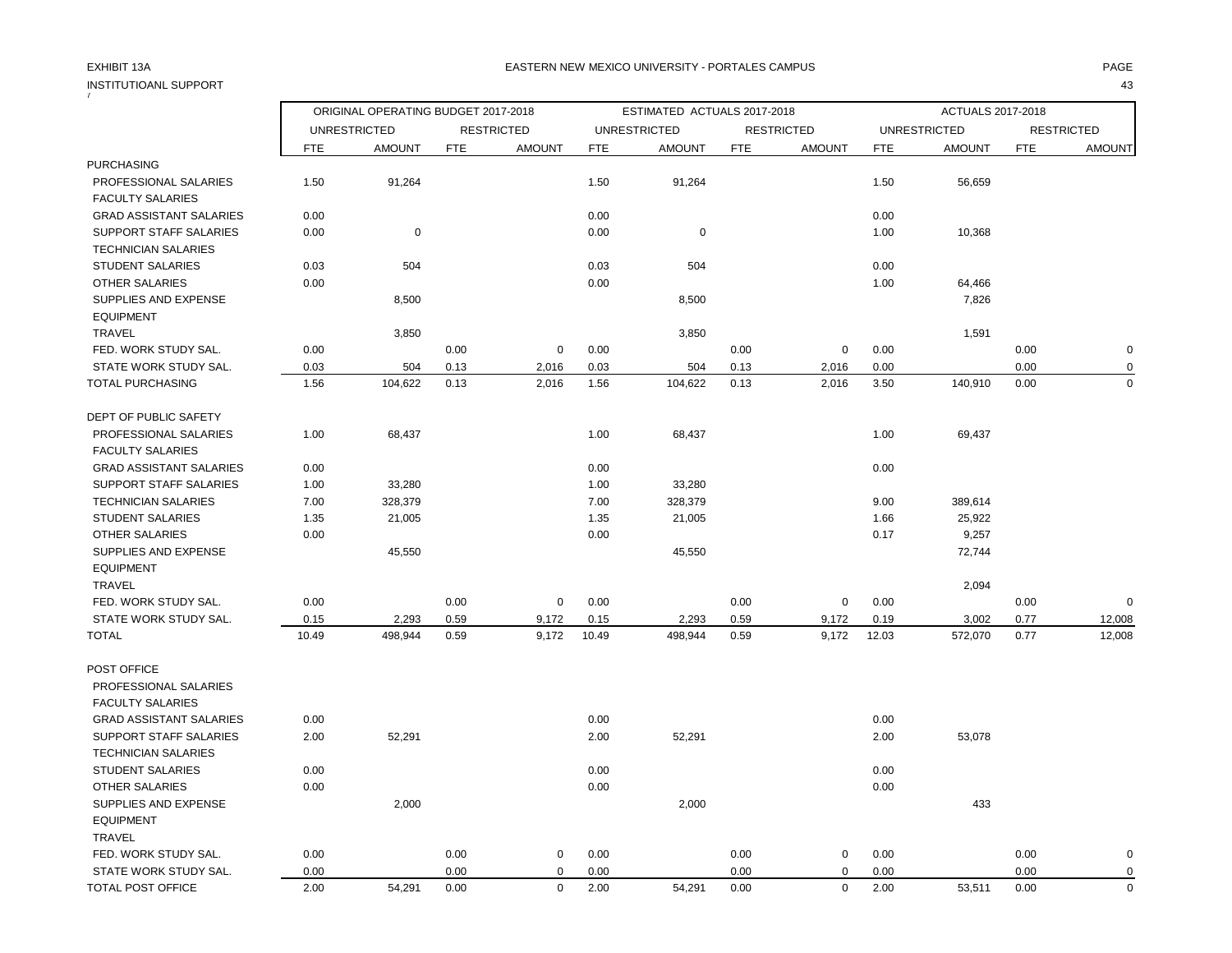## INSTITUTIOANL SUPPORT 43

| 7                              |       |                                                                                           |            |                   |            |                                      |            |                                    |            |                                      |            |                                    |
|--------------------------------|-------|-------------------------------------------------------------------------------------------|------------|-------------------|------------|--------------------------------------|------------|------------------------------------|------------|--------------------------------------|------------|------------------------------------|
|                                |       | ORIGINAL OPERATING BUDGET 2017-2018<br><b>UNRESTRICTED</b><br><b>AMOUNT</b><br><b>FTE</b> |            |                   |            | ESTIMATED ACTUALS 2017-2018          |            |                                    |            | ACTUALS 2017-2018                    |            |                                    |
|                                |       |                                                                                           |            | <b>RESTRICTED</b> |            | <b>UNRESTRICTED</b><br><b>AMOUNT</b> |            | <b>RESTRICTED</b><br><b>AMOUNT</b> |            | <b>UNRESTRICTED</b><br><b>AMOUNT</b> |            | <b>RESTRICTED</b><br><b>AMOUNT</b> |
| <b>PURCHASING</b>              |       |                                                                                           | <b>FTE</b> | <b>AMOUNT</b>     | <b>FTE</b> |                                      | <b>FTE</b> |                                    | <b>FTE</b> |                                      | <b>FTE</b> |                                    |
| PROFESSIONAL SALARIES          | 1.50  | 91,264                                                                                    |            |                   | 1.50       | 91,264                               |            |                                    | 1.50       | 56,659                               |            |                                    |
| <b>FACULTY SALARIES</b>        |       |                                                                                           |            |                   |            |                                      |            |                                    |            |                                      |            |                                    |
| <b>GRAD ASSISTANT SALARIES</b> | 0.00  |                                                                                           |            |                   | 0.00       |                                      |            |                                    | 0.00       |                                      |            |                                    |
| SUPPORT STAFF SALARIES         | 0.00  | $\mathbf 0$                                                                               |            |                   | 0.00       | 0                                    |            |                                    | 1.00       | 10,368                               |            |                                    |
| <b>TECHNICIAN SALARIES</b>     |       |                                                                                           |            |                   |            |                                      |            |                                    |            |                                      |            |                                    |
| <b>STUDENT SALARIES</b>        | 0.03  | 504                                                                                       |            |                   | 0.03       | 504                                  |            |                                    | 0.00       |                                      |            |                                    |
| <b>OTHER SALARIES</b>          | 0.00  |                                                                                           |            |                   | 0.00       |                                      |            |                                    | 1.00       | 64,466                               |            |                                    |
| SUPPLIES AND EXPENSE           |       | 8,500                                                                                     |            |                   |            | 8,500                                |            |                                    |            | 7,826                                |            |                                    |
| <b>EQUIPMENT</b>               |       |                                                                                           |            |                   |            |                                      |            |                                    |            |                                      |            |                                    |
| <b>TRAVEL</b>                  |       | 3,850                                                                                     |            |                   |            | 3,850                                |            |                                    |            | 1,591                                |            |                                    |
| FED. WORK STUDY SAL.           | 0.00  |                                                                                           | 0.00       | $\mathbf 0$       | 0.00       |                                      | 0.00       | 0                                  | 0.00       |                                      | 0.00       | $\mathbf 0$                        |
| STATE WORK STUDY SAL.          | 0.03  | 504                                                                                       | 0.13       | 2,016             | 0.03       | 504                                  | 0.13       | 2,016                              | 0.00       |                                      | 0.00       | $\mathbf 0$                        |
| <b>TOTAL PURCHASING</b>        | 1.56  | 104,622                                                                                   | 0.13       | 2,016             | 1.56       | 104,622                              | 0.13       | 2,016                              | 3.50       | 140,910                              | 0.00       | $\mathbf 0$                        |
| DEPT OF PUBLIC SAFETY          |       |                                                                                           |            |                   |            |                                      |            |                                    |            |                                      |            |                                    |
| PROFESSIONAL SALARIES          | 1.00  | 68,437                                                                                    |            |                   | 1.00       | 68,437                               |            |                                    | 1.00       | 69,437                               |            |                                    |
| <b>FACULTY SALARIES</b>        |       |                                                                                           |            |                   |            |                                      |            |                                    |            |                                      |            |                                    |
| <b>GRAD ASSISTANT SALARIES</b> | 0.00  |                                                                                           |            |                   | 0.00       |                                      |            |                                    | 0.00       |                                      |            |                                    |
| SUPPORT STAFF SALARIES         | 1.00  | 33,280                                                                                    |            |                   | 1.00       | 33,280                               |            |                                    |            |                                      |            |                                    |
| <b>TECHNICIAN SALARIES</b>     | 7.00  | 328,379                                                                                   |            |                   | 7.00       | 328,379                              |            |                                    | 9.00       | 389,614                              |            |                                    |
| <b>STUDENT SALARIES</b>        | 1.35  | 21,005                                                                                    |            |                   | 1.35       | 21,005                               |            |                                    | 1.66       | 25,922                               |            |                                    |
| <b>OTHER SALARIES</b>          | 0.00  |                                                                                           |            |                   | 0.00       |                                      |            |                                    | 0.17       | 9,257                                |            |                                    |
| SUPPLIES AND EXPENSE           |       | 45,550                                                                                    |            |                   |            | 45,550                               |            |                                    |            | 72,744                               |            |                                    |
| <b>EQUIPMENT</b>               |       |                                                                                           |            |                   |            |                                      |            |                                    |            |                                      |            |                                    |
| <b>TRAVEL</b>                  |       |                                                                                           |            |                   |            |                                      |            |                                    |            | 2,094                                |            |                                    |
| FED. WORK STUDY SAL.           | 0.00  |                                                                                           | 0.00       | 0                 | 0.00       |                                      | 0.00       | 0                                  | 0.00       |                                      | 0.00       | $\mathbf 0$                        |
| STATE WORK STUDY SAL.          | 0.15  | 2,293                                                                                     | 0.59       | 9,172             | 0.15       | 2,293                                | 0.59       | 9,172                              | 0.19       | 3,002                                | 0.77       | 12,008                             |
| <b>TOTAL</b>                   | 10.49 | 498,944                                                                                   | 0.59       | 9,172             | 10.49      | 498,944                              | 0.59       | 9,172                              | 12.03      | 572,070                              | 0.77       | 12,008                             |
| POST OFFICE                    |       |                                                                                           |            |                   |            |                                      |            |                                    |            |                                      |            |                                    |
| PROFESSIONAL SALARIES          |       |                                                                                           |            |                   |            |                                      |            |                                    |            |                                      |            |                                    |
| <b>FACULTY SALARIES</b>        |       |                                                                                           |            |                   |            |                                      |            |                                    |            |                                      |            |                                    |
| <b>GRAD ASSISTANT SALARIES</b> | 0.00  |                                                                                           |            |                   | 0.00       |                                      |            |                                    | 0.00       |                                      |            |                                    |
| SUPPORT STAFF SALARIES         | 2.00  | 52,291                                                                                    |            |                   | 2.00       | 52,291                               |            |                                    | 2.00       | 53,078                               |            |                                    |
| <b>TECHNICIAN SALARIES</b>     |       |                                                                                           |            |                   |            |                                      |            |                                    |            |                                      |            |                                    |
| <b>STUDENT SALARIES</b>        | 0.00  |                                                                                           |            |                   | 0.00       |                                      |            |                                    | 0.00       |                                      |            |                                    |
| OTHER SALARIES                 | 0.00  |                                                                                           |            |                   | 0.00       |                                      |            |                                    | 0.00       |                                      |            |                                    |
| SUPPLIES AND EXPENSE           |       | 2,000                                                                                     |            |                   |            | 2,000                                |            |                                    |            | 433                                  |            |                                    |
| <b>EQUIPMENT</b>               |       |                                                                                           |            |                   |            |                                      |            |                                    |            |                                      |            |                                    |
| <b>TRAVEL</b>                  |       |                                                                                           |            |                   |            |                                      |            |                                    |            |                                      |            |                                    |
| FED. WORK STUDY SAL.           | 0.00  |                                                                                           | 0.00       | $\mathbf 0$       | 0.00       |                                      | 0.00       | $\pmb{0}$                          | 0.00       |                                      | 0.00       | $\mathbf 0$                        |
| STATE WORK STUDY SAL.          | 0.00  |                                                                                           | 0.00       | 0                 | 0.00       |                                      | 0.00       | $\mathbf 0$                        | 0.00       |                                      | 0.00       | $\mathbf 0$                        |
| TOTAL POST OFFICE              | 2.00  | 54,291                                                                                    | 0.00       | $\mathbf 0$       | 2.00       | 54,291                               | 0.00       | $\mathbf 0$                        | 2.00       | 53,511                               | 0.00       | $\mathbf 0$                        |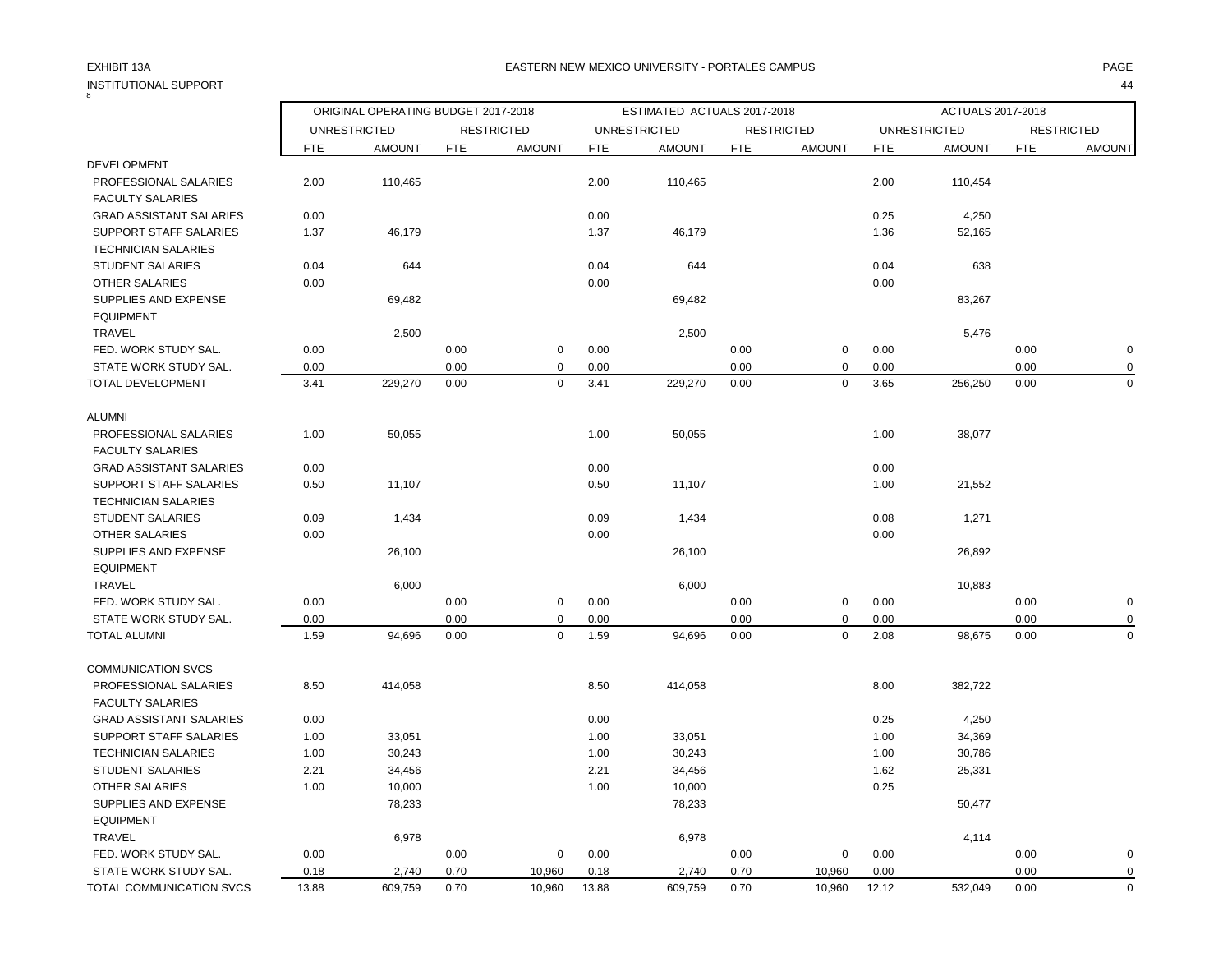#### EXHIBIT 13A PAGE EASTERN NEW MEXICO UNIVERSITY - PORTALES CAMPUS

| INSTITUTIONAL SUPPORT          |            |                                     |            |                   |            |                             |            |                   |            |                     |            | 44                |
|--------------------------------|------------|-------------------------------------|------------|-------------------|------------|-----------------------------|------------|-------------------|------------|---------------------|------------|-------------------|
|                                |            | ORIGINAL OPERATING BUDGET 2017-2018 |            |                   |            | ESTIMATED ACTUALS 2017-2018 |            |                   |            | ACTUALS 2017-2018   |            |                   |
|                                |            | <b>UNRESTRICTED</b>                 |            | <b>RESTRICTED</b> |            | <b>UNRESTRICTED</b>         |            | <b>RESTRICTED</b> |            | <b>UNRESTRICTED</b> |            | <b>RESTRICTED</b> |
|                                | <b>FTE</b> | <b>AMOUNT</b>                       | <b>FTE</b> | <b>AMOUNT</b>     | <b>FTE</b> | <b>AMOUNT</b>               | <b>FTE</b> | <b>AMOUNT</b>     | <b>FTE</b> | <b>AMOUNT</b>       | <b>FTE</b> | <b>AMOUNT</b>     |
| <b>DEVELOPMENT</b>             |            |                                     |            |                   |            |                             |            |                   |            |                     |            |                   |
| PROFESSIONAL SALARIES          | 2.00       | 110,465                             |            |                   | 2.00       | 110,465                     |            |                   | 2.00       | 110,454             |            |                   |
| <b>FACULTY SALARIES</b>        |            |                                     |            |                   |            |                             |            |                   |            |                     |            |                   |
| <b>GRAD ASSISTANT SALARIES</b> | 0.00       |                                     |            |                   | 0.00       |                             |            |                   | 0.25       | 4,250               |            |                   |
| SUPPORT STAFF SALARIES         | 1.37       | 46,179                              |            |                   | 1.37       | 46,179                      |            |                   | 1.36       | 52,165              |            |                   |
| <b>TECHNICIAN SALARIES</b>     |            |                                     |            |                   |            |                             |            |                   |            |                     |            |                   |
| <b>STUDENT SALARIES</b>        | 0.04       | 644                                 |            |                   | 0.04       | 644                         |            |                   | 0.04       | 638                 |            |                   |
| <b>OTHER SALARIES</b>          | 0.00       |                                     |            |                   | 0.00       |                             |            |                   | 0.00       |                     |            |                   |
| SUPPLIES AND EXPENSE           |            | 69,482                              |            |                   |            | 69,482                      |            |                   |            | 83,267              |            |                   |
| <b>EQUIPMENT</b>               |            |                                     |            |                   |            |                             |            |                   |            |                     |            |                   |
| <b>TRAVEL</b>                  |            | 2,500                               |            |                   |            | 2,500                       |            |                   |            | 5,476               |            |                   |
| FED. WORK STUDY SAL.           | 0.00       |                                     | 0.00       | $\mathbf 0$       | 0.00       |                             | 0.00       | $\mathbf 0$       | 0.00       |                     | 0.00       | 0                 |
| STATE WORK STUDY SAL.          | 0.00       |                                     | 0.00       | $\pmb{0}$         | 0.00       |                             | 0.00       | $\mathbf 0$       | 0.00       |                     | 0.00       | $\overline{0}$    |
| TOTAL DEVELOPMENT              | 3.41       | 229,270                             | 0.00       | $\mathbf 0$       | 3.41       | 229,270                     | 0.00       | $\mathbf 0$       | 3.65       | 256,250             | 0.00       | $\overline{0}$    |
| <b>ALUMNI</b>                  |            |                                     |            |                   |            |                             |            |                   |            |                     |            |                   |
| PROFESSIONAL SALARIES          | 1.00       | 50,055                              |            |                   | 1.00       | 50,055                      |            |                   | 1.00       | 38,077              |            |                   |
| <b>FACULTY SALARIES</b>        |            |                                     |            |                   |            |                             |            |                   |            |                     |            |                   |
| <b>GRAD ASSISTANT SALARIES</b> | 0.00       |                                     |            |                   | 0.00       |                             |            |                   | 0.00       |                     |            |                   |
| <b>SUPPORT STAFF SALARIES</b>  | 0.50       | 11,107                              |            |                   | 0.50       | 11,107                      |            |                   | 1.00       | 21,552              |            |                   |
| <b>TECHNICIAN SALARIES</b>     |            |                                     |            |                   |            |                             |            |                   |            |                     |            |                   |
| <b>STUDENT SALARIES</b>        | 0.09       | 1,434                               |            |                   | 0.09       | 1,434                       |            |                   | 0.08       | 1,271               |            |                   |
| OTHER SALARIES                 | 0.00       |                                     |            |                   | 0.00       |                             |            |                   | 0.00       |                     |            |                   |
| SUPPLIES AND EXPENSE           |            | 26,100                              |            |                   |            | 26,100                      |            |                   |            | 26,892              |            |                   |
| <b>EQUIPMENT</b>               |            |                                     |            |                   |            |                             |            |                   |            |                     |            |                   |
| <b>TRAVEL</b>                  |            | 6,000                               |            |                   |            | 6,000                       |            |                   |            | 10,883              |            |                   |
| FED. WORK STUDY SAL.           | 0.00       |                                     | 0.00       | 0                 | 0.00       |                             | 0.00       | $\mathbf 0$       | 0.00       |                     | 0.00       | 0                 |
| STATE WORK STUDY SAL.          | 0.00       |                                     | 0.00       | $\mathbf 0$       | 0.00       |                             | 0.00       | $\mathbf 0$       | 0.00       |                     | 0.00       | 0                 |
| <b>TOTAL ALUMNI</b>            | 1.59       | 94,696                              | 0.00       | $\mathbf 0$       | 1.59       | 94,696                      | 0.00       | $\mathbf 0$       | 2.08       | 98,675              | 0.00       | $\Omega$          |
| <b>COMMUNICATION SVCS</b>      |            |                                     |            |                   |            |                             |            |                   |            |                     |            |                   |
| PROFESSIONAL SALARIES          | 8.50       | 414,058                             |            |                   | 8.50       | 414,058                     |            |                   | 8.00       | 382,722             |            |                   |
| <b>FACULTY SALARIES</b>        |            |                                     |            |                   |            |                             |            |                   |            |                     |            |                   |
| <b>GRAD ASSISTANT SALARIES</b> | 0.00       |                                     |            |                   | 0.00       |                             |            |                   | 0.25       | 4,250               |            |                   |
| SUPPORT STAFF SALARIES         | 1.00       | 33,051                              |            |                   | 1.00       | 33,051                      |            |                   | 1.00       | 34,369              |            |                   |
| <b>TECHNICIAN SALARIES</b>     | 1.00       | 30,243                              |            |                   | 1.00       | 30,243                      |            |                   | 1.00       | 30,786              |            |                   |
| <b>STUDENT SALARIES</b>        | 2.21       | 34,456                              |            |                   | 2.21       | 34,456                      |            |                   | 1.62       | 25,331              |            |                   |
| <b>OTHER SALARIES</b>          | 1.00       | 10,000                              |            |                   | 1.00       | 10,000                      |            |                   | 0.25       |                     |            |                   |
| SUPPLIES AND EXPENSE           |            | 78,233                              |            |                   |            | 78,233                      |            |                   |            | 50,477              |            |                   |
| <b>EQUIPMENT</b>               |            |                                     |            |                   |            |                             |            |                   |            |                     |            |                   |
| <b>TRAVEL</b>                  |            | 6,978                               |            |                   |            | 6,978                       |            |                   |            | 4,114               |            |                   |
| FED. WORK STUDY SAL.           | 0.00       |                                     | 0.00       | 0                 | 0.00       |                             | 0.00       | 0                 | 0.00       |                     | 0.00       | 0                 |
| STATE WORK STUDY SAL.          | 0.18       | 2,740                               | 0.70       | 10,960            | 0.18       | 2,740                       | 0.70       | 10,960            | 0.00       |                     | 0.00       | $\Omega$          |

TOTAL COMMUNICATION SVCS 13.88 609,759 0.70 10,960 13.88 609,759 0.70 10,960 12.12 532,049 0.00 0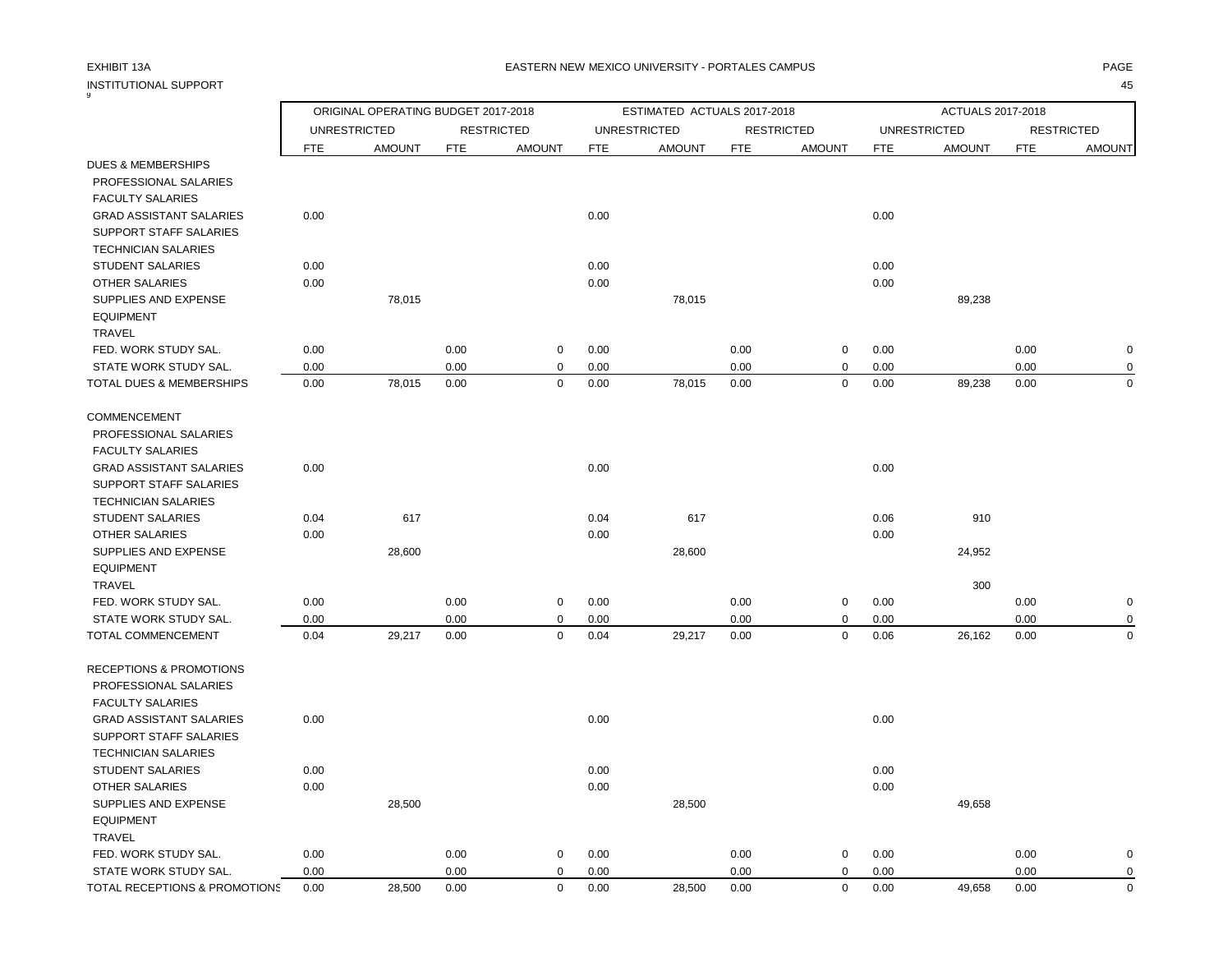# INSTITUTIONAL SUPPORT<br>9

### EXHIBIT 13A PAGE EASTERN NEW MEXICO UNIVERSITY - PORTALES CAMPUS

|                                |            | ORIGINAL OPERATING BUDGET 2017-2018 |            |                   |            | ESTIMATED ACTUALS 2017-2018 |            |                   |            | ACTUALS 2017-2018   |            |                   |
|--------------------------------|------------|-------------------------------------|------------|-------------------|------------|-----------------------------|------------|-------------------|------------|---------------------|------------|-------------------|
|                                |            | <b>UNRESTRICTED</b>                 |            | <b>RESTRICTED</b> |            | <b>UNRESTRICTED</b>         |            | <b>RESTRICTED</b> |            | <b>UNRESTRICTED</b> |            | <b>RESTRICTED</b> |
|                                | <b>FTE</b> | <b>AMOUNT</b>                       | <b>FTE</b> | <b>AMOUNT</b>     | <b>FTE</b> | <b>AMOUNT</b>               | <b>FTE</b> | <b>AMOUNT</b>     | <b>FTE</b> | <b>AMOUNT</b>       | <b>FTE</b> | <b>AMOUNT</b>     |
| <b>DUES &amp; MEMBERSHIPS</b>  |            |                                     |            |                   |            |                             |            |                   |            |                     |            |                   |
| PROFESSIONAL SALARIES          |            |                                     |            |                   |            |                             |            |                   |            |                     |            |                   |
| <b>FACULTY SALARIES</b>        |            |                                     |            |                   |            |                             |            |                   |            |                     |            |                   |
| <b>GRAD ASSISTANT SALARIES</b> | 0.00       |                                     |            |                   | 0.00       |                             |            |                   | 0.00       |                     |            |                   |
| <b>SUPPORT STAFF SALARIES</b>  |            |                                     |            |                   |            |                             |            |                   |            |                     |            |                   |
| <b>TECHNICIAN SALARIES</b>     |            |                                     |            |                   |            |                             |            |                   |            |                     |            |                   |
| <b>STUDENT SALARIES</b>        | 0.00       |                                     |            |                   | 0.00       |                             |            |                   | 0.00       |                     |            |                   |
| <b>OTHER SALARIES</b>          | 0.00       |                                     |            |                   | 0.00       |                             |            |                   | 0.00       |                     |            |                   |
| SUPPLIES AND EXPENSE           |            | 78,015                              |            |                   |            | 78,015                      |            |                   |            | 89,238              |            |                   |
| <b>EQUIPMENT</b>               |            |                                     |            |                   |            |                             |            |                   |            |                     |            |                   |
| <b>TRAVEL</b>                  |            |                                     |            |                   |            |                             |            |                   |            |                     |            |                   |
| FED. WORK STUDY SAL.           | 0.00       |                                     | 0.00       | 0                 | 0.00       |                             | 0.00       | 0                 | 0.00       |                     | 0.00       | $\mathbf 0$       |
| STATE WORK STUDY SAL.          | 0.00       |                                     | 0.00       | 0                 | 0.00       |                             | 0.00       | 0                 | 0.00       |                     | 0.00       | $\mathbf 0$       |
| TOTAL DUES & MEMBERSHIPS       | 0.00       | 78,015                              | 0.00       | $\mathbf 0$       | 0.00       | 78,015                      | 0.00       | $\mathbf 0$       | 0.00       | 89,238              | 0.00       | $\mathbf 0$       |
|                                |            |                                     |            |                   |            |                             |            |                   |            |                     |            |                   |
| COMMENCEMENT                   |            |                                     |            |                   |            |                             |            |                   |            |                     |            |                   |
| PROFESSIONAL SALARIES          |            |                                     |            |                   |            |                             |            |                   |            |                     |            |                   |
| <b>FACULTY SALARIES</b>        |            |                                     |            |                   |            |                             |            |                   |            |                     |            |                   |
| <b>GRAD ASSISTANT SALARIES</b> | 0.00       |                                     |            |                   | 0.00       |                             |            |                   | 0.00       |                     |            |                   |
| SUPPORT STAFF SALARIES         |            |                                     |            |                   |            |                             |            |                   |            |                     |            |                   |
| <b>TECHNICIAN SALARIES</b>     |            |                                     |            |                   |            |                             |            |                   |            |                     |            |                   |
| <b>STUDENT SALARIES</b>        | 0.04       | 617                                 |            |                   | 0.04       | 617                         |            |                   | 0.06       | 910                 |            |                   |
| <b>OTHER SALARIES</b>          | 0.00       |                                     |            |                   | 0.00       |                             |            |                   | 0.00       |                     |            |                   |
| SUPPLIES AND EXPENSE           |            | 28,600                              |            |                   |            | 28,600                      |            |                   |            | 24,952              |            |                   |
| <b>EQUIPMENT</b>               |            |                                     |            |                   |            |                             |            |                   |            |                     |            |                   |
| <b>TRAVEL</b>                  |            |                                     |            |                   |            |                             |            |                   |            | 300                 |            |                   |
| FED. WORK STUDY SAL.           | 0.00       |                                     | 0.00       | $\mathbf 0$       | 0.00       |                             | 0.00       | 0                 | 0.00       |                     | 0.00       | $\mathbf 0$       |
| STATE WORK STUDY SAL.          | 0.00       |                                     | 0.00       | $\mathbf 0$       | 0.00       |                             | 0.00       | 0                 | 0.00       |                     | 0.00       | $\mathbf 0$       |
| TOTAL COMMENCEMENT             | 0.04       | 29,217                              | 0.00       | $\mathbf 0$       | 0.04       | 29,217                      | 0.00       | $\mathbf 0$       | 0.06       | 26,162              | 0.00       | $\mathbf 0$       |
| RECEPTIONS & PROMOTIONS        |            |                                     |            |                   |            |                             |            |                   |            |                     |            |                   |
| PROFESSIONAL SALARIES          |            |                                     |            |                   |            |                             |            |                   |            |                     |            |                   |
| <b>FACULTY SALARIES</b>        |            |                                     |            |                   |            |                             |            |                   |            |                     |            |                   |
| <b>GRAD ASSISTANT SALARIES</b> | 0.00       |                                     |            |                   | 0.00       |                             |            |                   | 0.00       |                     |            |                   |
| SUPPORT STAFF SALARIES         |            |                                     |            |                   |            |                             |            |                   |            |                     |            |                   |
| <b>TECHNICIAN SALARIES</b>     |            |                                     |            |                   |            |                             |            |                   |            |                     |            |                   |
| <b>STUDENT SALARIES</b>        | 0.00       |                                     |            |                   | 0.00       |                             |            |                   | 0.00       |                     |            |                   |
| <b>OTHER SALARIES</b>          | 0.00       |                                     |            |                   | 0.00       |                             |            |                   | 0.00       |                     |            |                   |
| SUPPLIES AND EXPENSE           |            | 28,500                              |            |                   |            | 28,500                      |            |                   |            | 49,658              |            |                   |
| <b>EQUIPMENT</b>               |            |                                     |            |                   |            |                             |            |                   |            |                     |            |                   |
| <b>TRAVEL</b>                  |            |                                     |            |                   |            |                             |            |                   |            |                     |            |                   |
| FED. WORK STUDY SAL.           | 0.00       |                                     | 0.00       | 0                 | 0.00       |                             | 0.00       | 0                 | 0.00       |                     | 0.00       | 0                 |
| STATE WORK STUDY SAL.          | 0.00       |                                     | 0.00       | $\mathbf 0$       | 0.00       |                             | 0.00       | $\mathbf 0$       | 0.00       |                     | 0.00       | $\mathbf 0$       |
| TOTAL RECEPTIONS & PROMOTIONS  | 0.00       | 28,500                              | 0.00       | $\Omega$          | 0.00       | 28,500                      | 0.00       | $\mathbf 0$       | 0.00       | 49,658              | 0.00       | $\mathbf 0$       |
|                                |            |                                     |            |                   |            |                             |            |                   |            |                     |            |                   |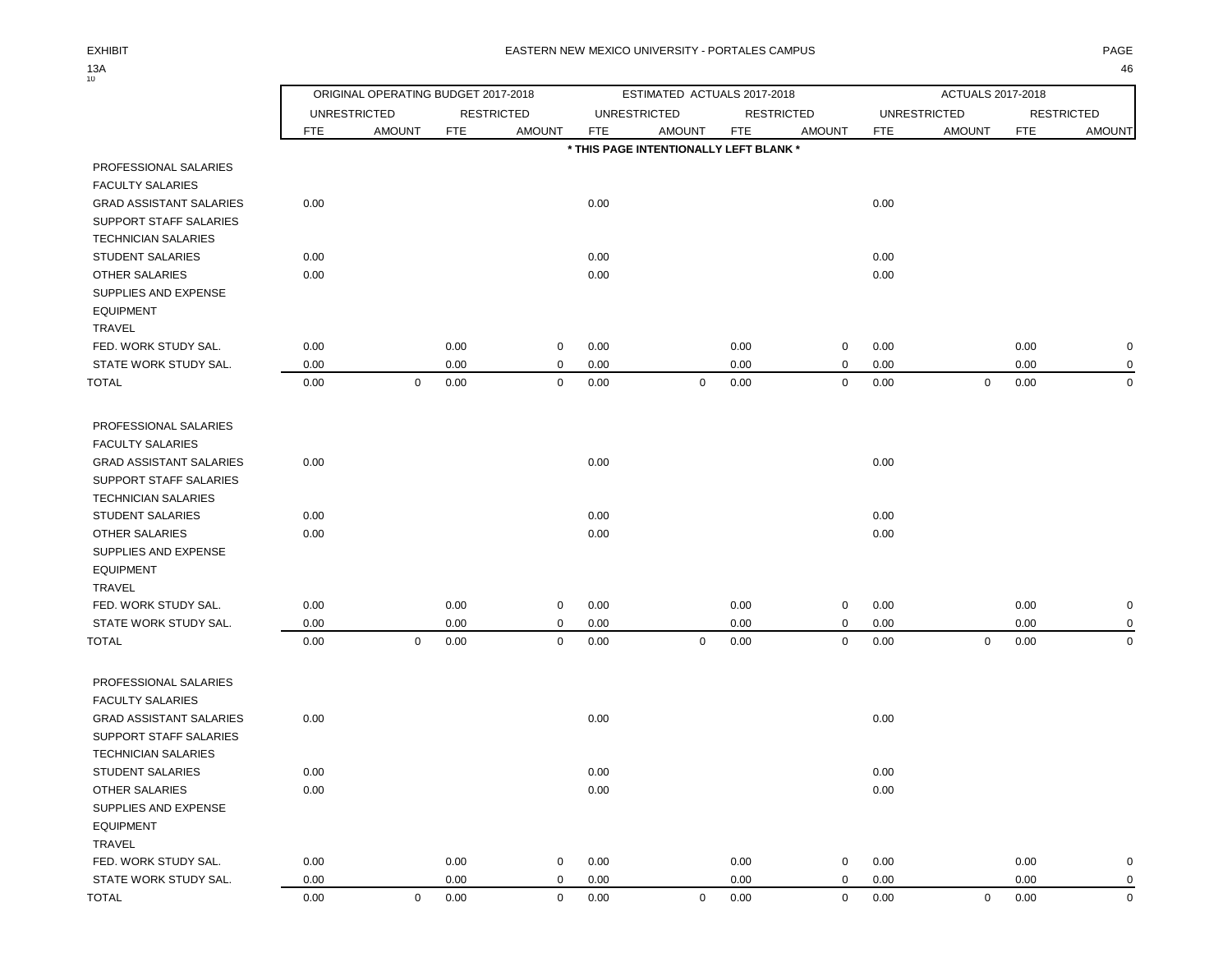$13A_{10}$ 

|                                |                                                                                       | ORIGINAL OPERATING BUDGET 2017-2018 |      |              |            | ESTIMATED ACTUALS 2017-2018            |            |                   |            | ACTUALS 2017-2018   |            |                     |
|--------------------------------|---------------------------------------------------------------------------------------|-------------------------------------|------|--------------|------------|----------------------------------------|------------|-------------------|------------|---------------------|------------|---------------------|
|                                | <b>UNRESTRICTED</b><br><b>RESTRICTED</b><br><b>FTE</b><br><b>AMOUNT</b><br><b>FTE</b> |                                     |      |              |            | <b>UNRESTRICTED</b>                    |            | <b>RESTRICTED</b> |            | <b>UNRESTRICTED</b> |            | <b>RESTRICTED</b>   |
|                                |                                                                                       |                                     |      | AMOUNT       | <b>FTE</b> | <b>AMOUNT</b>                          | <b>FTE</b> | <b>AMOUNT</b>     | <b>FTE</b> | <b>AMOUNT</b>       | <b>FTE</b> | <b>AMOUNT</b>       |
|                                |                                                                                       |                                     |      |              |            | * THIS PAGE INTENTIONALLY LEFT BLANK * |            |                   |            |                     |            |                     |
| PROFESSIONAL SALARIES          |                                                                                       |                                     |      |              |            |                                        |            |                   |            |                     |            |                     |
| <b>FACULTY SALARIES</b>        |                                                                                       |                                     |      |              |            |                                        |            |                   |            |                     |            |                     |
| <b>GRAD ASSISTANT SALARIES</b> | 0.00                                                                                  |                                     |      |              | 0.00       |                                        |            |                   | 0.00       |                     |            |                     |
| SUPPORT STAFF SALARIES         |                                                                                       |                                     |      |              |            |                                        |            |                   |            |                     |            |                     |
| <b>TECHNICIAN SALARIES</b>     |                                                                                       |                                     |      |              |            |                                        |            |                   |            |                     |            |                     |
| STUDENT SALARIES               | 0.00                                                                                  |                                     |      |              | 0.00       |                                        |            |                   | 0.00       |                     |            |                     |
| <b>OTHER SALARIES</b>          | 0.00                                                                                  |                                     |      |              | 0.00       |                                        |            |                   | 0.00       |                     |            |                     |
| SUPPLIES AND EXPENSE           |                                                                                       |                                     |      |              |            |                                        |            |                   |            |                     |            |                     |
| <b>EQUIPMENT</b>               |                                                                                       |                                     |      |              |            |                                        |            |                   |            |                     |            |                     |
| TRAVEL                         |                                                                                       |                                     |      |              |            |                                        |            |                   |            |                     |            |                     |
| FED. WORK STUDY SAL.           | 0.00                                                                                  |                                     | 0.00 | 0            | 0.00       |                                        | 0.00       | $\mathbf 0$       | 0.00       |                     | 0.00       | $\mathbf 0$         |
| STATE WORK STUDY SAL.          | 0.00                                                                                  |                                     | 0.00 | 0            | 0.00       |                                        | 0.00       | $\mathbf 0$       | 0.00       |                     | 0.00       | $\mathbf 0$         |
| <b>TOTAL</b>                   | 0.00                                                                                  | $\mathbf 0$                         | 0.00 | $\mathbf 0$  | 0.00       | $\mathbf 0$                            | 0.00       | $\mathbf 0$       | 0.00       | $\mathbf 0$         | 0.00       | $\mathbf 0$         |
|                                |                                                                                       |                                     |      |              |            |                                        |            |                   |            |                     |            |                     |
| PROFESSIONAL SALARIES          |                                                                                       |                                     |      |              |            |                                        |            |                   |            |                     |            |                     |
| <b>FACULTY SALARIES</b>        |                                                                                       |                                     |      |              |            |                                        |            |                   |            |                     |            |                     |
| <b>GRAD ASSISTANT SALARIES</b> | 0.00                                                                                  |                                     |      |              | 0.00       |                                        |            |                   | 0.00       |                     |            |                     |
| SUPPORT STAFF SALARIES         |                                                                                       |                                     |      |              |            |                                        |            |                   |            |                     |            |                     |
| <b>TECHNICIAN SALARIES</b>     |                                                                                       |                                     |      |              |            |                                        |            |                   |            |                     |            |                     |
| <b>STUDENT SALARIES</b>        | 0.00                                                                                  |                                     |      |              | 0.00       |                                        |            |                   | 0.00       |                     |            |                     |
| OTHER SALARIES                 | 0.00                                                                                  |                                     |      |              | 0.00       |                                        |            |                   | 0.00       |                     |            |                     |
| SUPPLIES AND EXPENSE           |                                                                                       |                                     |      |              |            |                                        |            |                   |            |                     |            |                     |
| <b>EQUIPMENT</b>               |                                                                                       |                                     |      |              |            |                                        |            |                   |            |                     |            |                     |
| <b>TRAVEL</b>                  |                                                                                       |                                     |      |              |            |                                        |            |                   |            |                     |            |                     |
| FED. WORK STUDY SAL.           | 0.00                                                                                  |                                     | 0.00 | 0            | 0.00       |                                        | 0.00       | 0                 | 0.00       |                     | 0.00       | $\mathbf 0$         |
| STATE WORK STUDY SAL.          | 0.00                                                                                  |                                     | 0.00 | 0            | 0.00       |                                        | 0.00       | $\mathbf 0$       | 0.00       |                     | 0.00       | $\mathbf 0$         |
| <b>TOTAL</b>                   | 0.00                                                                                  | $\mathbf 0$                         | 0.00 | 0            | 0.00       | $\mathbf 0$                            | 0.00       | $\mathbf 0$       | 0.00       | $\mathbf 0$         | 0.00       | $\mathbf 0$         |
|                                |                                                                                       |                                     |      |              |            |                                        |            |                   |            |                     |            |                     |
| PROFESSIONAL SALARIES          |                                                                                       |                                     |      |              |            |                                        |            |                   |            |                     |            |                     |
| <b>FACULTY SALARIES</b>        |                                                                                       |                                     |      |              |            |                                        |            |                   |            |                     |            |                     |
| <b>GRAD ASSISTANT SALARIES</b> | 0.00                                                                                  |                                     |      |              | 0.00       |                                        |            |                   | 0.00       |                     |            |                     |
| SUPPORT STAFF SALARIES         |                                                                                       |                                     |      |              |            |                                        |            |                   |            |                     |            |                     |
| <b>TECHNICIAN SALARIES</b>     |                                                                                       |                                     |      |              |            |                                        |            |                   |            |                     |            |                     |
| STUDENT SALARIES               | 0.00                                                                                  |                                     |      |              | 0.00       |                                        |            |                   | 0.00       |                     |            |                     |
| OTHER SALARIES                 | 0.00                                                                                  |                                     |      |              | 0.00       |                                        |            |                   | 0.00       |                     |            |                     |
| SUPPLIES AND EXPENSE           |                                                                                       |                                     |      |              |            |                                        |            |                   |            |                     |            |                     |
| <b>EQUIPMENT</b>               |                                                                                       |                                     |      |              |            |                                        |            |                   |            |                     |            |                     |
| TRAVEL                         |                                                                                       |                                     |      |              |            |                                        |            |                   |            |                     |            |                     |
| FED. WORK STUDY SAL.           | 0.00                                                                                  |                                     | 0.00 | $\mathsf{O}$ | 0.00       |                                        | 0.00       | $\mathbf 0$       | 0.00       |                     | 0.00       | $\pmb{0}$           |
| STATE WORK STUDY SAL.          | 0.00                                                                                  |                                     | 0.00 | 0            | 0.00       |                                        | 0.00       | 0                 | 0.00       |                     | 0.00       | $\mathbf 0$         |
| <b>TOTAL</b>                   | 0.00                                                                                  | $\mathbf 0$                         | 0.00 | $\mathbf 0$  | 0.00       | $\mathbf 0$                            | 0.00       | $\mathbf 0$       | 0.00       | $\mathbf 0$         | 0.00       | $\mathsf{O}\xspace$ |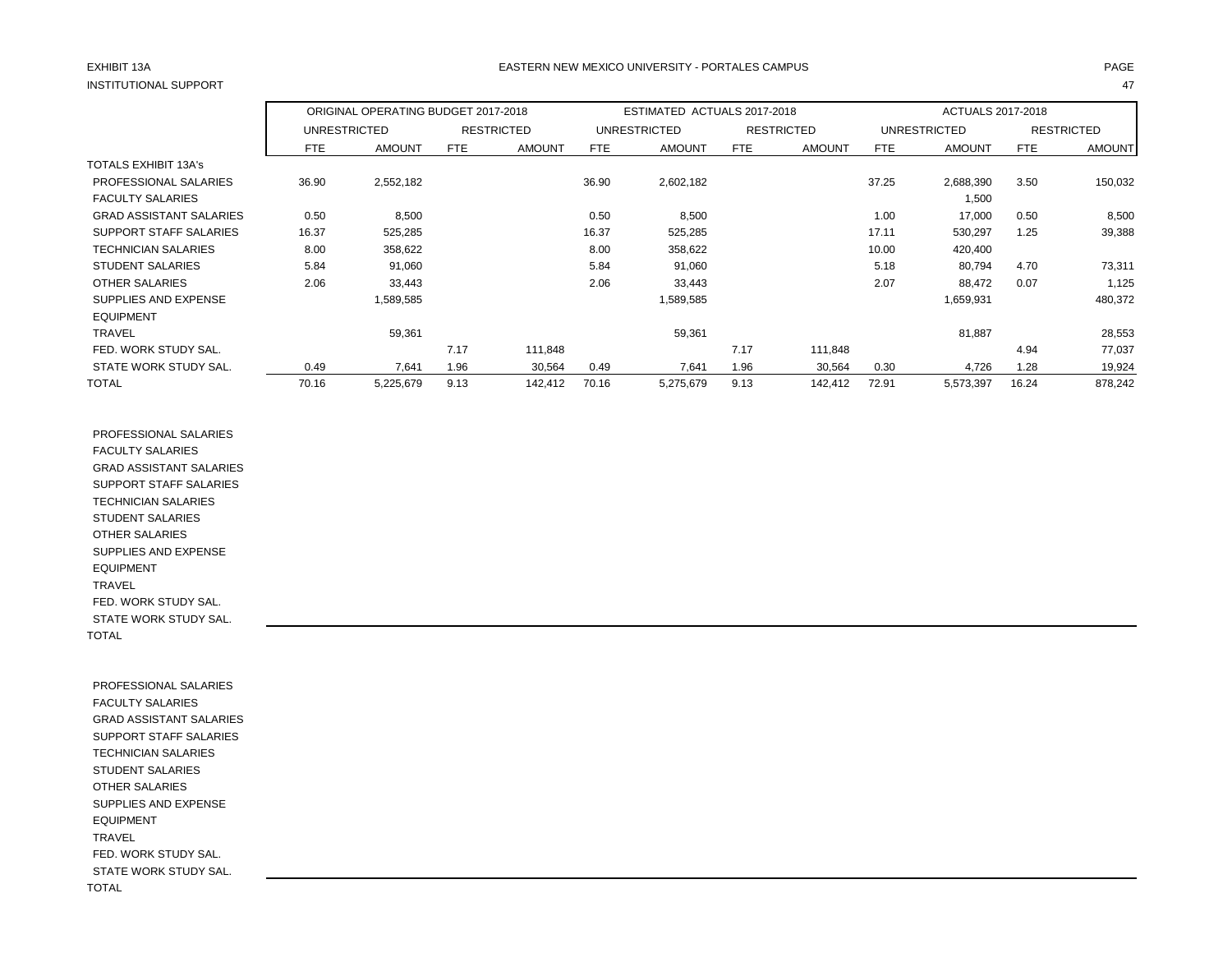## INSTITUTIONAL SUPPORT 47

### EXHIBIT 13A PAGE EASTERN NEW MEXICO UNIVERSITY - PORTALES CAMPUS

|                                |            | ORIGINAL OPERATING BUDGET 2017-2018 |            |                   |       | ESTIMATED ACTUALS 2017-2018 |            |                   |       | ACTUALS 2017-2018 |            |                   |
|--------------------------------|------------|-------------------------------------|------------|-------------------|-------|-----------------------------|------------|-------------------|-------|-------------------|------------|-------------------|
|                                |            | <b>UNRESTRICTED</b>                 |            | <b>RESTRICTED</b> |       | <b>UNRESTRICTED</b>         |            | <b>RESTRICTED</b> |       | UNRESTRICTED      |            | <b>RESTRICTED</b> |
|                                | <b>FTE</b> | <b>AMOUNT</b>                       | <b>FTE</b> | <b>AMOUNT</b>     | FTE   | <b>AMOUNT</b>               | <b>FTE</b> | <b>AMOUNT</b>     | FTE   | <b>AMOUNT</b>     | <b>FTE</b> | <b>AMOUNT</b>     |
| <b>TOTALS EXHIBIT 13A's</b>    |            |                                     |            |                   |       |                             |            |                   |       |                   |            |                   |
| PROFESSIONAL SALARIES          | 36.90      | 2,552,182                           |            |                   | 36.90 | 2,602,182                   |            |                   | 37.25 | 2,688,390         | 3.50       | 150,032           |
| <b>FACULTY SALARIES</b>        |            |                                     |            |                   |       |                             |            |                   |       | 1,500             |            |                   |
| <b>GRAD ASSISTANT SALARIES</b> | 0.50       | 8,500                               |            |                   | 0.50  | 8,500                       |            |                   | 1.00  | 17,000            | 0.50       | 8,500             |
| SUPPORT STAFF SALARIES         | 16.37      | 525,285                             |            |                   | 16.37 | 525,285                     |            |                   | 17.11 | 530,297           | 1.25       | 39,388            |
| <b>TECHNICIAN SALARIES</b>     | 8.00       | 358,622                             |            |                   | 8.00  | 358,622                     |            |                   | 10.00 | 420,400           |            |                   |
| <b>STUDENT SALARIES</b>        | 5.84       | 91,060                              |            |                   | 5.84  | 91,060                      |            |                   | 5.18  | 80,794            | 4.70       | 73,311            |
| <b>OTHER SALARIES</b>          | 2.06       | 33,443                              |            |                   | 2.06  | 33,443                      |            |                   | 2.07  | 88,472            | 0.07       | 1,125             |
| SUPPLIES AND EXPENSE           |            | 1,589,585                           |            |                   |       | 1,589,585                   |            |                   |       | 1,659,931         |            | 480,372           |
| <b>EQUIPMENT</b>               |            |                                     |            |                   |       |                             |            |                   |       |                   |            |                   |
| <b>TRAVEL</b>                  |            | 59,361                              |            |                   |       | 59,361                      |            |                   |       | 81,887            |            | 28,553            |
| FED. WORK STUDY SAL.           |            |                                     | 7.17       | 111,848           |       |                             | 7.17       | 111,848           |       |                   | 4.94       | 77,037            |
| STATE WORK STUDY SAL.          | 0.49       | 7,641                               | 1.96       | 30,564            | 0.49  | 7,641                       | 1.96       | 30,564            | 0.30  | 4,726             | 1.28       | 19,924            |
| <b>TOTAL</b>                   | 70.16      | 5,225,679                           | 9.13       | 142,412           | 70.16 | 5,275,679                   | 9.13       | 142,412           | 72.91 | 5,573,397         | 16.24      | 878,242           |

 PROFESSIONAL SALARIES FACULTY SALARIES GRAD ASSISTANT SALARIES SUPPORT STAFF SALARIES TECHNICIAN SALARIES STUDENT SALARIES OTHER SALARIES SUPPLIES AND EXPENSE EQUIPMENT TRAVEL FED. WORK STUDY SAL. STATE WORK STUDY SAL. TOTAL

 PROFESSIONAL SALARIES FACULTY SALARIES GRAD ASSISTANT SALARIES SUPPORT STAFF SALARIES TECHNICIAN SALARIES STUDENT SALARIES OTHER SALARIES SUPPLIES AND EXPENSE EQUIPMENT TRAVEL FED. WORK STUDY SAL. STATE WORK STUDY SAL. TOTAL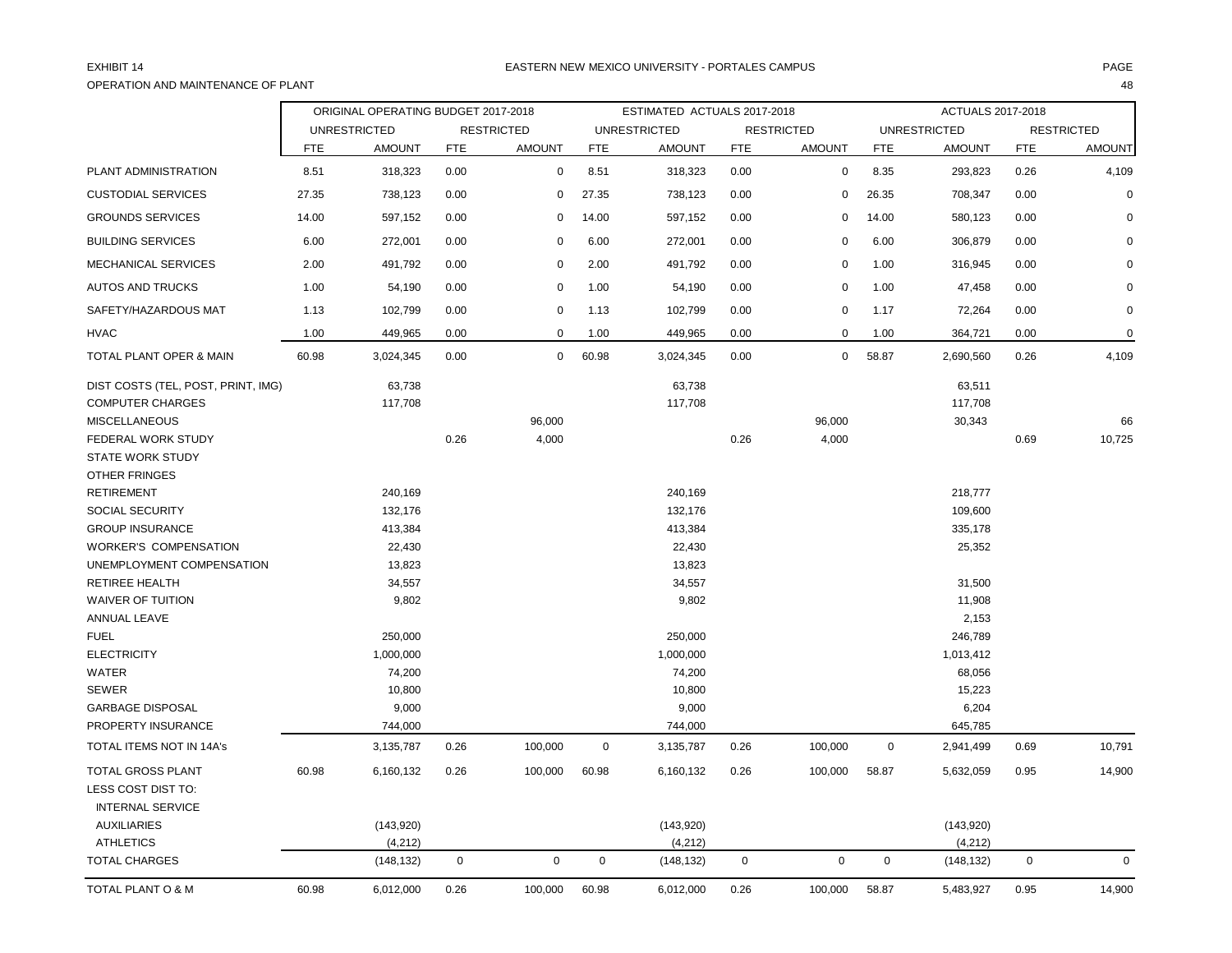## OPERATION AND MAINTENANCE OF PLANT 48

|                                    |            | ORIGINAL OPERATING BUDGET 2017-2018 |             |                   |             | ESTIMATED ACTUALS 2017-2018 |            |                   |                     | ACTUALS 2017-2018   |            |                   |
|------------------------------------|------------|-------------------------------------|-------------|-------------------|-------------|-----------------------------|------------|-------------------|---------------------|---------------------|------------|-------------------|
|                                    |            | <b>UNRESTRICTED</b>                 |             | <b>RESTRICTED</b> |             | <b>UNRESTRICTED</b>         |            | <b>RESTRICTED</b> |                     | <b>UNRESTRICTED</b> |            | <b>RESTRICTED</b> |
|                                    | <b>FTE</b> | <b>AMOUNT</b>                       | <b>FTE</b>  | <b>AMOUNT</b>     | <b>FTE</b>  | <b>AMOUNT</b>               | <b>FTE</b> | <b>AMOUNT</b>     | <b>FTE</b>          | AMOUNT              | <b>FTE</b> | <b>AMOUNT</b>     |
| PLANT ADMINISTRATION               | 8.51       | 318,323                             | 0.00        | 0                 | 8.51        | 318,323                     | 0.00       | $\mathbf 0$       | 8.35                | 293,823             | 0.26       | 4,109             |
| <b>CUSTODIAL SERVICES</b>          | 27.35      | 738,123                             | 0.00        | 0                 | 27.35       | 738,123                     | 0.00       | $\mathbf 0$       | 26.35               | 708,347             | 0.00       | $\mathbf 0$       |
| <b>GROUNDS SERVICES</b>            | 14.00      | 597,152                             | 0.00        | 0                 | 14.00       | 597,152                     | 0.00       | $\mathbf 0$       | 14.00               | 580,123             | 0.00       | $\Omega$          |
| <b>BUILDING SERVICES</b>           | 6.00       | 272,001                             | 0.00        | $\mathbf 0$       | 6.00        | 272,001                     | 0.00       | $\mathbf 0$       | 6.00                | 306,879             | 0.00       | $\Omega$          |
| MECHANICAL SERVICES                | 2.00       | 491,792                             | 0.00        | $\mathbf 0$       | 2.00        | 491,792                     | 0.00       | $\mathbf 0$       | 1.00                | 316,945             | 0.00       | $\Omega$          |
| <b>AUTOS AND TRUCKS</b>            | 1.00       | 54,190                              | 0.00        | 0                 | 1.00        | 54,190                      | 0.00       | 0                 | 1.00                | 47,458              | 0.00       | $\mathbf 0$       |
| SAFETY/HAZARDOUS MAT               | 1.13       | 102,799                             | 0.00        | 0                 | 1.13        | 102,799                     | 0.00       | $\pmb{0}$         | 1.17                | 72,264              | 0.00       | $\mathbf 0$       |
| <b>HVAC</b>                        | 1.00       | 449,965                             | 0.00        | $\mathbf 0$       | 1.00        | 449,965                     | 0.00       | $\mathbf 0$       | 1.00                | 364,721             | 0.00       | $\mathbf 0$       |
| <b>TOTAL PLANT OPER &amp; MAIN</b> | 60.98      | 3,024,345                           | 0.00        | $\mathbf 0$       | 60.98       | 3,024,345                   | 0.00       | $\mathbf 0$       | 58.87               | 2,690,560           | 0.26       | 4,109             |
| DIST COSTS (TEL, POST, PRINT, IMG) |            | 63,738                              |             |                   |             | 63,738                      |            |                   |                     | 63,511              |            |                   |
| <b>COMPUTER CHARGES</b>            |            | 117,708                             |             |                   |             | 117,708                     |            |                   |                     | 117,708             |            |                   |
| <b>MISCELLANEOUS</b>               |            |                                     |             | 96,000            |             |                             |            | 96,000            |                     | 30,343              |            | 66                |
| FEDERAL WORK STUDY                 |            |                                     | 0.26        | 4,000             |             |                             | 0.26       | 4,000             |                     |                     | 0.69       | 10,725            |
| <b>STATE WORK STUDY</b>            |            |                                     |             |                   |             |                             |            |                   |                     |                     |            |                   |
| OTHER FRINGES                      |            |                                     |             |                   |             |                             |            |                   |                     |                     |            |                   |
| <b>RETIREMENT</b>                  |            | 240,169                             |             |                   |             | 240,169                     |            |                   |                     | 218,777             |            |                   |
| <b>SOCIAL SECURITY</b>             |            | 132,176                             |             |                   |             | 132,176                     |            |                   |                     | 109,600             |            |                   |
| <b>GROUP INSURANCE</b>             |            | 413,384                             |             |                   |             | 413,384                     |            |                   |                     | 335,178             |            |                   |
| <b>WORKER'S COMPENSATION</b>       |            | 22,430                              |             |                   |             | 22,430                      |            |                   |                     | 25,352              |            |                   |
| UNEMPLOYMENT COMPENSATION          |            | 13,823                              |             |                   |             | 13,823                      |            |                   |                     |                     |            |                   |
| <b>RETIREE HEALTH</b>              |            | 34,557                              |             |                   |             | 34,557                      |            |                   |                     | 31,500              |            |                   |
| <b>WAIVER OF TUITION</b>           |            | 9,802                               |             |                   |             | 9,802                       |            |                   |                     | 11,908              |            |                   |
| ANNUAL LEAVE                       |            |                                     |             |                   |             |                             |            |                   |                     | 2,153               |            |                   |
| <b>FUEL</b>                        |            | 250,000                             |             |                   |             | 250,000                     |            |                   |                     | 246,789             |            |                   |
| <b>ELECTRICITY</b>                 |            | 1,000,000                           |             |                   |             | 1,000,000                   |            |                   |                     | 1,013,412           |            |                   |
| WATER                              |            | 74,200                              |             |                   |             | 74,200                      |            |                   |                     | 68,056              |            |                   |
| <b>SEWER</b>                       |            | 10,800                              |             |                   |             | 10,800                      |            |                   |                     | 15,223              |            |                   |
| <b>GARBAGE DISPOSAL</b>            |            | 9,000                               |             |                   |             | 9,000                       |            |                   |                     | 6,204               |            |                   |
| PROPERTY INSURANCE                 |            | 744,000                             |             |                   |             | 744,000                     |            |                   |                     | 645,785             |            |                   |
| TOTAL ITEMS NOT IN 14A's           |            | 3,135,787                           | 0.26        | 100,000           | $\mathbf 0$ | 3,135,787                   | 0.26       | 100,000           | $\mathbf 0$         | 2,941,499           | 0.69       | 10,791            |
| <b>TOTAL GROSS PLANT</b>           | 60.98      | 6,160,132                           | 0.26        | 100,000           | 60.98       | 6,160,132                   | 0.26       | 100,000           | 58.87               | 5,632,059           | 0.95       | 14,900            |
| LESS COST DIST TO:                 |            |                                     |             |                   |             |                             |            |                   |                     |                     |            |                   |
| <b>INTERNAL SERVICE</b>            |            |                                     |             |                   |             |                             |            |                   |                     |                     |            |                   |
| <b>AUXILIARIES</b>                 |            | (143,920)                           |             |                   |             | (143,920)                   |            |                   |                     | (143,920)           |            |                   |
| <b>ATHLETICS</b>                   |            | (4, 212)                            |             |                   |             | (4, 212)                    |            |                   |                     | (4,212)             |            |                   |
| <b>TOTAL CHARGES</b>               |            | (148, 132)                          | $\mathbf 0$ | $\mathbf 0$       | $\mathbf 0$ | (148, 132)                  | 0          | 0                 | $\mathsf{O}\xspace$ | (148, 132)          | 0          | $\mathbf 0$       |
| TOTAL PLANT O & M                  | 60.98      | 6,012,000                           | 0.26        | 100,000           | 60.98       | 6,012,000                   | 0.26       | 100,000           | 58.87               | 5,483,927           | 0.95       | 14,900            |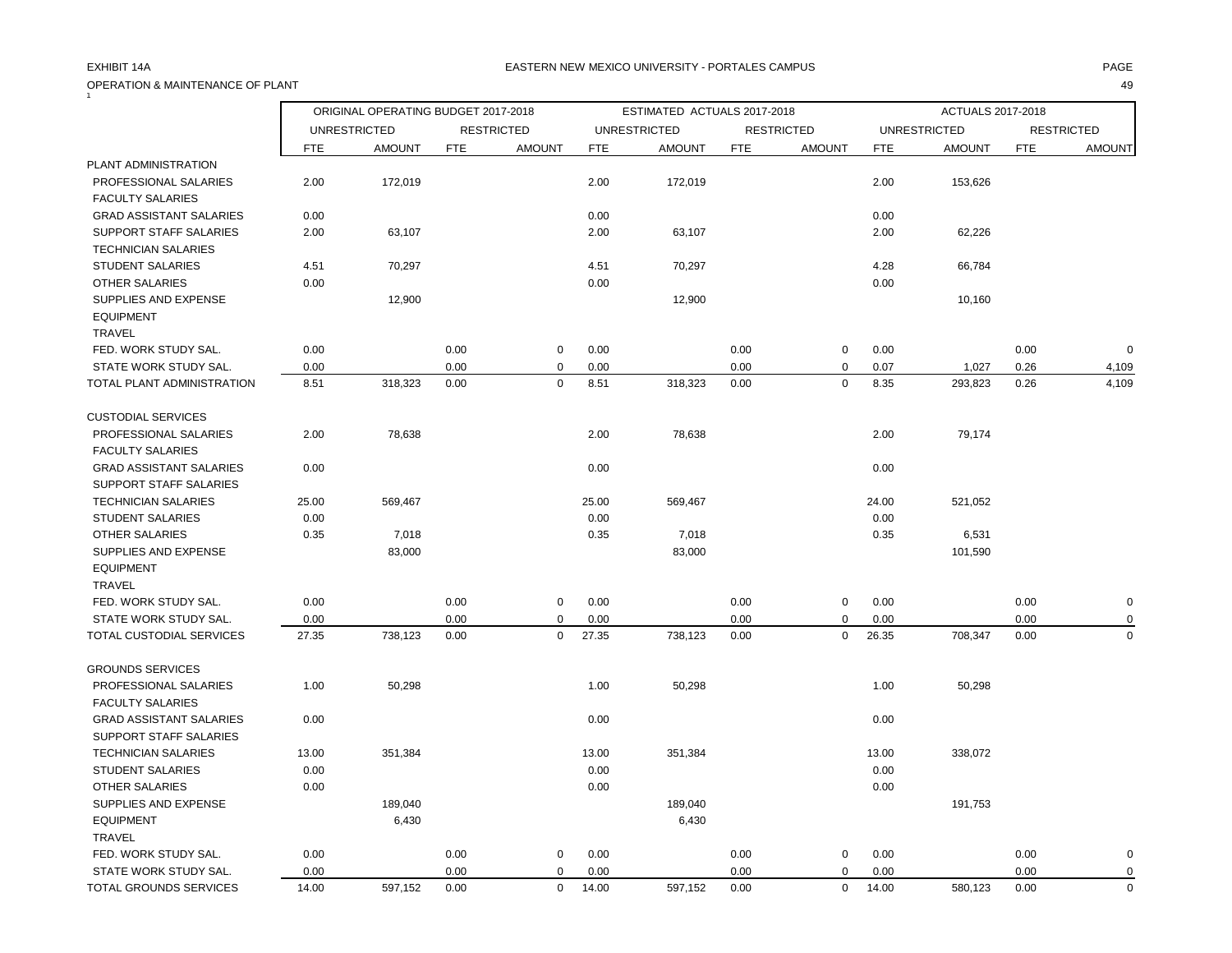## OPERATION & MAINTENANCE OF PLANT 49  $\tilde{1}$

### EXHIBIT 14A PAGE EASTERN NEW MEXICO UNIVERSITY - PORTALES CAMPUS

|                                |       | ORIGINAL OPERATING BUDGET 2017-2018 |            |                   |            | ESTIMATED ACTUALS 2017-2018 |            |                   |            | ACTUALS 2017-2018   |            |                   |
|--------------------------------|-------|-------------------------------------|------------|-------------------|------------|-----------------------------|------------|-------------------|------------|---------------------|------------|-------------------|
|                                |       | <b>UNRESTRICTED</b>                 |            | <b>RESTRICTED</b> |            | <b>UNRESTRICTED</b>         |            | <b>RESTRICTED</b> |            | <b>UNRESTRICTED</b> |            | <b>RESTRICTED</b> |
|                                | FTE   | <b>AMOUNT</b>                       | <b>FTE</b> | <b>AMOUNT</b>     | <b>FTE</b> | <b>AMOUNT</b>               | <b>FTE</b> | <b>AMOUNT</b>     | <b>FTE</b> | <b>AMOUNT</b>       | <b>FTE</b> | <b>AMOUNT</b>     |
| PLANT ADMINISTRATION           |       |                                     |            |                   |            |                             |            |                   |            |                     |            |                   |
| PROFESSIONAL SALARIES          | 2.00  | 172,019                             |            |                   | 2.00       | 172,019                     |            |                   | 2.00       | 153,626             |            |                   |
| <b>FACULTY SALARIES</b>        |       |                                     |            |                   |            |                             |            |                   |            |                     |            |                   |
| <b>GRAD ASSISTANT SALARIES</b> | 0.00  |                                     |            |                   | 0.00       |                             |            |                   | 0.00       |                     |            |                   |
| SUPPORT STAFF SALARIES         | 2.00  | 63,107                              |            |                   | 2.00       | 63,107                      |            |                   | 2.00       | 62,226              |            |                   |
| <b>TECHNICIAN SALARIES</b>     |       |                                     |            |                   |            |                             |            |                   |            |                     |            |                   |
| <b>STUDENT SALARIES</b>        | 4.51  | 70,297                              |            |                   | 4.51       | 70,297                      |            |                   | 4.28       | 66,784              |            |                   |
| OTHER SALARIES                 | 0.00  |                                     |            |                   | 0.00       |                             |            |                   | 0.00       |                     |            |                   |
| SUPPLIES AND EXPENSE           |       | 12,900                              |            |                   |            | 12,900                      |            |                   |            | 10,160              |            |                   |
| <b>EQUIPMENT</b>               |       |                                     |            |                   |            |                             |            |                   |            |                     |            |                   |
| <b>TRAVEL</b>                  |       |                                     |            |                   |            |                             |            |                   |            |                     |            |                   |
| FED. WORK STUDY SAL.           | 0.00  |                                     | 0.00       | $\mathbf 0$       | 0.00       |                             | 0.00       | 0                 | 0.00       |                     | 0.00       | $\mathbf 0$       |
| STATE WORK STUDY SAL.          | 0.00  |                                     | 0.00       | 0                 | 0.00       |                             | 0.00       | 0                 | 0.07       | 1,027               | 0.26       | 4,109             |
| TOTAL PLANT ADMINISTRATION     | 8.51  | 318,323                             | 0.00       | $\mathbf 0$       | 8.51       | 318,323                     | 0.00       | 0                 | 8.35       | 293,823             | 0.26       | 4,109             |
| <b>CUSTODIAL SERVICES</b>      |       |                                     |            |                   |            |                             |            |                   |            |                     |            |                   |
| PROFESSIONAL SALARIES          | 2.00  | 78,638                              |            |                   | 2.00       | 78,638                      |            |                   | 2.00       | 79,174              |            |                   |
| <b>FACULTY SALARIES</b>        |       |                                     |            |                   |            |                             |            |                   |            |                     |            |                   |
| <b>GRAD ASSISTANT SALARIES</b> | 0.00  |                                     |            |                   | 0.00       |                             |            |                   | 0.00       |                     |            |                   |
| SUPPORT STAFF SALARIES         |       |                                     |            |                   |            |                             |            |                   |            |                     |            |                   |
| <b>TECHNICIAN SALARIES</b>     | 25.00 | 569,467                             |            |                   | 25.00      | 569,467                     |            |                   | 24.00      | 521,052             |            |                   |
| <b>STUDENT SALARIES</b>        | 0.00  |                                     |            |                   | 0.00       |                             |            |                   | 0.00       |                     |            |                   |
| <b>OTHER SALARIES</b>          | 0.35  | 7,018                               |            |                   | 0.35       | 7,018                       |            |                   | 0.35       | 6,531               |            |                   |
| SUPPLIES AND EXPENSE           |       | 83,000                              |            |                   |            | 83,000                      |            |                   |            | 101,590             |            |                   |
| <b>EQUIPMENT</b>               |       |                                     |            |                   |            |                             |            |                   |            |                     |            |                   |
| <b>TRAVEL</b>                  |       |                                     |            |                   |            |                             |            |                   |            |                     |            |                   |
| FED. WORK STUDY SAL.           | 0.00  |                                     | 0.00       | $\mathbf 0$       | 0.00       |                             | 0.00       | 0                 | 0.00       |                     | 0.00       | $\pmb{0}$         |
| STATE WORK STUDY SAL.          | 0.00  |                                     | 0.00       | $\mathbf 0$       | 0.00       |                             | 0.00       | 0                 | 0.00       |                     | 0.00       | 0                 |
| TOTAL CUSTODIAL SERVICES       | 27.35 | 738,123                             | 0.00       | $\mathbf 0$       | 27.35      | 738,123                     | 0.00       | $\mathbf 0$       | 26.35      | 708,347             | 0.00       | $\mathbf 0$       |
| <b>GROUNDS SERVICES</b>        |       |                                     |            |                   |            |                             |            |                   |            |                     |            |                   |
| PROFESSIONAL SALARIES          | 1.00  | 50,298                              |            |                   | 1.00       | 50,298                      |            |                   | 1.00       | 50,298              |            |                   |
| <b>FACULTY SALARIES</b>        |       |                                     |            |                   |            |                             |            |                   |            |                     |            |                   |
| <b>GRAD ASSISTANT SALARIES</b> | 0.00  |                                     |            |                   | 0.00       |                             |            |                   | 0.00       |                     |            |                   |
| <b>SUPPORT STAFF SALARIES</b>  |       |                                     |            |                   |            |                             |            |                   |            |                     |            |                   |
| <b>TECHNICIAN SALARIES</b>     | 13.00 | 351,384                             |            |                   | 13.00      | 351,384                     |            |                   | 13.00      | 338,072             |            |                   |
| <b>STUDENT SALARIES</b>        | 0.00  |                                     |            |                   | 0.00       |                             |            |                   | 0.00       |                     |            |                   |
| <b>OTHER SALARIES</b>          | 0.00  |                                     |            |                   | 0.00       |                             |            |                   | 0.00       |                     |            |                   |
| SUPPLIES AND EXPENSE           |       | 189,040                             |            |                   |            | 189,040                     |            |                   |            | 191,753             |            |                   |
| <b>EQUIPMENT</b>               |       | 6,430                               |            |                   |            | 6,430                       |            |                   |            |                     |            |                   |
| <b>TRAVEL</b>                  |       |                                     |            |                   |            |                             |            |                   |            |                     |            |                   |
| FED. WORK STUDY SAL.           | 0.00  |                                     | 0.00       | $\mathbf 0$       | 0.00       |                             | 0.00       | 0                 | 0.00       |                     | 0.00       | 0                 |
| STATE WORK STUDY SAL.          | 0.00  |                                     | 0.00       | $\mathbf 0$       | 0.00       |                             | 0.00       | 0                 | 0.00       |                     | 0.00       | $\mathbf 0$       |
| TOTAL GROUNDS SERVICES         | 14.00 | 597,152                             | 0.00       | $\mathbf 0$       | 14.00      | 597,152                     | 0.00       | 0                 | 14.00      | 580,123             | 0.00       | $\mathbf 0$       |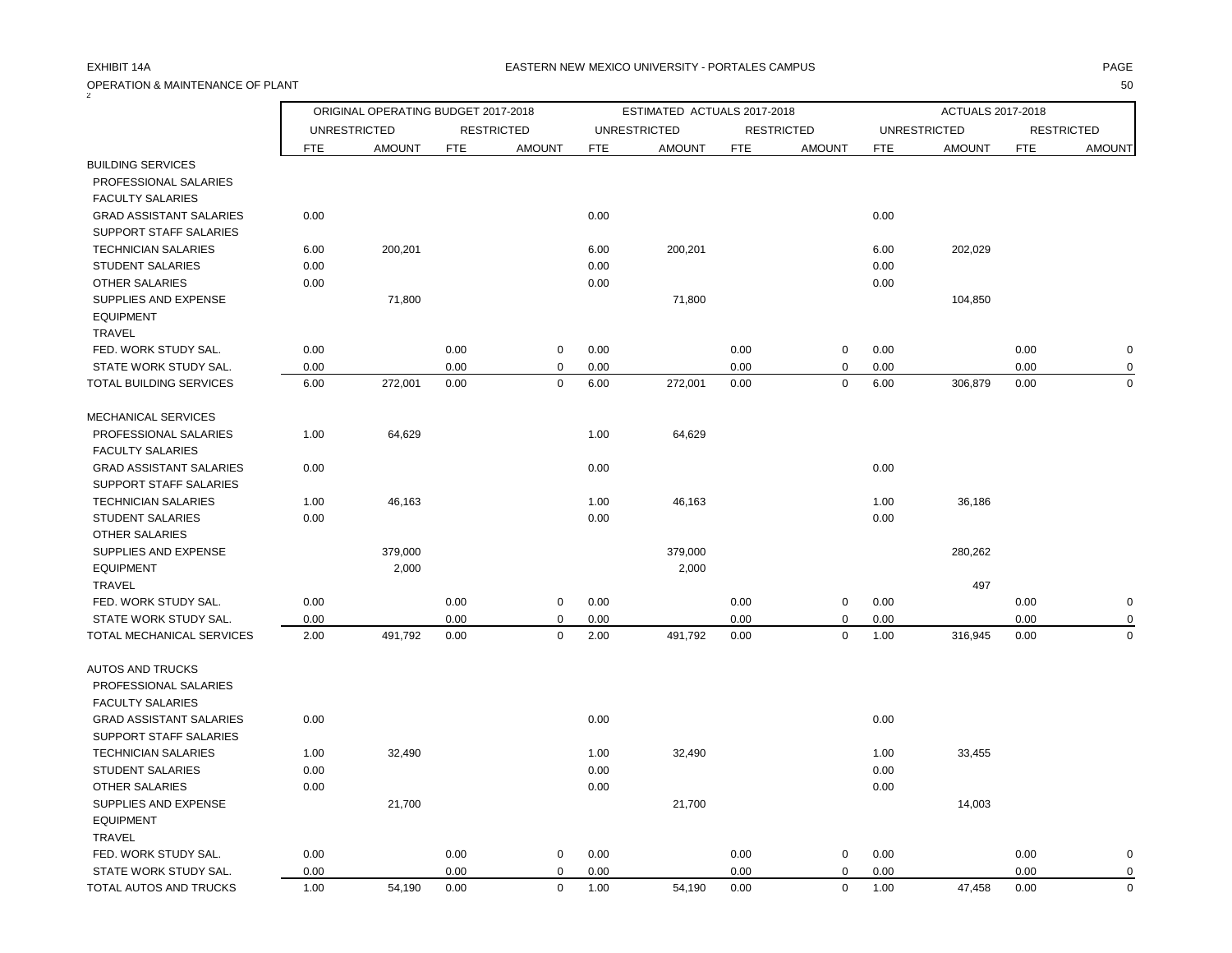| OPERATION & MAINTENANCE OF PLANT |            |                                     |            |                   |            |                             |            |                   |            |                     |            | 50                |
|----------------------------------|------------|-------------------------------------|------------|-------------------|------------|-----------------------------|------------|-------------------|------------|---------------------|------------|-------------------|
|                                  |            | ORIGINAL OPERATING BUDGET 2017-2018 |            |                   |            | ESTIMATED ACTUALS 2017-2018 |            |                   |            | ACTUALS 2017-2018   |            |                   |
|                                  |            | <b>UNRESTRICTED</b>                 |            | <b>RESTRICTED</b> |            | <b>UNRESTRICTED</b>         |            | <b>RESTRICTED</b> |            | <b>UNRESTRICTED</b> |            | <b>RESTRICTED</b> |
|                                  | <b>FTE</b> | <b>AMOUNT</b>                       | <b>FTE</b> | <b>AMOUNT</b>     | <b>FTE</b> | <b>AMOUNT</b>               | <b>FTE</b> | <b>AMOUNT</b>     | <b>FTE</b> | <b>AMOUNT</b>       | <b>FTE</b> | <b>AMOUNT</b>     |
| <b>BUILDING SERVICES</b>         |            |                                     |            |                   |            |                             |            |                   |            |                     |            |                   |
| PROFESSIONAL SALARIES            |            |                                     |            |                   |            |                             |            |                   |            |                     |            |                   |
| <b>FACULTY SALARIES</b>          |            |                                     |            |                   |            |                             |            |                   |            |                     |            |                   |
| <b>GRAD ASSISTANT SALARIES</b>   | 0.00       |                                     |            |                   | 0.00       |                             |            |                   | 0.00       |                     |            |                   |
| SUPPORT STAFF SALARIES           |            |                                     |            |                   |            |                             |            |                   |            |                     |            |                   |
| <b>TECHNICIAN SALARIES</b>       | 6.00       | 200,201                             |            |                   | 6.00       | 200,201                     |            |                   | 6.00       | 202,029             |            |                   |
| <b>STUDENT SALARIES</b>          | 0.00       |                                     |            |                   | 0.00       |                             |            |                   | 0.00       |                     |            |                   |
| <b>OTHER SALARIES</b>            | 0.00       |                                     |            |                   | 0.00       |                             |            |                   | 0.00       |                     |            |                   |
| SUPPLIES AND EXPENSE             |            | 71,800                              |            |                   |            | 71,800                      |            |                   |            | 104,850             |            |                   |
| <b>EQUIPMENT</b>                 |            |                                     |            |                   |            |                             |            |                   |            |                     |            |                   |
| <b>TRAVEL</b>                    |            |                                     |            |                   |            |                             |            |                   |            |                     |            |                   |
| FED. WORK STUDY SAL.             | 0.00       |                                     | 0.00       | $\mathbf 0$       | 0.00       |                             | 0.00       | 0                 | 0.00       |                     | 0.00       | $\mathbf 0$       |
| STATE WORK STUDY SAL.            | 0.00       |                                     | 0.00       | $\mathbf 0$       | 0.00       |                             | 0.00       | 0                 | 0.00       |                     | 0.00       | 0                 |
| TOTAL BUILDING SERVICES          | 6.00       | 272,001                             | 0.00       | $\mathbf 0$       | 6.00       | 272,001                     | 0.00       | $\mathbf 0$       | 6.00       | 306,879             | 0.00       | $\mathbf 0$       |
| <b>MECHANICAL SERVICES</b>       |            |                                     |            |                   |            |                             |            |                   |            |                     |            |                   |
| PROFESSIONAL SALARIES            | 1.00       | 64,629                              |            |                   | 1.00       | 64,629                      |            |                   |            |                     |            |                   |
| <b>FACULTY SALARIES</b>          |            |                                     |            |                   |            |                             |            |                   |            |                     |            |                   |
| <b>GRAD ASSISTANT SALARIES</b>   | 0.00       |                                     |            |                   | 0.00       |                             |            |                   | 0.00       |                     |            |                   |
| SUPPORT STAFF SALARIES           |            |                                     |            |                   |            |                             |            |                   |            |                     |            |                   |
| <b>TECHNICIAN SALARIES</b>       | 1.00       | 46,163                              |            |                   | 1.00       | 46,163                      |            |                   | 1.00       | 36,186              |            |                   |
| <b>STUDENT SALARIES</b>          | 0.00       |                                     |            |                   | 0.00       |                             |            |                   | 0.00       |                     |            |                   |
| OTHER SALARIES                   |            |                                     |            |                   |            |                             |            |                   |            |                     |            |                   |
| SUPPLIES AND EXPENSE             |            | 379,000                             |            |                   |            | 379,000                     |            |                   |            | 280,262             |            |                   |
| <b>EQUIPMENT</b>                 |            | 2,000                               |            |                   |            | 2,000                       |            |                   |            |                     |            |                   |
| <b>TRAVEL</b>                    |            |                                     |            |                   |            |                             |            |                   |            | 497                 |            |                   |
| FED. WORK STUDY SAL.             | 0.00       |                                     | 0.00       | $\mathbf 0$       | 0.00       |                             | 0.00       | 0                 | 0.00       |                     | 0.00       | $\mathbf 0$       |
| STATE WORK STUDY SAL.            | 0.00       |                                     | 0.00       | $\mathbf 0$       | 0.00       |                             | 0.00       | $\Omega$          | 0.00       |                     | 0.00       | 0                 |
| TOTAL MECHANICAL SERVICES        | 2.00       | 491,792                             | 0.00       | $\mathbf 0$       | 2.00       | 491,792                     | 0.00       | $\mathbf 0$       | 1.00       | 316,945             | 0.00       | $\Omega$          |
| <b>AUTOS AND TRUCKS</b>          |            |                                     |            |                   |            |                             |            |                   |            |                     |            |                   |
| PROFESSIONAL SALARIES            |            |                                     |            |                   |            |                             |            |                   |            |                     |            |                   |
| <b>FACULTY SALARIES</b>          |            |                                     |            |                   |            |                             |            |                   |            |                     |            |                   |
| <b>GRAD ASSISTANT SALARIES</b>   | 0.00       |                                     |            |                   | 0.00       |                             |            |                   | 0.00       |                     |            |                   |
| SUPPORT STAFF SALARIES           |            |                                     |            |                   |            |                             |            |                   |            |                     |            |                   |
| <b>TECHNICIAN SALARIES</b>       | 1.00       | 32,490                              |            |                   | 1.00       | 32,490                      |            |                   | 1.00       | 33,455              |            |                   |
| <b>STUDENT SALARIES</b>          | 0.00       |                                     |            |                   | 0.00       |                             |            |                   | 0.00       |                     |            |                   |
| <b>OTHER SALARIES</b>            | 0.00       |                                     |            |                   | 0.00       |                             |            |                   | 0.00       |                     |            |                   |
| SUPPLIES AND EXPENSE             |            | 21,700                              |            |                   |            | 21,700                      |            |                   |            | 14,003              |            |                   |
| <b>EQUIPMENT</b>                 |            |                                     |            |                   |            |                             |            |                   |            |                     |            |                   |
| TRAVEL                           |            |                                     |            |                   |            |                             |            |                   |            |                     |            |                   |
| FED. WORK STUDY SAL.             | 0.00       |                                     | 0.00       | $\mathbf 0$       | 0.00       |                             | 0.00       | 0                 | 0.00       |                     | 0.00       | 0                 |
| STATE WORK STUDY SAL.            | 0.00       |                                     | 0.00       | $\mathbf 0$       | 0.00       |                             | 0.00       | $\mathbf 0$       | 0.00       |                     | 0.00       | 0                 |
| TOTAL AUTOS AND TRUCKS           | 1.00       | 54,190                              | 0.00       | $\Omega$          | 1.00       | 54,190                      | 0.00       | $\mathbf 0$       | 1.00       | 47,458              | 0.00       | $\Omega$          |
|                                  |            |                                     |            |                   |            |                             |            |                   |            |                     |            |                   |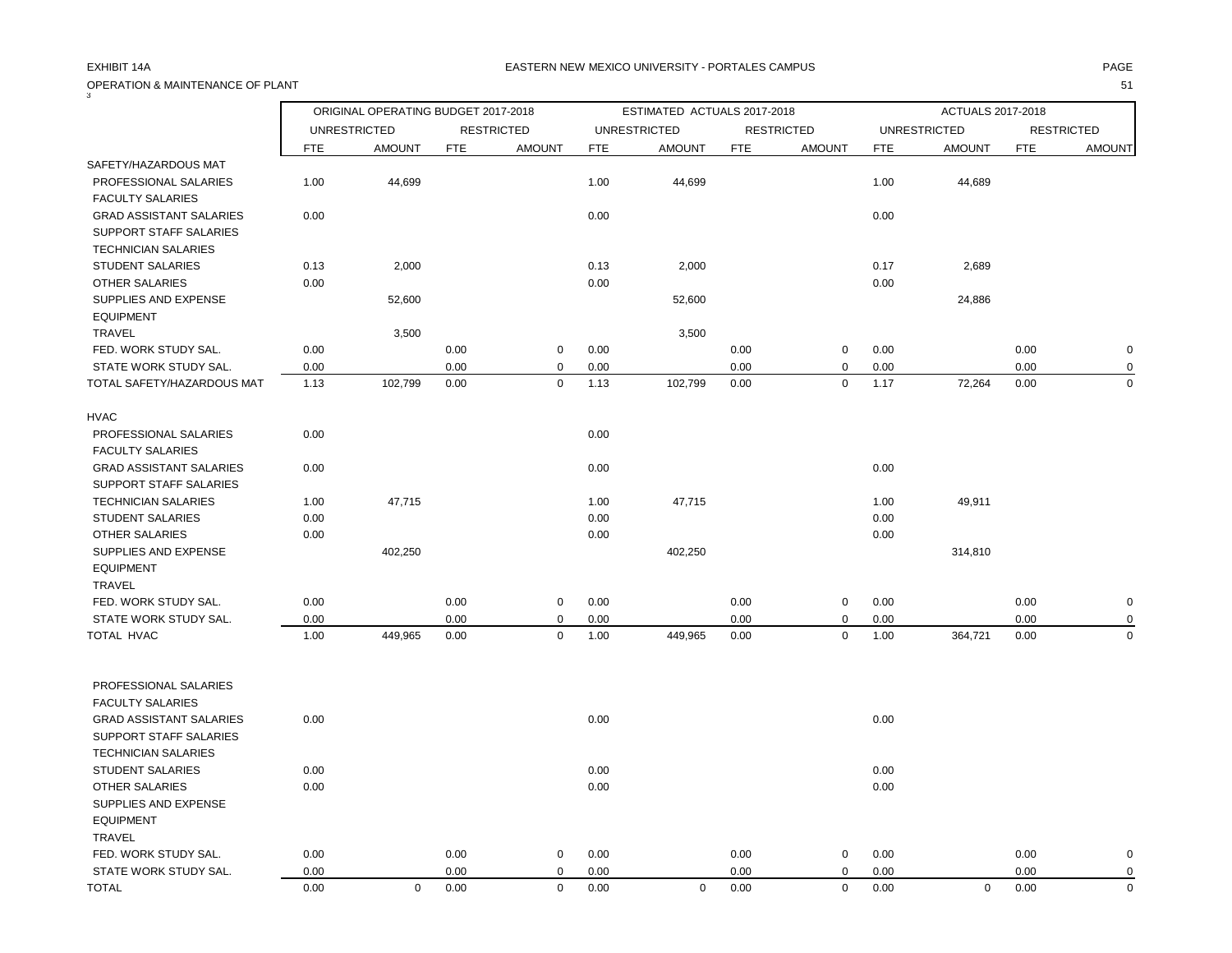OPERATION & MAINTENANCE OF PLANT 51

| 3                                                                                      |            | ORIGINAL OPERATING BUDGET 2017-2018 |            |                   |            | ESTIMATED ACTUALS 2017-2018 |            |                   |            | ACTUALS 2017-2018   |            |                   |
|----------------------------------------------------------------------------------------|------------|-------------------------------------|------------|-------------------|------------|-----------------------------|------------|-------------------|------------|---------------------|------------|-------------------|
|                                                                                        |            | <b>UNRESTRICTED</b>                 |            | <b>RESTRICTED</b> |            | <b>UNRESTRICTED</b>         |            | <b>RESTRICTED</b> |            | <b>UNRESTRICTED</b> |            | <b>RESTRICTED</b> |
|                                                                                        | <b>FTE</b> | <b>AMOUNT</b>                       | <b>FTE</b> | <b>AMOUNT</b>     | <b>FTE</b> | <b>AMOUNT</b>               | <b>FTE</b> | <b>AMOUNT</b>     | <b>FTE</b> | <b>AMOUNT</b>       | <b>FTE</b> | <b>AMOUNT</b>     |
| SAFETY/HAZARDOUS MAT                                                                   |            |                                     |            |                   |            |                             |            |                   |            |                     |            |                   |
| PROFESSIONAL SALARIES<br><b>FACULTY SALARIES</b>                                       | 1.00       | 44,699                              |            |                   | 1.00       | 44,699                      |            |                   | 1.00       | 44,689              |            |                   |
| <b>GRAD ASSISTANT SALARIES</b><br>SUPPORT STAFF SALARIES<br><b>TECHNICIAN SALARIES</b> | 0.00       |                                     |            |                   | 0.00       |                             |            |                   | 0.00       |                     |            |                   |
| <b>STUDENT SALARIES</b>                                                                | 0.13       | 2,000                               |            |                   | 0.13       | 2,000                       |            |                   | 0.17       | 2,689               |            |                   |
| OTHER SALARIES                                                                         | 0.00       |                                     |            |                   | 0.00       |                             |            |                   | 0.00       |                     |            |                   |
| SUPPLIES AND EXPENSE<br><b>EQUIPMENT</b>                                               |            | 52,600                              |            |                   |            | 52,600                      |            |                   |            | 24,886              |            |                   |
| <b>TRAVEL</b>                                                                          |            | 3,500                               |            |                   |            | 3,500                       |            |                   |            |                     |            |                   |
| FED. WORK STUDY SAL.                                                                   | 0.00       |                                     | 0.00       | $\mathbf 0$       | 0.00       |                             | 0.00       | 0                 | 0.00       |                     | 0.00       | $\mathbf 0$       |
| STATE WORK STUDY SAL.                                                                  | 0.00       |                                     | 0.00       | $\mathbf 0$       | 0.00       |                             | 0.00       | 0                 | 0.00       |                     | 0.00       | $\mathbf 0$       |
| TOTAL SAFETY/HAZARDOUS MAT                                                             | 1.13       | 102,799                             | 0.00       | $\mathbf 0$       | 1.13       | 102,799                     | 0.00       | $\mathbf 0$       | 1.17       | 72,264              | 0.00       | $\Omega$          |
| <b>HVAC</b>                                                                            |            |                                     |            |                   |            |                             |            |                   |            |                     |            |                   |
| PROFESSIONAL SALARIES<br><b>FACULTY SALARIES</b>                                       | 0.00       |                                     |            |                   | 0.00       |                             |            |                   |            |                     |            |                   |
| <b>GRAD ASSISTANT SALARIES</b><br>SUPPORT STAFF SALARIES                               | 0.00       |                                     |            |                   | 0.00       |                             |            |                   | 0.00       |                     |            |                   |
| <b>TECHNICIAN SALARIES</b>                                                             | 1.00       | 47,715                              |            |                   | 1.00       | 47,715                      |            |                   | 1.00       | 49,911              |            |                   |
| <b>STUDENT SALARIES</b>                                                                | 0.00       |                                     |            |                   | 0.00       |                             |            |                   | 0.00       |                     |            |                   |
| OTHER SALARIES                                                                         | 0.00       |                                     |            |                   | 0.00       |                             |            |                   | 0.00       |                     |            |                   |
| SUPPLIES AND EXPENSE<br><b>EQUIPMENT</b>                                               |            | 402,250                             |            |                   |            | 402,250                     |            |                   |            | 314,810             |            |                   |
| TRAVEL                                                                                 |            |                                     |            |                   |            |                             |            |                   |            |                     |            |                   |
| FED. WORK STUDY SAL.                                                                   | 0.00       |                                     | 0.00       | $\mathbf 0$       | 0.00       |                             | 0.00       | 0                 | 0.00       |                     | 0.00       | $\mathbf 0$       |
| STATE WORK STUDY SAL.                                                                  | 0.00       |                                     | 0.00       | 0                 | 0.00       |                             | 0.00       | 0                 | 0.00       |                     | 0.00       | $\Omega$          |
| TOTAL HVAC                                                                             | 1.00       | 449,965                             | 0.00       | $\mathbf 0$       | 1.00       | 449,965                     | 0.00       | $\mathbf 0$       | 1.00       | 364,721             | 0.00       | $\Omega$          |
| PROFESSIONAL SALARIES                                                                  |            |                                     |            |                   |            |                             |            |                   |            |                     |            |                   |
| <b>FACULTY SALARIES</b>                                                                |            |                                     |            |                   |            |                             |            |                   |            |                     |            |                   |
| <b>GRAD ASSISTANT SALARIES</b>                                                         | 0.00       |                                     |            |                   | 0.00       |                             |            |                   | 0.00       |                     |            |                   |
| SUPPORT STAFF SALARIES                                                                 |            |                                     |            |                   |            |                             |            |                   |            |                     |            |                   |
| <b>TECHNICIAN SALARIES</b>                                                             |            |                                     |            |                   |            |                             |            |                   |            |                     |            |                   |
| <b>STUDENT SALARIES</b>                                                                | 0.00       |                                     |            |                   | 0.00       |                             |            |                   | 0.00       |                     |            |                   |
| <b>OTHER SALARIES</b>                                                                  | 0.00       |                                     |            |                   | 0.00       |                             |            |                   | 0.00       |                     |            |                   |
| SUPPLIES AND EXPENSE<br><b>EQUIPMENT</b>                                               |            |                                     |            |                   |            |                             |            |                   |            |                     |            |                   |
| TRAVEL                                                                                 |            |                                     |            |                   |            |                             |            |                   |            |                     |            |                   |
| FED. WORK STUDY SAL.                                                                   | 0.00       |                                     | 0.00       | 0                 | 0.00       |                             | 0.00       | 0                 | 0.00       |                     | 0.00       | 0                 |
| STATE WORK STUDY SAL.                                                                  | 0.00       |                                     | 0.00       | $\mathbf 0$       | 0.00       |                             | 0.00       | 0                 | 0.00       |                     | 0.00       | 0                 |
| <b>TOTAL</b>                                                                           | 0.00       | $\mathbf 0$                         | 0.00       | $\mathbf 0$       | 0.00       | $\Omega$                    | 0.00       | $\mathbf 0$       | 0.00       | $\mathbf 0$         | 0.00       | $\mathbf 0$       |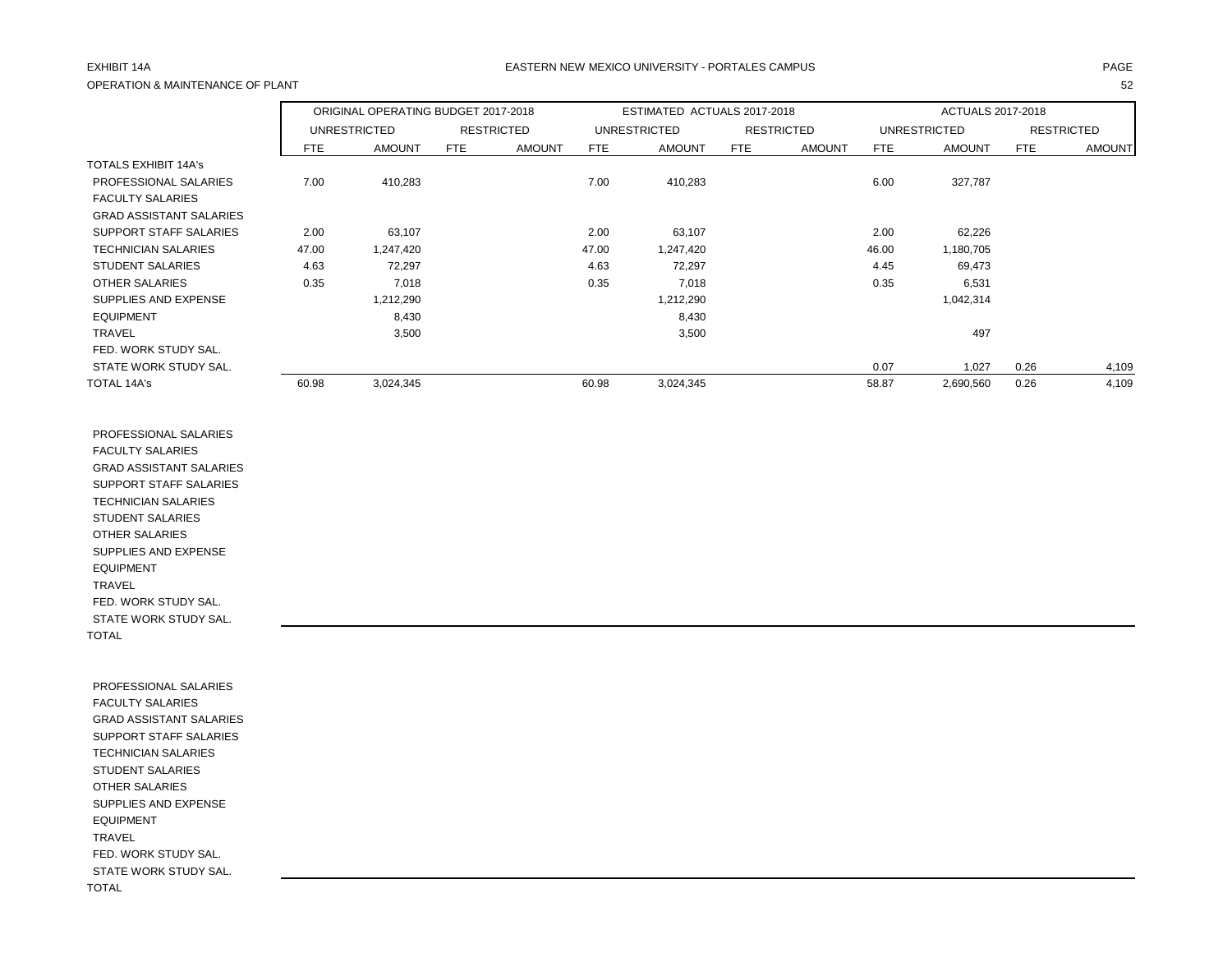## OPERATION & MAINTENANCE OF PLANT 52

### EXHIBIT 14A PAGE EASTERN NEW MEXICO UNIVERSITY - PORTALES CAMPUS

|                                |            | ORIGINAL OPERATING BUDGET 2017-2018 |                   |               |            | ESTIMATED ACTUALS 2017-2018 |     |                   |            | <b>ACTUALS 2017-2018</b> |                   |               |
|--------------------------------|------------|-------------------------------------|-------------------|---------------|------------|-----------------------------|-----|-------------------|------------|--------------------------|-------------------|---------------|
|                                |            | <b>UNRESTRICTED</b>                 | <b>RESTRICTED</b> |               |            | <b>UNRESTRICTED</b>         |     | <b>RESTRICTED</b> |            | <b>UNRESTRICTED</b>      | <b>RESTRICTED</b> |               |
|                                | <b>FTE</b> | <b>AMOUNT</b>                       | <b>FTE</b>        | <b>AMOUNT</b> | <b>FTE</b> | <b>AMOUNT</b>               | FTE | <b>AMOUNT</b>     | <b>FTE</b> | <b>AMOUNT</b>            | <b>FTE</b>        | <b>AMOUNT</b> |
| <b>TOTALS EXHIBIT 14A's</b>    |            |                                     |                   |               |            |                             |     |                   |            |                          |                   |               |
| PROFESSIONAL SALARIES          | 7.00       | 410,283                             |                   |               | 7.00       | 410,283                     |     |                   | 6.00       | 327,787                  |                   |               |
| <b>FACULTY SALARIES</b>        |            |                                     |                   |               |            |                             |     |                   |            |                          |                   |               |
| <b>GRAD ASSISTANT SALARIES</b> |            |                                     |                   |               |            |                             |     |                   |            |                          |                   |               |
| SUPPORT STAFF SALARIES         | 2.00       | 63,107                              |                   |               | 2.00       | 63,107                      |     |                   | 2.00       | 62,226                   |                   |               |
| <b>TECHNICIAN SALARIES</b>     | 47.00      | 1,247,420                           |                   |               | 47.00      | 1,247,420                   |     |                   | 46.00      | 1,180,705                |                   |               |
| <b>STUDENT SALARIES</b>        | 4.63       | 72,297                              |                   |               | 4.63       | 72,297                      |     |                   | 4.45       | 69,473                   |                   |               |
| OTHER SALARIES                 | 0.35       | 7,018                               |                   |               | 0.35       | 7,018                       |     |                   | 0.35       | 6,531                    |                   |               |
| SUPPLIES AND EXPENSE           |            | 1,212,290                           |                   |               |            | 1,212,290                   |     |                   |            | 1,042,314                |                   |               |
| <b>EQUIPMENT</b>               |            | 8,430                               |                   |               |            | 8,430                       |     |                   |            |                          |                   |               |
| <b>TRAVEL</b>                  |            | 3,500                               |                   |               |            | 3,500                       |     |                   |            | 497                      |                   |               |
| FED. WORK STUDY SAL.           |            |                                     |                   |               |            |                             |     |                   |            |                          |                   |               |
| STATE WORK STUDY SAL.          |            |                                     |                   |               |            |                             |     |                   | 0.07       | 1,027                    | 0.26              | 4,109         |
| TOTAL 14A's                    | 60.98      | 3,024,345                           |                   |               | 60.98      | 3,024,345                   |     |                   | 58.87      | 2,690,560                | 0.26              | 4,109         |

 PROFESSIONAL SALARIES FACULTY SALARIES GRAD ASSISTANT SALARIES SUPPORT STAFF SALARIES TECHNICIAN SALARIES STUDENT SALARIES OTHER SALARIES SUPPLIES AND EXPENSE EQUIPMENT TRAVEL FED. WORK STUDY SAL. STATE WORK STUDY SAL. TOTAL

 PROFESSIONAL SALARIES FACULTY SALARIES GRAD ASSISTANT SALARIES SUPPORT STAFF SALARIES TECHNICIAN SALARIES STUDENT SALARIES OTHER SALARIES SUPPLIES AND EXPENSE EQUIPMENT TRAVEL FED. WORK STUDY SAL. STATE WORK STUDY SAL. TOTAL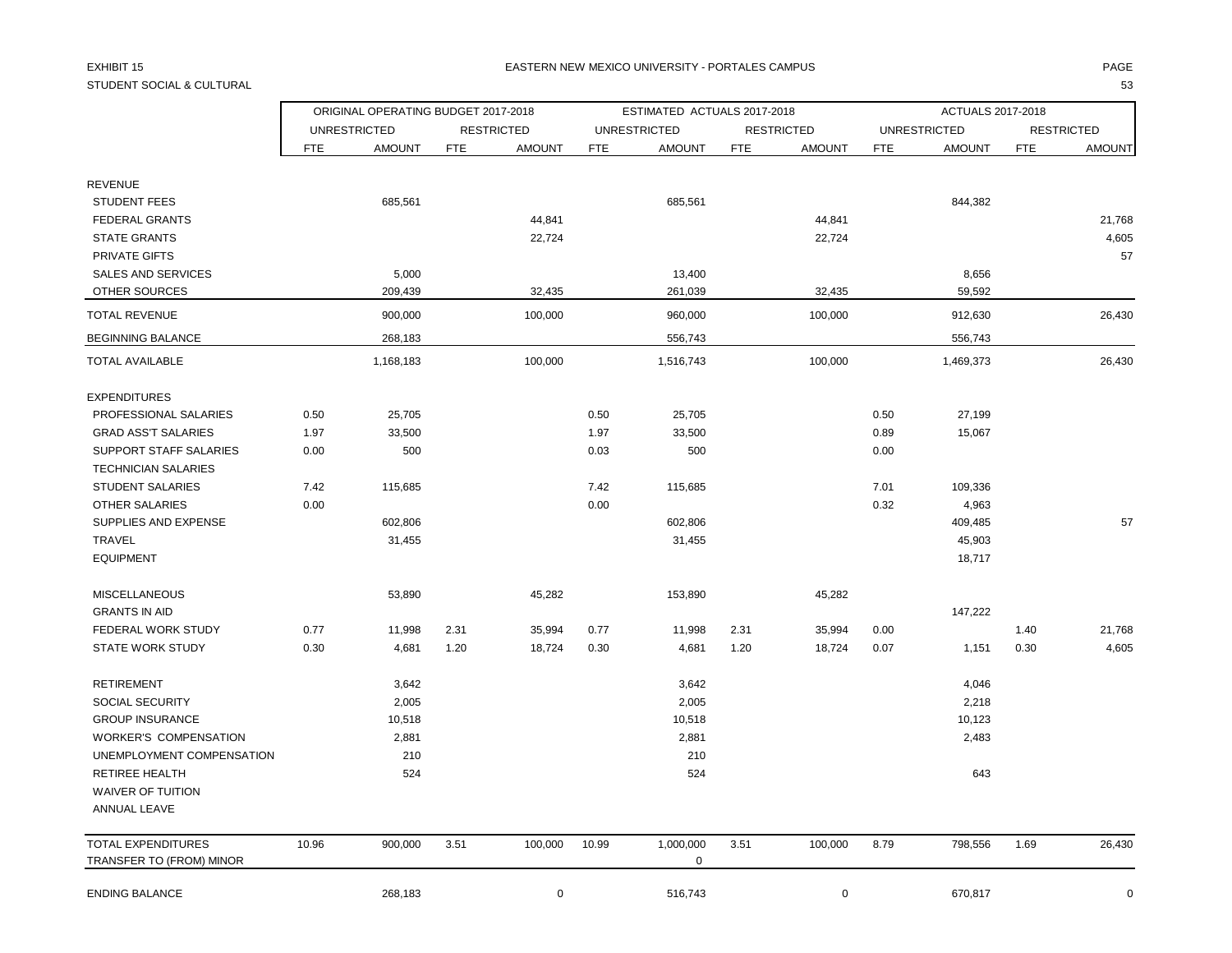## STUDENT SOCIAL & CULTURAL 53

### EXHIBIT 15 PAGE NATIONAL SERVICE OF THE SERVICE OF THE SERVICE OF THE SERVICE OF THE SERVICE OF THE SERVICE OF THE SERVICE OF THE SERVICE OF THE SERVICE OF THE SERVICE OF THE SERVICE OF THE SERVICE OF THE SERVICE OF THE SE

|                               |            | ORIGINAL OPERATING BUDGET 2017-2018 |            |                   |            | ESTIMATED ACTUALS 2017-2018 |            |                   |            | ACTUALS 2017-2018   |            |                   |
|-------------------------------|------------|-------------------------------------|------------|-------------------|------------|-----------------------------|------------|-------------------|------------|---------------------|------------|-------------------|
|                               |            | <b>UNRESTRICTED</b>                 |            | <b>RESTRICTED</b> |            | <b>UNRESTRICTED</b>         |            | <b>RESTRICTED</b> |            | <b>UNRESTRICTED</b> |            | <b>RESTRICTED</b> |
|                               | <b>FTE</b> | <b>AMOUNT</b>                       | <b>FTE</b> | <b>AMOUNT</b>     | <b>FTE</b> | <b>AMOUNT</b>               | <b>FTE</b> | <b>AMOUNT</b>     | <b>FTE</b> | <b>AMOUNT</b>       | <b>FTE</b> | <b>AMOUNT</b>     |
| <b>REVENUE</b>                |            |                                     |            |                   |            |                             |            |                   |            |                     |            |                   |
| <b>STUDENT FEES</b>           |            | 685,561                             |            |                   |            | 685,561                     |            |                   |            | 844,382             |            |                   |
| <b>FEDERAL GRANTS</b>         |            |                                     |            | 44,841            |            |                             |            | 44,841            |            |                     |            | 21,768            |
| <b>STATE GRANTS</b>           |            |                                     |            | 22,724            |            |                             |            | 22,724            |            |                     |            | 4,605             |
| <b>PRIVATE GIFTS</b>          |            |                                     |            |                   |            |                             |            |                   |            |                     |            | 57                |
| <b>SALES AND SERVICES</b>     |            | 5,000                               |            |                   |            | 13,400                      |            |                   |            | 8,656               |            |                   |
| OTHER SOURCES                 |            | 209,439                             |            | 32,435            |            | 261,039                     |            | 32,435            |            | 59,592              |            |                   |
| <b>TOTAL REVENUE</b>          |            | 900,000                             |            | 100,000           |            | 960,000                     |            | 100,000           |            | 912,630             |            | 26,430            |
| <b>BEGINNING BALANCE</b>      |            | 268,183                             |            |                   |            | 556,743                     |            |                   |            | 556,743             |            |                   |
| TOTAL AVAILABLE               |            | 1,168,183                           |            | 100,000           |            | 1,516,743                   |            | 100,000           |            | 1,469,373           |            | 26,430            |
| <b>EXPENDITURES</b>           |            |                                     |            |                   |            |                             |            |                   |            |                     |            |                   |
| PROFESSIONAL SALARIES         | 0.50       | 25,705                              |            |                   | 0.50       | 25,705                      |            |                   | 0.50       | 27,199              |            |                   |
| <b>GRAD ASS'T SALARIES</b>    | 1.97       | 33,500                              |            |                   | 1.97       | 33,500                      |            |                   | 0.89       | 15,067              |            |                   |
| <b>SUPPORT STAFF SALARIES</b> | 0.00       | 500                                 |            |                   | 0.03       | 500                         |            |                   | 0.00       |                     |            |                   |
| <b>TECHNICIAN SALARIES</b>    |            |                                     |            |                   |            |                             |            |                   |            |                     |            |                   |
| STUDENT SALARIES              | 7.42       | 115,685                             |            |                   | 7.42       | 115,685                     |            |                   | 7.01       | 109,336             |            |                   |
| OTHER SALARIES                | 0.00       |                                     |            |                   | 0.00       |                             |            |                   | 0.32       | 4,963               |            |                   |
| SUPPLIES AND EXPENSE          |            | 602,806                             |            |                   |            | 602,806                     |            |                   |            | 409,485             |            | 57                |
| <b>TRAVEL</b>                 |            | 31,455                              |            |                   |            | 31,455                      |            |                   |            | 45,903              |            |                   |
| <b>EQUIPMENT</b>              |            |                                     |            |                   |            |                             |            |                   |            | 18,717              |            |                   |
| MISCELLANEOUS                 |            | 53,890                              |            | 45,282            |            | 153,890                     |            | 45,282            |            |                     |            |                   |
| <b>GRANTS IN AID</b>          |            |                                     |            |                   |            |                             |            |                   |            | 147,222             |            |                   |
| FEDERAL WORK STUDY            | 0.77       | 11,998                              | 2.31       | 35,994            | 0.77       | 11,998                      | 2.31       | 35,994            | 0.00       |                     | 1.40       | 21,768            |
| <b>STATE WORK STUDY</b>       | 0.30       | 4,681                               | 1.20       | 18,724            | 0.30       | 4,681                       | 1.20       | 18,724            | 0.07       | 1,151               | 0.30       | 4,605             |
| <b>RETIREMENT</b>             |            | 3,642                               |            |                   |            | 3,642                       |            |                   |            | 4,046               |            |                   |
| SOCIAL SECURITY               |            | 2,005                               |            |                   |            | 2,005                       |            |                   |            | 2,218               |            |                   |
| <b>GROUP INSURANCE</b>        |            | 10,518                              |            |                   |            | 10,518                      |            |                   |            | 10,123              |            |                   |
| <b>WORKER'S COMPENSATION</b>  |            | 2,881                               |            |                   |            | 2,881                       |            |                   |            | 2,483               |            |                   |
| UNEMPLOYMENT COMPENSATION     |            | 210                                 |            |                   |            | 210                         |            |                   |            |                     |            |                   |
| RETIREE HEALTH                |            | 524                                 |            |                   |            | 524                         |            |                   |            | 643                 |            |                   |
| <b>WAIVER OF TUITION</b>      |            |                                     |            |                   |            |                             |            |                   |            |                     |            |                   |
| ANNUAL LEAVE                  |            |                                     |            |                   |            |                             |            |                   |            |                     |            |                   |
| <b>TOTAL EXPENDITURES</b>     | 10.96      | 900,000                             | 3.51       | 100,000           | 10.99      | 1,000,000                   | 3.51       | 100,000           | 8.79       | 798,556             | 1.69       | 26,430            |
| TRANSFER TO (FROM) MINOR      |            |                                     |            |                   |            | 0                           |            |                   |            |                     |            |                   |
| <b>ENDING BALANCE</b>         |            | 268,183                             |            | $\mathbf 0$       |            | 516,743                     |            | 0                 |            | 670,817             |            | $\Omega$          |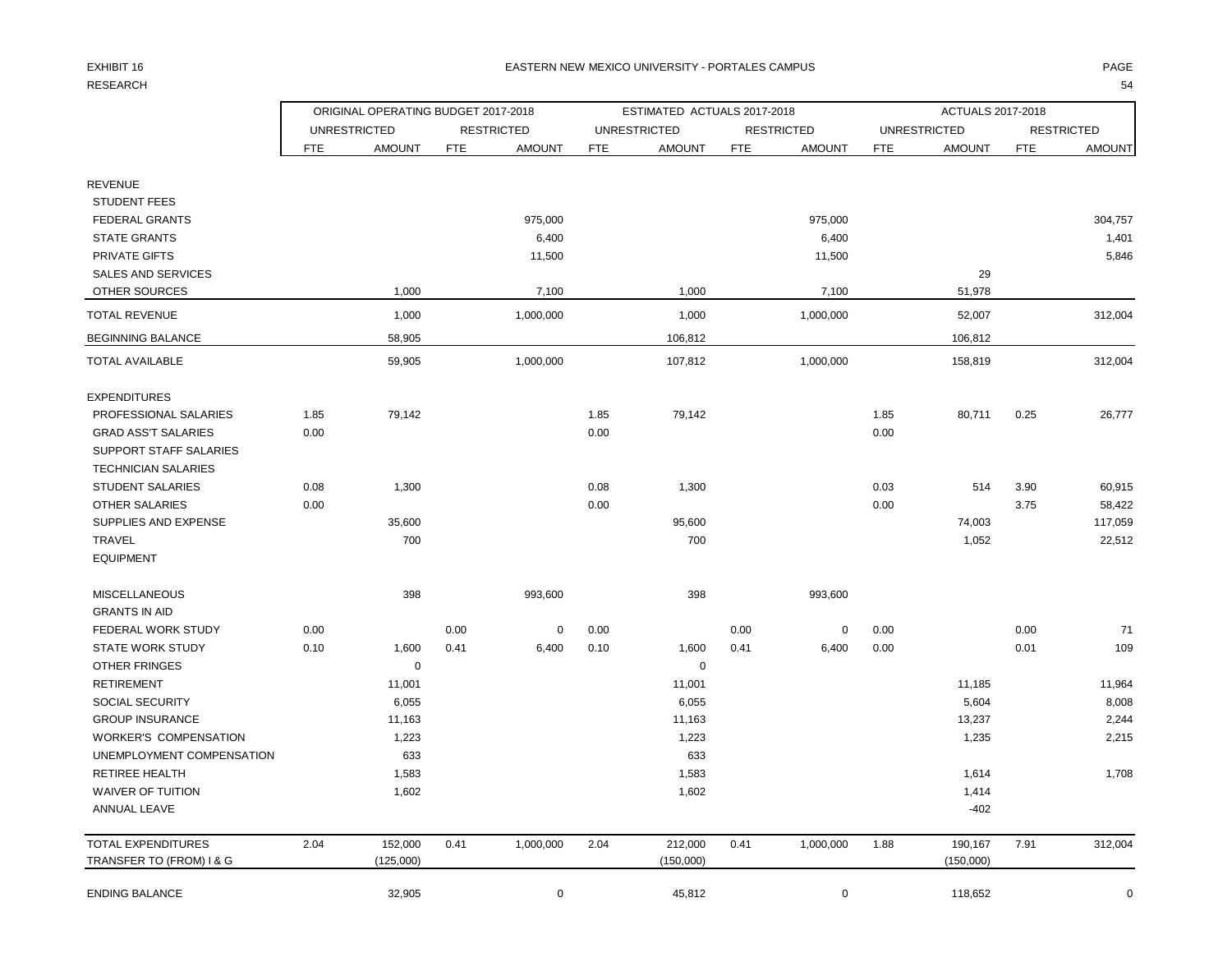## RESEARCH 1999 - SAN 1999 - SAN 1999 - SAN 1999 - SAN 1999 - SAN 1999 - SAN 1999 - SAN 1999 - SAN 1999 - SAN 1999 - SA

#### EXHIBIT 16 EASTERN NEW MEXICO UNIVERSITY - PORTALES CAMPUS PAGE

|                               | ORIGINAL OPERATING BUDGET 2017-2018 |                     |            |                   |            | ESTIMATED ACTUALS 2017-2018 |            |                   |            | ACTUALS 2017-2018   |      |                   |
|-------------------------------|-------------------------------------|---------------------|------------|-------------------|------------|-----------------------------|------------|-------------------|------------|---------------------|------|-------------------|
|                               |                                     | <b>UNRESTRICTED</b> |            | <b>RESTRICTED</b> |            | <b>UNRESTRICTED</b>         |            | <b>RESTRICTED</b> |            | <b>UNRESTRICTED</b> |      | <b>RESTRICTED</b> |
|                               | <b>FTE</b>                          | <b>AMOUNT</b>       | <b>FTE</b> | <b>AMOUNT</b>     | <b>FTE</b> | <b>AMOUNT</b>               | <b>FTE</b> | <b>AMOUNT</b>     | <b>FTE</b> | <b>AMOUNT</b>       | FTE  | <b>AMOUNT</b>     |
| <b>REVENUE</b>                |                                     |                     |            |                   |            |                             |            |                   |            |                     |      |                   |
| <b>STUDENT FEES</b>           |                                     |                     |            |                   |            |                             |            |                   |            |                     |      |                   |
| FEDERAL GRANTS                |                                     |                     |            | 975,000           |            |                             |            | 975,000           |            |                     |      | 304,757           |
| <b>STATE GRANTS</b>           |                                     |                     |            | 6,400             |            |                             |            | 6,400             |            |                     |      | 1,401             |
| <b>PRIVATE GIFTS</b>          |                                     |                     |            | 11,500            |            |                             |            | 11,500            |            |                     |      | 5,846             |
| <b>SALES AND SERVICES</b>     |                                     |                     |            |                   |            |                             |            |                   |            | 29                  |      |                   |
| OTHER SOURCES                 |                                     | 1,000               |            | 7,100             |            | 1,000                       |            | 7,100             |            | 51,978              |      |                   |
| <b>TOTAL REVENUE</b>          |                                     | 1,000               |            | 1,000,000         |            | 1,000                       |            | 1,000,000         |            | 52,007              |      | 312,004           |
| <b>BEGINNING BALANCE</b>      |                                     | 58,905              |            |                   |            | 106,812                     |            |                   |            | 106,812             |      |                   |
| <b>TOTAL AVAILABLE</b>        |                                     | 59,905              |            | 1,000,000         |            | 107,812                     |            | 1,000,000         |            | 158,819             |      | 312,004           |
| <b>EXPENDITURES</b>           |                                     |                     |            |                   |            |                             |            |                   |            |                     |      |                   |
| PROFESSIONAL SALARIES         | 1.85                                | 79,142              |            |                   | 1.85       | 79,142                      |            |                   | 1.85       | 80,711              | 0.25 | 26,777            |
| <b>GRAD ASS'T SALARIES</b>    | 0.00                                |                     |            |                   | 0.00       |                             |            |                   | 0.00       |                     |      |                   |
| <b>SUPPORT STAFF SALARIES</b> |                                     |                     |            |                   |            |                             |            |                   |            |                     |      |                   |
| <b>TECHNICIAN SALARIES</b>    |                                     |                     |            |                   |            |                             |            |                   |            |                     |      |                   |
| <b>STUDENT SALARIES</b>       | 0.08                                | 1,300               |            |                   | 0.08       | 1,300                       |            |                   | 0.03       | 514                 | 3.90 | 60,915            |
| <b>OTHER SALARIES</b>         | 0.00                                |                     |            |                   | 0.00       |                             |            |                   | 0.00       |                     | 3.75 | 58,422            |
| SUPPLIES AND EXPENSE          |                                     | 35,600              |            |                   |            | 95,600                      |            |                   |            | 74,003              |      | 117,059           |
| <b>TRAVEL</b>                 |                                     | 700                 |            |                   |            | 700                         |            |                   |            | 1,052               |      | 22,512            |
| <b>EQUIPMENT</b>              |                                     |                     |            |                   |            |                             |            |                   |            |                     |      |                   |
| MISCELLANEOUS                 |                                     | 398                 |            | 993,600           |            | 398                         |            | 993,600           |            |                     |      |                   |
| <b>GRANTS IN AID</b>          |                                     |                     |            |                   |            |                             |            |                   |            |                     |      |                   |
| FEDERAL WORK STUDY            | 0.00                                |                     | 0.00       | $\pmb{0}$         | 0.00       |                             | 0.00       | $\mathbf 0$       | 0.00       |                     | 0.00 | 71                |
| <b>STATE WORK STUDY</b>       | 0.10                                | 1,600               | 0.41       | 6,400             | 0.10       | 1,600                       | 0.41       | 6,400             | 0.00       |                     | 0.01 | 109               |
| <b>OTHER FRINGES</b>          |                                     | $\mathbf 0$         |            |                   |            | $\mathbf 0$                 |            |                   |            |                     |      |                   |
| <b>RETIREMENT</b>             |                                     | 11,001              |            |                   |            | 11,001                      |            |                   |            | 11,185              |      | 11,964            |
| SOCIAL SECURITY               |                                     | 6,055               |            |                   |            | 6,055                       |            |                   |            | 5,604               |      | 8,008             |
| <b>GROUP INSURANCE</b>        |                                     | 11,163              |            |                   |            | 11,163                      |            |                   |            | 13,237              |      | 2,244             |
| <b>WORKER'S COMPENSATION</b>  |                                     | 1,223               |            |                   |            | 1,223                       |            |                   |            | 1,235               |      | 2,215             |
| UNEMPLOYMENT COMPENSATION     |                                     | 633                 |            |                   |            | 633                         |            |                   |            |                     |      |                   |
| RETIREE HEALTH                |                                     | 1,583               |            |                   |            | 1,583                       |            |                   |            | 1,614               |      | 1,708             |
| <b>WAIVER OF TUITION</b>      |                                     | 1,602               |            |                   |            | 1,602                       |            |                   |            | 1,414               |      |                   |
| ANNUAL LEAVE                  |                                     |                     |            |                   |            |                             |            |                   |            | $-402$              |      |                   |
| <b>TOTAL EXPENDITURES</b>     | 2.04                                | 152,000             | 0.41       | 1,000,000         | 2.04       | 212,000                     | 0.41       | 1,000,000         | 1.88       | 190,167             | 7.91 | 312,004           |
| TRANSFER TO (FROM) I & G      |                                     | (125,000)           |            |                   |            | (150,000)                   |            |                   |            | (150,000)           |      |                   |
| <b>ENDING BALANCE</b>         |                                     | 32,905              |            | $\mathbf 0$       |            | 45,812                      |            | $\mathbf 0$       |            | 118,652             |      | $\mathbf 0$       |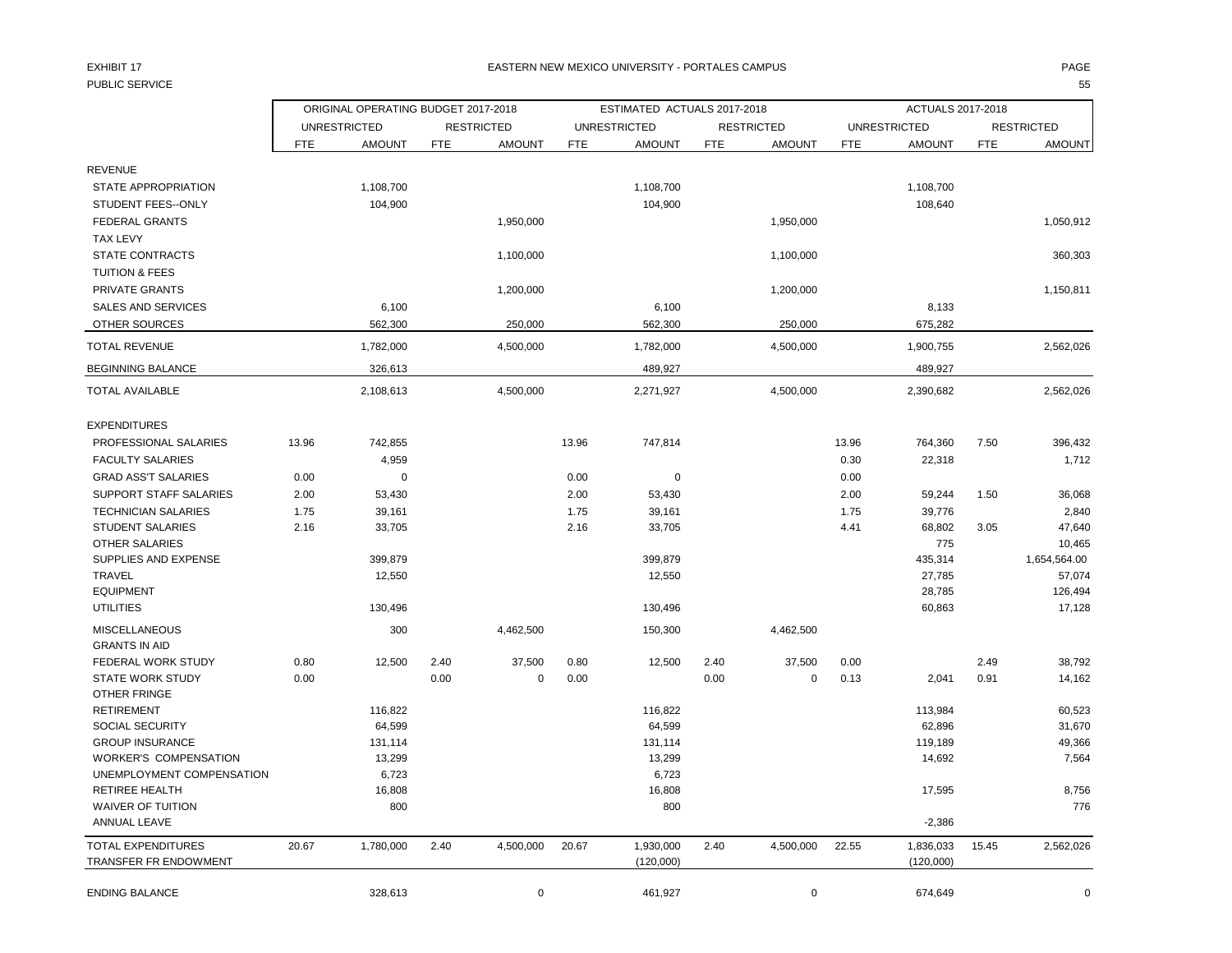## PUBLIC SERVICE 55

#### EXHIBIT 17 PAGE EASTERN NEW MEXICO UNIVERSITY - PORTALES CAMPUS

|                                         |            | ORIGINAL OPERATING BUDGET 2017-2018 |      |                   |            | ESTIMATED ACTUALS 2017-2018 |            |                   |            | ACTUALS 2017-2018   |            |                   |
|-----------------------------------------|------------|-------------------------------------|------|-------------------|------------|-----------------------------|------------|-------------------|------------|---------------------|------------|-------------------|
|                                         |            | <b>UNRESTRICTED</b>                 |      | <b>RESTRICTED</b> |            | <b>UNRESTRICTED</b>         |            | <b>RESTRICTED</b> |            | <b>UNRESTRICTED</b> |            | <b>RESTRICTED</b> |
|                                         | <b>FTE</b> | <b>AMOUNT</b>                       | FTE  | <b>AMOUNT</b>     | <b>FTE</b> | <b>AMOUNT</b>               | <b>FTE</b> | <b>AMOUNT</b>     | <b>FTE</b> | <b>AMOUNT</b>       | <b>FTE</b> | <b>AMOUNT</b>     |
| <b>REVENUE</b>                          |            |                                     |      |                   |            |                             |            |                   |            |                     |            |                   |
| STATE APPROPRIATION                     |            | 1,108,700                           |      |                   |            | 1,108,700                   |            |                   |            | 1,108,700           |            |                   |
| <b>STUDENT FEES--ONLY</b>               |            | 104,900                             |      |                   |            | 104,900                     |            |                   |            | 108,640             |            |                   |
| <b>FEDERAL GRANTS</b>                   |            |                                     |      | 1,950,000         |            |                             |            | 1,950,000         |            |                     |            | 1,050,912         |
| <b>TAX LEVY</b>                         |            |                                     |      |                   |            |                             |            |                   |            |                     |            |                   |
|                                         |            |                                     |      |                   |            |                             |            |                   |            |                     |            |                   |
| <b>STATE CONTRACTS</b>                  |            |                                     |      | 1,100,000         |            |                             |            | 1,100,000         |            |                     |            | 360,303           |
| <b>TUITION &amp; FEES</b>               |            |                                     |      |                   |            |                             |            |                   |            |                     |            |                   |
| <b>PRIVATE GRANTS</b>                   |            |                                     |      | 1,200,000         |            |                             |            | 1,200,000         |            |                     |            | 1,150,811         |
| <b>SALES AND SERVICES</b>               |            | 6,100                               |      |                   |            | 6,100                       |            |                   |            | 8,133               |            |                   |
| <b>OTHER SOURCES</b>                    |            | 562,300                             |      | 250,000           |            | 562,300                     |            | 250,000           |            | 675,282             |            |                   |
| <b>TOTAL REVENUE</b>                    |            | 1,782,000                           |      | 4,500,000         |            | 1,782,000                   |            | 4,500,000         |            | 1,900,755           |            | 2,562,026         |
| <b>BEGINNING BALANCE</b>                |            | 326,613                             |      |                   |            | 489,927                     |            |                   |            | 489,927             |            |                   |
| <b>TOTAL AVAILABLE</b>                  |            | 2,108,613                           |      | 4,500,000         |            | 2,271,927                   |            | 4,500,000         |            | 2,390,682           |            | 2,562,026         |
| <b>EXPENDITURES</b>                     |            |                                     |      |                   |            |                             |            |                   |            |                     |            |                   |
| PROFESSIONAL SALARIES                   | 13.96      | 742,855                             |      |                   | 13.96      | 747,814                     |            |                   | 13.96      | 764,360             | 7.50       | 396,432           |
| <b>FACULTY SALARIES</b>                 |            | 4,959                               |      |                   |            |                             |            |                   | 0.30       | 22,318              |            | 1,712             |
| <b>GRAD ASS'T SALARIES</b>              | 0.00       | $\mathbf 0$                         |      |                   | 0.00       | $\Omega$                    |            |                   | 0.00       |                     |            |                   |
| <b>SUPPORT STAFF SALARIES</b>           | 2.00       | 53,430                              |      |                   | 2.00       | 53,430                      |            |                   | 2.00       | 59,244              | 1.50       | 36,068            |
| <b>TECHNICIAN SALARIES</b>              | 1.75       | 39,161                              |      |                   | 1.75       | 39,161                      |            |                   | 1.75       | 39,776              |            | 2,840             |
| <b>STUDENT SALARIES</b>                 | 2.16       | 33,705                              |      |                   | 2.16       | 33,705                      |            |                   | 4.41       | 68,802              | 3.05       | 47,640            |
| <b>OTHER SALARIES</b>                   |            |                                     |      |                   |            |                             |            |                   |            | 775                 |            | 10,465            |
| SUPPLIES AND EXPENSE                    |            | 399,879                             |      |                   |            | 399,879                     |            |                   |            | 435,314             |            | 1,654,564.00      |
| <b>TRAVEL</b>                           |            | 12,550                              |      |                   |            | 12,550                      |            |                   |            | 27,785              |            | 57,074            |
| <b>EQUIPMENT</b>                        |            |                                     |      |                   |            |                             |            |                   |            | 28,785              |            | 126,494           |
| <b>UTILITIES</b>                        |            | 130,496                             |      |                   |            | 130,496                     |            |                   |            | 60,863              |            | 17,128            |
| <b>MISCELLANEOUS</b>                    |            | 300                                 |      | 4,462,500         |            | 150,300                     |            | 4,462,500         |            |                     |            |                   |
| <b>GRANTS IN AID</b>                    |            |                                     |      |                   |            |                             |            |                   |            |                     |            |                   |
| FEDERAL WORK STUDY                      | 0.80       | 12,500                              | 2.40 | 37,500            | 0.80       | 12,500                      | 2.40       | 37,500            | 0.00       |                     | 2.49       | 38,792            |
| <b>STATE WORK STUDY</b><br>OTHER FRINGE | 0.00       |                                     | 0.00 | $\mathbf 0$       | 0.00       |                             | 0.00       | $\mathbf 0$       | 0.13       | 2,041               | 0.91       | 14,162            |
| <b>RETIREMENT</b>                       |            | 116,822                             |      |                   |            | 116,822                     |            |                   |            | 113,984             |            | 60,523            |
| SOCIAL SECURITY                         |            | 64,599                              |      |                   |            | 64,599                      |            |                   |            | 62,896              |            | 31,670            |
| <b>GROUP INSURANCE</b>                  |            | 131,114                             |      |                   |            | 131,114                     |            |                   |            | 119,189             |            | 49,366            |
| <b>WORKER'S COMPENSATION</b>            |            | 13,299                              |      |                   |            | 13,299                      |            |                   |            | 14,692              |            | 7,564             |
| UNEMPLOYMENT COMPENSATION               |            | 6,723                               |      |                   |            | 6,723                       |            |                   |            |                     |            |                   |
| <b>RETIREE HEALTH</b>                   |            | 16,808                              |      |                   |            | 16,808                      |            |                   |            | 17,595              |            | 8,756             |
| <b>WAIVER OF TUITION</b>                |            | 800                                 |      |                   |            | 800                         |            |                   |            |                     |            | 776               |
| ANNUAL LEAVE                            |            |                                     |      |                   |            |                             |            |                   |            | $-2,386$            |            |                   |
| <b>TOTAL EXPENDITURES</b>               | 20.67      | 1,780,000                           | 2.40 | 4,500,000         | 20.67      | 1,930,000                   | 2.40       | 4,500,000         | 22.55      | 1,836,033           | 15.45      | 2,562,026         |
| TRANSFER FR ENDOWMENT                   |            |                                     |      |                   |            | (120,000)                   |            |                   |            | (120,000)           |            |                   |
| <b>ENDING BALANCE</b>                   |            | 328,613                             |      | $\mathbf 0$       |            | 461,927                     |            | $\mathbf 0$       |            | 674,649             |            | $\Omega$          |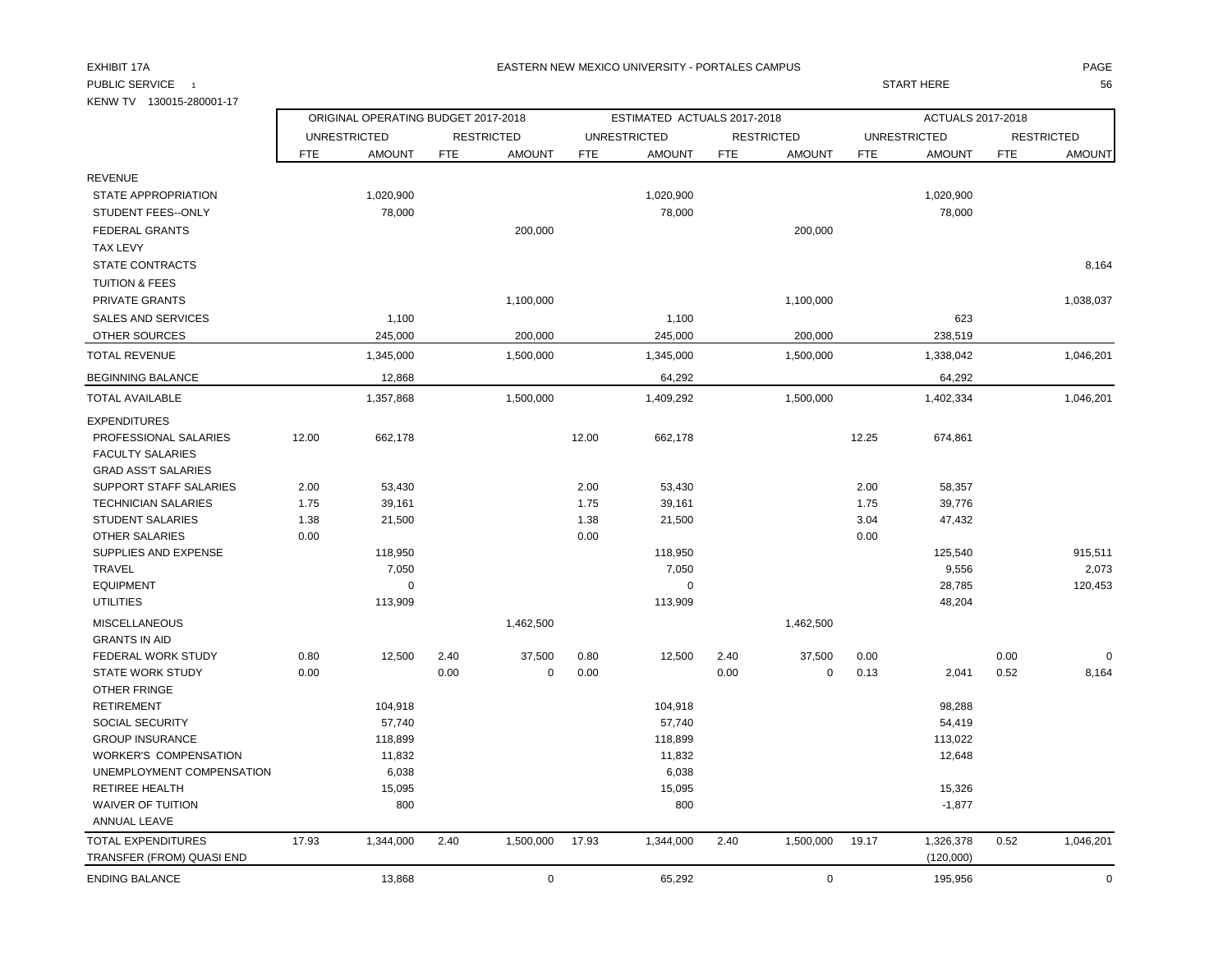#### EXHIBIT 17A PAGE EASTERN NEW MEXICO UNIVERSITY - PORTALES CAMPUS

PUBLIC SERVICE 1 START HERE 56

| KENW TV 130015-280001-17     |            |                                     |            |                   |            |                             |            |                   |            |                     |            |                   |
|------------------------------|------------|-------------------------------------|------------|-------------------|------------|-----------------------------|------------|-------------------|------------|---------------------|------------|-------------------|
|                              |            | ORIGINAL OPERATING BUDGET 2017-2018 |            |                   |            | ESTIMATED ACTUALS 2017-2018 |            |                   |            | ACTUALS 2017-2018   |            |                   |
|                              |            | <b>UNRESTRICTED</b>                 |            | <b>RESTRICTED</b> |            | <b>UNRESTRICTED</b>         |            | <b>RESTRICTED</b> |            | <b>UNRESTRICTED</b> |            | <b>RESTRICTED</b> |
|                              | <b>FTE</b> | <b>AMOUNT</b>                       | <b>FTE</b> | <b>AMOUNT</b>     | <b>FTE</b> | <b>AMOUNT</b>               | <b>FTE</b> | <b>AMOUNT</b>     | <b>FTE</b> | <b>AMOUNT</b>       | <b>FTE</b> | <b>AMOUNT</b>     |
| <b>REVENUE</b>               |            |                                     |            |                   |            |                             |            |                   |            |                     |            |                   |
| STATE APPROPRIATION          |            | 1,020,900                           |            |                   |            | 1,020,900                   |            |                   |            | 1,020,900           |            |                   |
| STUDENT FEES--ONLY           |            | 78,000                              |            |                   |            | 78,000                      |            |                   |            | 78,000              |            |                   |
| <b>FEDERAL GRANTS</b>        |            |                                     |            | 200,000           |            |                             |            | 200,000           |            |                     |            |                   |
| <b>TAX LEVY</b>              |            |                                     |            |                   |            |                             |            |                   |            |                     |            |                   |
| <b>STATE CONTRACTS</b>       |            |                                     |            |                   |            |                             |            |                   |            |                     |            | 8,164             |
| <b>TUITION &amp; FEES</b>    |            |                                     |            |                   |            |                             |            |                   |            |                     |            |                   |
| PRIVATE GRANTS               |            |                                     |            | 1,100,000         |            |                             |            | 1,100,000         |            |                     |            | 1,038,037         |
| <b>SALES AND SERVICES</b>    |            | 1,100                               |            |                   |            | 1,100                       |            |                   |            | 623                 |            |                   |
| <b>OTHER SOURCES</b>         |            | 245,000                             |            | 200,000           |            | 245,000                     |            | 200,000           |            | 238,519             |            |                   |
|                              |            |                                     |            |                   |            |                             |            |                   |            |                     |            |                   |
| <b>TOTAL REVENUE</b>         |            | 1,345,000                           |            | 1,500,000         |            | 1,345,000                   |            | 1,500,000         |            | 1,338,042           |            | 1,046,201         |
| <b>BEGINNING BALANCE</b>     |            | 12,868                              |            |                   |            | 64,292                      |            |                   |            | 64,292              |            |                   |
| <b>TOTAL AVAILABLE</b>       |            | 1,357,868                           |            | 1,500,000         |            | 1,409,292                   |            | 1,500,000         |            | 1,402,334           |            | 1,046,201         |
| <b>EXPENDITURES</b>          |            |                                     |            |                   |            |                             |            |                   |            |                     |            |                   |
| PROFESSIONAL SALARIES        | 12.00      | 662,178                             |            |                   | 12.00      | 662,178                     |            |                   | 12.25      | 674,861             |            |                   |
| <b>FACULTY SALARIES</b>      |            |                                     |            |                   |            |                             |            |                   |            |                     |            |                   |
| <b>GRAD ASS'T SALARIES</b>   |            |                                     |            |                   |            |                             |            |                   |            |                     |            |                   |
| SUPPORT STAFF SALARIES       | 2.00       | 53,430                              |            |                   | 2.00       | 53,430                      |            |                   | 2.00       | 58,357              |            |                   |
| <b>TECHNICIAN SALARIES</b>   | 1.75       | 39,161                              |            |                   | 1.75       | 39,161                      |            |                   | 1.75       | 39,776              |            |                   |
| <b>STUDENT SALARIES</b>      | 1.38       | 21,500                              |            |                   | 1.38       | 21,500                      |            |                   | 3.04       | 47,432              |            |                   |
| <b>OTHER SALARIES</b>        | 0.00       |                                     |            |                   | 0.00       |                             |            |                   | 0.00       |                     |            |                   |
| <b>SUPPLIES AND EXPENSE</b>  |            | 118,950                             |            |                   |            | 118,950                     |            |                   |            | 125,540             |            | 915,511           |
| <b>TRAVEL</b>                |            | 7,050                               |            |                   |            | 7,050                       |            |                   |            | 9,556               |            | 2,073             |
| <b>EQUIPMENT</b>             |            | $\mathbf 0$                         |            |                   |            | $\mathbf 0$                 |            |                   |            | 28,785              |            | 120,453           |
| <b>UTILITIES</b>             |            | 113,909                             |            |                   |            | 113,909                     |            |                   |            | 48,204              |            |                   |
| <b>MISCELLANEOUS</b>         |            |                                     |            | 1,462,500         |            |                             |            | 1,462,500         |            |                     |            |                   |
| <b>GRANTS IN AID</b>         |            |                                     |            |                   |            |                             |            |                   |            |                     |            |                   |
| FEDERAL WORK STUDY           | 0.80       | 12,500                              | 2.40       | 37,500            | 0.80       | 12,500                      | 2.40       | 37,500            | 0.00       |                     | 0.00       | $\Omega$          |
| <b>STATE WORK STUDY</b>      | 0.00       |                                     | 0.00       | 0                 | 0.00       |                             | 0.00       | $\mathbf 0$       | 0.13       | 2,041               | 0.52       | 8,164             |
| <b>OTHER FRINGE</b>          |            |                                     |            |                   |            |                             |            |                   |            |                     |            |                   |
| <b>RETIREMENT</b>            |            | 104,918                             |            |                   |            | 104,918                     |            |                   |            | 98,288              |            |                   |
| SOCIAL SECURITY              |            | 57,740                              |            |                   |            | 57,740                      |            |                   |            | 54,419              |            |                   |
| <b>GROUP INSURANCE</b>       |            | 118,899                             |            |                   |            | 118,899                     |            |                   |            | 113,022             |            |                   |
| <b>WORKER'S COMPENSATION</b> |            | 11,832                              |            |                   |            | 11,832                      |            |                   |            | 12,648              |            |                   |
| UNEMPLOYMENT COMPENSATION    |            | 6,038                               |            |                   |            | 6,038                       |            |                   |            |                     |            |                   |
| <b>RETIREE HEALTH</b>        |            | 15,095                              |            |                   |            | 15,095                      |            |                   |            | 15,326              |            |                   |
| <b>WAIVER OF TUITION</b>     |            | 800                                 |            |                   |            | 800                         |            |                   |            | $-1,877$            |            |                   |
| ANNUAL LEAVE                 |            |                                     |            |                   |            |                             |            |                   |            |                     |            |                   |
| <b>TOTAL EXPENDITURES</b>    | 17.93      | 1,344,000                           | 2.40       | 1,500,000         | 17.93      | 1,344,000                   | 2.40       | 1,500,000         | 19.17      | 1,326,378           | 0.52       | 1,046,201         |
| TRANSFER (FROM) QUASI END    |            |                                     |            |                   |            |                             |            |                   |            | (120,000)           |            |                   |
| <b>ENDING BALANCE</b>        |            | 13,868                              |            | $\mathbf 0$       |            | 65,292                      |            | $\mathbf 0$       |            | 195,956             |            | $\mathbf 0$       |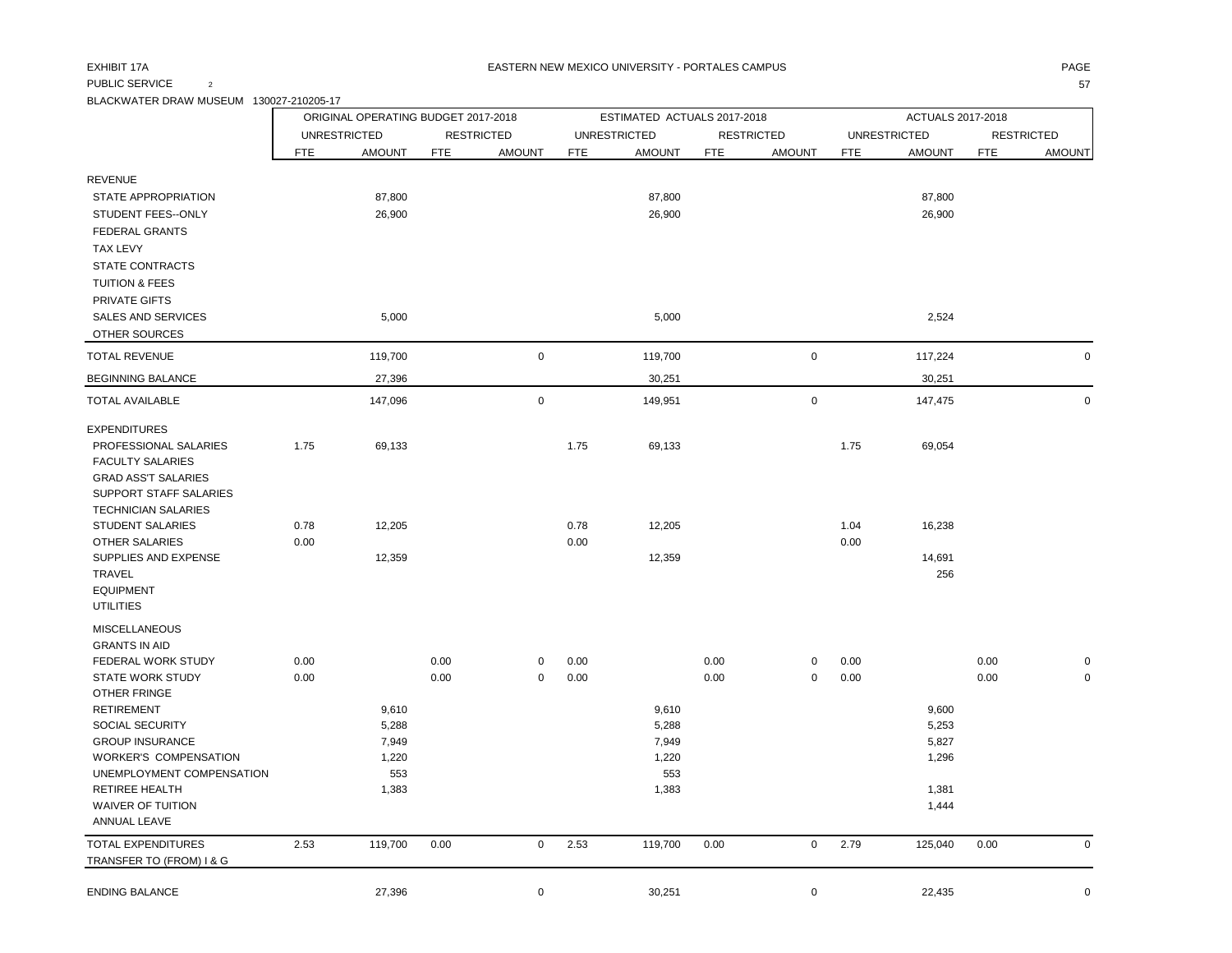### PUBLIC SERVICE  $\qquad \qquad 2$  57

BLACKWATER DRAW MUSEUM 130027-210205-17

|                                                           |            | ORIGINAL OPERATING BUDGET 2017-2018 |            |                   |            | ESTIMATED ACTUALS 2017-2018 |            |                     |            | ACTUALS 2017-2018   |            |                   |
|-----------------------------------------------------------|------------|-------------------------------------|------------|-------------------|------------|-----------------------------|------------|---------------------|------------|---------------------|------------|-------------------|
|                                                           |            | <b>UNRESTRICTED</b>                 |            | <b>RESTRICTED</b> |            | <b>UNRESTRICTED</b>         |            | <b>RESTRICTED</b>   |            | <b>UNRESTRICTED</b> |            | <b>RESTRICTED</b> |
|                                                           | <b>FTE</b> | <b>AMOUNT</b>                       | <b>FTE</b> | <b>AMOUNT</b>     | <b>FTE</b> | <b>AMOUNT</b>               | <b>FTE</b> | <b>AMOUNT</b>       | <b>FTE</b> | <b>AMOUNT</b>       | <b>FTE</b> | <b>AMOUNT</b>     |
| <b>REVENUE</b>                                            |            |                                     |            |                   |            |                             |            |                     |            |                     |            |                   |
| STATE APPROPRIATION                                       |            | 87,800                              |            |                   |            | 87,800                      |            |                     |            | 87,800              |            |                   |
| STUDENT FEES--ONLY                                        |            | 26,900                              |            |                   |            | 26,900                      |            |                     |            | 26,900              |            |                   |
| <b>FEDERAL GRANTS</b>                                     |            |                                     |            |                   |            |                             |            |                     |            |                     |            |                   |
| <b>TAX LEVY</b>                                           |            |                                     |            |                   |            |                             |            |                     |            |                     |            |                   |
| STATE CONTRACTS                                           |            |                                     |            |                   |            |                             |            |                     |            |                     |            |                   |
| <b>TUITION &amp; FEES</b>                                 |            |                                     |            |                   |            |                             |            |                     |            |                     |            |                   |
| <b>PRIVATE GIFTS</b>                                      |            |                                     |            |                   |            |                             |            |                     |            |                     |            |                   |
| <b>SALES AND SERVICES</b>                                 |            | 5,000                               |            |                   |            | 5,000                       |            |                     |            | 2,524               |            |                   |
| OTHER SOURCES                                             |            |                                     |            |                   |            |                             |            |                     |            |                     |            |                   |
| <b>TOTAL REVENUE</b>                                      |            | 119,700                             |            | $\mathsf 0$       |            | 119,700                     |            | $\mathsf 0$         |            | 117,224             |            | $\mathbf 0$       |
| <b>BEGINNING BALANCE</b>                                  |            | 27,396                              |            |                   |            | 30,251                      |            |                     |            | 30,251              |            |                   |
| <b>TOTAL AVAILABLE</b>                                    |            | 147,096                             |            | $\pmb{0}$         |            | 149,951                     |            | $\mathsf{O}\xspace$ |            | 147,475             |            | $\mathbf 0$       |
| <b>EXPENDITURES</b>                                       |            |                                     |            |                   |            |                             |            |                     |            |                     |            |                   |
| PROFESSIONAL SALARIES                                     | 1.75       | 69,133                              |            |                   | 1.75       | 69,133                      |            |                     | 1.75       | 69,054              |            |                   |
| <b>FACULTY SALARIES</b>                                   |            |                                     |            |                   |            |                             |            |                     |            |                     |            |                   |
| <b>GRAD ASS'T SALARIES</b><br>SUPPORT STAFF SALARIES      |            |                                     |            |                   |            |                             |            |                     |            |                     |            |                   |
| <b>TECHNICIAN SALARIES</b>                                |            |                                     |            |                   |            |                             |            |                     |            |                     |            |                   |
| <b>STUDENT SALARIES</b>                                   | 0.78       | 12,205                              |            |                   | 0.78       | 12,205                      |            |                     | 1.04       | 16,238              |            |                   |
| <b>OTHER SALARIES</b>                                     | 0.00       |                                     |            |                   | 0.00       |                             |            |                     | 0.00       |                     |            |                   |
| SUPPLIES AND EXPENSE                                      |            | 12,359                              |            |                   |            | 12,359                      |            |                     |            | 14,691              |            |                   |
| <b>TRAVEL</b>                                             |            |                                     |            |                   |            |                             |            |                     |            | 256                 |            |                   |
| <b>EQUIPMENT</b>                                          |            |                                     |            |                   |            |                             |            |                     |            |                     |            |                   |
| <b>UTILITIES</b>                                          |            |                                     |            |                   |            |                             |            |                     |            |                     |            |                   |
| <b>MISCELLANEOUS</b><br><b>GRANTS IN AID</b>              |            |                                     |            |                   |            |                             |            |                     |            |                     |            |                   |
| FEDERAL WORK STUDY                                        | 0.00       |                                     | 0.00       | $\mathbf 0$       | 0.00       |                             | 0.00       | 0                   | 0.00       |                     | 0.00       | $\Omega$          |
| <b>STATE WORK STUDY</b>                                   | 0.00       |                                     | 0.00       | $\mathbf 0$       | 0.00       |                             | 0.00       | $\mathbf 0$         | 0.00       |                     | 0.00       | $\mathbf 0$       |
| <b>OTHER FRINGE</b>                                       |            |                                     |            |                   |            |                             |            |                     |            |                     |            |                   |
| <b>RETIREMENT</b>                                         |            | 9,610                               |            |                   |            | 9,610                       |            |                     |            | 9,600               |            |                   |
| SOCIAL SECURITY                                           |            | 5,288                               |            |                   |            | 5,288                       |            |                     |            | 5,253               |            |                   |
| <b>GROUP INSURANCE</b>                                    |            | 7,949                               |            |                   |            | 7,949                       |            |                     |            | 5,827               |            |                   |
| <b>WORKER'S COMPENSATION</b><br>UNEMPLOYMENT COMPENSATION |            | 1,220<br>553                        |            |                   |            | 1,220<br>553                |            |                     |            | 1,296               |            |                   |
| <b>RETIREE HEALTH</b>                                     |            | 1,383                               |            |                   |            | 1,383                       |            |                     |            | 1,381               |            |                   |
| <b>WAIVER OF TUITION</b>                                  |            |                                     |            |                   |            |                             |            |                     |            | 1,444               |            |                   |
| <b>ANNUAL LEAVE</b>                                       |            |                                     |            |                   |            |                             |            |                     |            |                     |            |                   |
| <b>TOTAL EXPENDITURES</b>                                 | 2.53       | 119,700                             | 0.00       | $\mathbf 0$       | 2.53       | 119,700                     | 0.00       | $\mathbf 0$         | 2.79       | 125,040             | 0.00       | $\mathsf 0$       |
| TRANSFER TO (FROM) I & G                                  |            |                                     |            |                   |            |                             |            |                     |            |                     |            |                   |
| <b>ENDING BALANCE</b>                                     |            | 27,396                              |            | $\mathsf 0$       |            | 30,251                      |            | $\mathbf 0$         |            | 22,435              |            | $\mathbf 0$       |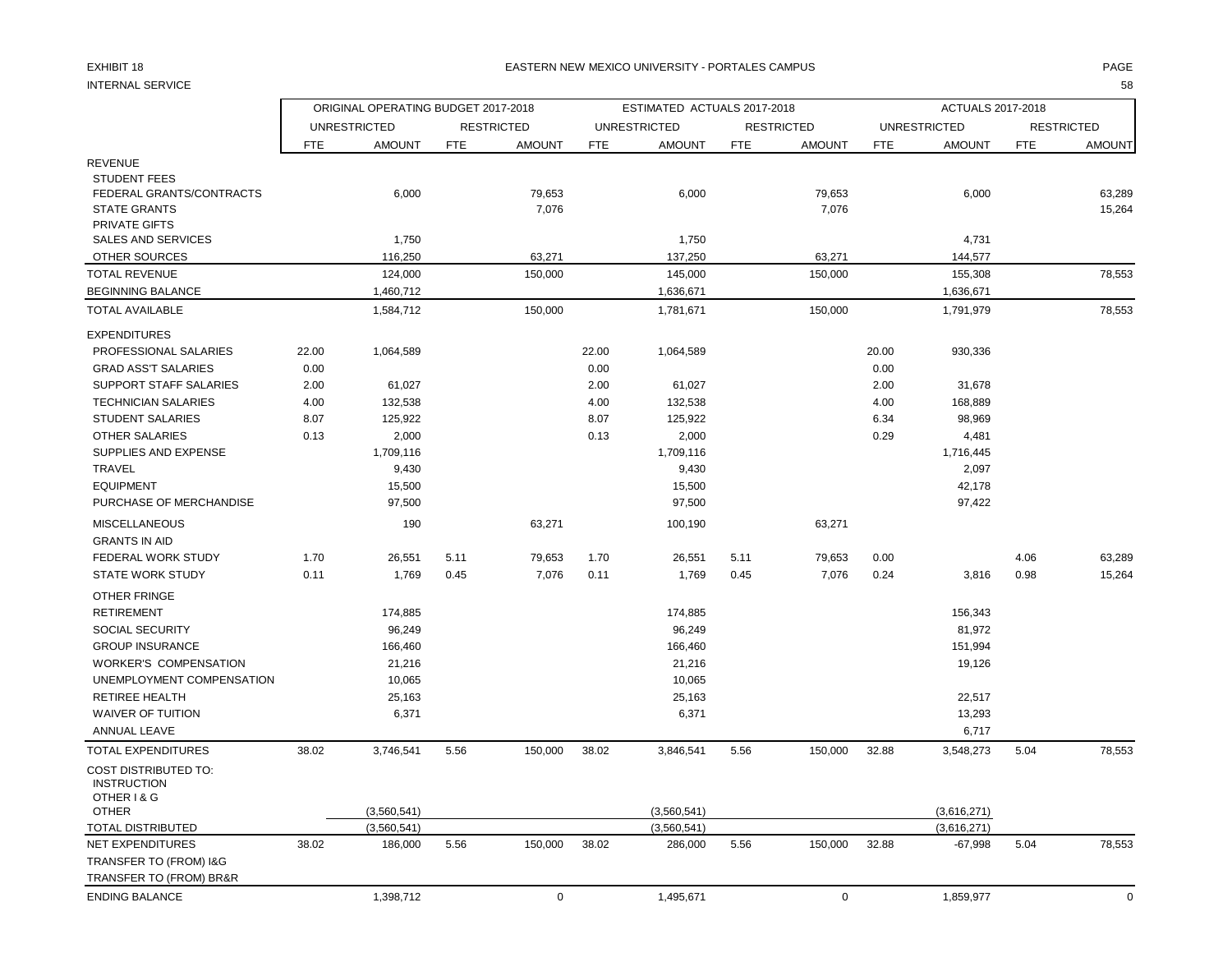#### EXHIBIT 18 PAGE PAGE IN THE RESTRIAL MEXICO UNIVERSITY - PORTALES CAMPUS PAGE IN THE RESTRIAL OF PAGE IN THE RESTRIAL OF A SERVICE OF PAGE IN THE RESTRIAL OF A SERVICE OF A SERVICE OF A SERVICE OF A SERVICE OF A SERVICE OF

INTERNAL SERVICE 58

|                                                                                                | ORIGINAL OPERATING BUDGET 2017-2018 |                     |            |                   |            | ESTIMATED ACTUALS 2017-2018 |            |                   |            | <b>ACTUALS 2017-2018</b> |            |                   |
|------------------------------------------------------------------------------------------------|-------------------------------------|---------------------|------------|-------------------|------------|-----------------------------|------------|-------------------|------------|--------------------------|------------|-------------------|
|                                                                                                |                                     | <b>UNRESTRICTED</b> |            | <b>RESTRICTED</b> |            | <b>UNRESTRICTED</b>         |            | <b>RESTRICTED</b> |            | <b>UNRESTRICTED</b>      |            | <b>RESTRICTED</b> |
|                                                                                                | <b>FTE</b>                          | <b>AMOUNT</b>       | <b>FTE</b> | <b>AMOUNT</b>     | <b>FTE</b> | <b>AMOUNT</b>               | <b>FTE</b> | <b>AMOUNT</b>     | <b>FTE</b> | <b>AMOUNT</b>            | <b>FTE</b> | <b>AMOUNT</b>     |
| <b>REVENUE</b>                                                                                 |                                     |                     |            |                   |            |                             |            |                   |            |                          |            |                   |
| <b>STUDENT FEES</b><br>FEDERAL GRANTS/CONTRACTS<br><b>STATE GRANTS</b><br><b>PRIVATE GIFTS</b> |                                     | 6,000               |            | 79,653<br>7,076   |            | 6,000                       |            | 79,653<br>7,076   |            | 6,000                    |            | 63,289<br>15,264  |
| <b>SALES AND SERVICES</b>                                                                      |                                     | 1,750               |            |                   |            | 1,750                       |            |                   |            | 4,731                    |            |                   |
| OTHER SOURCES                                                                                  |                                     | 116,250             |            | 63,271            |            | 137,250                     |            | 63,271            |            | 144,577                  |            |                   |
| <b>TOTAL REVENUE</b>                                                                           |                                     | 124,000             |            | 150,000           |            | 145,000                     |            | 150,000           |            | 155,308                  |            | 78,553            |
| <b>BEGINNING BALANCE</b>                                                                       |                                     | 1,460,712           |            |                   |            | 1,636,671                   |            |                   |            | 1,636,671                |            |                   |
| <b>TOTAL AVAILABLE</b>                                                                         |                                     | 1,584,712           |            | 150,000           |            | 1,781,671                   |            | 150,000           |            | 1,791,979                |            | 78,553            |
| <b>EXPENDITURES</b>                                                                            |                                     |                     |            |                   |            |                             |            |                   |            |                          |            |                   |
| PROFESSIONAL SALARIES                                                                          | 22.00                               | 1,064,589           |            |                   | 22.00      | 1,064,589                   |            |                   | 20.00      | 930,336                  |            |                   |
| <b>GRAD ASS'T SALARIES</b>                                                                     | 0.00                                |                     |            |                   | 0.00       |                             |            |                   | 0.00       |                          |            |                   |
| SUPPORT STAFF SALARIES                                                                         | 2.00                                | 61,027              |            |                   | 2.00       | 61,027                      |            |                   | 2.00       | 31,678                   |            |                   |
| <b>TECHNICIAN SALARIES</b>                                                                     | 4.00                                | 132,538             |            |                   | 4.00       | 132,538                     |            |                   | 4.00       | 168,889                  |            |                   |
| <b>STUDENT SALARIES</b>                                                                        | 8.07                                | 125,922             |            |                   | 8.07       | 125,922                     |            |                   | 6.34       | 98,969                   |            |                   |
| <b>OTHER SALARIES</b>                                                                          | 0.13                                | 2,000               |            |                   | 0.13       | 2,000                       |            |                   | 0.29       | 4,481                    |            |                   |
| SUPPLIES AND EXPENSE                                                                           |                                     | 1,709,116           |            |                   |            | 1,709,116                   |            |                   |            | 1,716,445                |            |                   |
| <b>TRAVEL</b>                                                                                  |                                     | 9,430               |            |                   |            | 9,430                       |            |                   |            | 2,097                    |            |                   |
| <b>EQUIPMENT</b>                                                                               |                                     | 15,500              |            |                   |            | 15,500                      |            |                   |            | 42,178                   |            |                   |
| PURCHASE OF MERCHANDISE                                                                        |                                     | 97,500              |            |                   |            | 97,500                      |            |                   |            | 97,422                   |            |                   |
| <b>MISCELLANEOUS</b><br><b>GRANTS IN AID</b>                                                   |                                     | 190                 |            | 63,271            |            | 100,190                     |            | 63,271            |            |                          |            |                   |
| FEDERAL WORK STUDY                                                                             | 1.70                                | 26,551              | 5.11       | 79,653            | 1.70       | 26,551                      | 5.11       | 79,653            | 0.00       |                          | 4.06       | 63,289            |
| <b>STATE WORK STUDY</b>                                                                        | 0.11                                | 1,769               | 0.45       | 7,076             | 0.11       | 1,769                       | 0.45       | 7,076             | 0.24       | 3,816                    | 0.98       | 15,264            |
| OTHER FRINGE                                                                                   |                                     |                     |            |                   |            |                             |            |                   |            |                          |            |                   |
| <b>RETIREMENT</b>                                                                              |                                     | 174,885             |            |                   |            | 174,885                     |            |                   |            | 156,343                  |            |                   |
| SOCIAL SECURITY                                                                                |                                     | 96,249              |            |                   |            | 96,249                      |            |                   |            | 81,972                   |            |                   |
| <b>GROUP INSURANCE</b>                                                                         |                                     | 166,460             |            |                   |            | 166,460                     |            |                   |            | 151,994                  |            |                   |
| <b>WORKER'S COMPENSATION</b>                                                                   |                                     | 21,216              |            |                   |            | 21,216                      |            |                   |            | 19,126                   |            |                   |
| UNEMPLOYMENT COMPENSATION                                                                      |                                     | 10,065              |            |                   |            | 10,065                      |            |                   |            |                          |            |                   |
| <b>RETIREE HEALTH</b>                                                                          |                                     | 25,163              |            |                   |            | 25,163                      |            |                   |            | 22,517                   |            |                   |
| <b>WAIVER OF TUITION</b>                                                                       |                                     | 6,371               |            |                   |            | 6,371                       |            |                   |            | 13,293                   |            |                   |
| ANNUAL LEAVE                                                                                   |                                     |                     |            |                   |            |                             |            |                   |            | 6,717                    |            |                   |
| <b>TOTAL EXPENDITURES</b>                                                                      | 38.02                               | 3,746,541           | 5.56       | 150,000           | 38.02      | 3,846,541                   | 5.56       | 150,000           | 32.88      | 3,548,273                | 5.04       | 78,553            |
| <b>COST DISTRIBUTED TO:</b><br><b>INSTRUCTION</b><br>OTHER I & G                               |                                     |                     |            |                   |            |                             |            |                   |            |                          |            |                   |
| <b>OTHER</b>                                                                                   |                                     | (3,560,541)         |            |                   |            | (3,560,541)                 |            |                   |            | (3,616,271)              |            |                   |
| <b>TOTAL DISTRIBUTED</b>                                                                       |                                     | (3,560,541)         |            |                   |            | (3,560,541)                 |            |                   |            | (3,616,271)              |            |                   |
| <b>NET EXPENDITURES</b>                                                                        | 38.02                               | 186,000             | 5.56       | 150,000           | 38.02      | 286,000                     | 5.56       | 150,000           | 32.88      | $-67,998$                | 5.04       | 78,553            |
| TRANSFER TO (FROM) I&G                                                                         |                                     |                     |            |                   |            |                             |            |                   |            |                          |            |                   |
| TRANSFER TO (FROM) BR&R                                                                        |                                     |                     |            |                   |            |                             |            |                   |            |                          |            |                   |
| <b>ENDING BALANCE</b>                                                                          |                                     | 1,398,712           |            | $\mathbf 0$       |            | 1,495,671                   |            | $\mathbf 0$       |            | 1,859,977                |            | $\mathbf 0$       |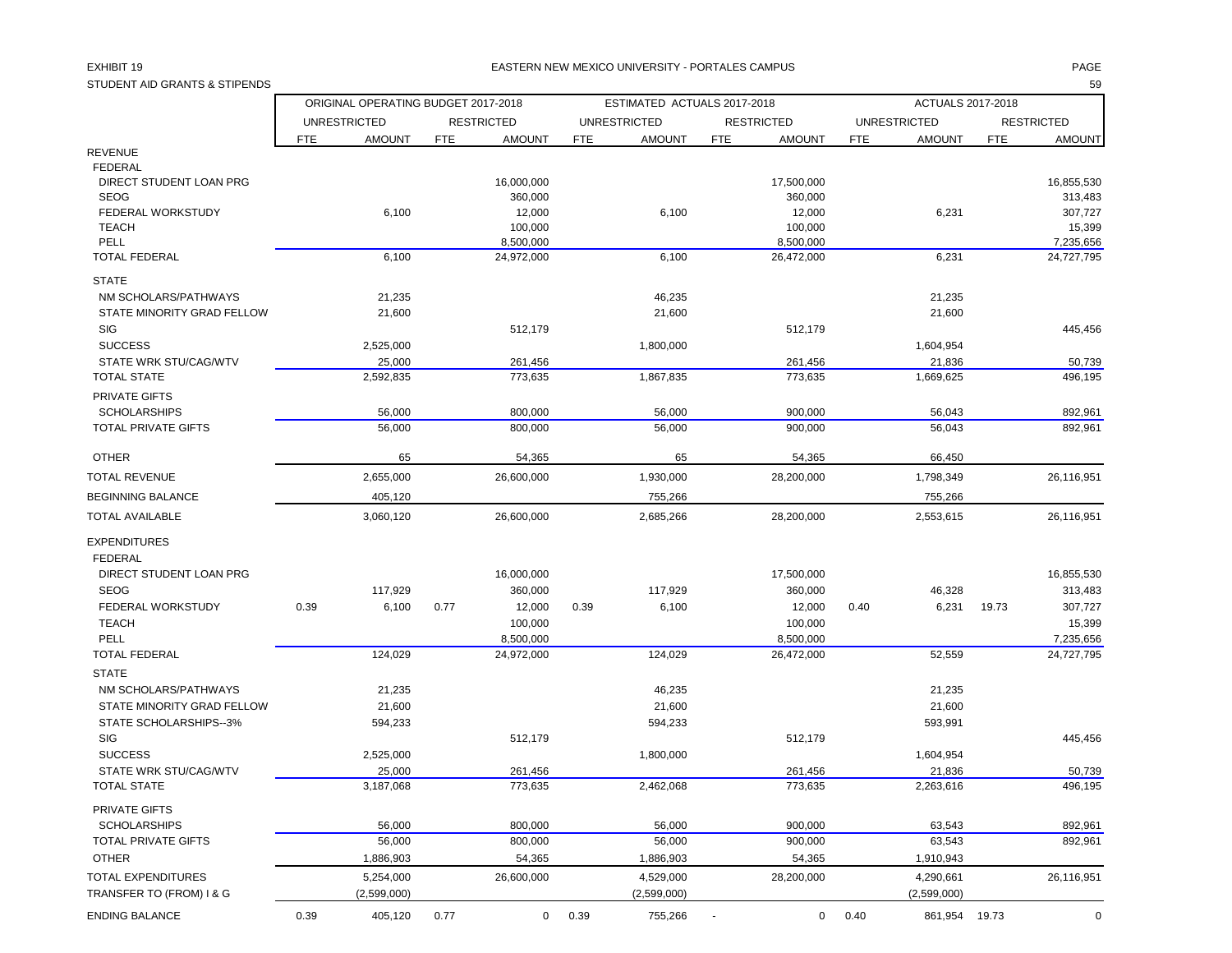#### EXHIBIT 19 PAGE PAGE IN THE RESTRIAL MEXICO UNIVERSITY - PORTALES CAMPUS PAGE IN THE RESTRIAL OF PAGE IN THE RESTRIAL OF PAGE IN THE RESTRIAL OF PAGE IN THE RESTRIAL OF PAGE IN THE REST OF PAGE IN THE REST OF PAGE IN THE R

| STUDENT AID GRANTS & STIPENDS             |                                     |            |                   |            |                             |                             |            |                     |            | 59                |
|-------------------------------------------|-------------------------------------|------------|-------------------|------------|-----------------------------|-----------------------------|------------|---------------------|------------|-------------------|
|                                           | ORIGINAL OPERATING BUDGET 2017-2018 |            |                   |            | ESTIMATED ACTUALS 2017-2018 |                             |            | ACTUALS 2017-2018   |            |                   |
|                                           | <b>UNRESTRICTED</b>                 |            | <b>RESTRICTED</b> |            | <b>UNRESTRICTED</b>         | <b>RESTRICTED</b>           |            | <b>UNRESTRICTED</b> |            | <b>RESTRICTED</b> |
|                                           | <b>AMOUNT</b><br><b>FTE</b>         | <b>FTE</b> | <b>AMOUNT</b>     | <b>FTE</b> | <b>AMOUNT</b>               | <b>AMOUNT</b><br><b>FTE</b> | <b>FTE</b> | <b>AMOUNT</b>       | <b>FTE</b> | <b>AMOUNT</b>     |
| <b>REVENUE</b>                            |                                     |            |                   |            |                             |                             |            |                     |            |                   |
| <b>FEDERAL</b><br>DIRECT STUDENT LOAN PRG |                                     |            | 16,000,000        |            |                             | 17,500,000                  |            |                     |            | 16,855,530        |
| <b>SEOG</b>                               |                                     |            | 360,000           |            |                             | 360,000                     |            |                     |            | 313,483           |
| FEDERAL WORKSTUDY                         | 6,100                               |            | 12,000            |            | 6,100                       | 12,000                      |            | 6,231               |            | 307,727           |
| <b>TEACH</b>                              |                                     |            | 100,000           |            |                             | 100,000                     |            |                     |            | 15,399            |
| PELL                                      |                                     |            | 8,500,000         |            |                             | 8,500,000                   |            |                     |            | 7,235,656         |
| <b>TOTAL FEDERAL</b>                      | 6,100                               |            | 24,972,000        |            | 6,100                       | 26,472,000                  |            | 6,231               |            | 24,727,795        |
| <b>STATE</b>                              |                                     |            |                   |            |                             |                             |            |                     |            |                   |
|                                           |                                     |            |                   |            |                             |                             |            |                     |            |                   |
| NM SCHOLARS/PATHWAYS                      | 21,235                              |            |                   |            | 46,235                      |                             |            | 21,235              |            |                   |
| STATE MINORITY GRAD FELLOW                | 21,600                              |            |                   |            | 21,600                      |                             |            | 21,600              |            |                   |
| <b>SIG</b>                                |                                     |            | 512,179           |            |                             | 512,179                     |            |                     |            | 445,456           |
| <b>SUCCESS</b>                            | 2,525,000                           |            |                   |            | 1,800,000                   |                             |            | 1,604,954           |            |                   |
| STATE WRK STU/CAG/WTV                     | 25,000                              |            | 261,456           |            |                             | 261,456                     |            | 21,836              |            | 50,739            |
| <b>TOTAL STATE</b>                        | 2,592,835                           |            | 773,635           |            | 1,867,835                   | 773,635                     |            | 1,669,625           |            | 496,195           |
| PRIVATE GIFTS                             |                                     |            |                   |            |                             |                             |            |                     |            |                   |
| <b>SCHOLARSHIPS</b>                       | 56,000                              |            | 800.000           |            | 56,000                      | 900,000                     |            | 56,043              |            | 892,961           |
| <b>TOTAL PRIVATE GIFTS</b>                | 56,000                              |            | 800,000           |            | 56,000                      | 900,000                     |            | 56,043              |            | 892,961           |
| <b>OTHER</b>                              | 65                                  |            | 54,365            |            | 65                          | 54,365                      |            | 66,450              |            |                   |
| <b>TOTAL REVENUE</b>                      | 2,655,000                           |            | 26,600,000        |            | 1,930,000                   | 28,200,000                  |            | 1,798,349           |            | 26,116,951        |
| <b>BEGINNING BALANCE</b>                  | 405,120                             |            |                   |            | 755,266                     |                             |            | 755,266             |            |                   |
| <b>TOTAL AVAILABLE</b>                    | 3,060,120                           |            | 26,600,000        |            | 2,685,266                   | 28,200,000                  |            | 2,553,615           |            | 26,116,951        |
| <b>EXPENDITURES</b>                       |                                     |            |                   |            |                             |                             |            |                     |            |                   |
| <b>FEDERAL</b>                            |                                     |            |                   |            |                             |                             |            |                     |            |                   |
| DIRECT STUDENT LOAN PRG                   |                                     |            | 16,000,000        |            |                             | 17,500,000                  |            |                     |            | 16,855,530        |
| <b>SEOG</b>                               | 117,929                             |            | 360,000           |            | 117,929                     | 360,000                     |            | 46,328              |            | 313,483           |
| FEDERAL WORKSTUDY                         | 0.39<br>6,100                       | 0.77       | 12,000            | 0.39       | 6,100                       | 12,000                      | 0.40       | 6,231               | 19.73      | 307,727           |
| <b>TEACH</b>                              |                                     |            | 100,000           |            |                             | 100,000                     |            |                     |            | 15,399            |
| PELL                                      |                                     |            | 8,500,000         |            |                             | 8,500,000                   |            |                     |            | 7,235,656         |
| <b>TOTAL FEDERAL</b>                      | 124,029                             |            | 24,972,000        |            | 124,029                     | 26,472,000                  |            | 52,559              |            | 24,727,795        |
|                                           |                                     |            |                   |            |                             |                             |            |                     |            |                   |
| <b>STATE</b>                              |                                     |            |                   |            |                             |                             |            |                     |            |                   |
| NM SCHOLARS/PATHWAYS                      | 21,235                              |            |                   |            | 46,235                      |                             |            | 21,235              |            |                   |
| STATE MINORITY GRAD FELLOW                | 21,600                              |            |                   |            | 21,600                      |                             |            | 21,600              |            |                   |
| STATE SCHOLARSHIPS--3%                    | 594,233                             |            |                   |            | 594,233                     |                             |            | 593,991             |            |                   |
| SIG                                       |                                     |            | 512,179           |            |                             | 512,179                     |            |                     |            | 445,456           |
| <b>SUCCESS</b>                            | 2,525,000                           |            |                   |            | 1,800,000                   |                             |            | 1,604,954           |            |                   |
| <b>STATE WRK STU/CAG/WTV</b>              | 25,000                              |            | 261,456           |            |                             | 261.456                     |            | 21,836              |            | 50,739            |
| <b>TOTAL STATE</b>                        | 3,187,068                           |            | 773,635           |            | 2,462,068                   | 773,635                     |            | 2,263,616           |            | 496,195           |
| PRIVATE GIFTS                             |                                     |            |                   |            |                             |                             |            |                     |            |                   |
| <b>SCHOLARSHIPS</b>                       | 56,000                              |            | 800,000           |            | 56,000                      | 900,000                     |            | 63,543              |            | 892,961           |
| TOTAL PRIVATE GIFTS                       | 56,000                              |            | 800,000           |            | 56,000                      | 900,000                     |            | 63,543              |            | 892,961           |
| <b>OTHER</b>                              | 1,886,903                           |            | 54,365            |            | 1,886,903                   | 54,365                      |            | 1,910,943           |            |                   |
| TOTAL EXPENDITURES                        | 5,254,000                           |            | 26,600,000        |            | 4,529,000                   | 28,200,000                  |            | 4,290,661           |            | 26,116,951        |
| TRANSFER TO (FROM) I & G                  | (2,599,000)                         |            |                   |            | (2,599,000)                 |                             |            | (2,599,000)         |            |                   |

ENDING BALANCE 0.39 405,120 0.77 0 0.39 755,266 - 0 0.40 861,954 19.73 0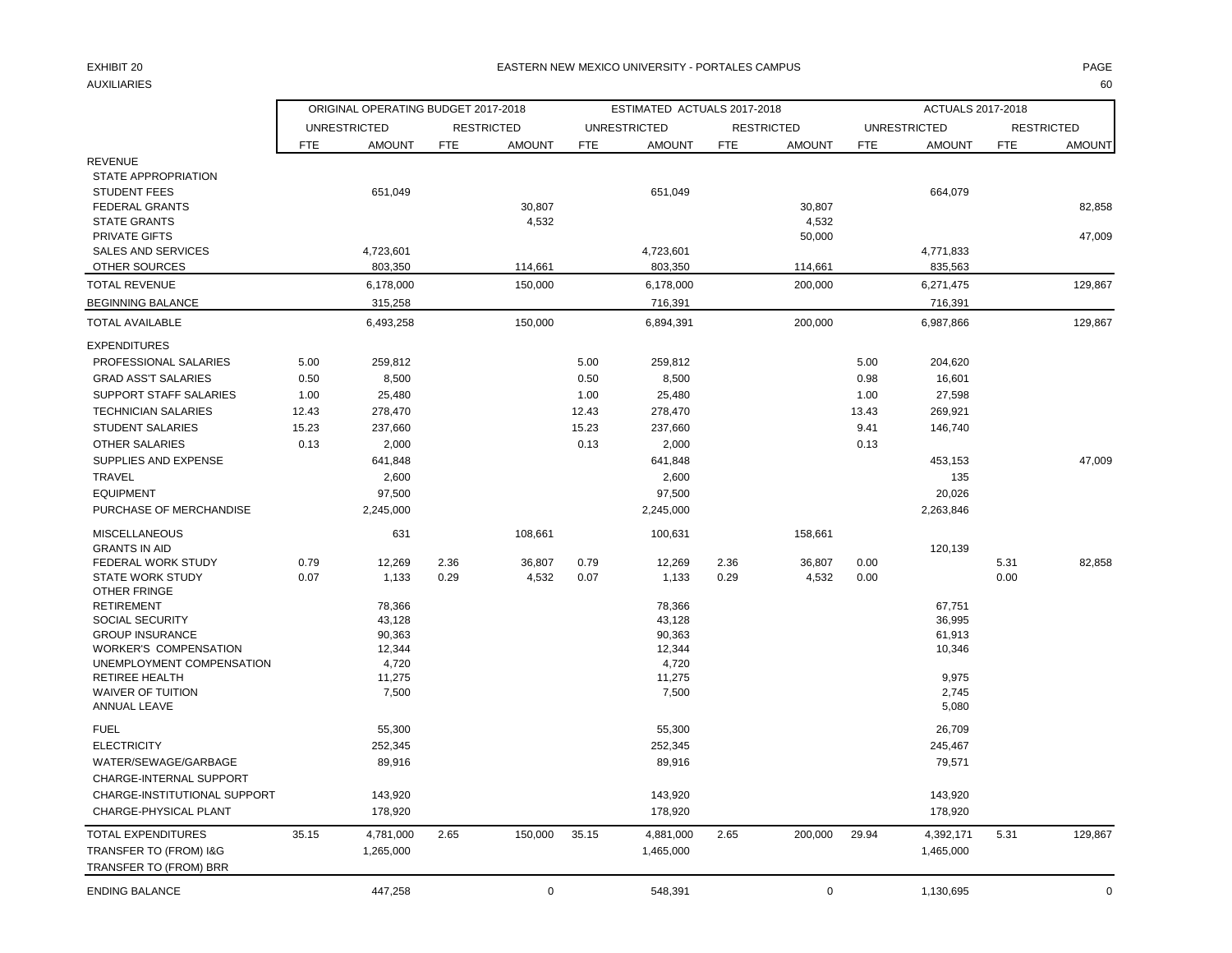#### EXHIBIT 20 PAGE PAGE IN THE SERVICE OF THE SERVICE OF THE SERVICE OF THE SERVICE OF THE SERVICE OF THE SERVICE OF THE SERVICE OF THE SERVICE OF THE SERVICE OF THE SERVICE OF THE SERVICE OF THE SERVICE OF THE SERVICE OF THE

AUXILIARIES 60

|                                                   |            | ORIGINAL OPERATING BUDGET 2017-2018 |            |                   |            | ESTIMATED ACTUALS 2017-2018 |            |                   |            | ACTUALS 2017-2018    |            |                   |
|---------------------------------------------------|------------|-------------------------------------|------------|-------------------|------------|-----------------------------|------------|-------------------|------------|----------------------|------------|-------------------|
|                                                   |            | <b>UNRESTRICTED</b>                 |            | <b>RESTRICTED</b> |            | <b>UNRESTRICTED</b>         |            | <b>RESTRICTED</b> |            | <b>UNRESTRICTED</b>  |            | <b>RESTRICTED</b> |
|                                                   | <b>FTE</b> | <b>AMOUNT</b>                       | <b>FTE</b> | <b>AMOUNT</b>     | <b>FTE</b> | <b>AMOUNT</b>               | <b>FTE</b> | <b>AMOUNT</b>     | <b>FTE</b> | <b>AMOUNT</b>        | <b>FTE</b> | <b>AMOUNT</b>     |
| <b>REVENUE</b>                                    |            |                                     |            |                   |            |                             |            |                   |            |                      |            |                   |
| STATE APPROPRIATION                               |            |                                     |            |                   |            |                             |            |                   |            |                      |            |                   |
| <b>STUDENT FEES</b>                               |            | 651,049                             |            |                   |            | 651,049                     |            |                   |            | 664,079              |            |                   |
| <b>FEDERAL GRANTS</b>                             |            |                                     |            | 30,807            |            |                             |            | 30,807            |            |                      |            | 82.858            |
| <b>STATE GRANTS</b>                               |            |                                     |            | 4,532             |            |                             |            | 4,532             |            |                      |            |                   |
| <b>PRIVATE GIFTS</b><br><b>SALES AND SERVICES</b> |            |                                     |            |                   |            |                             |            | 50,000            |            |                      |            | 47,009            |
| OTHER SOURCES                                     |            | 4,723,601<br>803,350                |            | 114,661           |            | 4,723,601<br>803,350        |            | 114,661           |            | 4,771,833<br>835,563 |            |                   |
| <b>TOTAL REVENUE</b>                              |            | 6,178,000                           |            | 150,000           |            | 6,178,000                   |            | 200,000           |            | 6,271,475            |            | 129,867           |
| <b>BEGINNING BALANCE</b>                          |            | 315,258                             |            |                   |            | 716,391                     |            |                   |            | 716,391              |            |                   |
| <b>TOTAL AVAILABLE</b>                            |            | 6,493,258                           |            | 150,000           |            | 6,894,391                   |            | 200,000           |            | 6,987,866            |            | 129,867           |
|                                                   |            |                                     |            |                   |            |                             |            |                   |            |                      |            |                   |
| <b>EXPENDITURES</b>                               |            |                                     |            |                   |            |                             |            |                   |            |                      |            |                   |
| PROFESSIONAL SALARIES                             | 5.00       | 259,812                             |            |                   | 5.00       | 259,812                     |            |                   | 5.00       | 204,620              |            |                   |
| <b>GRAD ASS'T SALARIES</b>                        | 0.50       | 8,500                               |            |                   | 0.50       | 8,500                       |            |                   | 0.98       | 16,601               |            |                   |
| <b>SUPPORT STAFF SALARIES</b>                     | 1.00       | 25,480                              |            |                   | 1.00       | 25,480                      |            |                   | 1.00       | 27,598               |            |                   |
| <b>TECHNICIAN SALARIES</b>                        | 12.43      | 278,470                             |            |                   | 12.43      | 278,470                     |            |                   | 13.43      | 269,921              |            |                   |
| <b>STUDENT SALARIES</b>                           | 15.23      | 237,660                             |            |                   | 15.23      | 237,660                     |            |                   | 9.41       | 146,740              |            |                   |
| <b>OTHER SALARIES</b>                             | 0.13       | 2,000                               |            |                   | 0.13       | 2,000                       |            |                   | 0.13       |                      |            |                   |
| SUPPLIES AND EXPENSE                              |            | 641,848                             |            |                   |            | 641,848                     |            |                   |            | 453,153              |            | 47,009            |
| TRAVEL                                            |            | 2,600                               |            |                   |            | 2,600                       |            |                   |            | 135                  |            |                   |
| <b>EQUIPMENT</b>                                  |            | 97,500                              |            |                   |            | 97,500                      |            |                   |            | 20,026               |            |                   |
| PURCHASE OF MERCHANDISE                           |            | 2,245,000                           |            |                   |            | 2,245,000                   |            |                   |            | 2,263,846            |            |                   |
| <b>MISCELLANEOUS</b>                              |            | 631                                 |            | 108,661           |            | 100,631                     |            | 158,661           |            |                      |            |                   |
| <b>GRANTS IN AID</b>                              |            |                                     |            |                   |            |                             |            |                   |            | 120,139              |            |                   |
| FEDERAL WORK STUDY                                | 0.79       | 12,269                              | 2.36       | 36,807            | 0.79       | 12,269                      | 2.36       | 36,807            | 0.00       |                      | 5.31       | 82,858            |
| <b>STATE WORK STUDY</b><br>OTHER FRINGE           | 0.07       | 1,133                               | 0.29       | 4,532             | 0.07       | 1,133                       | 0.29       | 4,532             | 0.00       |                      | 0.00       |                   |
| <b>RETIREMENT</b>                                 |            | 78,366                              |            |                   |            | 78,366                      |            |                   |            | 67,751               |            |                   |
| <b>SOCIAL SECURITY</b>                            |            | 43,128                              |            |                   |            | 43,128                      |            |                   |            | 36,995               |            |                   |
| <b>GROUP INSURANCE</b>                            |            | 90,363                              |            |                   |            | 90,363                      |            |                   |            | 61,913               |            |                   |
| <b>WORKER'S COMPENSATION</b>                      |            | 12,344                              |            |                   |            | 12,344                      |            |                   |            | 10,346               |            |                   |
| UNEMPLOYMENT COMPENSATION                         |            | 4,720                               |            |                   |            | 4,720                       |            |                   |            |                      |            |                   |
| <b>RETIREE HEALTH</b>                             |            | 11,275                              |            |                   |            | 11,275                      |            |                   |            | 9,975                |            |                   |
| <b>WAIVER OF TUITION</b><br>ANNUAL LEAVE          |            | 7,500                               |            |                   |            | 7,500                       |            |                   |            | 2,745<br>5,080       |            |                   |
|                                                   |            |                                     |            |                   |            |                             |            |                   |            |                      |            |                   |
| <b>FUEL</b>                                       |            | 55,300                              |            |                   |            | 55,300                      |            |                   |            | 26,709               |            |                   |
| <b>ELECTRICITY</b>                                |            | 252,345                             |            |                   |            | 252,345                     |            |                   |            | 245,467              |            |                   |
| WATER/SEWAGE/GARBAGE                              |            | 89,916                              |            |                   |            | 89,916                      |            |                   |            | 79,571               |            |                   |
| CHARGE-INTERNAL SUPPORT                           |            |                                     |            |                   |            |                             |            |                   |            |                      |            |                   |
| CHARGE-INSTITUTIONAL SUPPORT                      |            | 143,920                             |            |                   |            | 143,920                     |            |                   |            | 143,920              |            |                   |
| CHARGE-PHYSICAL PLANT                             |            | 178,920                             |            |                   |            | 178,920                     |            |                   |            | 178,920              |            |                   |
| <b>TOTAL EXPENDITURES</b>                         | 35.15      | 4,781,000                           | 2.65       | 150,000           | 35.15      | 4,881,000                   | 2.65       | 200,000           | 29.94      | 4,392,171            | 5.31       | 129,867           |
| TRANSFER TO (FROM) I&G                            |            | 1,265,000                           |            |                   |            | 1,465,000                   |            |                   |            | 1,465,000            |            |                   |
| TRANSFER TO (FROM) BRR                            |            |                                     |            |                   |            |                             |            |                   |            |                      |            |                   |
| <b>ENDING BALANCE</b>                             |            | 447,258                             |            | $\mathbf 0$       |            | 548,391                     |            | $\mathbf 0$       |            | 1,130,695            |            | $\mathbf 0$       |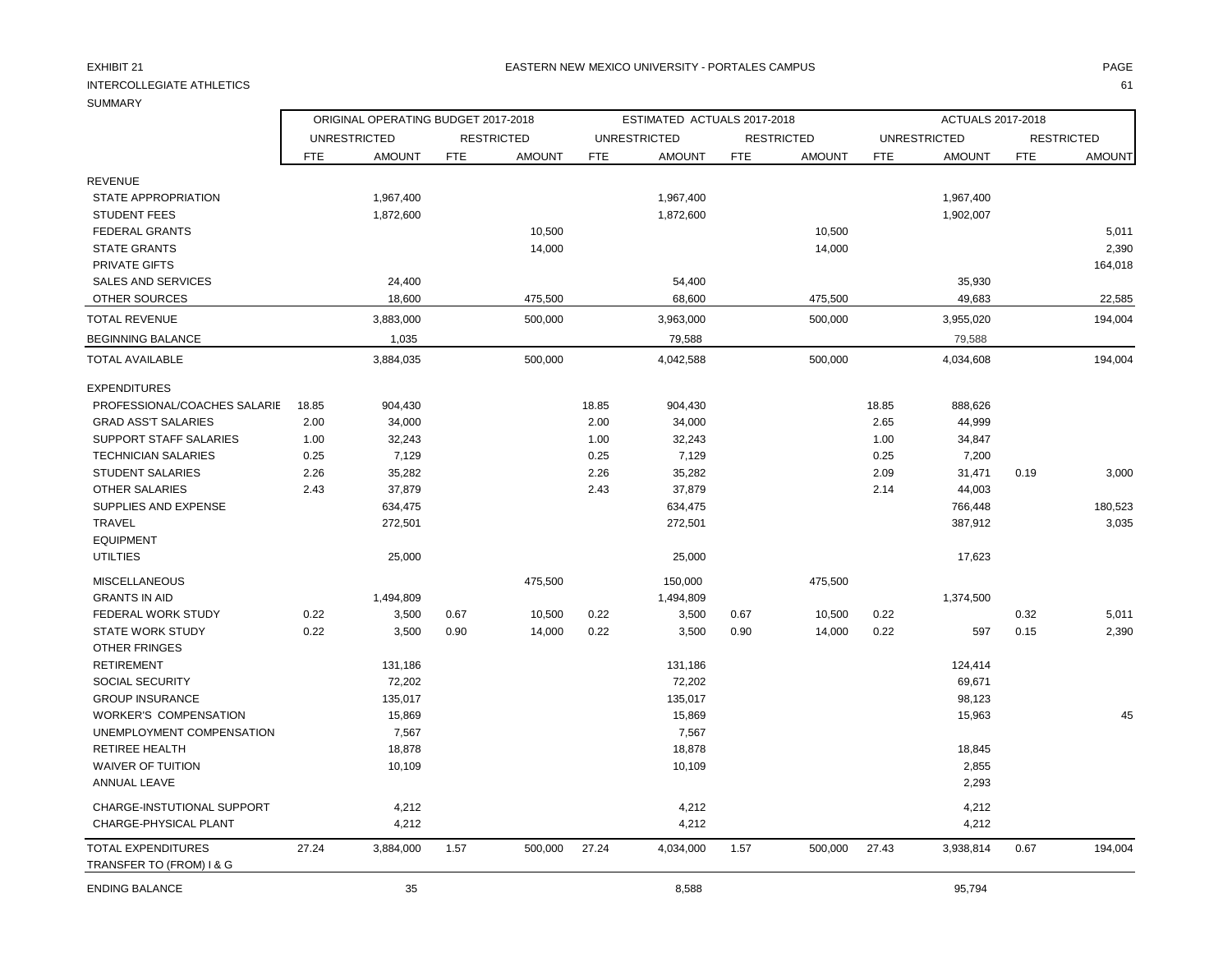### INTERCOLLEGIATE ATHLETICS 61

TRANSFER TO (FROM) I & G

### **SUMMARY**

REVENUE

ORIGINAL OPERATING BUDGET 2017-2018 ESTIMATED ACTUALS 2017-2018 ACTUALS 2017-2018

UNRESTRICTED RESTRICTED UNRESTRICTED RESTRICTED UNRESTRICTED RESTRICTED FTE AMOUNT FTE AMOUNT FTE AMOUNT FTE AMOUNT FTE AMOUNT FTE AMOUNT

| <b>STUDENT FEES</b>          |       | 1,872,600 |      |         |       | 1,872,600 |      |         |       | 1,902,007 |      |         |
|------------------------------|-------|-----------|------|---------|-------|-----------|------|---------|-------|-----------|------|---------|
| <b>FEDERAL GRANTS</b>        |       |           |      | 10,500  |       |           |      | 10,500  |       |           |      | 5,011   |
| <b>STATE GRANTS</b>          |       |           |      | 14,000  |       |           |      | 14,000  |       |           |      | 2,390   |
| PRIVATE GIFTS                |       |           |      |         |       |           |      |         |       |           |      | 164,018 |
| <b>SALES AND SERVICES</b>    |       | 24,400    |      |         |       | 54,400    |      |         |       | 35,930    |      |         |
| OTHER SOURCES                |       | 18,600    |      | 475,500 |       | 68,600    |      | 475,500 |       | 49,683    |      | 22,585  |
| <b>TOTAL REVENUE</b>         |       | 3,883,000 |      | 500,000 |       | 3,963,000 |      | 500,000 |       | 3,955,020 |      | 194,004 |
| <b>BEGINNING BALANCE</b>     |       | 1,035     |      |         |       | 79,588    |      |         |       | 79,588    |      |         |
| <b>TOTAL AVAILABLE</b>       |       | 3,884,035 |      | 500,000 |       | 4,042,588 |      | 500,000 |       | 4,034,608 |      | 194,004 |
| <b>EXPENDITURES</b>          |       |           |      |         |       |           |      |         |       |           |      |         |
| PROFESSIONAL/COACHES SALARIE | 18.85 | 904,430   |      |         | 18.85 | 904,430   |      |         | 18.85 | 888,626   |      |         |
| <b>GRAD ASS'T SALARIES</b>   | 2.00  | 34,000    |      |         | 2.00  | 34,000    |      |         | 2.65  | 44,999    |      |         |
| SUPPORT STAFF SALARIES       | 1.00  | 32,243    |      |         | 1.00  | 32,243    |      |         | 1.00  | 34,847    |      |         |
| <b>TECHNICIAN SALARIES</b>   | 0.25  | 7,129     |      |         | 0.25  | 7,129     |      |         | 0.25  | 7,200     |      |         |
| <b>STUDENT SALARIES</b>      | 2.26  | 35,282    |      |         | 2.26  | 35,282    |      |         | 2.09  | 31,471    | 0.19 | 3,000   |
| <b>OTHER SALARIES</b>        | 2.43  | 37,879    |      |         | 2.43  | 37,879    |      |         | 2.14  | 44,003    |      |         |
| SUPPLIES AND EXPENSE         |       | 634,475   |      |         |       | 634,475   |      |         |       | 766,448   |      | 180,523 |
| TRAVEL                       |       | 272,501   |      |         |       | 272,501   |      |         |       | 387,912   |      | 3,035   |
| <b>EQUIPMENT</b>             |       |           |      |         |       |           |      |         |       |           |      |         |
| <b>UTILTIES</b>              |       | 25,000    |      |         |       | 25,000    |      |         |       | 17,623    |      |         |
| <b>MISCELLANEOUS</b>         |       |           |      | 475,500 |       | 150,000   |      | 475,500 |       |           |      |         |
| <b>GRANTS IN AID</b>         |       | 1,494,809 |      |         |       | 1,494,809 |      |         |       | 1,374,500 |      |         |
| <b>FEDERAL WORK STUDY</b>    | 0.22  | 3,500     | 0.67 | 10,500  | 0.22  | 3,500     | 0.67 | 10,500  | 0.22  |           | 0.32 | 5,011   |
| <b>STATE WORK STUDY</b>      | 0.22  | 3,500     | 0.90 | 14,000  | 0.22  | 3,500     | 0.90 | 14,000  | 0.22  | 597       | 0.15 | 2,390   |
| <b>OTHER FRINGES</b>         |       |           |      |         |       |           |      |         |       |           |      |         |
| <b>RETIREMENT</b>            |       | 131,186   |      |         |       | 131,186   |      |         |       | 124,414   |      |         |
| SOCIAL SECURITY              |       | 72,202    |      |         |       | 72,202    |      |         |       | 69,671    |      |         |
| <b>GROUP INSURANCE</b>       |       | 135,017   |      |         |       | 135,017   |      |         |       | 98,123    |      |         |
| <b>WORKER'S COMPENSATION</b> |       | 15,869    |      |         |       | 15,869    |      |         |       | 15,963    |      | 45      |
| UNEMPLOYMENT COMPENSATION    |       | 7,567     |      |         |       | 7,567     |      |         |       |           |      |         |
| <b>RETIREE HEALTH</b>        |       | 18,878    |      |         |       | 18,878    |      |         |       | 18,845    |      |         |
| <b>WAIVER OF TUITION</b>     |       | 10,109    |      |         |       | 10,109    |      |         |       | 2,855     |      |         |
| <b>ANNUAL LEAVE</b>          |       |           |      |         |       |           |      |         |       | 2,293     |      |         |

TOTAL EXPENDITURES 27.24 3,884,000 1.57 500,000 27.24 4,034,000 1.57 500,000 27.43 3,938,814 0.67 194,004

STATE APPROPRIATION 1,967,400 1,967,400 1,967,400 1,967,400 1,967,400 1,967,400 1,967,400 1,967,400 1,967,400

 CHARGE-INSTUTIONAL SUPPORT 4,212 4,212 4,212 CHARGE-PHYSICAL PLANT 4,212 4,212 4,212

ENDING BALANCE 35 8,588 95,794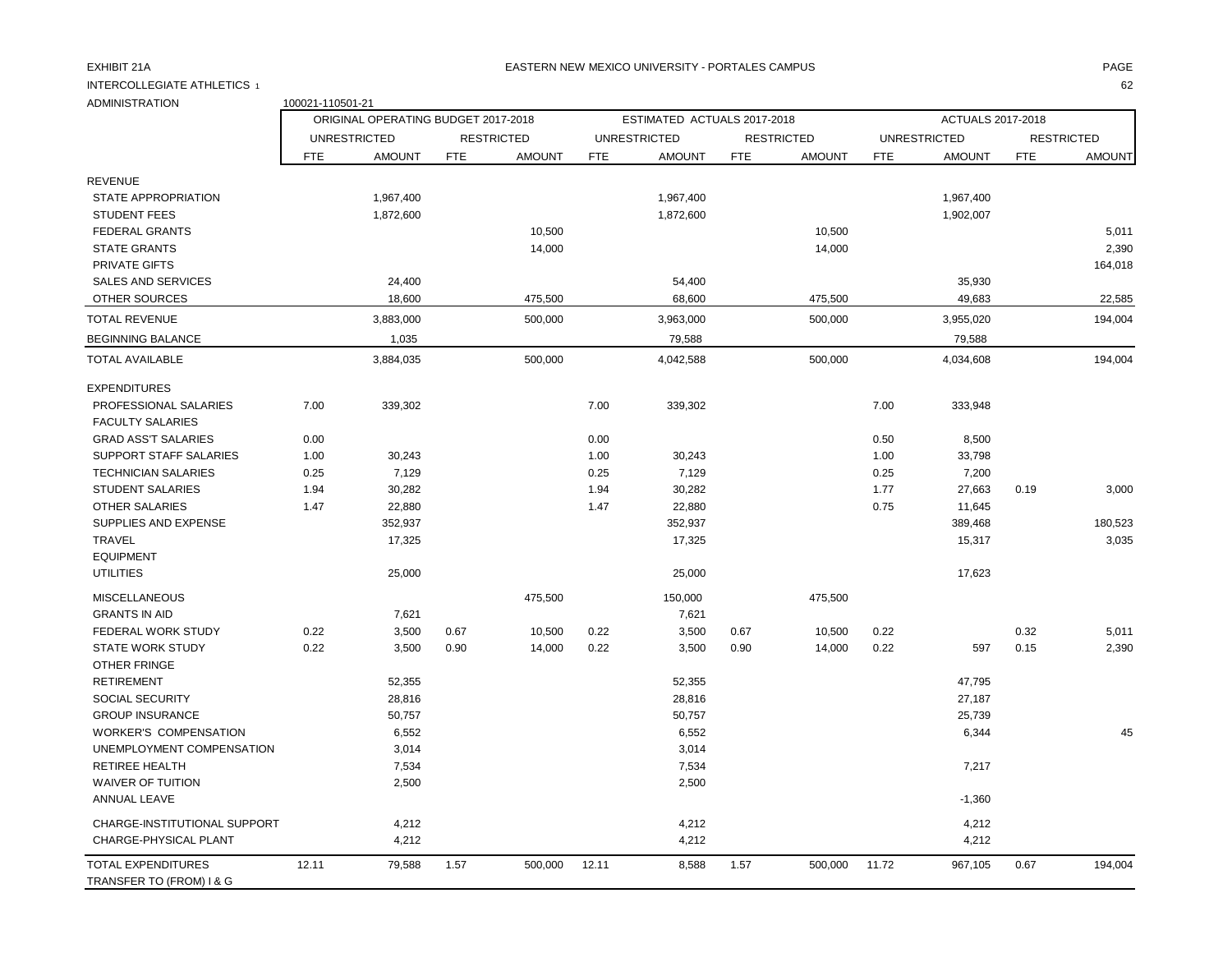#### EXHIBIT 21A PAGE NA BATERN NEW MEXICO UNIVERSITY - PORTALES CAMPUS AND THE RESERVENT OF PAGE AND THE RESERVENT.

INTERCOLLEGIATE ATHLETICS 1 62

| ADMINISTRATION                                        | 100021-110501-21 |                                     |            |                   |            |                             |            |                   |            |                     |            |                   |
|-------------------------------------------------------|------------------|-------------------------------------|------------|-------------------|------------|-----------------------------|------------|-------------------|------------|---------------------|------------|-------------------|
|                                                       |                  | ORIGINAL OPERATING BUDGET 2017-2018 |            |                   |            | ESTIMATED ACTUALS 2017-2018 |            |                   |            | ACTUALS 2017-2018   |            |                   |
|                                                       |                  | <b>UNRESTRICTED</b>                 |            | <b>RESTRICTED</b> |            | <b>UNRESTRICTED</b>         |            | <b>RESTRICTED</b> |            | <b>UNRESTRICTED</b> |            | <b>RESTRICTED</b> |
|                                                       | <b>FTE</b>       | <b>AMOUNT</b>                       | <b>FTE</b> | <b>AMOUNT</b>     | <b>FTE</b> | <b>AMOUNT</b>               | <b>FTE</b> | <b>AMOUNT</b>     | <b>FTE</b> | <b>AMOUNT</b>       | <b>FTE</b> | <b>AMOUNT</b>     |
| <b>REVENUE</b>                                        |                  |                                     |            |                   |            |                             |            |                   |            |                     |            |                   |
| STATE APPROPRIATION                                   |                  | 1,967,400                           |            |                   |            | 1,967,400                   |            |                   |            | 1,967,400           |            |                   |
| <b>STUDENT FEES</b>                                   |                  | 1,872,600                           |            |                   |            | 1,872,600                   |            |                   |            | 1,902,007           |            |                   |
| <b>FEDERAL GRANTS</b>                                 |                  |                                     |            | 10,500            |            |                             |            | 10,500            |            |                     |            | 5,011             |
| <b>STATE GRANTS</b>                                   |                  |                                     |            | 14,000            |            |                             |            | 14,000            |            |                     |            | 2,390             |
| <b>PRIVATE GIFTS</b>                                  |                  |                                     |            |                   |            |                             |            |                   |            |                     |            | 164,018           |
| <b>SALES AND SERVICES</b>                             |                  | 24,400                              |            |                   |            | 54,400                      |            |                   |            | 35,930              |            |                   |
| OTHER SOURCES                                         |                  | 18,600                              |            | 475,500           |            | 68,600                      |            | 475,500           |            | 49,683              |            | 22,585            |
| <b>TOTAL REVENUE</b>                                  |                  | 3,883,000                           |            | 500,000           |            | 3,963,000                   |            | 500,000           |            | 3,955,020           |            | 194,004           |
| <b>BEGINNING BALANCE</b>                              |                  | 1,035                               |            |                   |            | 79,588                      |            |                   |            | 79,588              |            |                   |
| <b>TOTAL AVAILABLE</b>                                |                  | 3,884,035                           |            | 500,000           |            | 4,042,588                   |            | 500,000           |            | 4,034,608           |            | 194,004           |
| <b>EXPENDITURES</b>                                   |                  |                                     |            |                   |            |                             |            |                   |            |                     |            |                   |
| PROFESSIONAL SALARIES                                 | 7.00             | 339,302                             |            |                   | 7.00       | 339,302                     |            |                   | 7.00       | 333,948             |            |                   |
| <b>FACULTY SALARIES</b>                               |                  |                                     |            |                   |            |                             |            |                   |            |                     |            |                   |
| <b>GRAD ASS'T SALARIES</b>                            | 0.00             |                                     |            |                   | 0.00       |                             |            |                   | 0.50       | 8,500               |            |                   |
| SUPPORT STAFF SALARIES                                | 1.00             | 30,243                              |            |                   | 1.00       | 30,243                      |            |                   | 1.00       | 33,798              |            |                   |
| <b>TECHNICIAN SALARIES</b>                            | 0.25             | 7,129                               |            |                   | 0.25       | 7,129                       |            |                   | 0.25       | 7,200               |            |                   |
| <b>STUDENT SALARIES</b>                               | 1.94             | 30,282                              |            |                   | 1.94       | 30,282                      |            |                   | 1.77       | 27,663              | 0.19       | 3,000             |
| <b>OTHER SALARIES</b>                                 | 1.47             | 22,880                              |            |                   | 1.47       | 22,880                      |            |                   | 0.75       | 11,645              |            |                   |
| SUPPLIES AND EXPENSE                                  |                  | 352,937                             |            |                   |            | 352,937                     |            |                   |            | 389,468             |            | 180,523           |
| <b>TRAVEL</b>                                         |                  | 17,325                              |            |                   |            | 17,325                      |            |                   |            | 15,317              |            | 3,035             |
| <b>EQUIPMENT</b>                                      |                  |                                     |            |                   |            |                             |            |                   |            |                     |            |                   |
| <b>UTILITIES</b>                                      |                  | 25,000                              |            |                   |            | 25,000                      |            |                   |            | 17,623              |            |                   |
| <b>MISCELLANEOUS</b>                                  |                  |                                     |            | 475,500           |            | 150,000                     |            | 475,500           |            |                     |            |                   |
| <b>GRANTS IN AID</b>                                  |                  | 7,621                               |            |                   |            | 7,621                       |            |                   |            |                     |            |                   |
| FEDERAL WORK STUDY                                    | 0.22             | 3,500                               | 0.67       | 10,500            | 0.22       | 3,500                       | 0.67       | 10,500            | 0.22       |                     | 0.32       | 5,011             |
| <b>STATE WORK STUDY</b>                               | 0.22             | 3,500                               | 0.90       | 14,000            | 0.22       | 3,500                       | 0.90       | 14,000            | 0.22       | 597                 | 0.15       | 2,390             |
| <b>OTHER FRINGE</b>                                   |                  |                                     |            |                   |            |                             |            |                   |            |                     |            |                   |
| <b>RETIREMENT</b>                                     |                  | 52,355                              |            |                   |            | 52,355                      |            |                   |            | 47,795              |            |                   |
| SOCIAL SECURITY                                       |                  | 28,816                              |            |                   |            | 28,816                      |            |                   |            | 27,187              |            |                   |
| <b>GROUP INSURANCE</b>                                |                  | 50,757                              |            |                   |            | 50,757                      |            |                   |            | 25,739              |            |                   |
| <b>WORKER'S COMPENSATION</b>                          |                  | 6,552                               |            |                   |            | 6,552                       |            |                   |            | 6,344               |            | 45                |
| UNEMPLOYMENT COMPENSATION                             |                  | 3,014                               |            |                   |            | 3,014                       |            |                   |            |                     |            |                   |
| <b>RETIREE HEALTH</b>                                 |                  | 7,534                               |            |                   |            | 7,534                       |            |                   |            | 7,217               |            |                   |
| <b>WAIVER OF TUITION</b>                              |                  | 2,500                               |            |                   |            | 2,500                       |            |                   |            |                     |            |                   |
| ANNUAL LEAVE                                          |                  |                                     |            |                   |            |                             |            |                   |            | $-1,360$            |            |                   |
| CHARGE-INSTITUTIONAL SUPPORT                          |                  | 4,212                               |            |                   |            | 4,212                       |            |                   |            | 4,212               |            |                   |
| CHARGE-PHYSICAL PLANT                                 |                  | 4,212                               |            |                   |            | 4,212                       |            |                   |            | 4,212               |            |                   |
| <b>TOTAL EXPENDITURES</b><br>TRANSFER TO (FROM) I & G | 12.11            | 79,588                              | 1.57       | 500,000           | 12.11      | 8,588                       | 1.57       | 500,000           | 11.72      | 967,105             | 0.67       | 194,004           |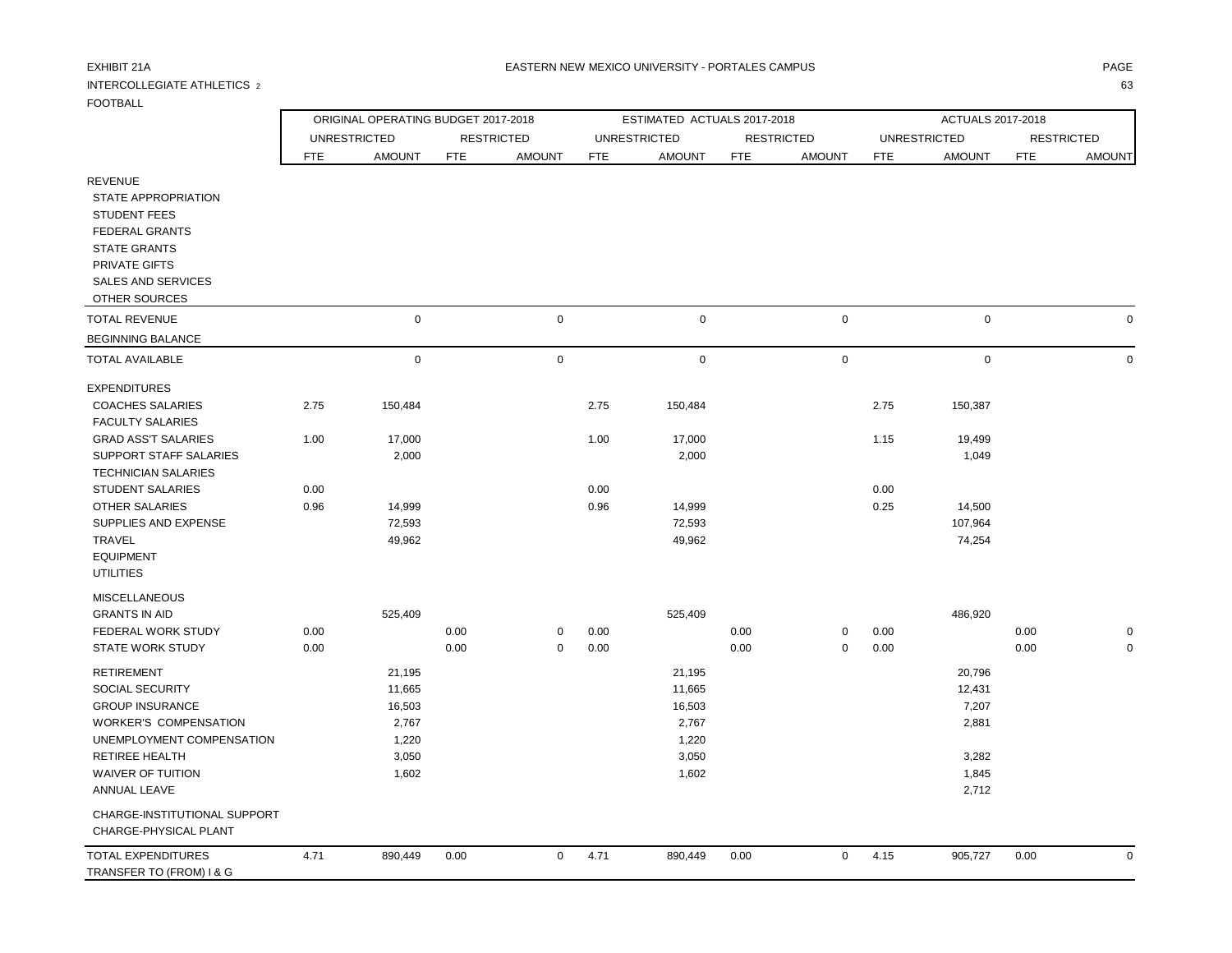## INTERCOLLEGIATE ATHLETICS 2 63

 CHARGE-INSTITUTIONAL SUPPORT CHARGE-PHYSICAL PLANT

TRANSFER TO (FROM) I & G

## FOOTBALL

ORIGINAL OPERATING BUDGET 2017-2018 ESTIMATED ACTUALS 2017-2018 ACTUALS 2017-2018

|                                      |            | UNRESTRICTED  |            | RESTRICTED    |            | <b>UNRESTRICTED</b> |            | <b>RESTRICTED</b> |            | UNRESTRICTED  |            | <b>RESTRICTED</b> |
|--------------------------------------|------------|---------------|------------|---------------|------------|---------------------|------------|-------------------|------------|---------------|------------|-------------------|
|                                      | <b>FTE</b> | <b>AMOUNT</b> | <b>FTE</b> | <b>AMOUNT</b> | <b>FTE</b> | <b>AMOUNT</b>       | <b>FTE</b> | <b>AMOUNT</b>     | <b>FTE</b> | <b>AMOUNT</b> | <b>FTE</b> | <b>AMOUNT</b>     |
| <b>REVENUE</b>                       |            |               |            |               |            |                     |            |                   |            |               |            |                   |
| STATE APPROPRIATION                  |            |               |            |               |            |                     |            |                   |            |               |            |                   |
| <b>STUDENT FEES</b>                  |            |               |            |               |            |                     |            |                   |            |               |            |                   |
| <b>FEDERAL GRANTS</b>                |            |               |            |               |            |                     |            |                   |            |               |            |                   |
| <b>STATE GRANTS</b>                  |            |               |            |               |            |                     |            |                   |            |               |            |                   |
| PRIVATE GIFTS                        |            |               |            |               |            |                     |            |                   |            |               |            |                   |
| <b>SALES AND SERVICES</b>            |            |               |            |               |            |                     |            |                   |            |               |            |                   |
| OTHER SOURCES                        |            |               |            |               |            |                     |            |                   |            |               |            |                   |
| <b>TOTAL REVENUE</b>                 |            | 0             |            | $\mathbf 0$   |            | $\mathbf 0$         |            | 0                 |            | $\mathbf 0$   |            |                   |
| <b>BEGINNING BALANCE</b>             |            |               |            |               |            |                     |            |                   |            |               |            |                   |
| <b>TOTAL AVAILABLE</b>               |            | 0             |            | $\mathbf 0$   |            | $\mathbf 0$         |            | $\mathbf 0$       |            | $\mathbf 0$   |            |                   |
| <b>EXPENDITURES</b>                  |            |               |            |               |            |                     |            |                   |            |               |            |                   |
| <b>COACHES SALARIES</b>              | 2.75       | 150,484       |            |               | 2.75       | 150,484             |            |                   | 2.75       | 150,387       |            |                   |
| <b>FACULTY SALARIES</b>              |            |               |            |               |            |                     |            |                   |            |               |            |                   |
| <b>GRAD ASS'T SALARIES</b>           | 1.00       | 17,000        |            |               | 1.00       | 17,000              |            |                   | 1.15       | 19,499        |            |                   |
| SUPPORT STAFF SALARIES               |            | 2,000         |            |               |            | 2,000               |            |                   |            | 1,049         |            |                   |
| <b>TECHNICIAN SALARIES</b>           |            |               |            |               |            |                     |            |                   |            |               |            |                   |
| <b>STUDENT SALARIES</b>              | 0.00       |               |            |               | 0.00       |                     |            |                   | 0.00       |               |            |                   |
| <b>OTHER SALARIES</b>                | 0.96       | 14,999        |            |               | 0.96       | 14,999              |            |                   | 0.25       | 14,500        |            |                   |
| SUPPLIES AND EXPENSE                 |            | 72,593        |            |               |            | 72,593              |            |                   |            | 107,964       |            |                   |
| <b>TRAVEL</b>                        |            | 49,962        |            |               |            | 49,962              |            |                   |            | 74,254        |            |                   |
| <b>EQUIPMENT</b><br><b>UTILITIES</b> |            |               |            |               |            |                     |            |                   |            |               |            |                   |
| <b>MISCELLANEOUS</b>                 |            |               |            |               |            |                     |            |                   |            |               |            |                   |
| <b>GRANTS IN AID</b>                 |            | 525,409       |            |               |            | 525,409             |            |                   |            | 486,920       |            |                   |
| <b>FEDERAL WORK STUDY</b>            | 0.00       |               | 0.00       | $\mathsf 0$   | 0.00       |                     | 0.00       | $\mathbf 0$       | 0.00       |               | 0.00       |                   |
| <b>STATE WORK STUDY</b>              | 0.00       |               | 0.00       | $\mathbf 0$   | 0.00       |                     | 0.00       | 0                 | 0.00       |               | 0.00       |                   |
| <b>RETIREMENT</b>                    |            | 21,195        |            |               |            | 21,195              |            |                   |            | 20,796        |            |                   |
| <b>SOCIAL SECURITY</b>               |            | 11,665        |            |               |            | 11,665              |            |                   |            | 12,431        |            |                   |
| <b>GROUP INSURANCE</b>               |            | 16,503        |            |               |            | 16,503              |            |                   |            | 7,207         |            |                   |
| <b>WORKER'S COMPENSATION</b>         |            | 2,767         |            |               |            | 2,767               |            |                   |            | 2,881         |            |                   |
| UNEMPLOYMENT COMPENSATION            |            | 1.220         |            |               |            | 1.220               |            |                   |            |               |            |                   |

 RETIREE HEALTH 3,050 3,050 3,282 WAIVER OF TUITION 1,845 ANNUAL LEAVE 2,712

TOTAL EXPENDITURES 4.71 890,449 0.00 0 4.71 890,449 0.00 0 4.15 905,727 0.00 0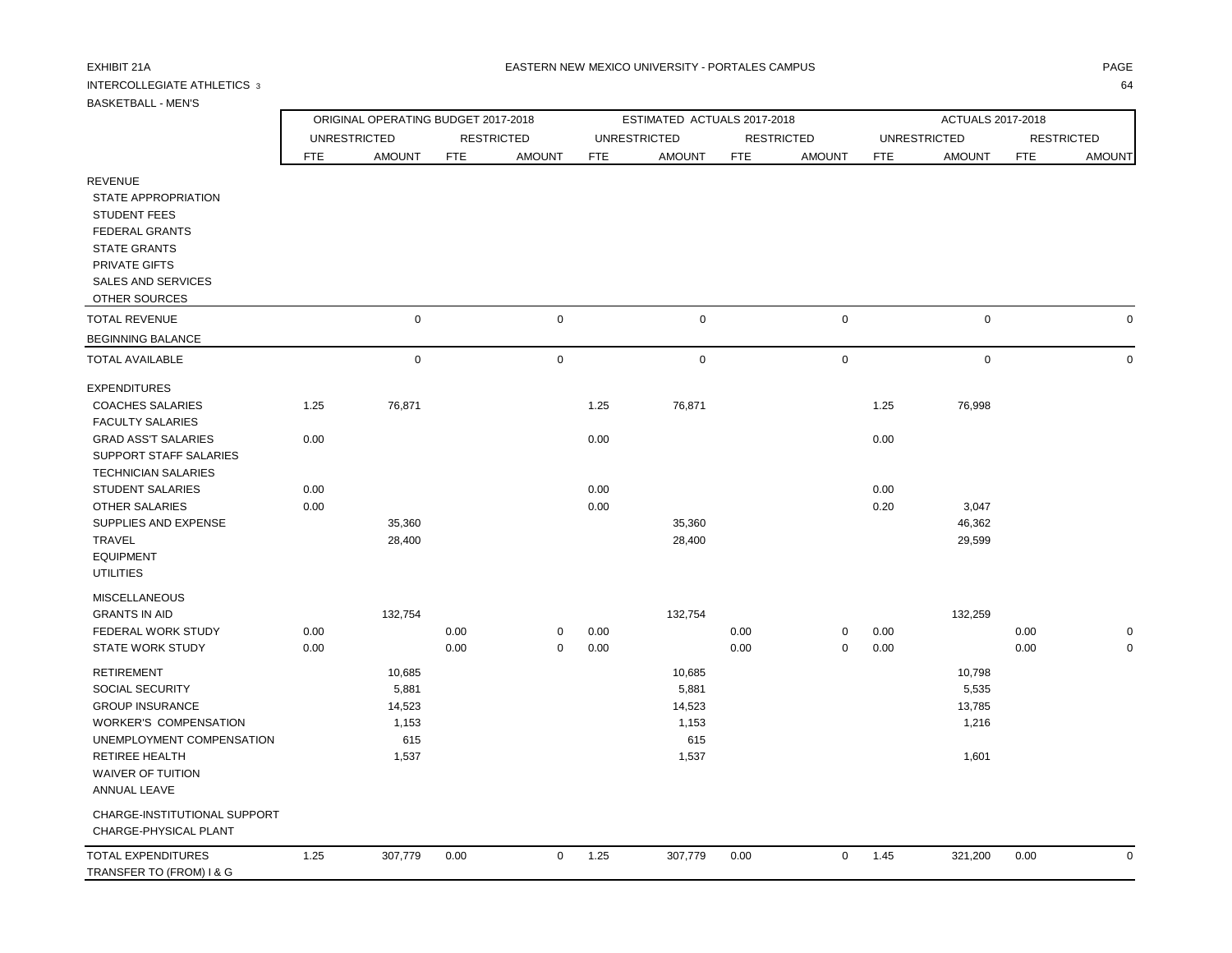### INTERCOLLEGIATE ATHLETICS 3 64

|                               |            | ORIGINAL OPERATING BUDGET 2017-2018 |            |                   |            | ESTIMATED ACTUALS 2017-2018 |            |                   |            | ACTUALS 2017-2018   |            |                   |
|-------------------------------|------------|-------------------------------------|------------|-------------------|------------|-----------------------------|------------|-------------------|------------|---------------------|------------|-------------------|
|                               |            | <b>UNRESTRICTED</b>                 |            | <b>RESTRICTED</b> |            | <b>UNRESTRICTED</b>         |            | <b>RESTRICTED</b> |            | <b>UNRESTRICTED</b> |            | <b>RESTRICTED</b> |
|                               | <b>FTE</b> | <b>AMOUNT</b>                       | <b>FTE</b> | <b>AMOUNT</b>     | <b>FTE</b> | <b>AMOUNT</b>               | <b>FTE</b> | <b>AMOUNT</b>     | <b>FTE</b> | <b>AMOUNT</b>       | <b>FTE</b> | <b>AMOUNT</b>     |
| <b>REVENUE</b>                |            |                                     |            |                   |            |                             |            |                   |            |                     |            |                   |
| STATE APPROPRIATION           |            |                                     |            |                   |            |                             |            |                   |            |                     |            |                   |
| <b>STUDENT FEES</b>           |            |                                     |            |                   |            |                             |            |                   |            |                     |            |                   |
| <b>FEDERAL GRANTS</b>         |            |                                     |            |                   |            |                             |            |                   |            |                     |            |                   |
| <b>STATE GRANTS</b>           |            |                                     |            |                   |            |                             |            |                   |            |                     |            |                   |
| PRIVATE GIFTS                 |            |                                     |            |                   |            |                             |            |                   |            |                     |            |                   |
| SALES AND SERVICES            |            |                                     |            |                   |            |                             |            |                   |            |                     |            |                   |
| OTHER SOURCES                 |            |                                     |            |                   |            |                             |            |                   |            |                     |            |                   |
| <b>TOTAL REVENUE</b>          |            | $\mathbf 0$                         |            | 0                 |            | $\mathbf 0$                 |            | $\mathbf 0$       |            | $\mathbf 0$         |            | 0                 |
| <b>BEGINNING BALANCE</b>      |            |                                     |            |                   |            |                             |            |                   |            |                     |            |                   |
| <b>TOTAL AVAILABLE</b>        |            | $\mathbf 0$                         |            | $\mathbf 0$       |            | 0                           |            | $\mathbf 0$       |            | 0                   |            | $\mathbf 0$       |
| <b>EXPENDITURES</b>           |            |                                     |            |                   |            |                             |            |                   |            |                     |            |                   |
| <b>COACHES SALARIES</b>       | 1.25       | 76,871                              |            |                   | 1.25       | 76,871                      |            |                   | 1.25       | 76,998              |            |                   |
| <b>FACULTY SALARIES</b>       |            |                                     |            |                   |            |                             |            |                   |            |                     |            |                   |
| <b>GRAD ASS'T SALARIES</b>    | 0.00       |                                     |            |                   | 0.00       |                             |            |                   | 0.00       |                     |            |                   |
| <b>SUPPORT STAFF SALARIES</b> |            |                                     |            |                   |            |                             |            |                   |            |                     |            |                   |
| <b>TECHNICIAN SALARIES</b>    |            |                                     |            |                   |            |                             |            |                   |            |                     |            |                   |
| <b>STUDENT SALARIES</b>       | 0.00       |                                     |            |                   | 0.00       |                             |            |                   | 0.00       |                     |            |                   |
| <b>OTHER SALARIES</b>         | 0.00       |                                     |            |                   | 0.00       |                             |            |                   | 0.20       | 3,047               |            |                   |
| SUPPLIES AND EXPENSE          |            | 35,360                              |            |                   |            | 35,360                      |            |                   |            | 46,362              |            |                   |
| <b>TRAVEL</b>                 |            | 28,400                              |            |                   |            | 28,400                      |            |                   |            | 29,599              |            |                   |
| <b>EQUIPMENT</b>              |            |                                     |            |                   |            |                             |            |                   |            |                     |            |                   |
| <b>UTILITIES</b>              |            |                                     |            |                   |            |                             |            |                   |            |                     |            |                   |

| <b>MISCELLANEOUS</b>         |      |         |      |          |      |         |      |   |      |         |      |             |
|------------------------------|------|---------|------|----------|------|---------|------|---|------|---------|------|-------------|
| <b>GRANTS IN AID</b>         |      | 132,754 |      |          |      | 132,754 |      |   |      | 132,259 |      |             |
| <b>FEDERAL WORK STUDY</b>    | 0.00 |         | 0.00 | 0        | 0.00 |         | 0.00 | 0 | 0.00 |         | 0.00 | 0           |
| <b>STATE WORK STUDY</b>      | 0.00 |         | 0.00 | 0        | 0.00 |         | 0.00 | 0 | 0.00 |         | 0.00 | 0           |
| <b>RETIREMENT</b>            |      | 10,685  |      |          |      | 10,685  |      |   |      | 10,798  |      |             |
| SOCIAL SECURITY              |      | 5,881   |      |          |      | 5,881   |      |   |      | 5,535   |      |             |
| <b>GROUP INSURANCE</b>       |      | 14,523  |      |          |      | 14,523  |      |   |      | 13,785  |      |             |
| <b>WORKER'S COMPENSATION</b> |      | 1,153   |      |          |      | 1,153   |      |   |      | 1,216   |      |             |
| UNEMPLOYMENT COMPENSATION    |      | 615     |      |          |      | 615     |      |   |      |         |      |             |
| RETIREE HEALTH               |      | 1,537   |      |          |      | 1,537   |      |   |      | 1,601   |      |             |
| WAIVER OF TUITION            |      |         |      |          |      |         |      |   |      |         |      |             |
| ANNUAL LEAVE                 |      |         |      |          |      |         |      |   |      |         |      |             |
| CHARGE-INSTITUTIONAL SUPPORT |      |         |      |          |      |         |      |   |      |         |      |             |
| CHARGE-PHYSICAL PLANT        |      |         |      |          |      |         |      |   |      |         |      |             |
| TOTAL EXPENDITURES           | 1.25 | 307,779 | 0.00 | $\Omega$ | 1.25 | 307,779 | 0.00 | 0 | 1.45 | 321,200 | 0.00 | $\mathbf 0$ |
| TRANSFER TO (FROM) I & G     |      |         |      |          |      |         |      |   |      |         |      |             |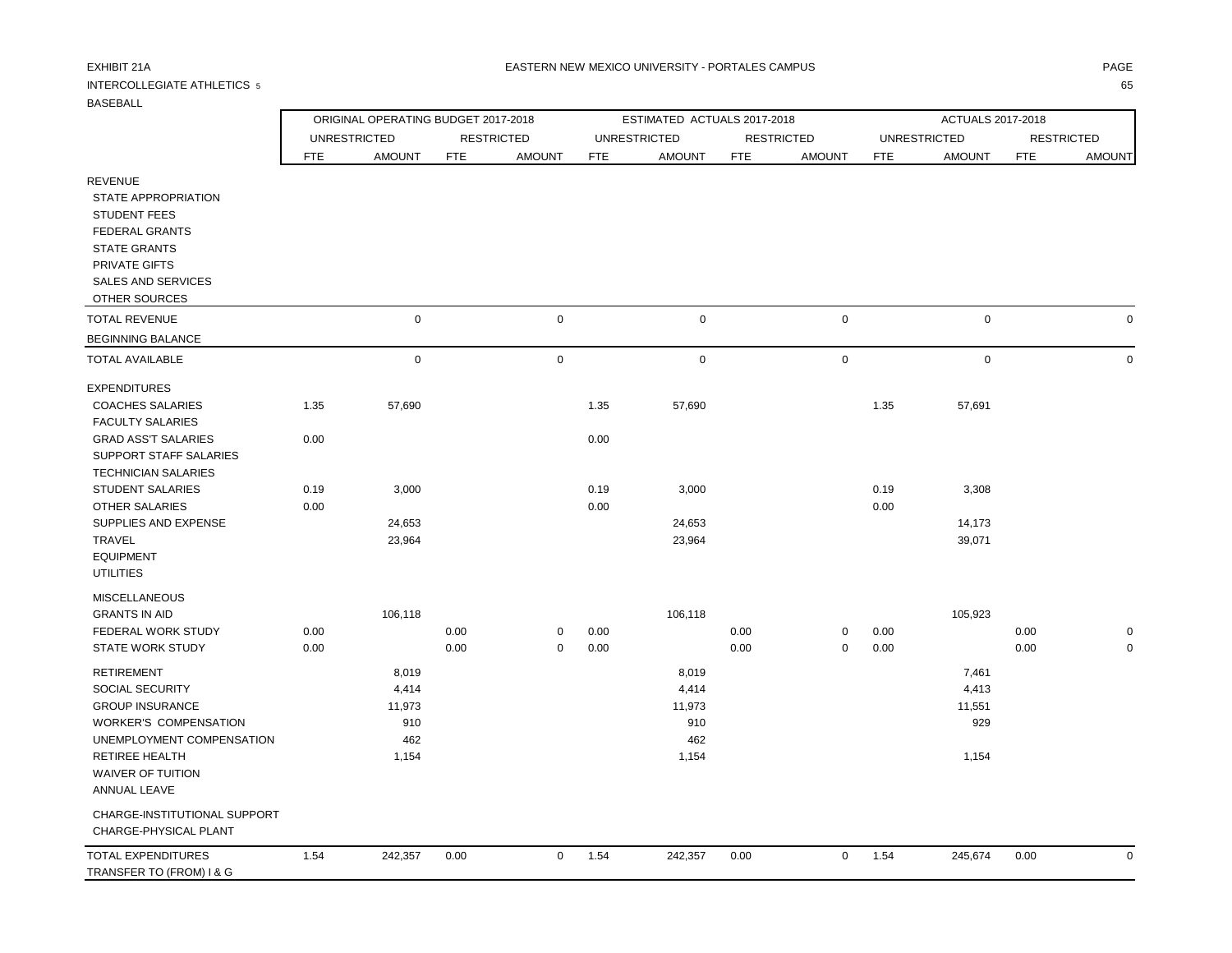WAIVER OF TUITION ANNUAL LEAVE

 CHARGE-INSTITUTIONAL SUPPORT CHARGE-PHYSICAL PLANT TOTAL EXPENDITURES TRANSFER TO (FROM) I & G

## INTERCOLLEGIATE ATHLETICS 5 65

ORIGINAL OPERATING BUDGET 2017-2018 ESTIMATED ACTUALS 2017-2018 ACTUALS 2017-2018

|                                                                                                                                                                                                                                                                                               |                              | <b>UNRESTRICTED</b>                 |              | <b>RESTRICTED</b> |                              | <b>UNRESTRICTED</b>                 |              | <b>RESTRICTED</b>          |                      | <b>UNRESTRICTED</b>                 |              | <b>RESTRICTED</b> |
|-----------------------------------------------------------------------------------------------------------------------------------------------------------------------------------------------------------------------------------------------------------------------------------------------|------------------------------|-------------------------------------|--------------|-------------------|------------------------------|-------------------------------------|--------------|----------------------------|----------------------|-------------------------------------|--------------|-------------------|
|                                                                                                                                                                                                                                                                                               | <b>FTE</b>                   | <b>AMOUNT</b>                       | <b>FTE</b>   | <b>AMOUNT</b>     | <b>FTE</b>                   | <b>AMOUNT</b>                       | <b>FTE</b>   | <b>AMOUNT</b>              | <b>FTE</b>           | <b>AMOUNT</b>                       | <b>FTE</b>   | <b>AMOUNT</b>     |
| <b>REVENUE</b><br><b>STATE APPROPRIATION</b><br><b>STUDENT FEES</b><br><b>FEDERAL GRANTS</b><br><b>STATE GRANTS</b><br>PRIVATE GIFTS<br>SALES AND SERVICES<br>OTHER SOURCES                                                                                                                   |                              |                                     |              |                   |                              |                                     |              |                            |                      |                                     |              |                   |
| <b>TOTAL REVENUE</b>                                                                                                                                                                                                                                                                          |                              | $\mathsf 0$                         |              | 0                 |                              | $\mathbf 0$                         |              | $\mathsf 0$                |                      | $\mathbf 0$                         |              |                   |
| <b>BEGINNING BALANCE</b>                                                                                                                                                                                                                                                                      |                              |                                     |              |                   |                              |                                     |              |                            |                      |                                     |              |                   |
| <b>TOTAL AVAILABLE</b>                                                                                                                                                                                                                                                                        |                              | $\mathbf 0$                         |              | $\mathsf 0$       |                              | $\mathbf 0$                         |              | $\mathsf 0$                |                      | $\mathbf 0$                         |              | $\Omega$          |
| <b>EXPENDITURES</b><br><b>COACHES SALARIES</b><br><b>FACULTY SALARIES</b><br><b>GRAD ASS'T SALARIES</b><br>SUPPORT STAFF SALARIES<br><b>TECHNICIAN SALARIES</b><br><b>STUDENT SALARIES</b><br>OTHER SALARIES<br>SUPPLIES AND EXPENSE<br><b>TRAVEL</b><br><b>EQUIPMENT</b><br><b>UTILITIES</b> | 1.35<br>0.00<br>0.19<br>0.00 | 57,690<br>3,000<br>24,653<br>23,964 |              |                   | 1.35<br>0.00<br>0.19<br>0.00 | 57,690<br>3,000<br>24,653<br>23,964 |              |                            | 1.35<br>0.19<br>0.00 | 57,691<br>3,308<br>14,173<br>39,071 |              |                   |
| <b>MISCELLANEOUS</b><br><b>GRANTS IN AID</b><br>FEDERAL WORK STUDY<br><b>STATE WORK STUDY</b><br><b>RETIREMENT</b><br>SOCIAL SECURITY                                                                                                                                                         | 0.00<br>0.00                 | 106,118<br>8,019<br>4,414           | 0.00<br>0.00 | 0<br>0            | 0.00<br>0.00                 | 106,118<br>8,019<br>4,414           | 0.00<br>0.00 | $\mathbf 0$<br>$\mathbf 0$ | 0.00<br>0.00         | 105,923<br>7,461<br>4,413           | 0.00<br>0.00 |                   |
| <b>GROUP INSURANCE</b><br><b>WORKER'S COMPENSATION</b>                                                                                                                                                                                                                                        |                              | 11,973<br>910                       |              |                   |                              | 11,973<br>910                       |              |                            |                      | 11,551<br>929                       |              |                   |

RETIREE HEALTH 1,154 1,154 1,154

UNEMPLOYMENT COMPENSATION 462 462

| 1.54<br>0.00<br>245,674<br>.357<br>ר גר<br>0.00<br>0.00<br>242,35<br>1.54<br>54، ،<br>242<br>$\sim$ $\sim$ $\sim$<br>$\sim$ $\sim$<br>.<br>$\sim$ $\sim$ $\sim$<br>.<br>.<br>$\sim$ $\sim$ $\sim$ |  |  |  |  |  |  |  |
|---------------------------------------------------------------------------------------------------------------------------------------------------------------------------------------------------|--|--|--|--|--|--|--|
|                                                                                                                                                                                                   |  |  |  |  |  |  |  |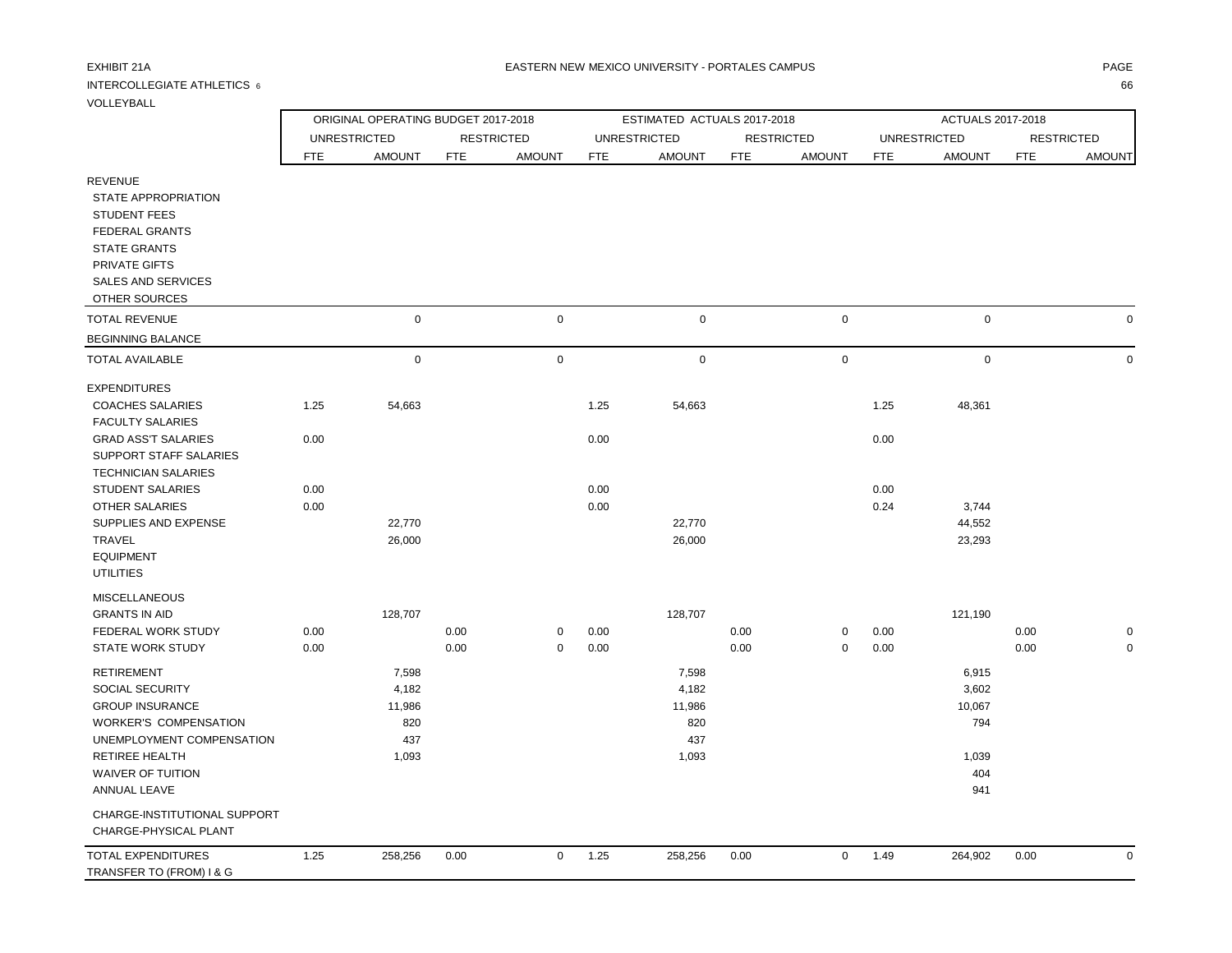## INTERCOLLEGIATE ATHLETICS  $\,$  6  $\,$  666  $\,$  666  $\,$  666  $\,$  666  $\,$  666  $\,$  666  $\,$  666  $\,$  666  $\,$  666  $\,$  665  $\,$  667  $\,$  671  $\,$  671  $\,$  671  $\,$  671  $\,$  671  $\,$  671  $\,$  671  $\,$  671  $\,$  671  $\,$  671

VOLLEYBALL

|                            |      | ORIGINAL OPERATING BUDGET 2017-2018 |            |                   |            | ESTIMATED ACTUALS 2017-2018 |            |                   |            | ACTUALS 2017-2018   |            |                   |
|----------------------------|------|-------------------------------------|------------|-------------------|------------|-----------------------------|------------|-------------------|------------|---------------------|------------|-------------------|
|                            |      | <b>UNRESTRICTED</b>                 |            | <b>RESTRICTED</b> |            | <b>UNRESTRICTED</b>         |            | <b>RESTRICTED</b> |            | <b>UNRESTRICTED</b> |            | <b>RESTRICTED</b> |
|                            | FTE  | <b>AMOUNT</b>                       | <b>FTE</b> | <b>AMOUNT</b>     | <b>FTE</b> | <b>AMOUNT</b>               | <b>FTE</b> | <b>AMOUNT</b>     | <b>FTE</b> | <b>AMOUNT</b>       | <b>FTE</b> | <b>AMOUNT</b>     |
| <b>REVENUE</b>             |      |                                     |            |                   |            |                             |            |                   |            |                     |            |                   |
| STATE APPROPRIATION        |      |                                     |            |                   |            |                             |            |                   |            |                     |            |                   |
| <b>STUDENT FEES</b>        |      |                                     |            |                   |            |                             |            |                   |            |                     |            |                   |
| <b>FEDERAL GRANTS</b>      |      |                                     |            |                   |            |                             |            |                   |            |                     |            |                   |
| <b>STATE GRANTS</b>        |      |                                     |            |                   |            |                             |            |                   |            |                     |            |                   |
| PRIVATE GIFTS              |      |                                     |            |                   |            |                             |            |                   |            |                     |            |                   |
| <b>SALES AND SERVICES</b>  |      |                                     |            |                   |            |                             |            |                   |            |                     |            |                   |
| OTHER SOURCES              |      |                                     |            |                   |            |                             |            |                   |            |                     |            |                   |
| <b>TOTAL REVENUE</b>       |      | $\mathbf 0$                         |            | $\mathsf 0$       |            | $\mathbf 0$                 |            | $\mathbf 0$       |            | $\mathbf 0$         |            |                   |
| <b>BEGINNING BALANCE</b>   |      |                                     |            |                   |            |                             |            |                   |            |                     |            |                   |
| <b>TOTAL AVAILABLE</b>     |      | $\mathbf 0$                         |            | $\mathbf 0$       |            | $\mathbf 0$                 |            | $\mathbf 0$       |            | $\mathbf 0$         |            |                   |
| <b>EXPENDITURES</b>        |      |                                     |            |                   |            |                             |            |                   |            |                     |            |                   |
| <b>COACHES SALARIES</b>    | 1.25 | 54,663                              |            |                   | 1.25       | 54,663                      |            |                   | 1.25       | 48,361              |            |                   |
| <b>FACULTY SALARIES</b>    |      |                                     |            |                   |            |                             |            |                   |            |                     |            |                   |
| <b>GRAD ASS'T SALARIES</b> | 0.00 |                                     |            |                   | 0.00       |                             |            |                   | 0.00       |                     |            |                   |
| SUPPORT STAFF SALARIES     |      |                                     |            |                   |            |                             |            |                   |            |                     |            |                   |
| <b>TECHNICIAN SALARIES</b> |      |                                     |            |                   |            |                             |            |                   |            |                     |            |                   |
| <b>STUDENT SALARIES</b>    | 0.00 |                                     |            |                   | 0.00       |                             |            |                   | 0.00       |                     |            |                   |
| OTHER SALARIES             | 0.00 |                                     |            |                   | 0.00       |                             |            |                   | 0.24       | 3,744               |            |                   |
| SUPPLIES AND EXPENSE       |      | 22,770                              |            |                   |            | 22,770                      |            |                   |            | 44,552              |            |                   |
| <b>TRAVEL</b>              |      | 26,000                              |            |                   |            | 26,000                      |            |                   |            | 23,293              |            |                   |
| <b>EQUIPMENT</b>           |      |                                     |            |                   |            |                             |            |                   |            |                     |            |                   |
| <b>UTILITIES</b>           |      |                                     |            |                   |            |                             |            |                   |            |                     |            |                   |
| <b>MISCELLANEOUS</b>       |      |                                     |            |                   |            |                             |            |                   |            |                     |            |                   |
| <b>GRANTS IN AID</b>       |      | 128,707                             |            |                   |            | 128,707                     |            |                   |            | 121,190             |            |                   |
| FEDERAL WORK STUDY         | 0.00 |                                     | 0.00       | 0                 | 0.00       |                             | 0.00       | $\mathbf 0$       | 0.00       |                     | 0.00       |                   |
| <b>STATE WORK STUDY</b>    | 0.00 |                                     | 0.00       | $\mathbf 0$       | 0.00       |                             | 0.00       | $\mathbf 0$       | 0.00       |                     | 0.00       |                   |
| <b>RETIREMENT</b>          |      | 7,598                               |            |                   |            | 7,598                       |            |                   |            | 6,915               |            |                   |
| <b>SOCIAL SECURITY</b>     |      | 4,182                               |            |                   |            | 4,182                       |            |                   |            | 3,602               |            |                   |
| <b>GROUP INSURANCE</b>     |      | 11,986                              |            |                   |            | 11,986                      |            |                   |            | 10,067              |            |                   |
| WORKER'S COMPENSATION      |      | 820                                 |            |                   |            | 820                         |            |                   |            | 794                 |            |                   |
| UNEMPLOYMENT COMPENSATION  |      | 437                                 |            |                   |            | 437                         |            |                   |            |                     |            |                   |
| RETIREE HEALTH             |      | 1,093                               |            |                   |            | 1,093                       |            |                   |            | 1,039               |            |                   |
| WAIVER OF TUITION          |      |                                     |            |                   |            |                             |            |                   |            | 404                 |            |                   |
| ANNUAL LEAVE               |      |                                     |            |                   |            |                             |            |                   |            | 941                 |            |                   |

| CHARGE-INSTITUTIONAL SUPPORT<br>CHARGE-PHYSICAL PLANT |      |         |      |                  |         |      |      |         |      |  |
|-------------------------------------------------------|------|---------|------|------------------|---------|------|------|---------|------|--|
| TOTAL EXPENDITURES                                    | l.25 | 258.256 | 0.00 | $^{\text{1}}.25$ | 258.256 | 0.00 | 1.49 | 264.902 | 0.00 |  |
| TRANSFER TO (FROM) I & G                              |      |         |      |                  |         |      |      |         |      |  |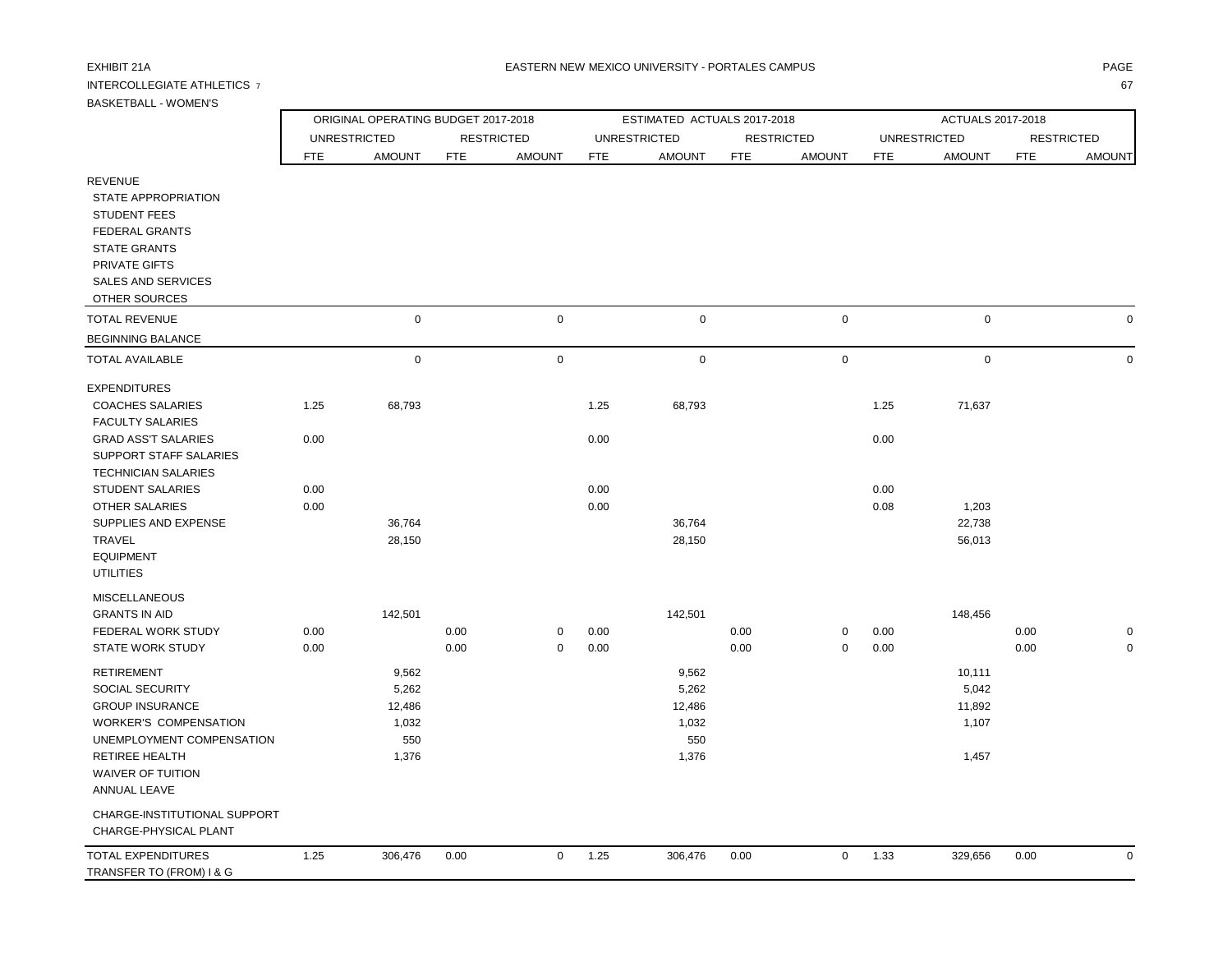## INTERCOLLEGIATE ATHLETICS 7 67

 WAIVER OF TUITION ANNUAL LEAVE

TRANSFER TO (FROM) I & G

 CHARGE-INSTITUTIONAL SUPPORT CHARGE-PHYSICAL PLANT

ORIGINAL OPERATING BUDGET 2017-2018 ESTIMATED ACTUALS 2017-2018 ACTUALS 2017-2018

|                                                                                                                                                                                    |            | <b>UNRESTRICTED</b> |            | <b>RESTRICTED</b> |            | <b>UNRESTRICTED</b> |            | <b>RESTRICTED</b> |            | <b>UNRESTRICTED</b> |            | <b>RESTRICTED</b> |
|------------------------------------------------------------------------------------------------------------------------------------------------------------------------------------|------------|---------------------|------------|-------------------|------------|---------------------|------------|-------------------|------------|---------------------|------------|-------------------|
|                                                                                                                                                                                    | <b>FTE</b> | <b>AMOUNT</b>       | <b>FTE</b> | <b>AMOUNT</b>     | <b>FTE</b> | <b>AMOUNT</b>       | <b>FTE</b> | <b>AMOUNT</b>     | <b>FTE</b> | <b>AMOUNT</b>       | <b>FTE</b> | <b>AMOUNT</b>     |
| <b>REVENUE</b><br><b>STATE APPROPRIATION</b><br><b>STUDENT FEES</b><br><b>FEDERAL GRANTS</b><br><b>STATE GRANTS</b><br>PRIVATE GIFTS<br><b>SALES AND SERVICES</b><br>OTHER SOURCES |            |                     |            |                   |            |                     |            |                   |            |                     |            |                   |
| <b>TOTAL REVENUE</b>                                                                                                                                                               |            | $\mathbf 0$         |            | $\mathbf 0$       |            | $\mathbf 0$         |            | $\mathbf 0$       |            | $\mathbf 0$         |            | 0                 |
| <b>BEGINNING BALANCE</b>                                                                                                                                                           |            |                     |            |                   |            |                     |            |                   |            |                     |            |                   |
| <b>TOTAL AVAILABLE</b>                                                                                                                                                             |            | $\mathbf 0$         |            | $\mathbf 0$       |            | $\mathbf 0$         |            | $\mathbf 0$       |            | $\pmb{0}$           |            | $\mathbf 0$       |
| <b>EXPENDITURES</b>                                                                                                                                                                |            |                     |            |                   |            |                     |            |                   |            |                     |            |                   |
| <b>COACHES SALARIES</b><br><b>FACULTY SALARIES</b>                                                                                                                                 | 1.25       | 68,793              |            |                   | 1.25       | 68,793              |            |                   | 1.25       | 71,637              |            |                   |
| <b>GRAD ASS'T SALARIES</b><br><b>SUPPORT STAFF SALARIES</b><br><b>TECHNICIAN SALARIES</b>                                                                                          | 0.00       |                     |            |                   | 0.00       |                     |            |                   | 0.00       |                     |            |                   |
| <b>STUDENT SALARIES</b>                                                                                                                                                            | 0.00       |                     |            |                   | 0.00       |                     |            |                   | 0.00       |                     |            |                   |
| <b>OTHER SALARIES</b>                                                                                                                                                              | 0.00       |                     |            |                   | 0.00       |                     |            |                   | 0.08       | 1,203               |            |                   |
| SUPPLIES AND EXPENSE                                                                                                                                                               |            | 36,764              |            |                   |            | 36,764              |            |                   |            | 22,738              |            |                   |
| TRAVEL<br><b>EQUIPMENT</b><br><b>UTILITIES</b>                                                                                                                                     |            | 28,150              |            |                   |            | 28,150              |            |                   |            | 56,013              |            |                   |
| <b>MISCELLANEOUS</b>                                                                                                                                                               |            |                     |            |                   |            |                     |            |                   |            |                     |            |                   |
| <b>GRANTS IN AID</b>                                                                                                                                                               |            | 142,501             |            |                   |            | 142,501             |            |                   |            | 148,456             |            |                   |
| FEDERAL WORK STUDY                                                                                                                                                                 | 0.00       |                     | 0.00       | 0                 | 0.00       |                     | 0.00       | $\mathbf 0$       | 0.00       |                     | 0.00       | 0                 |
| <b>STATE WORK STUDY</b>                                                                                                                                                            | 0.00       |                     | 0.00       | $\mathbf 0$       | 0.00       |                     | 0.00       | $\mathbf 0$       | 0.00       |                     | 0.00       | 0                 |
| <b>RETIREMENT</b>                                                                                                                                                                  |            | 9,562               |            |                   |            | 9,562               |            |                   |            | 10,111              |            |                   |
| <b>SOCIAL SECURITY</b>                                                                                                                                                             |            | 5,262               |            |                   |            | 5,262               |            |                   |            | 5,042               |            |                   |
| <b>GROUP INSURANCE</b>                                                                                                                                                             |            | 12,486              |            |                   |            | 12,486              |            |                   |            | 11,892              |            |                   |
| <b>WORKER'S COMPENSATION</b>                                                                                                                                                       |            | 1,032               |            |                   |            | 1,032               |            |                   |            | 1,107               |            |                   |
| UNEMPLOYMENT COMPENSATION                                                                                                                                                          |            | 550                 |            |                   |            | 550                 |            |                   |            |                     |            |                   |

RETIREE HEALTH 1,457 1,457 1,457 1,457 1,457 1,457 1,457 1,457 1,457 1,457 1,457 1,457 1,457 1,457 1,457 1,457

TOTAL EXPENDITURES 1.25 306,476 0.00 0 1.25 306,476 0.00 0 1.33 329,656 0.00 0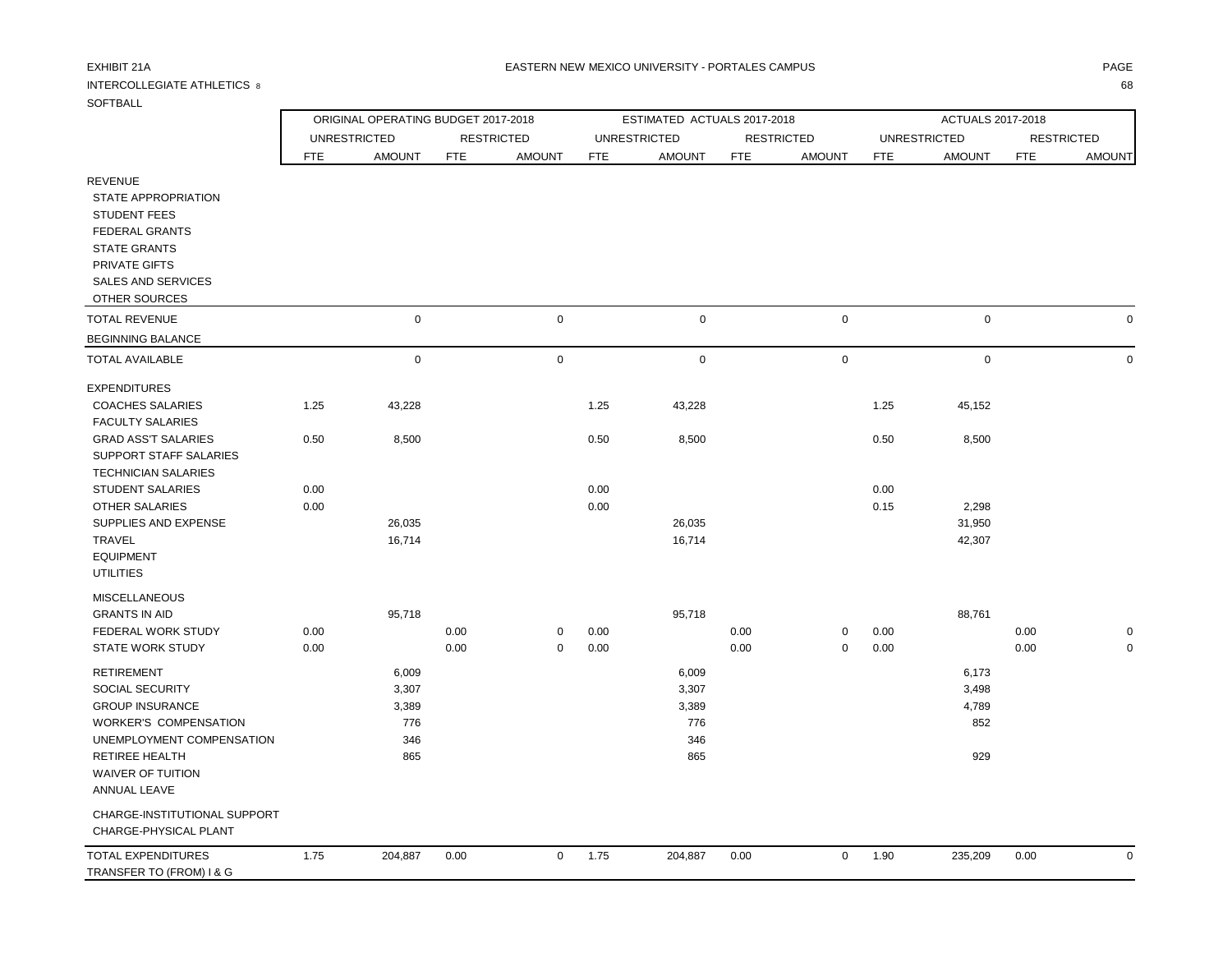## INTERCOLLEGIATE ATHLETICS 8 68

| SOFTBALL                                                                                       |            |                     |                                     |                   |            |                                      |            |                                    |            |                                      |            |                                    |
|------------------------------------------------------------------------------------------------|------------|---------------------|-------------------------------------|-------------------|------------|--------------------------------------|------------|------------------------------------|------------|--------------------------------------|------------|------------------------------------|
|                                                                                                |            |                     | ORIGINAL OPERATING BUDGET 2017-2018 |                   |            | ESTIMATED ACTUALS 2017-2018          |            |                                    |            | ACTUALS 2017-2018                    |            |                                    |
|                                                                                                | <b>FTE</b> | <b>UNRESTRICTED</b> |                                     | <b>RESTRICTED</b> | <b>FTE</b> | <b>UNRESTRICTED</b><br><b>AMOUNT</b> | <b>FTE</b> | <b>RESTRICTED</b><br><b>AMOUNT</b> |            | <b>UNRESTRICTED</b><br><b>AMOUNT</b> | <b>FTE</b> | <b>RESTRICTED</b><br><b>AMOUNT</b> |
| <b>REVENUE</b><br>STATE APPROPRIATION                                                          |            | <b>AMOUNT</b>       | <b>FTE</b>                          | <b>AMOUNT</b>     |            |                                      |            |                                    | <b>FTE</b> |                                      |            |                                    |
| <b>STUDENT FEES</b><br><b>FEDERAL GRANTS</b><br><b>STATE GRANTS</b><br><b>PRIVATE GIFTS</b>    |            |                     |                                     |                   |            |                                      |            |                                    |            |                                      |            |                                    |
| <b>SALES AND SERVICES</b><br>OTHER SOURCES                                                     |            |                     |                                     |                   |            |                                      |            |                                    |            |                                      |            |                                    |
| <b>TOTAL REVENUE</b>                                                                           |            | $\mathbf 0$         |                                     | $\mathbf 0$       |            | $\mathbf 0$                          |            | $\mathbf 0$                        |            | $\mathbf 0$                          |            | $\mathbf 0$                        |
| <b>BEGINNING BALANCE</b>                                                                       |            |                     |                                     |                   |            |                                      |            |                                    |            |                                      |            |                                    |
| <b>TOTAL AVAILABLE</b>                                                                         |            | $\mathsf 0$         |                                     | $\mathbf 0$       |            | $\mathbf 0$                          |            | $\mathbf 0$                        |            | $\mathbf 0$                          |            | $\mathbf 0$                        |
| <b>EXPENDITURES</b>                                                                            |            |                     |                                     |                   |            |                                      |            |                                    |            |                                      |            |                                    |
| <b>COACHES SALARIES</b><br><b>FACULTY SALARIES</b>                                             | 1.25       | 43,228              |                                     |                   | 1.25       | 43,228                               |            |                                    | 1.25       | 45,152                               |            |                                    |
| <b>GRAD ASS'T SALARIES</b><br>SUPPORT STAFF SALARIES<br><b>TECHNICIAN SALARIES</b>             | 0.50       | 8,500               |                                     |                   | 0.50       | 8,500                                |            |                                    | 0.50       | 8,500                                |            |                                    |
| <b>STUDENT SALARIES</b>                                                                        | 0.00       |                     |                                     |                   | 0.00       |                                      |            |                                    | 0.00       |                                      |            |                                    |
| <b>OTHER SALARIES</b>                                                                          | 0.00       |                     |                                     |                   | 0.00       |                                      |            |                                    | 0.15       | 2,298                                |            |                                    |
| SUPPLIES AND EXPENSE<br><b>TRAVEL</b>                                                          |            | 26,035<br>16,714    |                                     |                   |            | 26,035<br>16,714                     |            |                                    |            | 31,950<br>42,307                     |            |                                    |
| <b>EQUIPMENT</b><br><b>UTILITIES</b>                                                           |            |                     |                                     |                   |            |                                      |            |                                    |            |                                      |            |                                    |
| <b>MISCELLANEOUS</b>                                                                           |            |                     |                                     |                   |            |                                      |            |                                    |            |                                      |            |                                    |
| <b>GRANTS IN AID</b><br>FEDERAL WORK STUDY                                                     | 0.00       | 95,718              | 0.00                                | 0                 | 0.00       | 95,718                               | 0.00       | $\mathbf 0$                        | 0.00       | 88,761                               | 0.00       | $\Omega$                           |
| <b>STATE WORK STUDY</b>                                                                        | 0.00       |                     | 0.00                                | $\mathbf 0$       | 0.00       |                                      | 0.00       | $\mathbf 0$                        | 0.00       |                                      | 0.00       | $\Omega$                           |
| <b>RETIREMENT</b>                                                                              |            | 6,009               |                                     |                   |            | 6,009                                |            |                                    |            | 6,173                                |            |                                    |
| SOCIAL SECURITY                                                                                |            | 3,307               |                                     |                   |            | 3,307                                |            |                                    |            | 3,498                                |            |                                    |
| <b>GROUP INSURANCE</b>                                                                         |            | 3,389               |                                     |                   |            | 3,389                                |            |                                    |            | 4,789                                |            |                                    |
| <b>WORKER'S COMPENSATION</b>                                                                   |            | 776                 |                                     |                   |            | 776                                  |            |                                    |            | 852                                  |            |                                    |
| UNEMPLOYMENT COMPENSATION<br><b>RETIREE HEALTH</b><br><b>WAIVER OF TUITION</b><br>ANNUAL LEAVE |            | 346<br>865          |                                     |                   |            | 346<br>865                           |            |                                    |            | 929                                  |            |                                    |
| CHARGE-INSTITUTIONAL SUPPORT<br>CHARGE-PHYSICAL PLANT                                          |            |                     |                                     |                   |            |                                      |            |                                    |            |                                      |            |                                    |
| <b>TOTAL EXPENDITURES</b><br>TRANSFER TO (FROM) I & G                                          | 1.75       | 204,887             | 0.00                                | $\mathbf 0$       | 1.75       | 204,887                              | 0.00       | $\mathbf 0$                        | 1.90       | 235,209                              | 0.00       | $\mathbf 0$                        |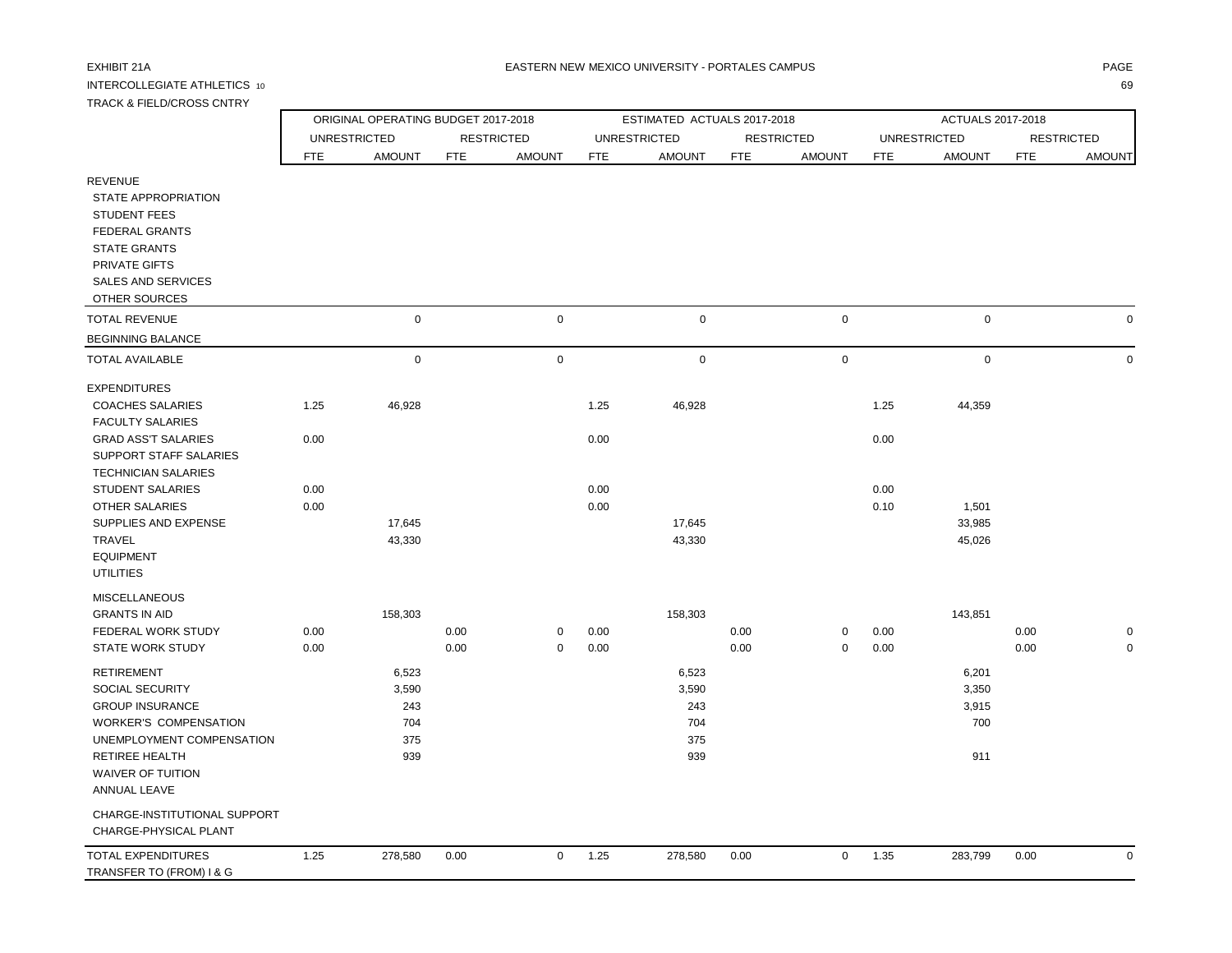# INTERCOLLEGIATE ATHLETICS 10 69

| -1<br>-1<br>$\sim$<br>- |
|-------------------------|
|                         |
|                         |

| <b>TRACK &amp; FIELD/CROSS CNTRY</b>                                                                                                                                                             |              |                                            |                                     |                   |                             |                                            |              |                   |                     |                                       |              |                            |
|--------------------------------------------------------------------------------------------------------------------------------------------------------------------------------------------------|--------------|--------------------------------------------|-------------------------------------|-------------------|-----------------------------|--------------------------------------------|--------------|-------------------|---------------------|---------------------------------------|--------------|----------------------------|
|                                                                                                                                                                                                  |              |                                            | ORIGINAL OPERATING BUDGET 2017-2018 |                   | ESTIMATED ACTUALS 2017-2018 |                                            |              |                   | ACTUALS 2017-2018   |                                       |              |                            |
|                                                                                                                                                                                                  |              | <b>UNRESTRICTED</b>                        |                                     | <b>RESTRICTED</b> |                             | <b>UNRESTRICTED</b>                        |              | <b>RESTRICTED</b> | <b>UNRESTRICTED</b> |                                       |              | <b>RESTRICTED</b>          |
|                                                                                                                                                                                                  | <b>FTE</b>   | <b>AMOUNT</b>                              | <b>FTE</b>                          | <b>AMOUNT</b>     | <b>FTE</b>                  | <b>AMOUNT</b>                              | <b>FTE</b>   | <b>AMOUNT</b>     | <b>FTE</b>          | <b>AMOUNT</b>                         | <b>FTE</b>   | <b>AMOUNT</b>              |
| <b>REVENUE</b><br>STATE APPROPRIATION<br><b>STUDENT FEES</b><br><b>FEDERAL GRANTS</b><br><b>STATE GRANTS</b><br>PRIVATE GIFTS<br><b>SALES AND SERVICES</b><br>OTHER SOURCES                      |              |                                            |                                     |                   |                             |                                            |              |                   |                     |                                       |              |                            |
| <b>TOTAL REVENUE</b>                                                                                                                                                                             |              | $\mathbf 0$                                |                                     | $\pmb{0}$         |                             | $\mathsf 0$                                |              | $\mathbf 0$       |                     | $\mathbf 0$                           |              | $\mathbf 0$                |
| <b>BEGINNING BALANCE</b>                                                                                                                                                                         |              |                                            |                                     |                   |                             |                                            |              |                   |                     |                                       |              |                            |
| <b>TOTAL AVAILABLE</b>                                                                                                                                                                           |              | $\mathbf 0$                                |                                     | $\mathsf 0$       |                             | $\mathbf 0$                                |              | $\mathbf 0$       |                     | $\mathbf 0$                           |              | $\mathbf 0$                |
| <b>EXPENDITURES</b><br><b>COACHES SALARIES</b>                                                                                                                                                   | 1.25         | 46,928                                     |                                     |                   | 1.25                        | 46,928                                     |              |                   | 1.25                | 44,359                                |              |                            |
| <b>FACULTY SALARIES</b><br><b>GRAD ASS'T SALARIES</b><br>SUPPORT STAFF SALARIES<br><b>TECHNICIAN SALARIES</b>                                                                                    | 0.00         |                                            |                                     |                   | 0.00                        |                                            |              |                   | 0.00                |                                       |              |                            |
| <b>STUDENT SALARIES</b><br><b>OTHER SALARIES</b><br>SUPPLIES AND EXPENSE<br>TRAVEL<br><b>EQUIPMENT</b><br><b>UTILITIES</b>                                                                       | 0.00<br>0.00 | 17,645<br>43,330                           |                                     |                   | 0.00<br>0.00                | 17,645<br>43,330                           |              |                   | 0.00<br>0.10        | 1,501<br>33,985<br>45,026             |              |                            |
| <b>MISCELLANEOUS</b><br><b>GRANTS IN AID</b><br>FEDERAL WORK STUDY<br><b>STATE WORK STUDY</b>                                                                                                    | 0.00<br>0.00 | 158,303                                    | 0.00<br>0.00                        | 0<br>$\mathbf 0$  | 0.00<br>0.00                | 158,303                                    | 0.00<br>0.00 | 0<br>0            | 0.00<br>0.00        | 143,851                               | 0.00<br>0.00 | $\mathbf 0$<br>$\mathbf 0$ |
| <b>RETIREMENT</b><br>SOCIAL SECURITY<br><b>GROUP INSURANCE</b><br><b>WORKER'S COMPENSATION</b><br>UNEMPLOYMENT COMPENSATION<br><b>RETIREE HEALTH</b><br><b>WAIVER OF TUITION</b><br>ANNUAL LEAVE |              | 6,523<br>3,590<br>243<br>704<br>375<br>939 |                                     |                   |                             | 6,523<br>3,590<br>243<br>704<br>375<br>939 |              |                   |                     | 6,201<br>3,350<br>3,915<br>700<br>911 |              |                            |
| CHARGE-INSTITUTIONAL SUPPORT<br>CHARGE-PHYSICAL PLANT                                                                                                                                            |              |                                            |                                     |                   |                             |                                            |              |                   |                     |                                       |              |                            |
| <b>TOTAL EXPENDITURES</b><br>TRANSFER TO (FROM) I & G                                                                                                                                            | 1.25         | 278,580                                    | 0.00                                | $\mathsf 0$       | 1.25                        | 278,580                                    | 0.00         | $\mathbf 0$       | 1.35                | 283,799                               | 0.00         | $\mathbf 0$                |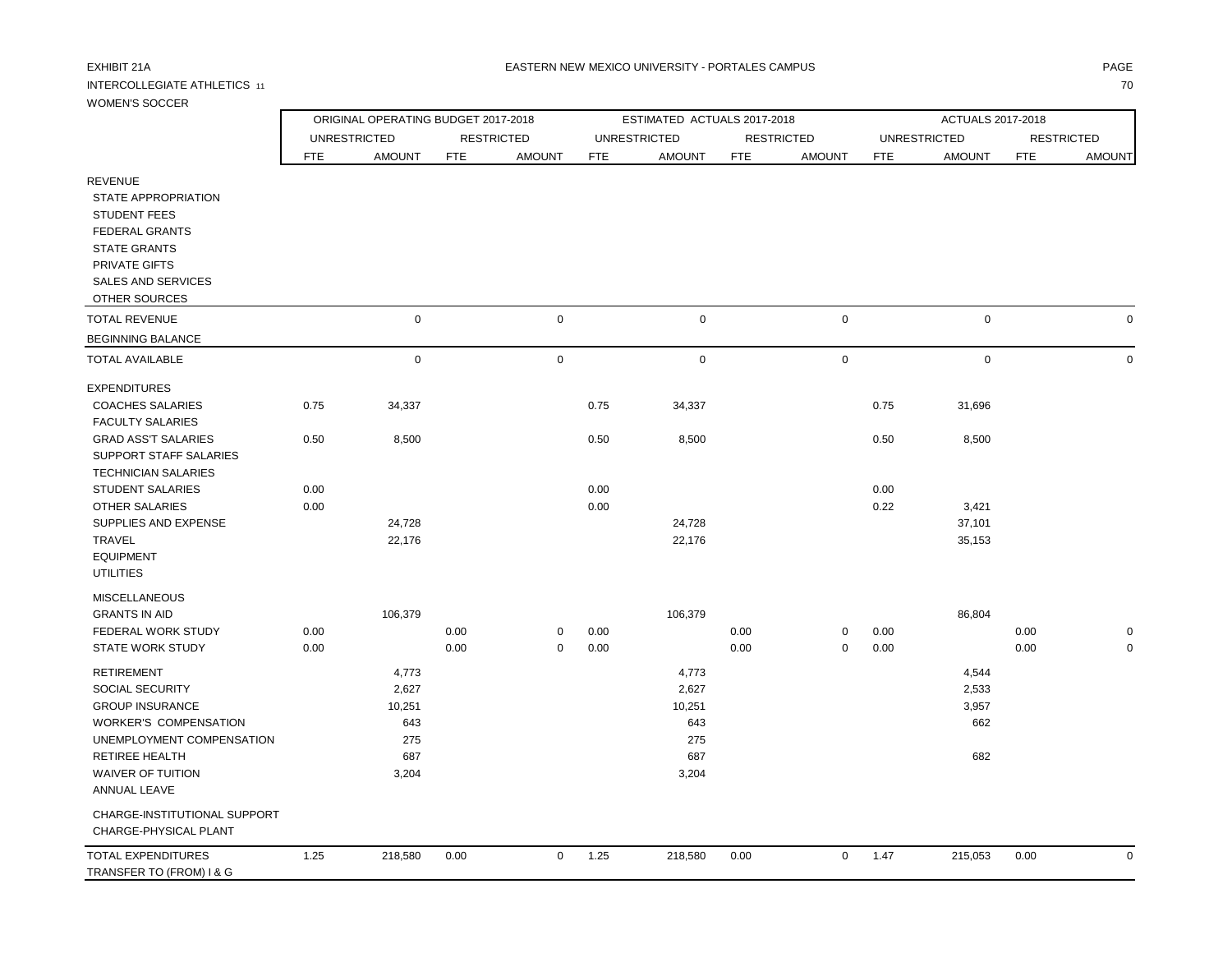## INTERCOLLEGIATE ATHLETICS 11 70

| <b>WOMEN'S SOCCER</b>                                                                                                                                                              |                     |                                     |            |                   |              |                             |                   |               |                     |               |                   |               |  |
|------------------------------------------------------------------------------------------------------------------------------------------------------------------------------------|---------------------|-------------------------------------|------------|-------------------|--------------|-----------------------------|-------------------|---------------|---------------------|---------------|-------------------|---------------|--|
|                                                                                                                                                                                    |                     | ORIGINAL OPERATING BUDGET 2017-2018 |            |                   |              | ESTIMATED ACTUALS 2017-2018 |                   |               | ACTUALS 2017-2018   |               |                   |               |  |
|                                                                                                                                                                                    | <b>UNRESTRICTED</b> |                                     |            | <b>RESTRICTED</b> |              | <b>UNRESTRICTED</b>         | <b>RESTRICTED</b> |               | <b>UNRESTRICTED</b> |               | <b>RESTRICTED</b> |               |  |
|                                                                                                                                                                                    | <b>FTE</b>          | <b>AMOUNT</b>                       | <b>FTE</b> | <b>AMOUNT</b>     | <b>FTE</b>   | <b>AMOUNT</b>               | <b>FTE</b>        | <b>AMOUNT</b> | <b>FTE</b>          | <b>AMOUNT</b> | <b>FTE</b>        | <b>AMOUNT</b> |  |
| <b>REVENUE</b><br>STATE APPROPRIATION<br><b>STUDENT FEES</b><br><b>FEDERAL GRANTS</b><br><b>STATE GRANTS</b><br><b>PRIVATE GIFTS</b><br><b>SALES AND SERVICES</b><br>OTHER SOURCES |                     |                                     |            |                   |              |                             |                   |               |                     |               |                   |               |  |
| <b>TOTAL REVENUE</b>                                                                                                                                                               |                     | $\mathbf 0$                         |            | $\mathbf 0$       |              | $\mathbf 0$                 |                   | $\mathbf 0$   |                     | $\mathbf 0$   |                   | $\mathbf 0$   |  |
| <b>BEGINNING BALANCE</b>                                                                                                                                                           |                     |                                     |            |                   |              |                             |                   |               |                     |               |                   |               |  |
| <b>TOTAL AVAILABLE</b>                                                                                                                                                             |                     | $\mathbf 0$                         |            | $\mathbf 0$       |              | $\mathbf 0$                 |                   | $\mathbf 0$   |                     | $\mathbf 0$   |                   | $\mathbf 0$   |  |
| <b>EXPENDITURES</b><br><b>COACHES SALARIES</b><br><b>FACULTY SALARIES</b>                                                                                                          | 0.75                | 34,337                              |            |                   | 0.75         | 34,337                      |                   |               | 0.75                | 31,696        |                   |               |  |
| <b>GRAD ASS'T SALARIES</b><br>SUPPORT STAFF SALARIES<br><b>TECHNICIAN SALARIES</b><br><b>STUDENT SALARIES</b>                                                                      | 0.50<br>0.00        | 8,500                               |            |                   | 0.50<br>0.00 | 8,500                       |                   |               | 0.50<br>0.00        | 8,500         |                   |               |  |
| <b>OTHER SALARIES</b>                                                                                                                                                              | 0.00                |                                     |            |                   | 0.00         |                             |                   |               | 0.22                | 3,421         |                   |               |  |
| SUPPLIES AND EXPENSE                                                                                                                                                               |                     | 24,728                              |            |                   |              | 24,728                      |                   |               |                     | 37,101        |                   |               |  |
| TRAVEL<br><b>EQUIPMENT</b><br><b>UTILITIES</b>                                                                                                                                     |                     | 22,176                              |            |                   |              | 22,176                      |                   |               |                     | 35,153        |                   |               |  |
| <b>MISCELLANEOUS</b>                                                                                                                                                               |                     |                                     |            |                   |              |                             |                   |               |                     |               |                   |               |  |
| <b>GRANTS IN AID</b>                                                                                                                                                               |                     | 106,379                             |            |                   |              | 106,379                     |                   |               |                     | 86,804        |                   |               |  |
| FEDERAL WORK STUDY                                                                                                                                                                 | 0.00                |                                     | 0.00       | $\mathbf 0$       | 0.00         |                             | 0.00              | $\mathbf 0$   | 0.00                |               | 0.00              | $\mathbf 0$   |  |
| <b>STATE WORK STUDY</b>                                                                                                                                                            | 0.00                |                                     | 0.00       | $\mathbf 0$       | 0.00         |                             | 0.00              | $\mathbf 0$   | 0.00                |               | 0.00              | $\mathbf 0$   |  |
| <b>RETIREMENT</b>                                                                                                                                                                  |                     | 4,773                               |            |                   |              | 4,773                       |                   |               |                     | 4,544         |                   |               |  |
| SOCIAL SECURITY                                                                                                                                                                    |                     | 2,627                               |            |                   |              | 2,627                       |                   |               |                     | 2,533         |                   |               |  |
| <b>GROUP INSURANCE</b>                                                                                                                                                             |                     | 10,251                              |            |                   |              | 10,251                      |                   |               |                     | 3,957         |                   |               |  |
| <b>WORKER'S COMPENSATION</b>                                                                                                                                                       |                     | 643                                 |            |                   |              | 643                         |                   |               |                     | 662           |                   |               |  |
| UNEMPLOYMENT COMPENSATION                                                                                                                                                          |                     | 275                                 |            |                   |              | 275                         |                   |               |                     |               |                   |               |  |
| RETIREE HEALTH<br><b>WAIVER OF TUITION</b><br><b>ANNUAL LEAVE</b>                                                                                                                  |                     | 687<br>3,204                        |            |                   |              | 687<br>3,204                |                   |               |                     | 682           |                   |               |  |
| CHARGE-INSTITUTIONAL SUPPORT<br>CHARGE-PHYSICAL PLANT                                                                                                                              |                     |                                     |            |                   |              |                             |                   |               |                     |               |                   |               |  |
| <b>TOTAL EXPENDITURES</b><br>TRANSFER TO (FROM) I & G                                                                                                                              | 1.25                | 218,580                             | 0.00       | $\mathbf 0$       | 1.25         | 218,580                     | 0.00              | $\mathbf 0$   | 1.47                | 215,053       | 0.00              | $\mathbf 0$   |  |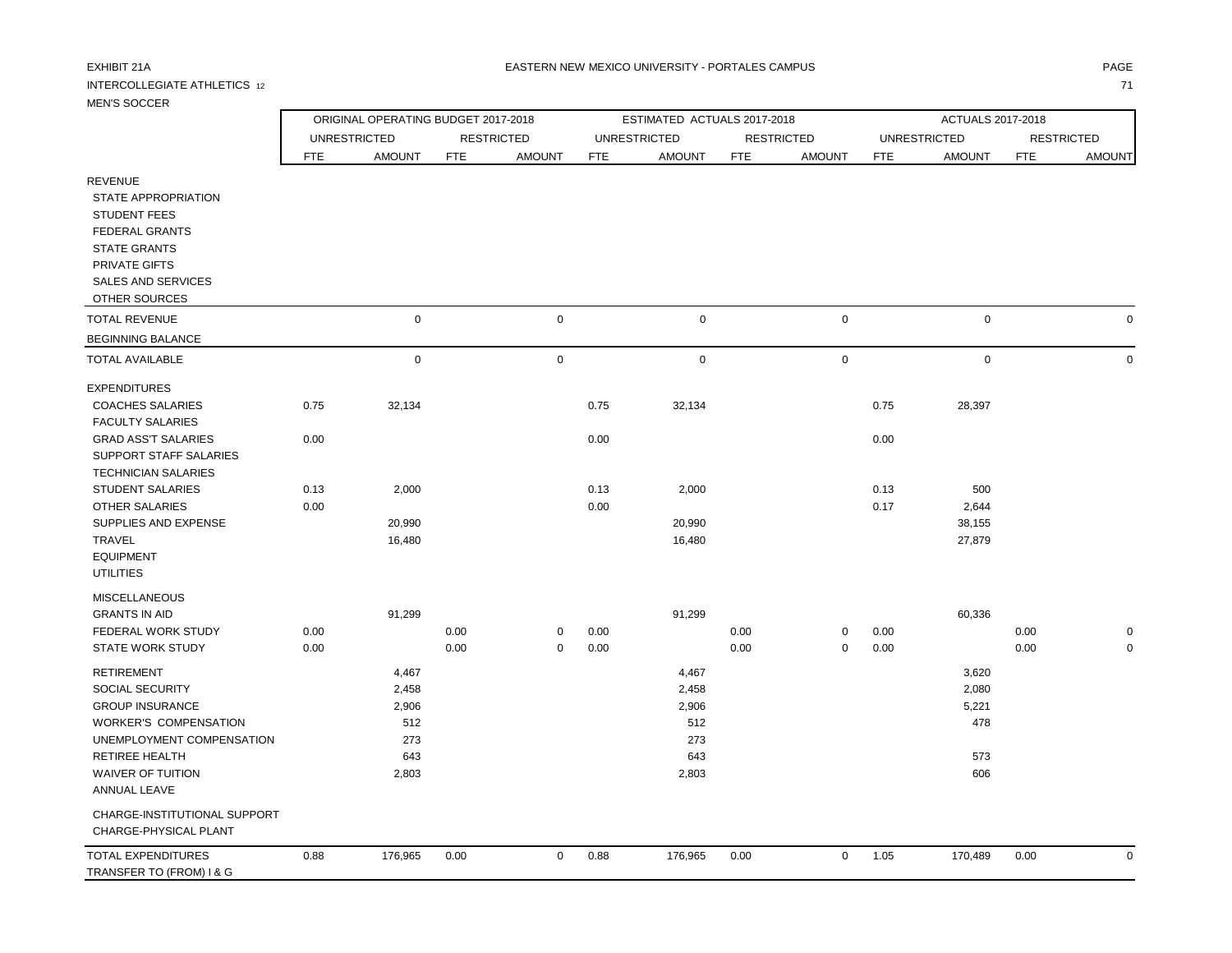## INTERCOLLEGIATE ATHLETICS 12 71

### EXHIBIT 21A PAGE NA BATERN NEW MEXICO UNIVERSITY - PORTALES CAMPUS AND THE RESERVENT OF PAGE AND THE RESERVENT.

| <b>MEN'S SOCCER</b>                                                                                          |            |                                     |            |                   |            |                             |            |                   |                     |               |            |                   |  |
|--------------------------------------------------------------------------------------------------------------|------------|-------------------------------------|------------|-------------------|------------|-----------------------------|------------|-------------------|---------------------|---------------|------------|-------------------|--|
|                                                                                                              |            | ORIGINAL OPERATING BUDGET 2017-2018 |            |                   |            | ESTIMATED ACTUALS 2017-2018 |            |                   | ACTUALS 2017-2018   |               |            |                   |  |
|                                                                                                              |            | <b>UNRESTRICTED</b>                 |            | <b>RESTRICTED</b> |            | <b>UNRESTRICTED</b>         |            | <b>RESTRICTED</b> | <b>UNRESTRICTED</b> |               |            | <b>RESTRICTED</b> |  |
|                                                                                                              | <b>FTE</b> | <b>AMOUNT</b>                       | <b>FTE</b> | <b>AMOUNT</b>     | <b>FTE</b> | <b>AMOUNT</b>               | <b>FTE</b> | <b>AMOUNT</b>     | <b>FTE</b>          | <b>AMOUNT</b> | <b>FTE</b> | <b>AMOUNT</b>     |  |
| <b>REVENUE</b><br>STATE APPROPRIATION<br><b>STUDENT FEES</b><br><b>FEDERAL GRANTS</b><br><b>STATE GRANTS</b> |            |                                     |            |                   |            |                             |            |                   |                     |               |            |                   |  |
| PRIVATE GIFTS<br><b>SALES AND SERVICES</b><br>OTHER SOURCES                                                  |            |                                     |            |                   |            |                             |            |                   |                     |               |            |                   |  |
| <b>TOTAL REVENUE</b>                                                                                         |            | $\mathbf 0$                         |            | $\pmb{0}$         |            | $\mathbf 0$                 |            | $\mathsf 0$       |                     | $\mathbf 0$   |            | $\Omega$          |  |
| <b>BEGINNING BALANCE</b>                                                                                     |            |                                     |            |                   |            |                             |            |                   |                     |               |            |                   |  |
| <b>TOTAL AVAILABLE</b>                                                                                       |            | $\mathbf 0$                         |            | 0                 |            | $\mathbf 0$                 |            | $\mathsf 0$       |                     | $\mathsf 0$   |            | $\Omega$          |  |
| <b>EXPENDITURES</b>                                                                                          |            |                                     |            |                   |            |                             |            |                   |                     |               |            |                   |  |
| <b>COACHES SALARIES</b>                                                                                      | 0.75       | 32,134                              |            |                   | 0.75       | 32,134                      |            |                   | 0.75                | 28,397        |            |                   |  |
| <b>FACULTY SALARIES</b>                                                                                      |            |                                     |            |                   |            |                             |            |                   |                     |               |            |                   |  |
| <b>GRAD ASS'T SALARIES</b><br>SUPPORT STAFF SALARIES                                                         | 0.00       |                                     |            |                   | 0.00       |                             |            |                   | 0.00                |               |            |                   |  |
| <b>TECHNICIAN SALARIES</b>                                                                                   |            |                                     |            |                   |            |                             |            |                   |                     |               |            |                   |  |
| <b>STUDENT SALARIES</b>                                                                                      | 0.13       | 2,000                               |            |                   | 0.13       | 2,000                       |            |                   | 0.13                | 500           |            |                   |  |
| <b>OTHER SALARIES</b>                                                                                        | 0.00       |                                     |            |                   | 0.00       |                             |            |                   | 0.17                | 2,644         |            |                   |  |
| SUPPLIES AND EXPENSE                                                                                         |            | 20,990                              |            |                   |            | 20,990                      |            |                   |                     | 38,155        |            |                   |  |
| TRAVEL<br><b>EQUIPMENT</b><br><b>UTILITIES</b>                                                               |            | 16,480                              |            |                   |            | 16,480                      |            |                   |                     | 27,879        |            |                   |  |
| <b>MISCELLANEOUS</b>                                                                                         |            |                                     |            |                   |            |                             |            |                   |                     |               |            |                   |  |
| <b>GRANTS IN AID</b>                                                                                         |            | 91,299                              |            |                   |            | 91,299                      |            |                   |                     | 60,336        |            |                   |  |
| FEDERAL WORK STUDY                                                                                           | 0.00       |                                     | 0.00       | 0                 | 0.00       |                             | 0.00       | $\mathbf 0$       | 0.00                |               | 0.00       | $\Omega$          |  |
| <b>STATE WORK STUDY</b>                                                                                      | 0.00       |                                     | 0.00       | 0                 | 0.00       |                             | 0.00       | $\mathbf 0$       | 0.00                |               | 0.00       | $\Omega$          |  |
| <b>RETIREMENT</b>                                                                                            |            | 4,467                               |            |                   |            | 4,467                       |            |                   |                     | 3,620         |            |                   |  |
| SOCIAL SECURITY                                                                                              |            | 2,458                               |            |                   |            | 2,458                       |            |                   |                     | 2,080         |            |                   |  |
| <b>GROUP INSURANCE</b>                                                                                       |            | 2,906                               |            |                   |            | 2,906                       |            |                   |                     | 5,221         |            |                   |  |
| <b>WORKER'S COMPENSATION</b><br>UNEMPLOYMENT COMPENSATION                                                    |            | 512<br>273                          |            |                   |            | 512<br>273                  |            |                   |                     | 478           |            |                   |  |
| <b>RETIREE HEALTH</b>                                                                                        |            | 643                                 |            |                   |            | 643                         |            |                   |                     | 573           |            |                   |  |
| WAIVER OF TUITION                                                                                            |            | 2,803                               |            |                   |            | 2,803                       |            |                   |                     | 606           |            |                   |  |
| <b>ANNUAL LEAVE</b>                                                                                          |            |                                     |            |                   |            |                             |            |                   |                     |               |            |                   |  |
| CHARGE-INSTITUTIONAL SUPPORT<br>CHARGE-PHYSICAL PLANT                                                        |            |                                     |            |                   |            |                             |            |                   |                     |               |            |                   |  |
| <b>TOTAL EXPENDITURES</b><br>TRANSFER TO (FROM) I & G                                                        | 0.88       | 176,965                             | 0.00       | $\mathbf 0$       | 0.88       | 176,965                     | 0.00       | $\mathbf 0$       | 1.05                | 170,489       | 0.00       | $\Omega$          |  |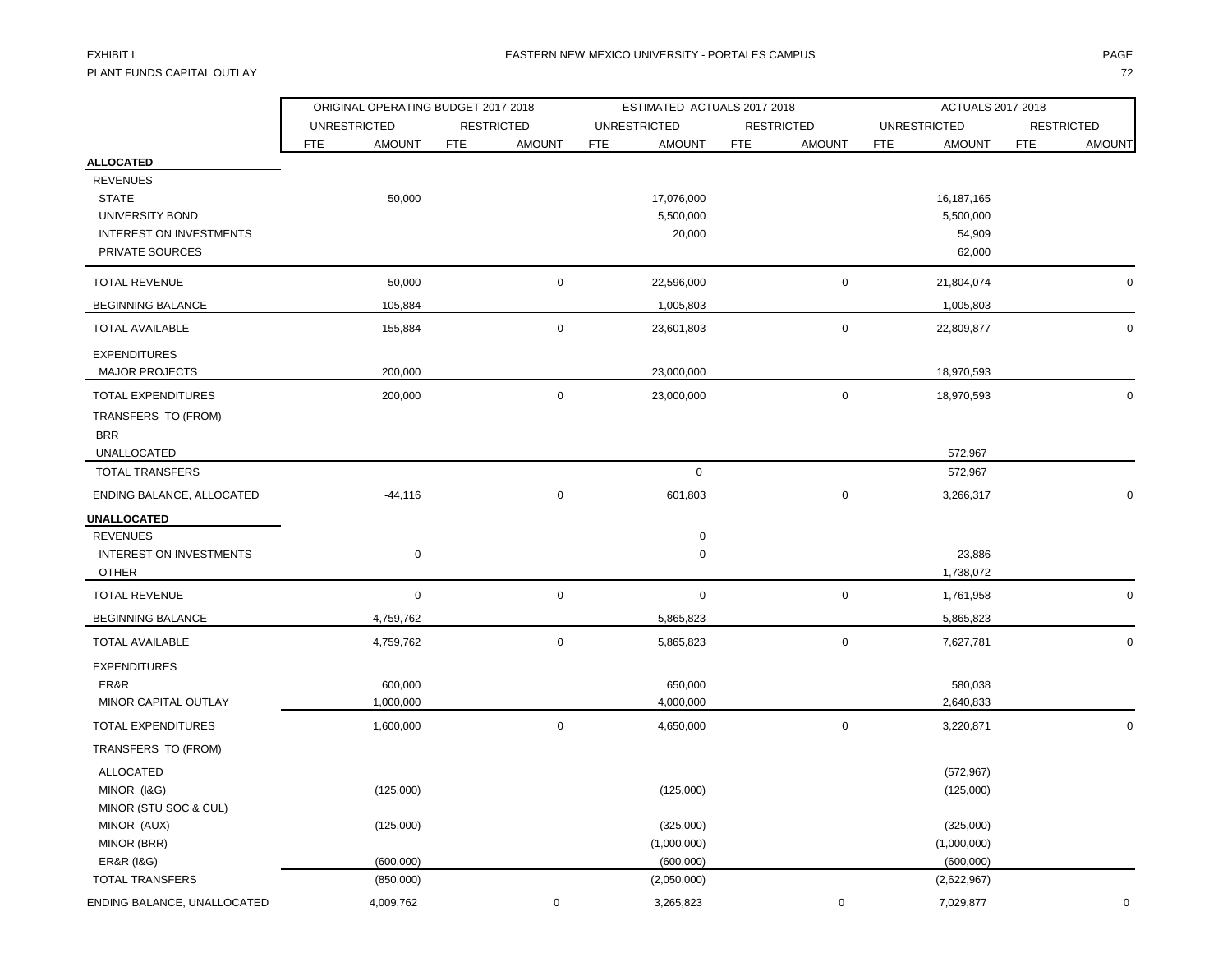PLANT FUNDS CAPITAL OUTLAY THE STATE OF THE STATE OF THE STATE OF THE STATE OF THE STATE OF THE STATE OF THE STA

|                                                     | ORIGINAL OPERATING BUDGET 2017-2018 |            |                   |            | ESTIMATED ACTUALS 2017-2018 |            |                   | ACTUALS 2017-2018   |                          |            |               |  |
|-----------------------------------------------------|-------------------------------------|------------|-------------------|------------|-----------------------------|------------|-------------------|---------------------|--------------------------|------------|---------------|--|
|                                                     | <b>UNRESTRICTED</b>                 |            | <b>RESTRICTED</b> |            | <b>UNRESTRICTED</b>         |            | <b>RESTRICTED</b> | <b>UNRESTRICTED</b> | <b>RESTRICTED</b>        |            |               |  |
|                                                     | <b>FTE</b><br><b>AMOUNT</b>         | <b>FTE</b> | <b>AMOUNT</b>     | <b>FTE</b> | <b>AMOUNT</b>               | <b>FTE</b> | <b>AMOUNT</b>     | <b>FTE</b>          | <b>AMOUNT</b>            | <b>FTE</b> | <b>AMOUNT</b> |  |
| <b>ALLOCATED</b>                                    |                                     |            |                   |            |                             |            |                   |                     |                          |            |               |  |
| <b>REVENUES</b>                                     |                                     |            |                   |            |                             |            |                   |                     |                          |            |               |  |
| <b>STATE</b><br>UNIVERSITY BOND                     | 50,000                              |            |                   |            | 17,076,000<br>5,500,000     |            |                   |                     | 16,187,165<br>5,500,000  |            |               |  |
| <b>INTEREST ON INVESTMENTS</b>                      |                                     |            |                   |            | 20,000                      |            |                   |                     | 54,909                   |            |               |  |
| PRIVATE SOURCES                                     |                                     |            |                   |            |                             |            |                   |                     | 62,000                   |            |               |  |
| <b>TOTAL REVENUE</b>                                | 50,000                              |            | $\mathbf 0$       |            | 22,596,000                  |            | $\pmb{0}$         |                     | 21,804,074               |            | 0             |  |
| <b>BEGINNING BALANCE</b>                            | 105,884                             |            |                   |            | 1,005,803                   |            |                   |                     | 1,005,803                |            |               |  |
| <b>TOTAL AVAILABLE</b>                              | 155,884                             |            | $\mathbf 0$       |            | 23,601,803                  |            | $\mathbf 0$       |                     | 22,809,877               |            | $\mathbf 0$   |  |
| <b>EXPENDITURES</b>                                 |                                     |            |                   |            |                             |            |                   |                     |                          |            |               |  |
| <b>MAJOR PROJECTS</b>                               | 200,000                             |            |                   |            | 23,000,000                  |            |                   |                     | 18,970,593               |            |               |  |
| <b>TOTAL EXPENDITURES</b>                           | 200,000                             |            | $\mathbf 0$       |            | 23,000,000                  |            | $\pmb{0}$         |                     | 18,970,593               |            | $\mathbf 0$   |  |
| TRANSFERS TO (FROM)                                 |                                     |            |                   |            |                             |            |                   |                     |                          |            |               |  |
| <b>BRR</b>                                          |                                     |            |                   |            |                             |            |                   |                     |                          |            |               |  |
| UNALLOCATED                                         |                                     |            |                   |            |                             |            |                   |                     | 572,967                  |            |               |  |
| <b>TOTAL TRANSFERS</b>                              |                                     |            |                   |            | $\mathbf 0$                 |            |                   |                     | 572,967                  |            |               |  |
| ENDING BALANCE, ALLOCATED                           | $-44,116$                           |            | $\mathsf 0$       |            | 601,803                     |            | $\pmb{0}$         |                     | 3,266,317                |            | $\Omega$      |  |
| <b>UNALLOCATED</b>                                  |                                     |            |                   |            |                             |            |                   |                     |                          |            |               |  |
| <b>REVENUES</b>                                     |                                     |            |                   |            | $\mathsf{O}\xspace$         |            |                   |                     |                          |            |               |  |
| <b>INTEREST ON INVESTMENTS</b>                      | $\mathbf 0$                         |            |                   |            | $\mathbf 0$                 |            |                   |                     | 23,886                   |            |               |  |
| <b>OTHER</b>                                        |                                     |            |                   |            |                             |            |                   |                     | 1,738,072                |            |               |  |
| <b>TOTAL REVENUE</b>                                | $\mathbf 0$                         |            | $\mathsf 0$       |            | $\mathsf{O}\xspace$         |            | $\pmb{0}$         |                     | 1,761,958                |            | $\mathbf 0$   |  |
| <b>BEGINNING BALANCE</b>                            | 4,759,762                           |            |                   |            | 5,865,823                   |            |                   |                     | 5,865,823                |            |               |  |
| <b>TOTAL AVAILABLE</b>                              | 4,759,762                           |            | $\mathbf 0$       |            | 5,865,823                   |            | $\pmb{0}$         |                     | 7,627,781                |            | $\mathbf 0$   |  |
| <b>EXPENDITURES</b>                                 |                                     |            |                   |            |                             |            |                   |                     |                          |            |               |  |
| ER&R                                                | 600,000                             |            |                   |            | 650,000                     |            |                   |                     | 580,038                  |            |               |  |
| MINOR CAPITAL OUTLAY                                | 1,000,000                           |            |                   |            | 4,000,000                   |            |                   |                     | 2,640,833                |            |               |  |
| <b>TOTAL EXPENDITURES</b>                           | 1,600,000                           |            | $\mathbf 0$       |            | 4,650,000                   |            | $\mathbf 0$       |                     | 3,220,871                |            | $\Omega$      |  |
| TRANSFERS TO (FROM)                                 |                                     |            |                   |            |                             |            |                   |                     |                          |            |               |  |
| <b>ALLOCATED</b>                                    |                                     |            |                   |            |                             |            |                   |                     | (572, 967)               |            |               |  |
| MINOR (I&G)                                         | (125,000)                           |            |                   |            | (125,000)                   |            |                   |                     | (125,000)                |            |               |  |
| MINOR (STU SOC & CUL)                               |                                     |            |                   |            |                             |            |                   |                     |                          |            |               |  |
| MINOR (AUX)                                         | (125,000)                           |            |                   |            | (325,000)                   |            |                   |                     | (325,000)                |            |               |  |
| MINOR (BRR)                                         | (600,000)                           |            |                   |            | (1,000,000)<br>(600,000)    |            |                   |                     | (1,000,000)<br>(600,000) |            |               |  |
| <b>ER&amp;R (1&amp;G)</b><br><b>TOTAL TRANSFERS</b> | (850,000)                           |            |                   |            | (2,050,000)                 |            |                   |                     | (2,622,967)              |            |               |  |
| ENDING BALANCE, UNALLOCATED                         | 4,009,762                           |            | $\pmb{0}$         |            | 3,265,823                   |            | $\mathbf 0$       |                     | 7,029,877                |            | $\Omega$      |  |
|                                                     |                                     |            |                   |            |                             |            |                   |                     |                          |            |               |  |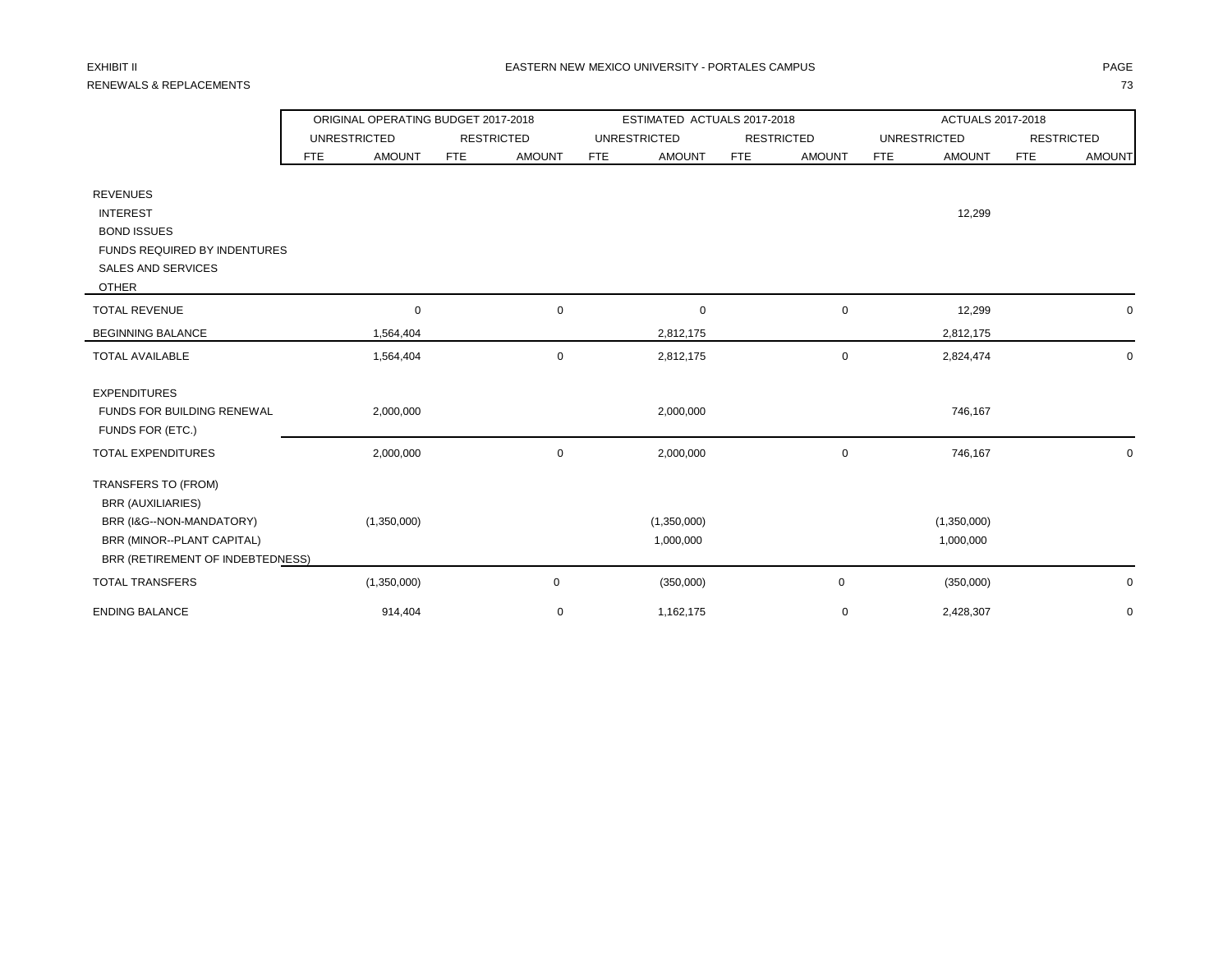# RENEWALS & REPLACEMENTS 73

|                                                                                                                                               |                     | ORIGINAL OPERATING BUDGET 2017-2018 |            |                   |            | ESTIMATED ACTUALS 2017-2018 |            |                   | ACTUALS 2017-2018 |                          |                   |               |
|-----------------------------------------------------------------------------------------------------------------------------------------------|---------------------|-------------------------------------|------------|-------------------|------------|-----------------------------|------------|-------------------|-------------------|--------------------------|-------------------|---------------|
|                                                                                                                                               | <b>UNRESTRICTED</b> |                                     |            | <b>RESTRICTED</b> |            | <b>UNRESTRICTED</b>         |            | <b>RESTRICTED</b> |                   | <b>UNRESTRICTED</b>      | <b>RESTRICTED</b> |               |
|                                                                                                                                               | <b>FTE</b>          | <b>AMOUNT</b>                       | <b>FTE</b> | <b>AMOUNT</b>     | <b>FTE</b> | <b>AMOUNT</b>               | <b>FTE</b> | <b>AMOUNT</b>     | <b>FTE</b>        | <b>AMOUNT</b>            | <b>FTE</b>        | <b>AMOUNT</b> |
| <b>REVENUES</b><br><b>INTEREST</b><br><b>BOND ISSUES</b><br>FUNDS REQUIRED BY INDENTURES<br>SALES AND SERVICES                                |                     |                                     |            |                   |            |                             |            |                   |                   | 12,299                   |                   |               |
| <b>OTHER</b>                                                                                                                                  |                     |                                     |            |                   |            |                             |            |                   |                   |                          |                   |               |
| <b>TOTAL REVENUE</b>                                                                                                                          |                     | $\mathbf 0$                         |            | $\mathbf 0$       |            | $\mathbf 0$                 |            | 0                 |                   | 12,299                   |                   | 0             |
| <b>BEGINNING BALANCE</b>                                                                                                                      |                     | 1,564,404                           |            |                   |            | 2,812,175                   |            |                   |                   | 2,812,175                |                   |               |
| <b>TOTAL AVAILABLE</b>                                                                                                                        |                     | 1,564,404                           |            | $\mathbf 0$       |            | 2,812,175                   |            | 0                 |                   | 2,824,474                |                   | $\mathbf 0$   |
| <b>EXPENDITURES</b><br><b>FUNDS FOR BUILDING RENEWAL</b><br>FUNDS FOR (ETC.)                                                                  |                     | 2,000,000                           |            |                   |            | 2,000,000                   |            |                   |                   | 746,167                  |                   |               |
| TOTAL EXPENDITURES                                                                                                                            |                     | 2,000,000                           |            | $\mathbf 0$       |            | 2,000,000                   |            | 0                 |                   | 746,167                  |                   | $\mathbf 0$   |
| TRANSFERS TO (FROM)<br><b>BRR (AUXILIARIES)</b><br>BRR (I&G--NON-MANDATORY)<br>BRR (MINOR--PLANT CAPITAL)<br>BRR (RETIREMENT OF INDEBTEDNESS) |                     | (1,350,000)                         |            |                   |            | (1,350,000)<br>1,000,000    |            |                   |                   | (1,350,000)<br>1,000,000 |                   |               |
| <b>TOTAL TRANSFERS</b>                                                                                                                        |                     | (1,350,000)                         |            | 0                 |            | (350,000)                   |            | 0                 |                   | (350,000)                |                   | $\mathbf 0$   |
| <b>ENDING BALANCE</b>                                                                                                                         |                     | 914,404                             |            | 0                 |            | 1,162,175                   |            | 0                 |                   | 2,428,307                |                   | $\mathbf 0$   |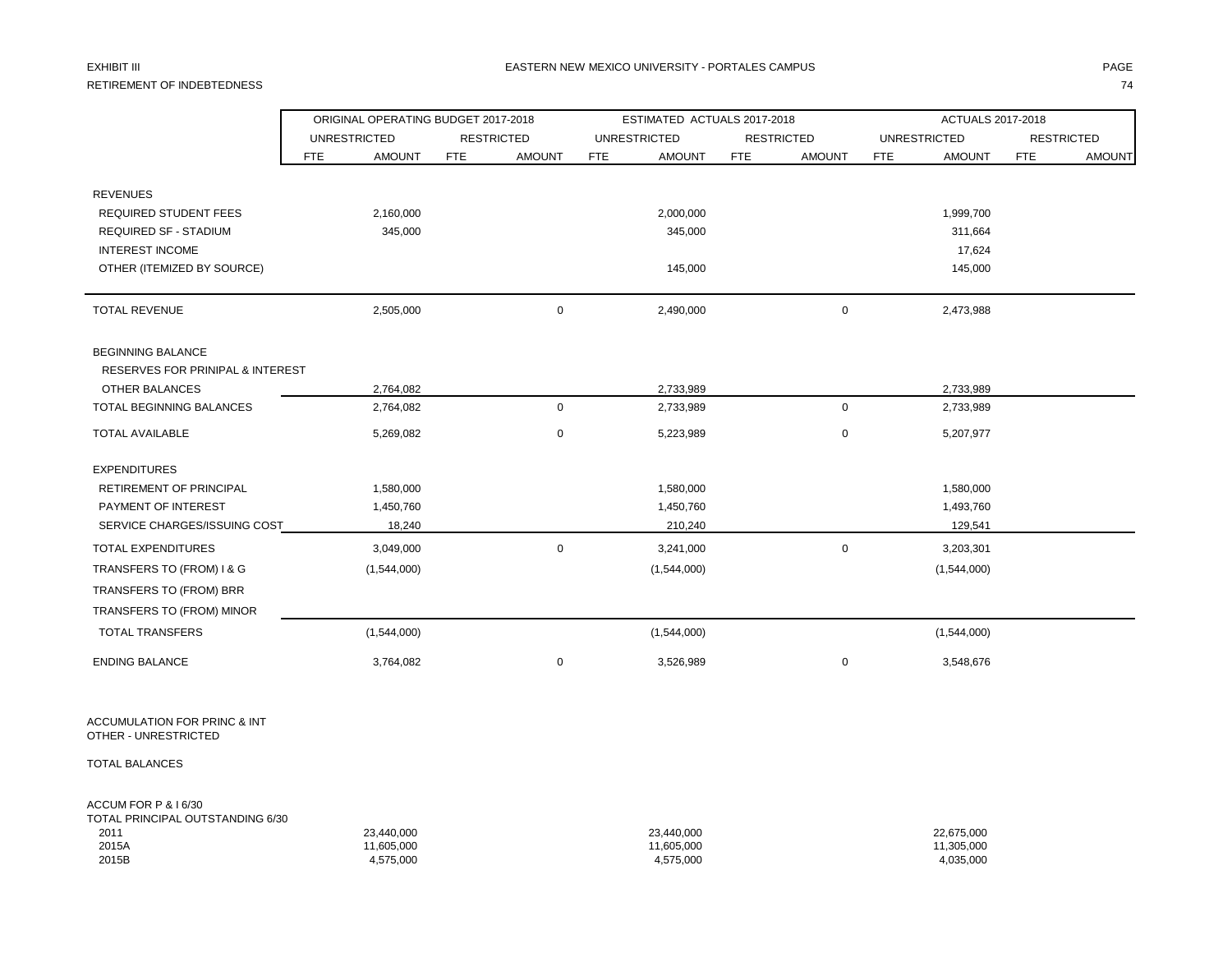# RETIREMENT OF INDEBTEDNESS 74

### EXHIBIT III DHANIM DHANIM DHANIM DHANIM DHANIM DHANIM DHANIM DHANIM DHANIM DHANIM DHANIM DHAGE ANN DHANIM DHAGE

|                                             | ORIGINAL OPERATING BUDGET 2017-2018 |                     |            |                   |            | ESTIMATED ACTUALS 2017-2018 |            |                   | ACTUALS 2017-2018 |                     |            |                   |
|---------------------------------------------|-------------------------------------|---------------------|------------|-------------------|------------|-----------------------------|------------|-------------------|-------------------|---------------------|------------|-------------------|
|                                             |                                     | <b>UNRESTRICTED</b> |            | <b>RESTRICTED</b> |            | <b>UNRESTRICTED</b>         |            | <b>RESTRICTED</b> |                   | <b>UNRESTRICTED</b> |            | <b>RESTRICTED</b> |
|                                             | <b>FTE</b>                          | <b>AMOUNT</b>       | <b>FTE</b> | <b>AMOUNT</b>     | <b>FTE</b> | <b>AMOUNT</b>               | <b>FTE</b> | <b>AMOUNT</b>     | <b>FTE</b>        | <b>AMOUNT</b>       | <b>FTE</b> | <b>AMOUNT</b>     |
|                                             |                                     |                     |            |                   |            |                             |            |                   |                   |                     |            |                   |
| <b>REVENUES</b>                             |                                     |                     |            |                   |            |                             |            |                   |                   |                     |            |                   |
| <b>REQUIRED STUDENT FEES</b>                |                                     | 2,160,000           |            |                   |            | 2,000,000                   |            |                   |                   | 1,999,700           |            |                   |
| <b>REQUIRED SF - STADIUM</b>                |                                     | 345,000             |            |                   |            | 345,000                     |            |                   |                   | 311,664             |            |                   |
| <b>INTEREST INCOME</b>                      |                                     |                     |            |                   |            |                             |            |                   |                   | 17,624              |            |                   |
| OTHER (ITEMIZED BY SOURCE)                  |                                     |                     |            |                   |            | 145,000                     |            |                   |                   | 145,000             |            |                   |
| <b>TOTAL REVENUE</b>                        |                                     | 2,505,000           |            | $\mathsf 0$       |            | 2,490,000                   |            | $\mathbf 0$       |                   | 2,473,988           |            |                   |
| <b>BEGINNING BALANCE</b>                    |                                     |                     |            |                   |            |                             |            |                   |                   |                     |            |                   |
| <b>RESERVES FOR PRINIPAL &amp; INTEREST</b> |                                     |                     |            |                   |            |                             |            |                   |                   |                     |            |                   |
| OTHER BALANCES                              |                                     | 2,764,082           |            |                   |            | 2,733,989                   |            |                   |                   | 2,733,989           |            |                   |
| <b>TOTAL BEGINNING BALANCES</b>             |                                     | 2,764,082           |            | $\mathbf 0$       |            | 2,733,989                   |            | $\mathbf 0$       |                   | 2,733,989           |            |                   |
| <b>TOTAL AVAILABLE</b>                      |                                     | 5,269,082           |            | $\mathbf 0$       |            | 5,223,989                   |            | $\mathbf 0$       |                   | 5,207,977           |            |                   |
| <b>EXPENDITURES</b>                         |                                     |                     |            |                   |            |                             |            |                   |                   |                     |            |                   |
| RETIREMENT OF PRINCIPAL                     |                                     | 1,580,000           |            |                   |            | 1,580,000                   |            |                   |                   | 1,580,000           |            |                   |
| PAYMENT OF INTEREST                         |                                     | 1,450,760           |            |                   |            | 1,450,760                   |            |                   |                   | 1,493,760           |            |                   |
| SERVICE CHARGES/ISSUING COST                |                                     | 18,240              |            |                   |            | 210,240                     |            |                   |                   | 129,541             |            |                   |
| TOTAL EXPENDITURES                          |                                     | 3,049,000           |            | $\mathbf 0$       |            | 3,241,000                   |            | 0                 |                   | 3,203,301           |            |                   |
| TRANSFERS TO (FROM) I & G                   |                                     | (1,544,000)         |            |                   |            | (1,544,000)                 |            |                   |                   | (1,544,000)         |            |                   |
| TRANSFERS TO (FROM) BRR                     |                                     |                     |            |                   |            |                             |            |                   |                   |                     |            |                   |
| TRANSFERS TO (FROM) MINOR                   |                                     |                     |            |                   |            |                             |            |                   |                   |                     |            |                   |
| <b>TOTAL TRANSFERS</b>                      |                                     | (1,544,000)         |            |                   |            | (1,544,000)                 |            |                   |                   | (1,544,000)         |            |                   |
| <b>ENDING BALANCE</b>                       |                                     | 3,764,082           |            | $\mathbf 0$       |            | 3,526,989                   |            | 0                 |                   | 3,548,676           |            |                   |
|                                             |                                     |                     |            |                   |            |                             |            |                   |                   |                     |            |                   |

ACCUMULATION FOR PRINC & INT OTHER - UNRESTRICTED

TOTAL BALANCES

### ACCUM FOR P & I 6/30 TOTAL PRINCIPAL OUTSTANDING 6/30

| TOTAL PRINCIPAL OUTSTANDING 6/30 |            |            |            |
|----------------------------------|------------|------------|------------|
| 2011                             | 23.440.000 | 23,440,000 | 22,675,000 |
| 2015A                            | 11.605.000 | 11,605,000 | 11,305,000 |
| 2015B                            | 4,575,000  | 4,575,000  | 4,035,000  |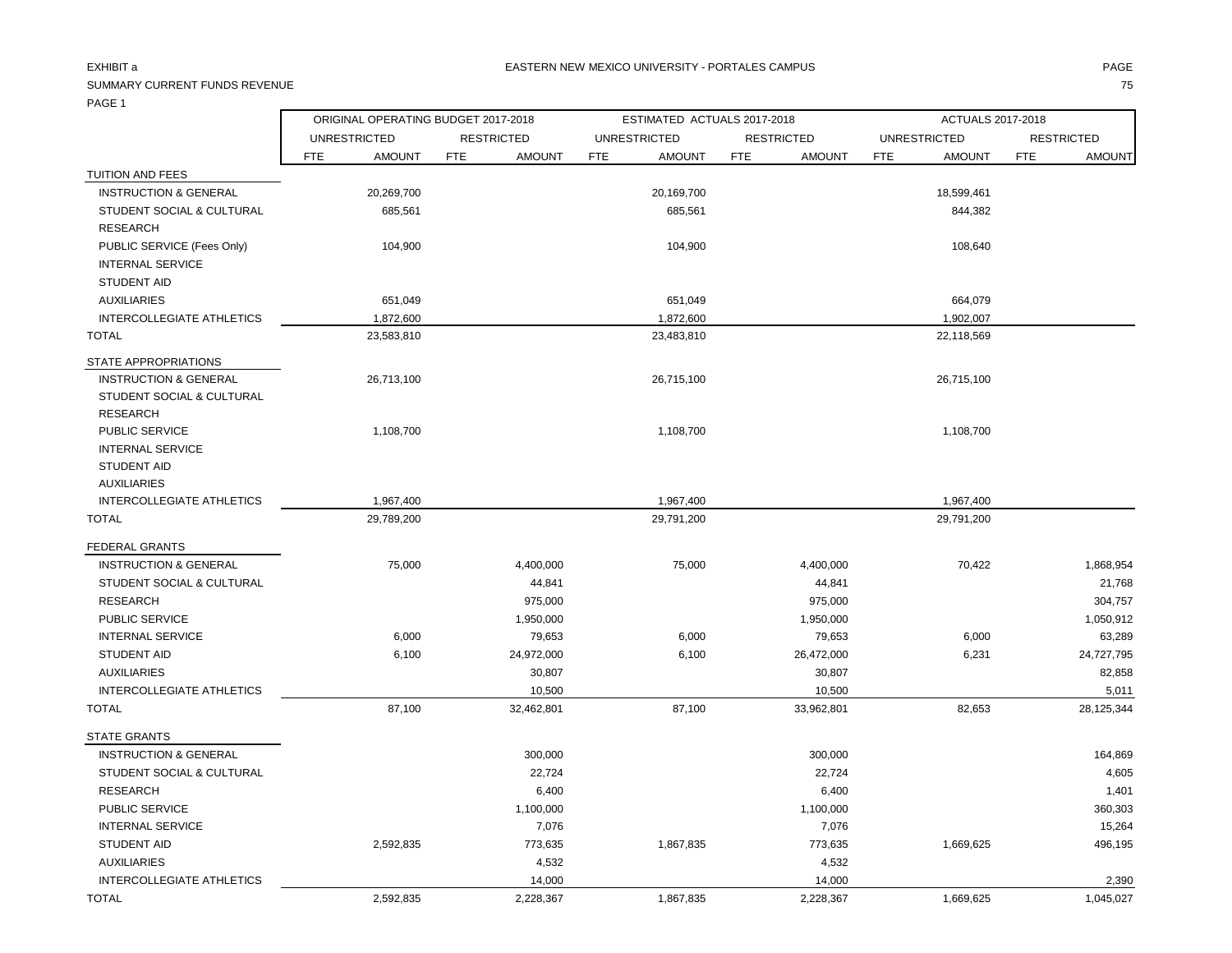### SUMMARY CURRENT FUNDS REVENUE 75

ORIGINAL OPERATING BUDGET 2017-2018 ESTIMATED ACTUALS 2017-2018 ACTUALS 2017-2018

|                                  | UNRESTRICTED |               |            | <b>RESTRICTED</b> |            | UNRESTRICTED  |     | RESTRICTED    | UNRESTRICTED |               |     | RESTRICTED    |
|----------------------------------|--------------|---------------|------------|-------------------|------------|---------------|-----|---------------|--------------|---------------|-----|---------------|
|                                  | <b>FTE</b>   | <b>AMOUNT</b> | <b>FTE</b> | <b>AMOUNT</b>     | <b>FTE</b> | <b>AMOUNT</b> | FTE | <b>AMOUNT</b> | <b>FTE</b>   | <b>AMOUNT</b> | FTE | <b>AMOUNT</b> |
| TUITION AND FEES                 |              |               |            |                   |            |               |     |               |              |               |     |               |
| <b>INSTRUCTION &amp; GENERAL</b> |              | 20,269,700    |            |                   |            | 20,169,700    |     |               |              | 18,599,461    |     |               |
| STUDENT SOCIAL & CULTURAL        |              | 685,561       |            |                   |            | 685,561       |     |               |              | 844,382       |     |               |
| <b>RESEARCH</b>                  |              |               |            |                   |            |               |     |               |              |               |     |               |
| PUBLIC SERVICE (Fees Only)       |              | 104,900       |            |                   |            | 104,900       |     |               |              | 108,640       |     |               |
| <b>INTERNAL SERVICE</b>          |              |               |            |                   |            |               |     |               |              |               |     |               |
| STUDENT AID                      |              |               |            |                   |            |               |     |               |              |               |     |               |
| AUXILIARIES                      |              | 651,049       |            |                   |            | 651,049       |     |               |              | 664,079       |     |               |
| INTERCOLLEGIATE ATHLETICS        |              | 1,872,600     |            |                   |            | 1,872,600     |     |               |              | 1,902,007     |     |               |
| TOTAL                            |              | 23,583,810    |            |                   |            | 23,483,810    |     |               |              | 22,118,569    |     |               |
| STATE APPROPRIATIONS             |              |               |            |                   |            |               |     |               |              |               |     |               |
| <b>INSTRUCTION &amp; GENERAL</b> |              | 26,713,100    |            |                   |            | 26,715,100    |     |               |              | 26,715,100    |     |               |
| STUDENT SOCIAL & CULTURAL        |              |               |            |                   |            |               |     |               |              |               |     |               |
| <b>RESEARCH</b>                  |              |               |            |                   |            |               |     |               |              |               |     |               |
| PUBLIC SERVICE                   |              | 1,108,700     |            |                   |            | 1,108,700     |     |               |              | 1,108,700     |     |               |
| <b>INTERNAL SERVICE</b>          |              |               |            |                   |            |               |     |               |              |               |     |               |
| STUDENT AID                      |              |               |            |                   |            |               |     |               |              |               |     |               |
| <b>AUXILIARIES</b>               |              |               |            |                   |            |               |     |               |              |               |     |               |
| <b>INTERCOLLEGIATE ATHLETICS</b> |              | 1,967,400     |            |                   |            | 1,967,400     |     |               |              | 1,967,400     |     |               |

| 29,789,200 |            | 29,791,200 |            | 29,791,200 |            |
|------------|------------|------------|------------|------------|------------|
|            |            |            |            |            |            |
| 75,000     | 4,400,000  | 75,000     | 4,400,000  | 70,422     | 1,868,954  |
|            | 44.841     |            | 44.841     |            | 21,768     |
|            | 975,000    |            | 975,000    |            | 304,757    |
|            | 1,950,000  |            | 1,950,000  |            | 1,050,912  |
| 6,000      | 79,653     | 6,000      | 79,653     | 6,000      | 63,289     |
| 6,100      | 24,972,000 | 6,100      | 26,472,000 | 6,231      | 24,727,795 |
|            | 30,807     |            | 30,807     |            | 82,858     |
|            | 10,500     |            | 10,500     |            | 5,011      |
| 87,100     | 32,462,801 | 87,100     | 33,962,801 | 82,653     | 28,125,344 |
|            |            |            |            |            |            |
|            | 300,000    |            | 300,000    |            | 164,869    |
|            | 22,724     |            | 22,724     |            | 4,605      |
|            | 6,400      |            | 6,400      |            | 1,401      |
|            | 1,100,000  |            | 1,100,000  |            | 360,303    |
|            | 7,076      |            | 7,076      |            | 15,264     |
| 2,592,835  | 773,635    | 1,867,835  | 773,635    | 1,669,625  | 496,195    |
|            | 4,532      |            | 4,532      |            |            |
|            | 14,000     |            | 14,000     |            | 2,390      |
| 2,592,835  | 2,228,367  | 1,867,835  | 2,228,367  | 1,669,625  | 1,045,027  |
|            |            |            |            |            |            |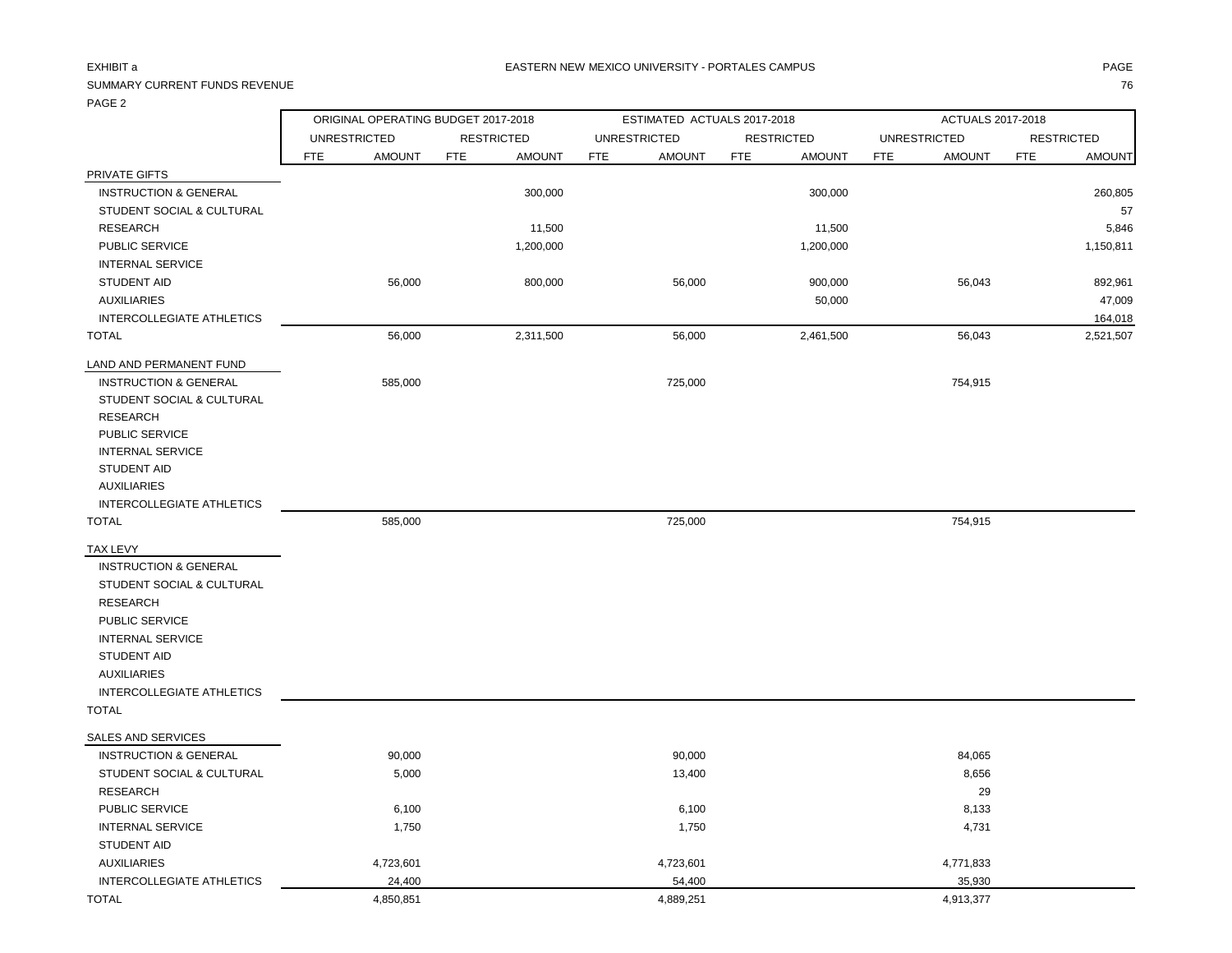## SUMMARY CURRENT FUNDS REVENUE

| . <i>.</i>                       |            | ORIGINAL OPERATING BUDGET 2017-2018 |            |                   |            | ESTIMATED ACTUALS 2017-2018 |            |                   |            | ACTUALS 2017-2018   |            |                   |
|----------------------------------|------------|-------------------------------------|------------|-------------------|------------|-----------------------------|------------|-------------------|------------|---------------------|------------|-------------------|
|                                  |            | <b>UNRESTRICTED</b>                 |            | <b>RESTRICTED</b> |            | <b>UNRESTRICTED</b>         |            | <b>RESTRICTED</b> |            | <b>UNRESTRICTED</b> |            | <b>RESTRICTED</b> |
|                                  | <b>FTE</b> | <b>AMOUNT</b>                       | <b>FTE</b> | <b>AMOUNT</b>     | <b>FTE</b> | <b>AMOUNT</b>               | <b>FTE</b> | <b>AMOUNT</b>     | <b>FTE</b> | <b>AMOUNT</b>       | <b>FTE</b> | <b>AMOUNT</b>     |
| PRIVATE GIFTS                    |            |                                     |            |                   |            |                             |            |                   |            |                     |            |                   |
| <b>INSTRUCTION &amp; GENERAL</b> |            |                                     |            | 300,000           |            |                             |            | 300,000           |            |                     |            | 260,805           |
| STUDENT SOCIAL & CULTURAL        |            |                                     |            |                   |            |                             |            |                   |            |                     |            | 57                |
| <b>RESEARCH</b>                  |            |                                     |            | 11,500            |            |                             |            | 11,500            |            |                     |            | 5,846             |
| PUBLIC SERVICE                   |            |                                     |            | 1,200,000         |            |                             |            | 1,200,000         |            |                     |            | 1,150,811         |
| <b>INTERNAL SERVICE</b>          |            |                                     |            |                   |            |                             |            |                   |            |                     |            |                   |
| STUDENT AID                      |            | 56,000                              |            | 800,000           |            | 56,000                      |            | 900,000           |            | 56,043              |            | 892,961           |
| <b>AUXILIARIES</b>               |            |                                     |            |                   |            |                             |            | 50,000            |            |                     |            | 47,009            |
| INTERCOLLEGIATE ATHLETICS        |            |                                     |            |                   |            |                             |            |                   |            |                     |            | 164,018           |
| <b>TOTAL</b>                     |            | 56,000                              |            | 2,311,500         |            | 56,000                      |            | 2,461,500         |            | 56,043              |            | 2,521,507         |
| LAND AND PERMANENT FUND          |            |                                     |            |                   |            |                             |            |                   |            |                     |            |                   |
| <b>INSTRUCTION &amp; GENERAL</b> |            | 585,000                             |            |                   |            | 725,000                     |            |                   |            | 754,915             |            |                   |
| STUDENT SOCIAL & CULTURAL        |            |                                     |            |                   |            |                             |            |                   |            |                     |            |                   |
| <b>RESEARCH</b>                  |            |                                     |            |                   |            |                             |            |                   |            |                     |            |                   |
| PUBLIC SERVICE                   |            |                                     |            |                   |            |                             |            |                   |            |                     |            |                   |
| <b>INTERNAL SERVICE</b>          |            |                                     |            |                   |            |                             |            |                   |            |                     |            |                   |
| STUDENT AID                      |            |                                     |            |                   |            |                             |            |                   |            |                     |            |                   |
| <b>AUXILIARIES</b>               |            |                                     |            |                   |            |                             |            |                   |            |                     |            |                   |
| INTERCOLLEGIATE ATHLETICS        |            |                                     |            |                   |            |                             |            |                   |            |                     |            |                   |
| <b>TOTAL</b>                     |            | 585,000                             |            |                   |            | 725,000                     |            |                   |            | 754,915             |            |                   |
| TAX LEVY                         |            |                                     |            |                   |            |                             |            |                   |            |                     |            |                   |
| <b>INSTRUCTION &amp; GENERAL</b> |            |                                     |            |                   |            |                             |            |                   |            |                     |            |                   |
| STUDENT SOCIAL & CULTURAL        |            |                                     |            |                   |            |                             |            |                   |            |                     |            |                   |
| <b>RESEARCH</b>                  |            |                                     |            |                   |            |                             |            |                   |            |                     |            |                   |
| PUBLIC SERVICE                   |            |                                     |            |                   |            |                             |            |                   |            |                     |            |                   |
| <b>INTERNAL SERVICE</b>          |            |                                     |            |                   |            |                             |            |                   |            |                     |            |                   |
| STUDENT AID                      |            |                                     |            |                   |            |                             |            |                   |            |                     |            |                   |
| <b>AUXILIARIES</b>               |            |                                     |            |                   |            |                             |            |                   |            |                     |            |                   |
| INTERCOLLEGIATE ATHLETICS        |            |                                     |            |                   |            |                             |            |                   |            |                     |            |                   |
| <b>TOTAL</b>                     |            |                                     |            |                   |            |                             |            |                   |            |                     |            |                   |
| SALES AND SERVICES               |            |                                     |            |                   |            |                             |            |                   |            |                     |            |                   |
| <b>INSTRUCTION &amp; GENERAL</b> |            | 90,000                              |            |                   |            | 90,000                      |            |                   |            | 84,065              |            |                   |
| STUDENT SOCIAL & CULTURAL        |            | 5,000                               |            |                   |            | 13,400                      |            |                   |            | 8,656               |            |                   |
| <b>RESEARCH</b>                  |            |                                     |            |                   |            |                             |            |                   |            | 29                  |            |                   |
| PUBLIC SERVICE                   |            | 6,100                               |            |                   |            | 6,100                       |            |                   |            | 8,133               |            |                   |
| <b>INTERNAL SERVICE</b>          |            | 1,750                               |            |                   |            | 1,750                       |            |                   |            | 4,731               |            |                   |
| <b>STUDENT AID</b>               |            |                                     |            |                   |            |                             |            |                   |            |                     |            |                   |
| <b>AUXILIARIES</b>               |            | 4,723,601                           |            |                   |            | 4,723,601                   |            |                   |            | 4,771,833           |            |                   |
| <b>INTERCOLLEGIATE ATHLETICS</b> |            | 24,400                              |            |                   |            | 54,400                      |            |                   |            | 35,930              |            |                   |
| <b>TOTAL</b>                     |            | 4,850,851                           |            |                   |            | 4,889,251                   |            |                   |            | 4,913,377           |            |                   |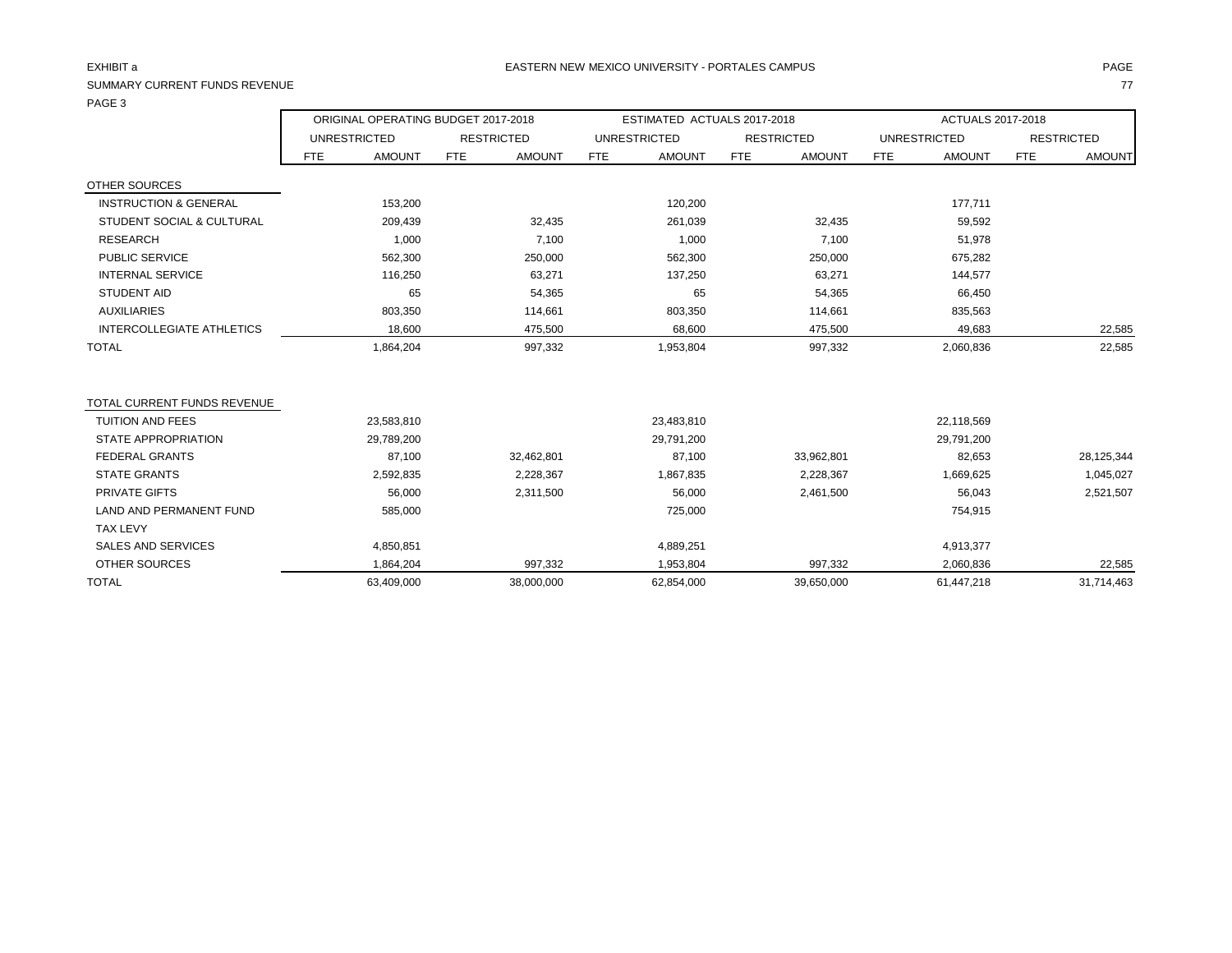# SUMMARY CURRENT FUNDS REVENUE THE SERVENUE TO A SUMMARY CURRENT FUNDS REVENUE TO A SUMMARY CURRENT FUNDS REVENUE

PAGE 3

|                                  | ORIGINAL OPERATING BUDGET 2017-2018 |         |                   |         | ESTIMATED ACTUALS 2017-2018 |              |     |                   | ACTUALS 2017-2018 |                     |            |                   |
|----------------------------------|-------------------------------------|---------|-------------------|---------|-----------------------------|--------------|-----|-------------------|-------------------|---------------------|------------|-------------------|
|                                  | <b>UNRESTRICTED</b>                 |         | <b>RESTRICTED</b> |         |                             | UNRESTRICTED |     | <b>RESTRICTED</b> |                   | <b>UNRESTRICTED</b> |            | <b>RESTRICTED</b> |
|                                  | FTE                                 | AMOUNT  | <b>FTE</b>        | AMOUNT  | <b>FTE</b>                  | AMOUNT       | FTE | AMOUNT            | FTE               | <b>AMOUNT</b>       | <b>FTE</b> | <b>AMOUNT</b>     |
| OTHER SOURCES                    |                                     |         |                   |         |                             |              |     |                   |                   |                     |            |                   |
| <b>INSTRUCTION &amp; GENERAL</b> |                                     | 153,200 |                   |         |                             | 120,200      |     |                   |                   | 177,711             |            |                   |
| STUDENT SOCIAL & CULTURAL        |                                     | 209.439 |                   | 32,435  |                             | 261,039      |     | 32,435            |                   | 59,592              |            |                   |
| <b>RESEARCH</b>                  |                                     | 1,000   |                   | 7,100   |                             | 1,000        |     | 7,100             |                   | 51,978              |            |                   |
| <b>PUBLIC SERVICE</b>            |                                     | 562,300 |                   | 250,000 |                             | 562,300      |     | 250,000           |                   | 675,282             |            |                   |
| <b>INTERNAL SERVICE</b>          |                                     | 116.250 |                   | 63,271  |                             | 137,250      |     | 63,271            |                   | 144.577             |            |                   |
| STUDENT AID                      |                                     | 65      |                   | 54,365  |                             | 65           |     | 54,365            |                   | 66,450              |            |                   |
| AUXILIARIES                      |                                     | 803,350 |                   | 114,661 |                             | 803,350      |     | 114,661           |                   | 835,563             |            |                   |
| INTERCOLLEGIATE ATHLETICS        |                                     | 18.600  |                   | 475.500 |                             | 68.600       |     | 475.500           |                   | 49.683              |            | 22.585            |

| TOTAL CURRENT FUNDS REVENUE |            |            |            |            |            |            |
|-----------------------------|------------|------------|------------|------------|------------|------------|
| <b>TUITION AND FEES</b>     | 23,583,810 |            | 23,483,810 |            | 22,118,569 |            |
| STATE APPROPRIATION         | 29,789,200 |            | 29,791,200 |            | 29,791,200 |            |
| FEDERAL GRANTS              | 87,100     | 32,462,801 | 87,100     | 33,962,801 | 82,653     | 28,125,344 |
| <b>STATE GRANTS</b>         | 2,592,835  | 2,228,367  | 1,867,835  | 2,228,367  | 1,669,625  | 1,045,027  |
| PRIVATE GIFTS               | 56,000     | 2,311,500  | 56,000     | 2,461,500  | 56,043     | 2,521,507  |
| LAND AND PERMANENT FUND     | 585,000    |            | 725,000    |            | 754,915    |            |
| <b>TAX LEVY</b>             |            |            |            |            |            |            |
| <b>SALES AND SERVICES</b>   | 4,850,851  |            | 4,889,251  |            | 4,913,377  |            |
| OTHER SOURCES               | 1.864.204  | 997,332    | 1,953,804  | 997,332    | 2,060,836  | 22,585     |
| <b>TOTAL</b>                | 63,409,000 | 38,000,000 | 62,854,000 | 39,650,000 | 61,447,218 | 31,714,463 |

TOTAL 1,864,204 997,332 1,953,804 997,332 2,060,836 22,585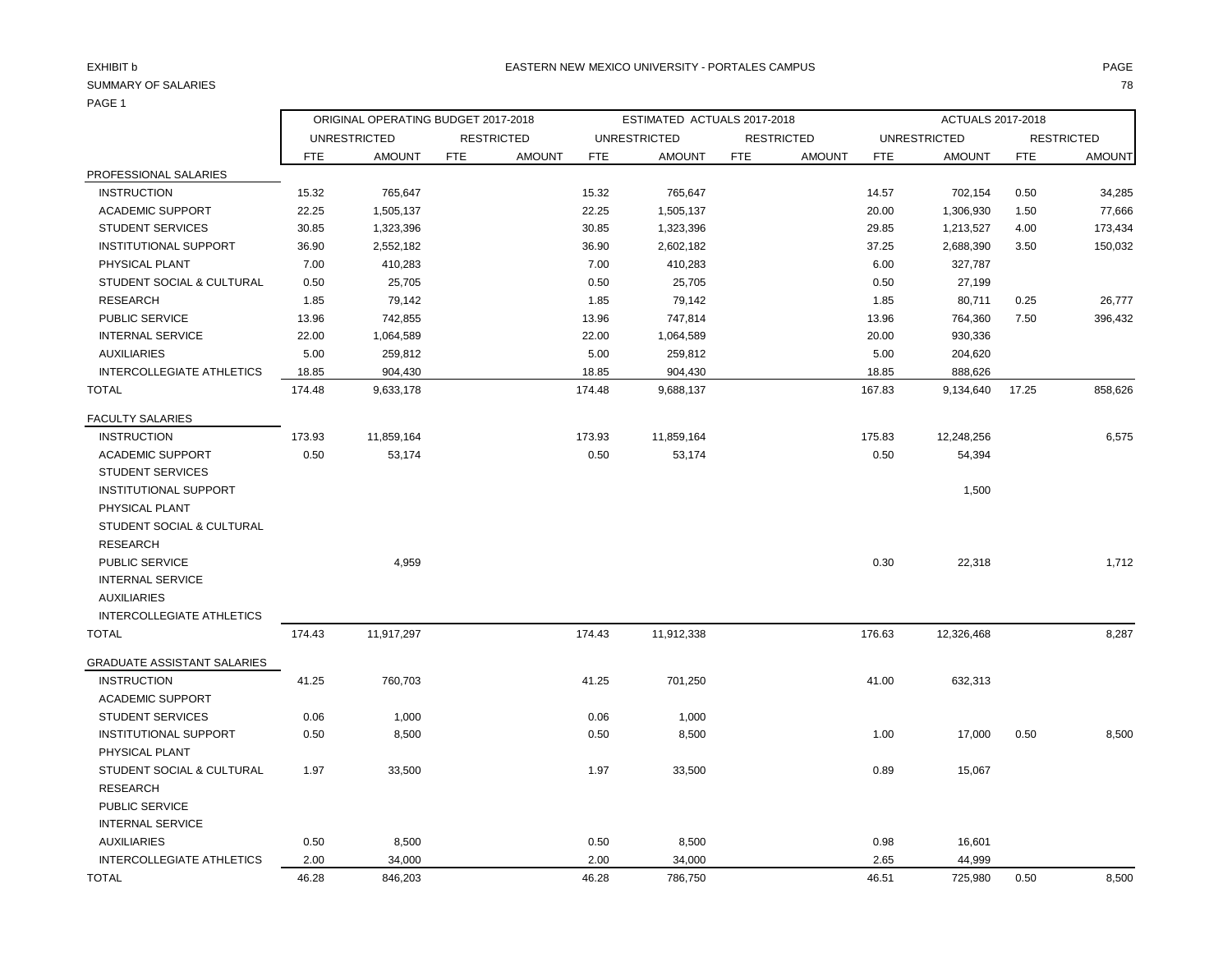# PAGE 1

ORIGINAL OPERATING BUDGET 2017-2018 ESTIMATED ACTUALS 2017-2018 ACTUALS 2017-2018

|                                    | <b>UNRESTRICTED</b> |               | <b>RESTRICTED</b> |               |            | <b>UNRESTRICTED</b> |            | <b>RESTRICTED</b> |            | <b>UNRESTRICTED</b> |            | <b>RESTRICTED</b> |  |
|------------------------------------|---------------------|---------------|-------------------|---------------|------------|---------------------|------------|-------------------|------------|---------------------|------------|-------------------|--|
|                                    | FTE                 | <b>AMOUNT</b> | <b>FTE</b>        | <b>AMOUNT</b> | <b>FTE</b> | <b>AMOUNT</b>       | <b>FTE</b> | <b>AMOUNT</b>     | <b>FTE</b> | <b>AMOUNT</b>       | <b>FTE</b> | <b>AMOUNT</b>     |  |
| PROFESSIONAL SALARIES              |                     |               |                   |               |            |                     |            |                   |            |                     |            |                   |  |
| <b>INSTRUCTION</b>                 | 15.32               | 765,647       |                   |               | 15.32      | 765,647             |            |                   | 14.57      | 702,154             | 0.50       | 34,285            |  |
| <b>ACADEMIC SUPPORT</b>            | 22.25               | 1,505,137     |                   |               | 22.25      | 1,505,137           |            |                   | 20.00      | 1,306,930           | 1.50       | 77,666            |  |
| <b>STUDENT SERVICES</b>            | 30.85               | 1,323,396     |                   |               | 30.85      | 1,323,396           |            |                   | 29.85      | 1,213,527           | 4.00       | 173,434           |  |
| <b>INSTITUTIONAL SUPPORT</b>       | 36.90               | 2,552,182     |                   |               | 36.90      | 2,602,182           |            |                   | 37.25      | 2,688,390           | 3.50       | 150,032           |  |
| PHYSICAL PLANT                     | 7.00                | 410,283       |                   |               | 7.00       | 410,283             |            |                   | 6.00       | 327,787             |            |                   |  |
| STUDENT SOCIAL & CULTURAL          | 0.50                | 25,705        |                   |               | 0.50       | 25,705              |            |                   | 0.50       | 27,199              |            |                   |  |
| RESEARCH                           | 1.85                | 79,142        |                   |               | 1.85       | 79,142              |            |                   | 1.85       | 80,711              | 0.25       | 26,777            |  |
| PUBLIC SERVICE                     | 13.96               | 742,855       |                   |               | 13.96      | 747,814             |            |                   | 13.96      | 764,360             | 7.50       | 396,432           |  |
| <b>INTERNAL SERVICE</b>            | 22.00               | 1,064,589     |                   |               | 22.00      | 1,064,589           |            |                   | 20.00      | 930,336             |            |                   |  |
| <b>AUXILIARIES</b>                 | 5.00                | 259,812       |                   |               | 5.00       | 259,812             |            |                   | 5.00       | 204,620             |            |                   |  |
| <b>INTERCOLLEGIATE ATHLETICS</b>   | 18.85               | 904,430       |                   |               | 18.85      | 904,430             |            |                   | 18.85      | 888,626             |            |                   |  |
| <b>TOTAL</b>                       | 174.48              | 9,633,178     |                   |               | 174.48     | 9,688,137           |            |                   | 167.83     | 9,134,640           | 17.25      | 858,626           |  |
| <b>FACULTY SALARIES</b>            |                     |               |                   |               |            |                     |            |                   |            |                     |            |                   |  |
| <b>INSTRUCTION</b>                 | 173.93              | 11,859,164    |                   |               | 173.93     | 11,859,164          |            |                   | 175.83     | 12,248,256          |            | 6,575             |  |
| <b>ACADEMIC SUPPORT</b>            | 0.50                | 53,174        |                   |               | 0.50       | 53,174              |            |                   | 0.50       | 54,394              |            |                   |  |
| <b>STUDENT SERVICES</b>            |                     |               |                   |               |            |                     |            |                   |            |                     |            |                   |  |
| <b>INSTITUTIONAL SUPPORT</b>       |                     |               |                   |               |            |                     |            |                   |            | 1,500               |            |                   |  |
| PHYSICAL PLANT                     |                     |               |                   |               |            |                     |            |                   |            |                     |            |                   |  |
| STUDENT SOCIAL & CULTURAL          |                     |               |                   |               |            |                     |            |                   |            |                     |            |                   |  |
| <b>RESEARCH</b>                    |                     |               |                   |               |            |                     |            |                   |            |                     |            |                   |  |
| PUBLIC SERVICE                     |                     | 4,959         |                   |               |            |                     |            |                   | 0.30       | 22,318              |            | 1,712             |  |
| <b>INTERNAL SERVICE</b>            |                     |               |                   |               |            |                     |            |                   |            |                     |            |                   |  |
| <b>AUXILIARIES</b>                 |                     |               |                   |               |            |                     |            |                   |            |                     |            |                   |  |
| <b>INTERCOLLEGIATE ATHLETICS</b>   |                     |               |                   |               |            |                     |            |                   |            |                     |            |                   |  |
| <b>TOTAL</b>                       | 174.43              | 11,917,297    |                   |               | 174.43     | 11,912,338          |            |                   | 176.63     | 12,326,468          |            | 8,287             |  |
| <b>GRADUATE ASSISTANT SALARIES</b> |                     |               |                   |               |            |                     |            |                   |            |                     |            |                   |  |

| <b>INSTRUCTION</b>           | 41.25 | 760,703 | 41.25 | 701,250 | 41.00 | 632,313 |      |       |
|------------------------------|-------|---------|-------|---------|-------|---------|------|-------|
| <b>ACADEMIC SUPPORT</b>      |       |         |       |         |       |         |      |       |
| <b>STUDENT SERVICES</b>      | 0.06  | 1,000   | 0.06  | 1,000   |       |         |      |       |
| <b>INSTITUTIONAL SUPPORT</b> | 0.50  | 8,500   | 0.50  | 8,500   | 1.00  | 17,000  | 0.50 | 8,500 |
| PHYSICAL PLANT               |       |         |       |         |       |         |      |       |
| STUDENT SOCIAL & CULTURAL    | 1.97  | 33,500  | 1.97  | 33,500  | 0.89  | 15,067  |      |       |
| RESEARCH                     |       |         |       |         |       |         |      |       |
| <b>PUBLIC SERVICE</b>        |       |         |       |         |       |         |      |       |
| <b>INTERNAL SERVICE</b>      |       |         |       |         |       |         |      |       |
| AUXILIARIES                  | 0.50  | 8,500   | 0.50  | 8,500   | 0.98  | 16,601  |      |       |
| INTERCOLLEGIATE ATHLETICS    | 2.00  | 34,000  | 2.00  | 34,000  | 2.65  | 44,999  |      |       |
| TOTAL                        | 46.28 | 846,203 | 46.28 | 786,750 | 46.51 | 725,980 | 0.50 | 8,500 |
|                              |       |         |       |         |       |         |      |       |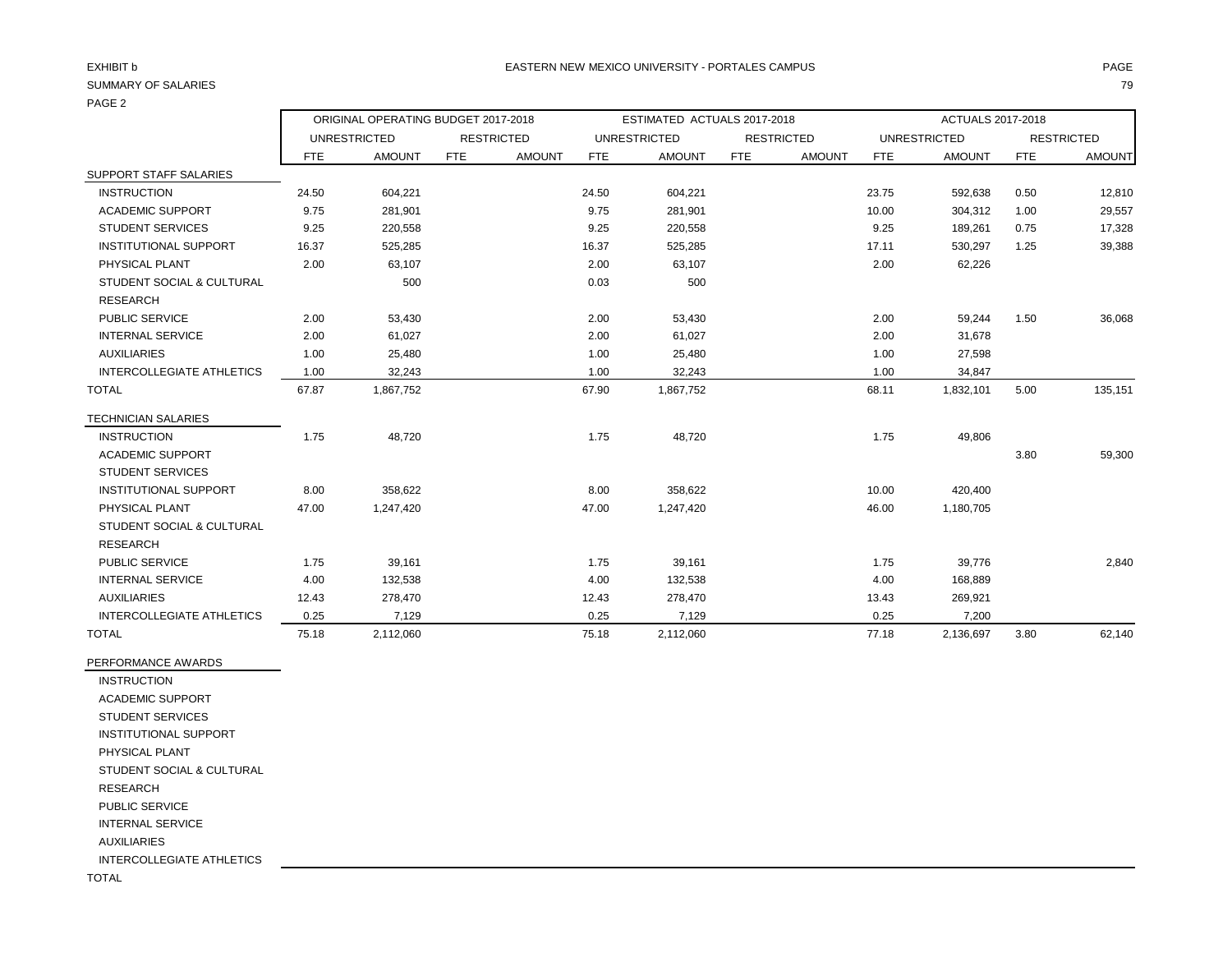# PAGE 2

|     | ACTUALS 2017-2018   |               |                   |      |  |  |  |  |  |  |
|-----|---------------------|---------------|-------------------|------|--|--|--|--|--|--|
|     | <b>UNRESTRICTED</b> |               | <b>RESTRICTED</b> |      |  |  |  |  |  |  |
| UNT | FTE.                | <b>AMOUNT</b> | <b>FTE</b>        | AMOU |  |  |  |  |  |  |
|     |                     |               |                   |      |  |  |  |  |  |  |
|     | 23.75               | 592,638       | 0.50              | 12,8 |  |  |  |  |  |  |
|     | 10.00               | 304.312       | 1.00              | 29,  |  |  |  |  |  |  |
|     |                     |               |                   |      |  |  |  |  |  |  |

|                                  |       | <b>UNRESTRICTED</b> | <b>RESTRICTED</b> |               |            | <b>UNRESTRICTED</b> |            | <b>RESTRICTED</b> |       | <b>UNRESTRICTED</b> |            | <b>RESTRICTED</b> |
|----------------------------------|-------|---------------------|-------------------|---------------|------------|---------------------|------------|-------------------|-------|---------------------|------------|-------------------|
|                                  | FTE   | <b>AMOUNT</b>       | FTE               | <b>AMOUNT</b> | <b>FTE</b> | <b>AMOUNT</b>       | <b>FTE</b> | <b>AMOUNT</b>     | FTE   | <b>AMOUNT</b>       | <b>FTE</b> | <b>AMOUNT</b>     |
| SUPPORT STAFF SALARIES           |       |                     |                   |               |            |                     |            |                   |       |                     |            |                   |
| <b>INSTRUCTION</b>               | 24.50 | 604,221             |                   |               | 24.50      | 604,221             |            |                   | 23.75 | 592,638             | 0.50       | 12,810            |
| <b>ACADEMIC SUPPORT</b>          | 9.75  | 281,901             |                   |               | 9.75       | 281,901             |            |                   | 10.00 | 304,312             | 1.00       | 29,557            |
| <b>STUDENT SERVICES</b>          | 9.25  | 220,558             |                   |               | 9.25       | 220,558             |            |                   | 9.25  | 189,261             | 0.75       | 17,328            |
| <b>INSTITUTIONAL SUPPORT</b>     | 16.37 | 525,285             |                   |               | 16.37      | 525,285             |            |                   | 17.11 | 530,297             | 1.25       | 39,388            |
| PHYSICAL PLANT                   | 2.00  | 63,107              |                   |               | 2.00       | 63,107              |            |                   | 2.00  | 62,226              |            |                   |
| STUDENT SOCIAL & CULTURAL        |       | 500                 |                   |               | 0.03       | 500                 |            |                   |       |                     |            |                   |
| <b>RESEARCH</b>                  |       |                     |                   |               |            |                     |            |                   |       |                     |            |                   |
| <b>PUBLIC SERVICE</b>            | 2.00  | 53,430              |                   |               | 2.00       | 53,430              |            |                   | 2.00  | 59,244              | 1.50       | 36,068            |
| <b>INTERNAL SERVICE</b>          | 2.00  | 61,027              |                   |               | 2.00       | 61,027              |            |                   | 2.00  | 31,678              |            |                   |
| <b>AUXILIARIES</b>               | 1.00  | 25,480              |                   |               | 1.00       | 25,480              |            |                   | 1.00  | 27,598              |            |                   |
| <b>INTERCOLLEGIATE ATHLETICS</b> | 1.00  | 32,243              |                   |               | 1.00       | 32,243              |            |                   | 1.00  | 34,847              |            |                   |
| <b>TOTAL</b>                     | 67.87 | 1,867,752           |                   |               | 67.90      | 1,867,752           |            |                   | 68.11 | 1,832,101           | 5.00       | 135,151           |
| <b>TECHNICIAN SALARIES</b>       |       |                     |                   |               |            |                     |            |                   |       |                     |            |                   |
| <b>INSTRUCTION</b>               | 1.75  | 48,720              |                   |               | 1.75       | 48,720              |            |                   | 1.75  | 49,806              |            |                   |
| <b>ACADEMIC SUPPORT</b>          |       |                     |                   |               |            |                     |            |                   |       |                     | 3.80       | 59,300            |
| <b>STUDENT SERVICES</b>          |       |                     |                   |               |            |                     |            |                   |       |                     |            |                   |
| <b>INSTITUTIONAL SUPPORT</b>     | 8.00  | 358,622             |                   |               | 8.00       | 358,622             |            |                   | 10.00 | 420,400             |            |                   |
| PHYSICAL PLANT                   | 47.00 | 1,247,420           |                   |               | 47.00      | 1,247,420           |            |                   | 46.00 | 1,180,705           |            |                   |
| STUDENT SOCIAL & CULTURAL        |       |                     |                   |               |            |                     |            |                   |       |                     |            |                   |
| <b>RESEARCH</b>                  |       |                     |                   |               |            |                     |            |                   |       |                     |            |                   |
| <b>PUBLIC SERVICE</b>            | 1.75  | 39,161              |                   |               | 1.75       | 39,161              |            |                   | 1.75  | 39,776              |            | 2,840             |
| <b>INTERNAL SERVICE</b>          | 4.00  | 132,538             |                   |               | 4.00       | 132,538             |            |                   | 4.00  | 168,889             |            |                   |
| <b>AUXILIARIES</b>               | 12.43 | 278,470             |                   |               | 12.43      | 278,470             |            |                   | 13.43 | 269,921             |            |                   |
| INTERCOLLEGIATE ATHLETICS        | 0.25  | 7,129               |                   |               | 0.25       | 7,129               |            |                   | 0.25  | 7,200               |            |                   |
| <b>TOTAL</b>                     | 75.18 | 2,112,060           |                   |               | 75.18      | 2,112,060           |            |                   | 77.18 | 2,136,697           | 3.80       | 62,140            |

ORIGINAL OPERATING BUDGET 2017-2018 ESTIMATED ACTUALS 2017-2018

 INSTRUCTION ACADEMIC SUPPORT STUDENT SERVICES INSTITUTIONAL SUPPORT

PERFORMANCE AWARDS

PHYSICAL PLANT

STUDENT SOCIAL & CULTURAL

RESEARCH

PUBLIC SERVICE

INTERNAL SERVICE

AUXILIARIES

INTERCOLLEGIATE ATHLETICS

TOTAL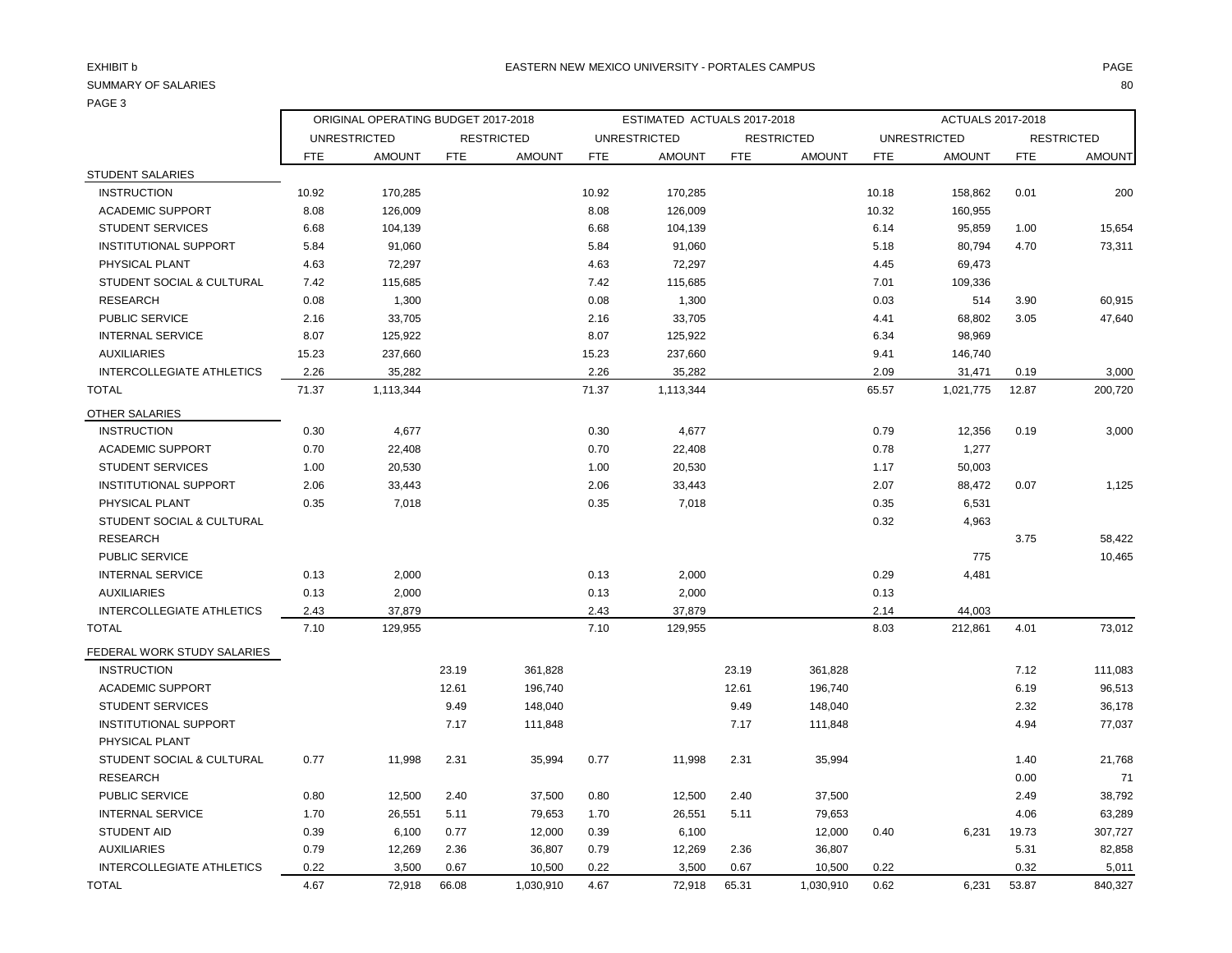# PAGE 3

|                                  | ORIGINAL OPERATING BUDGET 2017-2018 |                     |            | ESTIMATED ACTUALS 2017-2018 |            |                     |            | ACTUALS 2017-2018 |                     |               |            |                   |
|----------------------------------|-------------------------------------|---------------------|------------|-----------------------------|------------|---------------------|------------|-------------------|---------------------|---------------|------------|-------------------|
|                                  |                                     | <b>UNRESTRICTED</b> |            | <b>RESTRICTED</b>           |            | <b>UNRESTRICTED</b> |            | <b>RESTRICTED</b> | <b>UNRESTRICTED</b> |               |            | <b>RESTRICTED</b> |
|                                  | <b>FTE</b>                          | <b>AMOUNT</b>       | <b>FTE</b> | <b>AMOUNT</b>               | <b>FTE</b> | <b>AMOUNT</b>       | <b>FTE</b> | <b>AMOUNT</b>     | <b>FTE</b>          | <b>AMOUNT</b> | <b>FTE</b> | <b>AMOUNT</b>     |
| <b>STUDENT SALARIES</b>          |                                     |                     |            |                             |            |                     |            |                   |                     |               |            |                   |
| <b>INSTRUCTION</b>               | 10.92                               | 170,285             |            |                             | 10.92      | 170,285             |            |                   | 10.18               | 158,862       | 0.01       | 200               |
| <b>ACADEMIC SUPPORT</b>          | 8.08                                | 126,009             |            |                             | 8.08       | 126,009             |            |                   | 10.32               | 160,955       |            |                   |
| <b>STUDENT SERVICES</b>          | 6.68                                | 104,139             |            |                             | 6.68       | 104,139             |            |                   | 6.14                | 95,859        | 1.00       | 15,654            |
| <b>INSTITUTIONAL SUPPORT</b>     | 5.84                                | 91,060              |            |                             | 5.84       | 91,060              |            |                   | 5.18                | 80,794        | 4.70       | 73,311            |
| PHYSICAL PLANT                   | 4.63                                | 72,297              |            |                             | 4.63       | 72,297              |            |                   | 4.45                | 69,473        |            |                   |
| STUDENT SOCIAL & CULTURAL        | 7.42                                | 115,685             |            |                             | 7.42       | 115,685             |            |                   | 7.01                | 109,336       |            |                   |
| <b>RESEARCH</b>                  | 0.08                                | 1,300               |            |                             | 0.08       | 1,300               |            |                   | 0.03                | 514           | 3.90       | 60,915            |
| <b>PUBLIC SERVICE</b>            | 2.16                                | 33,705              |            |                             | 2.16       | 33,705              |            |                   | 4.41                | 68,802        | 3.05       | 47,640            |
| <b>INTERNAL SERVICE</b>          | 8.07                                | 125,922             |            |                             | 8.07       | 125,922             |            |                   | 6.34                | 98,969        |            |                   |
| <b>AUXILIARIES</b>               | 15.23                               | 237,660             |            |                             | 15.23      | 237,660             |            |                   | 9.41                | 146,740       |            |                   |
| <b>INTERCOLLEGIATE ATHLETICS</b> | 2.26                                | 35,282              |            |                             | 2.26       | 35,282              |            |                   | 2.09                | 31,471        | 0.19       | 3,000             |
| <b>TOTAL</b>                     | 71.37                               | 1,113,344           |            |                             | 71.37      | 1,113,344           |            |                   | 65.57               | 1,021,775     | 12.87      | 200,720           |
| OTHER SALARIES                   |                                     |                     |            |                             |            |                     |            |                   |                     |               |            |                   |
| <b>INSTRUCTION</b>               | 0.30                                | 4,677               |            |                             | 0.30       | 4,677               |            |                   | 0.79                | 12,356        | 0.19       | 3,000             |
| <b>ACADEMIC SUPPORT</b>          | 0.70                                | 22,408              |            |                             | 0.70       | 22,408              |            |                   | 0.78                | 1,277         |            |                   |
| <b>STUDENT SERVICES</b>          | 1.00                                | 20,530              |            |                             | 1.00       | 20,530              |            |                   | 1.17                | 50,003        |            |                   |
| <b>INSTITUTIONAL SUPPORT</b>     | 2.06                                | 33,443              |            |                             | 2.06       | 33,443              |            |                   | 2.07                | 88,472        | 0.07       | 1,125             |
| PHYSICAL PLANT                   | 0.35                                | 7,018               |            |                             | 0.35       | 7,018               |            |                   | 0.35                | 6,531         |            |                   |
| STUDENT SOCIAL & CULTURAL        |                                     |                     |            |                             |            |                     |            |                   | 0.32                | 4,963         |            |                   |
| <b>RESEARCH</b>                  |                                     |                     |            |                             |            |                     |            |                   |                     |               | 3.75       | 58,422            |
| <b>PUBLIC SERVICE</b>            |                                     |                     |            |                             |            |                     |            |                   |                     | 775           |            | 10,465            |
| <b>INTERNAL SERVICE</b>          | 0.13                                | 2,000               |            |                             | 0.13       | 2,000               |            |                   | 0.29                | 4,481         |            |                   |
| <b>AUXILIARIES</b>               | 0.13                                | 2,000               |            |                             | 0.13       | 2,000               |            |                   | 0.13                |               |            |                   |
| INTERCOLLEGIATE ATHLETICS        | 2.43                                | 37,879              |            |                             | 2.43       | 37,879              |            |                   | 2.14                | 44,003        |            |                   |
| <b>TOTAL</b>                     | 7.10                                | 129,955             |            |                             | 7.10       | 129,955             |            |                   | 8.03                | 212,861       | 4.01       | 73,012            |
| FEDERAL WORK STUDY SALARIES      |                                     |                     |            |                             |            |                     |            |                   |                     |               |            |                   |
| <b>INSTRUCTION</b>               |                                     |                     | 23.19      | 361,828                     |            |                     | 23.19      | 361,828           |                     |               | 7.12       | 111,083           |
| <b>ACADEMIC SUPPORT</b>          |                                     |                     | 12.61      | 196,740                     |            |                     | 12.61      | 196,740           |                     |               | 6.19       | 96,513            |
| <b>STUDENT SERVICES</b>          |                                     |                     | 9.49       | 148,040                     |            |                     | 9.49       | 148,040           |                     |               | 2.32       | 36,178            |
| <b>INSTITUTIONAL SUPPORT</b>     |                                     |                     | 7.17       | 111,848                     |            |                     | 7.17       | 111,848           |                     |               | 4.94       | 77,037            |
| PHYSICAL PLANT                   |                                     |                     |            |                             |            |                     |            |                   |                     |               |            |                   |
| STUDENT SOCIAL & CULTURAL        | 0.77                                | 11,998              | 2.31       | 35,994                      | 0.77       | 11,998              | 2.31       | 35,994            |                     |               | 1.40       | 21,768            |
| <b>RESEARCH</b>                  |                                     |                     |            |                             |            |                     |            |                   |                     |               | 0.00       | 71                |
| <b>PUBLIC SERVICE</b>            | 0.80                                | 12,500              | 2.40       | 37,500                      | 0.80       | 12,500              | 2.40       | 37,500            |                     |               | 2.49       | 38,792            |
| <b>INTERNAL SERVICE</b>          | 1.70                                | 26,551              | 5.11       | 79,653                      | 1.70       | 26,551              | 5.11       | 79,653            |                     |               | 4.06       | 63,289            |
| <b>STUDENT AID</b>               | 0.39                                | 6,100               | 0.77       | 12,000                      | 0.39       | 6,100               |            | 12,000            | 0.40                | 6,231         | 19.73      | 307,727           |
| <b>AUXILIARIES</b>               | 0.79                                | 12,269              | 2.36       | 36,807                      | 0.79       | 12,269              | 2.36       | 36,807            |                     |               | 5.31       | 82,858            |
| <b>INTERCOLLEGIATE ATHLETICS</b> | 0.22                                | 3,500               | 0.67       | 10,500                      | 0.22       | 3,500               | 0.67       | 10,500            | 0.22                |               | 0.32       | 5,011             |
| <b>TOTAL</b>                     | 4.67                                | 72,918              | 66.08      | 1,030,910                   | 4.67       | 72,918              | 65.31      | 1,030,910         | 0.62                | 6,231         | 53.87      | 840,327           |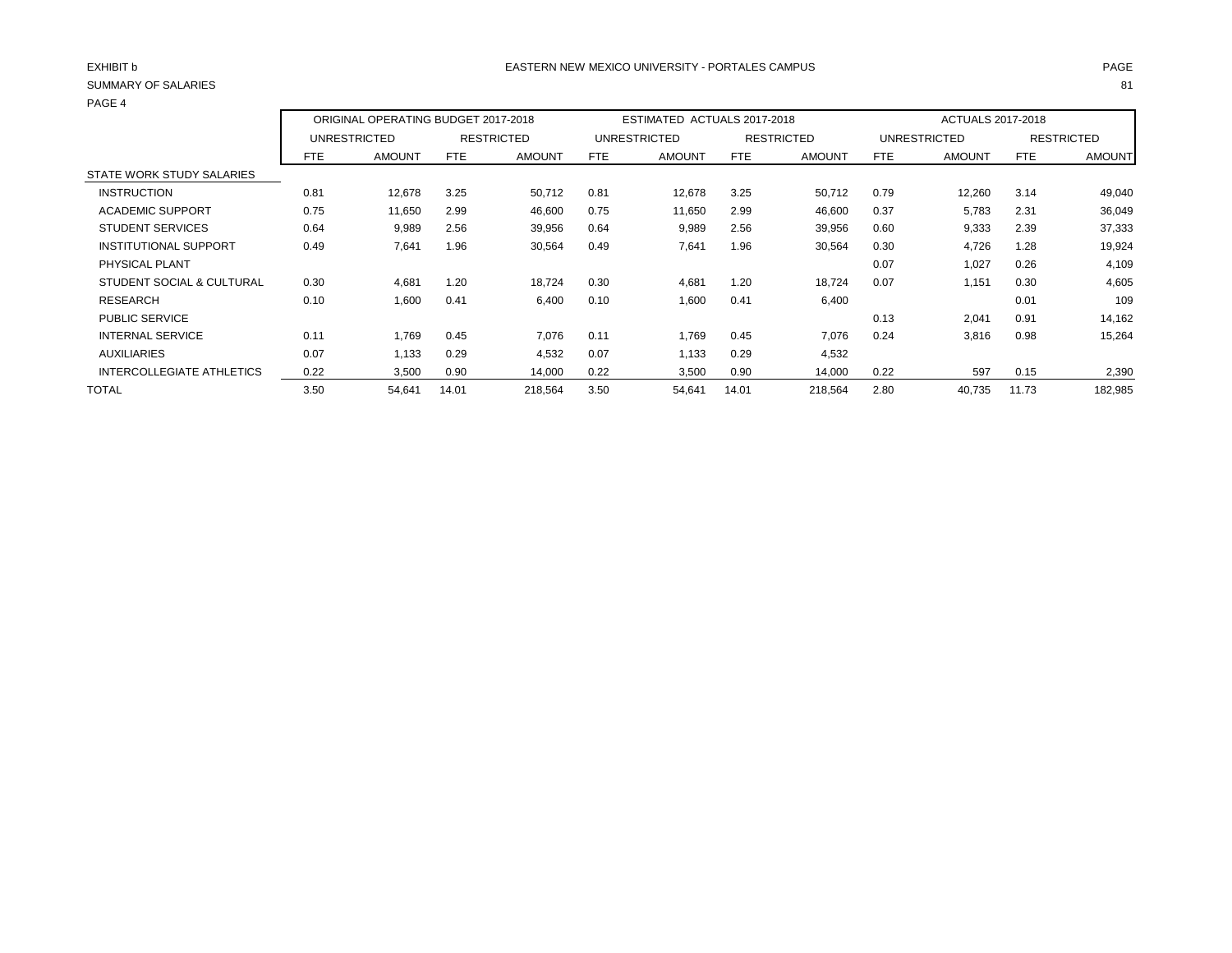| SUMMARY OF SALARIES          |            |                                     |       |                   |      |                             |            |                   |            |                          |            | 81                |
|------------------------------|------------|-------------------------------------|-------|-------------------|------|-----------------------------|------------|-------------------|------------|--------------------------|------------|-------------------|
| PAGE 4                       |            |                                     |       |                   |      |                             |            |                   |            |                          |            |                   |
|                              |            | ORIGINAL OPERATING BUDGET 2017-2018 |       |                   |      | ESTIMATED ACTUALS 2017-2018 |            |                   |            | <b>ACTUALS 2017-2018</b> |            |                   |
|                              |            | <b>UNRESTRICTED</b>                 |       | <b>RESTRICTED</b> |      | <b>UNRESTRICTED</b>         |            | <b>RESTRICTED</b> |            | <b>UNRESTRICTED</b>      |            | <b>RESTRICTED</b> |
|                              | <b>FTE</b> | <b>AMOUNT</b>                       | FTE   | <b>AMOUNT</b>     | FTE  | <b>AMOUNT</b>               | <b>FTE</b> | <b>AMOUNT</b>     | <b>FTE</b> | <b>AMOUNT</b>            | <b>FTE</b> | <b>AMOUNT</b>     |
| STATE WORK STUDY SALARIES    |            |                                     |       |                   |      |                             |            |                   |            |                          |            |                   |
| <b>INSTRUCTION</b>           | 0.81       | 12,678                              | 3.25  | 50,712            | 0.81 | 12,678                      | 3.25       | 50,712            | 0.79       | 12,260                   | 3.14       | 49,040            |
| <b>ACADEMIC SUPPORT</b>      | 0.75       | 11,650                              | 2.99  | 46,600            | 0.75 | 11,650                      | 2.99       | 46,600            | 0.37       | 5,783                    | 2.31       | 36,049            |
| <b>STUDENT SERVICES</b>      | 0.64       | 9,989                               | 2.56  | 39,956            | 0.64 | 9,989                       | 2.56       | 39,956            | 0.60       | 9,333                    | 2.39       | 37,333            |
| <b>INSTITUTIONAL SUPPORT</b> | 0.49       | 7,641                               | 1.96  | 30,564            | 0.49 | 7,641                       | 1.96       | 30,564            | 0.30       | 4,726                    | 1.28       | 19,924            |
| PHYSICAL PLANT               |            |                                     |       |                   |      |                             |            |                   | 0.07       | 1,027                    | 0.26       | 4,109             |
| STUDENT SOCIAL & CULTURAL    | 0.30       | 4,681                               | 1.20  | 18,724            | 0.30 | 4,681                       | 1.20       | 18,724            | 0.07       | 1,151                    | 0.30       | 4,605             |
| <b>RESEARCH</b>              | 0.10       | 1,600                               | 0.41  | 6,400             | 0.10 | 1,600                       | 0.41       | 6,400             |            |                          | 0.01       | 109               |
| PUBLIC SERVICE               |            |                                     |       |                   |      |                             |            |                   | 0.13       | 2,041                    | 0.91       | 14,162            |
| <b>INTERNAL SERVICE</b>      | 0.11       | 1,769                               | 0.45  | 7,076             | 0.11 | 1,769                       | 0.45       | 7,076             | 0.24       | 3,816                    | 0.98       | 15,264            |
| <b>AUXILIARIES</b>           | 0.07       | 1,133                               | 0.29  | 4,532             | 0.07 | 1,133                       | 0.29       | 4,532             |            |                          |            |                   |
| INTERCOLLEGIATE ATHLETICS    | 0.22       | 3,500                               | 0.90  | 14,000            | 0.22 | 3,500                       | 0.90       | 14,000            | 0.22       | 597                      | 0.15       | 2,390             |
| <b>TOTAL</b>                 | 3.50       | 54,641                              | 14.01 | 218,564           | 3.50 | 54,641                      | 14.01      | 218,564           | 2.80       | 40,735                   | 11.73      | 182,985           |
|                              |            |                                     |       |                   |      |                             |            |                   |            |                          |            |                   |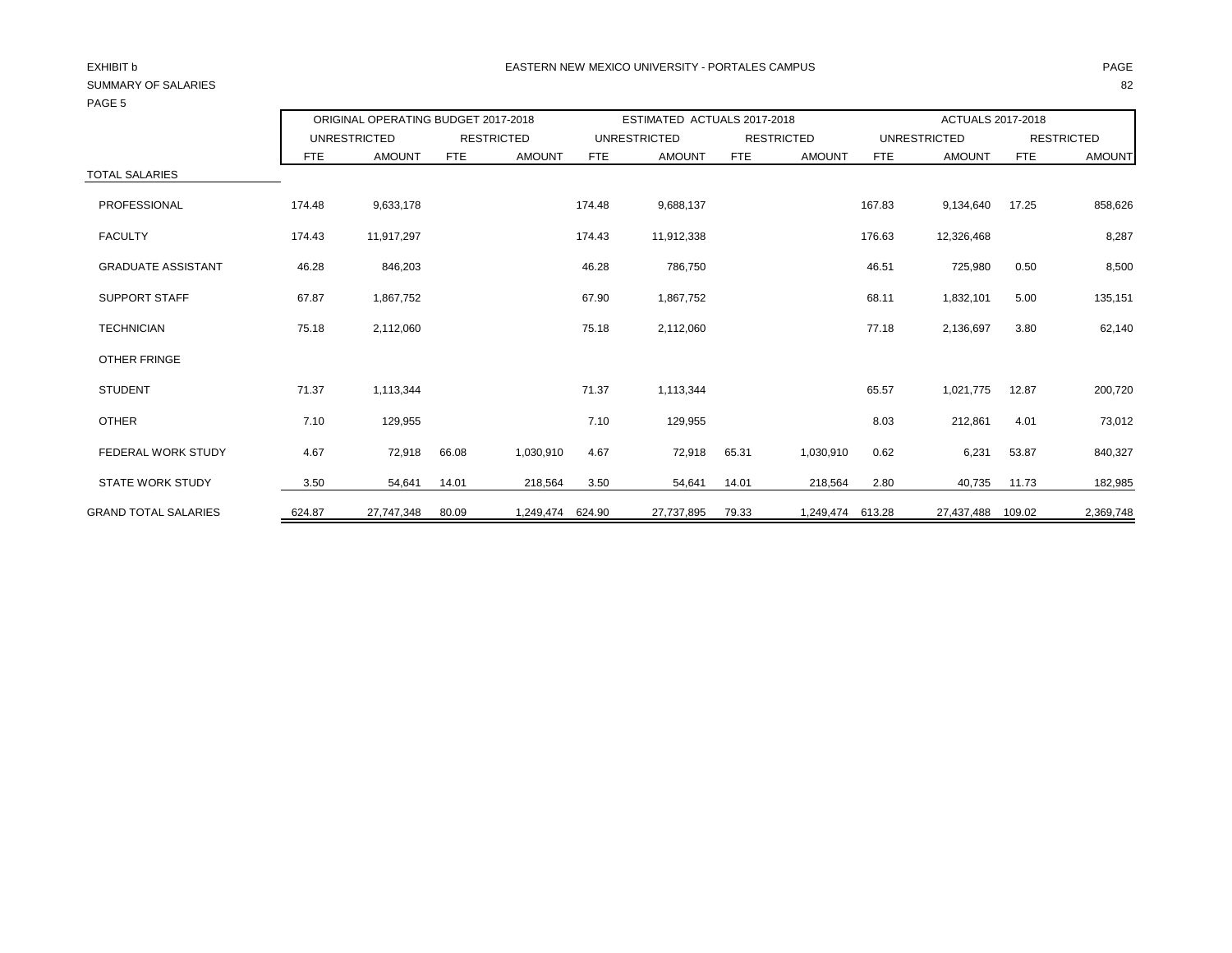| , רטבי                      |                                     |               |            |                   |                             |                     |       |                   |                   |                     |            |                   |  |
|-----------------------------|-------------------------------------|---------------|------------|-------------------|-----------------------------|---------------------|-------|-------------------|-------------------|---------------------|------------|-------------------|--|
|                             | ORIGINAL OPERATING BUDGET 2017-2018 |               |            |                   | ESTIMATED ACTUALS 2017-2018 |                     |       |                   | ACTUALS 2017-2018 |                     |            |                   |  |
|                             | <b>UNRESTRICTED</b>                 |               |            | <b>RESTRICTED</b> |                             | <b>UNRESTRICTED</b> |       | <b>RESTRICTED</b> |                   | <b>UNRESTRICTED</b> |            | <b>RESTRICTED</b> |  |
|                             | FTE                                 | <b>AMOUNT</b> | <b>FTE</b> | <b>AMOUNT</b>     | FTE                         | <b>AMOUNT</b>       | FTE   | <b>AMOUNT</b>     | FTE               | <b>AMOUNT</b>       | <b>FTE</b> | <b>AMOUNT</b>     |  |
| <b>TOTAL SALARIES</b>       |                                     |               |            |                   |                             |                     |       |                   |                   |                     |            |                   |  |
| PROFESSIONAL                | 174.48                              | 9,633,178     |            |                   | 174.48                      | 9,688,137           |       |                   | 167.83            | 9,134,640           | 17.25      | 858,626           |  |
| <b>FACULTY</b>              | 174.43                              | 11,917,297    |            |                   | 174.43                      | 11,912,338          |       |                   | 176.63            | 12,326,468          |            | 8,287             |  |
| <b>GRADUATE ASSISTANT</b>   | 46.28                               | 846,203       |            |                   | 46.28                       | 786,750             |       |                   | 46.51             | 725,980             | 0.50       | 8,500             |  |
| <b>SUPPORT STAFF</b>        | 67.87                               | 1,867,752     |            |                   | 67.90                       | 1,867,752           |       |                   | 68.11             | 1,832,101           | 5.00       | 135,151           |  |
| <b>TECHNICIAN</b>           | 75.18                               | 2,112,060     |            |                   | 75.18                       | 2,112,060           |       |                   | 77.18             | 2,136,697           | 3.80       | 62,140            |  |
| <b>OTHER FRINGE</b>         |                                     |               |            |                   |                             |                     |       |                   |                   |                     |            |                   |  |
| <b>STUDENT</b>              | 71.37                               | 1,113,344     |            |                   | 71.37                       | 1,113,344           |       |                   | 65.57             | 1,021,775           | 12.87      | 200,720           |  |
| <b>OTHER</b>                | 7.10                                | 129,955       |            |                   | 7.10                        | 129,955             |       |                   | 8.03              | 212,861             | 4.01       | 73,012            |  |
| <b>FEDERAL WORK STUDY</b>   | 4.67                                | 72,918        | 66.08      | 1,030,910         | 4.67                        | 72,918              | 65.31 | 1,030,910         | 0.62              | 6,231               | 53.87      | 840,327           |  |
| <b>STATE WORK STUDY</b>     | 3.50                                | 54,641        | 14.01      | 218,564           | 3.50                        | 54,641              | 14.01 | 218,564           | 2.80              | 40,735              | 11.73      | 182,985           |  |
| <b>GRAND TOTAL SALARIES</b> | 624.87                              | 27,747,348    | 80.09      | 1,249,474         | 624.90                      | 27,737,895          | 79.33 | 1,249,474 613.28  |                   | 27,437,488          | 109.02     | 2,369,748         |  |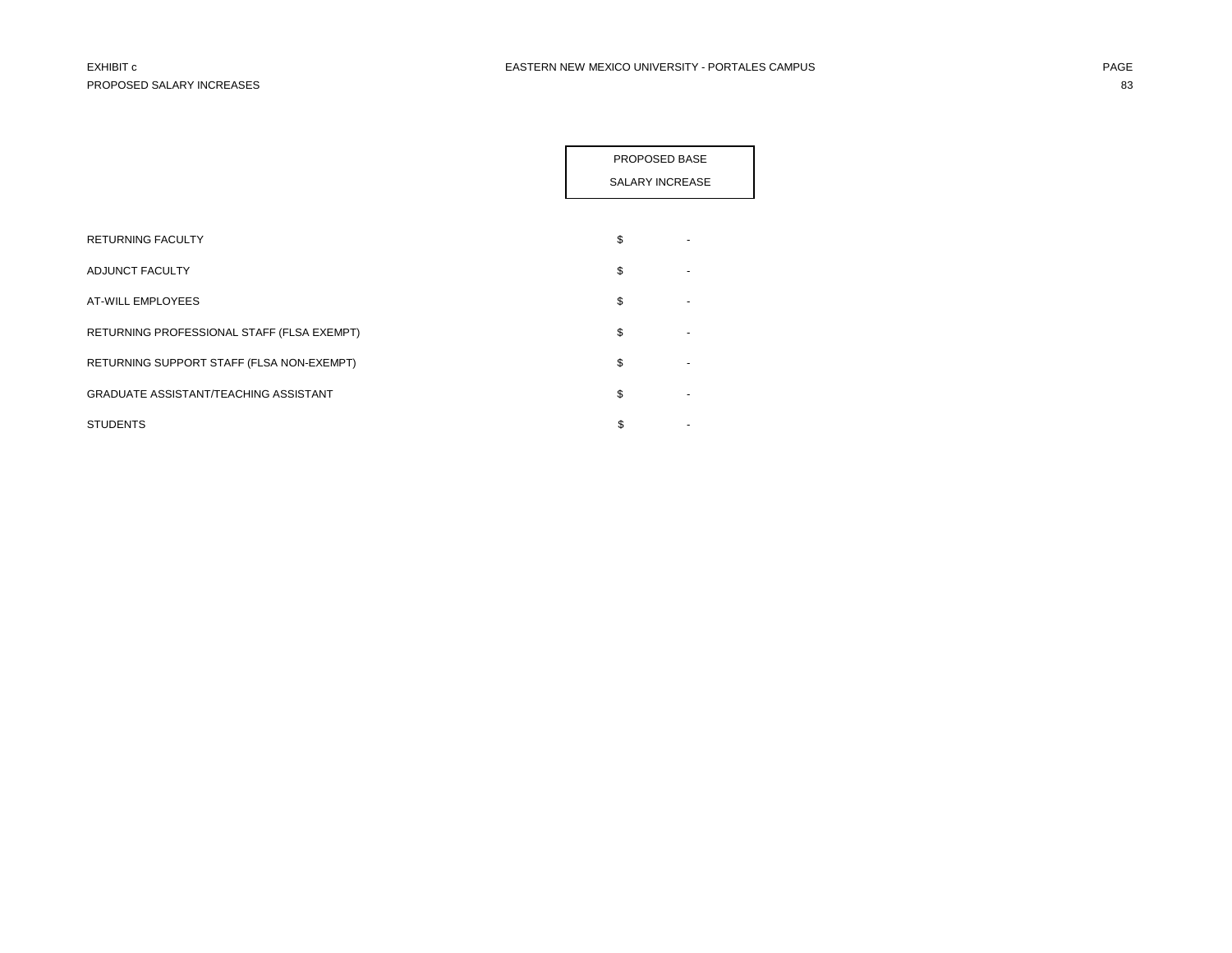|                                              | PROPOSED BASE   |  |
|----------------------------------------------|-----------------|--|
|                                              | SALARY INCREASE |  |
|                                              |                 |  |
| <b>RETURNING FACULTY</b>                     | \$              |  |
| ADJUNCT FACULTY                              | \$              |  |
| AT-WILL EMPLOYEES                            | \$              |  |
| RETURNING PROFESSIONAL STAFF (FLSA EXEMPT)   | \$              |  |
| RETURNING SUPPORT STAFF (FLSA NON-EXEMPT)    | \$              |  |
| <b>GRADUATE ASSISTANT/TEACHING ASSISTANT</b> | \$              |  |
| <b>STUDENTS</b>                              | \$              |  |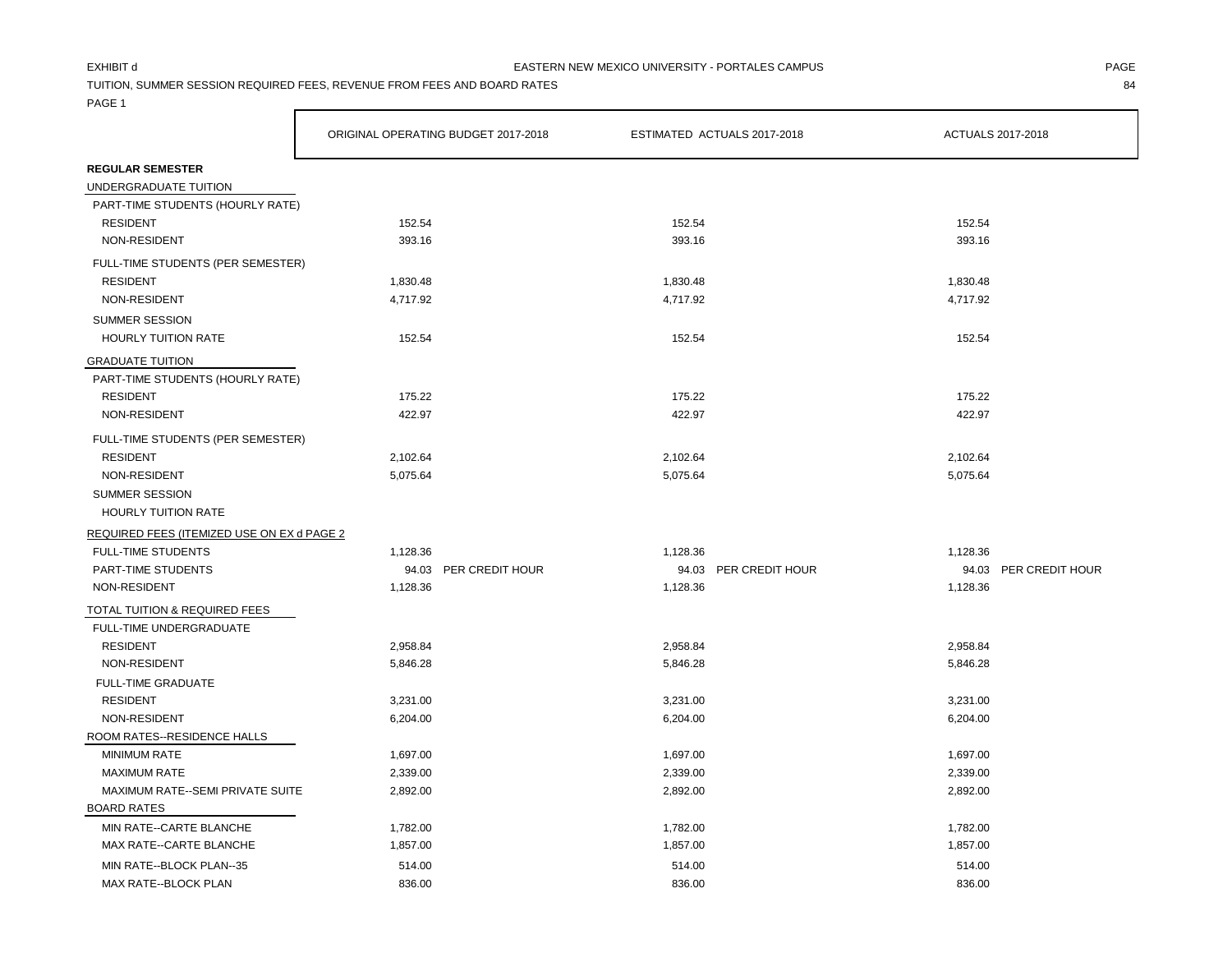TUITION, SUMMER SESSION REQUIRED FEES, REVENUE FROM FEES AND BOARD RATES 84

PAGE 1

|                                            | ORIGINAL OPERATING BUDGET 2017-2018 |                       |          | ESTIMATED ACTUALS 2017-2018 | ACTUALS 2017-2018 |                       |
|--------------------------------------------|-------------------------------------|-----------------------|----------|-----------------------------|-------------------|-----------------------|
| <b>REGULAR SEMESTER</b>                    |                                     |                       |          |                             |                   |                       |
| UNDERGRADUATE TUITION                      |                                     |                       |          |                             |                   |                       |
| PART-TIME STUDENTS (HOURLY RATE)           |                                     |                       |          |                             |                   |                       |
| <b>RESIDENT</b>                            | 152.54                              |                       | 152.54   |                             | 152.54            |                       |
| NON-RESIDENT                               | 393.16                              |                       | 393.16   |                             | 393.16            |                       |
| FULL-TIME STUDENTS (PER SEMESTER)          |                                     |                       |          |                             |                   |                       |
| <b>RESIDENT</b>                            | 1,830.48                            |                       | 1,830.48 |                             | 1,830.48          |                       |
| NON-RESIDENT                               | 4,717.92                            |                       | 4,717.92 |                             | 4,717.92          |                       |
| <b>SUMMER SESSION</b>                      |                                     |                       |          |                             |                   |                       |
| <b>HOURLY TUITION RATE</b>                 | 152.54                              |                       | 152.54   |                             | 152.54            |                       |
| <b>GRADUATE TUITION</b>                    |                                     |                       |          |                             |                   |                       |
| PART-TIME STUDENTS (HOURLY RATE)           |                                     |                       |          |                             |                   |                       |
| <b>RESIDENT</b>                            | 175.22                              |                       | 175.22   |                             | 175.22            |                       |
| NON-RESIDENT                               | 422.97                              |                       | 422.97   |                             | 422.97            |                       |
| FULL-TIME STUDENTS (PER SEMESTER)          |                                     |                       |          |                             |                   |                       |
| <b>RESIDENT</b>                            | 2,102.64                            |                       | 2,102.64 |                             | 2,102.64          |                       |
| NON-RESIDENT                               | 5,075.64                            |                       | 5,075.64 |                             | 5,075.64          |                       |
| <b>SUMMER SESSION</b>                      |                                     |                       |          |                             |                   |                       |
| <b>HOURLY TUITION RATE</b>                 |                                     |                       |          |                             |                   |                       |
| REQUIRED FEES (ITEMIZED USE ON EX d PAGE 2 |                                     |                       |          |                             |                   |                       |
| <b>FULL-TIME STUDENTS</b>                  | 1,128.36                            |                       | 1,128.36 |                             | 1,128.36          |                       |
| PART-TIME STUDENTS                         |                                     | 94.03 PER CREDIT HOUR |          | 94.03 PER CREDIT HOUR       |                   | 94.03 PER CREDIT HOUR |
| NON-RESIDENT                               | 1,128.36                            |                       | 1,128.36 |                             | 1,128.36          |                       |
| TOTAL TUITION & REQUIRED FEES              |                                     |                       |          |                             |                   |                       |
| FULL-TIME UNDERGRADUATE                    |                                     |                       |          |                             |                   |                       |
| <b>RESIDENT</b>                            | 2,958.84                            |                       | 2,958.84 |                             | 2,958.84          |                       |
| NON-RESIDENT                               | 5,846.28                            |                       | 5,846.28 |                             | 5,846.28          |                       |
| FULL-TIME GRADUATE                         |                                     |                       |          |                             |                   |                       |
| <b>RESIDENT</b>                            | 3,231.00                            |                       | 3,231.00 |                             | 3,231.00          |                       |
| NON-RESIDENT                               | 6,204.00                            |                       | 6,204.00 |                             | 6,204.00          |                       |
| ROOM RATES--RESIDENCE HALLS                |                                     |                       |          |                             |                   |                       |
| <b>MINIMUM RATE</b>                        | 1,697.00                            |                       | 1,697.00 |                             | 1,697.00          |                       |
| <b>MAXIMUM RATE</b>                        | 2,339.00                            |                       | 2,339.00 |                             | 2,339.00          |                       |
| MAXIMUM RATE--SEMI PRIVATE SUITE           | 2,892.00                            |                       | 2,892.00 |                             | 2,892.00          |                       |
| <b>BOARD RATES</b>                         |                                     |                       |          |                             |                   |                       |
| MIN RATE--CARTE BLANCHE                    | 1,782.00                            |                       | 1,782.00 |                             | 1,782.00          |                       |
| MAX RATE--CARTE BLANCHE                    | 1,857.00                            |                       | 1,857.00 |                             | 1,857.00          |                       |
| MIN RATE--BLOCK PLAN--35                   | 514.00                              |                       | 514.00   |                             | 514.00            |                       |
| MAX RATE--BLOCK PLAN                       | 836.00                              |                       | 836.00   |                             | 836.00            |                       |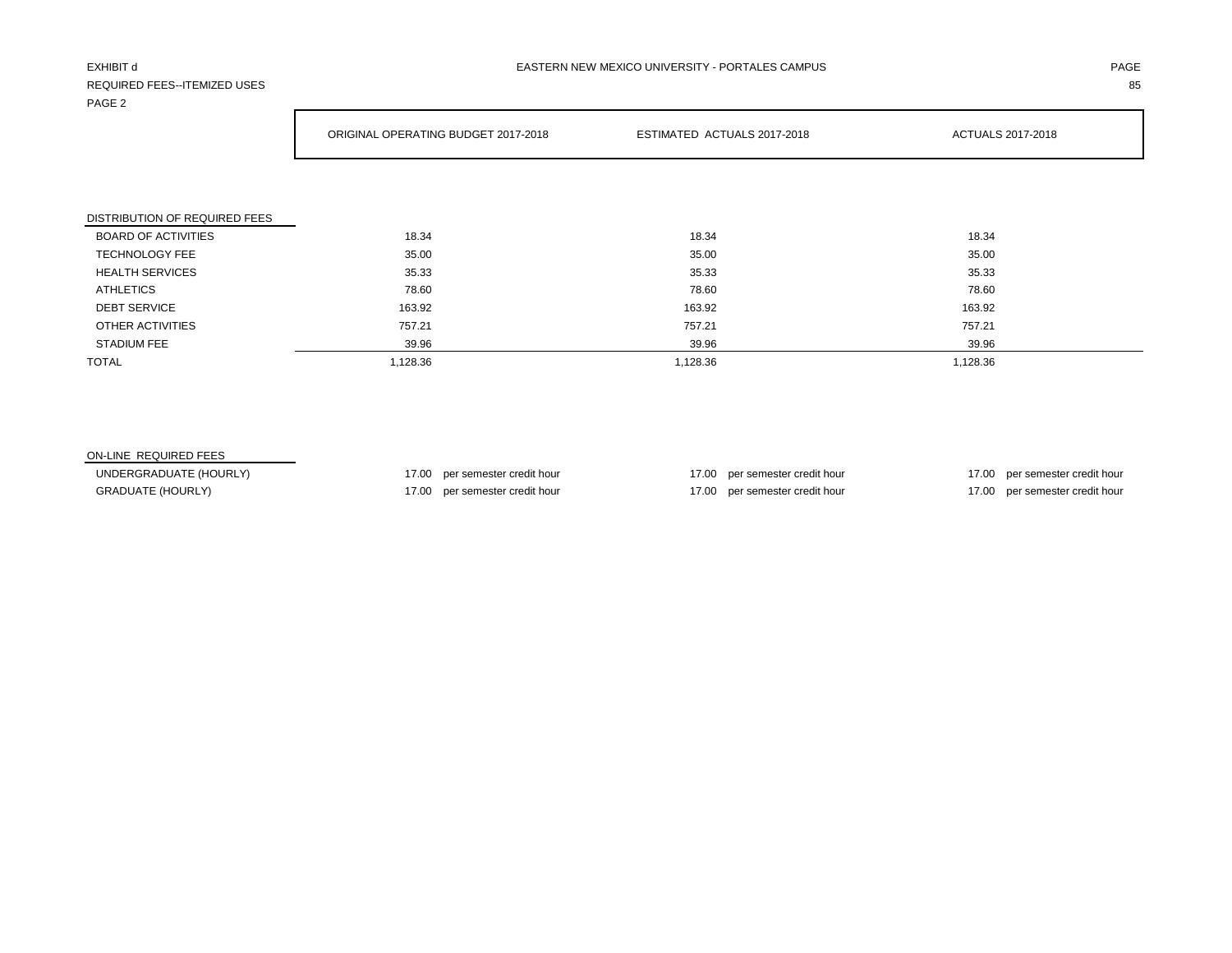# REQUIRED FEES--ITEMIZED USES 85 PAGE 2

|                               | ORIGINAL OPERATING BUDGET 2017-2018 | ESTIMATED ACTUALS 2017-2018 | ACTUALS 2017-2018 |
|-------------------------------|-------------------------------------|-----------------------------|-------------------|
|                               |                                     |                             |                   |
|                               |                                     |                             |                   |
| DISTRIBUTION OF REQUIRED FEES |                                     |                             |                   |
| <b>BOARD OF ACTIVITIES</b>    | 18.34                               | 18.34                       | 18.34             |
| <b>TECHNOLOGY FEE</b>         | 35.00                               | 35.00                       | 35.00             |
| <b>HEALTH SERVICES</b>        | 35.33                               | 35.33                       | 35.33             |
| <b>ATHLETICS</b>              | 78.60                               | 78.60                       | 78.60             |
| <b>DEBT SERVICE</b>           | 163.92                              | 163.92                      | 163.92            |
| OTHER ACTIVITIES              | 757.21                              | 757.21                      | 757.21            |
| <b>STADIUM FEE</b>            | 39.96                               | 39.96                       | 39.96             |
| <b>TOTAL</b>                  | 1,128.36                            | 1,128.36                    | 1,128.36          |

# ON-LINE REQUIRED FEES

UNDERGRADUATE (HOURLY) 17.00 per semester credit hour 17.00 per semester credit hour 17.00 per semester credit hour 17.00 per semester credit hour GRADUATE (HOURLY) 17.00 per semester credit hour 17.00 per semester credit hour 17.00 per semester credit hour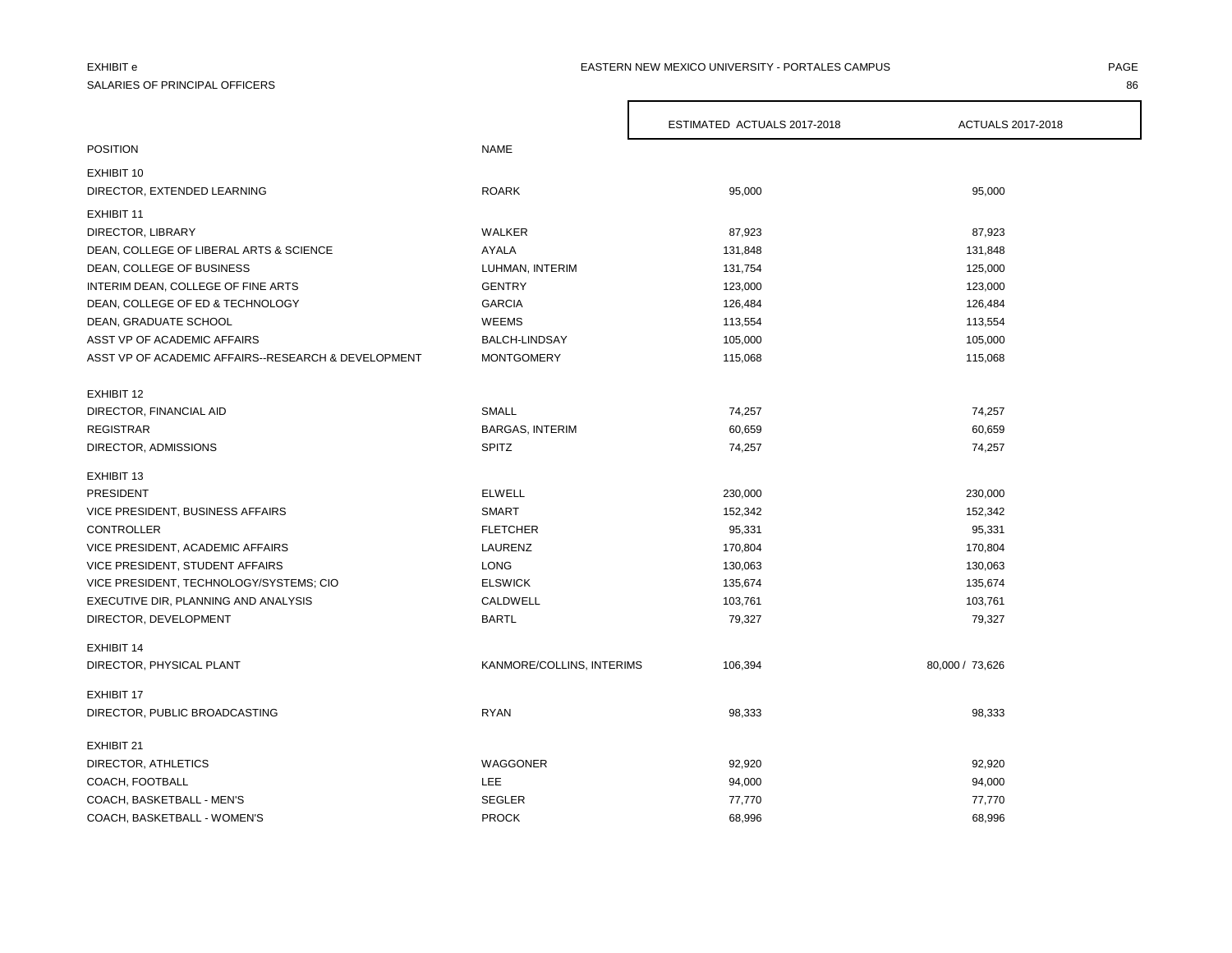# SALARIES OF PRINCIPAL OFFICERS 86

### EXHIBIT e PAGE PAGE IN THE PAGE OF PAGE IN THE PAGE OF PAGE IN THE PAGE OF PAGE IN THE PAGE OF PAGE IN THE PAGE

|                                                     |                           | ESTIMATED ACTUALS 2017-2018 | ACTUALS 2017-2018 |
|-----------------------------------------------------|---------------------------|-----------------------------|-------------------|
| <b>POSITION</b>                                     | <b>NAME</b>               |                             |                   |
| EXHIBIT 10                                          |                           |                             |                   |
| DIRECTOR, EXTENDED LEARNING                         | <b>ROARK</b>              | 95,000                      | 95,000            |
|                                                     |                           |                             |                   |
| EXHIBIT 11                                          |                           |                             |                   |
| DIRECTOR, LIBRARY                                   | WALKER                    | 87,923                      | 87,923            |
| DEAN, COLLEGE OF LIBERAL ARTS & SCIENCE             | AYALA                     | 131,848                     | 131,848           |
| DEAN, COLLEGE OF BUSINESS                           | LUHMAN, INTERIM           | 131,754                     | 125,000           |
| INTERIM DEAN, COLLEGE OF FINE ARTS                  | <b>GENTRY</b>             | 123,000                     | 123,000           |
| DEAN, COLLEGE OF ED & TECHNOLOGY                    | <b>GARCIA</b>             | 126,484                     | 126,484           |
| DEAN, GRADUATE SCHOOL                               | <b>WEEMS</b>              | 113,554                     | 113,554           |
| ASST VP OF ACADEMIC AFFAIRS                         | BALCH-LINDSAY             | 105,000                     | 105,000           |
| ASST VP OF ACADEMIC AFFAIRS--RESEARCH & DEVELOPMENT | <b>MONTGOMERY</b>         | 115,068                     | 115,068           |
|                                                     |                           |                             |                   |
| EXHIBIT 12<br>DIRECTOR, FINANCIAL AID               | <b>SMALL</b>              | 74,257                      | 74,257            |
| <b>REGISTRAR</b>                                    | <b>BARGAS, INTERIM</b>    | 60,659                      | 60,659            |
|                                                     | <b>SPITZ</b>              |                             |                   |
| DIRECTOR, ADMISSIONS                                |                           | 74,257                      | 74,257            |
| EXHIBIT 13                                          |                           |                             |                   |
| PRESIDENT                                           | <b>ELWELL</b>             | 230,000                     | 230,000           |
| VICE PRESIDENT, BUSINESS AFFAIRS                    | SMART                     | 152,342                     | 152,342           |
| <b>CONTROLLER</b>                                   | <b>FLETCHER</b>           | 95,331                      | 95,331            |
| VICE PRESIDENT, ACADEMIC AFFAIRS                    | LAURENZ                   | 170,804                     | 170,804           |
| VICE PRESIDENT, STUDENT AFFAIRS                     | <b>LONG</b>               | 130,063                     | 130,063           |
| VICE PRESIDENT, TECHNOLOGY/SYSTEMS; CIO             | <b>ELSWICK</b>            | 135,674                     | 135,674           |
| EXECUTIVE DIR, PLANNING AND ANALYSIS                | CALDWELL                  | 103,761                     | 103,761           |
| DIRECTOR, DEVELOPMENT                               | <b>BARTL</b>              | 79,327                      | 79,327            |
| <b>EXHIBIT 14</b>                                   |                           |                             |                   |
| DIRECTOR, PHYSICAL PLANT                            | KANMORE/COLLINS, INTERIMS | 106,394                     | 80,000 / 73,626   |
| <b>EXHIBIT 17</b>                                   |                           |                             |                   |
|                                                     |                           |                             |                   |
| DIRECTOR, PUBLIC BROADCASTING                       | <b>RYAN</b>               | 98,333                      | 98,333            |
| EXHIBIT 21                                          |                           |                             |                   |
| DIRECTOR, ATHLETICS                                 | WAGGONER                  | 92,920                      | 92,920            |
| COACH, FOOTBALL                                     | <b>LEE</b>                | 94,000                      | 94,000            |
| COACH, BASKETBALL - MEN'S                           | <b>SEGLER</b>             | 77,770                      | 77,770            |
| COACH, BASKETBALL - WOMEN'S                         | <b>PROCK</b>              | 68,996                      | 68,996            |

 $\Gamma$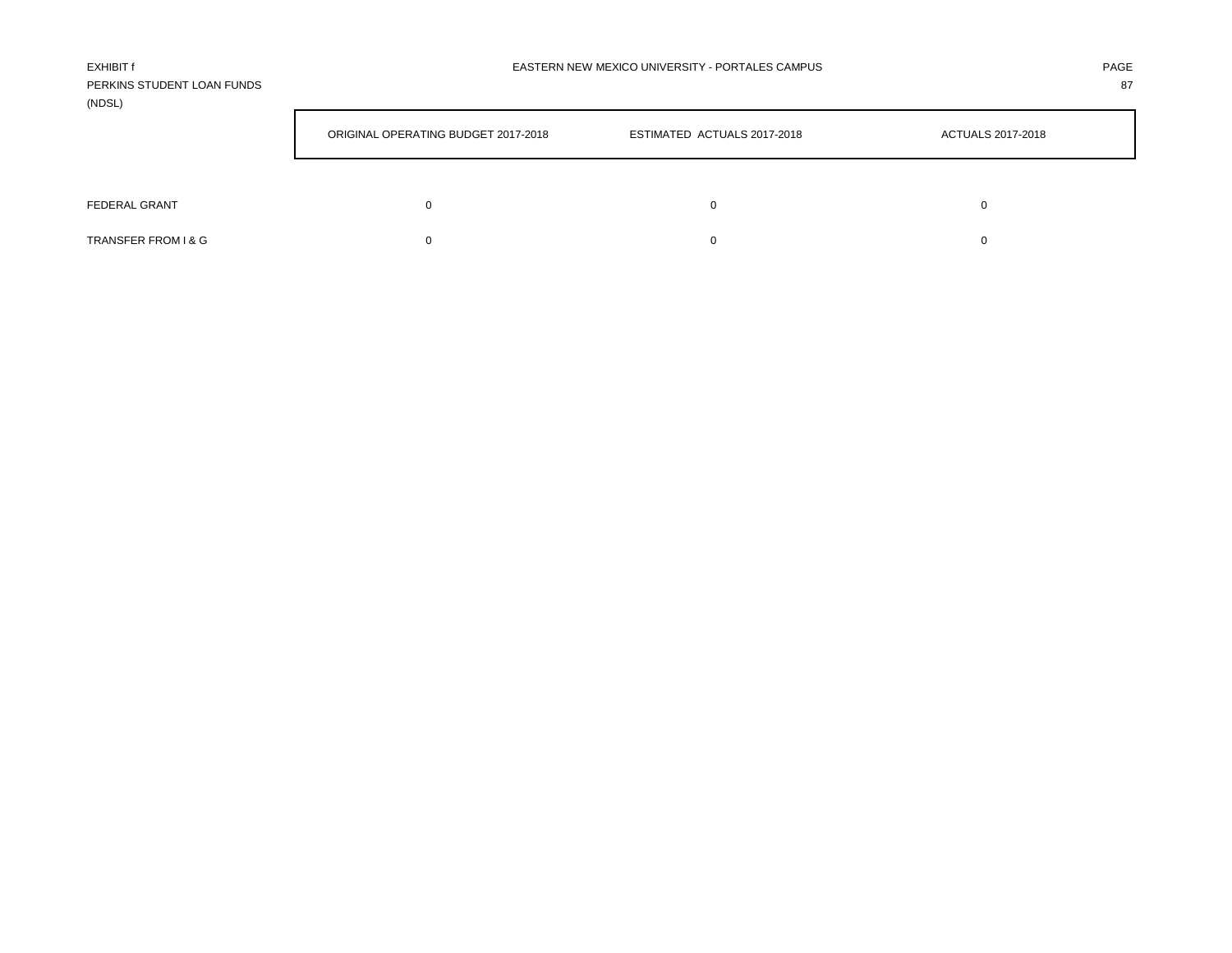| EXHIBIT f                  | EASTERN NEW MEXICO UNIVERSITY - PORTALES CAMPUS | PAGE |
|----------------------------|-------------------------------------------------|------|
| PERKINS STUDENT LOAN FUNDS |                                                 | 87   |
| (NDSL)                     |                                                 |      |

|                     | ORIGINAL OPERATING BUDGET 2017-2018 | ESTIMATED ACTUALS 2017-2018 | ACTUALS 2017-2018 |
|---------------------|-------------------------------------|-----------------------------|-------------------|
|                     |                                     |                             |                   |
| FEDERAL GRANT       | 0                                   |                             |                   |
| TRANSFER FROM I & G |                                     |                             |                   |